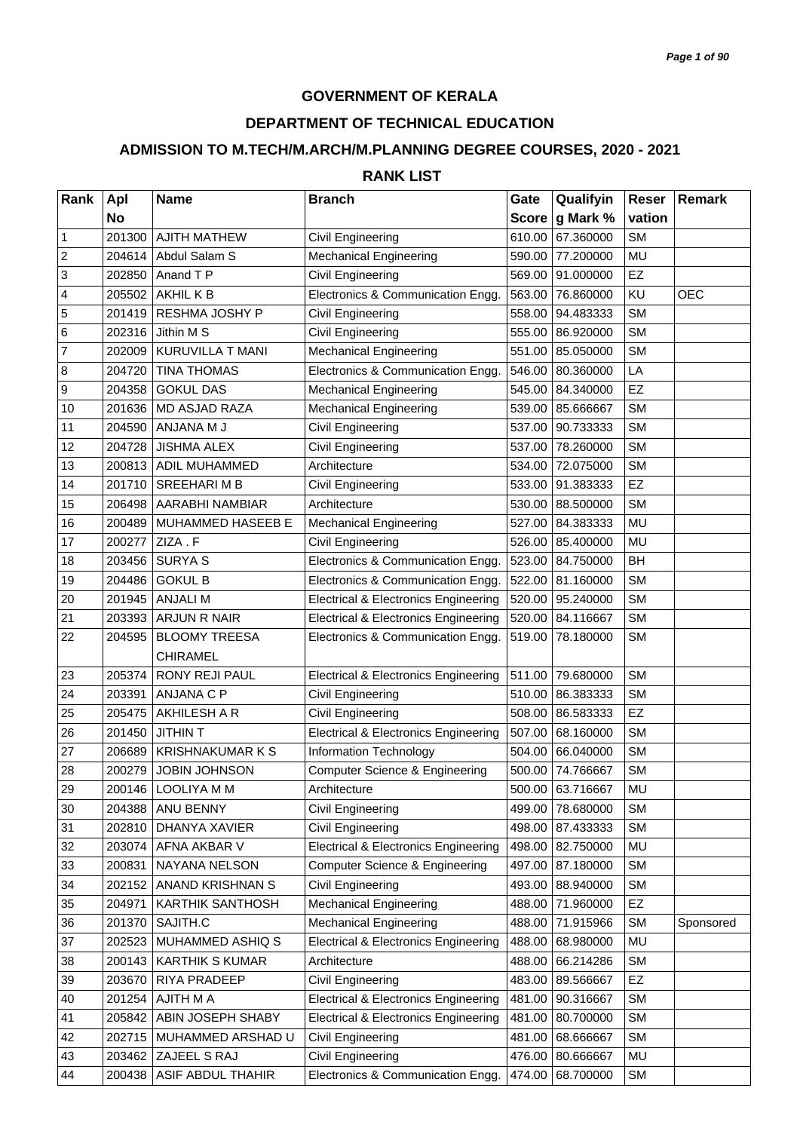## **GOVERNMENT OF KERALA**

## **DEPARTMENT OF TECHNICAL EDUCATION**

## **ADMISSION TO M.TECH/M.ARCH/M.PLANNING DEGREE COURSES, 2020 - 2021**

## **RANK LIST**

| Rank             | Apl       | <b>Name</b>             | <b>Branch</b>                                   | Gate         | Qualifyin | Reser     | Remark     |
|------------------|-----------|-------------------------|-------------------------------------------------|--------------|-----------|-----------|------------|
|                  | <b>No</b> |                         |                                                 | <b>Score</b> | g Mark %  | vation    |            |
| $\mathbf{1}$     | 201300    | <b>AJITH MATHEW</b>     | Civil Engineering                               | 610.00       | 67.360000 | <b>SM</b> |            |
| $\overline{2}$   | 204614    | Abdul Salam S           | <b>Mechanical Engineering</b>                   | 590.00       | 77.200000 | <b>MU</b> |            |
| $\mathbf{3}$     | 202850    | Anand T P               | <b>Civil Engineering</b>                        | 569.00       | 91.000000 | EZ        |            |
| $\overline{4}$   | 205502    | AKHIL K B               | Electronics & Communication Engg.               | 563.00       | 76.860000 | KU        | <b>OEC</b> |
| 5                | 201419    | RESHMA JOSHY P          | Civil Engineering                               | 558.00       | 94.483333 | <b>SM</b> |            |
| $6\phantom{.}6$  | 202316    | Jithin M S              | Civil Engineering                               | 555.00       | 86.920000 | <b>SM</b> |            |
| $\overline{7}$   | 202009    | KURUVILLA T MANI        | <b>Mechanical Engineering</b>                   | 551.00       | 85.050000 | <b>SM</b> |            |
| $\boldsymbol{8}$ | 204720    | <b>TINA THOMAS</b>      | Electronics & Communication Engg.               | 546.00       | 80.360000 | LA        |            |
| $\boldsymbol{9}$ | 204358    | <b>GOKUL DAS</b>        | <b>Mechanical Engineering</b>                   | 545.00       | 84.340000 | EZ        |            |
| 10               | 201636    | <b>MD ASJAD RAZA</b>    | <b>Mechanical Engineering</b>                   | 539.00       | 85.666667 | <b>SM</b> |            |
| 11               | 204590    | ANJANA M J              | Civil Engineering                               | 537.00       | 90.733333 | <b>SM</b> |            |
| 12               | 204728    | <b>JISHMA ALEX</b>      | Civil Engineering                               | 537.00       | 78.260000 | <b>SM</b> |            |
| 13               | 200813    | ADIL MUHAMMED           | Architecture                                    | 534.00       | 72.075000 | <b>SM</b> |            |
| 14               | 201710    | <b>SREEHARIMB</b>       | Civil Engineering                               | 533.00       | 91.383333 | EZ        |            |
| 15               | 206498    | AARABHI NAMBIAR         | Architecture                                    | 530.00       | 88.500000 | <b>SM</b> |            |
| 16               | 200489    | MUHAMMED HASEEB E       | <b>Mechanical Engineering</b>                   | 527.00       | 84.383333 | MU        |            |
| 17               | 200277    | ZIZA.F                  | Civil Engineering                               | 526.00       | 85.400000 | MU        |            |
| 18               | 203456    | <b>SURYA S</b>          | Electronics & Communication Engg.               | 523.00       | 84.750000 | BH        |            |
| 19               | 204486    | <b>GOKUL B</b>          | Electronics & Communication Engg.               | 522.00       | 81.160000 | <b>SM</b> |            |
| 20               | 201945    | <b>ANJALI M</b>         | <b>Electrical &amp; Electronics Engineering</b> | 520.00       | 95.240000 | <b>SM</b> |            |
| 21               | 203393    | ARJUN R NAIR            | <b>Electrical &amp; Electronics Engineering</b> | 520.00       | 84.116667 | <b>SM</b> |            |
| 22               | 204595    | <b>BLOOMY TREESA</b>    | Electronics & Communication Engg.               | 519.00       | 78.180000 | <b>SM</b> |            |
|                  |           | <b>CHIRAMEL</b>         |                                                 |              |           |           |            |
| 23               | 205374    | RONY REJI PAUL          | <b>Electrical &amp; Electronics Engineering</b> | 511.00       | 79.680000 | <b>SM</b> |            |
| 24               | 203391    | ANJANA C P              | Civil Engineering                               | 510.00       | 86.383333 | <b>SM</b> |            |
| 25               | 205475    | AKHILESH A R            | Civil Engineering                               | 508.00       | 86.583333 | <b>EZ</b> |            |
| 26               | 201450    | <b>JITHIN T</b>         | <b>Electrical &amp; Electronics Engineering</b> | 507.00       | 68.160000 | <b>SM</b> |            |
| 27               | 206689    | <b>KRISHNAKUMAR K S</b> | Information Technology                          | 504.00       | 66.040000 | <b>SM</b> |            |
| 28               | 200279    | <b>JOBIN JOHNSON</b>    | <b>Computer Science &amp; Engineering</b>       | 500.00       | 74.766667 | <b>SM</b> |            |
| 29               |           | 200146   LOOLIYA M M    | Architecture                                    | 500.00       | 63.716667 | MU        |            |
| 30               | 204388    | ANU BENNY               | Civil Engineering                               | 499.00       | 78.680000 | <b>SM</b> |            |
| 31               | 202810    | DHANYA XAVIER           | Civil Engineering                               | 498.00       | 87.433333 | <b>SM</b> |            |
| 32               | 203074    | AFNA AKBAR V            | <b>Electrical &amp; Electronics Engineering</b> | 498.00       | 82.750000 | MU        |            |
| 33               | 200831    | NAYANA NELSON           | Computer Science & Engineering                  | 497.00       | 87.180000 | <b>SM</b> |            |
| 34               | 202152    | ANAND KRISHNAN S        | Civil Engineering                               | 493.00       | 88.940000 | <b>SM</b> |            |
| 35               | 204971    | KARTHIK SANTHOSH        | <b>Mechanical Engineering</b>                   | 488.00       | 71.960000 | EZ        |            |
| 36               | 201370    | SAJITH.C                | <b>Mechanical Engineering</b>                   | 488.00       | 71.915966 | <b>SM</b> | Sponsored  |
| 37               | 202523    | MUHAMMED ASHIQ S        | <b>Electrical &amp; Electronics Engineering</b> | 488.00       | 68.980000 | <b>MU</b> |            |
| 38               | 200143    | <b>KARTHIK S KUMAR</b>  | Architecture                                    | 488.00       | 66.214286 | <b>SM</b> |            |
| 39               | 203670    | RIYA PRADEEP            | Civil Engineering                               | 483.00       | 89.566667 | EZ        |            |
| 40               | 201254    | AJITH M A               | <b>Electrical &amp; Electronics Engineering</b> | 481.00       | 90.316667 | <b>SM</b> |            |
| 41               | 205842    | ABIN JOSEPH SHABY       | <b>Electrical &amp; Electronics Engineering</b> | 481.00       | 80.700000 | <b>SM</b> |            |
| 42               | 202715    | MUHAMMED ARSHAD U       | Civil Engineering                               | 481.00       | 68.666667 | <b>SM</b> |            |
| 43               | 203462    | ZAJEEL S RAJ            | Civil Engineering                               | 476.00       | 80.666667 | MU        |            |
| 44               | 200438    | ASIF ABDUL THAHIR       | Electronics & Communication Engg.               | 474.00       | 68.700000 | <b>SM</b> |            |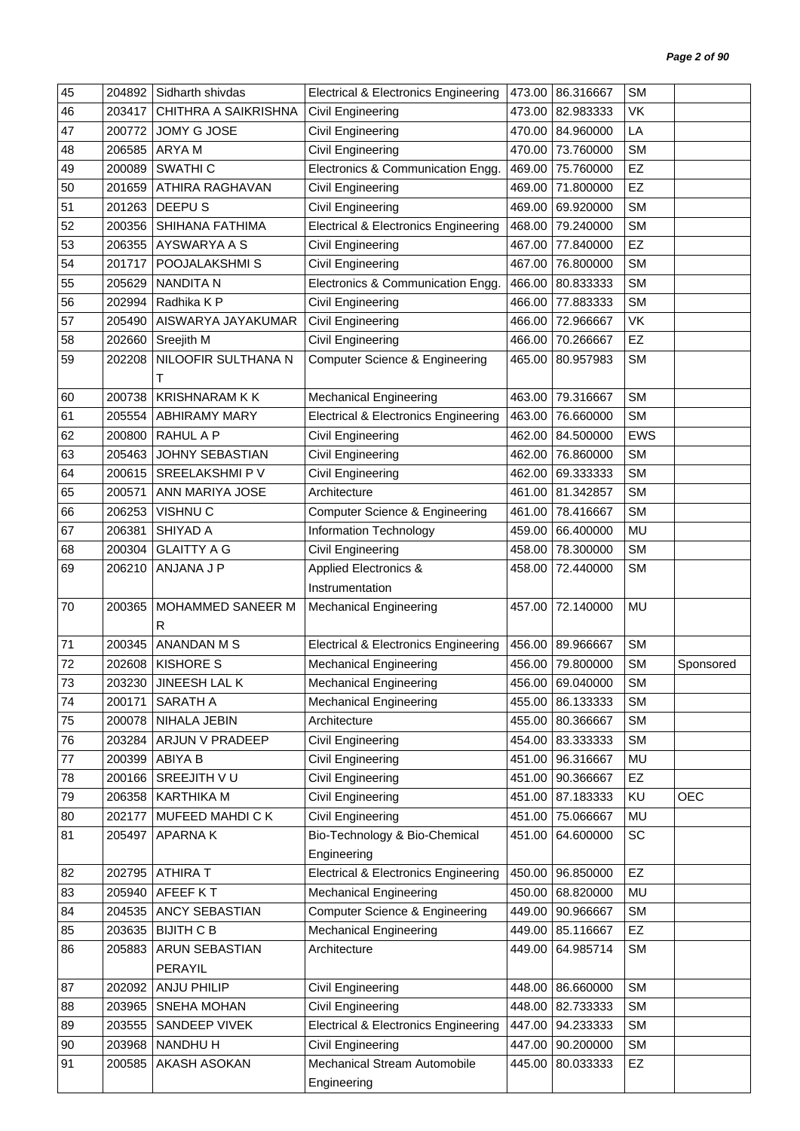| 45 | 204892 | Sidharth shivdas      | <b>Electrical &amp; Electronics Engineering</b> | 473.00 | 86.316667 | <b>SM</b>  |            |
|----|--------|-----------------------|-------------------------------------------------|--------|-----------|------------|------------|
| 46 | 203417 | CHITHRA A SAIKRISHNA  | Civil Engineering                               | 473.00 | 82.983333 | VK         |            |
| 47 | 200772 | JOMY G JOSE           | Civil Engineering                               | 470.00 | 84.960000 | LA         |            |
| 48 | 206585 | ARYA M                | Civil Engineering                               | 470.00 | 73.760000 | <b>SM</b>  |            |
| 49 | 200089 | SWATHI <sub>C</sub>   | Electronics & Communication Engg.               | 469.00 | 75.760000 | EZ         |            |
| 50 | 201659 | ATHIRA RAGHAVAN       | Civil Engineering                               | 469.00 | 71.800000 | EZ         |            |
| 51 | 201263 | DEEPU <sub>S</sub>    | Civil Engineering                               | 469.00 | 69.920000 | <b>SM</b>  |            |
| 52 | 200356 | SHIHANA FATHIMA       | <b>Electrical &amp; Electronics Engineering</b> | 468.00 | 79.240000 | <b>SM</b>  |            |
| 53 | 206355 | AYSWARYA A S          | Civil Engineering                               | 467.00 | 77.840000 | <b>EZ</b>  |            |
| 54 | 201717 | POOJALAKSHMI S        | Civil Engineering                               | 467.00 | 76.800000 | <b>SM</b>  |            |
| 55 | 205629 | <b>NANDITA N</b>      | Electronics & Communication Engg.               | 466.00 | 80.833333 | <b>SM</b>  |            |
| 56 | 202994 | Radhika K P           | Civil Engineering                               | 466.00 | 77.883333 | <b>SM</b>  |            |
| 57 | 205490 | AISWARYA JAYAKUMAR    | Civil Engineering                               | 466.00 | 72.966667 | VK         |            |
| 58 | 202660 | Sreejith M            | Civil Engineering                               | 466.00 | 70.266667 | EZ         |            |
| 59 | 202208 | NILOOFIR SULTHANA N   | <b>Computer Science &amp; Engineering</b>       | 465.00 | 80.957983 | <b>SM</b>  |            |
|    |        | т                     |                                                 |        |           |            |            |
| 60 | 200738 | <b>KRISHNARAM K K</b> | <b>Mechanical Engineering</b>                   | 463.00 | 79.316667 | <b>SM</b>  |            |
| 61 | 205554 | <b>ABHIRAMY MARY</b>  | <b>Electrical &amp; Electronics Engineering</b> | 463.00 | 76.660000 | <b>SM</b>  |            |
| 62 | 200800 | <b>RAHUL A P</b>      | Civil Engineering                               | 462.00 | 84.500000 | <b>EWS</b> |            |
| 63 | 205463 | JOHNY SEBASTIAN       | Civil Engineering                               | 462.00 | 76.860000 | <b>SM</b>  |            |
| 64 | 200615 | SREELAKSHMI P V       | Civil Engineering                               | 462.00 | 69.333333 | <b>SM</b>  |            |
| 65 | 200571 | ANN MARIYA JOSE       | Architecture                                    | 461.00 | 81.342857 | <b>SM</b>  |            |
| 66 | 206253 | VISHNU <sub>C</sub>   | <b>Computer Science &amp; Engineering</b>       | 461.00 | 78.416667 | <b>SM</b>  |            |
| 67 | 206381 | SHIYAD A              | Information Technology                          | 459.00 | 66.400000 | MU         |            |
| 68 | 200304 | <b>GLAITTY A G</b>    | Civil Engineering                               | 458.00 | 78.300000 | <b>SM</b>  |            |
| 69 | 206210 | ANJANA J P            | <b>Applied Electronics &amp;</b>                | 458.00 | 72.440000 | <b>SM</b>  |            |
|    |        |                       | Instrumentation                                 |        |           |            |            |
| 70 | 200365 | MOHAMMED SANEER M     | <b>Mechanical Engineering</b>                   | 457.00 | 72.140000 | <b>MU</b>  |            |
|    |        | R                     |                                                 |        |           |            |            |
| 71 | 200345 | ANANDAN M S           | <b>Electrical &amp; Electronics Engineering</b> | 456.00 | 89.966667 | <b>SM</b>  |            |
| 72 | 202608 | <b>KISHORE S</b>      | <b>Mechanical Engineering</b>                   | 456.00 | 79.800000 | <b>SM</b>  | Sponsored  |
| 73 | 203230 | JINEESH LAL K         | <b>Mechanical Engineering</b>                   | 456.00 | 69.040000 | <b>SM</b>  |            |
| 74 | 200171 | SARATH A              | <b>Mechanical Engineering</b>                   | 455.00 | 86.133333 | <b>SM</b>  |            |
| 75 | 200078 | NIHALA JEBIN          | Architecture                                    | 455.00 | 80.366667 | <b>SM</b>  |            |
| 76 | 203284 | ARJUN V PRADEEP       | Civil Engineering                               | 454.00 | 83.333333 | <b>SM</b>  |            |
| 77 | 200399 | ABIYA B               | Civil Engineering                               | 451.00 | 96.316667 | MU         |            |
| 78 | 200166 | SREEJITH VU           | Civil Engineering                               | 451.00 | 90.366667 | EZ         |            |
| 79 | 206358 | KARTHIKA M            | Civil Engineering                               | 451.00 | 87.183333 | KU         | <b>OEC</b> |
| 80 | 202177 | MUFEED MAHDICK        | Civil Engineering                               | 451.00 | 75.066667 | MU         |            |
| 81 | 205497 | <b>APARNAK</b>        | Bio-Technology & Bio-Chemical                   | 451.00 | 64.600000 | SC         |            |
|    |        |                       | Engineering                                     |        |           |            |            |
| 82 | 202795 | <b>ATHIRA T</b>       | <b>Electrical &amp; Electronics Engineering</b> | 450.00 | 96.850000 | EZ         |            |
| 83 | 205940 | AFEEF KT              | <b>Mechanical Engineering</b>                   | 450.00 | 68.820000 | MU         |            |
| 84 | 204535 | ANCY SEBASTIAN        | <b>Computer Science &amp; Engineering</b>       | 449.00 | 90.966667 | <b>SM</b>  |            |
| 85 | 203635 | <b>BIJITH C B</b>     | <b>Mechanical Engineering</b>                   | 449.00 | 85.116667 | EZ         |            |
| 86 | 205883 | ARUN SEBASTIAN        | Architecture                                    | 449.00 | 64.985714 | <b>SM</b>  |            |
|    |        | PERAYIL               |                                                 |        |           |            |            |
| 87 | 202092 | <b>ANJU PHILIP</b>    | Civil Engineering                               | 448.00 | 86.660000 | <b>SM</b>  |            |
| 88 | 203965 | SNEHA MOHAN           | Civil Engineering                               | 448.00 | 82.733333 | <b>SM</b>  |            |
| 89 | 203555 | SANDEEP VIVEK         | <b>Electrical &amp; Electronics Engineering</b> | 447.00 | 94.233333 | <b>SM</b>  |            |
| 90 | 203968 | NANDHU H              | Civil Engineering                               | 447.00 | 90.200000 | <b>SM</b>  |            |
| 91 |        |                       |                                                 |        |           |            |            |
|    | 200585 | AKASH ASOKAN          | Mechanical Stream Automobile                    | 445.00 | 80.033333 | EZ         |            |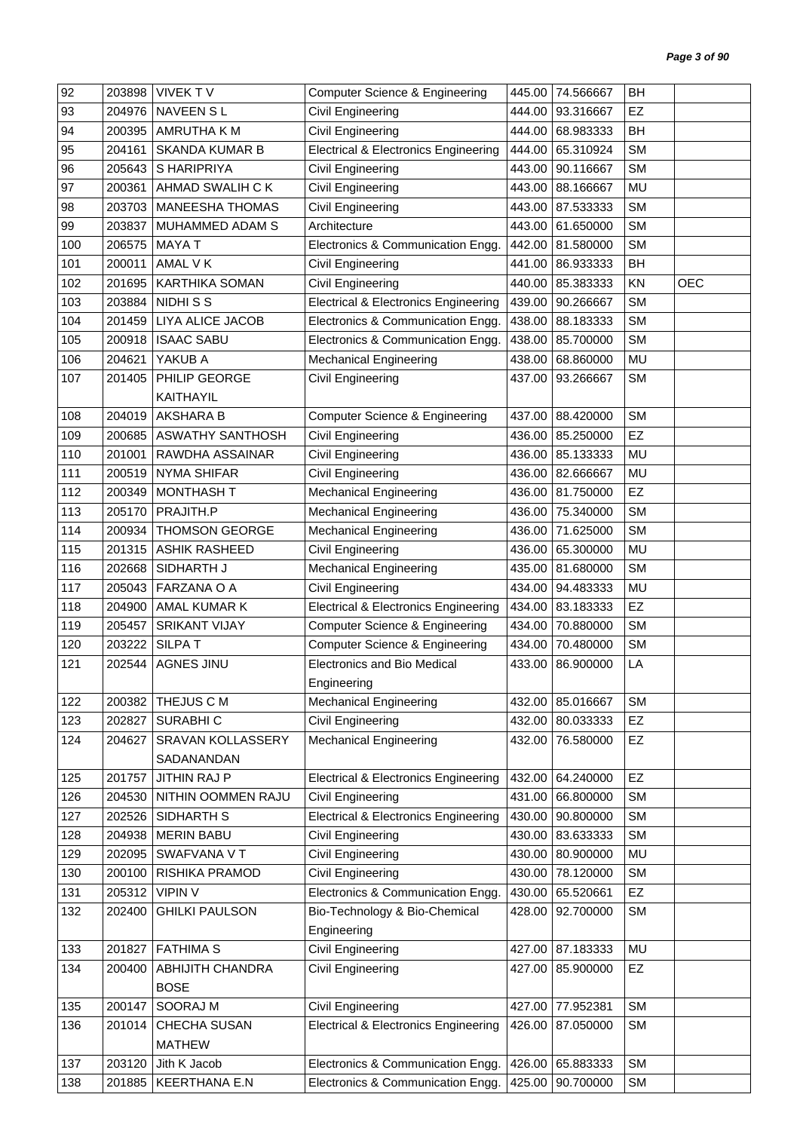| 92  | 203898 | <b>VIVEKTV</b>          | <b>Computer Science &amp; Engineering</b>       | 445.00 | 74.566667        | <b>BH</b> |            |
|-----|--------|-------------------------|-------------------------------------------------|--------|------------------|-----------|------------|
| 93  | 204976 | <b>NAVEEN SL</b>        | Civil Engineering                               | 444.00 | 93.316667        | EZ        |            |
| 94  | 200395 | AMRUTHA K M             | Civil Engineering                               | 444.00 | 68.983333        | <b>BH</b> |            |
| 95  | 204161 | <b>SKANDA KUMAR B</b>   | <b>Electrical &amp; Electronics Engineering</b> | 444.00 | 65.310924        | <b>SM</b> |            |
| 96  | 205643 | S HARIPRIYA             | Civil Engineering                               | 443.00 | 90.116667        | <b>SM</b> |            |
| 97  | 200361 | AHMAD SWALIH C K        | Civil Engineering                               | 443.00 | 88.166667        | MU        |            |
| 98  | 203703 | <b>MANEESHA THOMAS</b>  | Civil Engineering                               | 443.00 | 87.533333        | <b>SM</b> |            |
| 99  | 203837 | MUHAMMED ADAM S         | Architecture                                    | 443.00 | 61.650000        | <b>SM</b> |            |
| 100 | 206575 | <b>MAYAT</b>            | Electronics & Communication Engg.               | 442.00 | 81.580000        | <b>SM</b> |            |
| 101 | 200011 | AMAL V K                | Civil Engineering                               | 441.00 | 86.933333        | <b>BH</b> |            |
| 102 | 201695 | <b>KARTHIKA SOMAN</b>   | Civil Engineering                               | 440.00 | 85.383333        | KN        | <b>OEC</b> |
| 103 | 203884 | NIDHI S S               | <b>Electrical &amp; Electronics Engineering</b> | 439.00 | 90.266667        | <b>SM</b> |            |
| 104 | 201459 | LIYA ALICE JACOB        | Electronics & Communication Engg.               | 438.00 | 88.183333        | <b>SM</b> |            |
| 105 | 200918 | <b>ISAAC SABU</b>       | Electronics & Communication Engg.               | 438.00 | 85.700000        | <b>SM</b> |            |
| 106 | 204621 | YAKUB A                 | <b>Mechanical Engineering</b>                   | 438.00 | 68.860000        | MU        |            |
| 107 | 201405 | PHILIP GEORGE           | Civil Engineering                               | 437.00 | 93.266667        | <b>SM</b> |            |
|     |        | KAITHAYIL               |                                                 |        |                  |           |            |
| 108 | 204019 | <b>AKSHARA B</b>        | Computer Science & Engineering                  | 437.00 | 88.420000        | <b>SM</b> |            |
| 109 | 200685 | ASWATHY SANTHOSH        | Civil Engineering                               | 436.00 | 85.250000        | EZ        |            |
| 110 | 201001 | RAWDHA ASSAINAR         | Civil Engineering                               | 436.00 | 85.133333        | MU        |            |
| 111 | 200519 | <b>NYMA SHIFAR</b>      | Civil Engineering                               | 436.00 | 82.666667        | MU        |            |
| 112 | 200349 | <b>MONTHASH T</b>       | <b>Mechanical Engineering</b>                   | 436.00 | 81.750000        | <b>EZ</b> |            |
| 113 | 205170 | PRAJITH.P               | <b>Mechanical Engineering</b>                   | 436.00 | 75.340000        | <b>SM</b> |            |
| 114 | 200934 | <b>THOMSON GEORGE</b>   | <b>Mechanical Engineering</b>                   | 436.00 | 71.625000        | <b>SM</b> |            |
| 115 | 201315 | <b>ASHIK RASHEED</b>    | Civil Engineering                               | 436.00 | 65.300000        | MU        |            |
| 116 | 202668 | SIDHARTH J              | <b>Mechanical Engineering</b>                   | 435.00 | 81.680000        | <b>SM</b> |            |
| 117 | 205043 | FARZANA O A             | Civil Engineering                               | 434.00 | 94.483333        | MU        |            |
| 118 | 204900 | AMAL KUMAR K            | <b>Electrical &amp; Electronics Engineering</b> | 434.00 | 83.183333        | EZ        |            |
| 119 | 205457 | <b>SRIKANT VIJAY</b>    | Computer Science & Engineering                  | 434.00 | 70.880000        | <b>SM</b> |            |
| 120 | 203222 | <b>SILPAT</b>           | Computer Science & Engineering                  | 434.00 | 70.480000        | SM        |            |
| 121 | 202544 | <b>AGNES JINU</b>       | <b>Electronics and Bio Medical</b>              | 433.00 | 86.900000        | LA        |            |
|     |        |                         | Engineering                                     |        |                  |           |            |
| 122 | 200382 | THEJUS C M              | <b>Mechanical Engineering</b>                   |        | 432.00 85.016667 | <b>SM</b> |            |
| 123 | 202827 | SURABHI C               | Civil Engineering                               | 432.00 | 80.033333        | EZ        |            |
| 124 | 204627 | SRAVAN KOLLASSERY       | <b>Mechanical Engineering</b>                   | 432.00 | 76.580000        | EZ        |            |
|     |        | SADANANDAN              |                                                 |        |                  |           |            |
| 125 | 201757 | JITHIN RAJ P            | <b>Electrical &amp; Electronics Engineering</b> | 432.00 | 64.240000        | <b>EZ</b> |            |
| 126 | 204530 | NITHIN OOMMEN RAJU      | Civil Engineering                               | 431.00 | 66.800000        | <b>SM</b> |            |
| 127 | 202526 | SIDHARTH S              | <b>Electrical &amp; Electronics Engineering</b> | 430.00 | 90.800000        | <b>SM</b> |            |
| 128 | 204938 | <b>MERIN BABU</b>       | Civil Engineering                               | 430.00 | 83.633333        | <b>SM</b> |            |
| 129 | 202095 | SWAFVANA V T            | Civil Engineering                               | 430.00 | 80.900000        | MU        |            |
| 130 | 200100 | RISHIKA PRAMOD          | Civil Engineering                               | 430.00 | 78.120000        | <b>SM</b> |            |
| 131 | 205312 | <b>VIPIN V</b>          | Electronics & Communication Engg.               | 430.00 | 65.520661        | EZ        |            |
| 132 | 202400 | <b>GHILKI PAULSON</b>   | Bio-Technology & Bio-Chemical                   | 428.00 | 92.700000        | <b>SM</b> |            |
|     |        |                         | Engineering                                     |        |                  |           |            |
| 133 | 201827 | <b>FATHIMA S</b>        | Civil Engineering                               | 427.00 | 87.183333        | <b>MU</b> |            |
| 134 | 200400 | <b>ABHIJITH CHANDRA</b> | Civil Engineering                               | 427.00 | 85.900000        | EZ        |            |
|     |        | <b>BOSE</b>             |                                                 |        |                  |           |            |
| 135 | 200147 | SOORAJ M                | Civil Engineering                               | 427.00 | 77.952381        | <b>SM</b> |            |
| 136 | 201014 | CHECHA SUSAN            | <b>Electrical &amp; Electronics Engineering</b> | 426.00 | 87.050000        | <b>SM</b> |            |
|     |        | <b>MATHEW</b>           |                                                 |        |                  |           |            |
| 137 | 203120 | Jith K Jacob            | Electronics & Communication Engg.               | 426.00 | 65.883333        | <b>SM</b> |            |
| 138 | 201885 | <b>KEERTHANA E.N</b>    | Electronics & Communication Engg.               | 425.00 | 90.700000        | SM        |            |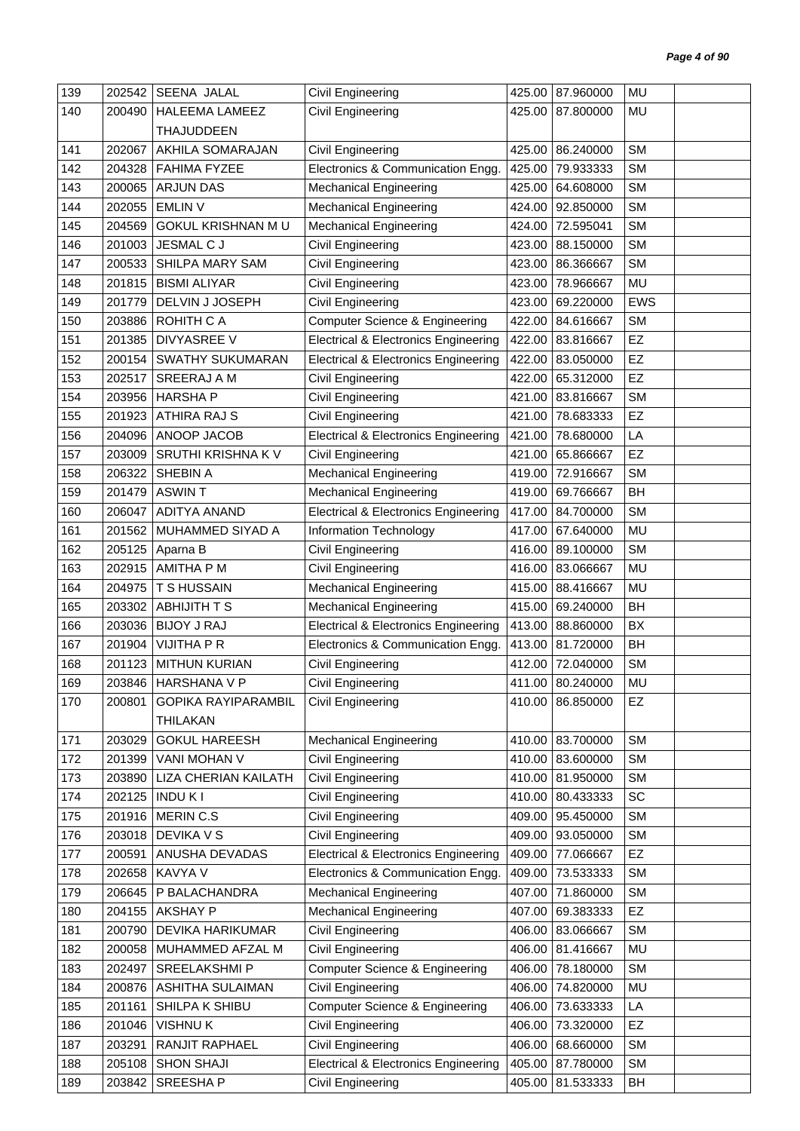| 139 | 202542 | SEENA JALAL                | Civil Engineering                               |        | 425.00 87.960000 | MU         |  |
|-----|--------|----------------------------|-------------------------------------------------|--------|------------------|------------|--|
| 140 | 200490 | <b>HALEEMA LAMEEZ</b>      | Civil Engineering                               |        | 425.00 87.800000 | MU         |  |
|     |        | <b>THAJUDDEEN</b>          |                                                 |        |                  |            |  |
| 141 | 202067 | AKHILA SOMARAJAN           | Civil Engineering                               | 425.00 | 86.240000        | <b>SM</b>  |  |
| 142 | 204328 | <b>FAHIMA FYZEE</b>        | Electronics & Communication Engg.               | 425.00 | 79.933333        | <b>SM</b>  |  |
| 143 | 200065 | <b>ARJUN DAS</b>           | <b>Mechanical Engineering</b>                   | 425.00 | 64.608000        | <b>SM</b>  |  |
| 144 | 202055 | <b>EMLIN V</b>             | <b>Mechanical Engineering</b>                   | 424.00 | 92.850000        | <b>SM</b>  |  |
| 145 | 204569 | <b>GOKUL KRISHNAN MU</b>   | <b>Mechanical Engineering</b>                   |        | 424.00 72.595041 | <b>SM</b>  |  |
| 146 | 201003 | JESMAL C J                 | Civil Engineering                               | 423.00 | 88.150000        | <b>SM</b>  |  |
| 147 | 200533 | SHILPA MARY SAM            | Civil Engineering                               | 423.00 | 86.366667        | <b>SM</b>  |  |
| 148 | 201815 | <b>BISMI ALIYAR</b>        | Civil Engineering                               | 423.00 | 78.966667        | MU         |  |
| 149 | 201779 | DELVIN J JOSEPH            | Civil Engineering                               | 423.00 | 69.220000        | <b>EWS</b> |  |
| 150 | 203886 | ROHITH C A                 | Computer Science & Engineering                  | 422.00 | 84.616667        | <b>SM</b>  |  |
| 151 | 201385 | <b>DIVYASREE V</b>         | <b>Electrical &amp; Electronics Engineering</b> | 422.00 | 83.816667        | <b>EZ</b>  |  |
| 152 | 200154 | <b>SWATHY SUKUMARAN</b>    | <b>Electrical &amp; Electronics Engineering</b> | 422.00 | 83.050000        | EZ         |  |
| 153 | 202517 | SREERAJ A M                | Civil Engineering                               | 422.00 | 65.312000        | EZ         |  |
| 154 | 203956 | <b>HARSHAP</b>             | Civil Engineering                               | 421.00 | 83.816667        | <b>SM</b>  |  |
| 155 | 201923 | <b>ATHIRA RAJ S</b>        | Civil Engineering                               | 421.00 | 78.683333        | <b>EZ</b>  |  |
| 156 | 204096 | ANOOP JACOB                | <b>Electrical &amp; Electronics Engineering</b> | 421.00 | 78.680000        | LA         |  |
| 157 | 203009 | <b>SRUTHI KRISHNA KV</b>   | Civil Engineering                               | 421.00 | 65.866667        | EZ         |  |
| 158 | 206322 | SHEBIN A                   | <b>Mechanical Engineering</b>                   | 419.00 | 72.916667        | <b>SM</b>  |  |
| 159 | 201479 | <b>ASWINT</b>              | <b>Mechanical Engineering</b>                   | 419.00 | 69.766667        | BH         |  |
| 160 | 206047 | <b>ADITYA ANAND</b>        | <b>Electrical &amp; Electronics Engineering</b> | 417.00 | 84.700000        | <b>SM</b>  |  |
| 161 | 201562 | MUHAMMED SIYAD A           | Information Technology                          | 417.00 | 67.640000        | MU         |  |
| 162 | 205125 | Aparna B                   | Civil Engineering                               | 416.00 | 89.100000        | <b>SM</b>  |  |
| 163 | 202915 | AMITHA P M                 | Civil Engineering                               | 416.00 | 83.066667        | MU         |  |
| 164 | 204975 | <b>T S HUSSAIN</b>         | <b>Mechanical Engineering</b>                   | 415.00 | 88.416667        | <b>MU</b>  |  |
| 165 | 203302 | <b>ABHIJITH T S</b>        | <b>Mechanical Engineering</b>                   | 415.00 | 69.240000        | <b>BH</b>  |  |
| 166 | 203036 | <b>BIJOY J RAJ</b>         | <b>Electrical &amp; Electronics Engineering</b> | 413.00 | 88.860000        | BX         |  |
| 167 | 201904 | <b>VIJITHA P R</b>         | Electronics & Communication Engg.               |        | 413.00 81.720000 | BH         |  |
| 168 | 201123 | <b>MITHUN KURIAN</b>       | <b>Civil Engineering</b>                        |        | 412.00 72.040000 | <b>SM</b>  |  |
| 169 |        | 203846 HARSHANA V P        | Civil Engineering                               |        | 411.00 80.240000 | MU         |  |
| 170 | 200801 | <b>GOPIKA RAYIPARAMBIL</b> | Civil Engineering                               |        | 410.00 86.850000 | EZ         |  |
|     |        | <b>THILAKAN</b>            |                                                 |        |                  |            |  |
| 171 | 203029 | <b>GOKUL HAREESH</b>       | <b>Mechanical Engineering</b>                   |        | 410.00 83.700000 | <b>SM</b>  |  |
| 172 | 201399 | VANI MOHAN V               | Civil Engineering                               |        | 410.00 83.600000 | <b>SM</b>  |  |
| 173 | 203890 | LIZA CHERIAN KAILATH       | Civil Engineering                               |        | 410.00 81.950000 | <b>SM</b>  |  |
| 174 | 202125 | <b>INDUKI</b>              | Civil Engineering                               | 410.00 | 80.433333        | SC         |  |
| 175 | 201916 | MERIN C.S                  | Civil Engineering                               | 409.00 | 95.450000        | <b>SM</b>  |  |
| 176 | 203018 | <b>DEVIKA V S</b>          | <b>Civil Engineering</b>                        | 409.00 | 93.050000        | <b>SM</b>  |  |
| 177 | 200591 | ANUSHA DEVADAS             | <b>Electrical &amp; Electronics Engineering</b> | 409.00 | 77.066667        | EZ         |  |
| 178 | 202658 | KAVYA V                    | Electronics & Communication Engg.               | 409.00 | 73.533333        | <b>SM</b>  |  |
| 179 | 206645 | P BALACHANDRA              | <b>Mechanical Engineering</b>                   | 407.00 | 71.860000        | <b>SM</b>  |  |
| 180 | 204155 | <b>AKSHAY P</b>            | <b>Mechanical Engineering</b>                   | 407.00 | 69.383333        | EZ         |  |
| 181 | 200790 | DEVIKA HARIKUMAR           | Civil Engineering                               | 406.00 | 83.066667        | <b>SM</b>  |  |
| 182 | 200058 | MUHAMMED AFZAL M           | Civil Engineering                               | 406.00 | 81.416667        | MU         |  |
| 183 | 202497 | SREELAKSHMI P              | <b>Computer Science &amp; Engineering</b>       | 406.00 | 78.180000        | <b>SM</b>  |  |
| 184 | 200876 | <b>ASHITHA SULAIMAN</b>    | Civil Engineering                               | 406.00 | 74.820000        | MU         |  |
| 185 | 201161 | SHILPA K SHIBU             | Computer Science & Engineering                  | 406.00 | 73.633333        | LA         |  |
| 186 | 201046 | <b>VISHNUK</b>             | Civil Engineering                               | 406.00 | 73.320000        | EZ         |  |
| 187 | 203291 | RANJIT RAPHAEL             | Civil Engineering                               | 406.00 | 68.660000        | <b>SM</b>  |  |
| 188 | 205108 | <b>SHON SHAJI</b>          | <b>Electrical &amp; Electronics Engineering</b> |        | 405.00 87.780000 | <b>SM</b>  |  |
| 189 | 203842 | SREESHAP                   | Civil Engineering                               | 405.00 | 81.533333        | BH         |  |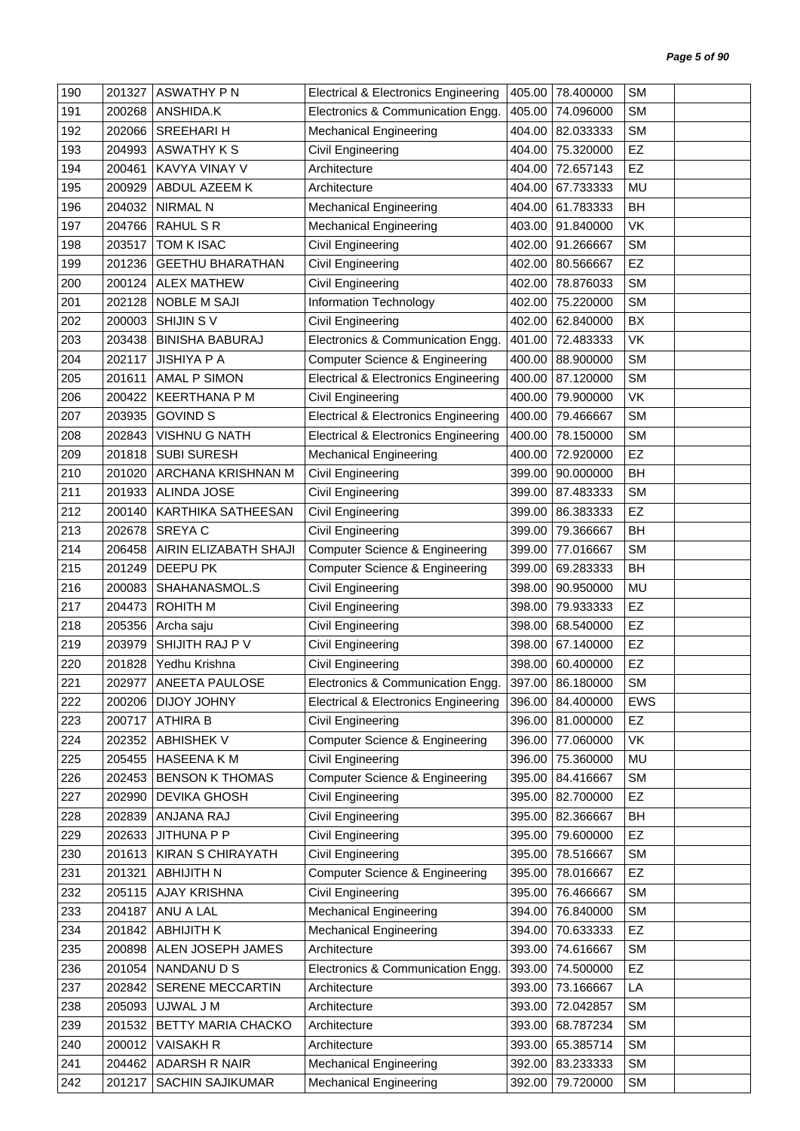| 190 | 201327 | <b>ASWATHY PN</b>        | <b>Electrical &amp; Electronics Engineering</b> | 405.00 | 78.400000        | <b>SM</b>  |  |
|-----|--------|--------------------------|-------------------------------------------------|--------|------------------|------------|--|
| 191 | 200268 | ANSHIDA.K                | Electronics & Communication Engg.               | 405.00 | 74.096000        | <b>SM</b>  |  |
| 192 | 202066 | SREEHARI H               | <b>Mechanical Engineering</b>                   | 404.00 | 82.033333        | <b>SM</b>  |  |
| 193 | 204993 | ASWATHY K S              | Civil Engineering                               | 404.00 | 75.320000        | EZ         |  |
| 194 | 200461 | KAVYA VINAY V            | Architecture                                    | 404.00 | 72.657143        | EZ         |  |
| 195 | 200929 | ABDUL AZEEM K            | Architecture                                    | 404.00 | 67.733333        | MU         |  |
| 196 | 204032 | <b>NIRMAL N</b>          | <b>Mechanical Engineering</b>                   | 404.00 | 61.783333        | <b>BH</b>  |  |
| 197 | 204766 | RAHUL S R                | <b>Mechanical Engineering</b>                   | 403.00 | 91.840000        | VK         |  |
| 198 | 203517 | TOM K ISAC               | Civil Engineering                               | 402.00 | 91.266667        | <b>SM</b>  |  |
| 199 | 201236 | <b>GEETHU BHARATHAN</b>  | Civil Engineering                               | 402.00 | 80.566667        | <b>EZ</b>  |  |
| 200 | 200124 | <b>ALEX MATHEW</b>       | Civil Engineering                               | 402.00 | 78.876033        | <b>SM</b>  |  |
| 201 | 202128 | <b>NOBLE M SAJI</b>      | Information Technology                          | 402.00 | 75.220000        | <b>SM</b>  |  |
| 202 | 200003 | SHIJIN SV                | Civil Engineering                               | 402.00 | 62.840000        | BX         |  |
| 203 | 203438 | <b>BINISHA BABURAJ</b>   | Electronics & Communication Engg.               | 401.00 | 72.483333        | VK         |  |
| 204 | 202117 | <b>JISHIYA P A</b>       | Computer Science & Engineering                  | 400.00 | 88.900000        | <b>SM</b>  |  |
| 205 | 201611 | AMAL P SIMON             | <b>Electrical &amp; Electronics Engineering</b> | 400.00 | 87.120000        | <b>SM</b>  |  |
| 206 | 200422 | <b>KEERTHANA P M</b>     | Civil Engineering                               | 400.00 | 79.900000        | <b>VK</b>  |  |
| 207 | 203935 | <b>GOVIND S</b>          | <b>Electrical &amp; Electronics Engineering</b> | 400.00 | 79.466667        | <b>SM</b>  |  |
| 208 | 202843 | <b>VISHNU G NATH</b>     | <b>Electrical &amp; Electronics Engineering</b> | 400.00 | 78.150000        | <b>SM</b>  |  |
| 209 | 201818 | <b>SUBI SURESH</b>       | <b>Mechanical Engineering</b>                   | 400.00 | 72.920000        | EZ         |  |
| 210 | 201020 | ARCHANA KRISHNAN M       | <b>Civil Engineering</b>                        | 399.00 | 90.000000        | BH         |  |
| 211 | 201933 | ALINDA JOSE              | Civil Engineering                               | 399.00 | 87.483333        | <b>SM</b>  |  |
| 212 | 200140 | KARTHIKA SATHEESAN       | Civil Engineering                               | 399.00 | 86.383333        | <b>EZ</b>  |  |
| 213 | 202678 | SREYA C                  | Civil Engineering                               | 399.00 | 79.366667        | <b>BH</b>  |  |
| 214 | 206458 | AIRIN ELIZABATH SHAJI    | <b>Computer Science &amp; Engineering</b>       | 399.00 | 77.016667        | <b>SM</b>  |  |
| 215 | 201249 | DEEPU PK                 | Computer Science & Engineering                  | 399.00 | 69.283333        | <b>BH</b>  |  |
| 216 | 200083 | SHAHANASMOL.S            | Civil Engineering                               | 398.00 | 90.950000        | MU         |  |
| 217 | 204473 | <b>ROHITH M</b>          | Civil Engineering                               | 398.00 | 79.933333        | EZ         |  |
| 218 | 205356 | Archa saju               | Civil Engineering                               | 398.00 | 68.540000        | EZ         |  |
| 219 | 203979 | SHIJITH RAJ P V          | Civil Engineering                               | 398.00 | 67.140000        | EZ         |  |
| 220 | 201828 | Yedhu Krishna            | Civil Engineering                               | 398.00 | 60.400000        | EZ         |  |
| 221 | 202977 | ANEETA PAULOSE           | Electronics & Communication Engg.               |        | 397.00 86.180000 | SM         |  |
| 222 | 200206 | DIJOY JOHNY              | <b>Electrical &amp; Electronics Engineering</b> |        | 396.00 84.400000 | <b>EWS</b> |  |
| 223 | 200717 | <b>ATHIRA B</b>          | Civil Engineering                               | 396.00 | 81.000000        | EZ         |  |
| 224 | 202352 | <b>ABHISHEK V</b>        | Computer Science & Engineering                  | 396.00 | 77.060000        | VK         |  |
| 225 | 205455 | <b>HASEENA KM</b>        | Civil Engineering                               | 396.00 | 75.360000        | MU         |  |
| 226 | 202453 | <b>BENSON K THOMAS</b>   | Computer Science & Engineering                  | 395.00 | 84.416667        | <b>SM</b>  |  |
| 227 | 202990 | <b>DEVIKA GHOSH</b>      | Civil Engineering                               | 395.00 | 82.700000        | EZ         |  |
| 228 | 202839 | ANJANA RAJ               | Civil Engineering                               | 395.00 | 82.366667        | BH         |  |
| 229 | 202633 | <b>JITHUNA P P</b>       | Civil Engineering                               | 395.00 | 79.600000        | EZ         |  |
| 230 | 201613 | <b>KIRAN S CHIRAYATH</b> | Civil Engineering                               | 395.00 | 78.516667        | <b>SM</b>  |  |
| 231 | 201321 | <b>ABHIJITH N</b>        | Computer Science & Engineering                  | 395.00 | 78.016667        | EZ         |  |
| 232 | 205115 | <b>AJAY KRISHNA</b>      | Civil Engineering                               | 395.00 | 76.466667        | <b>SM</b>  |  |
| 233 | 204187 | ANU A LAL                | <b>Mechanical Engineering</b>                   | 394.00 | 76.840000        | <b>SM</b>  |  |
| 234 | 201842 | <b>ABHIJITH K</b>        | <b>Mechanical Engineering</b>                   | 394.00 | 70.633333        | EZ         |  |
| 235 | 200898 | ALEN JOSEPH JAMES        | Architecture                                    | 393.00 | 74.616667        | <b>SM</b>  |  |
| 236 | 201054 | NANDANU D S              | Electronics & Communication Engg.               | 393.00 | 74.500000        | <b>EZ</b>  |  |
| 237 | 202842 | SERENE MECCARTIN         | Architecture                                    | 393.00 | 73.166667        | LA         |  |
| 238 | 205093 | UJWAL J M                | Architecture                                    | 393.00 | 72.042857        | <b>SM</b>  |  |
| 239 | 201532 | BETTY MARIA CHACKO       | Architecture                                    | 393.00 | 68.787234        | <b>SM</b>  |  |
| 240 | 200012 | <b>VAISAKH R</b>         | Architecture                                    | 393.00 | 65.385714        | <b>SM</b>  |  |
| 241 | 204462 | ADARSH R NAIR            | <b>Mechanical Engineering</b>                   | 392.00 | 83.233333        | <b>SM</b>  |  |
| 242 | 201217 | SACHIN SAJIKUMAR         | <b>Mechanical Engineering</b>                   | 392.00 | 79.720000        | <b>SM</b>  |  |
|     |        |                          |                                                 |        |                  |            |  |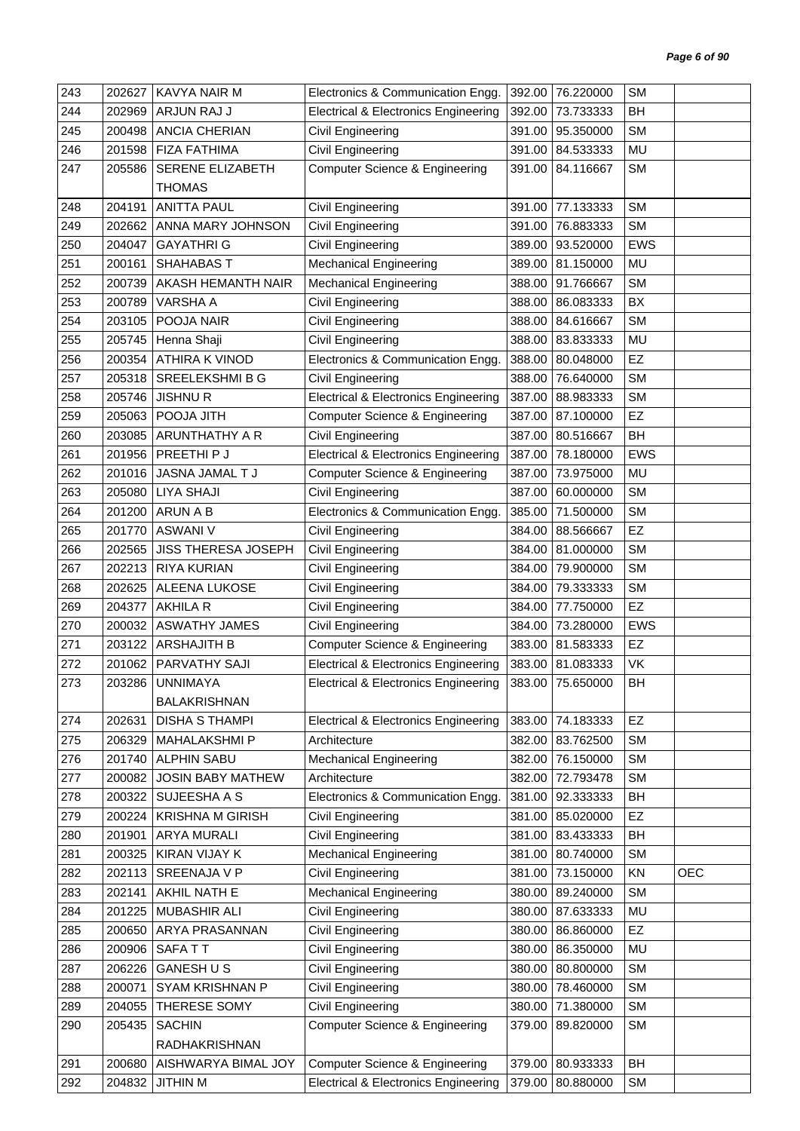| 243 | 202627           | <b>KAVYA NAIR M</b>      | Electronics & Communication Engg.               | 392.00           | 76.220000        | <b>SM</b>  |            |
|-----|------------------|--------------------------|-------------------------------------------------|------------------|------------------|------------|------------|
| 244 | 202969           | ARJUN RAJ J              | <b>Electrical &amp; Electronics Engineering</b> | 392.00           | 73.733333        | BH         |            |
| 245 | 200498           | <b>ANCIA CHERIAN</b>     | Civil Engineering                               | 391.00           | 95.350000        | <b>SM</b>  |            |
| 246 | 201598           | <b>FIZA FATHIMA</b>      | Civil Engineering                               | 391.00           | 84.533333        | MU         |            |
| 247 | 205586           | SERENE ELIZABETH         | <b>Computer Science &amp; Engineering</b>       | 391.00           | 84.116667        | <b>SM</b>  |            |
|     |                  | <b>THOMAS</b>            |                                                 |                  |                  |            |            |
| 248 | 204191           | <b>ANITTA PAUL</b>       | Civil Engineering                               | 391.00           | 77.133333        | <b>SM</b>  |            |
| 249 | 202662           | ANNA MARY JOHNSON        | Civil Engineering                               | 391.00           | 76.883333        | <b>SM</b>  |            |
| 250 | 204047           | <b>GAYATHRI G</b>        | Civil Engineering                               | 389.00           | 93.520000        | <b>EWS</b> |            |
| 251 | 200161           | SHAHABAS T               | <b>Mechanical Engineering</b>                   | 389.00           | 81.150000        | MU         |            |
| 252 | 200739           | AKASH HEMANTH NAIR       | <b>Mechanical Engineering</b>                   | 388.00           | 91.766667        | <b>SM</b>  |            |
| 253 | 200789           | VARSHA A                 | Civil Engineering                               | 388.00           | 86.083333        | BX         |            |
| 254 | 203105           | POOJA NAIR               | Civil Engineering                               | 388.00           | 84.616667        | <b>SM</b>  |            |
| 255 | 205745           | Henna Shaji              | Civil Engineering                               | 388.00           | 83.833333        | MU         |            |
| 256 | 200354           | ATHIRA K VINOD           | Electronics & Communication Engg.               | 388.00           | 80.048000        | EZ         |            |
| 257 | 205318           | SREELEKSHMI B G          | Civil Engineering                               | 388.00           | 76.640000        | <b>SM</b>  |            |
| 258 | 205746           | <b>JISHNUR</b>           | <b>Electrical &amp; Electronics Engineering</b> | 387.00           | 88.983333        | <b>SM</b>  |            |
| 259 | 205063           | POOJA JITH               | <b>Computer Science &amp; Engineering</b>       | 387.00           | 87.100000        | EZ         |            |
| 260 | 203085           | <b>ARUNTHATHY A R</b>    | Civil Engineering                               | 387.00           | 80.516667        | <b>BH</b>  |            |
| 261 | 201956           | PREETHI P J              | <b>Electrical &amp; Electronics Engineering</b> | 387.00           | 78.180000        | <b>EWS</b> |            |
| 262 | 201016           | JASNA JAMAL T J          | <b>Computer Science &amp; Engineering</b>       | 387.00           | 73.975000        | MU         |            |
| 263 | 205080           | <b>LIYA SHAJI</b>        | Civil Engineering                               | 387.00           | 60.000000        | <b>SM</b>  |            |
| 264 | 201200           | ARUN A B                 | Electronics & Communication Engg.               | 385.00           | 71.500000        | <b>SM</b>  |            |
| 265 | 201770           | <b>ASWANI V</b>          | Civil Engineering                               | 384.00           | 88.566667        | <b>EZ</b>  |            |
| 266 | 202565           | JISS THERESA JOSEPH      | Civil Engineering                               | 384.00           | 81.000000        | <b>SM</b>  |            |
| 267 | 202213           | <b>RIYA KURIAN</b>       | Civil Engineering                               | 384.00           | 79.900000        | <b>SM</b>  |            |
| 268 | 202625           | ALEENA LUKOSE            | Civil Engineering                               | 384.00           | 79.333333        | <b>SM</b>  |            |
| 269 | 204377           | AKHILA R                 | Civil Engineering                               | 384.00           | 77.750000        | EZ         |            |
| 270 | 200032           | <b>ASWATHY JAMES</b>     | Civil Engineering                               | 384.00           | 73.280000        | EWS        |            |
| 271 | 203122           | <b>ARSHAJITH B</b>       | <b>Computer Science &amp; Engineering</b>       | 383.00           | 81.583333        | <b>EZ</b>  |            |
| 272 | 201062           | PARVATHY SAJI            | <b>Electrical &amp; Electronics Engineering</b> | 383.00           | 81.083333        | VK         |            |
| 273 | 203286           | <b>UNNIMAYA</b>          | <b>Electrical &amp; Electronics Engineering</b> |                  | 383.00 75.650000 | BH         |            |
|     |                  | BALAKRISHNAN             |                                                 |                  |                  |            |            |
| 274 | 202631           | <b>DISHA S THAMPI</b>    | <b>Electrical &amp; Electronics Engineering</b> | 383.00           | 74.183333        | <b>EZ</b>  |            |
| 275 | 206329           | MAHALAKSHMI P            | Architecture                                    | 382.00           | 83.762500        | <b>SM</b>  |            |
| 276 | 201740           | <b>ALPHIN SABU</b>       | <b>Mechanical Engineering</b>                   | 382.00           | 76.150000        | <b>SM</b>  |            |
| 277 | 200082           | <b>JOSIN BABY MATHEW</b> | Architecture                                    | 382.00           | 72.793478        | <b>SM</b>  |            |
| 278 | 200322           | SUJEESHA A S             | Electronics & Communication Engg.               | 381.00           | 92.333333        | <b>BH</b>  |            |
| 279 | 200224           | <b>KRISHNA M GIRISH</b>  | Civil Engineering                               | 381.00           | 85.020000        | EZ         |            |
| 280 | 201901           | ARYA MURALI              | Civil Engineering                               | 381.00           | 83.433333        | BH         |            |
| 281 | 200325           | KIRAN VIJAY K            | <b>Mechanical Engineering</b>                   | 381.00           | 80.740000        | <b>SM</b>  |            |
| 282 | 202113           | SREENAJA V P             | Civil Engineering                               | 381.00           | 73.150000        | KN         | <b>OEC</b> |
| 283 | 202141           | AKHIL NATH E             | <b>Mechanical Engineering</b>                   | 380.00           | 89.240000        | <b>SM</b>  |            |
| 284 | 201225           | MUBASHIR ALI             | Civil Engineering                               | 380.00           | 87.633333        | MU         |            |
| 285 | 200650           | ARYA PRASANNAN           | Civil Engineering                               | 380.00           | 86.860000        | <b>EZ</b>  |            |
| 286 | 200906           | SAFATT                   | Civil Engineering                               | 380.00           | 86.350000        | MU         |            |
| 287 | 206226           | <b>GANESHUS</b>          | Civil Engineering                               | 380.00           | 80.800000        | <b>SM</b>  |            |
| 288 |                  | SYAM KRISHNAN P          |                                                 |                  | 78.460000        | <b>SM</b>  |            |
| 289 | 200071<br>204055 | THERESE SOMY             | Civil Engineering<br><b>Civil Engineering</b>   | 380.00<br>380.00 | 71.380000        | <b>SM</b>  |            |
| 290 |                  | <b>SACHIN</b>            | <b>Computer Science &amp; Engineering</b>       |                  | 89.820000        | <b>SM</b>  |            |
|     | 205435           | RADHAKRISHNAN            |                                                 | 379.00           |                  |            |            |
| 291 | 200680           | AISHWARYA BIMAL JOY      | <b>Computer Science &amp; Engineering</b>       | 379.00           | 80.933333        | <b>BH</b>  |            |
|     | 204832           |                          |                                                 | 379.00           | 80.880000        | <b>SM</b>  |            |
| 292 |                  | <b>JITHIN M</b>          | <b>Electrical &amp; Electronics Engineering</b> |                  |                  |            |            |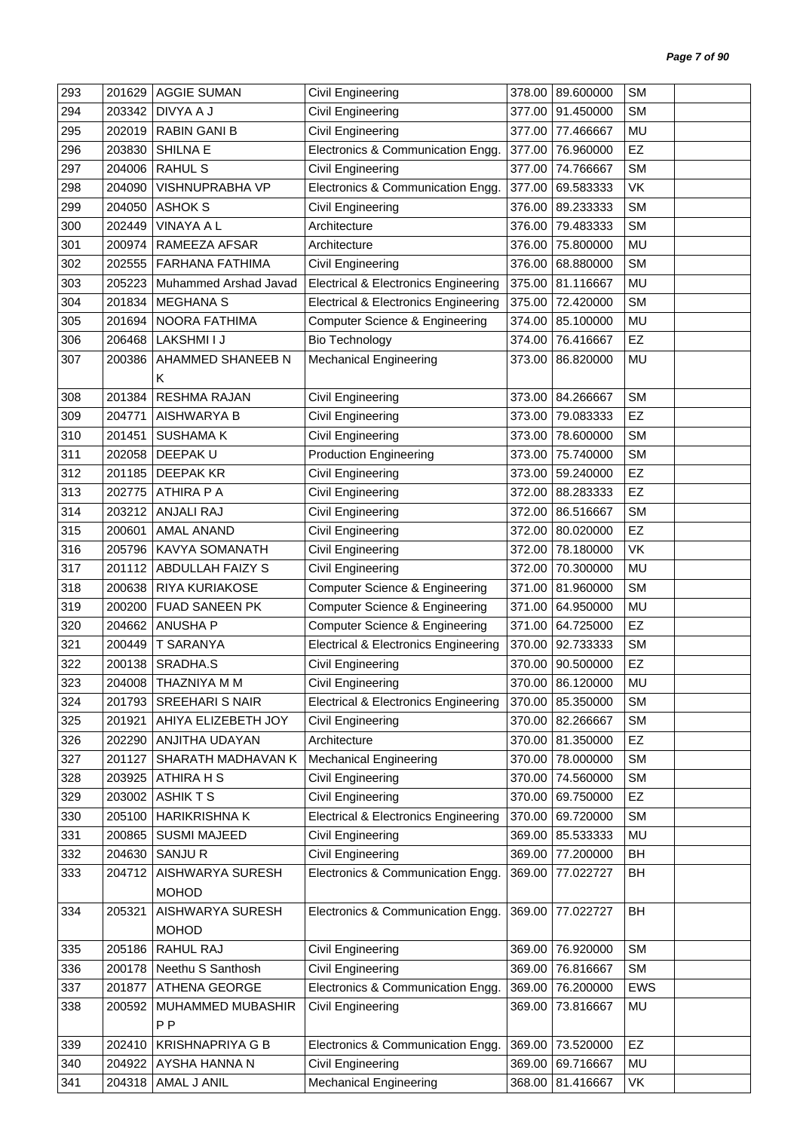| 293 | 201629 | <b>AGGIE SUMAN</b>      | Civil Engineering                               | 378.00 | 89.600000        | <b>SM</b> |  |
|-----|--------|-------------------------|-------------------------------------------------|--------|------------------|-----------|--|
| 294 | 203342 | DIVYA A J               | Civil Engineering                               | 377.00 | 91.450000        | <b>SM</b> |  |
| 295 | 202019 | <b>RABIN GANI B</b>     | Civil Engineering                               | 377.00 | 77.466667        | MU        |  |
| 296 | 203830 | <b>SHILNA E</b>         | Electronics & Communication Engg.               | 377.00 | 76.960000        | <b>EZ</b> |  |
| 297 | 204006 | <b>RAHUL S</b>          | Civil Engineering                               | 377.00 | 74.766667        | <b>SM</b> |  |
| 298 | 204090 | VISHNUPRABHA VP         | Electronics & Communication Engg.               | 377.00 | 69.583333        | VK        |  |
| 299 | 204050 | ASHOK S                 | Civil Engineering                               | 376.00 | 89.233333        | <b>SM</b> |  |
| 300 | 202449 | <b>VINAYA A L</b>       | Architecture                                    | 376.00 | 79.483333        | <b>SM</b> |  |
| 301 | 200974 | RAMEEZA AFSAR           | Architecture                                    | 376.00 | 75.800000        | MU        |  |
| 302 | 202555 | <b>FARHANA FATHIMA</b>  | Civil Engineering                               | 376.00 | 68.880000        | <b>SM</b> |  |
| 303 | 205223 | Muhammed Arshad Javad   | Electrical & Electronics Engineering            | 375.00 | 81.116667        | MU        |  |
| 304 | 201834 | <b>MEGHANA S</b>        | <b>Electrical &amp; Electronics Engineering</b> | 375.00 | 72.420000        | <b>SM</b> |  |
| 305 | 201694 | NOORA FATHIMA           | <b>Computer Science &amp; Engineering</b>       | 374.00 | 85.100000        | <b>MU</b> |  |
| 306 | 206468 | LAKSHMI I J             | <b>Bio Technology</b>                           | 374.00 | 76.416667        | EZ        |  |
| 307 | 200386 | AHAMMED SHANEEB N       | <b>Mechanical Engineering</b>                   | 373.00 | 86.820000        | MU        |  |
|     |        | K                       |                                                 |        |                  |           |  |
| 308 | 201384 | <b>RESHMA RAJAN</b>     | Civil Engineering                               | 373.00 | 84.266667        | <b>SM</b> |  |
| 309 | 204771 | AISHWARYA B             | Civil Engineering                               | 373.00 | 79.083333        | <b>EZ</b> |  |
| 310 | 201451 | <b>SUSHAMA K</b>        | Civil Engineering                               | 373.00 | 78.600000        | <b>SM</b> |  |
| 311 | 202058 | DEEPAK U                | <b>Production Engineering</b>                   | 373.00 | 75.740000        | <b>SM</b> |  |
| 312 | 201185 | <b>DEEPAK KR</b>        | Civil Engineering                               | 373.00 | 59.240000        | EZ        |  |
| 313 | 202775 | ATHIRA P A              | Civil Engineering                               | 372.00 | 88.283333        | EZ        |  |
| 314 | 203212 | ANJALI RAJ              | Civil Engineering                               | 372.00 | 86.516667        | <b>SM</b> |  |
| 315 | 200601 | <b>AMAL ANAND</b>       | Civil Engineering                               | 372.00 | 80.020000        | EZ        |  |
| 316 | 205796 | KAVYA SOMANATH          | Civil Engineering                               | 372.00 | 78.180000        | VK        |  |
| 317 | 201112 | ABDULLAH FAIZY S        | Civil Engineering                               | 372.00 | 70.300000        | MU        |  |
| 318 | 200638 | RIYA KURIAKOSE          | <b>Computer Science &amp; Engineering</b>       | 371.00 | 81.960000        | <b>SM</b> |  |
| 319 | 200200 | <b>FUAD SANEEN PK</b>   | Computer Science & Engineering                  | 371.00 | 64.950000        | MU        |  |
| 320 | 204662 | <b>ANUSHA P</b>         | <b>Computer Science &amp; Engineering</b>       | 371.00 | 64.725000        | <b>EZ</b> |  |
| 321 | 200449 | T SARANYA               | <b>Electrical &amp; Electronics Engineering</b> | 370.00 | 92.733333        | <b>SM</b> |  |
| 322 | 200138 | SRADHA.S                | Civil Engineering                               | 370.00 | 90.500000        | <b>EZ</b> |  |
| 323 |        | 204008 THAZNIYA M M     | Civil Engineering                               |        | 370.00 86.120000 | MU        |  |
| 324 |        | 201793 SREEHARI S NAIR  | Electrical & Electronics Engineering            |        | 370.00 85.350000 | <b>SM</b> |  |
| 325 | 201921 | AHIYA ELIZEBETH JOY     | Civil Engineering                               | 370.00 | 82.266667        | SM        |  |
| 326 | 202290 | ANJITHA UDAYAN          | Architecture                                    | 370.00 | 81.350000        | EZ        |  |
|     |        |                         |                                                 |        |                  | <b>SM</b> |  |
| 327 | 201127 | SHARATH MADHAVAN K      | <b>Mechanical Engineering</b>                   | 370.00 | 78.000000        |           |  |
| 328 | 203925 | <b>ATHIRA H S</b>       | Civil Engineering                               | 370.00 | 74.560000        | <b>SM</b> |  |
| 329 | 203002 | <b>ASHIKTS</b>          | Civil Engineering                               | 370.00 | 69.750000        | EZ        |  |
| 330 | 205100 | <b>HARIKRISHNA K</b>    | <b>Electrical &amp; Electronics Engineering</b> | 370.00 | 69.720000        | <b>SM</b> |  |
| 331 | 200865 | <b>SUSMI MAJEED</b>     | Civil Engineering                               | 369.00 | 85.533333        | MU        |  |
| 332 | 204630 | SANJUR                  | Civil Engineering                               | 369.00 | 77.200000        | <b>BH</b> |  |
| 333 | 204712 | AISHWARYA SURESH        | Electronics & Communication Engg.               | 369.00 | 77.022727        | BH        |  |
|     |        | <b>MOHOD</b>            |                                                 |        |                  |           |  |
| 334 | 205321 | AISHWARYA SURESH        | Electronics & Communication Engg.               | 369.00 | 77.022727        | <b>BH</b> |  |
|     |        | <b>MOHOD</b>            |                                                 |        |                  |           |  |
| 335 | 205186 | RAHUL RAJ               | Civil Engineering                               | 369.00 | 76.920000        | <b>SM</b> |  |
| 336 | 200178 | Neethu S Santhosh       | Civil Engineering                               | 369.00 | 76.816667        | <b>SM</b> |  |
| 337 | 201877 | ATHENA GEORGE           | Electronics & Communication Engg.               | 369.00 | 76.200000        | EWS       |  |
| 338 | 200592 | MUHAMMED MUBASHIR       | Civil Engineering                               | 369.00 | 73.816667        | MU        |  |
|     |        | P <sub>P</sub>          |                                                 |        |                  |           |  |
| 339 | 202410 | <b>KRISHNAPRIYA G B</b> | Electronics & Communication Engg.               | 369.00 | 73.520000        | <b>EZ</b> |  |
| 340 | 204922 | AYSHA HANNA N           | Civil Engineering                               | 369.00 | 69.716667        | MU        |  |
| 341 | 204318 | AMAL J ANIL             | <b>Mechanical Engineering</b>                   | 368.00 | 81.416667        | VK        |  |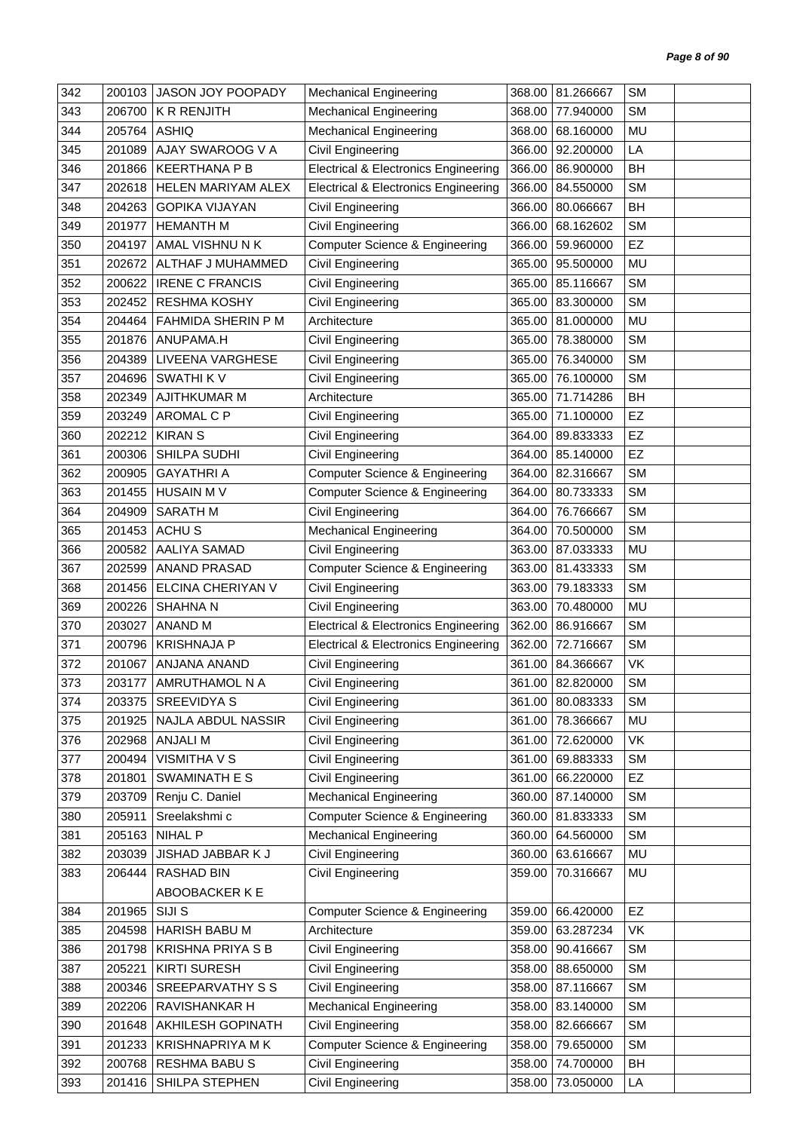| 342 | 200103 | JASON JOY POOPADY        | <b>Mechanical Engineering</b>                   | 368.00 | 81.266667        | <b>SM</b> |  |
|-----|--------|--------------------------|-------------------------------------------------|--------|------------------|-----------|--|
| 343 | 206700 | <b>K R RENJITH</b>       | <b>Mechanical Engineering</b>                   | 368.00 | 77.940000        | <b>SM</b> |  |
| 344 | 205764 | ASHIQ                    | <b>Mechanical Engineering</b>                   | 368.00 | 68.160000        | MU        |  |
| 345 | 201089 | AJAY SWAROOG V A         | Civil Engineering                               | 366.00 | 92.200000        | LA        |  |
| 346 | 201866 | <b>KEERTHANA P B</b>     | <b>Electrical &amp; Electronics Engineering</b> | 366.00 | 86.900000        | BH        |  |
| 347 | 202618 | HELEN MARIYAM ALEX       | <b>Electrical &amp; Electronics Engineering</b> | 366.00 | 84.550000        | <b>SM</b> |  |
| 348 | 204263 | <b>GOPIKA VIJAYAN</b>    | Civil Engineering                               | 366.00 | 80.066667        | BH        |  |
| 349 | 201977 | <b>HEMANTH M</b>         | Civil Engineering                               | 366.00 | 68.162602        | <b>SM</b> |  |
| 350 | 204197 | AMAL VISHNU N K          | Computer Science & Engineering                  | 366.00 | 59.960000        | EZ        |  |
| 351 | 202672 | ALTHAF J MUHAMMED        | Civil Engineering                               | 365.00 | 95.500000        | MU        |  |
| 352 | 200622 | <b>IRENE C FRANCIS</b>   | Civil Engineering                               | 365.00 | 85.116667        | <b>SM</b> |  |
| 353 | 202452 | <b>RESHMA KOSHY</b>      | Civil Engineering                               | 365.00 | 83.300000        | <b>SM</b> |  |
| 354 | 204464 | FAHMIDA SHERIN P M       | Architecture                                    | 365.00 | 81.000000        | MU        |  |
| 355 | 201876 | ANUPAMA.H                | Civil Engineering                               | 365.00 | 78.380000        | <b>SM</b> |  |
| 356 | 204389 | LIVEENA VARGHESE         | Civil Engineering                               | 365.00 | 76.340000        | <b>SM</b> |  |
| 357 | 204696 | <b>SWATHI KV</b>         | Civil Engineering                               | 365.00 | 76.100000        | <b>SM</b> |  |
| 358 | 202349 | <b>AJITHKUMAR M</b>      | Architecture                                    | 365.00 | 71.714286        | <b>BH</b> |  |
| 359 | 203249 | <b>AROMAL C P</b>        | Civil Engineering                               | 365.00 | 71.100000        | EZ        |  |
| 360 | 202212 | <b>KIRAN S</b>           | Civil Engineering                               | 364.00 | 89.833333        | EZ        |  |
| 361 | 200306 | SHILPA SUDHI             | Civil Engineering                               | 364.00 | 85.140000        | EZ        |  |
| 362 | 200905 | <b>GAYATHRI A</b>        | Computer Science & Engineering                  | 364.00 | 82.316667        | <b>SM</b> |  |
| 363 | 201455 | <b>HUSAIN M V</b>        | Computer Science & Engineering                  | 364.00 | 80.733333        | <b>SM</b> |  |
| 364 | 204909 | <b>SARATH M</b>          | Civil Engineering                               | 364.00 | 76.766667        | <b>SM</b> |  |
| 365 | 201453 | <b>ACHUS</b>             | <b>Mechanical Engineering</b>                   | 364.00 | 70.500000        | <b>SM</b> |  |
| 366 | 200582 | AALIYA SAMAD             | Civil Engineering                               | 363.00 | 87.033333        | MU        |  |
| 367 | 202599 | <b>ANAND PRASAD</b>      | Computer Science & Engineering                  | 363.00 | 81.433333        | <b>SM</b> |  |
| 368 | 201456 | ELCINA CHERIYAN V        | Civil Engineering                               | 363.00 | 79.183333        | <b>SM</b> |  |
| 369 | 200226 | <b>SHAHNA N</b>          | Civil Engineering                               | 363.00 | 70.480000        | MU        |  |
| 370 | 203027 | <b>ANAND M</b>           | <b>Electrical &amp; Electronics Engineering</b> | 362.00 | 86.916667        | <b>SM</b> |  |
| 371 | 200796 | <b>KRISHNAJA P</b>       | <b>Electrical &amp; Electronics Engineering</b> | 362.00 | 72.716667        | <b>SM</b> |  |
| 372 | 201067 | ANJANA ANAND             | Civil Engineering                               | 361.00 | 84.366667        | VK        |  |
| 373 | 203177 | AMRUTHAMOL N A           | Civil Engineering                               | 361.00 | 82.820000        | SM        |  |
| 374 | 203375 | <b>SREEVIDYA S</b>       | Civil Engineering                               |        | 361.00 80.083333 | <b>SM</b> |  |
| 375 | 201925 | NAJLA ABDUL NASSIR       | Civil Engineering                               | 361.00 | 78.366667        | MU        |  |
| 376 | 202968 | ANJALI M                 | Civil Engineering                               | 361.00 | 72.620000        | VK        |  |
| 377 | 200494 | <b>VISMITHA V S</b>      | Civil Engineering                               | 361.00 | 69.883333        | <b>SM</b> |  |
| 378 | 201801 | SWAMINATH E S            | Civil Engineering                               | 361.00 | 66.220000        | EZ        |  |
| 379 | 203709 | Renju C. Daniel          | <b>Mechanical Engineering</b>                   | 360.00 | 87.140000        | SM        |  |
| 380 | 205911 | Sreelakshmi c            | Computer Science & Engineering                  | 360.00 | 81.833333        | SM        |  |
| 381 | 205163 | <b>NIHAL P</b>           | <b>Mechanical Engineering</b>                   | 360.00 | 64.560000        | <b>SM</b> |  |
| 382 | 203039 | JISHAD JABBAR K J        | Civil Engineering                               | 360.00 | 63.616667        | MU        |  |
| 383 | 206444 | RASHAD BIN               | Civil Engineering                               | 359.00 | 70.316667        | MU        |  |
|     |        | ABOOBACKER K E           |                                                 |        |                  |           |  |
| 384 | 201965 | SIJI S                   | Computer Science & Engineering                  | 359.00 | 66.420000        | EZ        |  |
| 385 | 204598 | <b>HARISH BABU M</b>     | Architecture                                    | 359.00 | 63.287234        | VK        |  |
| 386 | 201798 | <b>KRISHNA PRIYA S B</b> | Civil Engineering                               | 358.00 | 90.416667        | <b>SM</b> |  |
| 387 | 205221 | <b>KIRTI SURESH</b>      | Civil Engineering                               | 358.00 | 88.650000        | <b>SM</b> |  |
| 388 | 200346 | SREEPARVATHY S S         | Civil Engineering                               | 358.00 | 87.116667        | <b>SM</b> |  |
| 389 | 202206 | RAVISHANKAR H            | <b>Mechanical Engineering</b>                   | 358.00 | 83.140000        | <b>SM</b> |  |
| 390 | 201648 | AKHILESH GOPINATH        | Civil Engineering                               | 358.00 | 82.666667        | <b>SM</b> |  |
| 391 | 201233 | <b>KRISHNAPRIYA MK</b>   | Computer Science & Engineering                  | 358.00 | 79.650000        | <b>SM</b> |  |
| 392 | 200768 | RESHMA BABU S            | Civil Engineering                               | 358.00 | 74.700000        | BH        |  |
| 393 | 201416 | SHILPA STEPHEN           | Civil Engineering                               | 358.00 | 73.050000        | LA        |  |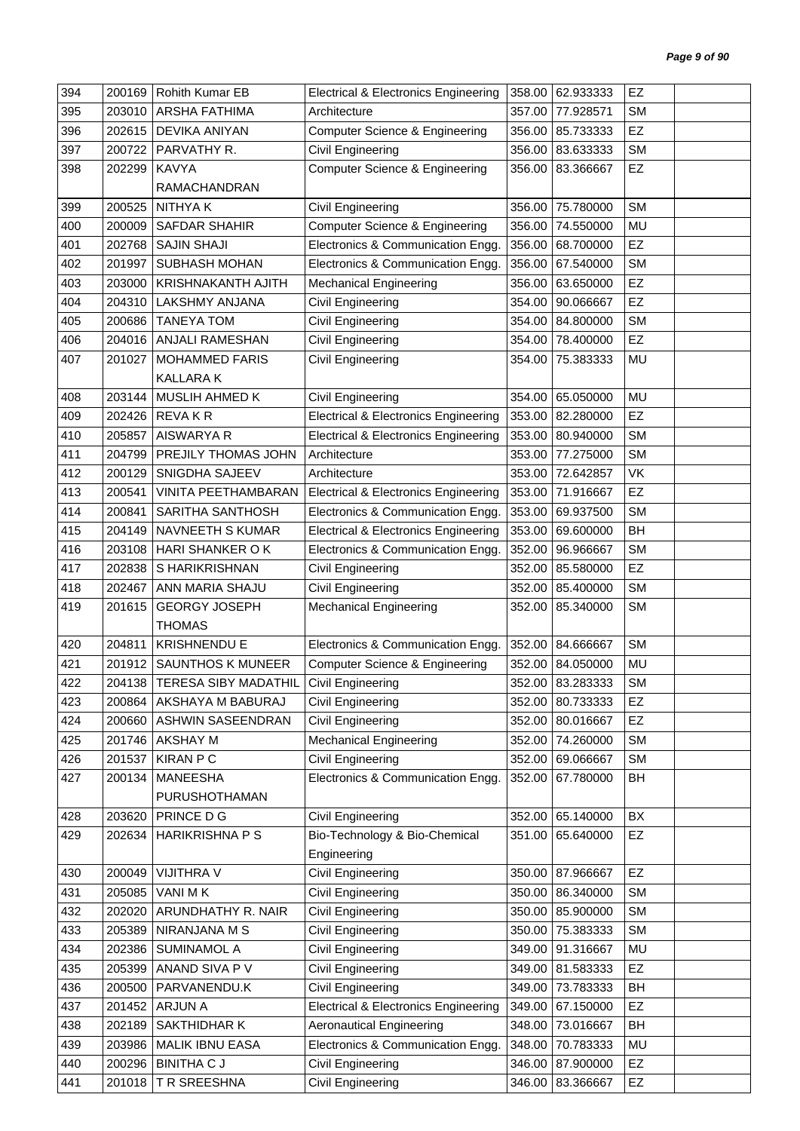| 394 | 200169 | Rohith Kumar EB               | <b>Electrical &amp; Electronics Engineering</b> | 358.00 | 62.933333        | EZ        |  |
|-----|--------|-------------------------------|-------------------------------------------------|--------|------------------|-----------|--|
| 395 | 203010 | <b>ARSHA FATHIMA</b>          | Architecture                                    | 357.00 | 77.928571        | <b>SM</b> |  |
| 396 | 202615 | DEVIKA ANIYAN                 | <b>Computer Science &amp; Engineering</b>       | 356.00 | 85.733333        | EZ        |  |
| 397 | 200722 | PARVATHY R.                   | Civil Engineering                               | 356.00 | 83.633333        | <b>SM</b> |  |
| 398 | 202299 | <b>KAVYA</b>                  | Computer Science & Engineering                  | 356.00 | 83.366667        | EZ        |  |
|     |        | <b>RAMACHANDRAN</b>           |                                                 |        |                  |           |  |
| 399 | 200525 | <b>NITHYAK</b>                | Civil Engineering                               | 356.00 | 75.780000        | <b>SM</b> |  |
| 400 | 200009 | SAFDAR SHAHIR                 | <b>Computer Science &amp; Engineering</b>       | 356.00 | 74.550000        | MU        |  |
| 401 | 202768 | <b>SAJIN SHAJI</b>            | Electronics & Communication Engg.               | 356.00 | 68.700000        | EZ        |  |
| 402 | 201997 | SUBHASH MOHAN                 | Electronics & Communication Engg.               | 356.00 | 67.540000        | <b>SM</b> |  |
| 403 | 203000 | <b>KRISHNAKANTH AJITH</b>     | <b>Mechanical Engineering</b>                   | 356.00 | 63.650000        | EZ        |  |
| 404 | 204310 | LAKSHMY ANJANA                | Civil Engineering                               | 354.00 | 90.066667        | EZ        |  |
| 405 | 200686 | <b>TANEYA TOM</b>             | Civil Engineering                               | 354.00 | 84.800000        | <b>SM</b> |  |
| 406 | 204016 | ANJALI RAMESHAN               | Civil Engineering                               | 354.00 | 78.400000        | EZ        |  |
| 407 | 201027 | <b>MOHAMMED FARIS</b>         | Civil Engineering                               | 354.00 | 75.383333        | MU        |  |
|     |        | <b>KALLARAK</b>               |                                                 |        |                  |           |  |
| 408 | 203144 | MUSLIH AHMED K                | <b>Civil Engineering</b>                        | 354.00 | 65.050000        | <b>MU</b> |  |
| 409 | 202426 | <b>REVAKR</b>                 | <b>Electrical &amp; Electronics Engineering</b> | 353.00 | 82.280000        | EZ        |  |
| 410 | 205857 | AISWARYA R                    | <b>Electrical &amp; Electronics Engineering</b> | 353.00 | 80.940000        | <b>SM</b> |  |
| 411 | 204799 | PREJILY THOMAS JOHN           | Architecture                                    | 353.00 | 77.275000        | <b>SM</b> |  |
| 412 | 200129 | SNIGDHA SAJEEV                | Architecture                                    | 353.00 | 72.642857        | VK        |  |
| 413 | 200541 | VINITA PEETHAMBARAN           | <b>Electrical &amp; Electronics Engineering</b> | 353.00 | 71.916667        | EZ        |  |
| 414 | 200841 | SARITHA SANTHOSH              | Electronics & Communication Engg.               | 353.00 | 69.937500        | <b>SM</b> |  |
| 415 | 204149 | NAVNEETH S KUMAR              | <b>Electrical &amp; Electronics Engineering</b> | 353.00 | 69.600000        | BH        |  |
| 416 | 203108 | HARI SHANKER OK               | Electronics & Communication Engg.               | 352.00 | 96.966667        | <b>SM</b> |  |
| 417 | 202838 | S HARIKRISHNAN                | Civil Engineering                               | 352.00 | 85.580000        | EZ        |  |
| 418 | 202467 | ANN MARIA SHAJU               | <b>Civil Engineering</b>                        | 352.00 | 85.400000        | <b>SM</b> |  |
| 419 | 201615 | <b>GEORGY JOSEPH</b>          | <b>Mechanical Engineering</b>                   | 352.00 | 85.340000        | <b>SM</b> |  |
|     |        | <b>THOMAS</b>                 |                                                 |        |                  |           |  |
| 420 | 204811 | <b>KRISHNENDU E</b>           | Electronics & Communication Engg.               | 352.00 | 84.666667        | <b>SM</b> |  |
| 421 | 201912 | <b>SAUNTHOS K MUNEER</b>      | Computer Science & Engineering                  | 352.00 | 84.050000        | MU        |  |
| 422 |        | 204138   TERESA SIBY MADATHIL | Civil Engineering                               |        | 352.00 83.283333 | SM        |  |
| 423 | 200864 | AKSHAYA M BABURAJ             | Civil Engineering                               |        | 352.00 80.733333 | EZ        |  |
| 424 | 200660 | ASHWIN SASEENDRAN             | Civil Engineering                               | 352.00 | 80.016667        | EZ        |  |
| 425 | 201746 | <b>AKSHAY M</b>               | <b>Mechanical Engineering</b>                   | 352.00 | 74.260000        | <b>SM</b> |  |
| 426 | 201537 | <b>KIRAN P C</b>              | Civil Engineering                               | 352.00 | 69.066667        | <b>SM</b> |  |
| 427 | 200134 | MANEESHA                      | Electronics & Communication Engg.               | 352.00 | 67.780000        | BH        |  |
|     |        | PURUSHOTHAMAN                 |                                                 |        |                  |           |  |
| 428 | 203620 | PRINCE D G                    | Civil Engineering                               | 352.00 | 65.140000        | BX        |  |
| 429 | 202634 | <b>HARIKRISHNA P S</b>        | Bio-Technology & Bio-Chemical                   | 351.00 | 65.640000        | EZ        |  |
|     |        |                               | Engineering                                     |        |                  |           |  |
| 430 | 200049 | VIJITHRA V                    | Civil Engineering                               | 350.00 | 87.966667        | EZ        |  |
| 431 | 205085 | VANI MK                       | <b>Civil Engineering</b>                        | 350.00 | 86.340000        | <b>SM</b> |  |
| 432 | 202020 | ARUNDHATHY R. NAIR            | Civil Engineering                               | 350.00 | 85.900000        | <b>SM</b> |  |
| 433 | 205389 | NIRANJANA M S                 | Civil Engineering                               | 350.00 | 75.383333        | <b>SM</b> |  |
| 434 | 202386 | <b>SUMINAMOL A</b>            | Civil Engineering                               | 349.00 | 91.316667        | MU        |  |
| 435 | 205399 | ANAND SIVA P V                | Civil Engineering                               | 349.00 | 81.583333        | EZ        |  |
| 436 | 200500 | PARVANENDU.K                  | Civil Engineering                               | 349.00 | 73.783333        | BH        |  |
| 437 | 201452 | ARJUN A                       | <b>Electrical &amp; Electronics Engineering</b> | 349.00 | 67.150000        | EZ        |  |
| 438 | 202189 | SAKTHIDHAR K                  | <b>Aeronautical Engineering</b>                 | 348.00 | 73.016667        | <b>BH</b> |  |
| 439 | 203986 | MALIK IBNU EASA               | Electronics & Communication Engg.               | 348.00 | 70.783333        | MU        |  |
| 440 | 200296 | <b>BINITHA C J</b>            | Civil Engineering                               | 346.00 | 87.900000        | EZ        |  |
| 441 | 201018 | T R SREESHNA                  | Civil Engineering                               | 346.00 | 83.366667        | EZ        |  |
|     |        |                               |                                                 |        |                  |           |  |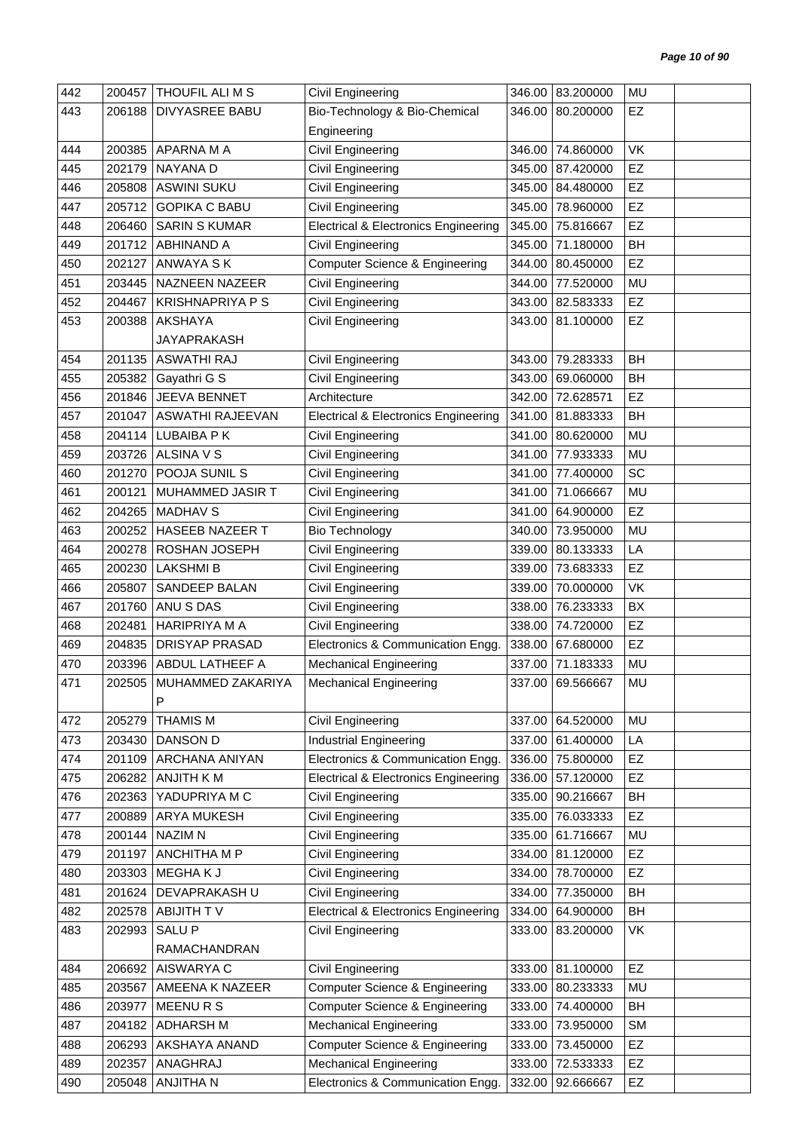| 442 | 200457 | THOUFIL ALI M S         | Civil Engineering                               |        | 346.00 83.200000 | <b>MU</b> |  |
|-----|--------|-------------------------|-------------------------------------------------|--------|------------------|-----------|--|
| 443 | 206188 | DIVYASREE BABU          | Bio-Technology & Bio-Chemical                   | 346.00 | 80.200000        | EZ        |  |
|     |        |                         | Engineering                                     |        |                  |           |  |
| 444 | 200385 | APARNA M A              | Civil Engineering                               | 346.00 | 74.860000        | <b>VK</b> |  |
| 445 | 202179 | NAYANA D                | <b>Civil Engineering</b>                        |        | 345.00 87.420000 | EZ        |  |
| 446 | 205808 | <b>ASWINI SUKU</b>      | <b>Civil Engineering</b>                        |        | 345.00 84.480000 | EZ        |  |
| 447 | 205712 | <b>GOPIKA C BABU</b>    | Civil Engineering                               | 345.00 | 78.960000        | EZ        |  |
| 448 | 206460 | <b>SARIN S KUMAR</b>    | <b>Electrical &amp; Electronics Engineering</b> |        | 345.00 75.816667 | EZ        |  |
| 449 | 201712 | <b>ABHINAND A</b>       | Civil Engineering                               | 345.00 | 71.180000        | <b>BH</b> |  |
| 450 | 202127 | ANWAYA S K              | <b>Computer Science &amp; Engineering</b>       | 344.00 | 80.450000        | EZ        |  |
| 451 | 203445 | NAZNEEN NAZEER          | Civil Engineering                               | 344.00 | 77.520000        | MU        |  |
| 452 | 204467 | <b>KRISHNAPRIYA P S</b> | Civil Engineering                               | 343.00 | 82.583333        | <b>EZ</b> |  |
| 453 | 200388 | AKSHAYA                 | Civil Engineering                               | 343.00 | 81.100000        | EZ        |  |
|     |        | JAYAPRAKASH             |                                                 |        |                  |           |  |
| 454 | 201135 | <b>ASWATHI RAJ</b>      | Civil Engineering                               | 343.00 | 79.283333        | <b>BH</b> |  |
| 455 | 205382 | Gayathri G S            | Civil Engineering                               | 343.00 | 69.060000        | BH        |  |
| 456 | 201846 | JEEVA BENNET            | Architecture                                    |        | 342.00 72.628571 | <b>EZ</b> |  |
| 457 | 201047 | ASWATHI RAJEEVAN        | <b>Electrical &amp; Electronics Engineering</b> |        | 341.00 81.883333 | BH        |  |
| 458 | 204114 | LUBAIBA P K             | Civil Engineering                               | 341.00 | 80.620000        | <b>MU</b> |  |
| 459 | 203726 | ALSINA V S              | Civil Engineering                               | 341.00 | 77.933333        | MU        |  |
| 460 | 201270 | POOJA SUNIL S           | Civil Engineering                               | 341.00 | 77.400000        | SC        |  |
| 461 | 200121 | MUHAMMED JASIR T        | Civil Engineering                               | 341.00 | 71.066667        | MU        |  |
| 462 | 204265 | <b>MADHAV S</b>         | Civil Engineering                               | 341.00 | 64.900000        | EZ        |  |
| 463 | 200252 | HASEEB NAZEER T         | <b>Bio Technology</b>                           | 340.00 | 73.950000        | MU        |  |
| 464 | 200278 | ROSHAN JOSEPH           | Civil Engineering                               | 339.00 | 80.133333        | LA        |  |
| 465 | 200230 | <b>LAKSHMIB</b>         | Civil Engineering                               | 339.00 | 73.683333        | EZ        |  |
| 466 | 205807 | SANDEEP BALAN           | <b>Civil Engineering</b>                        | 339.00 | 70.000000        | VK        |  |
| 467 | 201760 | ANU S DAS               | Civil Engineering                               | 338.00 | 76.233333        | BX        |  |
| 468 | 202481 | HARIPRIYA M A           | Civil Engineering                               | 338.00 | 74.720000        | EZ        |  |
| 469 | 204835 | <b>DRISYAP PRASAD</b>   | Electronics & Communication Engg.               | 338.00 | 67.680000        | EZ        |  |
| 470 | 203396 | ABDUL LATHEEF A         | <b>Mechanical Engineering</b>                   |        | 337.00 71.183333 | MU        |  |
| 471 | 202505 | MUHAMMED ZAKARIYA       | <b>Mechanical Engineering</b>                   |        | 337.00 69.566667 | MU        |  |
|     |        | P                       |                                                 |        |                  |           |  |
| 472 | 205279 | <b>THAMIS M</b>         | Civil Engineering                               | 337.00 | 64.520000        | MU        |  |
| 473 | 203430 | DANSON D                | <b>Industrial Engineering</b>                   | 337.00 | 61.400000        | LA        |  |
| 474 | 201109 | ARCHANA ANIYAN          | Electronics & Communication Engg.               | 336.00 | 75.800000        | EZ        |  |
| 475 | 206282 | ANJITH K M              | <b>Electrical &amp; Electronics Engineering</b> | 336.00 | 57.120000        | EZ        |  |
| 476 | 202363 | YADUPRIYA M C           | Civil Engineering                               | 335.00 | 90.216667        | BH        |  |
| 477 | 200889 | ARYA MUKESH             | Civil Engineering                               | 335.00 | 76.033333        | EZ        |  |
| 478 | 200144 | <b>NAZIM N</b>          | Civil Engineering                               | 335.00 | 61.716667        | MU        |  |
| 479 | 201197 | ANCHITHA M P            | Civil Engineering                               | 334.00 | 81.120000        | EZ        |  |
| 480 | 203303 | MEGHAK J                | Civil Engineering                               | 334.00 | 78.700000        | EZ        |  |
| 481 | 201624 | DEVAPRAKASH U           | Civil Engineering                               | 334.00 | 77.350000        | BH        |  |
| 482 | 202578 | ABIJITH TV              | <b>Electrical &amp; Electronics Engineering</b> | 334.00 | 64.900000        | BH        |  |
| 483 | 202993 | <b>SALUP</b>            | Civil Engineering                               | 333.00 | 83.200000        | VK        |  |
|     |        | RAMACHANDRAN            |                                                 |        |                  |           |  |
| 484 | 206692 | AISWARYA C              | <b>Civil Engineering</b>                        | 333.00 | 81.100000        | EZ        |  |
| 485 | 203567 | AMEENA K NAZEER         | Computer Science & Engineering                  | 333.00 | 80.233333        | <b>MU</b> |  |
| 486 | 203977 | MEENURS                 | <b>Computer Science &amp; Engineering</b>       | 333.00 | 74.400000        | BH        |  |
| 487 | 204182 | <b>ADHARSH M</b>        | <b>Mechanical Engineering</b>                   | 333.00 | 73.950000        | SM        |  |
| 488 | 206293 | AKSHAYA ANAND           | <b>Computer Science &amp; Engineering</b>       | 333.00 | 73.450000        | EZ        |  |
| 489 | 202357 | ANAGHRAJ                | <b>Mechanical Engineering</b>                   | 333.00 | 72.533333        | EZ        |  |
| 490 | 205048 | ANJITHA N               | Electronics & Communication Engg.               | 332.00 | 92.666667        | EZ        |  |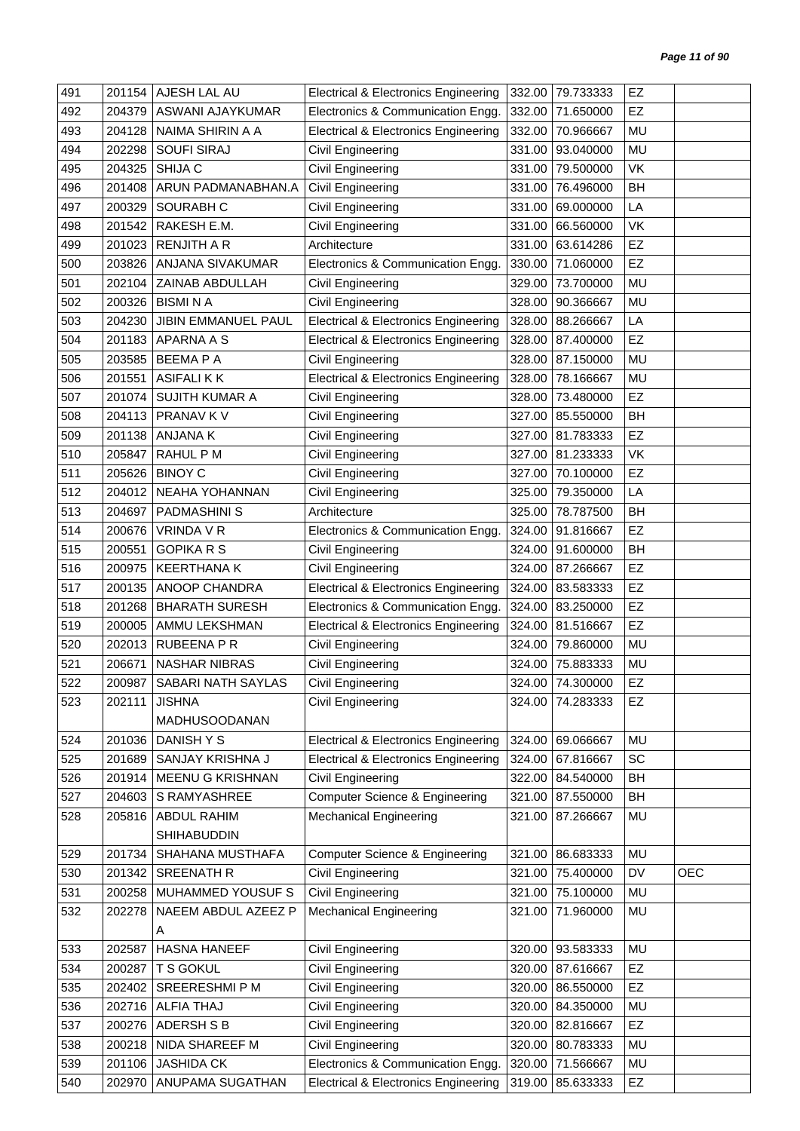| <b>EZ</b><br>492<br>204379<br>ASWANI AJAYKUMAR<br>Electronics & Communication Engg.<br>332.00<br>71.650000<br>MU<br>493<br>204128<br>NAIMA SHIRIN A A<br><b>Electrical &amp; Electronics Engineering</b><br>332.00<br>70.966667<br>202298<br><b>SOUFI SIRAJ</b><br>93.040000<br>MU<br>494<br>Civil Engineering<br>331.00<br>204325<br>SHIJA C<br>Civil Engineering<br>VK<br>495<br>331.00<br>79.500000<br>Civil Engineering<br>76.496000<br><b>BH</b><br>496<br>201408<br>ARUN PADMANABHAN.A<br>331.00<br>Civil Engineering<br>497<br>200329<br>SOURABH C<br>69.000000<br>LA<br>331.00<br>RAKESH E.M.<br>Civil Engineering<br>VK<br>498<br>201542<br>331.00<br>66.560000<br>EZ<br>499<br>201023<br><b>RENJITH A R</b><br>Architecture<br>63.614286<br>331.00<br><b>EZ</b><br>500<br>203826<br>ANJANA SIVAKUMAR<br>Electronics & Communication Engg.<br>330.00<br>71.060000<br>ZAINAB ABDULLAH<br>73.700000<br>MU<br>501<br>202104<br>Civil Engineering<br>329.00<br>Civil Engineering<br>502<br>200326<br><b>BISMINA</b><br>328.00<br>90.366667<br>MU<br>503<br>204230<br>JIBIN EMMANUEL PAUL<br><b>Electrical &amp; Electronics Engineering</b><br>328.00<br>88.266667<br>LA<br>EZ<br>APARNA A S<br>504<br>201183<br><b>Electrical &amp; Electronics Engineering</b><br>328.00<br>87.400000<br>505<br>203585<br><b>BEEMAPA</b><br>328.00<br>87.150000<br>MU<br>Civil Engineering<br>201551<br><b>ASIFALIKK</b><br><b>Electrical &amp; Electronics Engineering</b><br>MU<br>506<br>328.00<br>78.166667<br>73.480000<br><b>EZ</b><br>507<br>201074<br><b>SUJITH KUMAR A</b><br>Civil Engineering<br>328.00<br>508<br>204113<br>PRANAV K V<br>Civil Engineering<br>85.550000<br><b>BH</b><br>327.00<br>EZ<br>509<br>201138<br>ANJANA K<br>Civil Engineering<br>327.00<br>81.783333<br>VK<br>510<br>205847<br>RAHUL P M<br>Civil Engineering<br>81.233333<br>327.00<br><b>BINOY C</b><br><b>EZ</b><br>511<br>205626<br>Civil Engineering<br>327.00<br>70.100000<br>LA<br>512<br>NEAHA YOHANNAN<br>79.350000<br>204012<br>Civil Engineering<br>325.00<br>513<br>204697<br><b>PADMASHINIS</b><br>Architecture<br>325.00<br>78.787500<br><b>BH</b><br>514<br>200676<br>VRINDA V R<br>Electronics & Communication Engg.<br>91.816667<br>EZ<br>324.00<br><b>BH</b><br>515<br>200551<br><b>GOPIKA R S</b><br>Civil Engineering<br>324.00<br>91.600000<br>516<br>200975<br><b>KEERTHANA K</b><br>Civil Engineering<br>324.00<br>87.266667<br>EZ<br>200135<br>ANOOP CHANDRA<br><b>Electrical &amp; Electronics Engineering</b><br>EZ<br>517<br>324.00<br>83.583333<br>EZ<br><b>BHARATH SURESH</b><br>Electronics & Communication Engg.<br>518<br>201268<br>324.00<br>83.250000<br>EZ<br>519<br>AMMU LEKSHMAN<br><b>Electrical &amp; Electronics Engineering</b><br>81.516667<br>200005<br>324.00<br>520<br><b>RUBEENA P R</b><br>MU<br>202013<br>Civil Engineering<br>324.00<br>79.860000<br>521<br>NASHAR NIBRAS<br>206671<br>324.00<br>75.883333<br>MU<br>Civil Engineering<br>EZ<br>522<br>200987<br>SABARI NATH SAYLAS<br>324.00 74.300000<br>Civil Engineering<br>523<br><b>JISHNA</b><br>Civil Engineering<br>324.00 74.283333<br>EZ<br>202111<br>MADHUSOODANAN<br>DANISH Y S<br>Electrical & Electronics Engineering<br>524<br>201036<br>69.066667<br>MU<br>324.00<br>SC<br>SANJAY KRISHNA J<br>324.00 67.816667<br>525<br>201689<br><b>Electrical &amp; Electronics Engineering</b><br>MEENU G KRISHNAN<br>526<br>Civil Engineering<br>322.00<br>84.540000<br>BH<br>201914<br>Computer Science & Engineering<br>527<br>S RAMYASHREE<br>87.550000<br>BH<br>204603<br>321.00<br>528<br>ABDUL RAHIM<br><b>Mechanical Engineering</b><br>321.00<br>87.266667<br>MU<br>205816<br><b>SHIHABUDDIN</b><br><b>MU</b><br>529<br>SHAHANA MUSTHAFA<br><b>Computer Science &amp; Engineering</b><br>321.00<br>201734<br>86.683333<br>Civil Engineering<br>75.400000<br>DV<br><b>OEC</b><br>530<br>201342<br><b>SREENATH R</b><br>321.00<br><b>Civil Engineering</b><br>75.100000<br>531<br>200258<br>MUHAMMED YOUSUF S<br>321.00<br>MU<br><b>Mechanical Engineering</b><br>532<br>NAEEM ABDUL AZEEZ P<br>71.960000<br>MU<br>202278<br>321.00<br>A<br>MU<br>533<br><b>HASNA HANEEF</b><br>Civil Engineering<br>93.583333<br>202587<br>320.00<br><b>T S GOKUL</b><br>87.616667<br><b>EZ</b><br>534<br>200287<br>Civil Engineering<br>320.00<br>SREERESHMI P M<br>Civil Engineering<br>86.550000<br>535<br>EZ<br>202402<br>320.00<br>536<br><b>ALFIA THAJ</b><br>Civil Engineering<br>84.350000<br>202716<br>320.00<br>MU<br>Civil Engineering<br><b>EZ</b><br>537<br>200276<br>ADERSH S B<br>320.00<br>82.816667<br>538<br>200218<br>NIDA SHAREEF M<br>Civil Engineering<br>80.783333<br>320.00<br>MU<br><b>JASHIDA CK</b><br>539<br>201106<br>Electronics & Communication Engg.<br>320.00<br>71.566667<br>MU | 491 | 201154 | AJESH LAL AU     | <b>Electrical &amp; Electronics Engineering</b> | 332.00 | 79.733333 | EZ |  |
|---------------------------------------------------------------------------------------------------------------------------------------------------------------------------------------------------------------------------------------------------------------------------------------------------------------------------------------------------------------------------------------------------------------------------------------------------------------------------------------------------------------------------------------------------------------------------------------------------------------------------------------------------------------------------------------------------------------------------------------------------------------------------------------------------------------------------------------------------------------------------------------------------------------------------------------------------------------------------------------------------------------------------------------------------------------------------------------------------------------------------------------------------------------------------------------------------------------------------------------------------------------------------------------------------------------------------------------------------------------------------------------------------------------------------------------------------------------------------------------------------------------------------------------------------------------------------------------------------------------------------------------------------------------------------------------------------------------------------------------------------------------------------------------------------------------------------------------------------------------------------------------------------------------------------------------------------------------------------------------------------------------------------------------------------------------------------------------------------------------------------------------------------------------------------------------------------------------------------------------------------------------------------------------------------------------------------------------------------------------------------------------------------------------------------------------------------------------------------------------------------------------------------------------------------------------------------------------------------------------------------------------------------------------------------------------------------------------------------------------------------------------------------------------------------------------------------------------------------------------------------------------------------------------------------------------------------------------------------------------------------------------------------------------------------------------------------------------------------------------------------------------------------------------------------------------------------------------------------------------------------------------------------------------------------------------------------------------------------------------------------------------------------------------------------------------------------------------------------------------------------------------------------------------------------------------------------------------------------------------------------------------------------------------------------------------------------------------------------------------------------------------------------------------------------------------------------------------------------------------------------------------------------------------------------------------------------------------------------------------------------------------------------------------------------------------------------------------------------------------------------------------------------------------------------------------------------------------------------------------------------------------------------------------------------------------------------------------------------------------------------------------------------------------------------------------------------------------------------------------------------------------------------------------------------------------------------------------------------------------------------------------------------------------------------------------------------------------------------------------------------------------------------------------------|-----|--------|------------------|-------------------------------------------------|--------|-----------|----|--|
|                                                                                                                                                                                                                                                                                                                                                                                                                                                                                                                                                                                                                                                                                                                                                                                                                                                                                                                                                                                                                                                                                                                                                                                                                                                                                                                                                                                                                                                                                                                                                                                                                                                                                                                                                                                                                                                                                                                                                                                                                                                                                                                                                                                                                                                                                                                                                                                                                                                                                                                                                                                                                                                                                                                                                                                                                                                                                                                                                                                                                                                                                                                                                                                                                                                                                                                                                                                                                                                                                                                                                                                                                                                                                                                                                                                                                                                                                                                                                                                                                                                                                                                                                                                                                                                                                                                                                                                                                                                                                                                                                                                                                                                                                                                                                                                             |     |        |                  |                                                 |        |           |    |  |
|                                                                                                                                                                                                                                                                                                                                                                                                                                                                                                                                                                                                                                                                                                                                                                                                                                                                                                                                                                                                                                                                                                                                                                                                                                                                                                                                                                                                                                                                                                                                                                                                                                                                                                                                                                                                                                                                                                                                                                                                                                                                                                                                                                                                                                                                                                                                                                                                                                                                                                                                                                                                                                                                                                                                                                                                                                                                                                                                                                                                                                                                                                                                                                                                                                                                                                                                                                                                                                                                                                                                                                                                                                                                                                                                                                                                                                                                                                                                                                                                                                                                                                                                                                                                                                                                                                                                                                                                                                                                                                                                                                                                                                                                                                                                                                                             |     |        |                  |                                                 |        |           |    |  |
|                                                                                                                                                                                                                                                                                                                                                                                                                                                                                                                                                                                                                                                                                                                                                                                                                                                                                                                                                                                                                                                                                                                                                                                                                                                                                                                                                                                                                                                                                                                                                                                                                                                                                                                                                                                                                                                                                                                                                                                                                                                                                                                                                                                                                                                                                                                                                                                                                                                                                                                                                                                                                                                                                                                                                                                                                                                                                                                                                                                                                                                                                                                                                                                                                                                                                                                                                                                                                                                                                                                                                                                                                                                                                                                                                                                                                                                                                                                                                                                                                                                                                                                                                                                                                                                                                                                                                                                                                                                                                                                                                                                                                                                                                                                                                                                             |     |        |                  |                                                 |        |           |    |  |
|                                                                                                                                                                                                                                                                                                                                                                                                                                                                                                                                                                                                                                                                                                                                                                                                                                                                                                                                                                                                                                                                                                                                                                                                                                                                                                                                                                                                                                                                                                                                                                                                                                                                                                                                                                                                                                                                                                                                                                                                                                                                                                                                                                                                                                                                                                                                                                                                                                                                                                                                                                                                                                                                                                                                                                                                                                                                                                                                                                                                                                                                                                                                                                                                                                                                                                                                                                                                                                                                                                                                                                                                                                                                                                                                                                                                                                                                                                                                                                                                                                                                                                                                                                                                                                                                                                                                                                                                                                                                                                                                                                                                                                                                                                                                                                                             |     |        |                  |                                                 |        |           |    |  |
|                                                                                                                                                                                                                                                                                                                                                                                                                                                                                                                                                                                                                                                                                                                                                                                                                                                                                                                                                                                                                                                                                                                                                                                                                                                                                                                                                                                                                                                                                                                                                                                                                                                                                                                                                                                                                                                                                                                                                                                                                                                                                                                                                                                                                                                                                                                                                                                                                                                                                                                                                                                                                                                                                                                                                                                                                                                                                                                                                                                                                                                                                                                                                                                                                                                                                                                                                                                                                                                                                                                                                                                                                                                                                                                                                                                                                                                                                                                                                                                                                                                                                                                                                                                                                                                                                                                                                                                                                                                                                                                                                                                                                                                                                                                                                                                             |     |        |                  |                                                 |        |           |    |  |
|                                                                                                                                                                                                                                                                                                                                                                                                                                                                                                                                                                                                                                                                                                                                                                                                                                                                                                                                                                                                                                                                                                                                                                                                                                                                                                                                                                                                                                                                                                                                                                                                                                                                                                                                                                                                                                                                                                                                                                                                                                                                                                                                                                                                                                                                                                                                                                                                                                                                                                                                                                                                                                                                                                                                                                                                                                                                                                                                                                                                                                                                                                                                                                                                                                                                                                                                                                                                                                                                                                                                                                                                                                                                                                                                                                                                                                                                                                                                                                                                                                                                                                                                                                                                                                                                                                                                                                                                                                                                                                                                                                                                                                                                                                                                                                                             |     |        |                  |                                                 |        |           |    |  |
|                                                                                                                                                                                                                                                                                                                                                                                                                                                                                                                                                                                                                                                                                                                                                                                                                                                                                                                                                                                                                                                                                                                                                                                                                                                                                                                                                                                                                                                                                                                                                                                                                                                                                                                                                                                                                                                                                                                                                                                                                                                                                                                                                                                                                                                                                                                                                                                                                                                                                                                                                                                                                                                                                                                                                                                                                                                                                                                                                                                                                                                                                                                                                                                                                                                                                                                                                                                                                                                                                                                                                                                                                                                                                                                                                                                                                                                                                                                                                                                                                                                                                                                                                                                                                                                                                                                                                                                                                                                                                                                                                                                                                                                                                                                                                                                             |     |        |                  |                                                 |        |           |    |  |
|                                                                                                                                                                                                                                                                                                                                                                                                                                                                                                                                                                                                                                                                                                                                                                                                                                                                                                                                                                                                                                                                                                                                                                                                                                                                                                                                                                                                                                                                                                                                                                                                                                                                                                                                                                                                                                                                                                                                                                                                                                                                                                                                                                                                                                                                                                                                                                                                                                                                                                                                                                                                                                                                                                                                                                                                                                                                                                                                                                                                                                                                                                                                                                                                                                                                                                                                                                                                                                                                                                                                                                                                                                                                                                                                                                                                                                                                                                                                                                                                                                                                                                                                                                                                                                                                                                                                                                                                                                                                                                                                                                                                                                                                                                                                                                                             |     |        |                  |                                                 |        |           |    |  |
|                                                                                                                                                                                                                                                                                                                                                                                                                                                                                                                                                                                                                                                                                                                                                                                                                                                                                                                                                                                                                                                                                                                                                                                                                                                                                                                                                                                                                                                                                                                                                                                                                                                                                                                                                                                                                                                                                                                                                                                                                                                                                                                                                                                                                                                                                                                                                                                                                                                                                                                                                                                                                                                                                                                                                                                                                                                                                                                                                                                                                                                                                                                                                                                                                                                                                                                                                                                                                                                                                                                                                                                                                                                                                                                                                                                                                                                                                                                                                                                                                                                                                                                                                                                                                                                                                                                                                                                                                                                                                                                                                                                                                                                                                                                                                                                             |     |        |                  |                                                 |        |           |    |  |
|                                                                                                                                                                                                                                                                                                                                                                                                                                                                                                                                                                                                                                                                                                                                                                                                                                                                                                                                                                                                                                                                                                                                                                                                                                                                                                                                                                                                                                                                                                                                                                                                                                                                                                                                                                                                                                                                                                                                                                                                                                                                                                                                                                                                                                                                                                                                                                                                                                                                                                                                                                                                                                                                                                                                                                                                                                                                                                                                                                                                                                                                                                                                                                                                                                                                                                                                                                                                                                                                                                                                                                                                                                                                                                                                                                                                                                                                                                                                                                                                                                                                                                                                                                                                                                                                                                                                                                                                                                                                                                                                                                                                                                                                                                                                                                                             |     |        |                  |                                                 |        |           |    |  |
|                                                                                                                                                                                                                                                                                                                                                                                                                                                                                                                                                                                                                                                                                                                                                                                                                                                                                                                                                                                                                                                                                                                                                                                                                                                                                                                                                                                                                                                                                                                                                                                                                                                                                                                                                                                                                                                                                                                                                                                                                                                                                                                                                                                                                                                                                                                                                                                                                                                                                                                                                                                                                                                                                                                                                                                                                                                                                                                                                                                                                                                                                                                                                                                                                                                                                                                                                                                                                                                                                                                                                                                                                                                                                                                                                                                                                                                                                                                                                                                                                                                                                                                                                                                                                                                                                                                                                                                                                                                                                                                                                                                                                                                                                                                                                                                             |     |        |                  |                                                 |        |           |    |  |
|                                                                                                                                                                                                                                                                                                                                                                                                                                                                                                                                                                                                                                                                                                                                                                                                                                                                                                                                                                                                                                                                                                                                                                                                                                                                                                                                                                                                                                                                                                                                                                                                                                                                                                                                                                                                                                                                                                                                                                                                                                                                                                                                                                                                                                                                                                                                                                                                                                                                                                                                                                                                                                                                                                                                                                                                                                                                                                                                                                                                                                                                                                                                                                                                                                                                                                                                                                                                                                                                                                                                                                                                                                                                                                                                                                                                                                                                                                                                                                                                                                                                                                                                                                                                                                                                                                                                                                                                                                                                                                                                                                                                                                                                                                                                                                                             |     |        |                  |                                                 |        |           |    |  |
|                                                                                                                                                                                                                                                                                                                                                                                                                                                                                                                                                                                                                                                                                                                                                                                                                                                                                                                                                                                                                                                                                                                                                                                                                                                                                                                                                                                                                                                                                                                                                                                                                                                                                                                                                                                                                                                                                                                                                                                                                                                                                                                                                                                                                                                                                                                                                                                                                                                                                                                                                                                                                                                                                                                                                                                                                                                                                                                                                                                                                                                                                                                                                                                                                                                                                                                                                                                                                                                                                                                                                                                                                                                                                                                                                                                                                                                                                                                                                                                                                                                                                                                                                                                                                                                                                                                                                                                                                                                                                                                                                                                                                                                                                                                                                                                             |     |        |                  |                                                 |        |           |    |  |
|                                                                                                                                                                                                                                                                                                                                                                                                                                                                                                                                                                                                                                                                                                                                                                                                                                                                                                                                                                                                                                                                                                                                                                                                                                                                                                                                                                                                                                                                                                                                                                                                                                                                                                                                                                                                                                                                                                                                                                                                                                                                                                                                                                                                                                                                                                                                                                                                                                                                                                                                                                                                                                                                                                                                                                                                                                                                                                                                                                                                                                                                                                                                                                                                                                                                                                                                                                                                                                                                                                                                                                                                                                                                                                                                                                                                                                                                                                                                                                                                                                                                                                                                                                                                                                                                                                                                                                                                                                                                                                                                                                                                                                                                                                                                                                                             |     |        |                  |                                                 |        |           |    |  |
|                                                                                                                                                                                                                                                                                                                                                                                                                                                                                                                                                                                                                                                                                                                                                                                                                                                                                                                                                                                                                                                                                                                                                                                                                                                                                                                                                                                                                                                                                                                                                                                                                                                                                                                                                                                                                                                                                                                                                                                                                                                                                                                                                                                                                                                                                                                                                                                                                                                                                                                                                                                                                                                                                                                                                                                                                                                                                                                                                                                                                                                                                                                                                                                                                                                                                                                                                                                                                                                                                                                                                                                                                                                                                                                                                                                                                                                                                                                                                                                                                                                                                                                                                                                                                                                                                                                                                                                                                                                                                                                                                                                                                                                                                                                                                                                             |     |        |                  |                                                 |        |           |    |  |
|                                                                                                                                                                                                                                                                                                                                                                                                                                                                                                                                                                                                                                                                                                                                                                                                                                                                                                                                                                                                                                                                                                                                                                                                                                                                                                                                                                                                                                                                                                                                                                                                                                                                                                                                                                                                                                                                                                                                                                                                                                                                                                                                                                                                                                                                                                                                                                                                                                                                                                                                                                                                                                                                                                                                                                                                                                                                                                                                                                                                                                                                                                                                                                                                                                                                                                                                                                                                                                                                                                                                                                                                                                                                                                                                                                                                                                                                                                                                                                                                                                                                                                                                                                                                                                                                                                                                                                                                                                                                                                                                                                                                                                                                                                                                                                                             |     |        |                  |                                                 |        |           |    |  |
|                                                                                                                                                                                                                                                                                                                                                                                                                                                                                                                                                                                                                                                                                                                                                                                                                                                                                                                                                                                                                                                                                                                                                                                                                                                                                                                                                                                                                                                                                                                                                                                                                                                                                                                                                                                                                                                                                                                                                                                                                                                                                                                                                                                                                                                                                                                                                                                                                                                                                                                                                                                                                                                                                                                                                                                                                                                                                                                                                                                                                                                                                                                                                                                                                                                                                                                                                                                                                                                                                                                                                                                                                                                                                                                                                                                                                                                                                                                                                                                                                                                                                                                                                                                                                                                                                                                                                                                                                                                                                                                                                                                                                                                                                                                                                                                             |     |        |                  |                                                 |        |           |    |  |
|                                                                                                                                                                                                                                                                                                                                                                                                                                                                                                                                                                                                                                                                                                                                                                                                                                                                                                                                                                                                                                                                                                                                                                                                                                                                                                                                                                                                                                                                                                                                                                                                                                                                                                                                                                                                                                                                                                                                                                                                                                                                                                                                                                                                                                                                                                                                                                                                                                                                                                                                                                                                                                                                                                                                                                                                                                                                                                                                                                                                                                                                                                                                                                                                                                                                                                                                                                                                                                                                                                                                                                                                                                                                                                                                                                                                                                                                                                                                                                                                                                                                                                                                                                                                                                                                                                                                                                                                                                                                                                                                                                                                                                                                                                                                                                                             |     |        |                  |                                                 |        |           |    |  |
|                                                                                                                                                                                                                                                                                                                                                                                                                                                                                                                                                                                                                                                                                                                                                                                                                                                                                                                                                                                                                                                                                                                                                                                                                                                                                                                                                                                                                                                                                                                                                                                                                                                                                                                                                                                                                                                                                                                                                                                                                                                                                                                                                                                                                                                                                                                                                                                                                                                                                                                                                                                                                                                                                                                                                                                                                                                                                                                                                                                                                                                                                                                                                                                                                                                                                                                                                                                                                                                                                                                                                                                                                                                                                                                                                                                                                                                                                                                                                                                                                                                                                                                                                                                                                                                                                                                                                                                                                                                                                                                                                                                                                                                                                                                                                                                             |     |        |                  |                                                 |        |           |    |  |
|                                                                                                                                                                                                                                                                                                                                                                                                                                                                                                                                                                                                                                                                                                                                                                                                                                                                                                                                                                                                                                                                                                                                                                                                                                                                                                                                                                                                                                                                                                                                                                                                                                                                                                                                                                                                                                                                                                                                                                                                                                                                                                                                                                                                                                                                                                                                                                                                                                                                                                                                                                                                                                                                                                                                                                                                                                                                                                                                                                                                                                                                                                                                                                                                                                                                                                                                                                                                                                                                                                                                                                                                                                                                                                                                                                                                                                                                                                                                                                                                                                                                                                                                                                                                                                                                                                                                                                                                                                                                                                                                                                                                                                                                                                                                                                                             |     |        |                  |                                                 |        |           |    |  |
|                                                                                                                                                                                                                                                                                                                                                                                                                                                                                                                                                                                                                                                                                                                                                                                                                                                                                                                                                                                                                                                                                                                                                                                                                                                                                                                                                                                                                                                                                                                                                                                                                                                                                                                                                                                                                                                                                                                                                                                                                                                                                                                                                                                                                                                                                                                                                                                                                                                                                                                                                                                                                                                                                                                                                                                                                                                                                                                                                                                                                                                                                                                                                                                                                                                                                                                                                                                                                                                                                                                                                                                                                                                                                                                                                                                                                                                                                                                                                                                                                                                                                                                                                                                                                                                                                                                                                                                                                                                                                                                                                                                                                                                                                                                                                                                             |     |        |                  |                                                 |        |           |    |  |
|                                                                                                                                                                                                                                                                                                                                                                                                                                                                                                                                                                                                                                                                                                                                                                                                                                                                                                                                                                                                                                                                                                                                                                                                                                                                                                                                                                                                                                                                                                                                                                                                                                                                                                                                                                                                                                                                                                                                                                                                                                                                                                                                                                                                                                                                                                                                                                                                                                                                                                                                                                                                                                                                                                                                                                                                                                                                                                                                                                                                                                                                                                                                                                                                                                                                                                                                                                                                                                                                                                                                                                                                                                                                                                                                                                                                                                                                                                                                                                                                                                                                                                                                                                                                                                                                                                                                                                                                                                                                                                                                                                                                                                                                                                                                                                                             |     |        |                  |                                                 |        |           |    |  |
|                                                                                                                                                                                                                                                                                                                                                                                                                                                                                                                                                                                                                                                                                                                                                                                                                                                                                                                                                                                                                                                                                                                                                                                                                                                                                                                                                                                                                                                                                                                                                                                                                                                                                                                                                                                                                                                                                                                                                                                                                                                                                                                                                                                                                                                                                                                                                                                                                                                                                                                                                                                                                                                                                                                                                                                                                                                                                                                                                                                                                                                                                                                                                                                                                                                                                                                                                                                                                                                                                                                                                                                                                                                                                                                                                                                                                                                                                                                                                                                                                                                                                                                                                                                                                                                                                                                                                                                                                                                                                                                                                                                                                                                                                                                                                                                             |     |        |                  |                                                 |        |           |    |  |
|                                                                                                                                                                                                                                                                                                                                                                                                                                                                                                                                                                                                                                                                                                                                                                                                                                                                                                                                                                                                                                                                                                                                                                                                                                                                                                                                                                                                                                                                                                                                                                                                                                                                                                                                                                                                                                                                                                                                                                                                                                                                                                                                                                                                                                                                                                                                                                                                                                                                                                                                                                                                                                                                                                                                                                                                                                                                                                                                                                                                                                                                                                                                                                                                                                                                                                                                                                                                                                                                                                                                                                                                                                                                                                                                                                                                                                                                                                                                                                                                                                                                                                                                                                                                                                                                                                                                                                                                                                                                                                                                                                                                                                                                                                                                                                                             |     |        |                  |                                                 |        |           |    |  |
|                                                                                                                                                                                                                                                                                                                                                                                                                                                                                                                                                                                                                                                                                                                                                                                                                                                                                                                                                                                                                                                                                                                                                                                                                                                                                                                                                                                                                                                                                                                                                                                                                                                                                                                                                                                                                                                                                                                                                                                                                                                                                                                                                                                                                                                                                                                                                                                                                                                                                                                                                                                                                                                                                                                                                                                                                                                                                                                                                                                                                                                                                                                                                                                                                                                                                                                                                                                                                                                                                                                                                                                                                                                                                                                                                                                                                                                                                                                                                                                                                                                                                                                                                                                                                                                                                                                                                                                                                                                                                                                                                                                                                                                                                                                                                                                             |     |        |                  |                                                 |        |           |    |  |
|                                                                                                                                                                                                                                                                                                                                                                                                                                                                                                                                                                                                                                                                                                                                                                                                                                                                                                                                                                                                                                                                                                                                                                                                                                                                                                                                                                                                                                                                                                                                                                                                                                                                                                                                                                                                                                                                                                                                                                                                                                                                                                                                                                                                                                                                                                                                                                                                                                                                                                                                                                                                                                                                                                                                                                                                                                                                                                                                                                                                                                                                                                                                                                                                                                                                                                                                                                                                                                                                                                                                                                                                                                                                                                                                                                                                                                                                                                                                                                                                                                                                                                                                                                                                                                                                                                                                                                                                                                                                                                                                                                                                                                                                                                                                                                                             |     |        |                  |                                                 |        |           |    |  |
|                                                                                                                                                                                                                                                                                                                                                                                                                                                                                                                                                                                                                                                                                                                                                                                                                                                                                                                                                                                                                                                                                                                                                                                                                                                                                                                                                                                                                                                                                                                                                                                                                                                                                                                                                                                                                                                                                                                                                                                                                                                                                                                                                                                                                                                                                                                                                                                                                                                                                                                                                                                                                                                                                                                                                                                                                                                                                                                                                                                                                                                                                                                                                                                                                                                                                                                                                                                                                                                                                                                                                                                                                                                                                                                                                                                                                                                                                                                                                                                                                                                                                                                                                                                                                                                                                                                                                                                                                                                                                                                                                                                                                                                                                                                                                                                             |     |        |                  |                                                 |        |           |    |  |
|                                                                                                                                                                                                                                                                                                                                                                                                                                                                                                                                                                                                                                                                                                                                                                                                                                                                                                                                                                                                                                                                                                                                                                                                                                                                                                                                                                                                                                                                                                                                                                                                                                                                                                                                                                                                                                                                                                                                                                                                                                                                                                                                                                                                                                                                                                                                                                                                                                                                                                                                                                                                                                                                                                                                                                                                                                                                                                                                                                                                                                                                                                                                                                                                                                                                                                                                                                                                                                                                                                                                                                                                                                                                                                                                                                                                                                                                                                                                                                                                                                                                                                                                                                                                                                                                                                                                                                                                                                                                                                                                                                                                                                                                                                                                                                                             |     |        |                  |                                                 |        |           |    |  |
|                                                                                                                                                                                                                                                                                                                                                                                                                                                                                                                                                                                                                                                                                                                                                                                                                                                                                                                                                                                                                                                                                                                                                                                                                                                                                                                                                                                                                                                                                                                                                                                                                                                                                                                                                                                                                                                                                                                                                                                                                                                                                                                                                                                                                                                                                                                                                                                                                                                                                                                                                                                                                                                                                                                                                                                                                                                                                                                                                                                                                                                                                                                                                                                                                                                                                                                                                                                                                                                                                                                                                                                                                                                                                                                                                                                                                                                                                                                                                                                                                                                                                                                                                                                                                                                                                                                                                                                                                                                                                                                                                                                                                                                                                                                                                                                             |     |        |                  |                                                 |        |           |    |  |
|                                                                                                                                                                                                                                                                                                                                                                                                                                                                                                                                                                                                                                                                                                                                                                                                                                                                                                                                                                                                                                                                                                                                                                                                                                                                                                                                                                                                                                                                                                                                                                                                                                                                                                                                                                                                                                                                                                                                                                                                                                                                                                                                                                                                                                                                                                                                                                                                                                                                                                                                                                                                                                                                                                                                                                                                                                                                                                                                                                                                                                                                                                                                                                                                                                                                                                                                                                                                                                                                                                                                                                                                                                                                                                                                                                                                                                                                                                                                                                                                                                                                                                                                                                                                                                                                                                                                                                                                                                                                                                                                                                                                                                                                                                                                                                                             |     |        |                  |                                                 |        |           |    |  |
|                                                                                                                                                                                                                                                                                                                                                                                                                                                                                                                                                                                                                                                                                                                                                                                                                                                                                                                                                                                                                                                                                                                                                                                                                                                                                                                                                                                                                                                                                                                                                                                                                                                                                                                                                                                                                                                                                                                                                                                                                                                                                                                                                                                                                                                                                                                                                                                                                                                                                                                                                                                                                                                                                                                                                                                                                                                                                                                                                                                                                                                                                                                                                                                                                                                                                                                                                                                                                                                                                                                                                                                                                                                                                                                                                                                                                                                                                                                                                                                                                                                                                                                                                                                                                                                                                                                                                                                                                                                                                                                                                                                                                                                                                                                                                                                             |     |        |                  |                                                 |        |           |    |  |
|                                                                                                                                                                                                                                                                                                                                                                                                                                                                                                                                                                                                                                                                                                                                                                                                                                                                                                                                                                                                                                                                                                                                                                                                                                                                                                                                                                                                                                                                                                                                                                                                                                                                                                                                                                                                                                                                                                                                                                                                                                                                                                                                                                                                                                                                                                                                                                                                                                                                                                                                                                                                                                                                                                                                                                                                                                                                                                                                                                                                                                                                                                                                                                                                                                                                                                                                                                                                                                                                                                                                                                                                                                                                                                                                                                                                                                                                                                                                                                                                                                                                                                                                                                                                                                                                                                                                                                                                                                                                                                                                                                                                                                                                                                                                                                                             |     |        |                  |                                                 |        |           |    |  |
|                                                                                                                                                                                                                                                                                                                                                                                                                                                                                                                                                                                                                                                                                                                                                                                                                                                                                                                                                                                                                                                                                                                                                                                                                                                                                                                                                                                                                                                                                                                                                                                                                                                                                                                                                                                                                                                                                                                                                                                                                                                                                                                                                                                                                                                                                                                                                                                                                                                                                                                                                                                                                                                                                                                                                                                                                                                                                                                                                                                                                                                                                                                                                                                                                                                                                                                                                                                                                                                                                                                                                                                                                                                                                                                                                                                                                                                                                                                                                                                                                                                                                                                                                                                                                                                                                                                                                                                                                                                                                                                                                                                                                                                                                                                                                                                             |     |        |                  |                                                 |        |           |    |  |
|                                                                                                                                                                                                                                                                                                                                                                                                                                                                                                                                                                                                                                                                                                                                                                                                                                                                                                                                                                                                                                                                                                                                                                                                                                                                                                                                                                                                                                                                                                                                                                                                                                                                                                                                                                                                                                                                                                                                                                                                                                                                                                                                                                                                                                                                                                                                                                                                                                                                                                                                                                                                                                                                                                                                                                                                                                                                                                                                                                                                                                                                                                                                                                                                                                                                                                                                                                                                                                                                                                                                                                                                                                                                                                                                                                                                                                                                                                                                                                                                                                                                                                                                                                                                                                                                                                                                                                                                                                                                                                                                                                                                                                                                                                                                                                                             |     |        |                  |                                                 |        |           |    |  |
|                                                                                                                                                                                                                                                                                                                                                                                                                                                                                                                                                                                                                                                                                                                                                                                                                                                                                                                                                                                                                                                                                                                                                                                                                                                                                                                                                                                                                                                                                                                                                                                                                                                                                                                                                                                                                                                                                                                                                                                                                                                                                                                                                                                                                                                                                                                                                                                                                                                                                                                                                                                                                                                                                                                                                                                                                                                                                                                                                                                                                                                                                                                                                                                                                                                                                                                                                                                                                                                                                                                                                                                                                                                                                                                                                                                                                                                                                                                                                                                                                                                                                                                                                                                                                                                                                                                                                                                                                                                                                                                                                                                                                                                                                                                                                                                             |     |        |                  |                                                 |        |           |    |  |
|                                                                                                                                                                                                                                                                                                                                                                                                                                                                                                                                                                                                                                                                                                                                                                                                                                                                                                                                                                                                                                                                                                                                                                                                                                                                                                                                                                                                                                                                                                                                                                                                                                                                                                                                                                                                                                                                                                                                                                                                                                                                                                                                                                                                                                                                                                                                                                                                                                                                                                                                                                                                                                                                                                                                                                                                                                                                                                                                                                                                                                                                                                                                                                                                                                                                                                                                                                                                                                                                                                                                                                                                                                                                                                                                                                                                                                                                                                                                                                                                                                                                                                                                                                                                                                                                                                                                                                                                                                                                                                                                                                                                                                                                                                                                                                                             |     |        |                  |                                                 |        |           |    |  |
|                                                                                                                                                                                                                                                                                                                                                                                                                                                                                                                                                                                                                                                                                                                                                                                                                                                                                                                                                                                                                                                                                                                                                                                                                                                                                                                                                                                                                                                                                                                                                                                                                                                                                                                                                                                                                                                                                                                                                                                                                                                                                                                                                                                                                                                                                                                                                                                                                                                                                                                                                                                                                                                                                                                                                                                                                                                                                                                                                                                                                                                                                                                                                                                                                                                                                                                                                                                                                                                                                                                                                                                                                                                                                                                                                                                                                                                                                                                                                                                                                                                                                                                                                                                                                                                                                                                                                                                                                                                                                                                                                                                                                                                                                                                                                                                             |     |        |                  |                                                 |        |           |    |  |
|                                                                                                                                                                                                                                                                                                                                                                                                                                                                                                                                                                                                                                                                                                                                                                                                                                                                                                                                                                                                                                                                                                                                                                                                                                                                                                                                                                                                                                                                                                                                                                                                                                                                                                                                                                                                                                                                                                                                                                                                                                                                                                                                                                                                                                                                                                                                                                                                                                                                                                                                                                                                                                                                                                                                                                                                                                                                                                                                                                                                                                                                                                                                                                                                                                                                                                                                                                                                                                                                                                                                                                                                                                                                                                                                                                                                                                                                                                                                                                                                                                                                                                                                                                                                                                                                                                                                                                                                                                                                                                                                                                                                                                                                                                                                                                                             |     |        |                  |                                                 |        |           |    |  |
|                                                                                                                                                                                                                                                                                                                                                                                                                                                                                                                                                                                                                                                                                                                                                                                                                                                                                                                                                                                                                                                                                                                                                                                                                                                                                                                                                                                                                                                                                                                                                                                                                                                                                                                                                                                                                                                                                                                                                                                                                                                                                                                                                                                                                                                                                                                                                                                                                                                                                                                                                                                                                                                                                                                                                                                                                                                                                                                                                                                                                                                                                                                                                                                                                                                                                                                                                                                                                                                                                                                                                                                                                                                                                                                                                                                                                                                                                                                                                                                                                                                                                                                                                                                                                                                                                                                                                                                                                                                                                                                                                                                                                                                                                                                                                                                             |     |        |                  |                                                 |        |           |    |  |
|                                                                                                                                                                                                                                                                                                                                                                                                                                                                                                                                                                                                                                                                                                                                                                                                                                                                                                                                                                                                                                                                                                                                                                                                                                                                                                                                                                                                                                                                                                                                                                                                                                                                                                                                                                                                                                                                                                                                                                                                                                                                                                                                                                                                                                                                                                                                                                                                                                                                                                                                                                                                                                                                                                                                                                                                                                                                                                                                                                                                                                                                                                                                                                                                                                                                                                                                                                                                                                                                                                                                                                                                                                                                                                                                                                                                                                                                                                                                                                                                                                                                                                                                                                                                                                                                                                                                                                                                                                                                                                                                                                                                                                                                                                                                                                                             |     |        |                  |                                                 |        |           |    |  |
|                                                                                                                                                                                                                                                                                                                                                                                                                                                                                                                                                                                                                                                                                                                                                                                                                                                                                                                                                                                                                                                                                                                                                                                                                                                                                                                                                                                                                                                                                                                                                                                                                                                                                                                                                                                                                                                                                                                                                                                                                                                                                                                                                                                                                                                                                                                                                                                                                                                                                                                                                                                                                                                                                                                                                                                                                                                                                                                                                                                                                                                                                                                                                                                                                                                                                                                                                                                                                                                                                                                                                                                                                                                                                                                                                                                                                                                                                                                                                                                                                                                                                                                                                                                                                                                                                                                                                                                                                                                                                                                                                                                                                                                                                                                                                                                             |     |        |                  |                                                 |        |           |    |  |
|                                                                                                                                                                                                                                                                                                                                                                                                                                                                                                                                                                                                                                                                                                                                                                                                                                                                                                                                                                                                                                                                                                                                                                                                                                                                                                                                                                                                                                                                                                                                                                                                                                                                                                                                                                                                                                                                                                                                                                                                                                                                                                                                                                                                                                                                                                                                                                                                                                                                                                                                                                                                                                                                                                                                                                                                                                                                                                                                                                                                                                                                                                                                                                                                                                                                                                                                                                                                                                                                                                                                                                                                                                                                                                                                                                                                                                                                                                                                                                                                                                                                                                                                                                                                                                                                                                                                                                                                                                                                                                                                                                                                                                                                                                                                                                                             |     |        |                  |                                                 |        |           |    |  |
|                                                                                                                                                                                                                                                                                                                                                                                                                                                                                                                                                                                                                                                                                                                                                                                                                                                                                                                                                                                                                                                                                                                                                                                                                                                                                                                                                                                                                                                                                                                                                                                                                                                                                                                                                                                                                                                                                                                                                                                                                                                                                                                                                                                                                                                                                                                                                                                                                                                                                                                                                                                                                                                                                                                                                                                                                                                                                                                                                                                                                                                                                                                                                                                                                                                                                                                                                                                                                                                                                                                                                                                                                                                                                                                                                                                                                                                                                                                                                                                                                                                                                                                                                                                                                                                                                                                                                                                                                                                                                                                                                                                                                                                                                                                                                                                             |     |        |                  |                                                 |        |           |    |  |
|                                                                                                                                                                                                                                                                                                                                                                                                                                                                                                                                                                                                                                                                                                                                                                                                                                                                                                                                                                                                                                                                                                                                                                                                                                                                                                                                                                                                                                                                                                                                                                                                                                                                                                                                                                                                                                                                                                                                                                                                                                                                                                                                                                                                                                                                                                                                                                                                                                                                                                                                                                                                                                                                                                                                                                                                                                                                                                                                                                                                                                                                                                                                                                                                                                                                                                                                                                                                                                                                                                                                                                                                                                                                                                                                                                                                                                                                                                                                                                                                                                                                                                                                                                                                                                                                                                                                                                                                                                                                                                                                                                                                                                                                                                                                                                                             |     |        |                  |                                                 |        |           |    |  |
|                                                                                                                                                                                                                                                                                                                                                                                                                                                                                                                                                                                                                                                                                                                                                                                                                                                                                                                                                                                                                                                                                                                                                                                                                                                                                                                                                                                                                                                                                                                                                                                                                                                                                                                                                                                                                                                                                                                                                                                                                                                                                                                                                                                                                                                                                                                                                                                                                                                                                                                                                                                                                                                                                                                                                                                                                                                                                                                                                                                                                                                                                                                                                                                                                                                                                                                                                                                                                                                                                                                                                                                                                                                                                                                                                                                                                                                                                                                                                                                                                                                                                                                                                                                                                                                                                                                                                                                                                                                                                                                                                                                                                                                                                                                                                                                             |     |        |                  |                                                 |        |           |    |  |
|                                                                                                                                                                                                                                                                                                                                                                                                                                                                                                                                                                                                                                                                                                                                                                                                                                                                                                                                                                                                                                                                                                                                                                                                                                                                                                                                                                                                                                                                                                                                                                                                                                                                                                                                                                                                                                                                                                                                                                                                                                                                                                                                                                                                                                                                                                                                                                                                                                                                                                                                                                                                                                                                                                                                                                                                                                                                                                                                                                                                                                                                                                                                                                                                                                                                                                                                                                                                                                                                                                                                                                                                                                                                                                                                                                                                                                                                                                                                                                                                                                                                                                                                                                                                                                                                                                                                                                                                                                                                                                                                                                                                                                                                                                                                                                                             |     |        |                  |                                                 |        |           |    |  |
|                                                                                                                                                                                                                                                                                                                                                                                                                                                                                                                                                                                                                                                                                                                                                                                                                                                                                                                                                                                                                                                                                                                                                                                                                                                                                                                                                                                                                                                                                                                                                                                                                                                                                                                                                                                                                                                                                                                                                                                                                                                                                                                                                                                                                                                                                                                                                                                                                                                                                                                                                                                                                                                                                                                                                                                                                                                                                                                                                                                                                                                                                                                                                                                                                                                                                                                                                                                                                                                                                                                                                                                                                                                                                                                                                                                                                                                                                                                                                                                                                                                                                                                                                                                                                                                                                                                                                                                                                                                                                                                                                                                                                                                                                                                                                                                             |     |        |                  |                                                 |        |           |    |  |
|                                                                                                                                                                                                                                                                                                                                                                                                                                                                                                                                                                                                                                                                                                                                                                                                                                                                                                                                                                                                                                                                                                                                                                                                                                                                                                                                                                                                                                                                                                                                                                                                                                                                                                                                                                                                                                                                                                                                                                                                                                                                                                                                                                                                                                                                                                                                                                                                                                                                                                                                                                                                                                                                                                                                                                                                                                                                                                                                                                                                                                                                                                                                                                                                                                                                                                                                                                                                                                                                                                                                                                                                                                                                                                                                                                                                                                                                                                                                                                                                                                                                                                                                                                                                                                                                                                                                                                                                                                                                                                                                                                                                                                                                                                                                                                                             |     |        |                  |                                                 |        |           |    |  |
|                                                                                                                                                                                                                                                                                                                                                                                                                                                                                                                                                                                                                                                                                                                                                                                                                                                                                                                                                                                                                                                                                                                                                                                                                                                                                                                                                                                                                                                                                                                                                                                                                                                                                                                                                                                                                                                                                                                                                                                                                                                                                                                                                                                                                                                                                                                                                                                                                                                                                                                                                                                                                                                                                                                                                                                                                                                                                                                                                                                                                                                                                                                                                                                                                                                                                                                                                                                                                                                                                                                                                                                                                                                                                                                                                                                                                                                                                                                                                                                                                                                                                                                                                                                                                                                                                                                                                                                                                                                                                                                                                                                                                                                                                                                                                                                             |     |        |                  |                                                 |        |           |    |  |
|                                                                                                                                                                                                                                                                                                                                                                                                                                                                                                                                                                                                                                                                                                                                                                                                                                                                                                                                                                                                                                                                                                                                                                                                                                                                                                                                                                                                                                                                                                                                                                                                                                                                                                                                                                                                                                                                                                                                                                                                                                                                                                                                                                                                                                                                                                                                                                                                                                                                                                                                                                                                                                                                                                                                                                                                                                                                                                                                                                                                                                                                                                                                                                                                                                                                                                                                                                                                                                                                                                                                                                                                                                                                                                                                                                                                                                                                                                                                                                                                                                                                                                                                                                                                                                                                                                                                                                                                                                                                                                                                                                                                                                                                                                                                                                                             |     |        |                  |                                                 |        |           |    |  |
|                                                                                                                                                                                                                                                                                                                                                                                                                                                                                                                                                                                                                                                                                                                                                                                                                                                                                                                                                                                                                                                                                                                                                                                                                                                                                                                                                                                                                                                                                                                                                                                                                                                                                                                                                                                                                                                                                                                                                                                                                                                                                                                                                                                                                                                                                                                                                                                                                                                                                                                                                                                                                                                                                                                                                                                                                                                                                                                                                                                                                                                                                                                                                                                                                                                                                                                                                                                                                                                                                                                                                                                                                                                                                                                                                                                                                                                                                                                                                                                                                                                                                                                                                                                                                                                                                                                                                                                                                                                                                                                                                                                                                                                                                                                                                                                             |     |        |                  |                                                 |        |           |    |  |
|                                                                                                                                                                                                                                                                                                                                                                                                                                                                                                                                                                                                                                                                                                                                                                                                                                                                                                                                                                                                                                                                                                                                                                                                                                                                                                                                                                                                                                                                                                                                                                                                                                                                                                                                                                                                                                                                                                                                                                                                                                                                                                                                                                                                                                                                                                                                                                                                                                                                                                                                                                                                                                                                                                                                                                                                                                                                                                                                                                                                                                                                                                                                                                                                                                                                                                                                                                                                                                                                                                                                                                                                                                                                                                                                                                                                                                                                                                                                                                                                                                                                                                                                                                                                                                                                                                                                                                                                                                                                                                                                                                                                                                                                                                                                                                                             | 540 | 202970 | ANUPAMA SUGATHAN | <b>Electrical &amp; Electronics Engineering</b> | 319.00 | 85.633333 | EZ |  |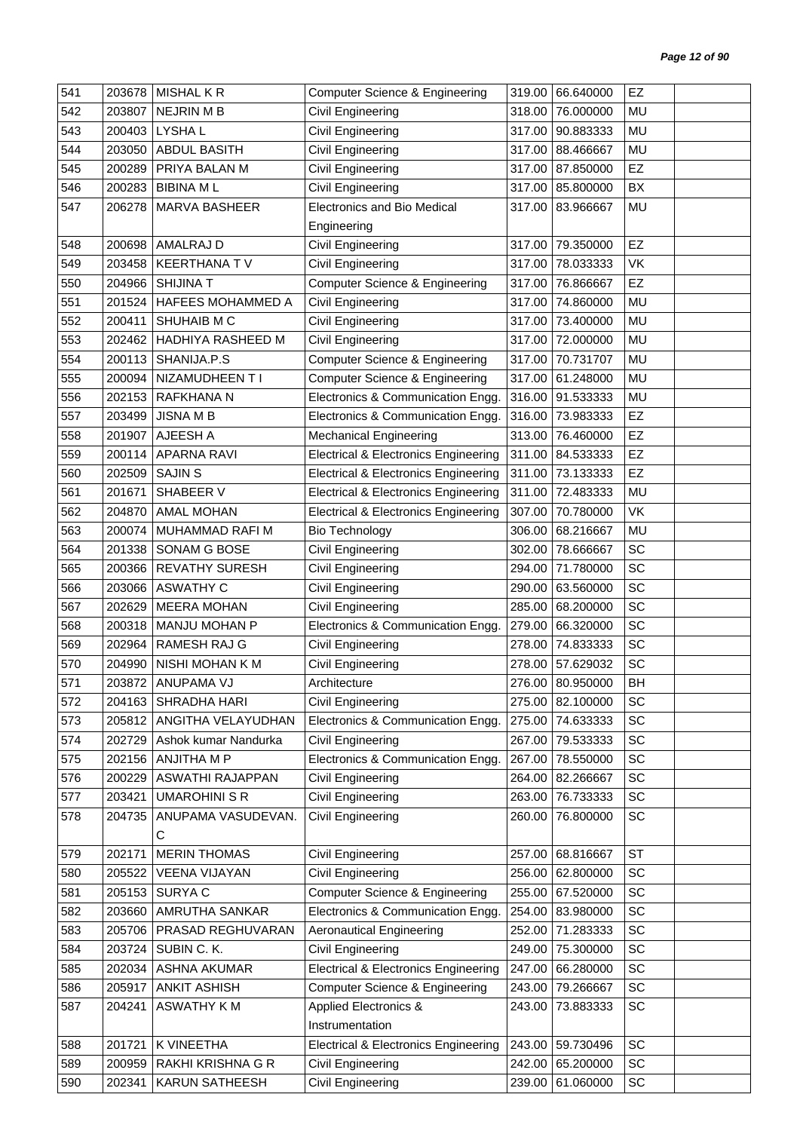| 541 | 203678 | <b>MISHAL K R</b>        | <b>Computer Science &amp; Engineering</b>       | 319.00 | 66.640000        | EZ        |  |
|-----|--------|--------------------------|-------------------------------------------------|--------|------------------|-----------|--|
| 542 | 203807 | <b>NEJRIN M B</b>        | Civil Engineering                               | 318.00 | 76.000000        | MU        |  |
| 543 | 200403 | LYSHA L                  | Civil Engineering                               | 317.00 | 90.883333        | MU        |  |
| 544 | 203050 | ABDUL BASITH             | Civil Engineering                               | 317.00 | 88.466667        | MU        |  |
| 545 | 200289 | PRIYA BALAN M            | Civil Engineering                               | 317.00 | 87.850000        | EZ        |  |
| 546 | 200283 | <b>BIBINA ML</b>         | Civil Engineering                               | 317.00 | 85.800000        | BX        |  |
| 547 | 206278 | MARVA BASHEER            | Electronics and Bio Medical                     | 317.00 | 83.966667        | MU        |  |
|     |        |                          | Engineering                                     |        |                  |           |  |
| 548 | 200698 | AMALRAJ D                | Civil Engineering                               | 317.00 | 79.350000        | EZ        |  |
| 549 | 203458 | <b>KEERTHANA TV</b>      | Civil Engineering                               | 317.00 | 78.033333        | VK        |  |
| 550 | 204966 | <b>SHIJINA T</b>         | <b>Computer Science &amp; Engineering</b>       | 317.00 | 76.866667        | EZ        |  |
| 551 | 201524 | <b>HAFEES MOHAMMED A</b> | Civil Engineering                               | 317.00 | 74.860000        | <b>MU</b> |  |
| 552 | 200411 | SHUHAIB M C              | Civil Engineering                               | 317.00 | 73.400000        | MU        |  |
| 553 | 202462 | HADHIYA RASHEED M        | Civil Engineering                               | 317.00 | 72.000000        | MU        |  |
| 554 | 200113 | SHANIJA.P.S              | <b>Computer Science &amp; Engineering</b>       | 317.00 | 70.731707        | MU        |  |
| 555 | 200094 | NIZAMUDHEEN T I          | <b>Computer Science &amp; Engineering</b>       | 317.00 | 61.248000        | MU        |  |
| 556 | 202153 | <b>RAFKHANA N</b>        | Electronics & Communication Engg.               | 316.00 | 91.533333        | MU        |  |
| 557 | 203499 | <b>JISNA M B</b>         | Electronics & Communication Engg.               | 316.00 | 73.983333        | EZ        |  |
| 558 | 201907 | AJEESH A                 | <b>Mechanical Engineering</b>                   | 313.00 | 76.460000        | EZ        |  |
| 559 | 200114 | <b>APARNA RAVI</b>       | <b>Electrical &amp; Electronics Engineering</b> |        | 311.00 84.533333 | EZ        |  |
| 560 | 202509 | <b>SAJIN S</b>           | <b>Electrical &amp; Electronics Engineering</b> | 311.00 | 73.133333        | EZ        |  |
| 561 | 201671 | SHABEER V                | <b>Electrical &amp; Electronics Engineering</b> | 311.00 | 72.483333        | <b>MU</b> |  |
| 562 | 204870 | <b>AMAL MOHAN</b>        | <b>Electrical &amp; Electronics Engineering</b> | 307.00 | 70.780000        | <b>VK</b> |  |
| 563 | 200074 | MUHAMMAD RAFI M          | <b>Bio Technology</b>                           | 306.00 | 68.216667        | MU        |  |
| 564 | 201338 | SONAM G BOSE             | Civil Engineering                               | 302.00 | 78.666667        | SC        |  |
| 565 | 200366 | <b>REVATHY SURESH</b>    | Civil Engineering                               | 294.00 | 71.780000        | SC        |  |
| 566 | 203066 | <b>ASWATHY C</b>         | Civil Engineering                               | 290.00 | 63.560000        | SC        |  |
| 567 | 202629 | <b>MEERA MOHAN</b>       | Civil Engineering                               | 285.00 | 68.200000        | SC        |  |
| 568 | 200318 | <b>MANJU MOHAN P</b>     | Electronics & Communication Engg.               | 279.00 | 66.320000        | SC        |  |
| 569 | 202964 | RAMESH RAJ G             | Civil Engineering                               | 278.00 | 74.833333        | SC        |  |
| 570 | 204990 | NISHI MOHAN K M          | Civil Engineering                               | 278.00 | 57.629032        | SC        |  |
| 571 |        | 203872   ANUPAMA VJ      | Architecture                                    |        | 276.00 80.950000 | BH        |  |
| 572 | 204163 | SHRADHA HARI             | Civil Engineering                               |        | 275.00 82.100000 | SC        |  |
| 573 | 205812 | ANGITHA VELAYUDHAN       | Electronics & Communication Engg.               | 275.00 | 74.633333        | SC        |  |
| 574 | 202729 | Ashok kumar Nandurka     | Civil Engineering                               | 267.00 | 79.533333        | SC        |  |
| 575 | 202156 | ANJITHA M P              | Electronics & Communication Engg.               | 267.00 | 78.550000        | SC        |  |
| 576 | 200229 | ASWATHI RAJAPPAN         | Civil Engineering                               | 264.00 | 82.266667        | SC        |  |
| 577 | 203421 | <b>UMAROHINI S R</b>     | <b>Civil Engineering</b>                        | 263.00 | 76.733333        | SC        |  |
| 578 | 204735 | ANUPAMA VASUDEVAN.       | Civil Engineering                               | 260.00 | 76.800000        | SC        |  |
|     |        | С                        |                                                 |        |                  |           |  |
| 579 | 202171 | <b>MERIN THOMAS</b>      | Civil Engineering                               | 257.00 | 68.816667        | <b>ST</b> |  |
| 580 | 205522 | <b>VEENA VIJAYAN</b>     | Civil Engineering                               | 256.00 | 62.800000        | SC        |  |
| 581 | 205153 | SURYA C                  | <b>Computer Science &amp; Engineering</b>       | 255.00 | 67.520000        | SC        |  |
| 582 | 203660 | AMRUTHA SANKAR           | Electronics & Communication Engg.               | 254.00 | 83.980000        | SC        |  |
| 583 | 205706 | PRASAD REGHUVARAN        | <b>Aeronautical Engineering</b>                 | 252.00 | 71.283333        | SC        |  |
| 584 | 203724 | SUBIN C. K.              | Civil Engineering                               | 249.00 | 75.300000        | SC        |  |
| 585 | 202034 | ASHNA AKUMAR             | <b>Electrical &amp; Electronics Engineering</b> | 247.00 | 66.280000        | SC        |  |
| 586 | 205917 | <b>ANKIT ASHISH</b>      | <b>Computer Science &amp; Engineering</b>       | 243.00 | 79.266667        | SC        |  |
| 587 | 204241 | <b>ASWATHY KM</b>        | <b>Applied Electronics &amp;</b>                | 243.00 | 73.883333        | SC        |  |
|     |        |                          | Instrumentation                                 |        |                  |           |  |
| 588 | 201721 | K VINEETHA               | <b>Electrical &amp; Electronics Engineering</b> | 243.00 | 59.730496        | SC        |  |
| 589 | 200959 | RAKHI KRISHNA G R        | Civil Engineering                               | 242.00 | 65.200000        | SC        |  |
| 590 | 202341 | KARUN SATHEESH           | <b>Civil Engineering</b>                        | 239.00 | 61.060000        | SC        |  |
|     |        |                          |                                                 |        |                  |           |  |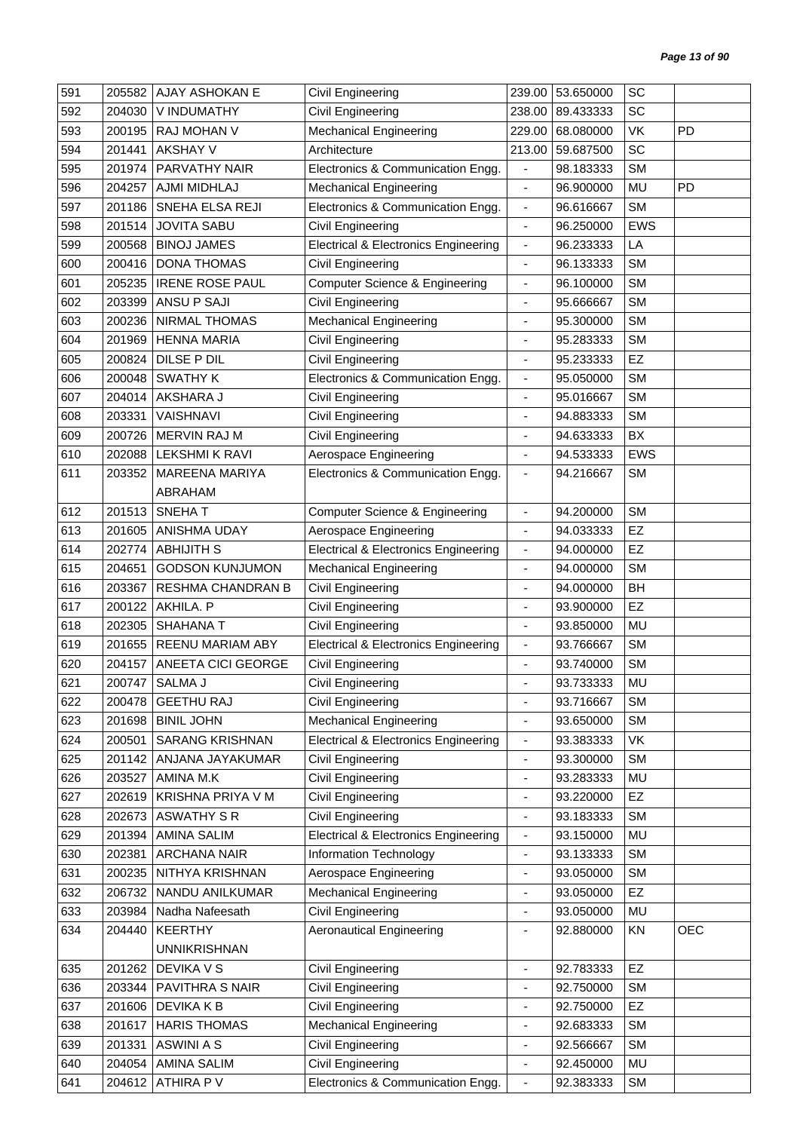| 591 | 205582 | AJAY ASHOKAN E         | Civil Engineering                               |                              | 239.00 53.650000 | SC         |            |
|-----|--------|------------------------|-------------------------------------------------|------------------------------|------------------|------------|------------|
| 592 | 204030 | V INDUMATHY            | Civil Engineering                               | 238.00                       | 89.433333        | SC         |            |
| 593 | 200195 | RAJ MOHAN V            | <b>Mechanical Engineering</b>                   | 229.00                       | 68.080000        | VK         | PD         |
| 594 | 201441 | <b>AKSHAY V</b>        | Architecture                                    | 213.00                       | 59.687500        | SC         |            |
| 595 | 201974 | PARVATHY NAIR          | Electronics & Communication Engg.               | $\blacksquare$               | 98.183333        | <b>SM</b>  |            |
| 596 | 204257 | AJMI MIDHLAJ           | <b>Mechanical Engineering</b>                   | $\frac{1}{2}$                | 96.900000        | MU         | <b>PD</b>  |
| 597 | 201186 | SNEHA ELSA REJI        | Electronics & Communication Engg.               | $\blacksquare$               | 96.616667        | <b>SM</b>  |            |
| 598 | 201514 | <b>JOVITA SABU</b>     | Civil Engineering                               | $\overline{\phantom{a}}$     | 96.250000        | <b>EWS</b> |            |
| 599 | 200568 | <b>BINOJ JAMES</b>     | <b>Electrical &amp; Electronics Engineering</b> | $\overline{\phantom{a}}$     | 96.233333        | LA         |            |
| 600 | 200416 | <b>DONA THOMAS</b>     | Civil Engineering                               | $\qquad \qquad \blacksquare$ | 96.133333        | <b>SM</b>  |            |
| 601 | 205235 | <b>IRENE ROSE PAUL</b> | <b>Computer Science &amp; Engineering</b>       | ÷,                           | 96.100000        | <b>SM</b>  |            |
| 602 | 203399 | ANSU P SAJI            | Civil Engineering                               | $\overline{\phantom{a}}$     | 95.666667        | <b>SM</b>  |            |
| 603 | 200236 | NIRMAL THOMAS          | <b>Mechanical Engineering</b>                   | $\blacksquare$               | 95.300000        | <b>SM</b>  |            |
| 604 | 201969 | <b>HENNA MARIA</b>     | Civil Engineering                               |                              | 95.283333        | <b>SM</b>  |            |
| 605 | 200824 | DILSE P DIL            | Civil Engineering                               | $\overline{\phantom{a}}$     | 95.233333        | EZ         |            |
| 606 | 200048 | <b>SWATHY K</b>        | Electronics & Communication Engg.               | $\overline{\phantom{a}}$     | 95.050000        | <b>SM</b>  |            |
| 607 | 204014 | AKSHARA J              | Civil Engineering                               | ä,                           | 95.016667        | <b>SM</b>  |            |
| 608 | 203331 | <b>VAISHNAVI</b>       | Civil Engineering                               | ÷                            | 94.883333        | <b>SM</b>  |            |
| 609 | 200726 | MERVIN RAJ M           | Civil Engineering                               | $\overline{\phantom{a}}$     | 94.633333        | BX         |            |
| 610 | 202088 | <b>LEKSHMI K RAVI</b>  | Aerospace Engineering                           | $\overline{\phantom{a}}$     | 94.533333        | <b>EWS</b> |            |
| 611 | 203352 | MAREENA MARIYA         | Electronics & Communication Engg.               | $\blacksquare$               | 94.216667        | <b>SM</b>  |            |
|     |        | ABRAHAM                |                                                 |                              |                  |            |            |
| 612 | 201513 | SNEHAT                 | <b>Computer Science &amp; Engineering</b>       | $\blacksquare$               | 94.200000        | <b>SM</b>  |            |
| 613 | 201605 | ANISHMA UDAY           | Aerospace Engineering                           | $\overline{\phantom{a}}$     | 94.033333        | EZ         |            |
| 614 | 202774 | <b>ABHIJITH S</b>      | <b>Electrical &amp; Electronics Engineering</b> | $\blacksquare$               | 94.000000        | EZ         |            |
| 615 | 204651 | <b>GODSON KUNJUMON</b> | <b>Mechanical Engineering</b>                   | $\overline{\phantom{a}}$     | 94.000000        | <b>SM</b>  |            |
| 616 | 203367 | RESHMA CHANDRAN B      | Civil Engineering                               | $\blacksquare$               | 94.000000        | BH         |            |
| 617 | 200122 | AKHILA. P              | Civil Engineering                               | ÷,                           | 93.900000        | EZ         |            |
| 618 | 202305 | <b>SHAHANA T</b>       | Civil Engineering                               | $\overline{\phantom{a}}$     | 93.850000        | MU         |            |
| 619 | 201655 | REENU MARIAM ABY       | <b>Electrical &amp; Electronics Engineering</b> | $\overline{\phantom{a}}$     | 93.766667        | SM         |            |
| 620 | 204157 | ANEETA CICI GEORGE     | Civil Engineering                               | $\blacksquare$               | 93.740000        | <b>SM</b>  |            |
| 621 | 200747 | SALMA J                | Civil Engineering                               |                              | 93.733333        | MU         |            |
| 622 | 200478 | <b>GEETHU RAJ</b>      | Civil Engineering                               | $\blacksquare$               | 93.716667        | <b>SM</b>  |            |
| 623 | 201698 | <b>BINIL JOHN</b>      | <b>Mechanical Engineering</b>                   | $\overline{\phantom{a}}$     | 93.650000        | <b>SM</b>  |            |
| 624 | 200501 | <b>SARANG KRISHNAN</b> | <b>Electrical &amp; Electronics Engineering</b> | $\blacksquare$               | 93.383333        | VK         |            |
| 625 | 201142 | ANJANA JAYAKUMAR       | Civil Engineering                               | ÷,                           | 93.300000        | <b>SM</b>  |            |
| 626 | 203527 | AMINA M.K              | Civil Engineering                               | $\overline{\phantom{a}}$     | 93.283333        | MU         |            |
| 627 | 202619 | KRISHNA PRIYA V M      | Civil Engineering                               | $\overline{\phantom{a}}$     | 93.220000        | EZ         |            |
| 628 | 202673 | <b>ASWATHY S R</b>     | Civil Engineering                               | $\overline{\phantom{a}}$     | 93.183333        | <b>SM</b>  |            |
| 629 | 201394 | AMINA SALIM            | <b>Electrical &amp; Electronics Engineering</b> | $\overline{\phantom{a}}$     | 93.150000        | MU         |            |
| 630 | 202381 | ARCHANA NAIR           | Information Technology                          | $\overline{\phantom{a}}$     | 93.133333        | <b>SM</b>  |            |
| 631 | 200235 | NITHYA KRISHNAN        | Aerospace Engineering                           | $\overline{\phantom{a}}$     | 93.050000        | <b>SM</b>  |            |
| 632 | 206732 | NANDU ANILKUMAR        | <b>Mechanical Engineering</b>                   | $\overline{\phantom{a}}$     | 93.050000        | <b>EZ</b>  |            |
| 633 | 203984 | Nadha Nafeesath        | Civil Engineering                               | $\overline{\phantom{a}}$     | 93.050000        | MU         |            |
| 634 | 204440 | <b>KEERTHY</b>         | <b>Aeronautical Engineering</b>                 | $\overline{\phantom{a}}$     | 92.880000        | KN         | <b>OEC</b> |
|     |        | <b>UNNIKRISHNAN</b>    |                                                 |                              |                  |            |            |
| 635 | 201262 | DEVIKA V S             | Civil Engineering                               | $\blacksquare$               | 92.783333        | EZ         |            |
| 636 | 203344 | PAVITHRA S NAIR        | Civil Engineering                               | $\overline{\phantom{a}}$     | 92.750000        | <b>SM</b>  |            |
| 637 | 201606 | <b>DEVIKA K B</b>      | Civil Engineering                               | $\overline{\phantom{a}}$     | 92.750000        | EZ         |            |
| 638 | 201617 | <b>HARIS THOMAS</b>    | <b>Mechanical Engineering</b>                   | ٠                            | 92.683333        | <b>SM</b>  |            |
| 639 | 201331 | <b>ASWINI A S</b>      | Civil Engineering                               | $\overline{\phantom{a}}$     | 92.566667        | <b>SM</b>  |            |
| 640 | 204054 | <b>AMINA SALIM</b>     | Civil Engineering                               | $\overline{\phantom{a}}$     | 92.450000        | MU         |            |
| 641 | 204612 | ATHIRA P V             | Electronics & Communication Engg.               | $\overline{\phantom{a}}$     | 92.383333        | <b>SM</b>  |            |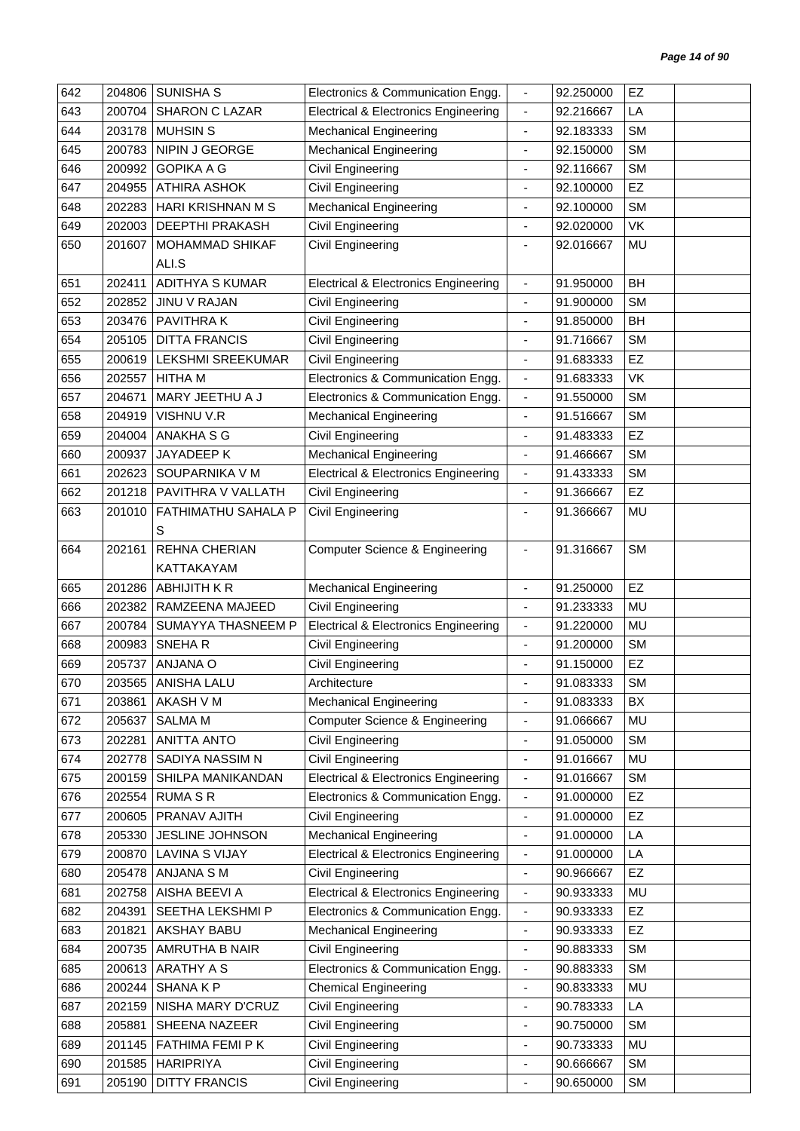| 642 | 204806 | <b>SUNISHA S</b>       | Electronics & Communication Engg.               | $\overline{\phantom{a}}$     | 92.250000 | EZ        |  |
|-----|--------|------------------------|-------------------------------------------------|------------------------------|-----------|-----------|--|
| 643 | 200704 | <b>SHARON C LAZAR</b>  | <b>Electrical &amp; Electronics Engineering</b> | $\blacksquare$               | 92.216667 | LA        |  |
| 644 | 203178 | <b>MUHSIN S</b>        | <b>Mechanical Engineering</b>                   | $\blacksquare$               | 92.183333 | <b>SM</b> |  |
| 645 | 200783 | NIPIN J GEORGE         | <b>Mechanical Engineering</b>                   | $\overline{\phantom{a}}$     | 92.150000 | <b>SM</b> |  |
| 646 | 200992 | <b>GOPIKA A G</b>      | Civil Engineering                               | ÷,                           | 92.116667 | <b>SM</b> |  |
| 647 | 204955 | <b>ATHIRA ASHOK</b>    | Civil Engineering                               | ÷,                           | 92.100000 | EZ        |  |
| 648 | 202283 | HARI KRISHNAN M S      | <b>Mechanical Engineering</b>                   | $\blacksquare$               | 92.100000 | <b>SM</b> |  |
| 649 | 202003 | DEEPTHI PRAKASH        | Civil Engineering                               | $\blacksquare$               | 92.020000 | VK        |  |
| 650 | 201607 | MOHAMMAD SHIKAF        | Civil Engineering                               | $\blacksquare$               | 92.016667 | MU        |  |
|     |        | ALI.S                  |                                                 |                              |           |           |  |
| 651 | 202411 | <b>ADITHYA S KUMAR</b> | <b>Electrical &amp; Electronics Engineering</b> | $\blacksquare$               | 91.950000 | <b>BH</b> |  |
| 652 | 202852 | JINU V RAJAN           | Civil Engineering                               |                              | 91.900000 | <b>SM</b> |  |
|     |        | PAVITHRA K             |                                                 |                              |           | <b>BH</b> |  |
| 653 | 203476 |                        | Civil Engineering                               | $\blacksquare$               | 91.850000 |           |  |
| 654 | 205105 | <b>DITTA FRANCIS</b>   | Civil Engineering                               |                              | 91.716667 | <b>SM</b> |  |
| 655 | 200619 | LEKSHMI SREEKUMAR      | Civil Engineering                               | $\overline{\phantom{a}}$     | 91.683333 | EZ        |  |
| 656 | 202557 | <b>HITHA M</b>         | Electronics & Communication Engg.               | $\blacksquare$               | 91.683333 | VK        |  |
| 657 | 204671 | MARY JEETHU A J        | Electronics & Communication Engg.               | $\blacksquare$               | 91.550000 | <b>SM</b> |  |
| 658 | 204919 | VISHNU V.R             | <b>Mechanical Engineering</b>                   | $\blacksquare$               | 91.516667 | <b>SM</b> |  |
| 659 | 204004 | ANAKHA S G             | Civil Engineering                               | $\blacksquare$               | 91.483333 | EZ        |  |
| 660 | 200937 | JAYADEEP K             | <b>Mechanical Engineering</b>                   | $\blacksquare$               | 91.466667 | <b>SM</b> |  |
| 661 | 202623 | SOUPARNIKA V M         | <b>Electrical &amp; Electronics Engineering</b> | $\overline{\phantom{a}}$     | 91.433333 | <b>SM</b> |  |
| 662 | 201218 | PAVITHRA V VALLATH     | <b>Civil Engineering</b>                        | $\blacksquare$               | 91.366667 | EZ        |  |
| 663 | 201010 | FATHIMATHU SAHALA P    | <b>Civil Engineering</b>                        | $\blacksquare$               | 91.366667 | MU        |  |
|     |        | S                      |                                                 |                              |           |           |  |
| 664 | 202161 | <b>REHNA CHERIAN</b>   | Computer Science & Engineering                  | $\overline{\phantom{a}}$     | 91.316667 | <b>SM</b> |  |
|     |        | KATTAKAYAM             |                                                 |                              |           |           |  |
| 665 | 201286 | ABHIJITH K R           | <b>Mechanical Engineering</b>                   | $\overline{\phantom{a}}$     | 91.250000 | EZ        |  |
| 666 | 202382 | RAMZEENA MAJEED        | Civil Engineering                               |                              | 91.233333 | MU        |  |
| 667 | 200784 | SUMAYYA THASNEEM P     | <b>Electrical &amp; Electronics Engineering</b> | $\overline{\phantom{a}}$     | 91.220000 | MU        |  |
| 668 | 200983 | SNEHAR                 | <b>Civil Engineering</b>                        | $\blacksquare$               | 91.200000 | <b>SM</b> |  |
| 669 | 205737 | ANJANA O               | Civil Engineering                               |                              | 91.150000 | EZ        |  |
| 670 | 203565 | ANISHA LALU            | Architecture                                    |                              | 91.083333 | SM        |  |
| 671 | 203861 | AKASH V M              | <b>Mechanical Engineering</b>                   | $\overline{\phantom{a}}$     | 91.083333 | BX        |  |
| 672 | 205637 | <b>SALMA M</b>         | <b>Computer Science &amp; Engineering</b>       | $\qquad \qquad \blacksquare$ | 91.066667 | MU        |  |
| 673 | 202281 | <b>ANITTA ANTO</b>     | Civil Engineering                               | $\overline{\phantom{a}}$     | 91.050000 | <b>SM</b> |  |
| 674 | 202778 | SADIYA NASSIM N        | Civil Engineering                               | $\blacksquare$               | 91.016667 | MU        |  |
| 675 | 200159 | SHILPA MANIKANDAN      | <b>Electrical &amp; Electronics Engineering</b> | $\overline{\phantom{a}}$     | 91.016667 | <b>SM</b> |  |
| 676 | 202554 | <b>RUMA S R</b>        | Electronics & Communication Engg.               | $\blacksquare$               | 91.000000 | <b>EZ</b> |  |
| 677 | 200605 | PRANAV AJITH           | Civil Engineering                               | $\blacksquare$               | 91.000000 | EZ        |  |
| 678 | 205330 | JESLINE JOHNSON        | <b>Mechanical Engineering</b>                   | $\overline{\phantom{a}}$     | 91.000000 | LA        |  |
| 679 | 200870 | <b>LAVINA S VIJAY</b>  | <b>Electrical &amp; Electronics Engineering</b> | $\overline{\phantom{a}}$     | 91.000000 | LA        |  |
| 680 | 205478 | ANJANA S M             | Civil Engineering                               | $\blacksquare$               | 90.966667 | EZ        |  |
| 681 | 202758 | AISHA BEEVI A          | <b>Electrical &amp; Electronics Engineering</b> | $\blacksquare$               | 90.933333 | MU        |  |
| 682 |        | SEETHA LEKSHMI P       | Electronics & Communication Engg.               |                              |           | EZ        |  |
|     | 204391 |                        |                                                 | $\overline{\phantom{a}}$     | 90.933333 |           |  |
| 683 | 201821 | AKSHAY BABU            | <b>Mechanical Engineering</b>                   | $\overline{\phantom{a}}$     | 90.933333 | EZ        |  |
| 684 | 200735 | AMRUTHA B NAIR         | Civil Engineering                               | $\overline{\phantom{a}}$     | 90.883333 | <b>SM</b> |  |
| 685 | 200613 | ARATHY A S             | Electronics & Communication Engg.               | $\blacksquare$               | 90.883333 | <b>SM</b> |  |
| 686 | 200244 | <b>SHANAKP</b>         | <b>Chemical Engineering</b>                     | $\qquad \qquad \blacksquare$ | 90.833333 | MU        |  |
| 687 | 202159 | NISHA MARY D'CRUZ      | Civil Engineering                               | $\blacksquare$               | 90.783333 | LA        |  |
| 688 | 205881 | SHEENA NAZEER          | Civil Engineering                               |                              | 90.750000 | <b>SM</b> |  |
| 689 | 201145 | FATHIMA FEMI P K       | Civil Engineering                               | $\qquad \qquad \blacksquare$ | 90.733333 | MU        |  |
| 690 | 201585 | <b>HARIPRIYA</b>       | Civil Engineering                               | $\blacksquare$               | 90.666667 | <b>SM</b> |  |
| 691 | 205190 | <b>DITTY FRANCIS</b>   | Civil Engineering                               | $\overline{\phantom{a}}$     | 90.650000 | <b>SM</b> |  |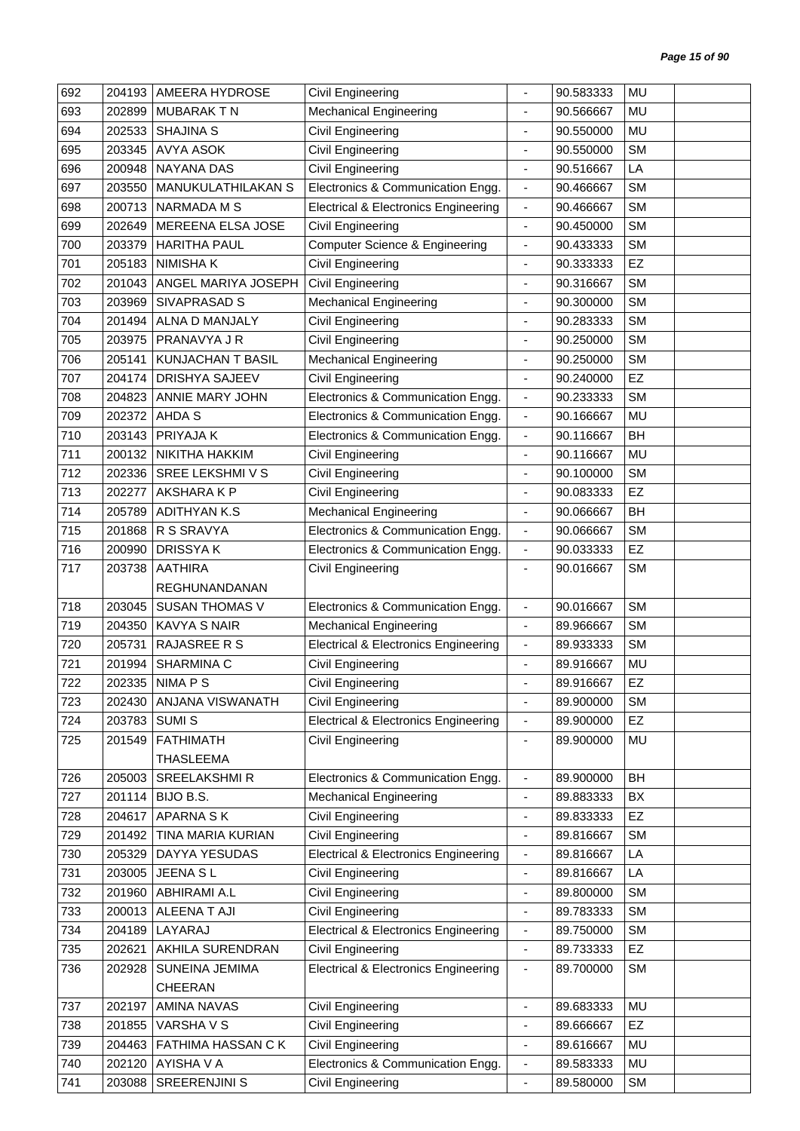| 692 | 204193 | AMEERA HYDROSE           | Civil Engineering                               |                          | 90.583333 | MU        |  |
|-----|--------|--------------------------|-------------------------------------------------|--------------------------|-----------|-----------|--|
| 693 | 202899 | <b>MUBARAKTN</b>         | <b>Mechanical Engineering</b>                   | $\overline{\phantom{a}}$ | 90.566667 | MU        |  |
| 694 | 202533 | <b>SHAJINA S</b>         | Civil Engineering                               | $\overline{\phantom{a}}$ | 90.550000 | MU        |  |
| 695 | 203345 | <b>AVYA ASOK</b>         | Civil Engineering                               | ÷                        | 90.550000 | <b>SM</b> |  |
| 696 | 200948 | <b>NAYANA DAS</b>        | Civil Engineering                               | $\overline{\phantom{a}}$ | 90.516667 | LA        |  |
| 697 | 203550 | MANUKULATHILAKAN S       | Electronics & Communication Engg.               | $\overline{\phantom{a}}$ | 90.466667 | <b>SM</b> |  |
| 698 | 200713 | <b>NARMADA M S</b>       | <b>Electrical &amp; Electronics Engineering</b> | $\overline{\phantom{a}}$ | 90.466667 | <b>SM</b> |  |
| 699 | 202649 | MEREENA ELSA JOSE        | Civil Engineering                               | $\blacksquare$           | 90.450000 | <b>SM</b> |  |
| 700 | 203379 | <b>HARITHA PAUL</b>      | <b>Computer Science &amp; Engineering</b>       | $\overline{\phantom{a}}$ | 90.433333 | <b>SM</b> |  |
| 701 | 205183 | NIMISHA K                | Civil Engineering                               | $\overline{\phantom{a}}$ | 90.333333 | EZ        |  |
| 702 | 201043 | ANGEL MARIYA JOSEPH      | <b>Civil Engineering</b>                        | $\blacksquare$           | 90.316667 | <b>SM</b> |  |
| 703 | 203969 | SIVAPRASAD S             | <b>Mechanical Engineering</b>                   | ä,                       | 90.300000 | <b>SM</b> |  |
| 704 | 201494 | ALNA D MANJALY           | Civil Engineering                               | $\overline{\phantom{a}}$ | 90.283333 | <b>SM</b> |  |
| 705 | 203975 | PRANAVYA J R             | Civil Engineering                               | $\overline{\phantom{a}}$ | 90.250000 | <b>SM</b> |  |
| 706 | 205141 | <b>KUNJACHAN T BASIL</b> | <b>Mechanical Engineering</b>                   | $\blacksquare$           | 90.250000 | <b>SM</b> |  |
| 707 | 204174 | <b>DRISHYA SAJEEV</b>    | Civil Engineering                               | $\overline{\phantom{a}}$ | 90.240000 | EZ        |  |
| 708 | 204823 | ANNIE MARY JOHN          | Electronics & Communication Engg.               | $\blacksquare$           | 90.233333 | <b>SM</b> |  |
| 709 | 202372 | AHDA S                   | Electronics & Communication Engg.               | $\overline{\phantom{a}}$ | 90.166667 | MU        |  |
| 710 | 203143 | PRIYAJA K                | Electronics & Communication Engg.               | $\blacksquare$           | 90.116667 | BH        |  |
| 711 | 200132 | NIKITHA HAKKIM           | Civil Engineering                               | ä,                       | 90.116667 | MU        |  |
| 712 | 202336 | SREE LEKSHMI V S         | Civil Engineering                               | $\overline{\phantom{a}}$ | 90.100000 | <b>SM</b> |  |
| 713 | 202277 | AKSHARA K P              | Civil Engineering                               | $\blacksquare$           | 90.083333 | EZ        |  |
| 714 | 205789 | ADITHYAN K.S             | <b>Mechanical Engineering</b>                   | $\overline{\phantom{a}}$ | 90.066667 | <b>BH</b> |  |
| 715 | 201868 | R S SRAVYA               | Electronics & Communication Engg.               | $\overline{\phantom{a}}$ | 90.066667 | <b>SM</b> |  |
| 716 | 200990 | <b>DRISSYAK</b>          | Electronics & Communication Engg.               | $\blacksquare$           | 90.033333 | EZ        |  |
| 717 | 203738 | <b>AATHIRA</b>           | Civil Engineering                               | $\overline{\phantom{a}}$ | 90.016667 | <b>SM</b> |  |
|     |        | REGHUNANDANAN            |                                                 |                          |           |           |  |
| 718 | 203045 | <b>SUSAN THOMAS V</b>    | Electronics & Communication Engg.               | $\blacksquare$           | 90.016667 | <b>SM</b> |  |
| 719 | 204350 | <b>KAVYA S NAIR</b>      | <b>Mechanical Engineering</b>                   | $\overline{\phantom{a}}$ | 89.966667 | <b>SM</b> |  |
| 720 | 205731 | <b>RAJASREE R S</b>      | <b>Electrical &amp; Electronics Engineering</b> | $\blacksquare$           | 89.933333 | <b>SM</b> |  |
| 721 | 201994 | SHARMINA C               | Civil Engineering                               |                          | 89.916667 | MU        |  |
| 722 |        | 202335 NIMA P S          | Civil Engineering                               |                          | 89.916667 | EZ        |  |
| 723 | 202430 | ANJANA VISWANATH         | Civil Engineering                               | $\blacksquare$           | 89.900000 | <b>SM</b> |  |
| 724 | 203783 | <b>SUMIS</b>             | <b>Electrical &amp; Electronics Engineering</b> | $\overline{\phantom{a}}$ | 89.900000 | <b>EZ</b> |  |
| 725 | 201549 | <b>FATHIMATH</b>         | Civil Engineering                               | $\blacksquare$           | 89.900000 | MU        |  |
|     |        | <b>THASLEEMA</b>         |                                                 |                          |           |           |  |
| 726 | 205003 | SREELAKSHMI R            | Electronics & Communication Engg.               | $\blacksquare$           | 89.900000 | BH        |  |
| 727 | 201114 | BIJO B.S.                | <b>Mechanical Engineering</b>                   | $\overline{\phantom{a}}$ | 89.883333 | BX        |  |
| 728 | 204617 | APARNA SK                | Civil Engineering                               | $\overline{\phantom{a}}$ | 89.833333 | EZ        |  |
| 729 | 201492 | TINA MARIA KURIAN        | Civil Engineering                               | $\overline{\phantom{a}}$ | 89.816667 | <b>SM</b> |  |
| 730 | 205329 | DAYYA YESUDAS            | <b>Electrical &amp; Electronics Engineering</b> | $\blacksquare$           | 89.816667 | LA        |  |
| 731 | 203005 | JEENA SL                 | Civil Engineering                               | $\blacksquare$           | 89.816667 | LA        |  |
| 732 | 201960 | ABHIRAMI A.L             | Civil Engineering                               | $\overline{\phantom{a}}$ | 89.800000 | <b>SM</b> |  |
| 733 | 200013 | ALEENA T AJI             | Civil Engineering                               | $\overline{\phantom{a}}$ | 89.783333 | <b>SM</b> |  |
| 734 | 204189 | LAYARAJ                  | <b>Electrical &amp; Electronics Engineering</b> | $\overline{\phantom{a}}$ | 89.750000 | <b>SM</b> |  |
| 735 | 202621 | AKHILA SURENDRAN         | Civil Engineering                               | $\overline{\phantom{a}}$ | 89.733333 | EZ        |  |
| 736 | 202928 | SUNEINA JEMIMA           | <b>Electrical &amp; Electronics Engineering</b> | $\overline{\phantom{a}}$ | 89.700000 | <b>SM</b> |  |
|     |        | <b>CHEERAN</b>           |                                                 |                          |           |           |  |
| 737 | 202197 | AMINA NAVAS              | Civil Engineering                               | $\overline{\phantom{a}}$ | 89.683333 | MU        |  |
| 738 | 201855 | VARSHA V S               | Civil Engineering                               | $\blacksquare$           | 89.666667 | EZ        |  |
| 739 | 204463 | FATHIMA HASSAN C K       | Civil Engineering                               | $\overline{\phantom{a}}$ | 89.616667 | MU        |  |
| 740 | 202120 | AYISHA V A               | Electronics & Communication Engg.               | $\overline{\phantom{a}}$ | 89.583333 | MU        |  |
| 741 | 203088 | <b>SREERENJINI S</b>     | Civil Engineering                               | $\blacksquare$           | 89.580000 | <b>SM</b> |  |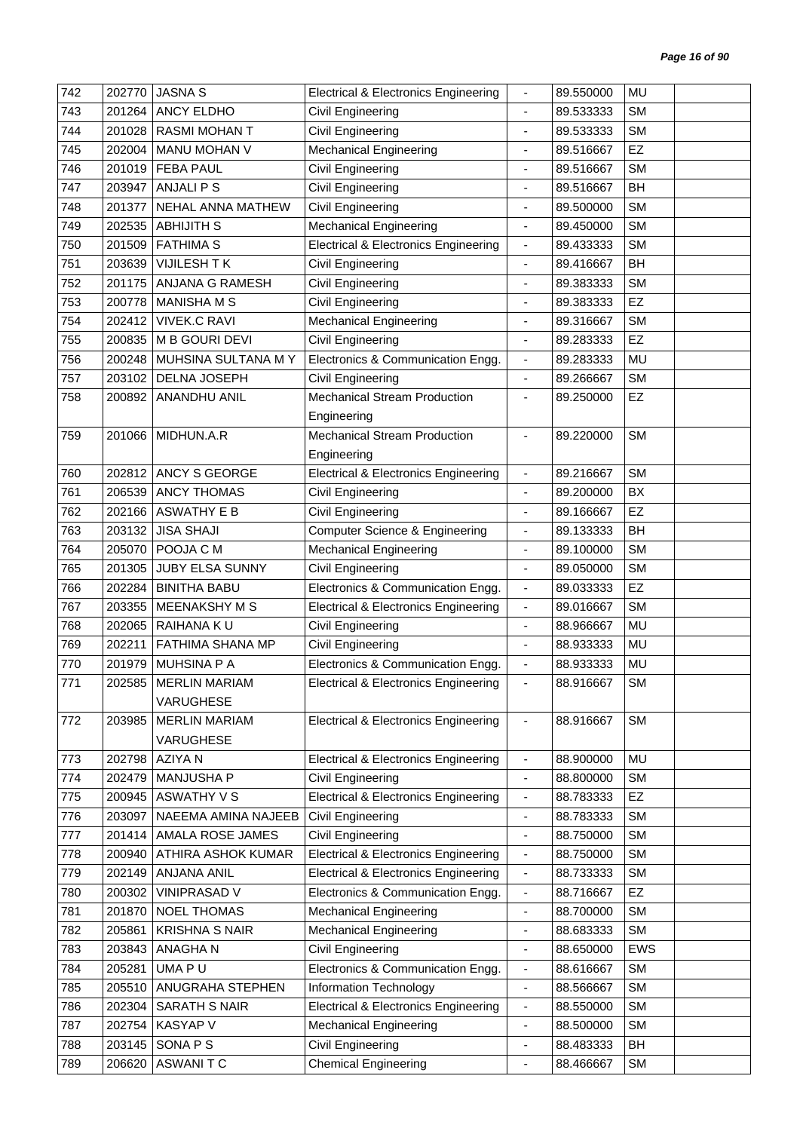| ANCY ELDHO<br><b>SM</b><br>743<br>201264<br>Civil Engineering<br>89.533333<br>$\blacksquare$<br><b>RASMI MOHAN T</b><br><b>SM</b><br>744<br>201028<br>Civil Engineering<br>89.533333<br>$\overline{\phantom{a}}$<br>745<br><b>Mechanical Engineering</b><br>EZ<br>202004<br>MANU MOHAN V<br>89.516667<br>$\overline{\phantom{a}}$<br>201019<br><b>FEBA PAUL</b><br>Civil Engineering<br>746<br>89.516667<br><b>SM</b><br>$\blacksquare$<br><b>ANJALIPS</b><br>Civil Engineering<br>BH<br>747<br>203947<br>89.516667<br>$\blacksquare$<br>Civil Engineering<br><b>SM</b><br>748<br>201377<br>NEHAL ANNA MATHEW<br>89.500000<br>$\overline{\phantom{a}}$<br>749<br><b>ABHIJITH S</b><br><b>Mechanical Engineering</b><br><b>SM</b><br>202535<br>89.450000<br>$\overline{\phantom{a}}$<br><b>SM</b><br>750<br>201509<br><b>FATHIMA S</b><br><b>Electrical &amp; Electronics Engineering</b><br>89.433333<br>$\overline{\phantom{a}}$<br>VIJILESH TK<br>751<br>203639<br>Civil Engineering<br>89.416667<br>BH<br>$\qquad \qquad \blacksquare$<br>752<br>201175<br>ANJANA G RAMESH<br>Civil Engineering<br>89.383333<br><b>SM</b><br>$\overline{\phantom{a}}$<br><b>MANISHA M S</b><br>Civil Engineering<br>EZ<br>753<br>200778<br>89.383333<br>$\blacksquare$<br><b>Mechanical Engineering</b><br><b>VIVEK.C RAVI</b><br><b>SM</b><br>754<br>202412<br>89.316667<br>$\overline{\phantom{a}}$<br><b>EZ</b><br>755<br>200835<br>M B GOURI DEVI<br><b>Civil Engineering</b><br>89.283333<br>$\overline{\phantom{a}}$<br>MUHSINA SULTANA MY<br>Electronics & Communication Engg.<br><b>MU</b><br>756<br>200248<br>89.283333<br>$\overline{\phantom{a}}$<br>203102<br><b>SM</b><br>757<br>DELNA JOSEPH<br>Civil Engineering<br>89.266667<br>$\overline{\phantom{a}}$<br>Mechanical Stream Production<br>EZ<br>758<br>200892<br>ANANDHU ANIL<br>89.250000<br>$\blacksquare$<br>Engineering<br><b>Mechanical Stream Production</b><br>MIDHUN.A.R<br><b>SM</b><br>759<br>201066<br>89.220000<br>$\blacksquare$<br>Engineering<br>ANCY S GEORGE<br><b>SM</b><br>760<br>202812<br><b>Electrical &amp; Electronics Engineering</b><br>89.216667<br>$\overline{\phantom{a}}$<br>206539<br><b>ANCY THOMAS</b><br>Civil Engineering<br>89.200000<br>BX<br>761<br>$\overline{\phantom{a}}$<br><b>ASWATHY E B</b><br><b>Civil Engineering</b><br>EZ<br>762<br>202166<br>89.166667<br>$\blacksquare$<br><b>Computer Science &amp; Engineering</b><br>203132<br><b>JISA SHAJI</b><br>BH<br>763<br>89.133333<br>$\blacksquare$<br><b>SM</b><br>POOJA C M<br><b>Mechanical Engineering</b><br>764<br>205070<br>89.100000<br>$\overline{\phantom{a}}$<br>Civil Engineering<br><b>SM</b><br>765<br>201305<br><b>JUBY ELSA SUNNY</b><br>89.050000<br>$\blacksquare$<br>202284<br><b>BINITHA BABU</b><br>Electronics & Communication Engg.<br>EZ<br>766<br>89.033333<br>$\overline{\phantom{a}}$<br><b>SM</b><br>767<br>203355<br><b>MEENAKSHY M S</b><br><b>Electrical &amp; Electronics Engineering</b><br>89.016667<br>$\blacksquare$<br>768<br>202065<br>RAIHANA KU<br>Civil Engineering<br>88.966667<br>MU<br>$\qquad \qquad \blacksquare$<br>769<br>202211<br><b>FATHIMA SHANA MP</b><br>Civil Engineering<br>MU<br>88.933333<br>$\overline{\phantom{a}}$<br><b>MUHSINA P A</b><br>Electronics & Communication Engg.<br>MU<br>770<br>201979<br>88.933333<br>$\blacksquare$<br><b>SM</b><br>771<br>202585<br><b>MERLIN MARIAM</b><br><b>Electrical &amp; Electronics Engineering</b><br>88.916667<br>-<br>VARUGHESE<br>772<br><b>SM</b><br>203985<br><b>MERLIN MARIAM</b><br><b>Electrical &amp; Electronics Engineering</b><br>88.916667<br>$\overline{\phantom{a}}$<br><b>VARUGHESE</b><br><b>MU</b><br>202798<br>AZIYA N<br>773<br>Electrical & Electronics Engineering<br>88.900000<br>$\blacksquare$<br>MANJUSHA P<br>Civil Engineering<br><b>SM</b><br>774<br>202479<br>88.800000<br>$\blacksquare$<br><b>ASWATHY V S</b><br><b>Electrical &amp; Electronics Engineering</b><br><b>EZ</b><br>775<br>200945<br>88.783333<br>$\qquad \qquad \blacksquare$<br><b>SM</b><br>776<br>203097<br>NAEEMA AMINA NAJEEB<br>Civil Engineering<br>88.783333<br>$\frac{1}{2}$<br>777<br>AMALA ROSE JAMES<br>Civil Engineering<br>88.750000<br><b>SM</b><br>201414<br>$\qquad \qquad \blacksquare$<br>200940<br>ATHIRA ASHOK KUMAR<br><b>Electrical &amp; Electronics Engineering</b><br><b>SM</b><br>778<br>88.750000<br>$\blacksquare$<br><b>ANJANA ANIL</b><br><b>Electrical &amp; Electronics Engineering</b><br><b>SM</b><br>779<br>202149<br>88.733333<br>$\overline{\phantom{a}}$<br><b>VINIPRASAD V</b><br><b>EZ</b><br>780<br>200302<br>Electronics & Communication Engg.<br>88.716667<br>$\overline{\phantom{a}}$<br>781<br>NOEL THOMAS<br><b>SM</b><br>201870<br><b>Mechanical Engineering</b><br>88.700000<br>$\overline{\phantom{a}}$<br><b>SM</b><br>782<br>205861<br><b>KRISHNA S NAIR</b><br><b>Mechanical Engineering</b><br>88.683333<br>$\overline{\phantom{a}}$<br>783<br>203843<br><b>ANAGHAN</b><br>Civil Engineering<br>88.650000<br><b>EWS</b><br>$\blacksquare$<br>205281<br>UMA PU<br>Electronics & Communication Engg.<br>88.616667<br><b>SM</b><br>784<br>$\overline{\phantom{a}}$<br><b>SM</b><br>785<br>205510<br>ANUGRAHA STEPHEN<br>Information Technology<br>88.566667<br>$\overline{\phantom{a}}$<br><b>Electrical &amp; Electronics Engineering</b><br><b>SM</b><br>202304<br>SARATH S NAIR<br>88.550000<br>786<br>$\qquad \qquad \blacksquare$<br><b>SM</b><br>787<br>202754<br><b>KASYAP V</b><br><b>Mechanical Engineering</b><br>88.500000<br>ä,<br>SONA P S<br>203145<br>Civil Engineering<br>88.483333<br>BH<br>788<br>$\qquad \qquad \blacksquare$<br><b>ASWANITC</b><br><b>Chemical Engineering</b><br>789<br>206620<br>88.466667<br><b>SM</b><br>$\overline{\phantom{a}}$ | 742 | 202770 | <b>JASNA S</b> | <b>Electrical &amp; Electronics Engineering</b> | $\overline{\phantom{a}}$ | 89.550000 | MU |  |
|---------------------------------------------------------------------------------------------------------------------------------------------------------------------------------------------------------------------------------------------------------------------------------------------------------------------------------------------------------------------------------------------------------------------------------------------------------------------------------------------------------------------------------------------------------------------------------------------------------------------------------------------------------------------------------------------------------------------------------------------------------------------------------------------------------------------------------------------------------------------------------------------------------------------------------------------------------------------------------------------------------------------------------------------------------------------------------------------------------------------------------------------------------------------------------------------------------------------------------------------------------------------------------------------------------------------------------------------------------------------------------------------------------------------------------------------------------------------------------------------------------------------------------------------------------------------------------------------------------------------------------------------------------------------------------------------------------------------------------------------------------------------------------------------------------------------------------------------------------------------------------------------------------------------------------------------------------------------------------------------------------------------------------------------------------------------------------------------------------------------------------------------------------------------------------------------------------------------------------------------------------------------------------------------------------------------------------------------------------------------------------------------------------------------------------------------------------------------------------------------------------------------------------------------------------------------------------------------------------------------------------------------------------------------------------------------------------------------------------------------------------------------------------------------------------------------------------------------------------------------------------------------------------------------------------------------------------------------------------------------------------------------------------------------------------------------------------------------------------------------------------------------------------------------------------------------------------------------------------------------------------------------------------------------------------------------------------------------------------------------------------------------------------------------------------------------------------------------------------------------------------------------------------------------------------------------------------------------------------------------------------------------------------------------------------------------------------------------------------------------------------------------------------------------------------------------------------------------------------------------------------------------------------------------------------------------------------------------------------------------------------------------------------------------------------------------------------------------------------------------------------------------------------------------------------------------------------------------------------------------------------------------------------------------------------------------------------------------------------------------------------------------------------------------------------------------------------------------------------------------------------------------------------------------------------------------------------------------------------------------------------------------------------------------------------------------------------------------------------------------------------------------------------------------------------------------------------------------------------------------------------------------------------------------------------------------------------------------------------------------------------------------------------------------------------------------------------------------------------------------------------------------------------------------------------------------------------------------------------------------------------------------------------------------------------------------------------------------------------------------------------------------------------------------------------------------------------------------------------------------------------------------------------------------------------------------------------------------------------------------------------------------------------------------------------------------------------------------------------------------------------------------------------------|-----|--------|----------------|-------------------------------------------------|--------------------------|-----------|----|--|
|                                                                                                                                                                                                                                                                                                                                                                                                                                                                                                                                                                                                                                                                                                                                                                                                                                                                                                                                                                                                                                                                                                                                                                                                                                                                                                                                                                                                                                                                                                                                                                                                                                                                                                                                                                                                                                                                                                                                                                                                                                                                                                                                                                                                                                                                                                                                                                                                                                                                                                                                                                                                                                                                                                                                                                                                                                                                                                                                                                                                                                                                                                                                                                                                                                                                                                                                                                                                                                                                                                                                                                                                                                                                                                                                                                                                                                                                                                                                                                                                                                                                                                                                                                                                                                                                                                                                                                                                                                                                                                                                                                                                                                                                                                                                                                                                                                                                                                                                                                                                                                                                                                                                                                                                                                                                                                                                                                                                                                                                                                                                                                                                                                                                                                                                                                                       |     |        |                |                                                 |                          |           |    |  |
|                                                                                                                                                                                                                                                                                                                                                                                                                                                                                                                                                                                                                                                                                                                                                                                                                                                                                                                                                                                                                                                                                                                                                                                                                                                                                                                                                                                                                                                                                                                                                                                                                                                                                                                                                                                                                                                                                                                                                                                                                                                                                                                                                                                                                                                                                                                                                                                                                                                                                                                                                                                                                                                                                                                                                                                                                                                                                                                                                                                                                                                                                                                                                                                                                                                                                                                                                                                                                                                                                                                                                                                                                                                                                                                                                                                                                                                                                                                                                                                                                                                                                                                                                                                                                                                                                                                                                                                                                                                                                                                                                                                                                                                                                                                                                                                                                                                                                                                                                                                                                                                                                                                                                                                                                                                                                                                                                                                                                                                                                                                                                                                                                                                                                                                                                                                       |     |        |                |                                                 |                          |           |    |  |
|                                                                                                                                                                                                                                                                                                                                                                                                                                                                                                                                                                                                                                                                                                                                                                                                                                                                                                                                                                                                                                                                                                                                                                                                                                                                                                                                                                                                                                                                                                                                                                                                                                                                                                                                                                                                                                                                                                                                                                                                                                                                                                                                                                                                                                                                                                                                                                                                                                                                                                                                                                                                                                                                                                                                                                                                                                                                                                                                                                                                                                                                                                                                                                                                                                                                                                                                                                                                                                                                                                                                                                                                                                                                                                                                                                                                                                                                                                                                                                                                                                                                                                                                                                                                                                                                                                                                                                                                                                                                                                                                                                                                                                                                                                                                                                                                                                                                                                                                                                                                                                                                                                                                                                                                                                                                                                                                                                                                                                                                                                                                                                                                                                                                                                                                                                                       |     |        |                |                                                 |                          |           |    |  |
|                                                                                                                                                                                                                                                                                                                                                                                                                                                                                                                                                                                                                                                                                                                                                                                                                                                                                                                                                                                                                                                                                                                                                                                                                                                                                                                                                                                                                                                                                                                                                                                                                                                                                                                                                                                                                                                                                                                                                                                                                                                                                                                                                                                                                                                                                                                                                                                                                                                                                                                                                                                                                                                                                                                                                                                                                                                                                                                                                                                                                                                                                                                                                                                                                                                                                                                                                                                                                                                                                                                                                                                                                                                                                                                                                                                                                                                                                                                                                                                                                                                                                                                                                                                                                                                                                                                                                                                                                                                                                                                                                                                                                                                                                                                                                                                                                                                                                                                                                                                                                                                                                                                                                                                                                                                                                                                                                                                                                                                                                                                                                                                                                                                                                                                                                                                       |     |        |                |                                                 |                          |           |    |  |
|                                                                                                                                                                                                                                                                                                                                                                                                                                                                                                                                                                                                                                                                                                                                                                                                                                                                                                                                                                                                                                                                                                                                                                                                                                                                                                                                                                                                                                                                                                                                                                                                                                                                                                                                                                                                                                                                                                                                                                                                                                                                                                                                                                                                                                                                                                                                                                                                                                                                                                                                                                                                                                                                                                                                                                                                                                                                                                                                                                                                                                                                                                                                                                                                                                                                                                                                                                                                                                                                                                                                                                                                                                                                                                                                                                                                                                                                                                                                                                                                                                                                                                                                                                                                                                                                                                                                                                                                                                                                                                                                                                                                                                                                                                                                                                                                                                                                                                                                                                                                                                                                                                                                                                                                                                                                                                                                                                                                                                                                                                                                                                                                                                                                                                                                                                                       |     |        |                |                                                 |                          |           |    |  |
|                                                                                                                                                                                                                                                                                                                                                                                                                                                                                                                                                                                                                                                                                                                                                                                                                                                                                                                                                                                                                                                                                                                                                                                                                                                                                                                                                                                                                                                                                                                                                                                                                                                                                                                                                                                                                                                                                                                                                                                                                                                                                                                                                                                                                                                                                                                                                                                                                                                                                                                                                                                                                                                                                                                                                                                                                                                                                                                                                                                                                                                                                                                                                                                                                                                                                                                                                                                                                                                                                                                                                                                                                                                                                                                                                                                                                                                                                                                                                                                                                                                                                                                                                                                                                                                                                                                                                                                                                                                                                                                                                                                                                                                                                                                                                                                                                                                                                                                                                                                                                                                                                                                                                                                                                                                                                                                                                                                                                                                                                                                                                                                                                                                                                                                                                                                       |     |        |                |                                                 |                          |           |    |  |
|                                                                                                                                                                                                                                                                                                                                                                                                                                                                                                                                                                                                                                                                                                                                                                                                                                                                                                                                                                                                                                                                                                                                                                                                                                                                                                                                                                                                                                                                                                                                                                                                                                                                                                                                                                                                                                                                                                                                                                                                                                                                                                                                                                                                                                                                                                                                                                                                                                                                                                                                                                                                                                                                                                                                                                                                                                                                                                                                                                                                                                                                                                                                                                                                                                                                                                                                                                                                                                                                                                                                                                                                                                                                                                                                                                                                                                                                                                                                                                                                                                                                                                                                                                                                                                                                                                                                                                                                                                                                                                                                                                                                                                                                                                                                                                                                                                                                                                                                                                                                                                                                                                                                                                                                                                                                                                                                                                                                                                                                                                                                                                                                                                                                                                                                                                                       |     |        |                |                                                 |                          |           |    |  |
|                                                                                                                                                                                                                                                                                                                                                                                                                                                                                                                                                                                                                                                                                                                                                                                                                                                                                                                                                                                                                                                                                                                                                                                                                                                                                                                                                                                                                                                                                                                                                                                                                                                                                                                                                                                                                                                                                                                                                                                                                                                                                                                                                                                                                                                                                                                                                                                                                                                                                                                                                                                                                                                                                                                                                                                                                                                                                                                                                                                                                                                                                                                                                                                                                                                                                                                                                                                                                                                                                                                                                                                                                                                                                                                                                                                                                                                                                                                                                                                                                                                                                                                                                                                                                                                                                                                                                                                                                                                                                                                                                                                                                                                                                                                                                                                                                                                                                                                                                                                                                                                                                                                                                                                                                                                                                                                                                                                                                                                                                                                                                                                                                                                                                                                                                                                       |     |        |                |                                                 |                          |           |    |  |
|                                                                                                                                                                                                                                                                                                                                                                                                                                                                                                                                                                                                                                                                                                                                                                                                                                                                                                                                                                                                                                                                                                                                                                                                                                                                                                                                                                                                                                                                                                                                                                                                                                                                                                                                                                                                                                                                                                                                                                                                                                                                                                                                                                                                                                                                                                                                                                                                                                                                                                                                                                                                                                                                                                                                                                                                                                                                                                                                                                                                                                                                                                                                                                                                                                                                                                                                                                                                                                                                                                                                                                                                                                                                                                                                                                                                                                                                                                                                                                                                                                                                                                                                                                                                                                                                                                                                                                                                                                                                                                                                                                                                                                                                                                                                                                                                                                                                                                                                                                                                                                                                                                                                                                                                                                                                                                                                                                                                                                                                                                                                                                                                                                                                                                                                                                                       |     |        |                |                                                 |                          |           |    |  |
|                                                                                                                                                                                                                                                                                                                                                                                                                                                                                                                                                                                                                                                                                                                                                                                                                                                                                                                                                                                                                                                                                                                                                                                                                                                                                                                                                                                                                                                                                                                                                                                                                                                                                                                                                                                                                                                                                                                                                                                                                                                                                                                                                                                                                                                                                                                                                                                                                                                                                                                                                                                                                                                                                                                                                                                                                                                                                                                                                                                                                                                                                                                                                                                                                                                                                                                                                                                                                                                                                                                                                                                                                                                                                                                                                                                                                                                                                                                                                                                                                                                                                                                                                                                                                                                                                                                                                                                                                                                                                                                                                                                                                                                                                                                                                                                                                                                                                                                                                                                                                                                                                                                                                                                                                                                                                                                                                                                                                                                                                                                                                                                                                                                                                                                                                                                       |     |        |                |                                                 |                          |           |    |  |
|                                                                                                                                                                                                                                                                                                                                                                                                                                                                                                                                                                                                                                                                                                                                                                                                                                                                                                                                                                                                                                                                                                                                                                                                                                                                                                                                                                                                                                                                                                                                                                                                                                                                                                                                                                                                                                                                                                                                                                                                                                                                                                                                                                                                                                                                                                                                                                                                                                                                                                                                                                                                                                                                                                                                                                                                                                                                                                                                                                                                                                                                                                                                                                                                                                                                                                                                                                                                                                                                                                                                                                                                                                                                                                                                                                                                                                                                                                                                                                                                                                                                                                                                                                                                                                                                                                                                                                                                                                                                                                                                                                                                                                                                                                                                                                                                                                                                                                                                                                                                                                                                                                                                                                                                                                                                                                                                                                                                                                                                                                                                                                                                                                                                                                                                                                                       |     |        |                |                                                 |                          |           |    |  |
|                                                                                                                                                                                                                                                                                                                                                                                                                                                                                                                                                                                                                                                                                                                                                                                                                                                                                                                                                                                                                                                                                                                                                                                                                                                                                                                                                                                                                                                                                                                                                                                                                                                                                                                                                                                                                                                                                                                                                                                                                                                                                                                                                                                                                                                                                                                                                                                                                                                                                                                                                                                                                                                                                                                                                                                                                                                                                                                                                                                                                                                                                                                                                                                                                                                                                                                                                                                                                                                                                                                                                                                                                                                                                                                                                                                                                                                                                                                                                                                                                                                                                                                                                                                                                                                                                                                                                                                                                                                                                                                                                                                                                                                                                                                                                                                                                                                                                                                                                                                                                                                                                                                                                                                                                                                                                                                                                                                                                                                                                                                                                                                                                                                                                                                                                                                       |     |        |                |                                                 |                          |           |    |  |
|                                                                                                                                                                                                                                                                                                                                                                                                                                                                                                                                                                                                                                                                                                                                                                                                                                                                                                                                                                                                                                                                                                                                                                                                                                                                                                                                                                                                                                                                                                                                                                                                                                                                                                                                                                                                                                                                                                                                                                                                                                                                                                                                                                                                                                                                                                                                                                                                                                                                                                                                                                                                                                                                                                                                                                                                                                                                                                                                                                                                                                                                                                                                                                                                                                                                                                                                                                                                                                                                                                                                                                                                                                                                                                                                                                                                                                                                                                                                                                                                                                                                                                                                                                                                                                                                                                                                                                                                                                                                                                                                                                                                                                                                                                                                                                                                                                                                                                                                                                                                                                                                                                                                                                                                                                                                                                                                                                                                                                                                                                                                                                                                                                                                                                                                                                                       |     |        |                |                                                 |                          |           |    |  |
|                                                                                                                                                                                                                                                                                                                                                                                                                                                                                                                                                                                                                                                                                                                                                                                                                                                                                                                                                                                                                                                                                                                                                                                                                                                                                                                                                                                                                                                                                                                                                                                                                                                                                                                                                                                                                                                                                                                                                                                                                                                                                                                                                                                                                                                                                                                                                                                                                                                                                                                                                                                                                                                                                                                                                                                                                                                                                                                                                                                                                                                                                                                                                                                                                                                                                                                                                                                                                                                                                                                                                                                                                                                                                                                                                                                                                                                                                                                                                                                                                                                                                                                                                                                                                                                                                                                                                                                                                                                                                                                                                                                                                                                                                                                                                                                                                                                                                                                                                                                                                                                                                                                                                                                                                                                                                                                                                                                                                                                                                                                                                                                                                                                                                                                                                                                       |     |        |                |                                                 |                          |           |    |  |
|                                                                                                                                                                                                                                                                                                                                                                                                                                                                                                                                                                                                                                                                                                                                                                                                                                                                                                                                                                                                                                                                                                                                                                                                                                                                                                                                                                                                                                                                                                                                                                                                                                                                                                                                                                                                                                                                                                                                                                                                                                                                                                                                                                                                                                                                                                                                                                                                                                                                                                                                                                                                                                                                                                                                                                                                                                                                                                                                                                                                                                                                                                                                                                                                                                                                                                                                                                                                                                                                                                                                                                                                                                                                                                                                                                                                                                                                                                                                                                                                                                                                                                                                                                                                                                                                                                                                                                                                                                                                                                                                                                                                                                                                                                                                                                                                                                                                                                                                                                                                                                                                                                                                                                                                                                                                                                                                                                                                                                                                                                                                                                                                                                                                                                                                                                                       |     |        |                |                                                 |                          |           |    |  |
|                                                                                                                                                                                                                                                                                                                                                                                                                                                                                                                                                                                                                                                                                                                                                                                                                                                                                                                                                                                                                                                                                                                                                                                                                                                                                                                                                                                                                                                                                                                                                                                                                                                                                                                                                                                                                                                                                                                                                                                                                                                                                                                                                                                                                                                                                                                                                                                                                                                                                                                                                                                                                                                                                                                                                                                                                                                                                                                                                                                                                                                                                                                                                                                                                                                                                                                                                                                                                                                                                                                                                                                                                                                                                                                                                                                                                                                                                                                                                                                                                                                                                                                                                                                                                                                                                                                                                                                                                                                                                                                                                                                                                                                                                                                                                                                                                                                                                                                                                                                                                                                                                                                                                                                                                                                                                                                                                                                                                                                                                                                                                                                                                                                                                                                                                                                       |     |        |                |                                                 |                          |           |    |  |
|                                                                                                                                                                                                                                                                                                                                                                                                                                                                                                                                                                                                                                                                                                                                                                                                                                                                                                                                                                                                                                                                                                                                                                                                                                                                                                                                                                                                                                                                                                                                                                                                                                                                                                                                                                                                                                                                                                                                                                                                                                                                                                                                                                                                                                                                                                                                                                                                                                                                                                                                                                                                                                                                                                                                                                                                                                                                                                                                                                                                                                                                                                                                                                                                                                                                                                                                                                                                                                                                                                                                                                                                                                                                                                                                                                                                                                                                                                                                                                                                                                                                                                                                                                                                                                                                                                                                                                                                                                                                                                                                                                                                                                                                                                                                                                                                                                                                                                                                                                                                                                                                                                                                                                                                                                                                                                                                                                                                                                                                                                                                                                                                                                                                                                                                                                                       |     |        |                |                                                 |                          |           |    |  |
|                                                                                                                                                                                                                                                                                                                                                                                                                                                                                                                                                                                                                                                                                                                                                                                                                                                                                                                                                                                                                                                                                                                                                                                                                                                                                                                                                                                                                                                                                                                                                                                                                                                                                                                                                                                                                                                                                                                                                                                                                                                                                                                                                                                                                                                                                                                                                                                                                                                                                                                                                                                                                                                                                                                                                                                                                                                                                                                                                                                                                                                                                                                                                                                                                                                                                                                                                                                                                                                                                                                                                                                                                                                                                                                                                                                                                                                                                                                                                                                                                                                                                                                                                                                                                                                                                                                                                                                                                                                                                                                                                                                                                                                                                                                                                                                                                                                                                                                                                                                                                                                                                                                                                                                                                                                                                                                                                                                                                                                                                                                                                                                                                                                                                                                                                                                       |     |        |                |                                                 |                          |           |    |  |
|                                                                                                                                                                                                                                                                                                                                                                                                                                                                                                                                                                                                                                                                                                                                                                                                                                                                                                                                                                                                                                                                                                                                                                                                                                                                                                                                                                                                                                                                                                                                                                                                                                                                                                                                                                                                                                                                                                                                                                                                                                                                                                                                                                                                                                                                                                                                                                                                                                                                                                                                                                                                                                                                                                                                                                                                                                                                                                                                                                                                                                                                                                                                                                                                                                                                                                                                                                                                                                                                                                                                                                                                                                                                                                                                                                                                                                                                                                                                                                                                                                                                                                                                                                                                                                                                                                                                                                                                                                                                                                                                                                                                                                                                                                                                                                                                                                                                                                                                                                                                                                                                                                                                                                                                                                                                                                                                                                                                                                                                                                                                                                                                                                                                                                                                                                                       |     |        |                |                                                 |                          |           |    |  |
|                                                                                                                                                                                                                                                                                                                                                                                                                                                                                                                                                                                                                                                                                                                                                                                                                                                                                                                                                                                                                                                                                                                                                                                                                                                                                                                                                                                                                                                                                                                                                                                                                                                                                                                                                                                                                                                                                                                                                                                                                                                                                                                                                                                                                                                                                                                                                                                                                                                                                                                                                                                                                                                                                                                                                                                                                                                                                                                                                                                                                                                                                                                                                                                                                                                                                                                                                                                                                                                                                                                                                                                                                                                                                                                                                                                                                                                                                                                                                                                                                                                                                                                                                                                                                                                                                                                                                                                                                                                                                                                                                                                                                                                                                                                                                                                                                                                                                                                                                                                                                                                                                                                                                                                                                                                                                                                                                                                                                                                                                                                                                                                                                                                                                                                                                                                       |     |        |                |                                                 |                          |           |    |  |
|                                                                                                                                                                                                                                                                                                                                                                                                                                                                                                                                                                                                                                                                                                                                                                                                                                                                                                                                                                                                                                                                                                                                                                                                                                                                                                                                                                                                                                                                                                                                                                                                                                                                                                                                                                                                                                                                                                                                                                                                                                                                                                                                                                                                                                                                                                                                                                                                                                                                                                                                                                                                                                                                                                                                                                                                                                                                                                                                                                                                                                                                                                                                                                                                                                                                                                                                                                                                                                                                                                                                                                                                                                                                                                                                                                                                                                                                                                                                                                                                                                                                                                                                                                                                                                                                                                                                                                                                                                                                                                                                                                                                                                                                                                                                                                                                                                                                                                                                                                                                                                                                                                                                                                                                                                                                                                                                                                                                                                                                                                                                                                                                                                                                                                                                                                                       |     |        |                |                                                 |                          |           |    |  |
|                                                                                                                                                                                                                                                                                                                                                                                                                                                                                                                                                                                                                                                                                                                                                                                                                                                                                                                                                                                                                                                                                                                                                                                                                                                                                                                                                                                                                                                                                                                                                                                                                                                                                                                                                                                                                                                                                                                                                                                                                                                                                                                                                                                                                                                                                                                                                                                                                                                                                                                                                                                                                                                                                                                                                                                                                                                                                                                                                                                                                                                                                                                                                                                                                                                                                                                                                                                                                                                                                                                                                                                                                                                                                                                                                                                                                                                                                                                                                                                                                                                                                                                                                                                                                                                                                                                                                                                                                                                                                                                                                                                                                                                                                                                                                                                                                                                                                                                                                                                                                                                                                                                                                                                                                                                                                                                                                                                                                                                                                                                                                                                                                                                                                                                                                                                       |     |        |                |                                                 |                          |           |    |  |
|                                                                                                                                                                                                                                                                                                                                                                                                                                                                                                                                                                                                                                                                                                                                                                                                                                                                                                                                                                                                                                                                                                                                                                                                                                                                                                                                                                                                                                                                                                                                                                                                                                                                                                                                                                                                                                                                                                                                                                                                                                                                                                                                                                                                                                                                                                                                                                                                                                                                                                                                                                                                                                                                                                                                                                                                                                                                                                                                                                                                                                                                                                                                                                                                                                                                                                                                                                                                                                                                                                                                                                                                                                                                                                                                                                                                                                                                                                                                                                                                                                                                                                                                                                                                                                                                                                                                                                                                                                                                                                                                                                                                                                                                                                                                                                                                                                                                                                                                                                                                                                                                                                                                                                                                                                                                                                                                                                                                                                                                                                                                                                                                                                                                                                                                                                                       |     |        |                |                                                 |                          |           |    |  |
|                                                                                                                                                                                                                                                                                                                                                                                                                                                                                                                                                                                                                                                                                                                                                                                                                                                                                                                                                                                                                                                                                                                                                                                                                                                                                                                                                                                                                                                                                                                                                                                                                                                                                                                                                                                                                                                                                                                                                                                                                                                                                                                                                                                                                                                                                                                                                                                                                                                                                                                                                                                                                                                                                                                                                                                                                                                                                                                                                                                                                                                                                                                                                                                                                                                                                                                                                                                                                                                                                                                                                                                                                                                                                                                                                                                                                                                                                                                                                                                                                                                                                                                                                                                                                                                                                                                                                                                                                                                                                                                                                                                                                                                                                                                                                                                                                                                                                                                                                                                                                                                                                                                                                                                                                                                                                                                                                                                                                                                                                                                                                                                                                                                                                                                                                                                       |     |        |                |                                                 |                          |           |    |  |
|                                                                                                                                                                                                                                                                                                                                                                                                                                                                                                                                                                                                                                                                                                                                                                                                                                                                                                                                                                                                                                                                                                                                                                                                                                                                                                                                                                                                                                                                                                                                                                                                                                                                                                                                                                                                                                                                                                                                                                                                                                                                                                                                                                                                                                                                                                                                                                                                                                                                                                                                                                                                                                                                                                                                                                                                                                                                                                                                                                                                                                                                                                                                                                                                                                                                                                                                                                                                                                                                                                                                                                                                                                                                                                                                                                                                                                                                                                                                                                                                                                                                                                                                                                                                                                                                                                                                                                                                                                                                                                                                                                                                                                                                                                                                                                                                                                                                                                                                                                                                                                                                                                                                                                                                                                                                                                                                                                                                                                                                                                                                                                                                                                                                                                                                                                                       |     |        |                |                                                 |                          |           |    |  |
|                                                                                                                                                                                                                                                                                                                                                                                                                                                                                                                                                                                                                                                                                                                                                                                                                                                                                                                                                                                                                                                                                                                                                                                                                                                                                                                                                                                                                                                                                                                                                                                                                                                                                                                                                                                                                                                                                                                                                                                                                                                                                                                                                                                                                                                                                                                                                                                                                                                                                                                                                                                                                                                                                                                                                                                                                                                                                                                                                                                                                                                                                                                                                                                                                                                                                                                                                                                                                                                                                                                                                                                                                                                                                                                                                                                                                                                                                                                                                                                                                                                                                                                                                                                                                                                                                                                                                                                                                                                                                                                                                                                                                                                                                                                                                                                                                                                                                                                                                                                                                                                                                                                                                                                                                                                                                                                                                                                                                                                                                                                                                                                                                                                                                                                                                                                       |     |        |                |                                                 |                          |           |    |  |
|                                                                                                                                                                                                                                                                                                                                                                                                                                                                                                                                                                                                                                                                                                                                                                                                                                                                                                                                                                                                                                                                                                                                                                                                                                                                                                                                                                                                                                                                                                                                                                                                                                                                                                                                                                                                                                                                                                                                                                                                                                                                                                                                                                                                                                                                                                                                                                                                                                                                                                                                                                                                                                                                                                                                                                                                                                                                                                                                                                                                                                                                                                                                                                                                                                                                                                                                                                                                                                                                                                                                                                                                                                                                                                                                                                                                                                                                                                                                                                                                                                                                                                                                                                                                                                                                                                                                                                                                                                                                                                                                                                                                                                                                                                                                                                                                                                                                                                                                                                                                                                                                                                                                                                                                                                                                                                                                                                                                                                                                                                                                                                                                                                                                                                                                                                                       |     |        |                |                                                 |                          |           |    |  |
|                                                                                                                                                                                                                                                                                                                                                                                                                                                                                                                                                                                                                                                                                                                                                                                                                                                                                                                                                                                                                                                                                                                                                                                                                                                                                                                                                                                                                                                                                                                                                                                                                                                                                                                                                                                                                                                                                                                                                                                                                                                                                                                                                                                                                                                                                                                                                                                                                                                                                                                                                                                                                                                                                                                                                                                                                                                                                                                                                                                                                                                                                                                                                                                                                                                                                                                                                                                                                                                                                                                                                                                                                                                                                                                                                                                                                                                                                                                                                                                                                                                                                                                                                                                                                                                                                                                                                                                                                                                                                                                                                                                                                                                                                                                                                                                                                                                                                                                                                                                                                                                                                                                                                                                                                                                                                                                                                                                                                                                                                                                                                                                                                                                                                                                                                                                       |     |        |                |                                                 |                          |           |    |  |
|                                                                                                                                                                                                                                                                                                                                                                                                                                                                                                                                                                                                                                                                                                                                                                                                                                                                                                                                                                                                                                                                                                                                                                                                                                                                                                                                                                                                                                                                                                                                                                                                                                                                                                                                                                                                                                                                                                                                                                                                                                                                                                                                                                                                                                                                                                                                                                                                                                                                                                                                                                                                                                                                                                                                                                                                                                                                                                                                                                                                                                                                                                                                                                                                                                                                                                                                                                                                                                                                                                                                                                                                                                                                                                                                                                                                                                                                                                                                                                                                                                                                                                                                                                                                                                                                                                                                                                                                                                                                                                                                                                                                                                                                                                                                                                                                                                                                                                                                                                                                                                                                                                                                                                                                                                                                                                                                                                                                                                                                                                                                                                                                                                                                                                                                                                                       |     |        |                |                                                 |                          |           |    |  |
|                                                                                                                                                                                                                                                                                                                                                                                                                                                                                                                                                                                                                                                                                                                                                                                                                                                                                                                                                                                                                                                                                                                                                                                                                                                                                                                                                                                                                                                                                                                                                                                                                                                                                                                                                                                                                                                                                                                                                                                                                                                                                                                                                                                                                                                                                                                                                                                                                                                                                                                                                                                                                                                                                                                                                                                                                                                                                                                                                                                                                                                                                                                                                                                                                                                                                                                                                                                                                                                                                                                                                                                                                                                                                                                                                                                                                                                                                                                                                                                                                                                                                                                                                                                                                                                                                                                                                                                                                                                                                                                                                                                                                                                                                                                                                                                                                                                                                                                                                                                                                                                                                                                                                                                                                                                                                                                                                                                                                                                                                                                                                                                                                                                                                                                                                                                       |     |        |                |                                                 |                          |           |    |  |
|                                                                                                                                                                                                                                                                                                                                                                                                                                                                                                                                                                                                                                                                                                                                                                                                                                                                                                                                                                                                                                                                                                                                                                                                                                                                                                                                                                                                                                                                                                                                                                                                                                                                                                                                                                                                                                                                                                                                                                                                                                                                                                                                                                                                                                                                                                                                                                                                                                                                                                                                                                                                                                                                                                                                                                                                                                                                                                                                                                                                                                                                                                                                                                                                                                                                                                                                                                                                                                                                                                                                                                                                                                                                                                                                                                                                                                                                                                                                                                                                                                                                                                                                                                                                                                                                                                                                                                                                                                                                                                                                                                                                                                                                                                                                                                                                                                                                                                                                                                                                                                                                                                                                                                                                                                                                                                                                                                                                                                                                                                                                                                                                                                                                                                                                                                                       |     |        |                |                                                 |                          |           |    |  |
|                                                                                                                                                                                                                                                                                                                                                                                                                                                                                                                                                                                                                                                                                                                                                                                                                                                                                                                                                                                                                                                                                                                                                                                                                                                                                                                                                                                                                                                                                                                                                                                                                                                                                                                                                                                                                                                                                                                                                                                                                                                                                                                                                                                                                                                                                                                                                                                                                                                                                                                                                                                                                                                                                                                                                                                                                                                                                                                                                                                                                                                                                                                                                                                                                                                                                                                                                                                                                                                                                                                                                                                                                                                                                                                                                                                                                                                                                                                                                                                                                                                                                                                                                                                                                                                                                                                                                                                                                                                                                                                                                                                                                                                                                                                                                                                                                                                                                                                                                                                                                                                                                                                                                                                                                                                                                                                                                                                                                                                                                                                                                                                                                                                                                                                                                                                       |     |        |                |                                                 |                          |           |    |  |
|                                                                                                                                                                                                                                                                                                                                                                                                                                                                                                                                                                                                                                                                                                                                                                                                                                                                                                                                                                                                                                                                                                                                                                                                                                                                                                                                                                                                                                                                                                                                                                                                                                                                                                                                                                                                                                                                                                                                                                                                                                                                                                                                                                                                                                                                                                                                                                                                                                                                                                                                                                                                                                                                                                                                                                                                                                                                                                                                                                                                                                                                                                                                                                                                                                                                                                                                                                                                                                                                                                                                                                                                                                                                                                                                                                                                                                                                                                                                                                                                                                                                                                                                                                                                                                                                                                                                                                                                                                                                                                                                                                                                                                                                                                                                                                                                                                                                                                                                                                                                                                                                                                                                                                                                                                                                                                                                                                                                                                                                                                                                                                                                                                                                                                                                                                                       |     |        |                |                                                 |                          |           |    |  |
|                                                                                                                                                                                                                                                                                                                                                                                                                                                                                                                                                                                                                                                                                                                                                                                                                                                                                                                                                                                                                                                                                                                                                                                                                                                                                                                                                                                                                                                                                                                                                                                                                                                                                                                                                                                                                                                                                                                                                                                                                                                                                                                                                                                                                                                                                                                                                                                                                                                                                                                                                                                                                                                                                                                                                                                                                                                                                                                                                                                                                                                                                                                                                                                                                                                                                                                                                                                                                                                                                                                                                                                                                                                                                                                                                                                                                                                                                                                                                                                                                                                                                                                                                                                                                                                                                                                                                                                                                                                                                                                                                                                                                                                                                                                                                                                                                                                                                                                                                                                                                                                                                                                                                                                                                                                                                                                                                                                                                                                                                                                                                                                                                                                                                                                                                                                       |     |        |                |                                                 |                          |           |    |  |
|                                                                                                                                                                                                                                                                                                                                                                                                                                                                                                                                                                                                                                                                                                                                                                                                                                                                                                                                                                                                                                                                                                                                                                                                                                                                                                                                                                                                                                                                                                                                                                                                                                                                                                                                                                                                                                                                                                                                                                                                                                                                                                                                                                                                                                                                                                                                                                                                                                                                                                                                                                                                                                                                                                                                                                                                                                                                                                                                                                                                                                                                                                                                                                                                                                                                                                                                                                                                                                                                                                                                                                                                                                                                                                                                                                                                                                                                                                                                                                                                                                                                                                                                                                                                                                                                                                                                                                                                                                                                                                                                                                                                                                                                                                                                                                                                                                                                                                                                                                                                                                                                                                                                                                                                                                                                                                                                                                                                                                                                                                                                                                                                                                                                                                                                                                                       |     |        |                |                                                 |                          |           |    |  |
|                                                                                                                                                                                                                                                                                                                                                                                                                                                                                                                                                                                                                                                                                                                                                                                                                                                                                                                                                                                                                                                                                                                                                                                                                                                                                                                                                                                                                                                                                                                                                                                                                                                                                                                                                                                                                                                                                                                                                                                                                                                                                                                                                                                                                                                                                                                                                                                                                                                                                                                                                                                                                                                                                                                                                                                                                                                                                                                                                                                                                                                                                                                                                                                                                                                                                                                                                                                                                                                                                                                                                                                                                                                                                                                                                                                                                                                                                                                                                                                                                                                                                                                                                                                                                                                                                                                                                                                                                                                                                                                                                                                                                                                                                                                                                                                                                                                                                                                                                                                                                                                                                                                                                                                                                                                                                                                                                                                                                                                                                                                                                                                                                                                                                                                                                                                       |     |        |                |                                                 |                          |           |    |  |
|                                                                                                                                                                                                                                                                                                                                                                                                                                                                                                                                                                                                                                                                                                                                                                                                                                                                                                                                                                                                                                                                                                                                                                                                                                                                                                                                                                                                                                                                                                                                                                                                                                                                                                                                                                                                                                                                                                                                                                                                                                                                                                                                                                                                                                                                                                                                                                                                                                                                                                                                                                                                                                                                                                                                                                                                                                                                                                                                                                                                                                                                                                                                                                                                                                                                                                                                                                                                                                                                                                                                                                                                                                                                                                                                                                                                                                                                                                                                                                                                                                                                                                                                                                                                                                                                                                                                                                                                                                                                                                                                                                                                                                                                                                                                                                                                                                                                                                                                                                                                                                                                                                                                                                                                                                                                                                                                                                                                                                                                                                                                                                                                                                                                                                                                                                                       |     |        |                |                                                 |                          |           |    |  |
|                                                                                                                                                                                                                                                                                                                                                                                                                                                                                                                                                                                                                                                                                                                                                                                                                                                                                                                                                                                                                                                                                                                                                                                                                                                                                                                                                                                                                                                                                                                                                                                                                                                                                                                                                                                                                                                                                                                                                                                                                                                                                                                                                                                                                                                                                                                                                                                                                                                                                                                                                                                                                                                                                                                                                                                                                                                                                                                                                                                                                                                                                                                                                                                                                                                                                                                                                                                                                                                                                                                                                                                                                                                                                                                                                                                                                                                                                                                                                                                                                                                                                                                                                                                                                                                                                                                                                                                                                                                                                                                                                                                                                                                                                                                                                                                                                                                                                                                                                                                                                                                                                                                                                                                                                                                                                                                                                                                                                                                                                                                                                                                                                                                                                                                                                                                       |     |        |                |                                                 |                          |           |    |  |
|                                                                                                                                                                                                                                                                                                                                                                                                                                                                                                                                                                                                                                                                                                                                                                                                                                                                                                                                                                                                                                                                                                                                                                                                                                                                                                                                                                                                                                                                                                                                                                                                                                                                                                                                                                                                                                                                                                                                                                                                                                                                                                                                                                                                                                                                                                                                                                                                                                                                                                                                                                                                                                                                                                                                                                                                                                                                                                                                                                                                                                                                                                                                                                                                                                                                                                                                                                                                                                                                                                                                                                                                                                                                                                                                                                                                                                                                                                                                                                                                                                                                                                                                                                                                                                                                                                                                                                                                                                                                                                                                                                                                                                                                                                                                                                                                                                                                                                                                                                                                                                                                                                                                                                                                                                                                                                                                                                                                                                                                                                                                                                                                                                                                                                                                                                                       |     |        |                |                                                 |                          |           |    |  |
|                                                                                                                                                                                                                                                                                                                                                                                                                                                                                                                                                                                                                                                                                                                                                                                                                                                                                                                                                                                                                                                                                                                                                                                                                                                                                                                                                                                                                                                                                                                                                                                                                                                                                                                                                                                                                                                                                                                                                                                                                                                                                                                                                                                                                                                                                                                                                                                                                                                                                                                                                                                                                                                                                                                                                                                                                                                                                                                                                                                                                                                                                                                                                                                                                                                                                                                                                                                                                                                                                                                                                                                                                                                                                                                                                                                                                                                                                                                                                                                                                                                                                                                                                                                                                                                                                                                                                                                                                                                                                                                                                                                                                                                                                                                                                                                                                                                                                                                                                                                                                                                                                                                                                                                                                                                                                                                                                                                                                                                                                                                                                                                                                                                                                                                                                                                       |     |        |                |                                                 |                          |           |    |  |
|                                                                                                                                                                                                                                                                                                                                                                                                                                                                                                                                                                                                                                                                                                                                                                                                                                                                                                                                                                                                                                                                                                                                                                                                                                                                                                                                                                                                                                                                                                                                                                                                                                                                                                                                                                                                                                                                                                                                                                                                                                                                                                                                                                                                                                                                                                                                                                                                                                                                                                                                                                                                                                                                                                                                                                                                                                                                                                                                                                                                                                                                                                                                                                                                                                                                                                                                                                                                                                                                                                                                                                                                                                                                                                                                                                                                                                                                                                                                                                                                                                                                                                                                                                                                                                                                                                                                                                                                                                                                                                                                                                                                                                                                                                                                                                                                                                                                                                                                                                                                                                                                                                                                                                                                                                                                                                                                                                                                                                                                                                                                                                                                                                                                                                                                                                                       |     |        |                |                                                 |                          |           |    |  |
|                                                                                                                                                                                                                                                                                                                                                                                                                                                                                                                                                                                                                                                                                                                                                                                                                                                                                                                                                                                                                                                                                                                                                                                                                                                                                                                                                                                                                                                                                                                                                                                                                                                                                                                                                                                                                                                                                                                                                                                                                                                                                                                                                                                                                                                                                                                                                                                                                                                                                                                                                                                                                                                                                                                                                                                                                                                                                                                                                                                                                                                                                                                                                                                                                                                                                                                                                                                                                                                                                                                                                                                                                                                                                                                                                                                                                                                                                                                                                                                                                                                                                                                                                                                                                                                                                                                                                                                                                                                                                                                                                                                                                                                                                                                                                                                                                                                                                                                                                                                                                                                                                                                                                                                                                                                                                                                                                                                                                                                                                                                                                                                                                                                                                                                                                                                       |     |        |                |                                                 |                          |           |    |  |
|                                                                                                                                                                                                                                                                                                                                                                                                                                                                                                                                                                                                                                                                                                                                                                                                                                                                                                                                                                                                                                                                                                                                                                                                                                                                                                                                                                                                                                                                                                                                                                                                                                                                                                                                                                                                                                                                                                                                                                                                                                                                                                                                                                                                                                                                                                                                                                                                                                                                                                                                                                                                                                                                                                                                                                                                                                                                                                                                                                                                                                                                                                                                                                                                                                                                                                                                                                                                                                                                                                                                                                                                                                                                                                                                                                                                                                                                                                                                                                                                                                                                                                                                                                                                                                                                                                                                                                                                                                                                                                                                                                                                                                                                                                                                                                                                                                                                                                                                                                                                                                                                                                                                                                                                                                                                                                                                                                                                                                                                                                                                                                                                                                                                                                                                                                                       |     |        |                |                                                 |                          |           |    |  |
|                                                                                                                                                                                                                                                                                                                                                                                                                                                                                                                                                                                                                                                                                                                                                                                                                                                                                                                                                                                                                                                                                                                                                                                                                                                                                                                                                                                                                                                                                                                                                                                                                                                                                                                                                                                                                                                                                                                                                                                                                                                                                                                                                                                                                                                                                                                                                                                                                                                                                                                                                                                                                                                                                                                                                                                                                                                                                                                                                                                                                                                                                                                                                                                                                                                                                                                                                                                                                                                                                                                                                                                                                                                                                                                                                                                                                                                                                                                                                                                                                                                                                                                                                                                                                                                                                                                                                                                                                                                                                                                                                                                                                                                                                                                                                                                                                                                                                                                                                                                                                                                                                                                                                                                                                                                                                                                                                                                                                                                                                                                                                                                                                                                                                                                                                                                       |     |        |                |                                                 |                          |           |    |  |
|                                                                                                                                                                                                                                                                                                                                                                                                                                                                                                                                                                                                                                                                                                                                                                                                                                                                                                                                                                                                                                                                                                                                                                                                                                                                                                                                                                                                                                                                                                                                                                                                                                                                                                                                                                                                                                                                                                                                                                                                                                                                                                                                                                                                                                                                                                                                                                                                                                                                                                                                                                                                                                                                                                                                                                                                                                                                                                                                                                                                                                                                                                                                                                                                                                                                                                                                                                                                                                                                                                                                                                                                                                                                                                                                                                                                                                                                                                                                                                                                                                                                                                                                                                                                                                                                                                                                                                                                                                                                                                                                                                                                                                                                                                                                                                                                                                                                                                                                                                                                                                                                                                                                                                                                                                                                                                                                                                                                                                                                                                                                                                                                                                                                                                                                                                                       |     |        |                |                                                 |                          |           |    |  |
|                                                                                                                                                                                                                                                                                                                                                                                                                                                                                                                                                                                                                                                                                                                                                                                                                                                                                                                                                                                                                                                                                                                                                                                                                                                                                                                                                                                                                                                                                                                                                                                                                                                                                                                                                                                                                                                                                                                                                                                                                                                                                                                                                                                                                                                                                                                                                                                                                                                                                                                                                                                                                                                                                                                                                                                                                                                                                                                                                                                                                                                                                                                                                                                                                                                                                                                                                                                                                                                                                                                                                                                                                                                                                                                                                                                                                                                                                                                                                                                                                                                                                                                                                                                                                                                                                                                                                                                                                                                                                                                                                                                                                                                                                                                                                                                                                                                                                                                                                                                                                                                                                                                                                                                                                                                                                                                                                                                                                                                                                                                                                                                                                                                                                                                                                                                       |     |        |                |                                                 |                          |           |    |  |
|                                                                                                                                                                                                                                                                                                                                                                                                                                                                                                                                                                                                                                                                                                                                                                                                                                                                                                                                                                                                                                                                                                                                                                                                                                                                                                                                                                                                                                                                                                                                                                                                                                                                                                                                                                                                                                                                                                                                                                                                                                                                                                                                                                                                                                                                                                                                                                                                                                                                                                                                                                                                                                                                                                                                                                                                                                                                                                                                                                                                                                                                                                                                                                                                                                                                                                                                                                                                                                                                                                                                                                                                                                                                                                                                                                                                                                                                                                                                                                                                                                                                                                                                                                                                                                                                                                                                                                                                                                                                                                                                                                                                                                                                                                                                                                                                                                                                                                                                                                                                                                                                                                                                                                                                                                                                                                                                                                                                                                                                                                                                                                                                                                                                                                                                                                                       |     |        |                |                                                 |                          |           |    |  |
|                                                                                                                                                                                                                                                                                                                                                                                                                                                                                                                                                                                                                                                                                                                                                                                                                                                                                                                                                                                                                                                                                                                                                                                                                                                                                                                                                                                                                                                                                                                                                                                                                                                                                                                                                                                                                                                                                                                                                                                                                                                                                                                                                                                                                                                                                                                                                                                                                                                                                                                                                                                                                                                                                                                                                                                                                                                                                                                                                                                                                                                                                                                                                                                                                                                                                                                                                                                                                                                                                                                                                                                                                                                                                                                                                                                                                                                                                                                                                                                                                                                                                                                                                                                                                                                                                                                                                                                                                                                                                                                                                                                                                                                                                                                                                                                                                                                                                                                                                                                                                                                                                                                                                                                                                                                                                                                                                                                                                                                                                                                                                                                                                                                                                                                                                                                       |     |        |                |                                                 |                          |           |    |  |
|                                                                                                                                                                                                                                                                                                                                                                                                                                                                                                                                                                                                                                                                                                                                                                                                                                                                                                                                                                                                                                                                                                                                                                                                                                                                                                                                                                                                                                                                                                                                                                                                                                                                                                                                                                                                                                                                                                                                                                                                                                                                                                                                                                                                                                                                                                                                                                                                                                                                                                                                                                                                                                                                                                                                                                                                                                                                                                                                                                                                                                                                                                                                                                                                                                                                                                                                                                                                                                                                                                                                                                                                                                                                                                                                                                                                                                                                                                                                                                                                                                                                                                                                                                                                                                                                                                                                                                                                                                                                                                                                                                                                                                                                                                                                                                                                                                                                                                                                                                                                                                                                                                                                                                                                                                                                                                                                                                                                                                                                                                                                                                                                                                                                                                                                                                                       |     |        |                |                                                 |                          |           |    |  |
|                                                                                                                                                                                                                                                                                                                                                                                                                                                                                                                                                                                                                                                                                                                                                                                                                                                                                                                                                                                                                                                                                                                                                                                                                                                                                                                                                                                                                                                                                                                                                                                                                                                                                                                                                                                                                                                                                                                                                                                                                                                                                                                                                                                                                                                                                                                                                                                                                                                                                                                                                                                                                                                                                                                                                                                                                                                                                                                                                                                                                                                                                                                                                                                                                                                                                                                                                                                                                                                                                                                                                                                                                                                                                                                                                                                                                                                                                                                                                                                                                                                                                                                                                                                                                                                                                                                                                                                                                                                                                                                                                                                                                                                                                                                                                                                                                                                                                                                                                                                                                                                                                                                                                                                                                                                                                                                                                                                                                                                                                                                                                                                                                                                                                                                                                                                       |     |        |                |                                                 |                          |           |    |  |
|                                                                                                                                                                                                                                                                                                                                                                                                                                                                                                                                                                                                                                                                                                                                                                                                                                                                                                                                                                                                                                                                                                                                                                                                                                                                                                                                                                                                                                                                                                                                                                                                                                                                                                                                                                                                                                                                                                                                                                                                                                                                                                                                                                                                                                                                                                                                                                                                                                                                                                                                                                                                                                                                                                                                                                                                                                                                                                                                                                                                                                                                                                                                                                                                                                                                                                                                                                                                                                                                                                                                                                                                                                                                                                                                                                                                                                                                                                                                                                                                                                                                                                                                                                                                                                                                                                                                                                                                                                                                                                                                                                                                                                                                                                                                                                                                                                                                                                                                                                                                                                                                                                                                                                                                                                                                                                                                                                                                                                                                                                                                                                                                                                                                                                                                                                                       |     |        |                |                                                 |                          |           |    |  |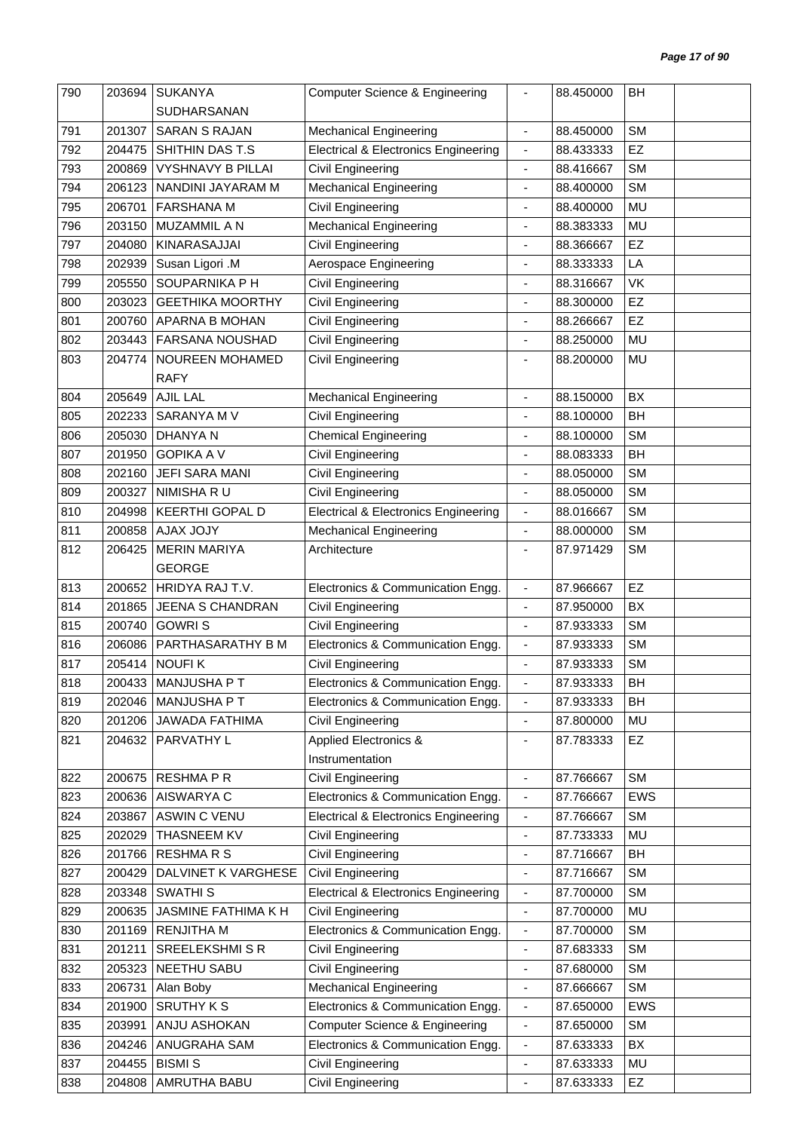| 790 | 203694 | <b>SUKANYA</b>           | <b>Computer Science &amp; Engineering</b>       | $\overline{\phantom{0}}$     | 88.450000 | BH         |  |
|-----|--------|--------------------------|-------------------------------------------------|------------------------------|-----------|------------|--|
|     |        | <b>SUDHARSANAN</b>       |                                                 |                              |           |            |  |
| 791 | 201307 | <b>SARAN S RAJAN</b>     | <b>Mechanical Engineering</b>                   | $\blacksquare$               | 88.450000 | <b>SM</b>  |  |
| 792 | 204475 | SHITHIN DAS T.S          | <b>Electrical &amp; Electronics Engineering</b> | $\overline{\phantom{a}}$     | 88.433333 | EZ         |  |
| 793 | 200869 | <b>VYSHNAVY B PILLAI</b> | Civil Engineering                               | $\qquad \qquad \blacksquare$ | 88.416667 | <b>SM</b>  |  |
| 794 | 206123 | NANDINI JAYARAM M        | <b>Mechanical Engineering</b>                   | $\overline{a}$               | 88.400000 | <b>SM</b>  |  |
| 795 | 206701 | <b>FARSHANA M</b>        | <b>Civil Engineering</b>                        | ٠                            | 88.400000 | MU         |  |
| 796 | 203150 | MUZAMMIL A N             | <b>Mechanical Engineering</b>                   | $\blacksquare$               | 88.383333 | <b>MU</b>  |  |
| 797 | 204080 | KINARASAJJAI             | Civil Engineering                               | ÷                            | 88.366667 | EZ         |  |
| 798 | 202939 | Susan Ligori .M          | Aerospace Engineering                           | ٠                            | 88.333333 | LA         |  |
| 799 | 205550 | SOUPARNIKA P H           | Civil Engineering                               | $\blacksquare$               | 88.316667 | VK         |  |
| 800 | 203023 | <b>GEETHIKA MOORTHY</b>  | Civil Engineering                               | ÷,                           | 88.300000 | EZ         |  |
| 801 | 200760 | APARNA B MOHAN           | <b>Civil Engineering</b>                        | ÷,                           | 88.266667 | EZ         |  |
| 802 | 203443 | FARSANA NOUSHAD          | Civil Engineering                               | $\overline{\phantom{a}}$     | 88.250000 | <b>MU</b>  |  |
| 803 | 204774 | NOUREEN MOHAMED          | Civil Engineering                               |                              | 88.200000 | <b>MU</b>  |  |
|     |        | <b>RAFY</b>              |                                                 |                              |           |            |  |
| 804 | 205649 | <b>AJIL LAL</b>          | <b>Mechanical Engineering</b>                   | $\overline{a}$               | 88.150000 | BX         |  |
| 805 | 202233 | SARANYA M V              | Civil Engineering                               | ٠                            | 88.100000 | BH         |  |
| 806 | 205030 | <b>DHANYAN</b>           | <b>Chemical Engineering</b>                     | $\blacksquare$               | 88.100000 | <b>SM</b>  |  |
| 807 | 201950 | <b>GOPIKA A V</b>        | Civil Engineering                               |                              | 88.083333 | BH         |  |
| 808 | 202160 | <b>JEFI SARA MANI</b>    | Civil Engineering                               | -                            | 88.050000 | <b>SM</b>  |  |
| 809 | 200327 | NIMISHA R U              |                                                 |                              |           | <b>SM</b>  |  |
|     |        | <b>KEERTHI GOPAL D</b>   | Civil Engineering                               | $\overline{\phantom{a}}$     | 88.050000 | <b>SM</b>  |  |
| 810 | 204998 |                          | <b>Electrical &amp; Electronics Engineering</b> | $\blacksquare$               | 88.016667 |            |  |
| 811 | 200858 | <b>AJAX JOJY</b>         | <b>Mechanical Engineering</b>                   | $\overline{\phantom{a}}$     | 88.000000 | <b>SM</b>  |  |
| 812 | 206425 | <b>MERIN MARIYA</b>      | Architecture                                    | ٠                            | 87.971429 | <b>SM</b>  |  |
|     |        | <b>GEORGE</b>            |                                                 |                              |           |            |  |
| 813 | 200652 | HRIDYA RAJ T.V.          | Electronics & Communication Engg.               | $\blacksquare$               | 87.966667 | EZ         |  |
| 814 | 201865 | <b>JEENA S CHANDRAN</b>  | Civil Engineering                               | $\overline{\phantom{a}}$     | 87.950000 | BX         |  |
| 815 | 200740 | <b>GOWRIS</b>            | Civil Engineering                               | ٠                            | 87.933333 | <b>SM</b>  |  |
| 816 | 206086 | PARTHASARATHY B M        | Electronics & Communication Engg.               | $\qquad \qquad \blacksquare$ | 87.933333 | <b>SM</b>  |  |
| 817 | 205414 | <b>NOUFIK</b>            | Civil Engineering                               |                              | 87.933333 | <b>SM</b>  |  |
| 818 |        | 200433   MANJUSHA P T    | Electronics & Communication Engg.               | -                            | 87.933333 | BH         |  |
| 819 | 202046 | MANJUSHA P T             | Electronics & Communication Engg.               | $\overline{\phantom{a}}$     | 87.933333 | BH         |  |
| 820 | 201206 | <b>JAWADA FATHIMA</b>    | Civil Engineering                               | $\overline{\phantom{a}}$     | 87.800000 | MU         |  |
| 821 | 204632 | PARVATHY L               | Applied Electronics &                           | ٠                            | 87.783333 | EZ         |  |
|     |        |                          | Instrumentation                                 |                              |           |            |  |
| 822 | 200675 | <b>RESHMAPR</b>          | <b>Civil Engineering</b>                        | $\overline{\phantom{a}}$     | 87.766667 | <b>SM</b>  |  |
| 823 | 200636 | AISWARYA C               | Electronics & Communication Engg.               | $\qquad \qquad \blacksquare$ | 87.766667 | <b>EWS</b> |  |
| 824 | 203867 | <b>ASWIN C VENU</b>      | <b>Electrical &amp; Electronics Engineering</b> | $\qquad \qquad \blacksquare$ | 87.766667 | <b>SM</b>  |  |
| 825 | 202029 | THASNEEM KV              | Civil Engineering                               | $\overline{\phantom{0}}$     | 87.733333 | MU         |  |
| 826 | 201766 | <b>RESHMARS</b>          | <b>Civil Engineering</b>                        | $\qquad \qquad \blacksquare$ | 87.716667 | BH         |  |
| 827 | 200429 | DALVINET K VARGHESE      | <b>Civil Engineering</b>                        | ä,                           | 87.716667 | <b>SM</b>  |  |
| 828 | 203348 | <b>SWATHIS</b>           | <b>Electrical &amp; Electronics Engineering</b> | $\qquad \qquad \blacksquare$ | 87.700000 | <b>SM</b>  |  |
| 829 | 200635 | JASMINE FATHIMA K H      | Civil Engineering                               | $\blacksquare$               | 87.700000 | <b>MU</b>  |  |
| 830 | 201169 | <b>RENJITHA M</b>        | Electronics & Communication Engg.               | $\blacksquare$               | 87.700000 | <b>SM</b>  |  |
| 831 | 201211 | <b>SREELEKSHMI S R</b>   | <b>Civil Engineering</b>                        | $\qquad \qquad \blacksquare$ | 87.683333 | <b>SM</b>  |  |
| 832 | 205323 | NEETHU SABU              | <b>Civil Engineering</b>                        | $\qquad \qquad \blacksquare$ | 87.680000 | <b>SM</b>  |  |
| 833 | 206731 | Alan Boby                | <b>Mechanical Engineering</b>                   | ٠                            | 87.666667 | <b>SM</b>  |  |
| 834 | 201900 | <b>SRUTHY K S</b>        | Electronics & Communication Engg.               | ٠                            | 87.650000 | <b>EWS</b> |  |
| 835 | 203991 | ANJU ASHOKAN             | <b>Computer Science &amp; Engineering</b>       | $\overline{\phantom{a}}$     | 87.650000 | <b>SM</b>  |  |
| 836 | 204246 | ANUGRAHA SAM             | Electronics & Communication Engg.               | $\qquad \qquad \blacksquare$ | 87.633333 | BX         |  |
| 837 | 204455 | <b>BISMIS</b>            | <b>Civil Engineering</b>                        | $\overline{\phantom{a}}$     | 87.633333 | MU         |  |
| 838 | 204808 | AMRUTHA BABU             | <b>Civil Engineering</b>                        | ÷,                           | 87.633333 | EZ         |  |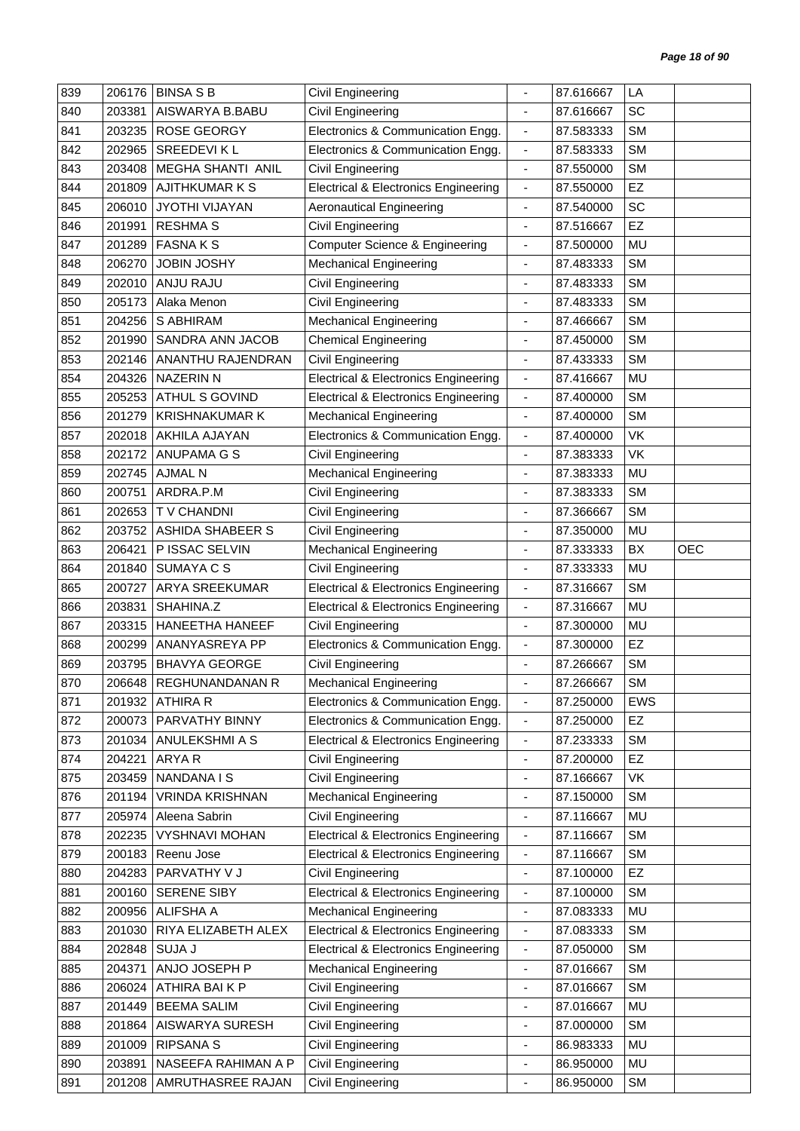| 839 | 206176 | <b>BINSA S B</b>        | Civil Engineering                               |                              | 87.616667 | LA        |            |
|-----|--------|-------------------------|-------------------------------------------------|------------------------------|-----------|-----------|------------|
| 840 | 203381 | AISWARYA B.BABU         | <b>Civil Engineering</b>                        | $\blacksquare$               | 87.616667 | SC        |            |
| 841 | 203235 | <b>ROSE GEORGY</b>      | Electronics & Communication Engg.               | $\overline{\phantom{a}}$     | 87.583333 | <b>SM</b> |            |
| 842 | 202965 | <b>SREEDEVIKL</b>       | Electronics & Communication Engg.               | $\blacksquare$               | 87.583333 | <b>SM</b> |            |
| 843 | 203408 | MEGHA SHANTI ANIL       | Civil Engineering                               | $\overline{\phantom{a}}$     | 87.550000 | <b>SM</b> |            |
| 844 | 201809 | <b>AJITHKUMARKS</b>     | <b>Electrical &amp; Electronics Engineering</b> | $\blacksquare$               | 87.550000 | EZ        |            |
| 845 | 206010 | JYOTHI VIJAYAN          | <b>Aeronautical Engineering</b>                 | $\blacksquare$               | 87.540000 | SC        |            |
| 846 | 201991 | <b>RESHMA S</b>         | Civil Engineering                               | $\blacksquare$               | 87.516667 | EZ        |            |
| 847 | 201289 | <b>FASNAKS</b>          | <b>Computer Science &amp; Engineering</b>       | $\qquad \qquad \blacksquare$ | 87.500000 | MU        |            |
| 848 | 206270 | <b>JOBIN JOSHY</b>      | <b>Mechanical Engineering</b>                   | $\blacksquare$               | 87.483333 | <b>SM</b> |            |
| 849 | 202010 | <b>ANJU RAJU</b>        | Civil Engineering                               | $\blacksquare$               | 87.483333 | <b>SM</b> |            |
| 850 | 205173 | Alaka Menon             | Civil Engineering                               | $\qquad \qquad \blacksquare$ | 87.483333 | <b>SM</b> |            |
| 851 | 204256 | S ABHIRAM               | <b>Mechanical Engineering</b>                   | $\blacksquare$               | 87.466667 | <b>SM</b> |            |
| 852 | 201990 | SANDRA ANN JACOB        | <b>Chemical Engineering</b>                     | $\overline{\phantom{a}}$     | 87.450000 | <b>SM</b> |            |
| 853 | 202146 | ANANTHU RAJENDRAN       | Civil Engineering                               | $\qquad \qquad \blacksquare$ | 87.433333 | <b>SM</b> |            |
| 854 | 204326 | <b>NAZERIN N</b>        | <b>Electrical &amp; Electronics Engineering</b> | $\overline{\phantom{a}}$     | 87.416667 | MU        |            |
| 855 | 205253 | <b>ATHUL S GOVIND</b>   | <b>Electrical &amp; Electronics Engineering</b> | $\blacksquare$               | 87.400000 | <b>SM</b> |            |
| 856 | 201279 | <b>KRISHNAKUMAR K</b>   | <b>Mechanical Engineering</b>                   | $\overline{\phantom{a}}$     | 87.400000 | <b>SM</b> |            |
| 857 | 202018 | AKHILA AJAYAN           | Electronics & Communication Engg.               | $\blacksquare$               | 87.400000 | VK        |            |
| 858 | 202172 | <b>ANUPAMA G S</b>      | Civil Engineering                               |                              | 87.383333 | VK        |            |
| 859 | 202745 | <b>AJMAL N</b>          | Mechanical Engineering                          | $\overline{\phantom{a}}$     | 87.383333 | MU        |            |
| 860 | 200751 | ARDRA.P.M               | <b>Civil Engineering</b>                        |                              | 87.383333 | <b>SM</b> |            |
| 861 | 202653 | T V CHANDNI             | Civil Engineering                               | $\qquad \qquad \blacksquare$ | 87.366667 | <b>SM</b> |            |
| 862 | 203752 | <b>ASHIDA SHABEER S</b> | Civil Engineering                               | $\overline{\phantom{a}}$     | 87.350000 | MU        |            |
| 863 | 206421 | P ISSAC SELVIN          | <b>Mechanical Engineering</b>                   | $\overline{\phantom{a}}$     | 87.333333 | BX        | <b>OEC</b> |
| 864 | 201840 | SUMAYA C S              | Civil Engineering                               | $\overline{\phantom{a}}$     | 87.333333 | MU        |            |
| 865 | 200727 | ARYA SREEKUMAR          | <b>Electrical &amp; Electronics Engineering</b> | $\overline{\phantom{a}}$     | 87.316667 | <b>SM</b> |            |
| 866 | 203831 | SHAHINA.Z               | <b>Electrical &amp; Electronics Engineering</b> | $\blacksquare$               | 87.316667 | MU        |            |
| 867 | 203315 | <b>HANEETHA HANEEF</b>  | Civil Engineering                               | $\blacksquare$               | 87.300000 | MU        |            |
| 868 | 200299 | ANANYASREYA PP          | Electronics & Communication Engg.               | $\blacksquare$               | 87.300000 | EZ        |            |
| 869 | 203795 | <b>BHAVYA GEORGE</b>    | Civil Engineering                               |                              | 87.266667 | <b>SM</b> |            |
| 870 | 206648 | REGHUNANDANAN R         | <b>Mechanical Engineering</b>                   |                              | 87.266667 | SM        |            |
| 871 | 201932 | <b>ATHIRA R</b>         | Electronics & Communication Engg.               | $\overline{\phantom{a}}$     | 87.250000 | EWS       |            |
| 872 | 200073 | PARVATHY BINNY          | Electronics & Communication Engg.               | $\overline{\phantom{a}}$     | 87.250000 | EZ        |            |
| 873 | 201034 | ANULEKSHMI A S          | <b>Electrical &amp; Electronics Engineering</b> | $\blacksquare$               | 87.233333 | <b>SM</b> |            |
| 874 | 204221 | ARYA R                  | Civil Engineering                               | $\qquad \qquad \blacksquare$ | 87.200000 | EZ        |            |
| 875 | 203459 | NANDANA I S             | Civil Engineering                               | $\overline{\phantom{a}}$     | 87.166667 | VK        |            |
| 876 | 201194 | <b>VRINDA KRISHNAN</b>  | <b>Mechanical Engineering</b>                   | $\overline{\phantom{a}}$     | 87.150000 | <b>SM</b> |            |
| 877 | 205974 | Aleena Sabrin           | Civil Engineering                               | $\blacksquare$               | 87.116667 | <b>MU</b> |            |
| 878 | 202235 | <b>VYSHNAVI MOHAN</b>   | <b>Electrical &amp; Electronics Engineering</b> | $\overline{\phantom{a}}$     | 87.116667 | <b>SM</b> |            |
| 879 | 200183 | Reenu Jose              | <b>Electrical &amp; Electronics Engineering</b> | $\blacksquare$               | 87.116667 | <b>SM</b> |            |
| 880 | 204283 | PARVATHY V J            | Civil Engineering                               | $\overline{\phantom{a}}$     | 87.100000 | EZ        |            |
| 881 | 200160 | SERENE SIBY             | <b>Electrical &amp; Electronics Engineering</b> | $\qquad \qquad \blacksquare$ | 87.100000 | <b>SM</b> |            |
| 882 | 200956 | <b>ALIFSHA A</b>        | <b>Mechanical Engineering</b>                   | $\overline{\phantom{a}}$     | 87.083333 | MU        |            |
| 883 | 201030 | RIYA ELIZABETH ALEX     | <b>Electrical &amp; Electronics Engineering</b> | $\overline{\phantom{a}}$     | 87.083333 | <b>SM</b> |            |
| 884 | 202848 | SUJA J                  | <b>Electrical &amp; Electronics Engineering</b> | $\blacksquare$               | 87.050000 | <b>SM</b> |            |
| 885 | 204371 | ANJO JOSEPH P           | <b>Mechanical Engineering</b>                   | $\blacksquare$               | 87.016667 | <b>SM</b> |            |
| 886 | 206024 | ATHIRA BAIKP            | Civil Engineering                               | $\overline{\phantom{a}}$     | 87.016667 | <b>SM</b> |            |
| 887 | 201449 | <b>BEEMA SALIM</b>      | Civil Engineering                               | $\overline{\phantom{a}}$     | 87.016667 | MU        |            |
| 888 | 201864 | AISWARYA SURESH         | Civil Engineering                               | $\blacksquare$               | 87.000000 | <b>SM</b> |            |
| 889 | 201009 | <b>RIPSANA S</b>        | Civil Engineering                               | $\overline{\phantom{a}}$     | 86.983333 | MU        |            |
| 890 | 203891 | NASEEFA RAHIMAN A P     | Civil Engineering                               | $\blacksquare$               | 86.950000 | MU        |            |
| 891 | 201208 | AMRUTHASREE RAJAN       | <b>Civil Engineering</b>                        | $\qquad \qquad \blacksquare$ | 86.950000 | <b>SM</b> |            |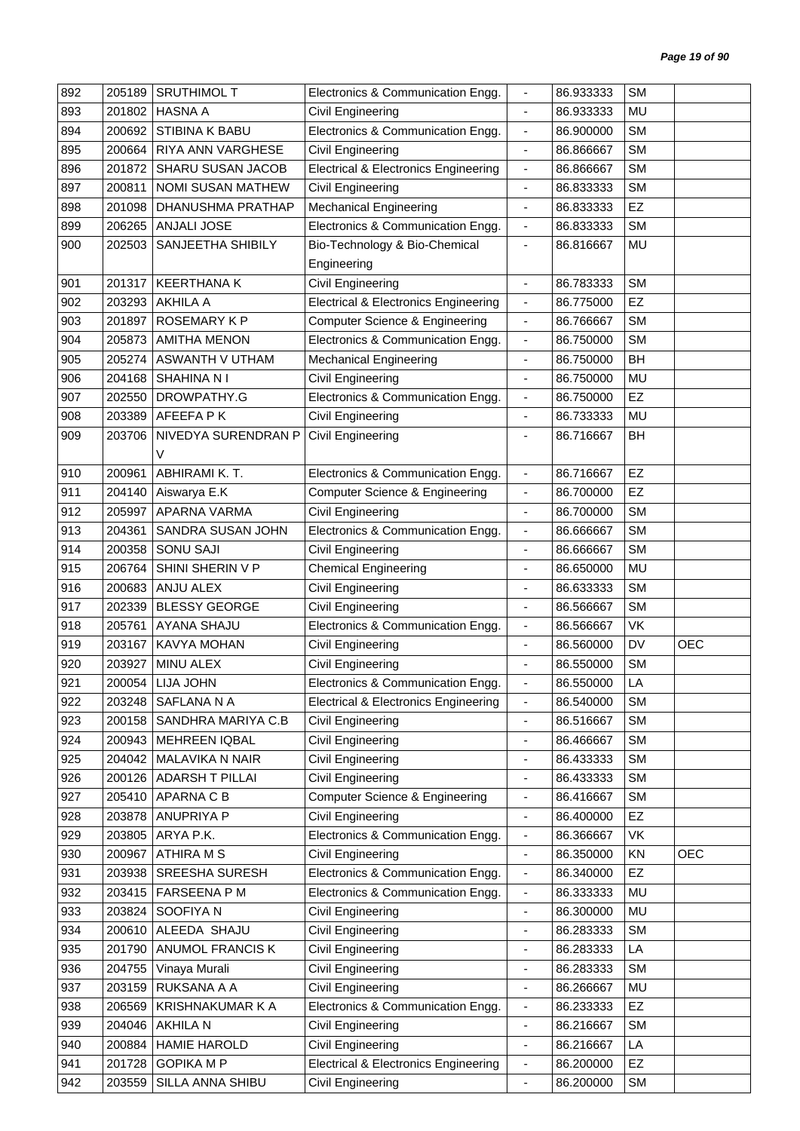| 892 | 205189 | <b>SRUTHIMOL T</b>   | Electronics & Communication Engg.               |                              | 86.933333 | <b>SM</b> |            |
|-----|--------|----------------------|-------------------------------------------------|------------------------------|-----------|-----------|------------|
| 893 | 201802 | <b>HASNA A</b>       | Civil Engineering                               | $\blacksquare$               | 86.933333 | MU        |            |
| 894 | 200692 | STIBINA K BABU       | Electronics & Communication Engg.               | $\overline{\phantom{a}}$     | 86.900000 | <b>SM</b> |            |
| 895 | 200664 | RIYA ANN VARGHESE    | Civil Engineering                               | $\blacksquare$               | 86.866667 | <b>SM</b> |            |
| 896 | 201872 | SHARU SUSAN JACOB    | <b>Electrical &amp; Electronics Engineering</b> | $\overline{\phantom{a}}$     | 86.866667 | <b>SM</b> |            |
| 897 | 200811 | NOMI SUSAN MATHEW    | Civil Engineering                               | $\overline{\phantom{a}}$     | 86.833333 | <b>SM</b> |            |
| 898 | 201098 | DHANUSHMA PRATHAP    | <b>Mechanical Engineering</b>                   | $\overline{\phantom{a}}$     | 86.833333 | EZ        |            |
| 899 | 206265 | ANJALI JOSE          | Electronics & Communication Engg.               | $\blacksquare$               | 86.833333 | <b>SM</b> |            |
| 900 | 202503 | SANJEETHA SHIBILY    | Bio-Technology & Bio-Chemical                   | $\qquad \qquad \blacksquare$ | 86.816667 | MU        |            |
|     |        |                      | Engineering                                     |                              |           |           |            |
| 901 | 201317 | <b>KEERTHANA K</b>   | <b>Civil Engineering</b>                        | $\blacksquare$               | 86.783333 | <b>SM</b> |            |
| 902 | 203293 | <b>AKHILA A</b>      | <b>Electrical &amp; Electronics Engineering</b> | $\blacksquare$               | 86.775000 | EZ        |            |
| 903 | 201897 | ROSEMARY KP          | <b>Computer Science &amp; Engineering</b>       | $\blacksquare$               | 86.766667 | <b>SM</b> |            |
| 904 | 205873 | <b>AMITHA MENON</b>  | Electronics & Communication Engg.               | $\overline{\phantom{a}}$     | 86.750000 | <b>SM</b> |            |
| 905 | 205274 | ASWANTH V UTHAM      | <b>Mechanical Engineering</b>                   | $\blacksquare$               | 86.750000 | <b>BH</b> |            |
| 906 | 204168 | <b>SHAHINA NI</b>    | Civil Engineering                               | $\overline{\phantom{a}}$     | 86.750000 | <b>MU</b> |            |
| 907 | 202550 | DROWPATHY.G          | Electronics & Communication Engg.               | $\blacksquare$               | 86.750000 | EZ        |            |
| 908 | 203389 | AFEEFA P K           | Civil Engineering                               | $\blacksquare$               | 86.733333 | MU        |            |
| 909 | 203706 | NIVEDYA SURENDRAN P  | <b>Civil Engineering</b>                        | $\overline{\phantom{a}}$     | 86.716667 | BH        |            |
|     |        | V                    |                                                 |                              |           |           |            |
| 910 | 200961 | ABHIRAMI K. T.       | Electronics & Communication Engg.               | $\overline{\phantom{a}}$     | 86.716667 | EZ        |            |
| 911 | 204140 | Aiswarya E.K         | <b>Computer Science &amp; Engineering</b>       | $\blacksquare$               | 86.700000 | EZ        |            |
| 912 | 205997 | APARNA VARMA         | Civil Engineering                               | $\blacksquare$               | 86.700000 | <b>SM</b> |            |
| 913 | 204361 | SANDRA SUSAN JOHN    | Electronics & Communication Engg.               | $\blacksquare$               | 86.666667 | <b>SM</b> |            |
| 914 | 200358 | <b>SONU SAJI</b>     | Civil Engineering                               | $\overline{\phantom{a}}$     | 86.666667 | <b>SM</b> |            |
| 915 | 206764 | SHINI SHERIN V P     | <b>Chemical Engineering</b>                     | ÷,                           | 86.650000 | MU        |            |
| 916 | 200683 | ANJU ALEX            | Civil Engineering                               | $\overline{\phantom{a}}$     | 86.633333 | <b>SM</b> |            |
| 917 | 202339 | <b>BLESSY GEORGE</b> | Civil Engineering                               | $\overline{\phantom{a}}$     | 86.566667 | <b>SM</b> |            |
| 918 | 205761 | AYANA SHAJU          | Electronics & Communication Engg.               | $\overline{\phantom{a}}$     | 86.566667 | VK        |            |
| 919 | 203167 | KAVYA MOHAN          | Civil Engineering                               | $\overline{\phantom{a}}$     | 86.560000 | DV        | <b>OEC</b> |
| 920 | 203927 | MINU ALEX            | Civil Engineering                               |                              | 86.550000 | <b>SM</b> |            |
| 921 | 200054 | LIJA JOHN            | Electronics & Communication Engg.               |                              | 86.550000 | LA        |            |
| 922 | 203248 | SAFLANA N A          | <b>Electrical &amp; Electronics Engineering</b> | $\blacksquare$               | 86.540000 | <b>SM</b> |            |
| 923 | 200158 | SANDHRA MARIYA C.B   | Civil Engineering                               | $\blacksquare$               | 86.516667 | <b>SM</b> |            |
| 924 | 200943 | <b>MEHREEN IQBAL</b> | Civil Engineering                               | $\overline{\phantom{a}}$     | 86.466667 | <b>SM</b> |            |
| 925 | 204042 | MALAVIKA N NAIR      | Civil Engineering                               | $\overline{\phantom{a}}$     | 86.433333 | <b>SM</b> |            |
| 926 | 200126 | ADARSH T PILLAI      | Civil Engineering                               | ÷,                           | 86.433333 | <b>SM</b> |            |
| 927 | 205410 | APARNA C B           | Computer Science & Engineering                  | $\overline{\phantom{a}}$     | 86.416667 | <b>SM</b> |            |
| 928 | 203878 | ANUPRIYA P           | Civil Engineering                               | $\overline{\phantom{a}}$     | 86.400000 | EZ        |            |
| 929 | 203805 | ARYA P.K.            | Electronics & Communication Engg.               | $\overline{\phantom{a}}$     | 86.366667 | VK        |            |
| 930 | 200967 | <b>ATHIRA M S</b>    | Civil Engineering                               | $\overline{\phantom{a}}$     | 86.350000 | KN        | <b>OEC</b> |
| 931 | 203938 | SREESHA SURESH       | Electronics & Communication Engg.               | $\overline{\phantom{a}}$     | 86.340000 | EZ        |            |
| 932 | 203415 | FARSEENA P M         | Electronics & Communication Engg.               | $\overline{\phantom{a}}$     | 86.333333 | MU        |            |
| 933 | 203824 | SOOFIYA N            | Civil Engineering                               | $\blacksquare$               | 86.300000 | MU        |            |
| 934 | 200610 | ALEEDA SHAJU         | Civil Engineering                               | $\overline{\phantom{a}}$     | 86.283333 | <b>SM</b> |            |
| 935 | 201790 | ANUMOL FRANCIS K     | Civil Engineering                               | $\overline{\phantom{a}}$     | 86.283333 | LA        |            |
| 936 | 204755 | Vinaya Murali        | <b>Civil Engineering</b>                        | $\overline{\phantom{a}}$     | 86.283333 | <b>SM</b> |            |
| 937 | 203159 | RUKSANA A A          | Civil Engineering                               | $\overline{\phantom{a}}$     | 86.266667 | MU        |            |
| 938 | 206569 | KRISHNAKUMAR K A     | Electronics & Communication Engg.               | $\qquad \qquad \blacksquare$ | 86.233333 | <b>EZ</b> |            |
| 939 | 204046 | AKHILA N             | Civil Engineering                               | $\blacksquare$               | 86.216667 | <b>SM</b> |            |
| 940 | 200884 | <b>HAMIE HAROLD</b>  | Civil Engineering                               | $\overline{\phantom{a}}$     | 86.216667 | LA        |            |
| 941 | 201728 | <b>GOPIKA M P</b>    | <b>Electrical &amp; Electronics Engineering</b> | $\qquad \qquad \blacksquare$ | 86.200000 | EZ        |            |
| 942 | 203559 | SILLA ANNA SHIBU     | <b>Civil Engineering</b>                        | $\blacksquare$               | 86.200000 | <b>SM</b> |            |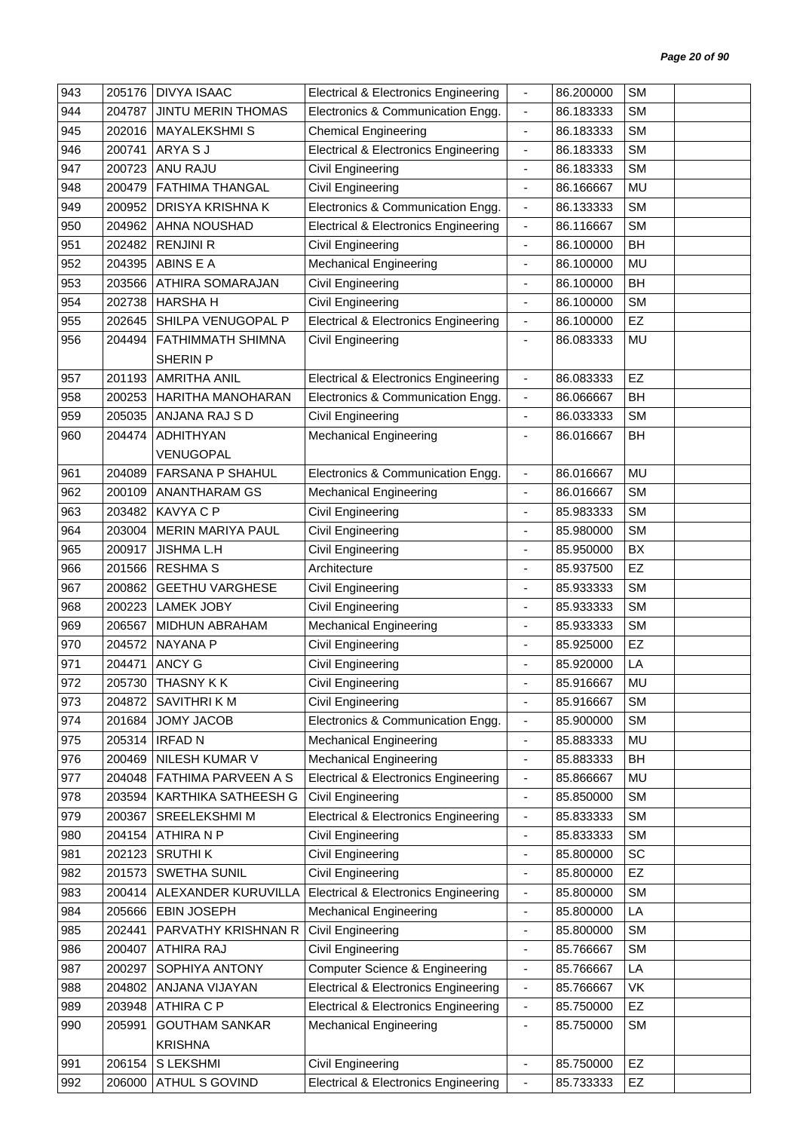| 943 | 205176 | <b>DIVYA ISAAC</b>        | <b>Electrical &amp; Electronics Engineering</b> | $\overline{\phantom{a}}$ | 86.200000 | <b>SM</b> |  |
|-----|--------|---------------------------|-------------------------------------------------|--------------------------|-----------|-----------|--|
| 944 | 204787 | <b>JINTU MERIN THOMAS</b> | Electronics & Communication Engg.               | $\blacksquare$           | 86.183333 | <b>SM</b> |  |
| 945 | 202016 | <b>MAYALEKSHMIS</b>       | <b>Chemical Engineering</b>                     | $\blacksquare$           | 86.183333 | <b>SM</b> |  |
| 946 | 200741 | ARYA S J                  | <b>Electrical &amp; Electronics Engineering</b> | $\overline{\phantom{a}}$ | 86.183333 | <b>SM</b> |  |
| 947 | 200723 | <b>ANU RAJU</b>           | Civil Engineering                               | $\overline{\phantom{a}}$ | 86.183333 | <b>SM</b> |  |
| 948 | 200479 | <b>FATHIMA THANGAL</b>    | Civil Engineering                               | $\blacksquare$           | 86.166667 | MU        |  |
| 949 | 200952 | DRISYA KRISHNA K          | Electronics & Communication Engg.               | $\overline{\phantom{a}}$ | 86.133333 | <b>SM</b> |  |
| 950 | 204962 | AHNA NOUSHAD              | <b>Electrical &amp; Electronics Engineering</b> | $\blacksquare$           | 86.116667 | <b>SM</b> |  |
| 951 | 202482 | <b>RENJINI R</b>          | Civil Engineering                               | $\overline{\phantom{a}}$ | 86.100000 | BH        |  |
| 952 | 204395 | ABINS E A                 | Mechanical Engineering                          | $\overline{\phantom{a}}$ | 86.100000 | MU        |  |
| 953 | 203566 | ATHIRA SOMARAJAN          | Civil Engineering                               | $\blacksquare$           | 86.100000 | BH        |  |
| 954 | 202738 | <b>HARSHAH</b>            | Civil Engineering                               | $\blacksquare$           | 86.100000 | <b>SM</b> |  |
| 955 | 202645 | SHILPA VENUGOPAL P        | <b>Electrical &amp; Electronics Engineering</b> | $\blacksquare$           | 86.100000 | EZ        |  |
| 956 | 204494 | FATHIMMATH SHIMNA         | Civil Engineering                               |                          | 86.083333 | MU        |  |
|     |        | <b>SHERIN P</b>           |                                                 |                          |           |           |  |
| 957 | 201193 | <b>AMRITHA ANIL</b>       | <b>Electrical &amp; Electronics Engineering</b> | $\blacksquare$           | 86.083333 | EZ        |  |
| 958 | 200253 | HARITHA MANOHARAN         | Electronics & Communication Engg.               | $\blacksquare$           | 86.066667 | <b>BH</b> |  |
| 959 | 205035 | ANJANA RAJ S D            | Civil Engineering                               | $\overline{\phantom{a}}$ | 86.033333 | <b>SM</b> |  |
| 960 | 204474 | <b>ADHITHYAN</b>          | <b>Mechanical Engineering</b>                   | $\overline{\phantom{a}}$ | 86.016667 | BH        |  |
|     |        | VENUGOPAL                 |                                                 |                          |           |           |  |
| 961 | 204089 | FARSANA P SHAHUL          | Electronics & Communication Engg.               | $\blacksquare$           | 86.016667 | <b>MU</b> |  |
| 962 | 200109 | <b>ANANTHARAM GS</b>      | <b>Mechanical Engineering</b>                   | $\frac{1}{2}$            | 86.016667 | <b>SM</b> |  |
| 963 | 203482 | <b>KAVYA C P</b>          | Civil Engineering                               | $\blacksquare$           | 85.983333 | <b>SM</b> |  |
| 964 | 203004 | <b>MERIN MARIYA PAUL</b>  | Civil Engineering                               | $\blacksquare$           | 85.980000 | <b>SM</b> |  |
| 965 | 200917 | <b>JISHMA L.H</b>         | Civil Engineering                               | ÷,                       | 85.950000 | BX        |  |
| 966 | 201566 | <b>RESHMA S</b>           | Architecture                                    | $\overline{\phantom{a}}$ | 85.937500 | EZ        |  |
| 967 | 200862 | <b>GEETHU VARGHESE</b>    | Civil Engineering                               | $\blacksquare$           | 85.933333 | <b>SM</b> |  |
| 968 | 200223 | <b>LAMEK JOBY</b>         | Civil Engineering                               | ÷,                       | 85.933333 | <b>SM</b> |  |
| 969 | 206567 | MIDHUN ABRAHAM            | Mechanical Engineering                          | $\overline{\phantom{a}}$ | 85.933333 | <b>SM</b> |  |
| 970 | 204572 | <b>NAYANA P</b>           | Civil Engineering                               | $\overline{\phantom{a}}$ | 85.925000 | EZ        |  |
| 971 | 204471 | <b>ANCY G</b>             | Civil Engineering                               | ä,                       | 85.920000 | LA        |  |
| 972 |        | 205730 THASNY KK          | Civil Engineering                               |                          | 85.916667 | MU        |  |
| 973 | 204872 | SAVITHRI K M              | Civil Engineering                               |                          | 85.916667 | <b>SM</b> |  |
| 974 | 201684 | JOMY JACOB                | Electronics & Communication Engg.               | $\overline{\phantom{a}}$ | 85.900000 | <b>SM</b> |  |
| 975 | 205314 | <b>IRFAD N</b>            | <b>Mechanical Engineering</b>                   | $\overline{\phantom{a}}$ | 85.883333 | MU        |  |
| 976 | 200469 | NILESH KUMAR V            | <b>Mechanical Engineering</b>                   | ÷                        | 85.883333 | BH        |  |
| 977 | 204048 | FATHIMA PARVEEN A S       | <b>Electrical &amp; Electronics Engineering</b> | $\overline{\phantom{a}}$ | 85.866667 | MU        |  |
| 978 | 203594 | KARTHIKA SATHEESH G       | Civil Engineering                               | $\blacksquare$           | 85.850000 | <b>SM</b> |  |
| 979 | 200367 | SREELEKSHMI M             | <b>Electrical &amp; Electronics Engineering</b> | $\overline{\phantom{a}}$ | 85.833333 | <b>SM</b> |  |
| 980 | 204154 | ATHIRA N P                | Civil Engineering                               | $\overline{\phantom{a}}$ | 85.833333 | <b>SM</b> |  |
| 981 | 202123 | <b>SRUTHIK</b>            | Civil Engineering                               | $\overline{\phantom{a}}$ | 85.800000 | SC        |  |
| 982 | 201573 | SWETHA SUNIL              | Civil Engineering                               | $\blacksquare$           | 85.800000 | EZ        |  |
| 983 | 200414 | ALEXANDER KURUVILLA       | <b>Electrical &amp; Electronics Engineering</b> | $\overline{\phantom{a}}$ | 85.800000 | <b>SM</b> |  |
| 984 | 205666 | <b>EBIN JOSEPH</b>        | <b>Mechanical Engineering</b>                   | $\overline{\phantom{a}}$ | 85.800000 | LA        |  |
| 985 | 202441 | PARVATHY KRISHNAN R       | Civil Engineering                               | $\overline{\phantom{a}}$ | 85.800000 | <b>SM</b> |  |
| 986 | 200407 | ATHIRA RAJ                | Civil Engineering                               | $\overline{\phantom{a}}$ | 85.766667 | <b>SM</b> |  |
| 987 | 200297 | SOPHIYA ANTONY            | <b>Computer Science &amp; Engineering</b>       | $\overline{\phantom{a}}$ | 85.766667 | LA        |  |
| 988 | 204802 | ANJANA VIJAYAN            | <b>Electrical &amp; Electronics Engineering</b> | $\overline{\phantom{a}}$ | 85.766667 | VK        |  |
| 989 | 203948 | <b>ATHIRA C P</b>         | <b>Electrical &amp; Electronics Engineering</b> | $\overline{\phantom{a}}$ | 85.750000 | EZ        |  |
| 990 | 205991 | <b>GOUTHAM SANKAR</b>     | <b>Mechanical Engineering</b>                   | $\overline{\phantom{a}}$ | 85.750000 | <b>SM</b> |  |
|     |        | <b>KRISHNA</b>            |                                                 |                          |           |           |  |
| 991 | 206154 | S LEKSHMI                 | Civil Engineering                               | $\overline{\phantom{a}}$ | 85.750000 | EZ        |  |
| 992 | 206000 | ATHUL S GOVIND            | <b>Electrical &amp; Electronics Engineering</b> | $\overline{\phantom{a}}$ | 85.733333 | EZ        |  |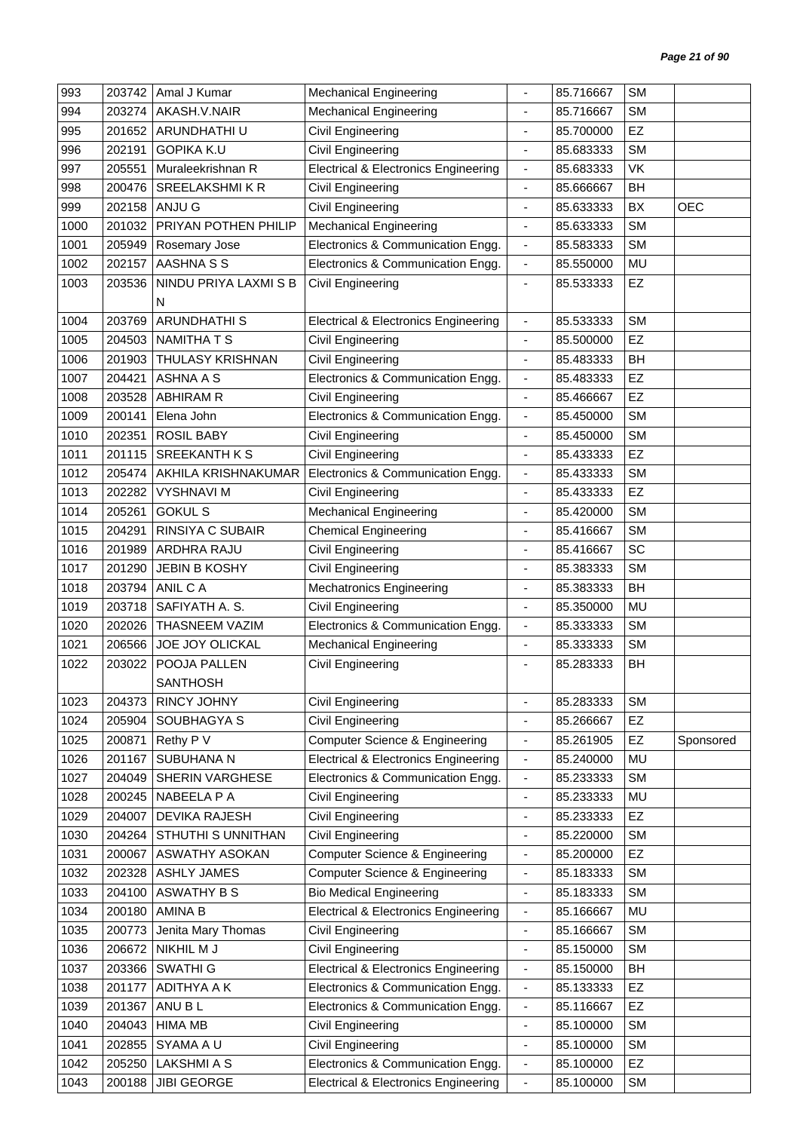| 993  | 203742 | Amal J Kumar          | <b>Mechanical Engineering</b>                   |                              | 85.716667 | <b>SM</b> |            |
|------|--------|-----------------------|-------------------------------------------------|------------------------------|-----------|-----------|------------|
| 994  | 203274 | AKASH.V.NAIR          | <b>Mechanical Engineering</b>                   | ÷,                           | 85.716667 | <b>SM</b> |            |
| 995  | 201652 | ARUNDHATHI U          | Civil Engineering                               | $\blacksquare$               | 85.700000 | <b>EZ</b> |            |
| 996  | 202191 | <b>GOPIKA K.U</b>     | Civil Engineering                               | ä,                           | 85.683333 | <b>SM</b> |            |
| 997  | 205551 | Muraleekrishnan R     | <b>Electrical &amp; Electronics Engineering</b> | $\overline{\phantom{a}}$     | 85.683333 | VK        |            |
| 998  | 200476 | <b>SREELAKSHMIKR</b>  | Civil Engineering                               | $\overline{\phantom{a}}$     | 85.666667 | BH        |            |
| 999  | 202158 | ANJU G                | Civil Engineering                               | $\overline{\phantom{a}}$     | 85.633333 | BX        | <b>OEC</b> |
| 1000 | 201032 | PRIYAN POTHEN PHILIP  | <b>Mechanical Engineering</b>                   | $\overline{\phantom{a}}$     | 85.633333 | <b>SM</b> |            |
| 1001 | 205949 | Rosemary Jose         | Electronics & Communication Engg.               | $\overline{\phantom{a}}$     | 85.583333 | <b>SM</b> |            |
| 1002 | 202157 | AASHNA S S            | Electronics & Communication Engg.               | $\blacksquare$               | 85.550000 | MU        |            |
| 1003 | 203536 | NINDU PRIYA LAXMI S B | Civil Engineering                               | $\overline{\phantom{a}}$     | 85.533333 | EZ        |            |
|      |        | N                     |                                                 |                              |           |           |            |
| 1004 | 203769 | <b>ARUNDHATHI S</b>   | <b>Electrical &amp; Electronics Engineering</b> | $\blacksquare$               | 85.533333 | <b>SM</b> |            |
| 1005 | 204503 | <b>NAMITHATS</b>      | Civil Engineering                               | ÷,                           | 85.500000 | EZ        |            |
| 1006 | 201903 | THULASY KRISHNAN      | Civil Engineering                               | $\overline{\phantom{a}}$     | 85.483333 | BH        |            |
| 1007 | 204421 | <b>ASHNA A S</b>      | Electronics & Communication Engg.               | $\overline{\phantom{a}}$     | 85.483333 | EZ        |            |
| 1008 | 203528 | <b>ABHIRAM R</b>      | Civil Engineering                               | $\blacksquare$               | 85.466667 | EZ        |            |
| 1009 | 200141 | Elena John            | Electronics & Communication Engg.               | $\overline{\phantom{a}}$     | 85.450000 | <b>SM</b> |            |
| 1010 | 202351 | <b>ROSIL BABY</b>     | Civil Engineering                               | $\overline{\phantom{a}}$     | 85.450000 | <b>SM</b> |            |
| 1011 | 201115 | <b>SREEKANTH K S</b>  | Civil Engineering                               | ÷,                           | 85.433333 | EZ        |            |
| 1012 | 205474 | AKHILA KRISHNAKUMAR   | Electronics & Communication Engg.               | $\overline{\phantom{a}}$     | 85.433333 | <b>SM</b> |            |
| 1013 | 202282 | <b>VYSHNAVI M</b>     | Civil Engineering                               | $\overline{\phantom{a}}$     | 85.433333 | EZ        |            |
| 1014 | 205261 | <b>GOKUL S</b>        | <b>Mechanical Engineering</b>                   | ÷,                           | 85.420000 | <b>SM</b> |            |
| 1015 | 204291 | RINSIYA C SUBAIR      | <b>Chemical Engineering</b>                     | $\overline{\phantom{a}}$     | 85.416667 | <b>SM</b> |            |
| 1016 | 201989 | ARDHRA RAJU           | Civil Engineering                               | $\overline{\phantom{a}}$     | 85.416667 | SC        |            |
| 1017 | 201290 | <b>JEBIN B KOSHY</b>  | Civil Engineering                               |                              | 85.383333 | <b>SM</b> |            |
| 1018 | 203794 | ANIL C A              | <b>Mechatronics Engineering</b>                 | $\overline{\phantom{a}}$     | 85.383333 | BH        |            |
| 1019 | 203718 | SAFIYATH A. S.        | Civil Engineering                               | $\blacksquare$               | 85.350000 | <b>MU</b> |            |
| 1020 | 202026 | THASNEEM VAZIM        | Electronics & Communication Engg.               | $\overline{\phantom{a}}$     | 85.333333 | <b>SM</b> |            |
| 1021 | 206566 | JOE JOY OLICKAL       | <b>Mechanical Engineering</b>                   | ÷,                           | 85.333333 | <b>SM</b> |            |
| 1022 | 203022 | POOJA PALLEN          | Civil Engineering                               |                              | 85.283333 | BH        |            |
|      |        | <b>SANTHOSH</b>       |                                                 |                              |           |           |            |
| 1023 | 204373 | RINCY JOHNY           | Civil Engineering                               | $\blacksquare$               | 85.283333 | <b>SM</b> |            |
| 1024 | 205904 | SOUBHAGYA S           | Civil Engineering                               | $\blacksquare$               | 85.266667 | EZ        |            |
| 1025 | 200871 | Rethy P V             | Computer Science & Engineering                  | $\overline{\phantom{a}}$     | 85.261905 | EZ        | Sponsored  |
| 1026 | 201167 | SUBUHANA N            | <b>Electrical &amp; Electronics Engineering</b> | $\overline{\phantom{a}}$     | 85.240000 | <b>MU</b> |            |
| 1027 | 204049 | SHERIN VARGHESE       | Electronics & Communication Engg.               | $\overline{\phantom{a}}$     | 85.233333 | <b>SM</b> |            |
| 1028 | 200245 | NABEELA P A           | Civil Engineering                               | $\qquad \qquad \blacksquare$ | 85.233333 | MU        |            |
| 1029 | 204007 | DEVIKA RAJESH         | Civil Engineering                               | $\frac{1}{2}$                | 85.233333 | EZ        |            |
| 1030 | 204264 | STHUTHI S UNNITHAN    | Civil Engineering                               | -                            | 85.220000 | <b>SM</b> |            |
| 1031 | 200067 | ASWATHY ASOKAN        | Computer Science & Engineering                  | $\overline{\phantom{a}}$     | 85.200000 | EZ        |            |
| 1032 | 202328 | <b>ASHLY JAMES</b>    | <b>Computer Science &amp; Engineering</b>       | ÷                            | 85.183333 | <b>SM</b> |            |
| 1033 | 204100 | <b>ASWATHY B S</b>    | <b>Bio Medical Engineering</b>                  | $\overline{\phantom{a}}$     | 85.183333 | <b>SM</b> |            |
| 1034 | 200180 | AMINA B               | <b>Electrical &amp; Electronics Engineering</b> | $\overline{\phantom{a}}$     | 85.166667 | MU        |            |
| 1035 | 200773 | Jenita Mary Thomas    | Civil Engineering                               | $\overline{\phantom{a}}$     | 85.166667 | <b>SM</b> |            |
| 1036 | 206672 | NIKHIL M J            | Civil Engineering                               | $\overline{\phantom{a}}$     | 85.150000 | <b>SM</b> |            |
| 1037 | 203366 | SWATHI G              | <b>Electrical &amp; Electronics Engineering</b> | $\overline{\phantom{a}}$     | 85.150000 | BH        |            |
| 1038 | 201177 | ADITHYA A K           | Electronics & Communication Engg.               | $\overline{\phantom{a}}$     | 85.133333 | EZ        |            |
| 1039 | 201367 | ANU BL                | Electronics & Communication Engg.               | $\overline{\phantom{a}}$     | 85.116667 | <b>EZ</b> |            |
| 1040 | 204043 | <b>HIMA MB</b>        | Civil Engineering                               | $\overline{\phantom{a}}$     | 85.100000 | <b>SM</b> |            |
| 1041 | 202855 | SYAMA A U             | Civil Engineering                               | $\overline{\phantom{a}}$     | 85.100000 | <b>SM</b> |            |
| 1042 | 205250 | <b>LAKSHMI A S</b>    | Electronics & Communication Engg.               | $\overline{\phantom{a}}$     | 85.100000 | EZ        |            |
| 1043 | 200188 | <b>JIBI GEORGE</b>    | <b>Electrical &amp; Electronics Engineering</b> | $\blacksquare$               | 85.100000 | <b>SM</b> |            |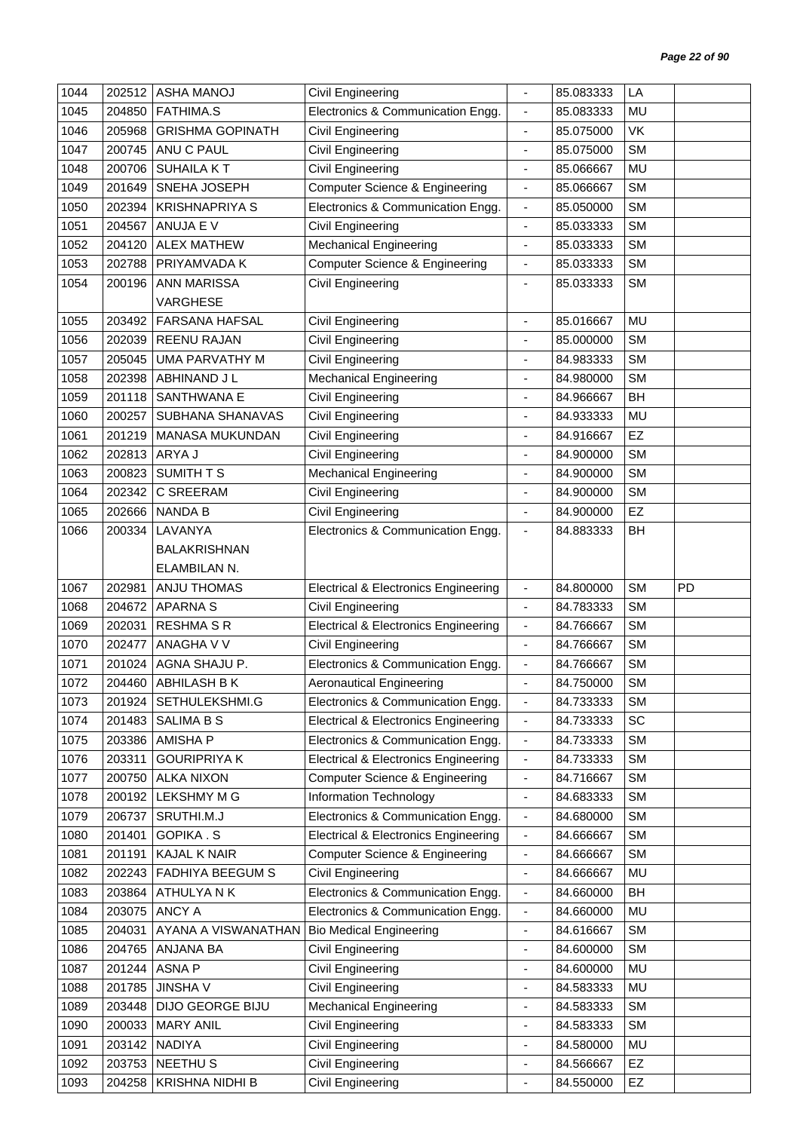| 1044         | 202512           | <b>ASHA MANOJ</b>                 | Civil Engineering                               |                                                          | 85.083333              | LA        |    |
|--------------|------------------|-----------------------------------|-------------------------------------------------|----------------------------------------------------------|------------------------|-----------|----|
| 1045         | 204850           | <b>FATHIMA.S</b>                  | Electronics & Communication Engg.               | $\overline{\phantom{a}}$                                 | 85.083333              | <b>MU</b> |    |
| 1046         | 205968           | <b>GRISHMA GOPINATH</b>           | Civil Engineering                               | ä,                                                       | 85.075000              | VK        |    |
| 1047         | 200745           | ANU C PAUL                        | Civil Engineering                               | ٠                                                        | 85.075000              | <b>SM</b> |    |
| 1048         | 200706           | <b>SUHAILA KT</b>                 | <b>Civil Engineering</b>                        | $\frac{1}{2}$                                            | 85.066667              | MU        |    |
| 1049         | 201649           | SNEHA JOSEPH                      | <b>Computer Science &amp; Engineering</b>       | $\blacksquare$                                           | 85.066667              | <b>SM</b> |    |
| 1050         | 202394           | <b>KRISHNAPRIYA S</b>             | Electronics & Communication Engg.               | $\overline{\phantom{a}}$                                 | 85.050000              | <b>SM</b> |    |
| 1051         | 204567           | ANUJA E V                         | Civil Engineering                               | $\frac{1}{2}$                                            | 85.033333              | <b>SM</b> |    |
| 1052         | 204120           | <b>ALEX MATHEW</b>                | <b>Mechanical Engineering</b>                   | ÷                                                        | 85.033333              | <b>SM</b> |    |
| 1053         | 202788           | PRIYAMVADA K                      | Computer Science & Engineering                  | $\blacksquare$                                           | 85.033333              | <b>SM</b> |    |
| 1054         | 200196           | <b>ANN MARISSA</b>                | Civil Engineering                               | ä,                                                       | 85.033333              | <b>SM</b> |    |
|              |                  | VARGHESE                          |                                                 |                                                          |                        |           |    |
| 1055         | 203492           | <b>FARSANA HAFSAL</b>             | Civil Engineering                               | $\frac{1}{2}$                                            | 85.016667              | MU        |    |
| 1056         | 202039           | <b>REENU RAJAN</b>                | Civil Engineering                               |                                                          | 85.000000              | <b>SM</b> |    |
| 1057         | 205045           | UMA PARVATHY M                    | <b>Civil Engineering</b>                        | ÷                                                        | 84.983333              | <b>SM</b> |    |
| 1058         | 202398           | ABHINAND J L                      | <b>Mechanical Engineering</b>                   | $\frac{1}{2}$                                            | 84.980000              | <b>SM</b> |    |
| 1059         | 201118           | SANTHWANA E                       | <b>Civil Engineering</b>                        | $\overline{a}$                                           | 84.966667              | BH        |    |
| 1060         | 200257           | SUBHANA SHANAVAS                  | <b>Civil Engineering</b>                        | ä,                                                       | 84.933333              | <b>MU</b> |    |
| 1061         | 201219           | MANASA MUKUNDAN                   | <b>Civil Engineering</b>                        | $\overline{\phantom{0}}$                                 | 84.916667              | EZ        |    |
| 1062         | 202813           | ARYA J                            | <b>Civil Engineering</b>                        | ä,                                                       | 84.900000              | <b>SM</b> |    |
| 1063         | 200823           | SUMITH T S                        | Mechanical Engineering                          | $\frac{1}{2}$                                            | 84.900000              | <b>SM</b> |    |
| 1064         | 202342           | C SREERAM                         | <b>Civil Engineering</b>                        | ÷,                                                       | 84.900000              | <b>SM</b> |    |
| 1065         | 202666           | <b>NANDA B</b>                    | Civil Engineering                               | $\overline{\phantom{a}}$                                 | 84.900000              | EZ        |    |
| 1066         | 200334           | LAVANYA                           | Electronics & Communication Engg.               | $\overline{\phantom{a}}$                                 | 84.883333              | BH        |    |
|              |                  | <b>BALAKRISHNAN</b>               |                                                 |                                                          |                        |           |    |
|              |                  | ELAMBILAN N.                      |                                                 |                                                          |                        |           |    |
| 1067         | 202981           | <b>ANJU THOMAS</b>                | <b>Electrical &amp; Electronics Engineering</b> | $\blacksquare$                                           | 84.800000              | <b>SM</b> | PD |
| 1068         | 204672           | <b>APARNAS</b>                    | Civil Engineering                               | $\overline{a}$                                           | 84.783333              | <b>SM</b> |    |
| 1069         | 202031           | <b>RESHMA S R</b>                 | <b>Electrical &amp; Electronics Engineering</b> | $\overline{\phantom{a}}$                                 | 84.766667              | <b>SM</b> |    |
| 1070         | 202477           | ANAGHA V V                        | <b>Civil Engineering</b>                        | $\frac{1}{2}$                                            | 84.766667              | <b>SM</b> |    |
| 1071         | 201024           | AGNA SHAJU P.                     | Electronics & Communication Engg.               | $\overline{\phantom{a}}$                                 | 84.766667              | <b>SM</b> |    |
| 1072         |                  | 204460 ABHILASH B K               | Aeronautical Engineering                        |                                                          | 84.750000              | SM        |    |
| 1073         | 201924           | SETHULEKSHMI.G                    | Electronics & Communication Engg.               | $\qquad \qquad \blacksquare$                             | 84.733333              | <b>SM</b> |    |
| 1074         | 201483           | <b>SALIMA B S</b>                 | <b>Electrical &amp; Electronics Engineering</b> | $\overline{\phantom{a}}$                                 | 84.733333              | SC        |    |
| 1075         | 203386           | <b>AMISHA P</b>                   | Electronics & Communication Engg.               | $\overline{\phantom{a}}$                                 | 84.733333              | <b>SM</b> |    |
| 1076         | 203311           | <b>GOURIPRIYA K</b>               | <b>Electrical &amp; Electronics Engineering</b> | $\overline{\phantom{0}}$                                 | 84.733333              | <b>SM</b> |    |
| 1077         | 200750           | <b>ALKA NIXON</b>                 | <b>Computer Science &amp; Engineering</b>       | $\overline{\phantom{a}}$                                 | 84.716667              | <b>SM</b> |    |
| 1078         | 200192           | <b>LEKSHMY M G</b>                | <b>Information Technology</b>                   | $\overline{\phantom{a}}$                                 | 84.683333              | <b>SM</b> |    |
| 1079         | 206737           | SRUTHI.M.J                        | Electronics & Communication Engg.               | $\overline{\phantom{a}}$                                 | 84.680000              | <b>SM</b> |    |
| 1080         | 201401           | <b>GOPIKA.S</b>                   | <b>Electrical &amp; Electronics Engineering</b> | $\overline{\phantom{a}}$                                 | 84.666667              | <b>SM</b> |    |
| 1081         | 201191           | <b>KAJAL K NAIR</b>               | <b>Computer Science &amp; Engineering</b>       | $\overline{\phantom{a}}$                                 | 84.666667              | <b>SM</b> |    |
| 1082         | 202243           | FADHIYA BEEGUM S                  | Civil Engineering                               | $\qquad \qquad \blacksquare$                             | 84.666667              | MU        |    |
| 1083         |                  |                                   |                                                 |                                                          |                        |           |    |
| 1084         |                  |                                   |                                                 |                                                          |                        |           |    |
|              | 203864           | ATHULYANK                         | Electronics & Communication Engg.               | $\qquad \qquad \blacksquare$                             | 84.660000              | BH        |    |
|              | 203075           | ANCY A                            | Electronics & Communication Engg.               | $\overline{\phantom{a}}$                                 | 84.660000              | MU        |    |
| 1085         | 204031           | AYANA A VISWANATHAN               | <b>Bio Medical Engineering</b>                  | $\overline{\phantom{0}}$                                 | 84.616667              | <b>SM</b> |    |
| 1086         | 204765           | ANJANA BA                         | Civil Engineering                               | $\overline{\phantom{a}}$<br>÷                            | 84.600000              | <b>SM</b> |    |
| 1087         | 201244           | <b>ASNAP</b>                      | Civil Engineering                               |                                                          | 84.600000              | MU        |    |
| 1088         | 201785           | <b>JINSHAV</b>                    | Civil Engineering                               | -                                                        | 84.583333              | MU        |    |
| 1089         | 203448           | DIJO GEORGE BIJU                  | <b>Mechanical Engineering</b>                   | -                                                        | 84.583333              | <b>SM</b> |    |
| 1090         | 200033           | <b>MARY ANIL</b>                  | Civil Engineering                               | ÷                                                        | 84.583333              | <b>SM</b> |    |
| 1091         | 203142           | <b>NADIYA</b>                     | Civil Engineering                               | $\qquad \qquad \blacksquare$                             | 84.580000              | MU        |    |
| 1092<br>1093 | 203753<br>204258 | <b>NEETHUS</b><br>KRISHNA NIDHI B | Civil Engineering<br><b>Civil Engineering</b>   | $\qquad \qquad \blacksquare$<br>$\overline{\phantom{0}}$ | 84.566667<br>84.550000 | EZ<br>EZ  |    |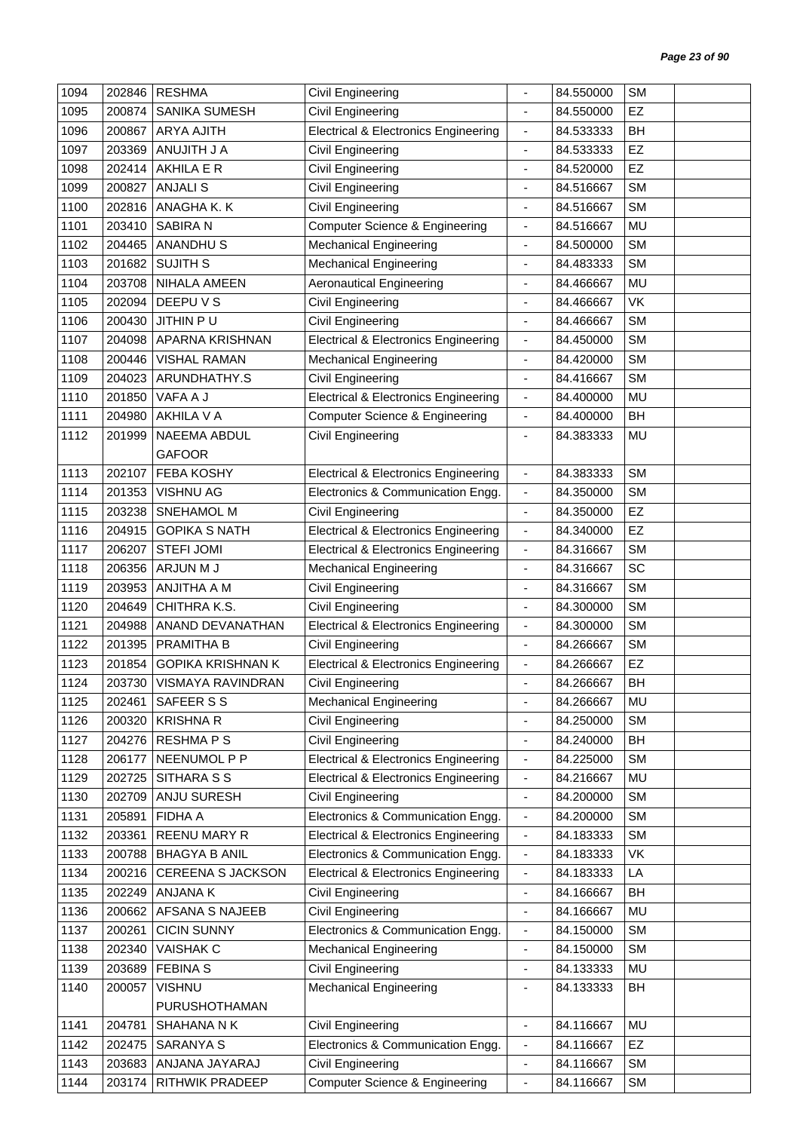| 1094 | 202846 | <b>RESHMA</b>              | Civil Engineering                               |                              | 84.550000 | <b>SM</b> |  |
|------|--------|----------------------------|-------------------------------------------------|------------------------------|-----------|-----------|--|
| 1095 | 200874 | SANIKA SUMESH              | Civil Engineering                               | $\blacksquare$               | 84.550000 | EZ        |  |
| 1096 | 200867 | <b>ARYA AJITH</b>          | <b>Electrical &amp; Electronics Engineering</b> | $\overline{\phantom{a}}$     | 84.533333 | BH        |  |
| 1097 | 203369 | ANUJITH J A                | Civil Engineering                               | $\overline{\phantom{a}}$     | 84.533333 | EZ        |  |
| 1098 | 202414 | AKHILA E R                 | <b>Civil Engineering</b>                        | $\blacksquare$               | 84.520000 | EZ        |  |
| 1099 | 200827 | <b>ANJALIS</b>             | Civil Engineering                               | ä,                           | 84.516667 | <b>SM</b> |  |
| 1100 | 202816 | ANAGHA K. K                | Civil Engineering                               | ÷                            | 84.516667 | <b>SM</b> |  |
| 1101 | 203410 | <b>SABIRAN</b>             | <b>Computer Science &amp; Engineering</b>       | $\overline{\phantom{a}}$     | 84.516667 | <b>MU</b> |  |
| 1102 | 204465 | <b>ANANDHUS</b>            | <b>Mechanical Engineering</b>                   | $\overline{\phantom{a}}$     | 84.500000 | <b>SM</b> |  |
| 1103 | 201682 | <b>SUJITH S</b>            | <b>Mechanical Engineering</b>                   | ÷                            | 84.483333 | <b>SM</b> |  |
| 1104 | 203708 | NIHALA AMEEN               | <b>Aeronautical Engineering</b>                 | ÷,                           | 84.466667 | MU        |  |
| 1105 | 202094 | DEEPU V S                  | Civil Engineering                               | $\overline{\phantom{a}}$     | 84.466667 | VK        |  |
| 1106 | 200430 | JITHIN PU                  | Civil Engineering                               | $\overline{\phantom{a}}$     | 84.466667 | <b>SM</b> |  |
| 1107 | 204098 | APARNA KRISHNAN            | <b>Electrical &amp; Electronics Engineering</b> | $\overline{\phantom{a}}$     | 84.450000 | <b>SM</b> |  |
| 1108 | 200446 | <b>VISHAL RAMAN</b>        | <b>Mechanical Engineering</b>                   | $\overline{\phantom{a}}$     | 84.420000 | <b>SM</b> |  |
| 1109 | 204023 | ARUNDHATHY.S               | Civil Engineering                               | $\overline{\phantom{a}}$     | 84.416667 | <b>SM</b> |  |
| 1110 | 201850 | VAFA A J                   | <b>Electrical &amp; Electronics Engineering</b> | $\overline{\phantom{a}}$     | 84.400000 | <b>MU</b> |  |
| 1111 | 204980 | AKHILA V A                 | <b>Computer Science &amp; Engineering</b>       | $\overline{\phantom{a}}$     | 84.400000 | BH        |  |
| 1112 | 201999 | <b>NAEEMA ABDUL</b>        | Civil Engineering                               | $\overline{\phantom{a}}$     | 84.383333 | MU        |  |
|      |        | <b>GAFOOR</b>              |                                                 |                              |           |           |  |
| 1113 | 202107 | <b>FEBA KOSHY</b>          | <b>Electrical &amp; Electronics Engineering</b> | $\blacksquare$               | 84.383333 | <b>SM</b> |  |
| 1114 | 201353 | VISHNU AG                  | Electronics & Communication Engg.               | $\blacksquare$               | 84.350000 | <b>SM</b> |  |
| 1115 | 203238 | SNEHAMOL M                 | Civil Engineering                               | $\overline{\phantom{a}}$     | 84.350000 | EZ        |  |
| 1116 | 204915 | <b>GOPIKA S NATH</b>       | <b>Electrical &amp; Electronics Engineering</b> | $\overline{\phantom{a}}$     | 84.340000 | EZ        |  |
| 1117 | 206207 | <b>STEFI JOMI</b>          | <b>Electrical &amp; Electronics Engineering</b> | $\blacksquare$               | 84.316667 | <b>SM</b> |  |
| 1118 | 206356 | ARJUN M J                  | <b>Mechanical Engineering</b>                   | $\qquad \qquad \blacksquare$ | 84.316667 | SC        |  |
| 1119 | 203953 | ANJITHA A M                | Civil Engineering                               | $\overline{\phantom{a}}$     | 84.316667 | <b>SM</b> |  |
| 1120 | 204649 | CHITHRA K.S.               | Civil Engineering                               | $\overline{\phantom{a}}$     | 84.300000 | <b>SM</b> |  |
| 1121 | 204988 | ANAND DEVANATHAN           | <b>Electrical &amp; Electronics Engineering</b> | $\overline{\phantom{a}}$     | 84.300000 | <b>SM</b> |  |
| 1122 | 201395 | PRAMITHA B                 | Civil Engineering                               | $\overline{\phantom{a}}$     | 84.266667 | <b>SM</b> |  |
| 1123 | 201854 | <b>GOPIKA KRISHNAN K</b>   | <b>Electrical &amp; Electronics Engineering</b> | $\blacksquare$               | 84.266667 | <b>EZ</b> |  |
| 1124 |        | 203730   VISMAYA RAVINDRAN | Civil Engineering                               |                              | 84.266667 | <b>BH</b> |  |
| 1125 | 202461 | SAFEER S S                 | <b>Mechanical Engineering</b>                   | $\overline{\phantom{a}}$     | 84.266667 | MU        |  |
| 1126 | 200320 | <b>KRISHNA R</b>           | Civil Engineering                               | $\overline{\phantom{a}}$     | 84.250000 | <b>SM</b> |  |
| 1127 | 204276 | <b>RESHMAPS</b>            | Civil Engineering                               | $\overline{\phantom{a}}$     | 84.240000 | BH        |  |
| 1128 | 206177 | NEENUMOL P P               | <b>Electrical &amp; Electronics Engineering</b> | $\blacksquare$               | 84.225000 | <b>SM</b> |  |
| 1129 | 202725 | SITHARA S S                | <b>Electrical &amp; Electronics Engineering</b> | $\overline{\phantom{a}}$     | 84.216667 | MU        |  |
| 1130 | 202709 | ANJU SURESH                | Civil Engineering                               | $\blacksquare$               | 84.200000 | <b>SM</b> |  |
| 1131 | 205891 | <b>FIDHA A</b>             | Electronics & Communication Engg.               | $\overline{\phantom{a}}$     | 84.200000 | <b>SM</b> |  |
| 1132 | 203361 | REENU MARY R               | <b>Electrical &amp; Electronics Engineering</b> | $\overline{\phantom{a}}$     | 84.183333 | <b>SM</b> |  |
| 1133 | 200788 | <b>BHAGYA B ANIL</b>       | Electronics & Communication Engg.               | $\blacksquare$               | 84.183333 | VK        |  |
| 1134 | 200216 | <b>CEREENA S JACKSON</b>   | <b>Electrical &amp; Electronics Engineering</b> | $\overline{\phantom{a}}$     | 84.183333 | LA        |  |
| 1135 | 202249 | ANJANA K                   | Civil Engineering                               | $\blacksquare$               | 84.166667 | BH        |  |
| 1136 | 200662 | AFSANA S NAJEEB            | Civil Engineering                               | $\overline{\phantom{a}}$     | 84.166667 | MU        |  |
| 1137 | 200261 | <b>CICIN SUNNY</b>         | Electronics & Communication Engg.               | $\overline{\phantom{a}}$     | 84.150000 | <b>SM</b> |  |
| 1138 | 202340 | <b>VAISHAK C</b>           | <b>Mechanical Engineering</b>                   | $\overline{\phantom{a}}$     | 84.150000 | <b>SM</b> |  |
| 1139 | 203689 | <b>FEBINAS</b>             | Civil Engineering                               | $\blacksquare$               | 84.133333 | <b>MU</b> |  |
| 1140 | 200057 | <b>VISHNU</b>              | <b>Mechanical Engineering</b>                   | $\overline{\phantom{a}}$     | 84.133333 | BH        |  |
|      |        | PURUSHOTHAMAN              |                                                 |                              |           |           |  |
| 1141 | 204781 | SHAHANA N K                | Civil Engineering                               | $\overline{\phantom{a}}$     | 84.116667 | MU        |  |
| 1142 | 202475 | <b>SARANYA S</b>           | Electronics & Communication Engg.               | $\overline{\phantom{a}}$     | 84.116667 | EZ        |  |
| 1143 | 203683 | ANJANA JAYARAJ             | Civil Engineering                               | $\overline{\phantom{a}}$     | 84.116667 | <b>SM</b> |  |
| 1144 | 203174 | RITHWIK PRADEEP            | <b>Computer Science &amp; Engineering</b>       | $\blacksquare$               | 84.116667 | <b>SM</b> |  |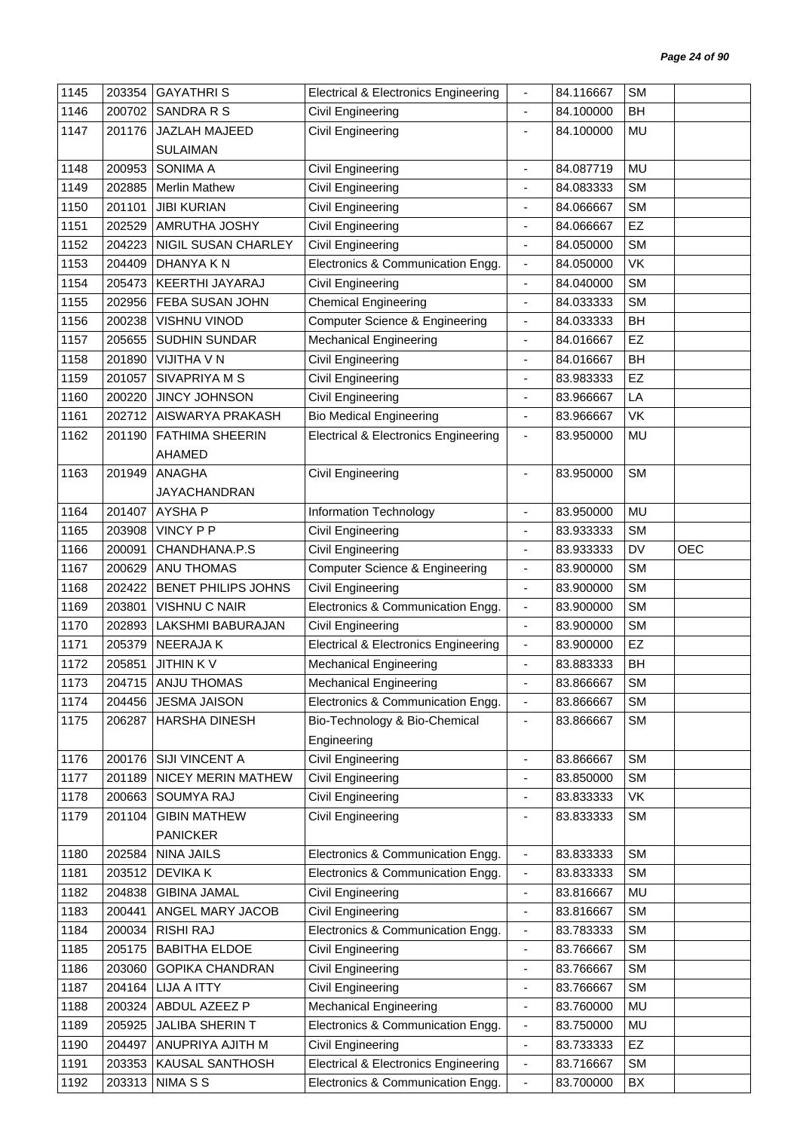| 1145 | 203354 | <b>GAYATHRIS</b>           | <b>Electrical &amp; Electronics Engineering</b> |                              | 84.116667 | <b>SM</b> |            |
|------|--------|----------------------------|-------------------------------------------------|------------------------------|-----------|-----------|------------|
| 1146 | 200702 | SANDRA R S                 | Civil Engineering                               | $\overline{\phantom{a}}$     | 84.100000 | BH        |            |
| 1147 | 201176 | JAZLAH MAJEED              | Civil Engineering                               | $\overline{\phantom{a}}$     | 84.100000 | <b>MU</b> |            |
|      |        | <b>SULAIMAN</b>            |                                                 |                              |           |           |            |
| 1148 | 200953 | <b>SONIMA A</b>            | Civil Engineering                               | $\overline{\phantom{a}}$     | 84.087719 | <b>MU</b> |            |
| 1149 | 202885 | <b>Merlin Mathew</b>       | Civil Engineering                               |                              | 84.083333 | <b>SM</b> |            |
| 1150 | 201101 | <b>JIBI KURIAN</b>         | Civil Engineering                               | $\overline{\phantom{a}}$     | 84.066667 | <b>SM</b> |            |
| 1151 | 202529 | AMRUTHA JOSHY              | Civil Engineering                               | $\overline{\phantom{a}}$     | 84.066667 | EZ        |            |
| 1152 | 204223 | NIGIL SUSAN CHARLEY        | <b>Civil Engineering</b>                        |                              | 84.050000 | <b>SM</b> |            |
| 1153 | 204409 | DHANYA K N                 | Electronics & Communication Engg.               | $\overline{\phantom{a}}$     | 84.050000 | VK        |            |
| 1154 | 205473 | KEERTHI JAYARAJ            | Civil Engineering                               | $\blacksquare$               | 84.040000 | <b>SM</b> |            |
| 1155 | 202956 | FEBA SUSAN JOHN            | <b>Chemical Engineering</b>                     | ä,                           | 84.033333 | <b>SM</b> |            |
| 1156 | 200238 | <b>VISHNU VINOD</b>        | <b>Computer Science &amp; Engineering</b>       | $\overline{\phantom{a}}$     | 84.033333 | BH        |            |
| 1157 | 205655 | SUDHIN SUNDAR              | <b>Mechanical Engineering</b>                   | $\overline{\phantom{a}}$     | 84.016667 | EZ        |            |
| 1158 | 201890 | <b>VIJITHA V N</b>         | Civil Engineering                               | ä,                           | 84.016667 | <b>BH</b> |            |
| 1159 | 201057 | SIVAPRIYA M S              | <b>Civil Engineering</b>                        | ÷                            | 83.983333 | <b>EZ</b> |            |
| 1160 | 200220 | JINCY JOHNSON              | <b>Civil Engineering</b>                        | $\overline{\phantom{a}}$     | 83.966667 | LA        |            |
| 1161 | 202712 | AISWARYA PRAKASH           | <b>Bio Medical Engineering</b>                  | $\blacksquare$               | 83.966667 | VK        |            |
| 1162 | 201190 | <b>FATHIMA SHEERIN</b>     | <b>Electrical &amp; Electronics Engineering</b> | $\overline{\phantom{a}}$     | 83.950000 | MU        |            |
|      |        | AHAMED                     |                                                 |                              |           |           |            |
| 1163 | 201949 | ANAGHA                     | Civil Engineering                               | $\overline{\phantom{a}}$     | 83.950000 | <b>SM</b> |            |
|      |        | <b>JAYACHANDRAN</b>        |                                                 |                              |           |           |            |
| 1164 | 201407 | <b>AYSHAP</b>              | Information Technology                          | $\overline{a}$               | 83.950000 | <b>MU</b> |            |
| 1165 | 203908 | <b>VINCY P P</b>           | <b>Civil Engineering</b>                        | $\overline{\phantom{a}}$     | 83.933333 | <b>SM</b> |            |
| 1166 | 200091 | CHANDHANA.P.S              | <b>Civil Engineering</b>                        | $\overline{\phantom{a}}$     | 83.933333 | DV        | <b>OEC</b> |
| 1167 | 200629 | <b>ANU THOMAS</b>          | <b>Computer Science &amp; Engineering</b>       | $\overline{\phantom{a}}$     | 83.900000 | <b>SM</b> |            |
| 1168 | 202422 | <b>BENET PHILIPS JOHNS</b> | Civil Engineering                               | $\blacksquare$               | 83.900000 | <b>SM</b> |            |
| 1169 | 203801 | <b>VISHNU C NAIR</b>       | Electronics & Communication Engg.               | $\blacksquare$               | 83.900000 | <b>SM</b> |            |
| 1170 | 202893 | LAKSHMI BABURAJAN          | Civil Engineering                               | $\overline{\phantom{a}}$     | 83.900000 | <b>SM</b> |            |
| 1171 | 205379 | NEERAJA K                  | <b>Electrical &amp; Electronics Engineering</b> | $\blacksquare$               | 83.900000 | <b>EZ</b> |            |
| 1172 | 205851 | <b>JITHINKV</b>            | <b>Mechanical Engineering</b>                   | $\blacksquare$               | 83.883333 | <b>BH</b> |            |
| 1173 |        | 204715 ANJU THOMAS         | <b>Mechanical Engineering</b>                   |                              | 83.866667 | <b>SM</b> |            |
| 1174 | 204456 | <b>JESMA JAISON</b>        | Electronics & Communication Engg.               | $\blacksquare$               | 83.866667 | <b>SM</b> |            |
| 1175 | 206287 | HARSHA DINESH              | Bio-Technology & Bio-Chemical                   | $\overline{\phantom{a}}$     | 83.866667 | <b>SM</b> |            |
|      |        |                            | Engineering                                     |                              |           |           |            |
| 1176 | 200176 | SIJI VINCENT A             | <b>Civil Engineering</b>                        | $\overline{\phantom{a}}$     | 83.866667 | <b>SM</b> |            |
| 1177 | 201189 | NICEY MERIN MATHEW         | Civil Engineering                               | ÷,                           | 83.850000 | <b>SM</b> |            |
| 1178 | 200663 | <b>SOUMYA RAJ</b>          | <b>Civil Engineering</b>                        | $\qquad \qquad \blacksquare$ | 83.833333 | VK        |            |
| 1179 | 201104 | <b>GIBIN MATHEW</b>        | <b>Civil Engineering</b>                        | $\overline{\phantom{a}}$     | 83.833333 | <b>SM</b> |            |
|      |        | <b>PANICKER</b>            |                                                 |                              |           |           |            |
| 1180 | 202584 | NINA JAILS                 | Electronics & Communication Engg.               | $\overline{\phantom{a}}$     | 83.833333 | <b>SM</b> |            |
| 1181 | 203512 | <b>DEVIKAK</b>             | Electronics & Communication Engg.               | $\overline{\phantom{a}}$     | 83.833333 | <b>SM</b> |            |
| 1182 | 204838 | <b>GIBINA JAMAL</b>        | Civil Engineering                               | $\overline{\phantom{a}}$     | 83.816667 | MU        |            |
| 1183 | 200441 | ANGEL MARY JACOB           | <b>Civil Engineering</b>                        | $\blacksquare$               | 83.816667 | <b>SM</b> |            |
| 1184 | 200034 | <b>RISHI RAJ</b>           | Electronics & Communication Engg.               | $\overline{\phantom{a}}$     | 83.783333 | <b>SM</b> |            |
| 1185 | 205175 | <b>BABITHA ELDOE</b>       | Civil Engineering                               | $\qquad \qquad \blacksquare$ | 83.766667 | <b>SM</b> |            |
| 1186 | 203060 | <b>GOPIKA CHANDRAN</b>     | Civil Engineering                               | $\blacksquare$               | 83.766667 | <b>SM</b> |            |
| 1187 | 204164 | <b>LIJA A ITTY</b>         | <b>Civil Engineering</b>                        | ٠                            | 83.766667 | <b>SM</b> |            |
| 1188 | 200324 | ABDUL AZEEZ P              | <b>Mechanical Engineering</b>                   | $\overline{\phantom{a}}$     | 83.760000 | MU        |            |
| 1189 | 205925 | JALIBA SHERIN T            | Electronics & Communication Engg.               | $\overline{\phantom{a}}$     | 83.750000 | MU        |            |
| 1190 | 204497 | ANUPRIYA AJITH M           | Civil Engineering                               | $\overline{\phantom{a}}$     | 83.733333 | <b>EZ</b> |            |
| 1191 | 203353 | KAUSAL SANTHOSH            | <b>Electrical &amp; Electronics Engineering</b> | $\overline{\phantom{a}}$     | 83.716667 | <b>SM</b> |            |
| 1192 | 203313 | NIMA S S                   | Electronics & Communication Engg.               | $\overline{\phantom{a}}$     | 83.700000 | BX        |            |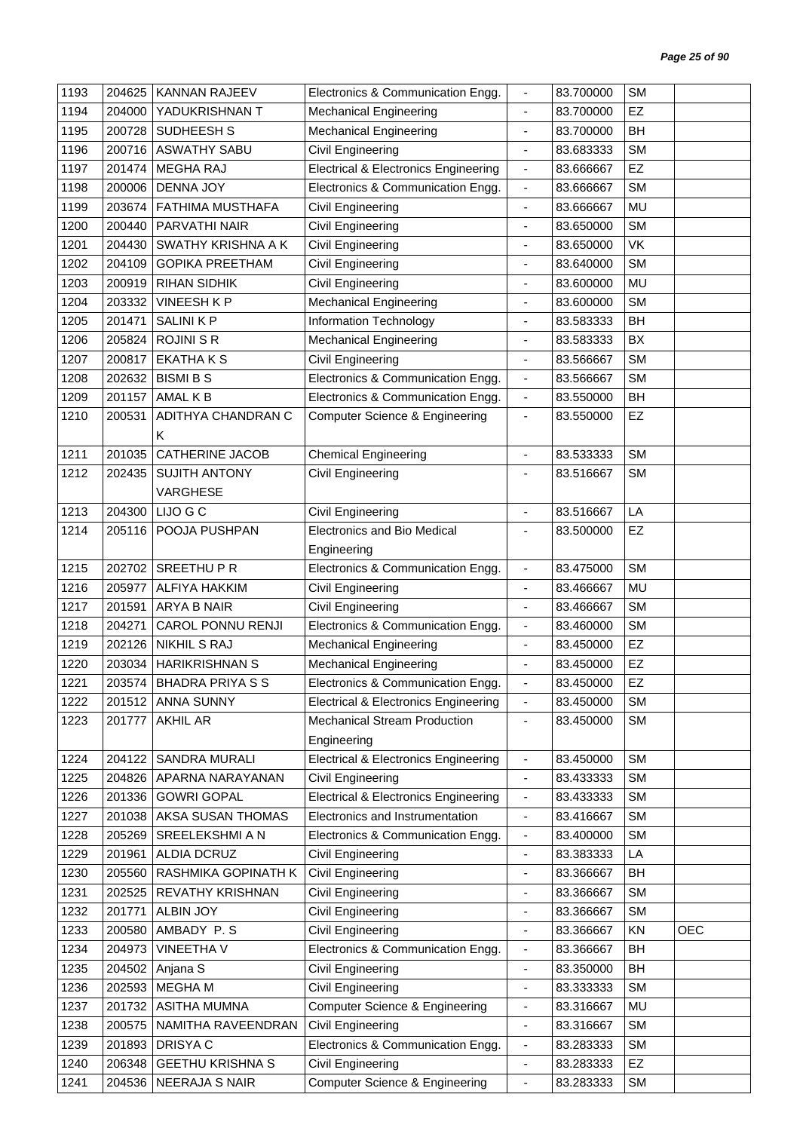| 1193 | 204625 | <b>KANNAN RAJEEV</b>      | Electronics & Communication Engg.               | $\overline{\phantom{a}}$     | 83.700000 | <b>SM</b> |            |
|------|--------|---------------------------|-------------------------------------------------|------------------------------|-----------|-----------|------------|
| 1194 | 204000 | YADUKRISHNAN T            | <b>Mechanical Engineering</b>                   | $\blacksquare$               | 83.700000 | EZ        |            |
| 1195 | 200728 | SUDHEESH S                | <b>Mechanical Engineering</b>                   | $\blacksquare$               | 83.700000 | BH        |            |
| 1196 | 200716 | <b>ASWATHY SABU</b>       | Civil Engineering                               | $\overline{\phantom{a}}$     | 83.683333 | <b>SM</b> |            |
| 1197 | 201474 | <b>MEGHA RAJ</b>          | <b>Electrical &amp; Electronics Engineering</b> | $\blacksquare$               | 83.666667 | EZ        |            |
| 1198 | 200006 | <b>DENNA JOY</b>          | Electronics & Communication Engg.               | $\overline{\phantom{a}}$     | 83.666667 | <b>SM</b> |            |
| 1199 | 203674 | <b>FATHIMA MUSTHAFA</b>   | Civil Engineering                               | $\blacksquare$               | 83.666667 | MU        |            |
| 1200 | 200440 | PARVATHI NAIR             | Civil Engineering                               | $\overline{\phantom{a}}$     | 83.650000 | <b>SM</b> |            |
| 1201 | 204430 | SWATHY KRISHNA A K        | Civil Engineering                               | $\overline{\phantom{a}}$     | 83.650000 | <b>VK</b> |            |
| 1202 | 204109 | <b>GOPIKA PREETHAM</b>    | <b>Civil Engineering</b>                        | $\overline{\phantom{a}}$     | 83.640000 | <b>SM</b> |            |
| 1203 | 200919 | <b>RIHAN SIDHIK</b>       | <b>Civil Engineering</b>                        | $\blacksquare$               | 83.600000 | <b>MU</b> |            |
| 1204 | 203332 | VINEESH K P               | <b>Mechanical Engineering</b>                   | ä,                           | 83.600000 | <b>SM</b> |            |
| 1205 | 201471 | <b>SALINI K P</b>         | Information Technology                          | ÷                            | 83.583333 | BH        |            |
| 1206 | 205824 | <b>ROJINI S R</b>         | <b>Mechanical Engineering</b>                   | $\overline{\phantom{a}}$     | 83.583333 | BX        |            |
| 1207 | 200817 | <b>EKATHAKS</b>           | <b>Civil Engineering</b>                        | $\overline{\phantom{a}}$     | 83.566667 | <b>SM</b> |            |
| 1208 | 202632 | <b>BISMI B S</b>          | Electronics & Communication Engg.               | $\blacksquare$               | 83.566667 | <b>SM</b> |            |
| 1209 | 201157 | AMAL K B                  | Electronics & Communication Engg.               | $\blacksquare$               | 83.550000 | <b>BH</b> |            |
| 1210 | 200531 | ADITHYA CHANDRAN C        | <b>Computer Science &amp; Engineering</b>       | $\overline{\phantom{a}}$     | 83.550000 | <b>EZ</b> |            |
|      |        | K                         |                                                 |                              |           |           |            |
| 1211 | 201035 | <b>CATHERINE JACOB</b>    | <b>Chemical Engineering</b>                     | $\overline{\phantom{a}}$     | 83.533333 | <b>SM</b> |            |
| 1212 | 202435 | <b>SUJITH ANTONY</b>      | Civil Engineering                               | $\blacksquare$               | 83.516667 | <b>SM</b> |            |
|      |        | VARGHESE                  |                                                 |                              |           |           |            |
| 1213 | 204300 | LIJO G C                  | <b>Civil Engineering</b>                        | $\blacksquare$               | 83.516667 | LA        |            |
| 1214 | 205116 | POOJA PUSHPAN             | <b>Electronics and Bio Medical</b>              | $\overline{a}$               | 83.500000 | EZ        |            |
|      |        |                           | Engineering                                     |                              |           |           |            |
| 1215 | 202702 | SREETHUPR                 | Electronics & Communication Engg.               | $\overline{\phantom{a}}$     | 83.475000 | <b>SM</b> |            |
| 1216 | 205977 | <b>ALFIYA HAKKIM</b>      | <b>Civil Engineering</b>                        | $\blacksquare$               | 83.466667 | MU        |            |
| 1217 | 201591 | <b>ARYA B NAIR</b>        | <b>Civil Engineering</b>                        | $\blacksquare$               | 83.466667 | <b>SM</b> |            |
| 1218 | 204271 | <b>CAROL PONNU RENJI</b>  | Electronics & Communication Engg.               | $\overline{\phantom{a}}$     | 83.460000 | <b>SM</b> |            |
| 1219 | 202126 | <b>NIKHIL S RAJ</b>       | <b>Mechanical Engineering</b>                   | $\blacksquare$               | 83.450000 | EZ        |            |
| 1220 | 203034 | <b>HARIKRISHNAN S</b>     | <b>Mechanical Engineering</b>                   |                              | 83.450000 | EZ        |            |
| 1221 |        | 203574   BHADRA PRIYA S S | Electronics & Communication Engg.               |                              | 83.450000 | EZ        |            |
| 1222 |        | 201512 ANNA SUNNY         | <b>Electrical &amp; Electronics Engineering</b> | $\overline{\phantom{a}}$     | 83.450000 | <b>SM</b> |            |
| 1223 | 201777 | <b>AKHIL AR</b>           | Mechanical Stream Production                    | $\overline{\phantom{a}}$     | 83.450000 | <b>SM</b> |            |
|      |        |                           | Engineering                                     |                              |           |           |            |
| 1224 | 204122 | <b>SANDRA MURALI</b>      | <b>Electrical &amp; Electronics Engineering</b> | $\blacksquare$               | 83.450000 | <b>SM</b> |            |
| 1225 | 204826 | APARNA NARAYANAN          | Civil Engineering                               | $\overline{\phantom{a}}$     | 83.433333 | <b>SM</b> |            |
| 1226 | 201336 | <b>GOWRI GOPAL</b>        | <b>Electrical &amp; Electronics Engineering</b> | $\blacksquare$               | 83.433333 | <b>SM</b> |            |
| 1227 | 201038 | AKSA SUSAN THOMAS         | Electronics and Instrumentation                 | $\overline{\phantom{a}}$     | 83.416667 | <b>SM</b> |            |
| 1228 | 205269 | SREELEKSHMI A N           | Electronics & Communication Engg.               | $\overline{\phantom{a}}$     | 83.400000 | <b>SM</b> |            |
| 1229 | 201961 | ALDIA DCRUZ               | Civil Engineering                               | $\blacksquare$               | 83.383333 | LA        |            |
| 1230 | 205560 | RASHMIKA GOPINATH K       | Civil Engineering                               | ٠                            | 83.366667 | BH        |            |
| 1231 | 202525 | <b>REVATHY KRISHNAN</b>   | <b>Civil Engineering</b>                        | ÷                            | 83.366667 | <b>SM</b> |            |
| 1232 | 201771 | <b>ALBIN JOY</b>          | <b>Civil Engineering</b>                        | $\overline{\phantom{a}}$     | 83.366667 | <b>SM</b> |            |
| 1233 | 200580 | AMBADY P.S                | Civil Engineering                               | $\overline{\phantom{a}}$     | 83.366667 | ΚN        | <b>OEC</b> |
| 1234 | 204973 | <b>VINEETHA V</b>         | Electronics & Communication Engg.               | $\overline{\phantom{a}}$     | 83.366667 | BH        |            |
| 1235 | 204502 | Anjana S                  | Civil Engineering                               | $\overline{\phantom{a}}$     | 83.350000 | BH        |            |
| 1236 | 202593 | MEGHA M                   | Civil Engineering                               | $\qquad \qquad \blacksquare$ | 83.333333 | <b>SM</b> |            |
| 1237 | 201732 | <b>ASITHA MUMNA</b>       | <b>Computer Science &amp; Engineering</b>       | $\overline{\phantom{a}}$     | 83.316667 | MU        |            |
| 1238 | 200575 | NAMITHA RAVEENDRAN        | <b>Civil Engineering</b>                        | $\blacksquare$               | 83.316667 | <b>SM</b> |            |
| 1239 | 201893 | DRISYA C                  | Electronics & Communication Engg.               | $\overline{\phantom{a}}$     | 83.283333 | <b>SM</b> |            |
| 1240 | 206348 | <b>GEETHU KRISHNA S</b>   | Civil Engineering                               | $\blacksquare$               | 83.283333 | EZ        |            |
| 1241 |        | 204536 NEERAJA S NAIR     | <b>Computer Science &amp; Engineering</b>       | $\blacksquare$               | 83.283333 | <b>SM</b> |            |
|      |        |                           |                                                 |                              |           |           |            |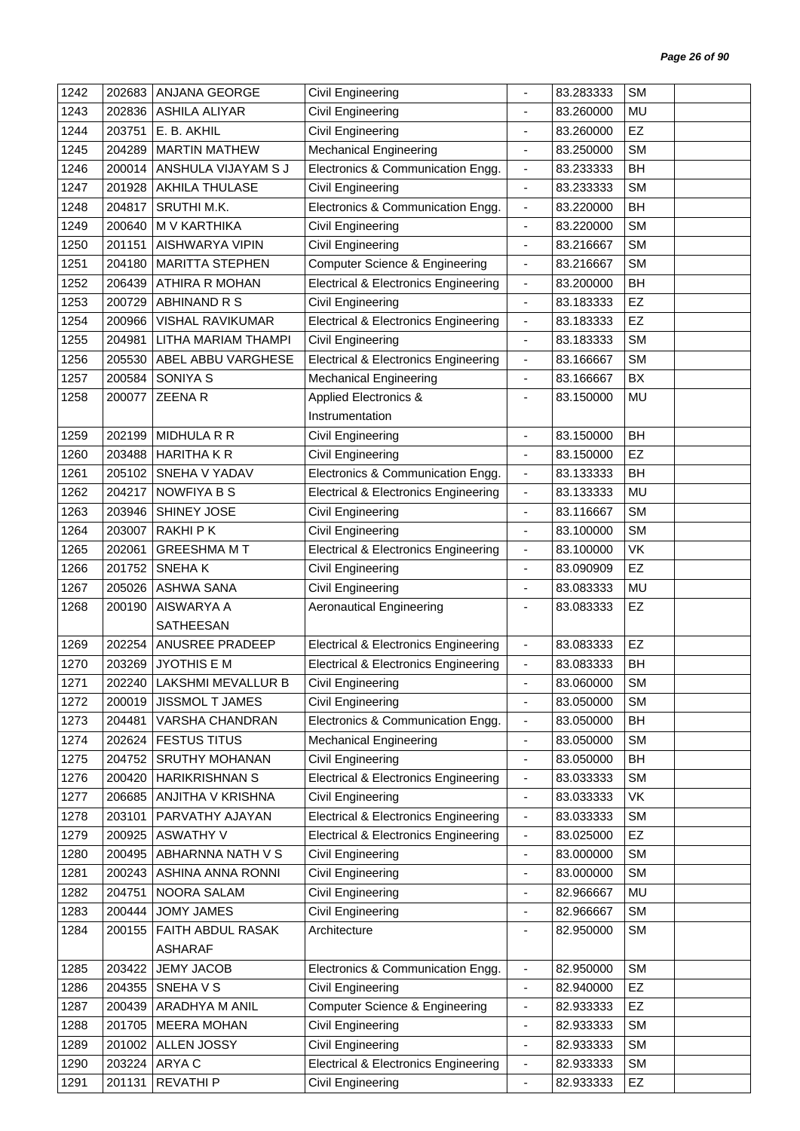| 1242 | 202683 | ANJANA GEORGE               | Civil Engineering                               |                              | 83.283333 | <b>SM</b> |  |
|------|--------|-----------------------------|-------------------------------------------------|------------------------------|-----------|-----------|--|
| 1243 | 202836 | <b>ASHILA ALIYAR</b>        | <b>Civil Engineering</b>                        |                              | 83.260000 | <b>MU</b> |  |
| 1244 | 203751 | E. B. AKHIL                 | Civil Engineering                               | $\frac{1}{2}$                | 83.260000 | <b>EZ</b> |  |
| 1245 | 204289 | <b>MARTIN MATHEW</b>        | <b>Mechanical Engineering</b>                   | ٠                            | 83.250000 | <b>SM</b> |  |
| 1246 | 200014 | ANSHULA VIJAYAM S J         | Electronics & Communication Engg.               | $\overline{\phantom{0}}$     | 83.233333 | BH        |  |
| 1247 | 201928 | <b>AKHILA THULASE</b>       | Civil Engineering                               | $\overline{a}$               | 83.233333 | <b>SM</b> |  |
| 1248 | 204817 | SRUTHI M.K.                 | Electronics & Communication Engg.               | $\overline{\phantom{a}}$     | 83.220000 | BH        |  |
| 1249 | 200640 | M V KARTHIKA                | Civil Engineering                               | $\frac{1}{2}$                | 83.220000 | <b>SM</b> |  |
| 1250 | 201151 | AISHWARYA VIPIN             | Civil Engineering                               | ä,                           | 83.216667 | <b>SM</b> |  |
| 1251 | 204180 | <b>MARITTA STEPHEN</b>      | <b>Computer Science &amp; Engineering</b>       | $\qquad \qquad \blacksquare$ | 83.216667 | <b>SM</b> |  |
| 1252 | 206439 | ATHIRA R MOHAN              | <b>Electrical &amp; Electronics Engineering</b> | $\overline{\phantom{a}}$     | 83.200000 | BH        |  |
| 1253 | 200729 | ABHINAND R S                | Civil Engineering                               | $\frac{1}{2}$                | 83.183333 | EZ        |  |
| 1254 | 200966 | <b>VISHAL RAVIKUMAR</b>     | <b>Electrical &amp; Electronics Engineering</b> | $\blacksquare$               | 83.183333 | EZ        |  |
| 1255 | 204981 | LITHA MARIAM THAMPI         | Civil Engineering                               | $\blacksquare$               | 83.183333 | <b>SM</b> |  |
| 1256 | 205530 | ABEL ABBU VARGHESE          | <b>Electrical &amp; Electronics Engineering</b> | $\overline{\phantom{a}}$     | 83.166667 | <b>SM</b> |  |
| 1257 | 200584 | SONIYA S                    | <b>Mechanical Engineering</b>                   | $\qquad \qquad \blacksquare$ | 83.166667 | BX        |  |
| 1258 | 200077 | <b>ZEENAR</b>               | <b>Applied Electronics &amp;</b>                | ä,                           | 83.150000 | MU        |  |
|      |        |                             | Instrumentation                                 |                              |           |           |  |
| 1259 | 202199 | MIDHULA R R                 | <b>Civil Engineering</b>                        | $\blacksquare$               | 83.150000 | BH        |  |
| 1260 | 203488 | <b>HARITHAKR</b>            | Civil Engineering                               | ä,                           | 83.150000 | EZ        |  |
| 1261 | 205102 | SNEHA V YADAV               | Electronics & Communication Engg.               | $\overline{\phantom{a}}$     | 83.133333 | BH        |  |
| 1262 | 204217 | <b>NOWFIYA B S</b>          | <b>Electrical &amp; Electronics Engineering</b> | $\qquad \qquad \blacksquare$ | 83.133333 | <b>MU</b> |  |
| 1263 | 203946 | SHINEY JOSE                 | Civil Engineering                               | $\frac{1}{2}$                | 83.116667 | <b>SM</b> |  |
| 1264 | 203007 | <b>RAKHIPK</b>              | Civil Engineering                               | $\overline{\phantom{a}}$     | 83.100000 | <b>SM</b> |  |
| 1265 | 202061 | <b>GREESHMA MT</b>          | <b>Electrical &amp; Electronics Engineering</b> | $\overline{\phantom{a}}$     | 83.100000 | VK        |  |
| 1266 | 201752 | <b>SNEHAK</b>               | Civil Engineering                               | $\qquad \qquad \blacksquare$ | 83.090909 | EZ        |  |
| 1267 | 205026 | <b>ASHWA SANA</b>           | <b>Civil Engineering</b>                        | $\qquad \qquad \blacksquare$ | 83.083333 | MU        |  |
| 1268 | 200190 | AISWARYA A                  | <b>Aeronautical Engineering</b>                 | ä,                           | 83.083333 | EZ        |  |
|      |        | SATHEESAN                   |                                                 |                              |           |           |  |
| 1269 | 202254 | ANUSREE PRADEEP             | <b>Electrical &amp; Electronics Engineering</b> | $\blacksquare$               | 83.083333 | EZ        |  |
| 1270 | 203269 | <b>JYOTHIS E M</b>          | <b>Electrical &amp; Electronics Engineering</b> |                              | 83.083333 | BH        |  |
| 1271 |        | 202240   LAKSHMI MEVALLUR B | Civil Engineering                               | -                            | 83.060000 | <b>SM</b> |  |
| 1272 | 200019 | JISSMOL T JAMES             | Civil Engineering                               | $\overline{\phantom{a}}$     | 83.050000 | <b>SM</b> |  |
| 1273 | 204481 | VARSHA CHANDRAN             | Electronics & Communication Engg.               | $\overline{\phantom{a}}$     | 83.050000 | BH        |  |
| 1274 | 202624 | <b>FESTUS TITUS</b>         | <b>Mechanical Engineering</b>                   | $\overline{\phantom{a}}$     | 83.050000 | <b>SM</b> |  |
| 1275 | 204752 | <b>SRUTHY MOHANAN</b>       | Civil Engineering                               | $\qquad \qquad \blacksquare$ | 83.050000 | BH        |  |
| 1276 | 200420 | <b>HARIKRISHNAN S</b>       | <b>Electrical &amp; Electronics Engineering</b> | $\overline{\phantom{a}}$     | 83.033333 | <b>SM</b> |  |
| 1277 | 206685 | ANJITHA V KRISHNA           | <b>Civil Engineering</b>                        | $\overline{\phantom{0}}$     | 83.033333 | VK        |  |
| 1278 | 203101 | PARVATHY AJAYAN             | <b>Electrical &amp; Electronics Engineering</b> | $\overline{\phantom{a}}$     | 83.033333 | <b>SM</b> |  |
| 1279 | 200925 | <b>ASWATHY V</b>            | <b>Electrical &amp; Electronics Engineering</b> | $\qquad \qquad \blacksquare$ | 83.025000 | EZ        |  |
| 1280 | 200495 | ABHARNNA NATH V S           | Civil Engineering                               | 4                            | 83.000000 | <b>SM</b> |  |
| 1281 | 200243 | ASHINA ANNA RONNI           | Civil Engineering                               | ÷,                           | 83.000000 | <b>SM</b> |  |
| 1282 | 204751 | NOORA SALAM                 | Civil Engineering                               | $\overline{\phantom{0}}$     | 82.966667 | MU        |  |
| 1283 | 200444 | <b>JOMY JAMES</b>           | Civil Engineering                               | $\frac{1}{2}$                | 82.966667 | <b>SM</b> |  |
| 1284 | 200155 | FAITH ABDUL RASAK           | Architecture                                    | ٠                            | 82.950000 | <b>SM</b> |  |
|      |        | <b>ASHARAF</b>              |                                                 |                              |           |           |  |
| 1285 | 203422 | <b>JEMY JACOB</b>           | Electronics & Communication Engg.               | $\blacksquare$               | 82.950000 | <b>SM</b> |  |
| 1286 | 204355 | SNEHA V S                   | <b>Civil Engineering</b>                        | $\frac{1}{2}$                | 82.940000 | EZ        |  |
| 1287 | 200439 | ARADHYA M ANIL              | <b>Computer Science &amp; Engineering</b>       |                              | 82.933333 | <b>EZ</b> |  |
| 1288 | 201705 | <b>MEERA MOHAN</b>          | Civil Engineering                               | $\frac{1}{2}$                | 82.933333 | <b>SM</b> |  |
| 1289 | 201002 | ALLEN JOSSY                 | <b>Civil Engineering</b>                        | $\overline{\phantom{0}}$     | 82.933333 | <b>SM</b> |  |
| 1290 | 203224 | ARYA C                      | <b>Electrical &amp; Electronics Engineering</b> | $\overline{\phantom{0}}$     | 82.933333 | <b>SM</b> |  |
| 1291 | 201131 | <b>REVATHIP</b>             | Civil Engineering                               | ٠                            | 82.933333 | EZ        |  |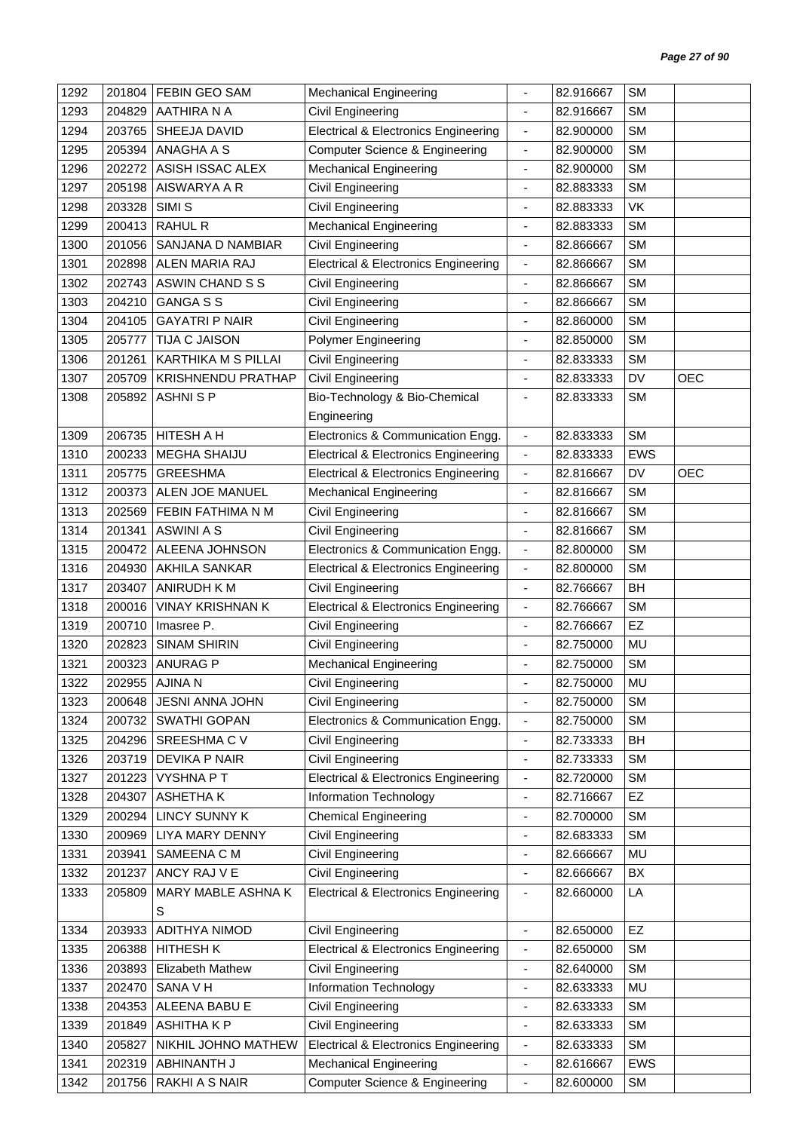| 1292 | 201804 | FEBIN GEO SAM             | <b>Mechanical Engineering</b>                   | $\overline{\phantom{0}}$     | 82.916667 | <b>SM</b>  |            |
|------|--------|---------------------------|-------------------------------------------------|------------------------------|-----------|------------|------------|
| 1293 | 204829 | AATHIRA N A               | Civil Engineering                               | ä,                           | 82.916667 | <b>SM</b>  |            |
| 1294 | 203765 | SHEEJA DAVID              | <b>Electrical &amp; Electronics Engineering</b> | $\overline{\phantom{a}}$     | 82.900000 | <b>SM</b>  |            |
| 1295 | 205394 | ANAGHA A S                | <b>Computer Science &amp; Engineering</b>       | $\qquad \qquad \blacksquare$ | 82.900000 | <b>SM</b>  |            |
| 1296 | 202272 | ASISH ISSAC ALEX          | <b>Mechanical Engineering</b>                   | $\blacksquare$               | 82.900000 | <b>SM</b>  |            |
| 1297 | 205198 | AISWARYA A R              | <b>Civil Engineering</b>                        | ä,                           | 82.883333 | <b>SM</b>  |            |
| 1298 | 203328 | SIMI <sub>S</sub>         | <b>Civil Engineering</b>                        | $\qquad \qquad \blacksquare$ | 82.883333 | VK         |            |
| 1299 | 200413 | <b>RAHUL R</b>            | <b>Mechanical Engineering</b>                   | $\overline{\phantom{0}}$     | 82.883333 | <b>SM</b>  |            |
| 1300 | 201056 | SANJANA D NAMBIAR         | Civil Engineering                               | ÷,                           | 82.866667 | <b>SM</b>  |            |
| 1301 | 202898 | ALEN MARIA RAJ            | <b>Electrical &amp; Electronics Engineering</b> | $\overline{\phantom{a}}$     | 82.866667 | <b>SM</b>  |            |
| 1302 | 202743 | ASWIN CHAND S S           | Civil Engineering                               | $\overline{\phantom{0}}$     | 82.866667 | <b>SM</b>  |            |
| 1303 | 204210 | <b>GANGA S S</b>          | Civil Engineering                               | ä,                           | 82.866667 | <b>SM</b>  |            |
| 1304 | 204105 | <b>GAYATRI P NAIR</b>     | Civil Engineering                               | ٠                            | 82.860000 | <b>SM</b>  |            |
| 1305 | 205777 | <b>TIJA C JAISON</b>      | <b>Polymer Engineering</b>                      | ä,                           | 82.850000 | <b>SM</b>  |            |
| 1306 | 201261 | KARTHIKA M S PILLAI       | Civil Engineering                               | ٠                            | 82.833333 | <b>SM</b>  |            |
| 1307 | 205709 | <b>KRISHNENDU PRATHAP</b> | <b>Civil Engineering</b>                        | $\blacksquare$               | 82.833333 | DV         | <b>OEC</b> |
| 1308 | 205892 | <b>ASHNISP</b>            | Bio-Technology & Bio-Chemical                   | $\overline{\phantom{a}}$     | 82.833333 | <b>SM</b>  |            |
|      |        |                           | Engineering                                     |                              |           |            |            |
| 1309 | 206735 | HITESH A H                | Electronics & Communication Engg.               | $\overline{\phantom{a}}$     | 82.833333 | <b>SM</b>  |            |
| 1310 | 200233 | <b>MEGHA SHAIJU</b>       | <b>Electrical &amp; Electronics Engineering</b> | $\overline{\phantom{a}}$     | 82.833333 | <b>EWS</b> |            |
| 1311 | 205775 | <b>GREESHMA</b>           | <b>Electrical &amp; Electronics Engineering</b> | $\blacksquare$               | 82.816667 | DV         | <b>OEC</b> |
| 1312 | 200373 | ALEN JOE MANUEL           | <b>Mechanical Engineering</b>                   | $\blacksquare$               | 82.816667 | <b>SM</b>  |            |
| 1313 | 202569 | FEBIN FATHIMA N M         | Civil Engineering                               | ٠                            | 82.816667 | <b>SM</b>  |            |
| 1314 | 201341 | <b>ASWINI A S</b>         | Civil Engineering                               | $\qquad \qquad \blacksquare$ | 82.816667 | <b>SM</b>  |            |
| 1315 | 200472 | ALEENA JOHNSON            | Electronics & Communication Engg.               | $\overline{\phantom{a}}$     | 82.800000 | <b>SM</b>  |            |
| 1316 | 204930 | <b>AKHILA SANKAR</b>      | <b>Electrical &amp; Electronics Engineering</b> | $\overline{\phantom{a}}$     | 82.800000 | <b>SM</b>  |            |
| 1317 | 203407 | ANIRUDH K M               | Civil Engineering                               | $\blacksquare$               | 82.766667 | BH         |            |
| 1318 | 200016 | <b>VINAY KRISHNAN K</b>   | <b>Electrical &amp; Electronics Engineering</b> | $\blacksquare$               | 82.766667 | <b>SM</b>  |            |
| 1319 | 200710 | Imasree P.                | Civil Engineering                               | $\qquad \qquad \blacksquare$ | 82.766667 | EZ         |            |
| 1320 | 202823 | <b>SINAM SHIRIN</b>       | <b>Civil Engineering</b>                        | $\blacksquare$               | 82.750000 | <b>MU</b>  |            |
| 1321 | 200323 | <b>ANURAG P</b>           | <b>Mechanical Engineering</b>                   |                              | 82.750000 | <b>SM</b>  |            |
| 1322 | 202955 | AJINA N                   | Civil Engineering                               |                              | 82.750000 | <b>MU</b>  |            |
| 1323 |        | 200648 JESNI ANNA JOHN    | Civil Engineering                               | $\blacksquare$               | 82.750000 | <b>SM</b>  |            |
| 1324 | 200732 | SWATHI GOPAN              | Electronics & Communication Engg.               | $\overline{\phantom{a}}$     | 82.750000 | <b>SM</b>  |            |
| 1325 | 204296 | SREESHMA C V              | Civil Engineering                               | $\overline{\phantom{0}}$     | 82.733333 | BH         |            |
| 1326 | 203719 | DEVIKA P NAIR             | Civil Engineering                               | $\qquad \qquad \blacksquare$ | 82.733333 | <b>SM</b>  |            |
| 1327 | 201223 | <b>VYSHNA PT</b>          | <b>Electrical &amp; Electronics Engineering</b> | $\qquad \qquad \blacksquare$ | 82.720000 | <b>SM</b>  |            |
| 1328 | 204307 | ASHETHAK                  | Information Technology                          | $\blacksquare$               | 82.716667 | <b>EZ</b>  |            |
| 1329 | 200294 | <b>LINCY SUNNY K</b>      | <b>Chemical Engineering</b>                     | $\frac{1}{2}$                | 82.700000 | <b>SM</b>  |            |
| 1330 | 200969 | LIYA MARY DENNY           | Civil Engineering                               | $\overline{\phantom{0}}$     | 82.683333 | <b>SM</b>  |            |
| 1331 | 203941 | SAMEENA C M               | Civil Engineering                               | $\qquad \qquad \blacksquare$ | 82.666667 | MU         |            |
| 1332 | 201237 | ANCY RAJ V E              | Civil Engineering                               | -                            | 82.666667 | BX         |            |
| 1333 | 205809 | MARY MABLE ASHNA K        | <b>Electrical &amp; Electronics Engineering</b> | $\overline{\phantom{0}}$     | 82.660000 | LA         |            |
|      |        | S                         |                                                 |                              |           |            |            |
| 1334 | 203933 | <b>ADITHYA NIMOD</b>      | Civil Engineering                               | $\overline{\phantom{a}}$     | 82.650000 | EZ         |            |
| 1335 | 206388 | <b>HITHESH K</b>          | <b>Electrical &amp; Electronics Engineering</b> | $\overline{\phantom{0}}$     | 82.650000 | <b>SM</b>  |            |
| 1336 | 203893 | Elizabeth Mathew          | Civil Engineering                               | $\qquad \qquad \blacksquare$ | 82.640000 | <b>SM</b>  |            |
| 1337 | 202470 | SANA V H                  | Information Technology                          | $\overline{\phantom{0}}$     | 82.633333 | MU         |            |
| 1338 | 204353 | ALEENA BABU E             | Civil Engineering                               | $\qquad \qquad \blacksquare$ | 82.633333 | <b>SM</b>  |            |
| 1339 | 201849 | <b>ASHITHAKP</b>          | Civil Engineering                               | $\frac{1}{2}$                | 82.633333 | <b>SM</b>  |            |
| 1340 | 205827 | NIKHIL JOHNO MATHEW       | <b>Electrical &amp; Electronics Engineering</b> | $\overline{\phantom{a}}$     | 82.633333 | SM         |            |
| 1341 |        | ABHINANTH J               | <b>Mechanical Engineering</b>                   | $\qquad \qquad \blacksquare$ | 82.616667 | <b>EWS</b> |            |
|      | 202319 |                           |                                                 |                              |           |            |            |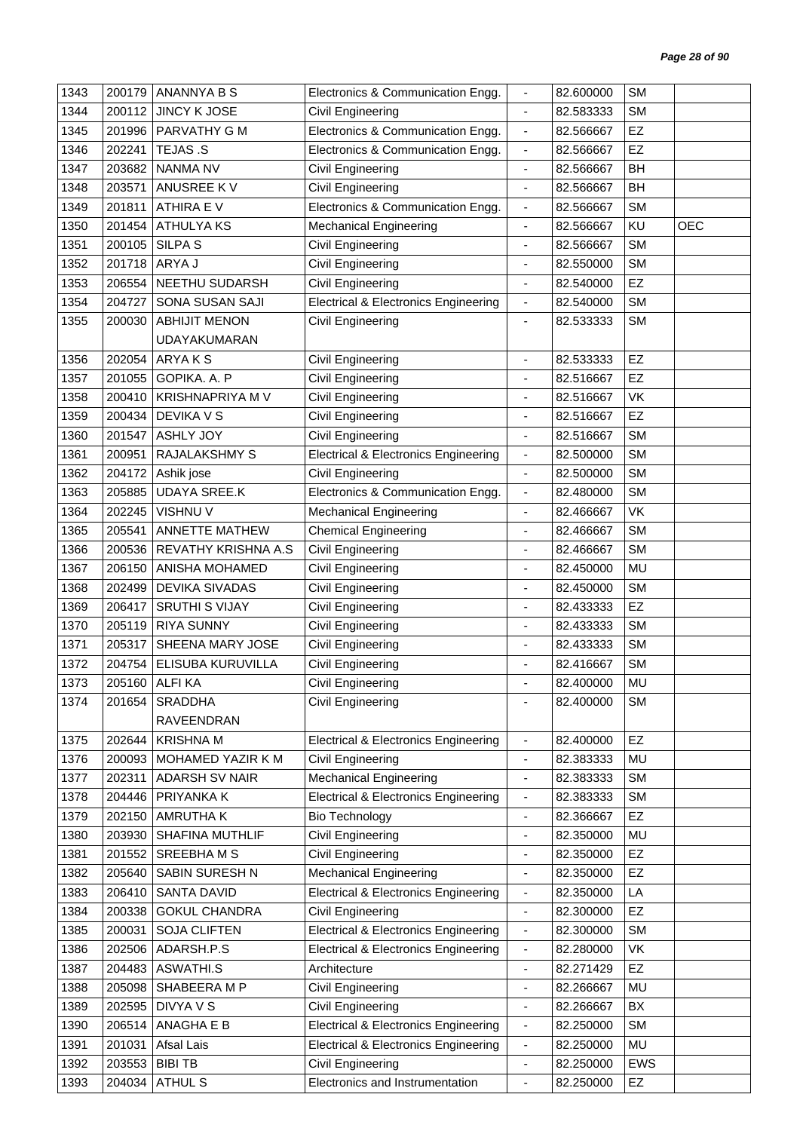| 1343 | 200179 | ANANNYA B S             | Electronics & Communication Engg.               | $\blacksquare$                                           | 82.600000 | <b>SM</b> |            |
|------|--------|-------------------------|-------------------------------------------------|----------------------------------------------------------|-----------|-----------|------------|
| 1344 | 200112 | JINCY K JOSE            | Civil Engineering                               | $\blacksquare$                                           | 82.583333 | <b>SM</b> |            |
| 1345 | 201996 | PARVATHY G M            | Electronics & Communication Engg.               | $\overline{\phantom{a}}$                                 | 82.566667 | <b>EZ</b> |            |
| 1346 | 202241 | TEJAS .S                | Electronics & Communication Engg.               | $\overline{\phantom{a}}$                                 | 82.566667 | EZ        |            |
| 1347 | 203682 | <b>NANMA NV</b>         | Civil Engineering                               | $\blacksquare$                                           | 82.566667 | BH        |            |
| 1348 | 203571 | ANUSREE KV              | Civil Engineering                               | $\blacksquare$                                           | 82.566667 | BH        |            |
| 1349 | 201811 | ATHIRA E V              | Electronics & Communication Engg.               | $\overline{\phantom{a}}$                                 | 82.566667 | <b>SM</b> |            |
| 1350 | 201454 | <b>ATHULYAKS</b>        | <b>Mechanical Engineering</b>                   | $\blacksquare$                                           | 82.566667 | KU        | <b>OEC</b> |
| 1351 | 200105 | <b>SILPA S</b>          | Civil Engineering                               | $\overline{\phantom{a}}$                                 | 82.566667 | <b>SM</b> |            |
| 1352 | 201718 | ARYA J                  | <b>Civil Engineering</b>                        | $\overline{\phantom{a}}$                                 | 82.550000 | <b>SM</b> |            |
| 1353 | 206554 | NEETHU SUDARSH          | Civil Engineering                               | $\blacksquare$                                           | 82.540000 | EZ        |            |
| 1354 | 204727 | SONA SUSAN SAJI         | <b>Electrical &amp; Electronics Engineering</b> | $\overline{\phantom{a}}$                                 | 82.540000 | <b>SM</b> |            |
| 1355 | 200030 | <b>ABHIJIT MENON</b>    | Civil Engineering                               | $\overline{\phantom{a}}$                                 | 82.533333 | <b>SM</b> |            |
|      |        | <b>UDAYAKUMARAN</b>     |                                                 |                                                          |           |           |            |
| 1356 | 202054 | ARYAKS                  | Civil Engineering                               | $\overline{\phantom{a}}$                                 | 82.533333 | EZ        |            |
| 1357 | 201055 | GOPIKA. A. P            | <b>Civil Engineering</b>                        | $\blacksquare$                                           | 82.516667 | <b>EZ</b> |            |
| 1358 | 200410 | <b>KRISHNAPRIYA M V</b> | <b>Civil Engineering</b>                        | ÷.                                                       | 82.516667 | VK        |            |
| 1359 | 200434 | <b>DEVIKA V S</b>       | Civil Engineering                               | $\overline{\phantom{a}}$                                 | 82.516667 | <b>EZ</b> |            |
| 1360 | 201547 | <b>ASHLY JOY</b>        | <b>Civil Engineering</b>                        | $\overline{\phantom{a}}$                                 | 82.516667 | <b>SM</b> |            |
| 1361 | 200951 | RAJALAKSHMY S           | <b>Electrical &amp; Electronics Engineering</b> | $\overline{\phantom{a}}$                                 | 82.500000 | <b>SM</b> |            |
| 1362 | 204172 | Ashik jose              | Civil Engineering                               | $\overline{\phantom{a}}$                                 | 82.500000 | <b>SM</b> |            |
| 1363 | 205885 | <b>UDAYA SREE.K</b>     | Electronics & Communication Engg.               | $\blacksquare$                                           | 82.480000 | <b>SM</b> |            |
| 1364 | 202245 | VISHNU V                | <b>Mechanical Engineering</b>                   | $\overline{\phantom{a}}$                                 | 82.466667 | VK        |            |
| 1365 | 205541 | ANNETTE MATHEW          | <b>Chemical Engineering</b>                     | $\overline{\phantom{a}}$                                 | 82.466667 | <b>SM</b> |            |
| 1366 | 200536 | REVATHY KRISHNA A.S     | <b>Civil Engineering</b>                        | ÷,                                                       | 82.466667 | <b>SM</b> |            |
| 1367 | 206150 | ANISHA MOHAMED          | Civil Engineering                               | $\qquad \qquad \blacksquare$                             | 82.450000 | <b>MU</b> |            |
| 1368 | 202499 | <b>DEVIKA SIVADAS</b>   | Civil Engineering                               | $\blacksquare$                                           | 82.450000 | <b>SM</b> |            |
| 1369 | 206417 | <b>SRUTHI S VIJAY</b>   | Civil Engineering                               | $\blacksquare$                                           | 82.433333 | EZ        |            |
| 1370 | 205119 | <b>RIYA SUNNY</b>       | Civil Engineering                               | $\overline{\phantom{a}}$                                 | 82.433333 | <b>SM</b> |            |
| 1371 | 205317 | SHEENA MARY JOSE        | Civil Engineering                               | $\overline{\phantom{a}}$                                 | 82.433333 | <b>SM</b> |            |
| 1372 | 204754 | ELISUBA KURUVILLA       | Civil Engineering                               |                                                          | 82.416667 | <b>SM</b> |            |
| 1373 |        | 205160 ALFI KA          | Civil Engineering                               |                                                          | 82.400000 | <b>MU</b> |            |
| 1374 | 201654 | <b>SRADDHA</b>          | Civil Engineering                               |                                                          | 82.400000 | <b>SM</b> |            |
|      |        | RAVEENDRAN              |                                                 |                                                          |           |           |            |
| 1375 | 202644 | <b>KRISHNA M</b>        | <b>Electrical &amp; Electronics Engineering</b> | $\blacksquare$                                           | 82.400000 | <b>EZ</b> |            |
| 1376 | 200093 | MOHAMED YAZIR K M       | <b>Civil Engineering</b>                        | ä,                                                       | 82.383333 | MU        |            |
| 1377 | 202311 | ADARSH SV NAIR          | <b>Mechanical Engineering</b>                   | $\qquad \qquad \blacksquare$                             | 82.383333 | <b>SM</b> |            |
| 1378 | 204446 | PRIYANKA K              | <b>Electrical &amp; Electronics Engineering</b> | $\overline{\phantom{a}}$                                 | 82.383333 | <b>SM</b> |            |
| 1379 | 202150 | AMRUTHA K               | <b>Bio Technology</b>                           | $\overline{\phantom{a}}$                                 | 82.366667 | <b>EZ</b> |            |
| 1380 | 203930 | SHAFINA MUTHLIF         | Civil Engineering                               | $\overline{\phantom{a}}$                                 | 82.350000 | MU        |            |
| 1381 | 201552 | <b>SREEBHAMS</b>        | Civil Engineering                               | $\overline{\phantom{a}}$                                 | 82.350000 | EZ        |            |
| 1382 | 205640 | SABIN SURESH N          | <b>Mechanical Engineering</b>                   | $\blacksquare$                                           | 82.350000 | <b>EZ</b> |            |
| 1383 | 206410 | <b>SANTA DAVID</b>      | <b>Electrical &amp; Electronics Engineering</b> | $\overline{\phantom{a}}$                                 | 82.350000 | LA        |            |
| 1384 | 200338 | <b>GOKUL CHANDRA</b>    | Civil Engineering                               | $\blacksquare$                                           | 82.300000 | EZ        |            |
| 1385 | 200031 | <b>SOJA CLIFTEN</b>     | <b>Electrical &amp; Electronics Engineering</b> | $\overline{\phantom{a}}$                                 | 82.300000 | <b>SM</b> |            |
| 1386 | 202506 | ADARSH.P.S              | <b>Electrical &amp; Electronics Engineering</b> | $\blacksquare$                                           | 82.280000 | VK        |            |
| 1387 | 204483 | ASWATHI.S               | Architecture                                    | ÷,                                                       | 82.271429 | EZ        |            |
| 1388 | 205098 | SHABEERA M P            |                                                 |                                                          | 82.266667 | MU        |            |
| 1389 | 202595 | <b>DIVYA V S</b>        | Civil Engineering<br>Civil Engineering          | $\qquad \qquad \blacksquare$<br>$\overline{\phantom{a}}$ | 82.266667 | BX        |            |
| 1390 | 206514 | ANAGHA E B              | <b>Electrical &amp; Electronics Engineering</b> | $\overline{\phantom{a}}$                                 | 82.250000 | <b>SM</b> |            |
| 1391 | 201031 | Afsal Lais              | <b>Electrical &amp; Electronics Engineering</b> | $\overline{\phantom{a}}$                                 | 82.250000 | MU        |            |
| 1392 | 203553 | <b>BIBI TB</b>          | Civil Engineering                               | $\blacksquare$                                           | 82.250000 | EWS       |            |
| 1393 | 204034 | <b>ATHUL S</b>          | Electronics and Instrumentation                 | $\blacksquare$                                           | 82.250000 | EZ        |            |
|      |        |                         |                                                 |                                                          |           |           |            |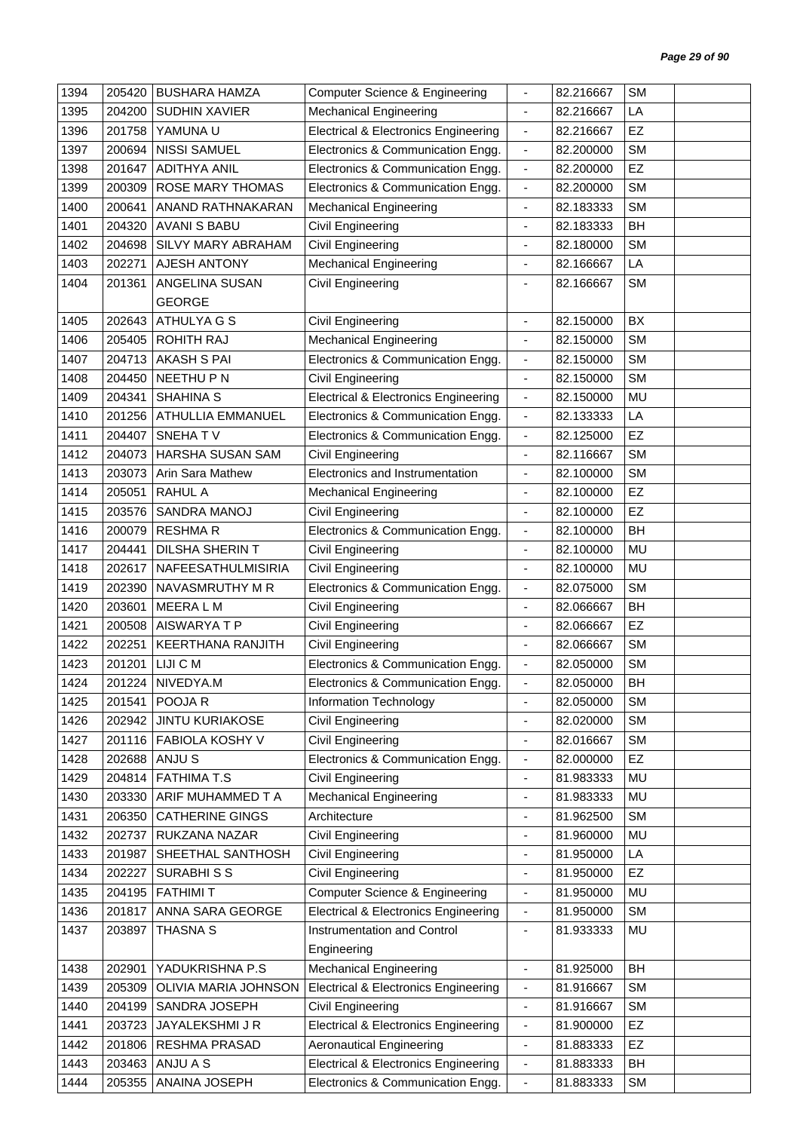| 1394 | 205420 | <b>BUSHARA HAMZA</b>   | <b>Computer Science &amp; Engineering</b>       | $\overline{\phantom{0}}$ | 82.216667 | <b>SM</b> |  |
|------|--------|------------------------|-------------------------------------------------|--------------------------|-----------|-----------|--|
| 1395 | 204200 | <b>SUDHIN XAVIER</b>   | <b>Mechanical Engineering</b>                   | $\blacksquare$           | 82.216667 | LA        |  |
| 1396 | 201758 | YAMUNA U               | <b>Electrical &amp; Electronics Engineering</b> | $\blacksquare$           | 82.216667 | EZ        |  |
| 1397 | 200694 | <b>NISSI SAMUEL</b>    | Electronics & Communication Engg.               | $\overline{\phantom{a}}$ | 82.200000 | <b>SM</b> |  |
| 1398 | 201647 | <b>ADITHYA ANIL</b>    | Electronics & Communication Engg.               | $\blacksquare$           | 82.200000 | EZ        |  |
| 1399 | 200309 | ROSE MARY THOMAS       | Electronics & Communication Engg.               | ÷,                       | 82.200000 | <b>SM</b> |  |
| 1400 | 200641 | ANAND RATHNAKARAN      | <b>Mechanical Engineering</b>                   | $\overline{\phantom{a}}$ | 82.183333 | <b>SM</b> |  |
| 1401 | 204320 | <b>AVANI S BABU</b>    | Civil Engineering                               | $\blacksquare$           | 82.183333 | BH        |  |
| 1402 | 204698 | SILVY MARY ABRAHAM     | Civil Engineering                               | $\blacksquare$           | 82.180000 | <b>SM</b> |  |
| 1403 | 202271 | AJESH ANTONY           | Mechanical Engineering                          | $\overline{\phantom{a}}$ | 82.166667 | LA        |  |
| 1404 | 201361 | ANGELINA SUSAN         | Civil Engineering                               | $\blacksquare$           | 82.166667 | <b>SM</b> |  |
|      |        | <b>GEORGE</b>          |                                                 |                          |           |           |  |
| 1405 | 202643 | ATHULYA G S            | Civil Engineering                               | $\blacksquare$           | 82.150000 | BX        |  |
| 1406 | 205405 | ROHITH RAJ             | <b>Mechanical Engineering</b>                   | $\blacksquare$           | 82.150000 | <b>SM</b> |  |
| 1407 | 204713 | <b>AKASH S PAI</b>     | Electronics & Communication Engg.               | $\overline{\phantom{a}}$ | 82.150000 | <b>SM</b> |  |
| 1408 | 204450 | NEETHU P N             | Civil Engineering                               | ÷,                       | 82.150000 | <b>SM</b> |  |
| 1409 | 204341 | <b>SHAHINA S</b>       | <b>Electrical &amp; Electronics Engineering</b> | ÷,                       | 82.150000 | <b>MU</b> |  |
| 1410 | 201256 | ATHULLIA EMMANUEL      | Electronics & Communication Engg.               | $\overline{\phantom{a}}$ | 82.133333 | LA        |  |
| 1411 | 204407 | SNEHATV                | Electronics & Communication Engg.               | $\blacksquare$           | 82.125000 | EZ        |  |
| 1412 | 204073 | HARSHA SUSAN SAM       | Civil Engineering                               | $\blacksquare$           | 82.116667 | <b>SM</b> |  |
| 1413 | 203073 | Arin Sara Mathew       | Electronics and Instrumentation                 | $\overline{\phantom{a}}$ | 82.100000 | <b>SM</b> |  |
| 1414 | 205051 | <b>RAHUL A</b>         | <b>Mechanical Engineering</b>                   | $\overline{\phantom{a}}$ | 82.100000 | EZ        |  |
| 1415 | 203576 | SANDRA MANOJ           | Civil Engineering                               |                          | 82.100000 | EZ        |  |
| 1416 | 200079 | <b>RESHMAR</b>         | Electronics & Communication Engg.               | $\overline{\phantom{a}}$ | 82.100000 | <b>BH</b> |  |
| 1417 | 204441 | <b>DILSHA SHERINT</b>  | Civil Engineering                               |                          | 82.100000 | MU        |  |
| 1418 | 202617 | NAFEESATHULMISIRIA     | Civil Engineering                               | $\overline{\phantom{a}}$ | 82.100000 | MU        |  |
| 1419 | 202390 | NAVASMRUTHY M R        | Electronics & Communication Engg.               | $\blacksquare$           | 82.075000 | <b>SM</b> |  |
| 1420 | 203601 | MEERA L M              | Civil Engineering                               |                          | 82.066667 | BH        |  |
| 1421 | 200508 | AISWARYATP             | Civil Engineering                               | $\overline{\phantom{a}}$ | 82.066667 | EZ        |  |
| 1422 | 202251 | KEERTHANA RANJITH      | <b>Civil Engineering</b>                        | $\blacksquare$           | 82.066667 | <b>SM</b> |  |
| 1423 | 201201 | LIJI C M               | Electronics & Communication Engg.               | $\blacksquare$           | 82.050000 | <b>SM</b> |  |
| 1424 |        | 201224 NIVEDYA.M       | Electronics & Communication Engg.               | $\overline{\phantom{a}}$ | 82.050000 | BH        |  |
| 1425 | 201541 | POOJA R                | Information Technology                          | $\frac{1}{2}$            | 82.050000 | <b>SM</b> |  |
| 1426 | 202942 | <b>JINTU KURIAKOSE</b> | Civil Engineering                               | ٠                        | 82.020000 | <b>SM</b> |  |
| 1427 | 201116 | FABIOLA KOSHY V        | Civil Engineering                               | $\overline{\phantom{a}}$ | 82.016667 | <b>SM</b> |  |
| 1428 | 202688 | ANJU S                 | Electronics & Communication Engg.               | $\blacksquare$           | 82.000000 | <b>EZ</b> |  |
| 1429 | 204814 | <b>FATHIMA T.S</b>     | Civil Engineering                               | $\overline{\phantom{a}}$ | 81.983333 | MU        |  |
| 1430 | 203330 | ARIF MUHAMMED T A      | <b>Mechanical Engineering</b>                   | $\blacksquare$           | 81.983333 | MU        |  |
| 1431 | 206350 | <b>CATHERINE GINGS</b> | Architecture                                    |                          | 81.962500 | <b>SM</b> |  |
| 1432 | 202737 | RUKZANA NAZAR          | Civil Engineering                               | $\overline{\phantom{0}}$ | 81.960000 | MU        |  |
| 1433 | 201987 | SHEETHAL SANTHOSH      | Civil Engineering                               | $\overline{\phantom{a}}$ | 81.950000 | LA        |  |
| 1434 | 202227 | <b>SURABHISS</b>       | Civil Engineering                               | ٠                        | 81.950000 | EZ        |  |
| 1435 | 204195 | <b>FATHIMIT</b>        | Computer Science & Engineering                  | $\blacksquare$           | 81.950000 | MU        |  |
| 1436 | 201817 | ANNA SARA GEORGE       | <b>Electrical &amp; Electronics Engineering</b> | $\overline{\phantom{a}}$ | 81.950000 | <b>SM</b> |  |
| 1437 | 203897 | <b>THASNA S</b>        | Instrumentation and Control                     | $\overline{\phantom{0}}$ | 81.933333 | MU        |  |
|      |        |                        | Engineering                                     |                          |           |           |  |
| 1438 | 202901 | YADUKRISHNA P.S        | <b>Mechanical Engineering</b>                   | ÷,                       | 81.925000 | BH        |  |
| 1439 | 205309 | OLIVIA MARIA JOHNSON   | <b>Electrical &amp; Electronics Engineering</b> | $\overline{\phantom{a}}$ | 81.916667 | <b>SM</b> |  |
| 1440 | 204199 | SANDRA JOSEPH          | Civil Engineering                               | $\blacksquare$           | 81.916667 | SM        |  |
| 1441 | 203723 | JAYALEKSHMI J R        | <b>Electrical &amp; Electronics Engineering</b> | $\overline{\phantom{a}}$ | 81.900000 | <b>EZ</b> |  |
| 1442 | 201806 | RESHMA PRASAD          | <b>Aeronautical Engineering</b>                 | $\overline{\phantom{a}}$ | 81.883333 | <b>EZ</b> |  |
| 1443 | 203463 | ANJU A S               | <b>Electrical &amp; Electronics Engineering</b> | $\overline{\phantom{a}}$ | 81.883333 | BH        |  |
| 1444 | 205355 | ANAINA JOSEPH          | Electronics & Communication Engg.               | $\overline{\phantom{a}}$ | 81.883333 | <b>SM</b> |  |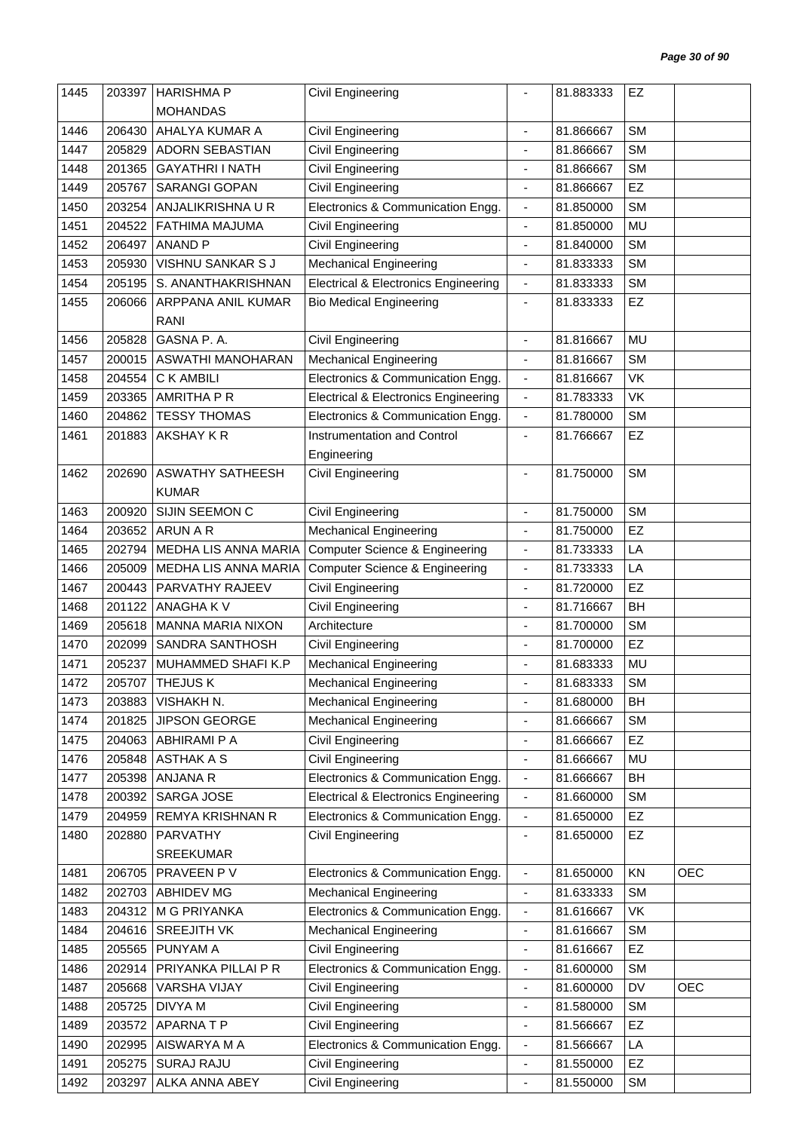| 1445 | 203397 | <b>HARISHMA P</b>        | Civil Engineering                               |                              | 81.883333 | EZ        |            |
|------|--------|--------------------------|-------------------------------------------------|------------------------------|-----------|-----------|------------|
|      |        | <b>MOHANDAS</b>          |                                                 |                              |           |           |            |
| 1446 | 206430 | AHALYA KUMAR A           | Civil Engineering                               | $\blacksquare$               | 81.866667 | <b>SM</b> |            |
| 1447 | 205829 | <b>ADORN SEBASTIAN</b>   | Civil Engineering                               | ä,                           | 81.866667 | <b>SM</b> |            |
| 1448 | 201365 | <b>GAYATHRI I NATH</b>   | <b>Civil Engineering</b>                        | $\overline{\phantom{a}}$     | 81.866667 | <b>SM</b> |            |
| 1449 | 205767 | <b>SARANGI GOPAN</b>     | Civil Engineering                               | $\blacksquare$               | 81.866667 | EZ        |            |
| 1450 | 203254 | ANJALIKRISHNA U R        | Electronics & Communication Engg.               | $\overline{\phantom{a}}$     | 81.850000 | <b>SM</b> |            |
| 1451 | 204522 | FATHIMA MAJUMA           | Civil Engineering                               | $\blacksquare$               | 81.850000 | MU        |            |
| 1452 | 206497 | <b>ANAND P</b>           | <b>Civil Engineering</b>                        | ä,                           | 81.840000 | <b>SM</b> |            |
| 1453 | 205930 | <b>VISHNU SANKAR S J</b> | <b>Mechanical Engineering</b>                   | $\qquad \qquad \blacksquare$ | 81.833333 | <b>SM</b> |            |
| 1454 | 205195 | S. ANANTHAKRISHNAN       | <b>Electrical &amp; Electronics Engineering</b> | $\blacksquare$               | 81.833333 | <b>SM</b> |            |
| 1455 | 206066 | ARPPANA ANIL KUMAR       | <b>Bio Medical Engineering</b>                  | ä,                           | 81.833333 | EZ        |            |
|      |        | RANI                     |                                                 |                              |           |           |            |
| 1456 | 205828 | GASNA P. A.              | Civil Engineering                               | $\overline{\phantom{a}}$     | 81.816667 | MU        |            |
| 1457 | 200015 | ASWATHI MANOHARAN        | <b>Mechanical Engineering</b>                   | $\blacksquare$               | 81.816667 | <b>SM</b> |            |
| 1458 | 204554 | C K AMBILI               | Electronics & Communication Engg.               | $\overline{\phantom{a}}$     | 81.816667 | VK        |            |
| 1459 | 203365 | <b>AMRITHA P R</b>       | <b>Electrical &amp; Electronics Engineering</b> | $\blacksquare$               | 81.783333 | <b>VK</b> |            |
| 1460 | 204862 | <b>TESSY THOMAS</b>      | Electronics & Communication Engg.               |                              | 81.780000 | <b>SM</b> |            |
| 1461 |        | AKSHAY KR                | Instrumentation and Control                     | $\overline{\phantom{a}}$     | 81.766667 | <b>EZ</b> |            |
|      | 201883 |                          |                                                 | $\overline{\phantom{a}}$     |           |           |            |
|      |        |                          | Engineering                                     |                              |           |           |            |
| 1462 | 202690 | <b>ASWATHY SATHEESH</b>  | Civil Engineering                               | ٠                            | 81.750000 | <b>SM</b> |            |
|      |        | <b>KUMAR</b>             |                                                 |                              |           |           |            |
| 1463 | 200920 | SIJIN SEEMON C           | <b>Civil Engineering</b>                        | ä,                           | 81.750000 | <b>SM</b> |            |
| 1464 | 203652 | ARUN A R                 | <b>Mechanical Engineering</b>                   | $\blacksquare$               | 81.750000 | <b>EZ</b> |            |
| 1465 | 202794 | MEDHA LIS ANNA MARIA     | <b>Computer Science &amp; Engineering</b>       | $\overline{\phantom{a}}$     | 81.733333 | LA        |            |
| 1466 | 205009 | MEDHA LIS ANNA MARIA     | <b>Computer Science &amp; Engineering</b>       | $\overline{\phantom{a}}$     | 81.733333 | LA        |            |
| 1467 | 200443 | PARVATHY RAJEEV          | <b>Civil Engineering</b>                        | $\blacksquare$               | 81.720000 | EZ        |            |
| 1468 | 201122 | ANAGHA K V               | Civil Engineering                               | $\blacksquare$               | 81.716667 | BH        |            |
| 1469 | 205618 | <b>MANNA MARIA NIXON</b> | Architecture                                    | ä,                           | 81.700000 | <b>SM</b> |            |
| 1470 | 202099 | SANDRA SANTHOSH          | Civil Engineering                               | $\overline{\phantom{a}}$     | 81.700000 | EZ        |            |
| 1471 | 205237 | MUHAMMED SHAFI K.P       | <b>Mechanical Engineering</b>                   | ä,                           | 81.683333 | <b>MU</b> |            |
| 1472 |        | 205707 THEJUS K          | <b>Mechanical Engineering</b>                   |                              | 81.683333 | <b>SM</b> |            |
| 1473 | 203883 | VISHAKH N.               | <b>Mechanical Engineering</b>                   | $\blacksquare$               | 81.680000 | BH        |            |
| 1474 | 201825 | <b>JIPSON GEORGE</b>     | <b>Mechanical Engineering</b>                   | ٠                            | 81.666667 | <b>SM</b> |            |
| 1475 | 204063 | ABHIRAMI P A             | Civil Engineering                               | $\qquad \qquad \blacksquare$ | 81.666667 | <b>EZ</b> |            |
| 1476 | 205848 | <b>ASTHAK A S</b>        | Civil Engineering                               | $\overline{\phantom{a}}$     | 81.666667 | MU        |            |
| 1477 | 205398 | ANJANA R                 | Electronics & Communication Engg.               | $\overline{\phantom{a}}$     | 81.666667 | BH        |            |
| 1478 | 200392 | SARGA JOSE               | <b>Electrical &amp; Electronics Engineering</b> | $\overline{\phantom{a}}$     | 81.660000 | <b>SM</b> |            |
| 1479 | 204959 | <b>REMYA KRISHNAN R</b>  | Electronics & Communication Engg.               | $\overline{\phantom{a}}$     | 81.650000 | <b>EZ</b> |            |
| 1480 | 202880 | PARVATHY                 | Civil Engineering                               | $\overline{\phantom{a}}$     | 81.650000 | EZ        |            |
|      |        | <b>SREEKUMAR</b>         |                                                 |                              |           |           |            |
| 1481 | 206705 | PRAVEEN PV               | Electronics & Communication Engg.               | $\overline{\phantom{a}}$     | 81.650000 | KN        | <b>OEC</b> |
| 1482 | 202703 | <b>ABHIDEV MG</b>        | <b>Mechanical Engineering</b>                   | $\qquad \qquad \blacksquare$ | 81.633333 | <b>SM</b> |            |
| 1483 | 204312 | M G PRIYANKA             | Electronics & Communication Engg.               | $\blacksquare$               | 81.616667 | VK        |            |
| 1484 | 204616 | <b>SREEJITH VK</b>       | <b>Mechanical Engineering</b>                   | $\overline{\phantom{a}}$     | 81.616667 | <b>SM</b> |            |
| 1485 | 205565 | PUNYAM A                 | Civil Engineering                               | $\overline{\phantom{a}}$     | 81.616667 | <b>EZ</b> |            |
| 1486 | 202914 | PRIYANKA PILLAI P R      | Electronics & Communication Engg.               | $\qquad \qquad \blacksquare$ | 81.600000 | <b>SM</b> |            |
| 1487 | 205668 | <b>VARSHA VIJAY</b>      | Civil Engineering                               | ÷,                           | 81.600000 | DV        | <b>OEC</b> |
| 1488 | 205725 | <b>DIVYAM</b>            | <b>Civil Engineering</b>                        | $\blacksquare$               | 81.580000 | <b>SM</b> |            |
| 1489 | 203572 | <b>APARNATP</b>          | Civil Engineering                               | $\overline{\phantom{a}}$     | 81.566667 | <b>EZ</b> |            |
| 1490 | 202995 | AISWARYA M A             | Electronics & Communication Engg.               | $\overline{\phantom{a}}$     | 81.566667 | LA        |            |
| 1491 | 205275 | <b>SURAJ RAJU</b>        | <b>Civil Engineering</b>                        | $\blacksquare$               | 81.550000 | EZ        |            |
| 1492 | 203297 | ALKA ANNA ABEY           | Civil Engineering                               | $\blacksquare$               | 81.550000 | <b>SM</b> |            |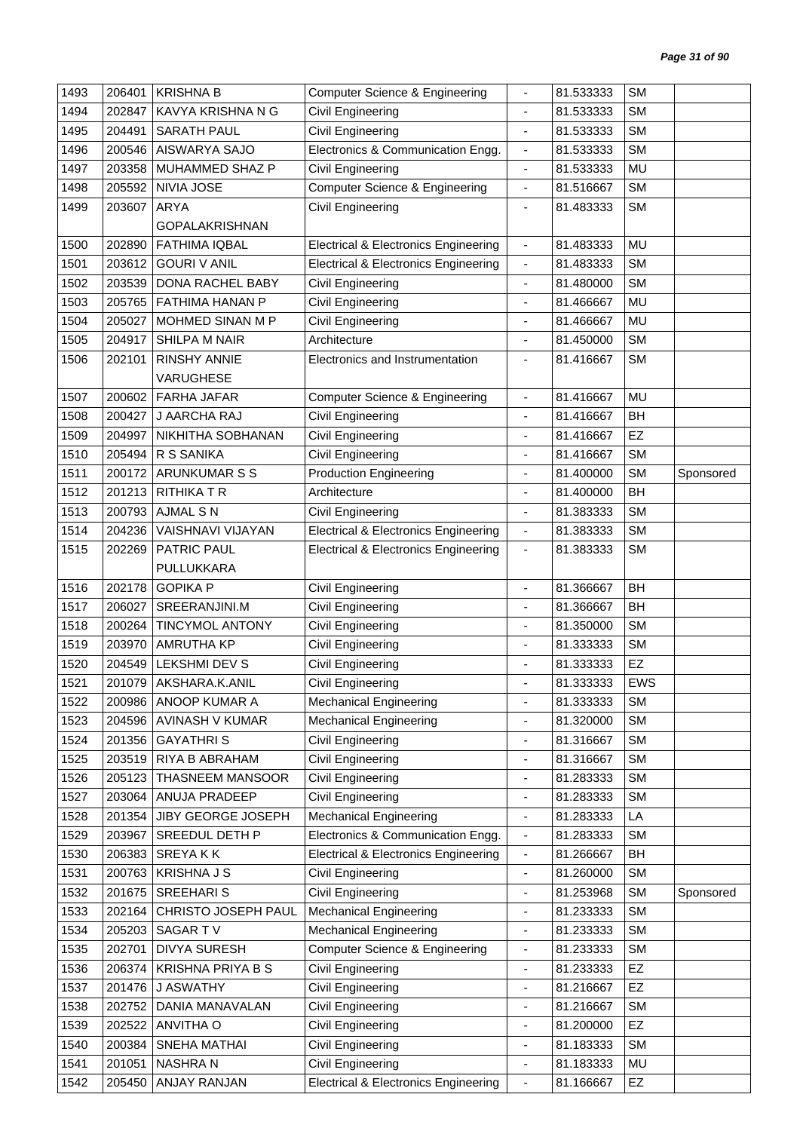| 1493 | 206401 | <b>KRISHNA B</b>         | Computer Science & Engineering                  | $\overline{\phantom{a}}$     | 81.533333 | <b>SM</b> |           |
|------|--------|--------------------------|-------------------------------------------------|------------------------------|-----------|-----------|-----------|
| 1494 | 202847 | KAVYA KRISHNA N G        | Civil Engineering                               | ä,                           | 81.533333 | <b>SM</b> |           |
| 1495 | 204491 | <b>SARATH PAUL</b>       | Civil Engineering                               | $\blacksquare$               | 81.533333 | <b>SM</b> |           |
| 1496 | 200546 | AISWARYA SAJO            | Electronics & Communication Engg.               | $\overline{\phantom{a}}$     | 81.533333 | <b>SM</b> |           |
| 1497 | 203358 | MUHAMMED SHAZ P          | Civil Engineering                               | $\blacksquare$               | 81.533333 | MU        |           |
| 1498 | 205592 | NIVIA JOSE               | <b>Computer Science &amp; Engineering</b>       | ÷,                           | 81.516667 | <b>SM</b> |           |
| 1499 | 203607 | ARYA                     | Civil Engineering                               | $\blacksquare$               | 81.483333 | <b>SM</b> |           |
|      |        | <b>GOPALAKRISHNAN</b>    |                                                 |                              |           |           |           |
| 1500 | 202890 | <b>FATHIMA IQBAL</b>     | <b>Electrical &amp; Electronics Engineering</b> | $\blacksquare$               | 81.483333 | <b>MU</b> |           |
| 1501 | 203612 | <b>GOURI V ANIL</b>      | <b>Electrical &amp; Electronics Engineering</b> | $\blacksquare$               | 81.483333 | <b>SM</b> |           |
| 1502 | 203539 | DONA RACHEL BABY         | Civil Engineering                               | $\blacksquare$               | 81.480000 | <b>SM</b> |           |
| 1503 | 205765 | FATHIMA HANAN P          | <b>Civil Engineering</b>                        | $\blacksquare$               | 81.466667 | MU        |           |
| 1504 | 205027 | MOHMED SINAN M P         | Civil Engineering                               | ٠                            | 81.466667 | MU        |           |
| 1505 | 204917 | SHILPA M NAIR            | Architecture                                    | $\blacksquare$               | 81.450000 | <b>SM</b> |           |
| 1506 | 202101 | <b>RINSHY ANNIE</b>      | Electronics and Instrumentation                 | $\overline{\phantom{a}}$     | 81.416667 | <b>SM</b> |           |
|      |        | <b>VARUGHESE</b>         |                                                 |                              |           |           |           |
| 1507 | 200602 | <b>FARHA JAFAR</b>       | <b>Computer Science &amp; Engineering</b>       | $\blacksquare$               | 81.416667 | <b>MU</b> |           |
| 1508 | 200427 | J AARCHA RAJ             | Civil Engineering                               | $\overline{\phantom{a}}$     | 81.416667 | <b>BH</b> |           |
| 1509 | 204997 | NIKHITHA SOBHANAN        | <b>Civil Engineering</b>                        | $\blacksquare$               | 81.416667 | EZ        |           |
| 1510 | 205494 | R S SANIKA               | Civil Engineering                               | ٠                            | 81.416667 | <b>SM</b> |           |
| 1511 | 200172 | <b>ARUNKUMAR S S</b>     | <b>Production Engineering</b>                   | ÷                            | 81.400000 | <b>SM</b> | Sponsored |
| 1512 | 201213 | <b>RITHIKATR</b>         | Architecture                                    | $\blacksquare$               | 81.400000 | BH        |           |
| 1513 | 200793 | <b>AJMAL S N</b>         | Civil Engineering                               | $\blacksquare$               | 81.383333 | <b>SM</b> |           |
| 1514 | 204236 | VAISHNAVI VIJAYAN        | <b>Electrical &amp; Electronics Engineering</b> | $\overline{\phantom{a}}$     | 81.383333 | <b>SM</b> |           |
| 1515 | 202269 | PATRIC PAUL              | <b>Electrical &amp; Electronics Engineering</b> | $\blacksquare$               | 81.383333 | <b>SM</b> |           |
|      |        | PULLUKKARA               |                                                 |                              |           |           |           |
| 1516 | 202178 | <b>GOPIKA P</b>          | Civil Engineering                               | $\overline{\phantom{a}}$     | 81.366667 | BH        |           |
| 1517 | 206027 | SREERANJINI.M            | Civil Engineering                               |                              | 81.366667 | BH        |           |
| 1518 | 200264 | <b>TINCYMOL ANTONY</b>   | Civil Engineering                               | $\qquad \qquad \blacksquare$ | 81.350000 | <b>SM</b> |           |
| 1519 | 203970 | <b>AMRUTHA KP</b>        | <b>Civil Engineering</b>                        | $\blacksquare$               | 81.333333 | <b>SM</b> |           |
| 1520 | 204549 | <b>LEKSHMI DEV S</b>     | Civil Engineering                               |                              | 81.333333 | EZ        |           |
| 1521 |        | 201079 AKSHARA.K.ANIL    | Civil Engineering                               |                              | 81.333333 | EWS       |           |
| 1522 |        | 200986 ANOOP KUMAR A     | <b>Mechanical Engineering</b>                   | $\overline{\phantom{a}}$     | 81.333333 | <b>SM</b> |           |
| 1523 | 204596 | AVINASH V KUMAR          | <b>Mechanical Engineering</b>                   | $\overline{\phantom{a}}$     | 81.320000 | <b>SM</b> |           |
| 1524 | 201356 | <b>GAYATHRIS</b>         | Civil Engineering                               | $\qquad \qquad \blacksquare$ | 81.316667 | <b>SM</b> |           |
| 1525 | 203519 | RIYA B ABRAHAM           | Civil Engineering                               | ä,                           | 81.316667 | <b>SM</b> |           |
| 1526 | 205123 | THASNEEM MANSOOR         | Civil Engineering                               | $\qquad \qquad \blacksquare$ | 81.283333 | <b>SM</b> |           |
| 1527 | 203064 | ANUJA PRADEEP            | Civil Engineering                               | $\qquad \qquad \blacksquare$ | 81.283333 | <b>SM</b> |           |
| 1528 | 201354 | JIBY GEORGE JOSEPH       | <b>Mechanical Engineering</b>                   |                              | 81.283333 | LA        |           |
| 1529 | 203967 | SREEDUL DETH P           | Electronics & Communication Engg.               | $\overline{\phantom{a}}$     | 81.283333 | <b>SM</b> |           |
| 1530 | 206383 | <b>SREYAKK</b>           | <b>Electrical &amp; Electronics Engineering</b> | $\blacksquare$               | 81.266667 | BH        |           |
| 1531 | 200763 | <b>KRISHNA J S</b>       | Civil Engineering                               | $\overline{\phantom{a}}$     | 81.260000 | <b>SM</b> |           |
| 1532 | 201675 | SREEHARI S               | Civil Engineering                               | $\blacksquare$               | 81.253968 | <b>SM</b> | Sponsored |
| 1533 | 202164 | CHRISTO JOSEPH PAUL      | <b>Mechanical Engineering</b>                   | $\overline{\phantom{a}}$     | 81.233333 | <b>SM</b> |           |
| 1534 | 205203 | SAGAR TV                 | <b>Mechanical Engineering</b>                   | $\overline{\phantom{a}}$     | 81.233333 | <b>SM</b> |           |
| 1535 | 202701 | <b>DIVYA SURESH</b>      | <b>Computer Science &amp; Engineering</b>       | $\overline{\phantom{a}}$     | 81.233333 | <b>SM</b> |           |
| 1536 | 206374 | <b>KRISHNA PRIYA B S</b> | Civil Engineering                               | $\blacksquare$               | 81.233333 | <b>EZ</b> |           |
| 1537 | 201476 | J ASWATHY                | <b>Civil Engineering</b>                        | $\qquad \qquad \blacksquare$ | 81.216667 | EZ        |           |
| 1538 | 202752 | DANIA MANAVALAN          | <b>Civil Engineering</b>                        | $\overline{\phantom{a}}$     | 81.216667 | <b>SM</b> |           |
| 1539 | 202522 | ANVITHA O                | Civil Engineering                               |                              | 81.200000 | <b>EZ</b> |           |
| 1540 | 200384 | SNEHA MATHAI             | Civil Engineering                               | $\overline{\phantom{a}}$     | 81.183333 | <b>SM</b> |           |
| 1541 | 201051 | NASHRA N                 | <b>Civil Engineering</b>                        | $\blacksquare$               | 81.183333 | MU        |           |
| 1542 | 205450 | ANJAY RANJAN             | <b>Electrical &amp; Electronics Engineering</b> | $\overline{\phantom{a}}$     | 81.166667 | EZ        |           |
|      |        |                          |                                                 |                              |           |           |           |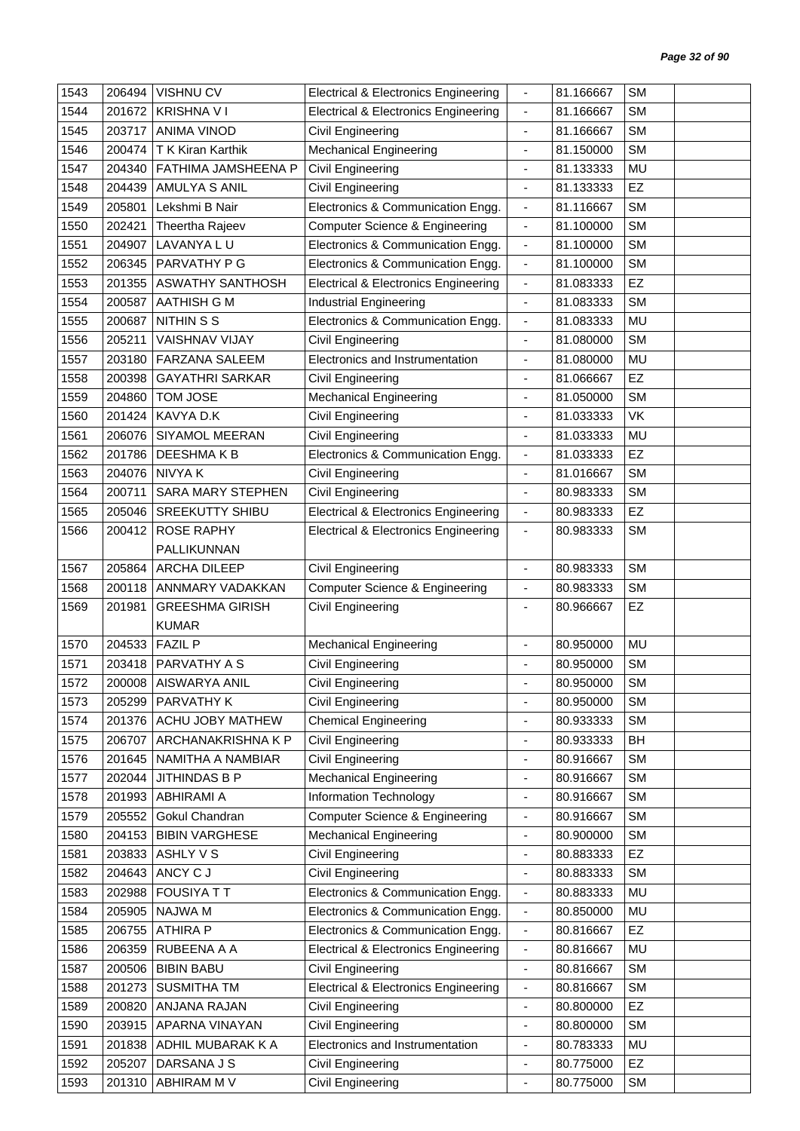| 1543 | 206494 | <b>VISHNU CV</b>         | <b>Electrical &amp; Electronics Engineering</b> | $\overline{\phantom{a}}$     | 81.166667 | <b>SM</b> |  |
|------|--------|--------------------------|-------------------------------------------------|------------------------------|-----------|-----------|--|
| 1544 | 201672 | <b>KRISHNA VI</b>        | <b>Electrical &amp; Electronics Engineering</b> | $\blacksquare$               | 81.166667 | <b>SM</b> |  |
| 1545 | 203717 | <b>ANIMA VINOD</b>       | Civil Engineering                               | $\overline{\phantom{a}}$     | 81.166667 | <b>SM</b> |  |
| 1546 | 200474 | T K Kiran Karthik        | <b>Mechanical Engineering</b>                   | $\overline{\phantom{a}}$     | 81.150000 | <b>SM</b> |  |
| 1547 | 204340 | FATHIMA JAMSHEENA P      | <b>Civil Engineering</b>                        | $\blacksquare$               | 81.133333 | <b>MU</b> |  |
| 1548 | 204439 | <b>AMULYA S ANIL</b>     | Civil Engineering                               | $\blacksquare$               | 81.133333 | EZ        |  |
| 1549 | 205801 | Lekshmi B Nair           | Electronics & Communication Engg.               | $\overline{\phantom{a}}$     | 81.116667 | <b>SM</b> |  |
| 1550 | 202421 | Theertha Rajeev          | Computer Science & Engineering                  | $\blacksquare$               | 81.100000 | <b>SM</b> |  |
| 1551 | 204907 | LAVANYA LU               | Electronics & Communication Engg.               | $\overline{\phantom{a}}$     | 81.100000 | <b>SM</b> |  |
| 1552 | 206345 | PARVATHY P G             | Electronics & Communication Engg.               | $\blacksquare$               | 81.100000 | <b>SM</b> |  |
| 1553 | 201355 | <b>ASWATHY SANTHOSH</b>  | <b>Electrical &amp; Electronics Engineering</b> | $\blacksquare$               | 81.083333 | EZ        |  |
| 1554 | 200587 | <b>AATHISH G M</b>       | Industrial Engineering                          | $\overline{\phantom{a}}$     | 81.083333 | <b>SM</b> |  |
| 1555 | 200687 | <b>NITHIN S S</b>        | Electronics & Communication Engg.               | $\overline{\phantom{a}}$     | 81.083333 | MU        |  |
| 1556 | 205211 | <b>VAISHNAV VIJAY</b>    | <b>Civil Engineering</b>                        | $\overline{\phantom{a}}$     | 81.080000 | <b>SM</b> |  |
| 1557 | 203180 | <b>FARZANA SALEEM</b>    | Electronics and Instrumentation                 | $\overline{\phantom{a}}$     | 81.080000 | MU        |  |
| 1558 | 200398 | <b>GAYATHRI SARKAR</b>   | Civil Engineering                               | $\overline{\phantom{a}}$     | 81.066667 | EZ        |  |
| 1559 | 204860 | <b>TOM JOSE</b>          | <b>Mechanical Engineering</b>                   | $\blacksquare$               | 81.050000 | <b>SM</b> |  |
| 1560 | 201424 | KAVYA D.K                | <b>Civil Engineering</b>                        | $\overline{\phantom{a}}$     | 81.033333 | VK        |  |
| 1561 | 206076 | SIYAMOL MEERAN           | <b>Civil Engineering</b>                        | $\overline{\phantom{a}}$     | 81.033333 | MU        |  |
| 1562 | 201786 | DEESHMAKB                | Electronics & Communication Engg.               | $\overline{\phantom{a}}$     | 81.033333 | EZ        |  |
| 1563 | 204076 | <b>NIVYAK</b>            | Civil Engineering                               | $\qquad \qquad \blacksquare$ | 81.016667 | <b>SM</b> |  |
| 1564 | 200711 | <b>SARA MARY STEPHEN</b> | <b>Civil Engineering</b>                        | $\overline{\phantom{a}}$     | 80.983333 | <b>SM</b> |  |
| 1565 | 205046 | <b>SREEKUTTY SHIBU</b>   | <b>Electrical &amp; Electronics Engineering</b> | $\blacksquare$               | 80.983333 | EZ        |  |
| 1566 | 200412 | <b>ROSE RAPHY</b>        | <b>Electrical &amp; Electronics Engineering</b> | $\overline{\phantom{a}}$     | 80.983333 | <b>SM</b> |  |
|      |        | PALLIKUNNAN              |                                                 |                              |           |           |  |
| 1567 | 205864 | ARCHA DILEEP             | Civil Engineering                               | $\blacksquare$               | 80.983333 | <b>SM</b> |  |
| 1568 | 200118 | ANNMARY VADAKKAN         | Computer Science & Engineering                  | $\overline{\phantom{a}}$     | 80.983333 | <b>SM</b> |  |
| 1569 | 201981 | <b>GREESHMA GIRISH</b>   | <b>Civil Engineering</b>                        |                              | 80.966667 | EZ        |  |
|      |        | <b>KUMAR</b>             |                                                 |                              |           |           |  |
| 1570 | 204533 | <b>FAZIL P</b>           | <b>Mechanical Engineering</b>                   | $\overline{\phantom{a}}$     | 80.950000 | MU        |  |
| 1571 | 203418 | PARVATHY A S             | <b>Civil Engineering</b>                        |                              | 80.950000 | <b>SM</b> |  |
| 1572 |        | 200008 AISWARYA ANIL     | Civil Engineering                               |                              | 80.950000 | <b>SM</b> |  |
| 1573 | 205299 | PARVATHY K               | Civil Engineering                               | $\overline{\phantom{a}}$     | 80.950000 | <b>SM</b> |  |
| 1574 | 201376 | ACHU JOBY MATHEW         | <b>Chemical Engineering</b>                     | $\blacksquare$               | 80.933333 | <b>SM</b> |  |
| 1575 | 206707 | ARCHANAKRISHNA K P       | <b>Civil Engineering</b>                        | $\qquad \qquad \blacksquare$ | 80.933333 | BH        |  |
| 1576 | 201645 | NAMITHA A NAMBIAR        | <b>Civil Engineering</b>                        | $\blacksquare$               | 80.916667 | <b>SM</b> |  |
| 1577 | 202044 | JITHINDAS B P            | <b>Mechanical Engineering</b>                   | $\qquad \qquad \blacksquare$ | 80.916667 | <b>SM</b> |  |
| 1578 | 201993 | <b>ABHIRAMI A</b>        | Information Technology                          | $\overline{\phantom{0}}$     | 80.916667 | <b>SM</b> |  |
| 1579 | 205552 | Gokul Chandran           | <b>Computer Science &amp; Engineering</b>       | $\overline{\phantom{a}}$     | 80.916667 | <b>SM</b> |  |
| 1580 | 204153 | <b>BIBIN VARGHESE</b>    | <b>Mechanical Engineering</b>                   | $\qquad \qquad \blacksquare$ | 80.900000 | <b>SM</b> |  |
| 1581 | 203833 | ASHLY V S                | Civil Engineering                               | $\overline{\phantom{a}}$     | 80.883333 | <b>EZ</b> |  |
| 1582 | 204643 | ANCY C J                 | Civil Engineering                               | ٠                            | 80.883333 | <b>SM</b> |  |
| 1583 | 202988 | <b>FOUSIYA T T</b>       | Electronics & Communication Engg.               | $\overline{\phantom{a}}$     | 80.883333 | MU        |  |
| 1584 | 205905 | NAJWA M                  | Electronics & Communication Engg.               | $\overline{\phantom{a}}$     | 80.850000 | MU        |  |
| 1585 | 206755 | <b>ATHIRA P</b>          | Electronics & Communication Engg.               | $\overline{\phantom{a}}$     | 80.816667 | <b>EZ</b> |  |
| 1586 | 206359 | RUBEENA A A              | <b>Electrical &amp; Electronics Engineering</b> | $\blacksquare$               | 80.816667 | MU        |  |
| 1587 | 200506 | <b>BIBIN BABU</b>        | Civil Engineering                               | $\overline{\phantom{a}}$     | 80.816667 | <b>SM</b> |  |
| 1588 | 201273 | <b>SUSMITHA TM</b>       | <b>Electrical &amp; Electronics Engineering</b> | $\overline{\phantom{a}}$     | 80.816667 | <b>SM</b> |  |
| 1589 | 200820 | ANJANA RAJAN             | Civil Engineering                               | $\overline{\phantom{a}}$     | 80.800000 | <b>EZ</b> |  |
| 1590 | 203915 | APARNA VINAYAN           | Civil Engineering                               | ÷,                           | 80.800000 | <b>SM</b> |  |
| 1591 | 201838 | ADHIL MUBARAK K A        | Electronics and Instrumentation                 | $\qquad \qquad \blacksquare$ | 80.783333 | MU        |  |
| 1592 | 205207 | DARSANA J S              | <b>Civil Engineering</b>                        | $\blacksquare$               | 80.775000 | <b>EZ</b> |  |
| 1593 | 201310 | ABHIRAM M V              | <b>Civil Engineering</b>                        | ÷                            | 80.775000 | <b>SM</b> |  |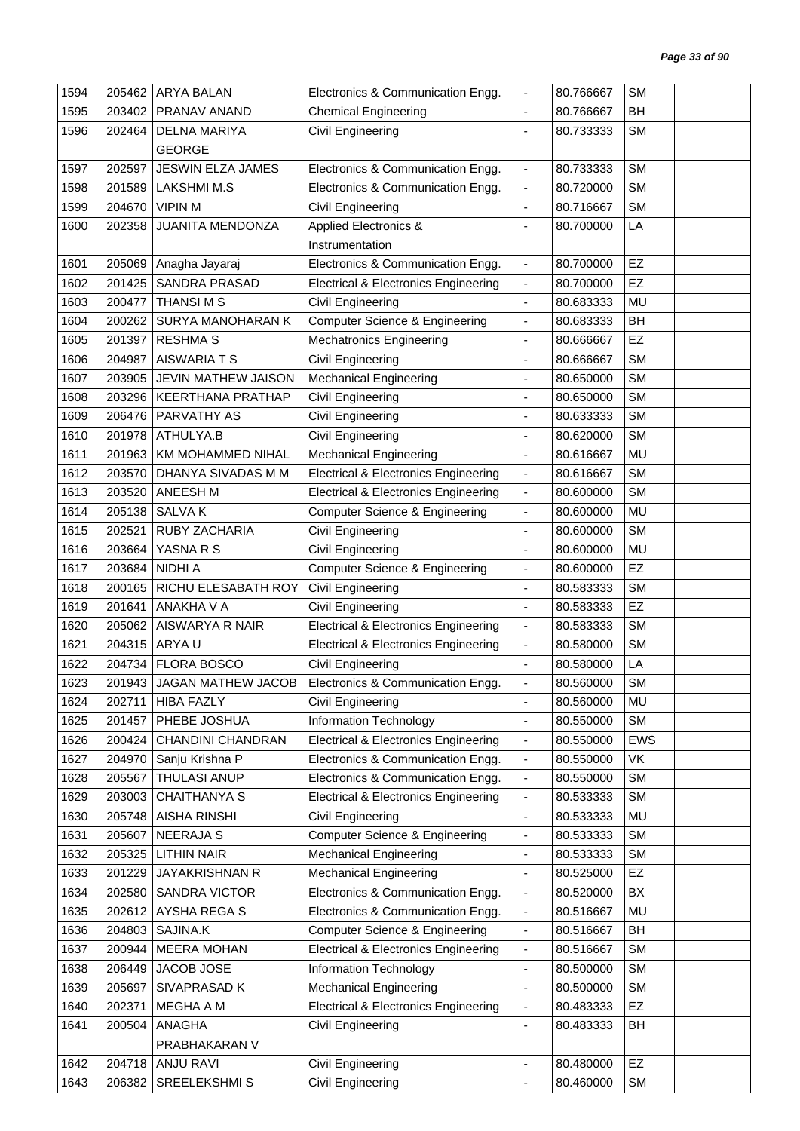| 1594 | 205462 | <b>ARYA BALAN</b>         | Electronics & Communication Engg.               | $\frac{1}{2}$                | 80.766667 | <b>SM</b>  |
|------|--------|---------------------------|-------------------------------------------------|------------------------------|-----------|------------|
| 1595 | 203402 | PRANAV ANAND              | <b>Chemical Engineering</b>                     | $\frac{1}{2}$                | 80.766667 | BH         |
| 1596 | 202464 | <b>DELNA MARIYA</b>       | Civil Engineering                               | $\overline{\phantom{a}}$     | 80.733333 | <b>SM</b>  |
|      |        | <b>GEORGE</b>             |                                                 |                              |           |            |
| 1597 | 202597 | <b>JESWIN ELZA JAMES</b>  | Electronics & Communication Engg.               | $\blacksquare$               | 80.733333 | <b>SM</b>  |
| 1598 | 201589 | <b>LAKSHMI M.S</b>        | Electronics & Communication Engg.               | $\overline{\phantom{a}}$     | 80.720000 | <b>SM</b>  |
| 1599 | 204670 | <b>VIPINM</b>             | Civil Engineering                               |                              | 80.716667 | <b>SM</b>  |
| 1600 | 202358 | JUANITA MENDONZA          | <b>Applied Electronics &amp;</b>                | ä,                           | 80.700000 | LA         |
|      |        |                           | Instrumentation                                 |                              |           |            |
| 1601 | 205069 | Anagha Jayaraj            | Electronics & Communication Engg.               | $\overline{\phantom{a}}$     | 80.700000 | EZ         |
| 1602 | 201425 | SANDRA PRASAD             | <b>Electrical &amp; Electronics Engineering</b> | $\frac{1}{2}$                | 80.700000 | EZ         |
| 1603 | 200477 | <b>THANSIMS</b>           | Civil Engineering                               | $\overline{a}$               | 80.683333 | MU         |
| 1604 | 200262 | SURYA MANOHARAN K         | <b>Computer Science &amp; Engineering</b>       | $\qquad \qquad \blacksquare$ | 80.683333 | BH         |
| 1605 | 201397 | <b>RESHMA S</b>           | <b>Mechatronics Engineering</b>                 | $\frac{1}{2}$                | 80.666667 | EZ         |
| 1606 | 204987 | <b>AISWARIATS</b>         | Civil Engineering                               |                              | 80.666667 | <b>SM</b>  |
| 1607 | 203905 | JEVIN MATHEW JAISON       | <b>Mechanical Engineering</b>                   | ٠                            | 80.650000 | <b>SM</b>  |
| 1608 | 203296 | <b>KEERTHANA PRATHAP</b>  | Civil Engineering                               |                              | 80.650000 | <b>SM</b>  |
| 1609 | 206476 | PARVATHY AS               | Civil Engineering                               |                              | 80.633333 | <b>SM</b>  |
| 1610 | 201978 | ATHULYA.B                 | <b>Civil Engineering</b>                        | $\overline{\phantom{0}}$     | 80.620000 | <b>SM</b>  |
| 1611 | 201963 | KM MOHAMMED NIHAL         | <b>Mechanical Engineering</b>                   | ÷.                           | 80.616667 | <b>MU</b>  |
| 1612 | 203570 | DHANYA SIVADAS M M        | <b>Electrical &amp; Electronics Engineering</b> | 4                            | 80.616667 | <b>SM</b>  |
| 1613 | 203520 | ANEESH M                  | <b>Electrical &amp; Electronics Engineering</b> | ٠                            | 80.600000 | <b>SM</b>  |
| 1614 | 205138 | <b>SALVAK</b>             | <b>Computer Science &amp; Engineering</b>       | $\frac{1}{2}$                | 80.600000 | MU         |
| 1615 | 202521 | RUBY ZACHARIA             | Civil Engineering                               | ٠                            | 80.600000 | <b>SM</b>  |
| 1616 | 203664 | YASNA R S                 | Civil Engineering                               | $\frac{1}{2}$                | 80.600000 | MU         |
| 1617 | 203684 | NIDHI A                   | Computer Science & Engineering                  |                              | 80.600000 | EZ         |
| 1618 | 200165 | RICHU ELESABATH ROY       | <b>Civil Engineering</b>                        | ٠                            | 80.583333 | <b>SM</b>  |
| 1619 | 201641 | ANAKHA V A                | Civil Engineering                               | ÷,                           | 80.583333 | EZ         |
| 1620 | 205062 | AISWARYA R NAIR           | <b>Electrical &amp; Electronics Engineering</b> | $\qquad \qquad \blacksquare$ | 80.583333 | <b>SM</b>  |
| 1621 | 204315 | ARYA U                    | <b>Electrical &amp; Electronics Engineering</b> | ÷,                           | 80.580000 | <b>SM</b>  |
| 1622 |        | 204734   FLORA BOSCO      | Civil Engineering                               |                              | 80.580000 | LA         |
| 1623 |        | 201943 JAGAN MATHEW JACOB | Electronics & Communication Engg.               |                              | 80.560000 | <b>SM</b>  |
| 1624 | 202711 | <b>HIBA FAZLY</b>         | Civil Engineering                               | $\qquad \qquad \blacksquare$ | 80.560000 | MU         |
| 1625 | 201457 | PHEBE JOSHUA              | Information Technology                          | ä,                           | 80.550000 | <b>SM</b>  |
| 1626 | 200424 | CHANDINI CHANDRAN         | <b>Electrical &amp; Electronics Engineering</b> | $\overline{\phantom{a}}$     | 80.550000 | <b>EWS</b> |
| 1627 | 204970 | Sanju Krishna P           | Electronics & Communication Engg.               | $\qquad \qquad \blacksquare$ | 80.550000 | VK         |
| 1628 | 205567 | THULASI ANUP              | Electronics & Communication Engg.               | $\overline{\phantom{0}}$     | 80.550000 | <b>SM</b>  |
| 1629 | 203003 | CHAITHANYA S              | <b>Electrical &amp; Electronics Engineering</b> | $\overline{\phantom{0}}$     | 80.533333 | <b>SM</b>  |
| 1630 | 205748 | <b>AISHA RINSHI</b>       | Civil Engineering                               | $\overline{\phantom{a}}$     | 80.533333 | MU         |
| 1631 | 205607 | <b>NEERAJA S</b>          | Computer Science & Engineering                  | -                            | 80.533333 | <b>SM</b>  |
| 1632 | 205325 | <b>LITHIN NAIR</b>        | <b>Mechanical Engineering</b>                   | -                            | 80.533333 | <b>SM</b>  |
| 1633 | 201229 | JAYAKRISHNAN R            | <b>Mechanical Engineering</b>                   | ٠                            | 80.525000 | EZ         |
| 1634 | 202580 | <b>SANDRA VICTOR</b>      | Electronics & Communication Engg.               | $\overline{\phantom{0}}$     | 80.520000 | BX         |
| 1635 | 202612 | AYSHA REGA S              | Electronics & Communication Engg.               | $\overline{\phantom{0}}$     | 80.516667 | MU         |
| 1636 | 204803 | SAJINA.K                  | <b>Computer Science &amp; Engineering</b>       | $\frac{1}{2}$                | 80.516667 | BH         |
| 1637 | 200944 | <b>MEERA MOHAN</b>        | <b>Electrical &amp; Electronics Engineering</b> | $\overline{\phantom{a}}$     | 80.516667 | <b>SM</b>  |
| 1638 | 206449 | JACOB JOSE                | Information Technology                          | $\frac{1}{2}$                | 80.500000 | <b>SM</b>  |
| 1639 | 205697 | SIVAPRASAD K              | <b>Mechanical Engineering</b>                   | ä,                           | 80.500000 | <b>SM</b>  |
| 1640 | 202371 | MEGHA A M                 | <b>Electrical &amp; Electronics Engineering</b> | -                            | 80.483333 | EZ         |
| 1641 | 200504 | ANAGHA                    | Civil Engineering                               |                              | 80.483333 | BH         |
|      |        | PRABHAKARAN V             |                                                 |                              |           |            |
| 1642 | 204718 | <b>ANJU RAVI</b>          | Civil Engineering                               | $\frac{1}{2}$                | 80.480000 | <b>EZ</b>  |
| 1643 | 206382 | SREELEKSHMI S             | <b>Civil Engineering</b>                        |                              | 80.460000 | <b>SM</b>  |
|      |        |                           |                                                 |                              |           |            |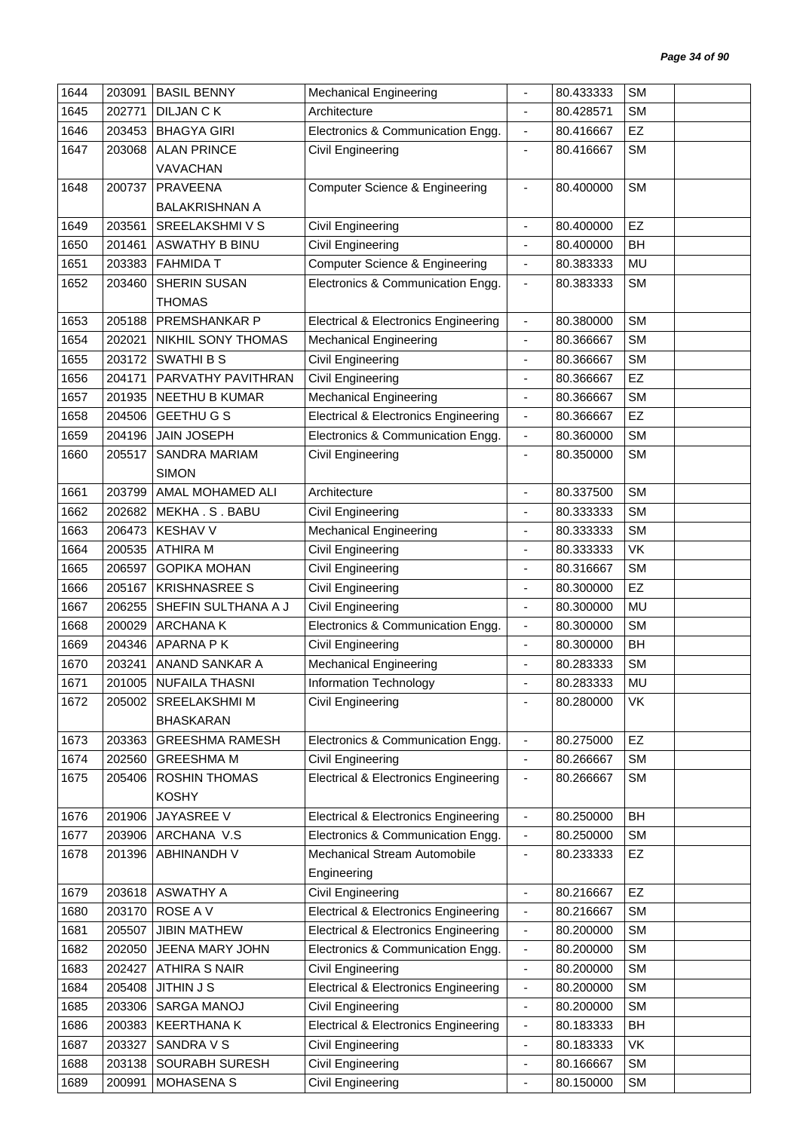| 1644 | 203091 | <b>BASIL BENNY</b>     | <b>Mechanical Engineering</b>                   |                              | 80.433333 | <b>SM</b> |  |
|------|--------|------------------------|-------------------------------------------------|------------------------------|-----------|-----------|--|
| 1645 | 202771 | <b>DILJAN CK</b>       | Architecture                                    |                              | 80.428571 | <b>SM</b> |  |
| 1646 | 203453 | <b>BHAGYA GIRI</b>     | Electronics & Communication Engg.               | $\blacksquare$               | 80.416667 | EZ        |  |
| 1647 | 203068 | <b>ALAN PRINCE</b>     | Civil Engineering                               | $\overline{\phantom{a}}$     | 80.416667 | <b>SM</b> |  |
|      |        | <b>VAVACHAN</b>        |                                                 |                              |           |           |  |
| 1648 | 200737 | <b>PRAVEENA</b>        | <b>Computer Science &amp; Engineering</b>       | $\blacksquare$               | 80.400000 | <b>SM</b> |  |
|      |        | <b>BALAKRISHNAN A</b>  |                                                 |                              |           |           |  |
| 1649 | 203561 | SREELAKSHMI V S        | Civil Engineering                               | $\overline{\phantom{a}}$     | 80.400000 | EZ        |  |
| 1650 | 201461 | <b>ASWATHY B BINU</b>  | Civil Engineering                               | $\overline{\phantom{a}}$     | 80.400000 | BH        |  |
| 1651 | 203383 | <b>FAHMIDA T</b>       | Computer Science & Engineering                  | $\overline{\phantom{a}}$     | 80.383333 | MU        |  |
| 1652 | 203460 | SHERIN SUSAN           | Electronics & Communication Engg.               | $\overline{\phantom{a}}$     | 80.383333 | <b>SM</b> |  |
|      |        | <b>THOMAS</b>          |                                                 |                              |           |           |  |
| 1653 | 205188 | PREMSHANKAR P          | <b>Electrical &amp; Electronics Engineering</b> | $\blacksquare$               | 80.380000 | <b>SM</b> |  |
| 1654 | 202021 | NIKHIL SONY THOMAS     | <b>Mechanical Engineering</b>                   | $\overline{\phantom{a}}$     | 80.366667 | <b>SM</b> |  |
| 1655 | 203172 | <b>SWATHIBS</b>        | <b>Civil Engineering</b>                        | $\overline{\phantom{a}}$     | 80.366667 | <b>SM</b> |  |
| 1656 | 204171 | PARVATHY PAVITHRAN     | <b>Civil Engineering</b>                        | $\blacksquare$               | 80.366667 | EZ        |  |
| 1657 | 201935 | <b>NEETHU B KUMAR</b>  | <b>Mechanical Engineering</b>                   | $\blacksquare$               | 80.366667 | <b>SM</b> |  |
| 1658 | 204506 | <b>GEETHU G S</b>      | <b>Electrical &amp; Electronics Engineering</b> | $\overline{\phantom{a}}$     | 80.366667 | EZ        |  |
| 1659 | 204196 | <b>JAIN JOSEPH</b>     | Electronics & Communication Engg.               | $\blacksquare$               | 80.360000 | <b>SM</b> |  |
| 1660 | 205517 | <b>SANDRA MARIAM</b>   | Civil Engineering                               | $\overline{\phantom{a}}$     | 80.350000 | <b>SM</b> |  |
|      |        | <b>SIMON</b>           |                                                 |                              |           |           |  |
| 1661 | 203799 | AMAL MOHAMED ALI       | Architecture                                    | $\overline{\phantom{a}}$     | 80.337500 | <b>SM</b> |  |
| 1662 | 202682 | MEKHA.S. BABU          | Civil Engineering                               | $\overline{a}$               | 80.333333 | <b>SM</b> |  |
| 1663 | 206473 | <b>KESHAV V</b>        | Mechanical Engineering                          | $\overline{\phantom{a}}$     | 80.333333 | <b>SM</b> |  |
| 1664 | 200535 | <b>ATHIRA M</b>        | <b>Civil Engineering</b>                        | $\blacksquare$               | 80.333333 | <b>VK</b> |  |
| 1665 | 206597 | <b>GOPIKA MOHAN</b>    | <b>Civil Engineering</b>                        | ٠                            | 80.316667 | <b>SM</b> |  |
| 1666 | 205167 | <b>KRISHNASREE S</b>   | <b>Civil Engineering</b>                        | $\overline{\phantom{a}}$     | 80.300000 | EZ        |  |
| 1667 | 206255 | SHEFIN SULTHANA A J    | <b>Civil Engineering</b>                        | $\blacksquare$               | 80.300000 | <b>MU</b> |  |
| 1668 | 200029 | <b>ARCHANAK</b>        | Electronics & Communication Engg.               | $\overline{\phantom{a}}$     | 80.300000 | <b>SM</b> |  |
| 1669 | 204346 | APARNA PK              | Civil Engineering                               | $\overline{\phantom{a}}$     | 80.300000 | BH        |  |
| 1670 | 203241 | ANAND SANKAR A         | <b>Mechanical Engineering</b>                   |                              | 80.283333 | <b>SM</b> |  |
| 1671 |        | 201005 NUFAILA THASNI  | Information Technology                          |                              | 80.283333 | MU        |  |
| 1672 | 205002 | SREELAKSHMI M          | Civil Engineering                               | $\overline{\phantom{a}}$     | 80.280000 | VK        |  |
|      |        | <b>BHASKARAN</b>       |                                                 |                              |           |           |  |
| 1673 | 203363 | <b>GREESHMA RAMESH</b> | Electronics & Communication Engg.               | $\blacksquare$               | 80.275000 | EZ        |  |
| 1674 | 202560 | <b>GREESHMA M</b>      | Civil Engineering                               | $\blacksquare$               | 80.266667 | <b>SM</b> |  |
| 1675 | 205406 | ROSHIN THOMAS          | <b>Electrical &amp; Electronics Engineering</b> | $\overline{\phantom{a}}$     | 80.266667 | <b>SM</b> |  |
|      |        | <b>KOSHY</b>           |                                                 |                              |           |           |  |
| 1676 | 201906 | JAYASREE V             | <b>Electrical &amp; Electronics Engineering</b> | $\blacksquare$               | 80.250000 | BH        |  |
| 1677 | 203906 | ARCHANA V.S            | Electronics & Communication Engg.               | $\overline{\phantom{a}}$     | 80.250000 | <b>SM</b> |  |
| 1678 | 201396 | ABHINANDH V            | Mechanical Stream Automobile                    | $\blacksquare$               | 80.233333 | <b>EZ</b> |  |
|      |        |                        | Engineering                                     |                              |           |           |  |
| 1679 | 203618 | <b>ASWATHY A</b>       | Civil Engineering                               | $\qquad \qquad \blacksquare$ | 80.216667 | <b>EZ</b> |  |
| 1680 | 203170 | ROSE A V               | <b>Electrical &amp; Electronics Engineering</b> | $\overline{\phantom{a}}$     | 80.216667 | <b>SM</b> |  |
| 1681 | 205507 | <b>JIBIN MATHEW</b>    | <b>Electrical &amp; Electronics Engineering</b> | $\overline{\phantom{a}}$     | 80.200000 | <b>SM</b> |  |
| 1682 | 202050 | JEENA MARY JOHN        | Electronics & Communication Engg.               | $\blacksquare$               | 80.200000 | <b>SM</b> |  |
| 1683 | 202427 | <b>ATHIRA S NAIR</b>   | Civil Engineering                               | $\overline{\phantom{a}}$     | 80.200000 | <b>SM</b> |  |
| 1684 | 205408 | <b>JITHIN J S</b>      | <b>Electrical &amp; Electronics Engineering</b> | $\overline{\phantom{a}}$     | 80.200000 | <b>SM</b> |  |
| 1685 | 203306 | SARGA MANOJ            | Civil Engineering                               | $\overline{\phantom{a}}$     | 80.200000 | <b>SM</b> |  |
| 1686 | 200383 | <b>KEERTHANA K</b>     | <b>Electrical &amp; Electronics Engineering</b> | $\overline{\phantom{a}}$     | 80.183333 | BH        |  |
| 1687 | 203327 | SANDRA V S             | Civil Engineering                               | $\qquad \qquad \blacksquare$ | 80.183333 | VK        |  |
| 1688 | 203138 | SOURABH SURESH         | Civil Engineering                               | $\overline{\phantom{a}}$     | 80.166667 | <b>SM</b> |  |
| 1689 | 200991 | MOHASENA S             | Civil Engineering                               | $\overline{\phantom{a}}$     | 80.150000 | <b>SM</b> |  |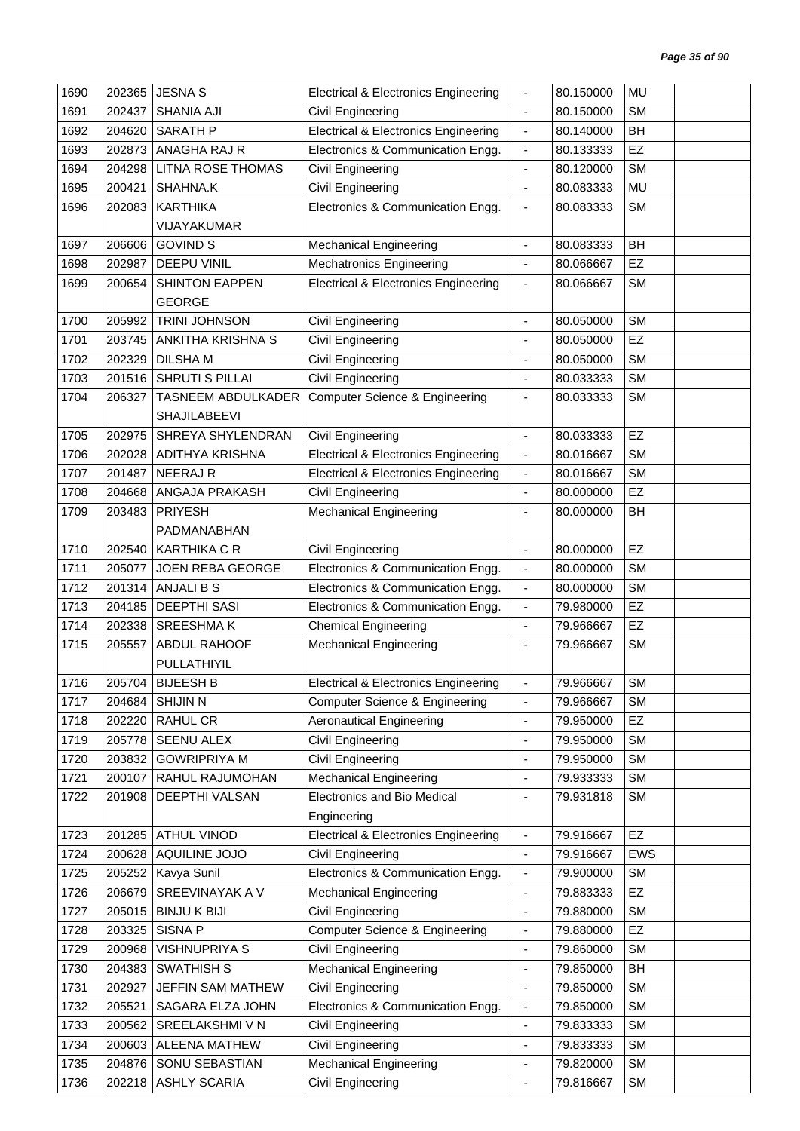| 1690 | 202365 | <b>JESNA S</b>           | <b>Electrical &amp; Electronics Engineering</b> | $\overline{\phantom{a}}$     | 80.150000 | MU        |  |
|------|--------|--------------------------|-------------------------------------------------|------------------------------|-----------|-----------|--|
| 1691 | 202437 | <b>SHANIA AJI</b>        | Civil Engineering                               | $\blacksquare$               | 80.150000 | <b>SM</b> |  |
| 1692 | 204620 | <b>SARATH P</b>          | <b>Electrical &amp; Electronics Engineering</b> | $\blacksquare$               | 80.140000 | <b>BH</b> |  |
| 1693 | 202873 | ANAGHA RAJ R             | Electronics & Communication Engg.               | $\overline{\phantom{a}}$     | 80.133333 | EZ        |  |
| 1694 | 204298 | <b>LITNA ROSE THOMAS</b> | Civil Engineering                               | $\qquad \qquad \blacksquare$ | 80.120000 | <b>SM</b> |  |
| 1695 | 200421 | SHAHNA.K                 | <b>Civil Engineering</b>                        | $\blacksquare$               | 80.083333 | <b>MU</b> |  |
| 1696 | 202083 | <b>KARTHIKA</b>          | Electronics & Communication Engg.               | $\overline{\phantom{a}}$     | 80.083333 | <b>SM</b> |  |
|      |        | VIJAYAKUMAR              |                                                 |                              |           |           |  |
| 1697 | 206606 | <b>GOVIND S</b>          | <b>Mechanical Engineering</b>                   | ÷,                           | 80.083333 | <b>BH</b> |  |
| 1698 | 202987 | <b>DEEPU VINIL</b>       | <b>Mechatronics Engineering</b>                 | $\blacksquare$               | 80.066667 | <b>EZ</b> |  |
| 1699 | 200654 | <b>SHINTON EAPPEN</b>    | <b>Electrical &amp; Electronics Engineering</b> | $\overline{\phantom{a}}$     | 80.066667 | <b>SM</b> |  |
|      |        | <b>GEORGE</b>            |                                                 |                              |           |           |  |
| 1700 | 205992 | <b>TRINI JOHNSON</b>     | Civil Engineering                               | $\overline{\phantom{a}}$     | 80.050000 | <b>SM</b> |  |
| 1701 | 203745 | ANKITHA KRISHNA S        | Civil Engineering                               | $\overline{\phantom{a}}$     | 80.050000 | EZ        |  |
| 1702 | 202329 | <b>DILSHAM</b>           | Civil Engineering                               | $\overline{\phantom{a}}$     | 80.050000 | <b>SM</b> |  |
| 1703 | 201516 | SHRUTI S PILLAI          | <b>Civil Engineering</b>                        | $\blacksquare$               | 80.033333 | <b>SM</b> |  |
| 1704 | 206327 | TASNEEM ABDULKADER       | <b>Computer Science &amp; Engineering</b>       | $\blacksquare$               | 80.033333 | <b>SM</b> |  |
|      |        | <b>SHAJILABEEVI</b>      |                                                 |                              |           |           |  |
| 1705 | 202975 | SHREYA SHYLENDRAN        | Civil Engineering                               | $\overline{\phantom{a}}$     | 80.033333 | EZ        |  |
| 1706 | 202028 | <b>ADITHYA KRISHNA</b>   | <b>Electrical &amp; Electronics Engineering</b> | $\blacksquare$               | 80.016667 | <b>SM</b> |  |
| 1707 | 201487 | <b>NEERAJR</b>           | <b>Electrical &amp; Electronics Engineering</b> | $\blacksquare$               | 80.016667 | <b>SM</b> |  |
| 1708 | 204668 | ANGAJA PRAKASH           | Civil Engineering                               | $\overline{\phantom{a}}$     | 80.000000 | EZ        |  |
| 1709 | 203483 | <b>PRIYESH</b>           | <b>Mechanical Engineering</b>                   | $\blacksquare$               | 80.000000 | <b>BH</b> |  |
|      |        | PADMANABHAN              |                                                 |                              |           |           |  |
| 1710 | 202540 | <b>KARTHIKA C R</b>      | <b>Civil Engineering</b>                        | $\overline{\phantom{a}}$     | 80.000000 | EZ        |  |
| 1711 | 205077 | <b>JOEN REBA GEORGE</b>  | Electronics & Communication Engg.               | $\overline{\phantom{a}}$     | 80.000000 | <b>SM</b> |  |
| 1712 | 201314 | <b>ANJALI B S</b>        | Electronics & Communication Engg.               | $\blacksquare$               | 80.000000 | <b>SM</b> |  |
| 1713 | 204185 | <b>DEEPTHI SASI</b>      | Electronics & Communication Engg.               | $\blacksquare$               | 79.980000 | EZ        |  |
| 1714 | 202338 | SREESHMA K               | <b>Chemical Engineering</b>                     | $\blacksquare$               | 79.966667 | EZ        |  |
| 1715 | 205557 | ABDUL RAHOOF             | <b>Mechanical Engineering</b>                   | ٠                            | 79.966667 | <b>SM</b> |  |
|      |        | PULLATHIYIL              |                                                 |                              |           |           |  |
| 1716 | 205704 | <b>BIJEESH B</b>         | <b>Electrical &amp; Electronics Engineering</b> | -                            | 79.966667 | <b>SM</b> |  |
| 1717 | 204684 | <b>SHIJIN N</b>          | <b>Computer Science &amp; Engineering</b>       | $\overline{\phantom{a}}$     | 79.966667 | <b>SM</b> |  |
| 1718 | 202220 | RAHUL CR                 | <b>Aeronautical Engineering</b>                 | $\overline{\phantom{a}}$     | 79.950000 | <b>EZ</b> |  |
| 1719 | 205778 | SEENU ALEX               | Civil Engineering                               | $\qquad \qquad \blacksquare$ | 79.950000 | <b>SM</b> |  |
| 1720 | 203832 | <b>GOWRIPRIYA M</b>      | Civil Engineering                               | $\overline{\phantom{a}}$     | 79.950000 | <b>SM</b> |  |
| 1721 | 200107 | RAHUL RAJUMOHAN          | <b>Mechanical Engineering</b>                   | $\overline{\phantom{a}}$     | 79.933333 | <b>SM</b> |  |
| 1722 | 201908 | DEEPTHI VALSAN           | Electronics and Bio Medical                     | -                            | 79.931818 | <b>SM</b> |  |
|      |        |                          | Engineering                                     |                              |           |           |  |
| 1723 | 201285 | <b>ATHUL VINOD</b>       | <b>Electrical &amp; Electronics Engineering</b> | $\overline{\phantom{a}}$     | 79.916667 | EZ        |  |
| 1724 | 200628 | AQUILINE JOJO            | Civil Engineering                               | $\blacksquare$               | 79.916667 | EWS       |  |
| 1725 | 205252 | Kavya Sunil              | Electronics & Communication Engg.               | $\overline{\phantom{a}}$     | 79.900000 | <b>SM</b> |  |
| 1726 | 206679 | SREEVINAYAK A V          | <b>Mechanical Engineering</b>                   | $\qquad \qquad \blacksquare$ | 79.883333 | EZ        |  |
| 1727 | 205015 | <b>BINJUK BIJI</b>       | <b>Civil Engineering</b>                        | $\overline{\phantom{a}}$     | 79.880000 | <b>SM</b> |  |
| 1728 | 203325 | SISNA P                  | <b>Computer Science &amp; Engineering</b>       | $\overline{\phantom{a}}$     | 79.880000 | <b>EZ</b> |  |
| 1729 | 200968 | VISHNUPRIYA S            | Civil Engineering                               | $\blacksquare$               | 79.860000 | <b>SM</b> |  |
| 1730 | 204383 | <b>SWATHISH S</b>        | <b>Mechanical Engineering</b>                   | $\blacksquare$               | 79.850000 | BH        |  |
| 1731 | 202927 | JEFFIN SAM MATHEW        | <b>Civil Engineering</b>                        | $\blacksquare$               | 79.850000 | <b>SM</b> |  |
| 1732 | 205521 | SAGARA ELZA JOHN         | Electronics & Communication Engg.               | ٠                            | 79.850000 | <b>SM</b> |  |
| 1733 | 200562 | SREELAKSHMI V N          | Civil Engineering                               | $\blacksquare$               | 79.833333 | <b>SM</b> |  |
| 1734 | 200603 | ALEENA MATHEW            | Civil Engineering                               | $\qquad \qquad \blacksquare$ | 79.833333 | <b>SM</b> |  |
| 1735 | 204876 | SONU SEBASTIAN           | <b>Mechanical Engineering</b>                   | $\overline{\phantom{a}}$     | 79.820000 | <b>SM</b> |  |
| 1736 | 202218 | <b>ASHLY SCARIA</b>      | <b>Civil Engineering</b>                        | $\overline{\phantom{a}}$     | 79.816667 | <b>SM</b> |  |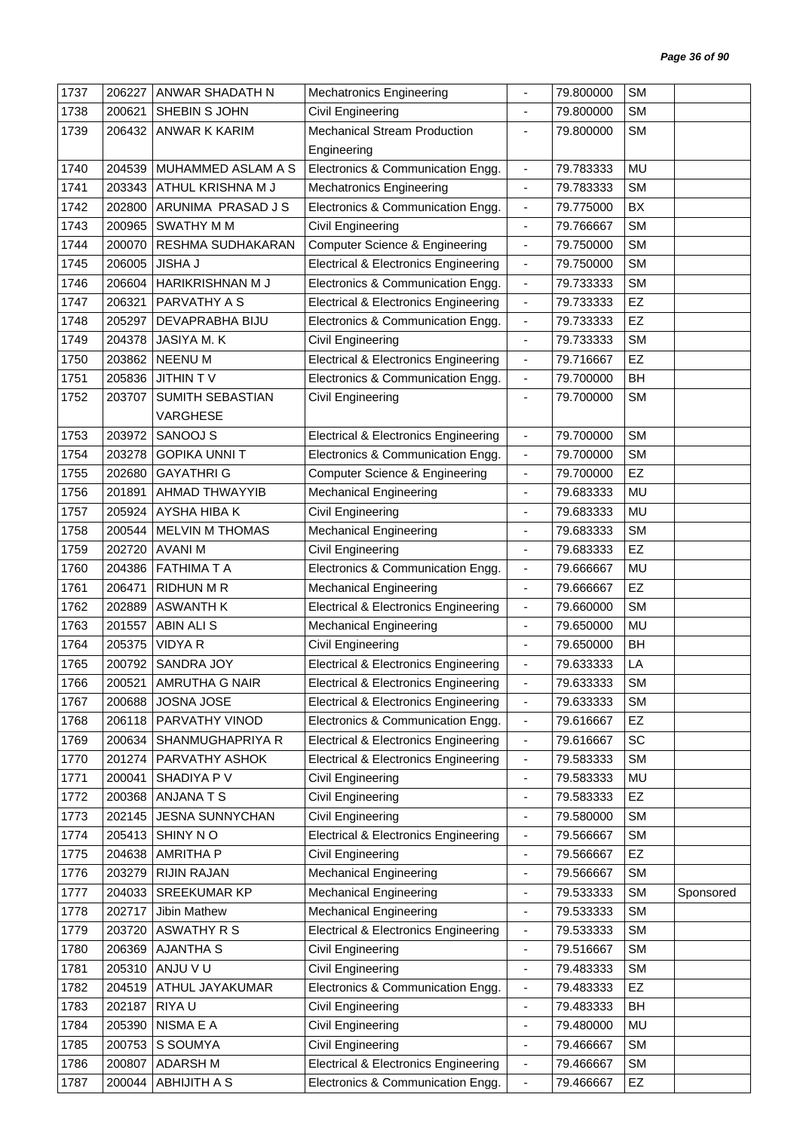| 1737 | 206227 | ANWAR SHADATH N         | <b>Mechatronics Engineering</b>                 | $\blacksquare$               | 79.800000 | <b>SM</b> |           |
|------|--------|-------------------------|-------------------------------------------------|------------------------------|-----------|-----------|-----------|
| 1738 | 200621 | SHEBIN S JOHN           | Civil Engineering                               | $\blacksquare$               | 79.800000 | <b>SM</b> |           |
| 1739 | 206432 | ANWAR K KARIM           | <b>Mechanical Stream Production</b>             | $\overline{\phantom{a}}$     | 79.800000 | <b>SM</b> |           |
|      |        |                         | Engineering                                     |                              |           |           |           |
| 1740 | 204539 | MUHAMMED ASLAM A S      | Electronics & Communication Engg.               | $\blacksquare$               | 79.783333 | <b>MU</b> |           |
| 1741 | 203343 | ATHUL KRISHNA M J       | <b>Mechatronics Engineering</b>                 | $\blacksquare$               | 79.783333 | <b>SM</b> |           |
| 1742 | 202800 | ARUNIMA PRASAD J S      | Electronics & Communication Engg.               | $\overline{\phantom{a}}$     | 79.775000 | BX        |           |
| 1743 | 200965 | <b>SWATHY MM</b>        | Civil Engineering                               | $\overline{\phantom{a}}$     | 79.766667 | <b>SM</b> |           |
| 1744 | 200070 | RESHMA SUDHAKARAN       | <b>Computer Science &amp; Engineering</b>       | $\blacksquare$               | 79.750000 | <b>SM</b> |           |
| 1745 | 206005 | <b>JISHA J</b>          | <b>Electrical &amp; Electronics Engineering</b> | $\overline{\phantom{a}}$     | 79.750000 | <b>SM</b> |           |
| 1746 | 206604 | HARIKRISHNAN M J        | Electronics & Communication Engg.               | $\blacksquare$               | 79.733333 | <b>SM</b> |           |
| 1747 | 206321 | PARVATHY A S            | <b>Electrical &amp; Electronics Engineering</b> | $\blacksquare$               | 79.733333 | EZ        |           |
| 1748 | 205297 | DEVAPRABHA BIJU         | Electronics & Communication Engg.               | $\blacksquare$               | 79.733333 | EZ        |           |
| 1749 | 204378 | JASIYA M.K              | Civil Engineering                               | $\overline{\phantom{a}}$     | 79.733333 | <b>SM</b> |           |
| 1750 | 203862 | <b>NEENUM</b>           | <b>Electrical &amp; Electronics Engineering</b> | $\overline{\phantom{a}}$     | 79.716667 | EZ        |           |
| 1751 | 205836 | <b>JITHIN TV</b>        | Electronics & Communication Engg.               | $\overline{\phantom{a}}$     | 79.700000 | BH        |           |
| 1752 | 203707 | <b>SUMITH SEBASTIAN</b> | Civil Engineering                               | ä,                           | 79.700000 | <b>SM</b> |           |
|      |        | <b>VARGHESE</b>         |                                                 |                              |           |           |           |
| 1753 | 203972 | SANOOJ S                | <b>Electrical &amp; Electronics Engineering</b> | $\blacksquare$               | 79.700000 | <b>SM</b> |           |
| 1754 | 203278 | <b>GOPIKA UNNIT</b>     | Electronics & Communication Engg.               | $\overline{\phantom{a}}$     | 79.700000 | <b>SM</b> |           |
| 1755 | 202680 | <b>GAYATHRI G</b>       | <b>Computer Science &amp; Engineering</b>       | $\overline{\phantom{a}}$     | 79.700000 | EZ        |           |
| 1756 | 201891 | AHMAD THWAYYIB          | <b>Mechanical Engineering</b>                   | $\overline{\phantom{a}}$     | 79.683333 | <b>MU</b> |           |
| 1757 | 205924 | AYSHA HIBA K            | Civil Engineering                               | $\blacksquare$               | 79.683333 | <b>MU</b> |           |
| 1758 | 200544 | MELVIN M THOMAS         | <b>Mechanical Engineering</b>                   | $\overline{\phantom{a}}$     | 79.683333 | <b>SM</b> |           |
| 1759 | 202720 | <b>AVANIM</b>           | Civil Engineering                               | $\overline{\phantom{a}}$     | 79.683333 | EZ        |           |
| 1760 | 204386 | <b>FATHIMA T A</b>      | Electronics & Communication Engg.               | $\overline{\phantom{a}}$     | 79.666667 | MU        |           |
| 1761 | 206471 | <b>RIDHUN M R</b>       | <b>Mechanical Engineering</b>                   | $\overline{\phantom{a}}$     | 79.666667 | EZ        |           |
| 1762 | 202889 | <b>ASWANTH K</b>        | <b>Electrical &amp; Electronics Engineering</b> | $\blacksquare$               | 79.660000 | <b>SM</b> |           |
| 1763 | 201557 | <b>ABIN ALI S</b>       | <b>Mechanical Engineering</b>                   | $\qquad \qquad \blacksquare$ | 79.650000 | MU        |           |
| 1764 | 205375 | <b>VIDYA R</b>          | Civil Engineering                               | $\overline{\phantom{a}}$     | 79.650000 | BH        |           |
| 1765 | 200792 | <b>SANDRA JOY</b>       | <b>Electrical &amp; Electronics Engineering</b> | $\blacksquare$               | 79.633333 | LA        |           |
| 1766 |        | 200521 AMRUTHA G NAIR   | <b>Electrical &amp; Electronics Engineering</b> | -                            | 79.633333 | <b>SM</b> |           |
| 1767 | 200688 | JOSNA JOSE              | <b>Electrical &amp; Electronics Engineering</b> | $\overline{\phantom{a}}$     | 79.633333 | <b>SM</b> |           |
| 1768 | 206118 | PARVATHY VINOD          | Electronics & Communication Engg.               | $\overline{\phantom{a}}$     | 79.616667 | <b>EZ</b> |           |
| 1769 | 200634 | SHANMUGHAPRIYA R        | <b>Electrical &amp; Electronics Engineering</b> | $\blacksquare$               | 79.616667 | <b>SC</b> |           |
| 1770 | 201274 | PARVATHY ASHOK          | <b>Electrical &amp; Electronics Engineering</b> | $\blacksquare$               | 79.583333 | <b>SM</b> |           |
| 1771 | 200041 | SHADIYA P V             | Civil Engineering                               | $\overline{\phantom{a}}$     | 79.583333 | MU        |           |
| 1772 | 200368 | ANJANA T S              | Civil Engineering                               | $\qquad \qquad \blacksquare$ | 79.583333 | <b>EZ</b> |           |
| 1773 | 202145 | <b>JESNA SUNNYCHAN</b>  | Civil Engineering                               | $\overline{\phantom{a}}$     | 79.580000 | <b>SM</b> |           |
| 1774 | 205413 | SHINY NO                | <b>Electrical &amp; Electronics Engineering</b> | $\overline{\phantom{a}}$     | 79.566667 | <b>SM</b> |           |
| 1775 | 204638 | <b>AMRITHA P</b>        | Civil Engineering                               | $\blacksquare$               | 79.566667 | EZ        |           |
| 1776 | 203279 | <b>RIJIN RAJAN</b>      | <b>Mechanical Engineering</b>                   | ٠                            | 79.566667 | <b>SM</b> |           |
| 1777 | 204033 | SREEKUMAR KP            | <b>Mechanical Engineering</b>                   | $\qquad \qquad \blacksquare$ | 79.533333 | <b>SM</b> | Sponsored |
| 1778 | 202717 | Jibin Mathew            | <b>Mechanical Engineering</b>                   | $\overline{\phantom{a}}$     | 79.533333 | <b>SM</b> |           |
| 1779 | 203720 | <b>ASWATHY R S</b>      | <b>Electrical &amp; Electronics Engineering</b> | $\overline{\phantom{a}}$     | 79.533333 | <b>SM</b> |           |
| 1780 | 206369 | <b>AJANTHA S</b>        | Civil Engineering                               | $\overline{\phantom{a}}$     | 79.516667 | <b>SM</b> |           |
| 1781 | 205310 | ANJU V U                | Civil Engineering                               | $\overline{\phantom{a}}$     | 79.483333 | <b>SM</b> |           |
| 1782 | 204519 | ATHUL JAYAKUMAR         | Electronics & Communication Engg.               | $\overline{\phantom{a}}$     | 79.483333 | <b>EZ</b> |           |
| 1783 | 202187 | RIYA U                  | Civil Engineering                               | $\qquad \qquad \blacksquare$ | 79.483333 | BH        |           |
| 1784 | 205390 | NISMA E A               | Civil Engineering                               | ÷,                           | 79.480000 | MU        |           |
| 1785 | 200753 | S SOUMYA                | Civil Engineering                               | $\qquad \qquad \blacksquare$ | 79.466667 | <b>SM</b> |           |
| 1786 | 200807 | <b>ADARSHM</b>          | <b>Electrical &amp; Electronics Engineering</b> | $\overline{\phantom{a}}$     | 79.466667 | <b>SM</b> |           |
| 1787 | 200044 | ABHIJITH A S            | Electronics & Communication Engg.               | $\overline{\phantom{a}}$     | 79.466667 | EZ        |           |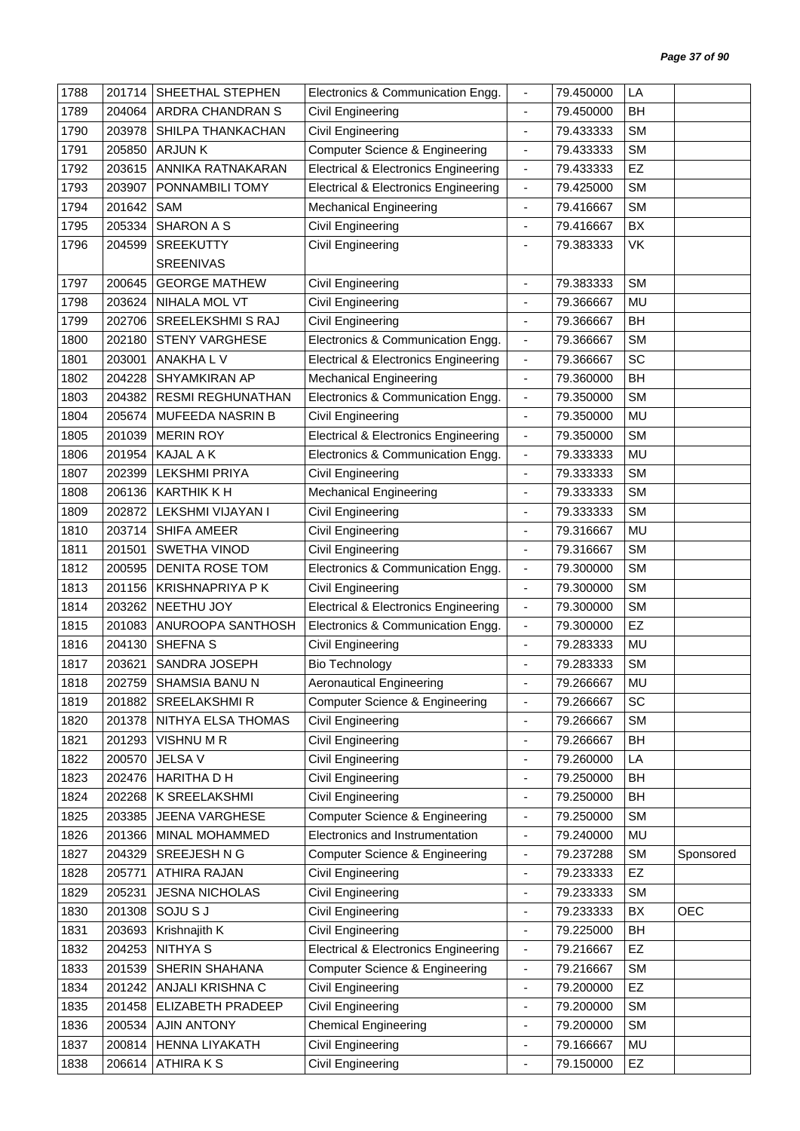| 1788 | 201714 | SHEETHAL STEPHEN         | Electronics & Communication Engg.               |                              | 79.450000 | LA        |            |
|------|--------|--------------------------|-------------------------------------------------|------------------------------|-----------|-----------|------------|
| 1789 | 204064 | ARDRA CHANDRAN S         | Civil Engineering                               | $\blacksquare$               | 79.450000 | BH        |            |
| 1790 | 203978 | SHILPA THANKACHAN        | Civil Engineering                               | $\overline{\phantom{a}}$     | 79.433333 | <b>SM</b> |            |
| 1791 | 205850 | <b>ARJUNK</b>            | <b>Computer Science &amp; Engineering</b>       | $\blacksquare$               | 79.433333 | <b>SM</b> |            |
| 1792 | 203615 | ANNIKA RATNAKARAN        | <b>Electrical &amp; Electronics Engineering</b> | $\overline{\phantom{a}}$     | 79.433333 | EZ        |            |
| 1793 | 203907 | PONNAMBILI TOMY          | <b>Electrical &amp; Electronics Engineering</b> | $\blacksquare$               | 79.425000 | <b>SM</b> |            |
| 1794 | 201642 | SAM                      | <b>Mechanical Engineering</b>                   | $\overline{\phantom{a}}$     | 79.416667 | <b>SM</b> |            |
| 1795 | 205334 | <b>SHARON A S</b>        | <b>Civil Engineering</b>                        | $\blacksquare$               | 79.416667 | BX        |            |
| 1796 | 204599 | SREEKUTTY                | Civil Engineering                               |                              | 79.383333 | VK        |            |
|      |        | <b>SREENIVAS</b>         |                                                 |                              |           |           |            |
| 1797 | 200645 | <b>GEORGE MATHEW</b>     | <b>Civil Engineering</b>                        | $\overline{\phantom{a}}$     | 79.383333 | <b>SM</b> |            |
| 1798 | 203624 | NIHALA MOL VT            | <b>Civil Engineering</b>                        |                              | 79.366667 | <b>MU</b> |            |
| 1799 | 202706 | SREELEKSHMI S RAJ        | Civil Engineering                               | $\overline{\phantom{a}}$     | 79.366667 | BH        |            |
| 1800 | 202180 | <b>STENY VARGHESE</b>    | Electronics & Communication Engg.               | $\overline{\phantom{a}}$     | 79.366667 | <b>SM</b> |            |
| 1801 | 203001 | ANAKHA L V               | <b>Electrical &amp; Electronics Engineering</b> | $\overline{\phantom{a}}$     | 79.366667 | SC        |            |
| 1802 | 204228 | SHYAMKIRAN AP            | <b>Mechanical Engineering</b>                   | $\overline{\phantom{a}}$     | 79.360000 | BH        |            |
| 1803 | 204382 | <b>RESMI REGHUNATHAN</b> | Electronics & Communication Engg.               | $\blacksquare$               | 79.350000 | <b>SM</b> |            |
| 1804 | 205674 | MUFEEDA NASRIN B         | Civil Engineering                               | $\overline{\phantom{a}}$     | 79.350000 | <b>MU</b> |            |
| 1805 | 201039 | <b>MERIN ROY</b>         | <b>Electrical &amp; Electronics Engineering</b> | $\blacksquare$               | 79.350000 | <b>SM</b> |            |
| 1806 | 201954 | KAJAL A K                | Electronics & Communication Engg.               | $\overline{\phantom{a}}$     | 79.333333 | <b>MU</b> |            |
| 1807 | 202399 | <b>LEKSHMI PRIYA</b>     | Civil Engineering                               | $\qquad \qquad \blacksquare$ | 79.333333 | <b>SM</b> |            |
| 1808 | 206136 | <b>KARTHIK K H</b>       | <b>Mechanical Engineering</b>                   | $\overline{\phantom{a}}$     | 79.333333 | <b>SM</b> |            |
| 1809 | 202872 | LEKSHMI VIJAYAN I        | Civil Engineering                               | ä,                           | 79.333333 | <b>SM</b> |            |
| 1810 | 203714 | <b>SHIFA AMEER</b>       | Civil Engineering                               | $\overline{\phantom{a}}$     | 79.316667 | MU        |            |
| 1811 | 201501 | SWETHA VINOD             | Civil Engineering                               | $\overline{\phantom{a}}$     | 79.316667 | <b>SM</b> |            |
| 1812 | 200595 | DENITA ROSE TOM          | Electronics & Communication Engg.               | $\blacksquare$               | 79.300000 | <b>SM</b> |            |
| 1813 | 201156 | <b>KRISHNAPRIYA P K</b>  | Civil Engineering                               | $\overline{\phantom{a}}$     | 79.300000 | <b>SM</b> |            |
| 1814 | 203262 | NEETHU JOY               | <b>Electrical &amp; Electronics Engineering</b> | $\blacksquare$               | 79.300000 | <b>SM</b> |            |
| 1815 | 201083 | ANUROOPA SANTHOSH        | Electronics & Communication Engg.               | $\overline{\phantom{a}}$     | 79.300000 | EZ        |            |
| 1816 | 204130 | SHEFNA S                 | Civil Engineering                               | $\blacksquare$               | 79.283333 | MU        |            |
| 1817 | 203621 | SANDRA JOSEPH            | <b>Bio Technology</b>                           |                              | 79.283333 | <b>SM</b> |            |
| 1818 |        | 202759 SHAMSIA BANU N    | <b>Aeronautical Engineering</b>                 |                              | 79.266667 | MU        |            |
| 1819 | 201882 | <b>SREELAKSHMI R</b>     | <b>Computer Science &amp; Engineering</b>       | $\blacksquare$               | 79.266667 | SC        |            |
| 1820 | 201378 | NITHYA ELSA THOMAS       | Civil Engineering                               | ÷                            | 79.266667 | <b>SM</b> |            |
| 1821 | 201293 | VISHNU M R               | Civil Engineering                               | $\qquad \qquad \blacksquare$ | 79.266667 | BH        |            |
| 1822 | 200570 | JELSA V                  | Civil Engineering                               | $\overline{\phantom{a}}$     | 79.260000 | LA        |            |
| 1823 | 202476 | <b>HARITHA D H</b>       | Civil Engineering                               | $\qquad \qquad \blacksquare$ | 79.250000 | BH        |            |
| 1824 | 202268 | K SREELAKSHMI            | Civil Engineering                               | $\qquad \qquad \blacksquare$ | 79.250000 | BH        |            |
| 1825 | 203385 | JEENA VARGHESE           | <b>Computer Science &amp; Engineering</b>       | $\overline{\phantom{a}}$     | 79.250000 | <b>SM</b> |            |
| 1826 | 201366 | MINAL MOHAMMED           | Electronics and Instrumentation                 | $\overline{\phantom{a}}$     | 79.240000 | MU        |            |
| 1827 | 204329 | SREEJESH N G             | <b>Computer Science &amp; Engineering</b>       | $\overline{\phantom{a}}$     | 79.237288 | <b>SM</b> | Sponsored  |
| 1828 | 205771 | <b>ATHIRA RAJAN</b>      | Civil Engineering                               | ÷,                           | 79.233333 | <b>EZ</b> |            |
| 1829 | 205231 | <b>JESNA NICHOLAS</b>    | Civil Engineering                               | $\qquad \qquad \blacksquare$ | 79.233333 | <b>SM</b> |            |
| 1830 | 201308 | SOJU S J                 | Civil Engineering                               | $\blacksquare$               | 79.233333 | BX        | <b>OEC</b> |
| 1831 | 203693 | Krishnajith K            | Civil Engineering                               | ٠                            | 79.225000 | <b>BH</b> |            |
| 1832 | 204253 | NITHYA S                 | <b>Electrical &amp; Electronics Engineering</b> | $\overline{\phantom{a}}$     | 79.216667 | EZ        |            |
| 1833 | 201539 | SHERIN SHAHANA           | <b>Computer Science &amp; Engineering</b>       | $\overline{\phantom{a}}$     | 79.216667 | <b>SM</b> |            |
| 1834 | 201242 | ANJALI KRISHNA C         | Civil Engineering                               | $\overline{a}$               | 79.200000 | EZ        |            |
| 1835 | 201458 | ELIZABETH PRADEEP        | Civil Engineering                               | $\blacksquare$               | 79.200000 | <b>SM</b> |            |
| 1836 | 200534 | <b>AJIN ANTONY</b>       | <b>Chemical Engineering</b>                     | $\blacksquare$               | 79.200000 | <b>SM</b> |            |
| 1837 | 200814 | HENNA LIYAKATH           | Civil Engineering                               | $\overline{\phantom{a}}$     | 79.166667 | MU        |            |
| 1838 | 206614 | <b>ATHIRAKS</b>          | Civil Engineering                               | ÷,                           | 79.150000 | <b>EZ</b> |            |
|      |        |                          |                                                 |                              |           |           |            |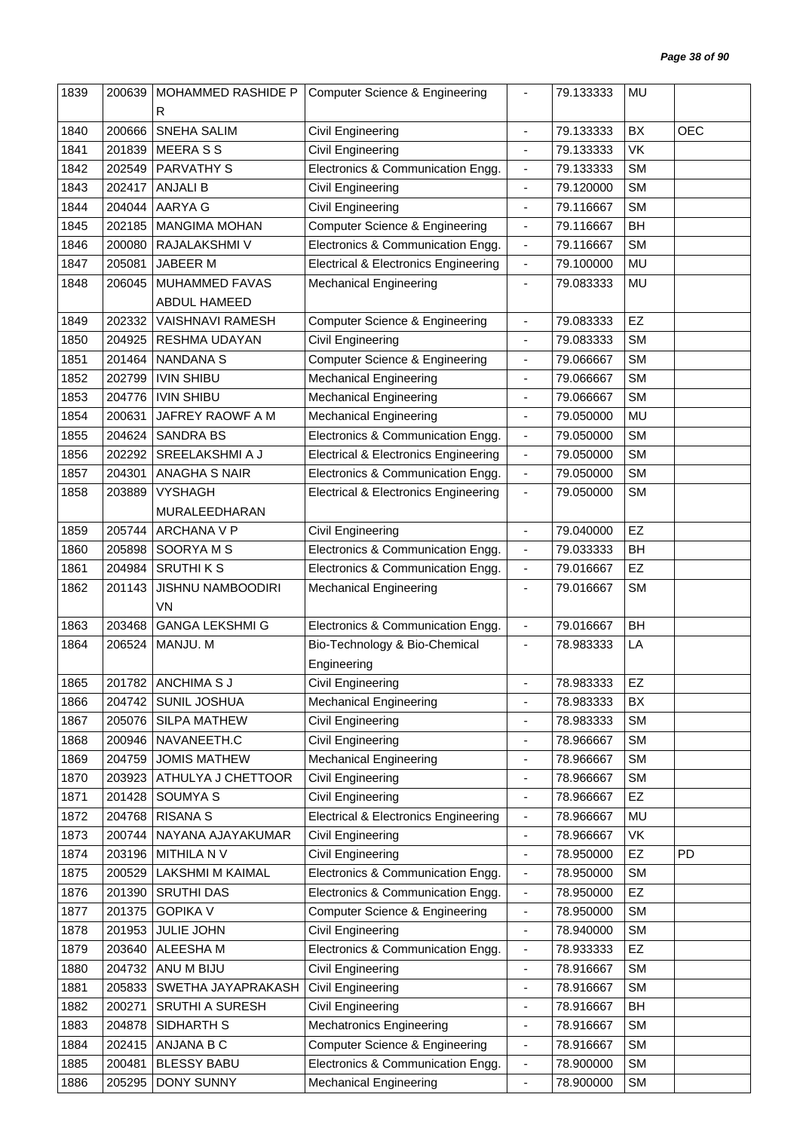| 1840<br>1841<br>1842 |                  | <b>MOHAMMED RASHIDE P</b>             | <b>Computer Science &amp; Engineering</b>                           |                              | 79.133333              | <b>MU</b>       |            |
|----------------------|------------------|---------------------------------------|---------------------------------------------------------------------|------------------------------|------------------------|-----------------|------------|
|                      |                  | R                                     |                                                                     |                              |                        |                 |            |
|                      | 200666           | SNEHA SALIM                           | Civil Engineering                                                   | $\overline{\phantom{a}}$     | 79.133333              | BX              | <b>OEC</b> |
|                      | 201839           | <b>MEERASS</b>                        | Civil Engineering                                                   |                              | 79.133333              | VK              |            |
|                      | 202549           | PARVATHY S                            | Electronics & Communication Engg.                                   | $\overline{\phantom{a}}$     | 79.133333              | <b>SM</b>       |            |
| 1843                 | 202417           | <b>ANJALI B</b>                       | Civil Engineering                                                   | $\overline{\phantom{a}}$     | 79.120000              | <b>SM</b>       |            |
| 1844                 | 204044           | AARYA G                               | <b>Civil Engineering</b>                                            | $\blacksquare$               | 79.116667              | <b>SM</b>       |            |
| 1845                 | 202185           | <b>MANGIMA MOHAN</b>                  | Computer Science & Engineering                                      | $\blacksquare$               | 79.116667              | BH              |            |
| 1846                 | 200080           | RAJALAKSHMI V                         | Electronics & Communication Engg.                                   | $\blacksquare$               | 79.116667              | <b>SM</b>       |            |
| 1847                 | 205081           | JABEER M                              | <b>Electrical &amp; Electronics Engineering</b>                     | $\overline{\phantom{a}}$     | 79.100000              | <b>MU</b>       |            |
| 1848                 | 206045           | MUHAMMED FAVAS                        | <b>Mechanical Engineering</b>                                       | $\blacksquare$               | 79.083333              | MU              |            |
|                      |                  | ABDUL HAMEED                          |                                                                     |                              |                        |                 |            |
| 1849                 | 202332           | <b>VAISHNAVI RAMESH</b>               | <b>Computer Science &amp; Engineering</b>                           | $\blacksquare$               | 79.083333              | EZ              |            |
| 1850                 | 204925           | RESHMA UDAYAN                         | <b>Civil Engineering</b>                                            | $\overline{\phantom{a}}$     | 79.083333              | <b>SM</b>       |            |
| 1851                 | 201464           | <b>NANDANA S</b>                      | <b>Computer Science &amp; Engineering</b>                           | ÷                            | 79.066667              | <b>SM</b>       |            |
| 1852                 | 202799           | <b>IVIN SHIBU</b>                     | <b>Mechanical Engineering</b>                                       | $\overline{\phantom{a}}$     | 79.066667              | <b>SM</b>       |            |
| 1853                 | 204776           | <b>IVIN SHIBU</b>                     | <b>Mechanical Engineering</b>                                       | $\overline{\phantom{a}}$     | 79.066667              | <b>SM</b>       |            |
| 1854                 | 200631           | JAFREY RAOWF A M                      | <b>Mechanical Engineering</b>                                       | $\blacksquare$               | 79.050000              | <b>MU</b>       |            |
| 1855                 | 204624           | <b>SANDRA BS</b>                      | Electronics & Communication Engg.                                   | $\blacksquare$               | 79.050000              | <b>SM</b>       |            |
| 1856                 | 202292           | SREELAKSHMI A J                       | <b>Electrical &amp; Electronics Engineering</b>                     | $\blacksquare$               | 79.050000              | <b>SM</b>       |            |
| 1857                 | 204301           | <b>ANAGHA S NAIR</b>                  | Electronics & Communication Engg.                                   | $\overline{\phantom{a}}$     | 79.050000              | <b>SM</b>       |            |
| 1858                 | 203889           | <b>VYSHAGH</b>                        | <b>Electrical &amp; Electronics Engineering</b>                     | $\overline{\phantom{a}}$     | 79.050000              | <b>SM</b>       |            |
|                      |                  | MURALEEDHARAN                         |                                                                     |                              |                        |                 |            |
| 1859                 | 205744           | ARCHANA V P                           | Civil Engineering                                                   | $\blacksquare$               | 79.040000              | EZ              |            |
| 1860                 | 205898           | SOORYAMS                              | Electronics & Communication Engg.                                   | $\blacksquare$               | 79.033333              | BH              |            |
| 1861                 | 204984           | <b>SRUTHIKS</b>                       | Electronics & Communication Engg.                                   | $\overline{\phantom{a}}$     | 79.016667              | <b>EZ</b>       |            |
|                      |                  |                                       |                                                                     |                              |                        |                 |            |
|                      |                  |                                       |                                                                     |                              |                        |                 |            |
| 1862                 | 201143           | JISHNU NAMBOODIRI                     | <b>Mechanical Engineering</b>                                       | $\overline{\phantom{a}}$     | 79.016667              | <b>SM</b>       |            |
|                      |                  | VN<br><b>GANGA LEKSHMI G</b>          |                                                                     | $\blacksquare$               | 79.016667              |                 |            |
| 1863<br>1864         | 203468<br>206524 |                                       | Electronics & Communication Engg.                                   | $\overline{\phantom{a}}$     | 78.983333              | <b>BH</b><br>LA |            |
|                      |                  | MANJU. M                              | Bio-Technology & Bio-Chemical<br>Engineering                        |                              |                        |                 |            |
| 1865                 |                  |                                       | Civil Engineering                                                   | $\blacksquare$               |                        | EZ              |            |
| 1866                 | 204742           | 201782 ANCHIMA S J<br>SUNIL JOSHUA    | <b>Mechanical Engineering</b>                                       | $\blacksquare$               | 78.983333              | BX              |            |
| 1867                 | 205076           | SILPA MATHEW                          | Civil Engineering                                                   | $\frac{1}{2}$                | 78.983333<br>78.983333 | <b>SM</b>       |            |
| 1868                 | 200946           | NAVANEETH.C                           |                                                                     | $\qquad \qquad \blacksquare$ | 78.966667              | <b>SM</b>       |            |
| 1869                 | 204759           | <b>JOMIS MATHEW</b>                   | Civil Engineering                                                   | $\overline{\phantom{a}}$     | 78.966667              | <b>SM</b>       |            |
| 1870                 | 203923           | ATHULYA J CHETTOOR                    | <b>Mechanical Engineering</b><br><b>Civil Engineering</b>           | $\overline{\phantom{a}}$     | 78.966667              | <b>SM</b>       |            |
| 1871                 | 201428           | SOUMYA S                              | Civil Engineering                                                   | $\overline{\phantom{a}}$     | 78.966667              | <b>EZ</b>       |            |
| 1872                 | 204768           | <b>RISANA S</b>                       | <b>Electrical &amp; Electronics Engineering</b>                     | $\overline{\phantom{a}}$     | 78.966667              | <b>MU</b>       |            |
| 1873                 | 200744           | NAYANA AJAYAKUMAR                     | Civil Engineering                                                   | $\blacksquare$               | 78.966667              | VK              |            |
| 1874                 | 203196           | MITHILA N V                           | Civil Engineering                                                   | $\blacksquare$               | 78.950000              | EZ              | <b>PD</b>  |
| 1875                 | 200529           | LAKSHMI M KAIMAL                      | Electronics & Communication Engg.                                   | $\overline{\phantom{a}}$     | 78.950000              | <b>SM</b>       |            |
| 1876                 | 201390           | <b>SRUTHI DAS</b>                     | Electronics & Communication Engg.                                   | $\overline{\phantom{a}}$     | 78.950000              | EZ              |            |
| 1877                 |                  | <b>GOPIKA V</b>                       |                                                                     | $\overline{\phantom{a}}$     |                        | <b>SM</b>       |            |
|                      | 201375           |                                       | <b>Computer Science &amp; Engineering</b>                           | $\blacksquare$               | 78.950000              |                 |            |
| 1878<br>1879         | 201953<br>203640 | JULIE JOHN<br>ALEESHA M               | Civil Engineering                                                   | $\overline{\phantom{a}}$     | 78.940000<br>78.933333 | <b>SM</b><br>EZ |            |
|                      |                  |                                       | Electronics & Communication Engg.                                   | $\blacksquare$               |                        | <b>SM</b>       |            |
| 1880                 | 204732           | ANU M BIJU                            | Civil Engineering                                                   | ÷,                           | 78.916667              |                 |            |
| 1881<br>1882         | 205833<br>200271 | SWETHA JAYAPRAKASH<br>SRUTHI A SURESH | Civil Engineering                                                   | $\qquad \qquad \blacksquare$ | 78.916667<br>78.916667 | <b>SM</b><br>BH |            |
| 1883                 | 204878           | SIDHARTH S                            | Civil Engineering                                                   | $\overline{\phantom{a}}$     | 78.916667              | <b>SM</b>       |            |
| 1884                 |                  | ANJANA B C                            | <b>Mechatronics Engineering</b>                                     | $\blacksquare$               | 78.916667              | <b>SM</b>       |            |
| 1885                 | 202415<br>200481 | <b>BLESSY BABU</b>                    | Computer Science & Engineering<br>Electronics & Communication Engg. | $\overline{\phantom{a}}$     | 78.900000              | <b>SM</b>       |            |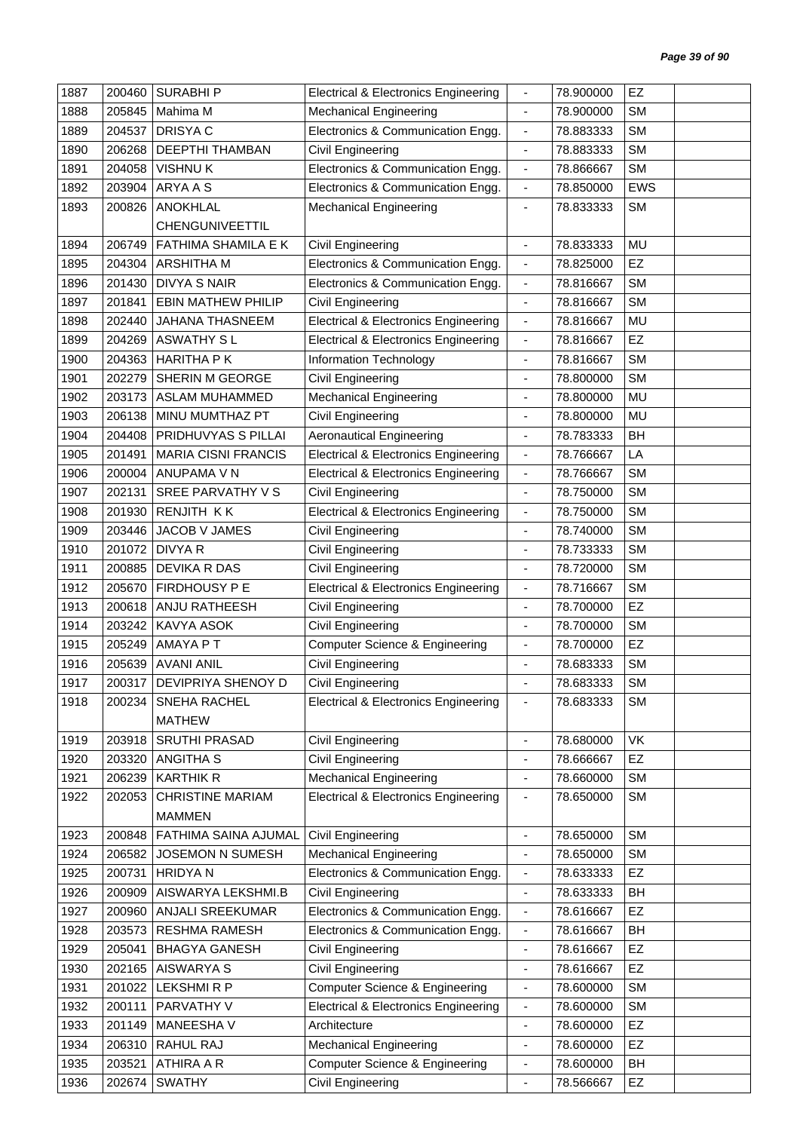| 1887 | 200460 | <b>SURABHIP</b>             | <b>Electrical &amp; Electronics Engineering</b> | $\overline{\phantom{a}}$     | 78.900000 | EZ         |  |
|------|--------|-----------------------------|-------------------------------------------------|------------------------------|-----------|------------|--|
| 1888 | 205845 | Mahima M                    | <b>Mechanical Engineering</b>                   | $\blacksquare$               | 78.900000 | <b>SM</b>  |  |
| 1889 | 204537 | <b>DRISYAC</b>              | Electronics & Communication Engg.               | $\blacksquare$               | 78.883333 | <b>SM</b>  |  |
| 1890 | 206268 | <b>DEEPTHI THAMBAN</b>      | Civil Engineering                               | $\overline{\phantom{a}}$     | 78.883333 | <b>SM</b>  |  |
| 1891 | 204058 | <b>VISHNUK</b>              | Electronics & Communication Engg.               | $\blacksquare$               | 78.866667 | <b>SM</b>  |  |
| 1892 | 203904 | ARYA A S                    | Electronics & Communication Engg.               | $\blacksquare$               | 78.850000 | <b>EWS</b> |  |
| 1893 | 200826 | <b>ANOKHLAL</b>             | <b>Mechanical Engineering</b>                   | $\blacksquare$               | 78.833333 | <b>SM</b>  |  |
|      |        | CHENGUNIVEETTIL             |                                                 |                              |           |            |  |
| 1894 | 206749 | <b>FATHIMA SHAMILA E K</b>  | Civil Engineering                               | ÷,                           | 78.833333 | <b>MU</b>  |  |
| 1895 | 204304 | <b>ARSHITHA M</b>           | Electronics & Communication Engg.               | $\overline{\phantom{a}}$     | 78.825000 | EZ         |  |
| 1896 | 201430 | <b>DIVYA S NAIR</b>         | Electronics & Communication Engg.               | $\overline{\phantom{a}}$     | 78.816667 | <b>SM</b>  |  |
| 1897 | 201841 | <b>EBIN MATHEW PHILIP</b>   | Civil Engineering                               | $\blacksquare$               | 78.816667 | <b>SM</b>  |  |
| 1898 | 202440 | <b>JAHANA THASNEEM</b>      | <b>Electrical &amp; Electronics Engineering</b> | $\blacksquare$               | 78.816667 | MU         |  |
| 1899 | 204269 | <b>ASWATHY SL</b>           | <b>Electrical &amp; Electronics Engineering</b> | $\blacksquare$               | 78.816667 | EZ         |  |
| 1900 | 204363 | <b>HARITHA PK</b>           | Information Technology                          | $\overline{\phantom{a}}$     | 78.816667 | <b>SM</b>  |  |
| 1901 | 202279 | SHERIN M GEORGE             | Civil Engineering                               | ٠                            | 78.800000 | <b>SM</b>  |  |
| 1902 | 203173 | <b>ASLAM MUHAMMED</b>       | <b>Mechanical Engineering</b>                   | ÷,                           | 78.800000 | <b>MU</b>  |  |
| 1903 | 206138 | MINU MUMTHAZ PT             | Civil Engineering                               | ٠                            | 78.800000 | <b>MU</b>  |  |
| 1904 | 204408 | PRIDHUVYAS S PILLAI         | <b>Aeronautical Engineering</b>                 | $\overline{\phantom{a}}$     | 78.783333 | BH         |  |
| 1905 | 201491 | <b>MARIA CISNI FRANCIS</b>  | <b>Electrical &amp; Electronics Engineering</b> | $\overline{\phantom{a}}$     | 78.766667 | LA         |  |
| 1906 | 200004 | ANUPAMA V N                 | <b>Electrical &amp; Electronics Engineering</b> | $\blacksquare$               | 78.766667 | <b>SM</b>  |  |
| 1907 | 202131 | SREE PARVATHY V S           | Civil Engineering                               | $\overline{\phantom{a}}$     | 78.750000 | <b>SM</b>  |  |
| 1908 | 201930 | RENJITH KK                  | <b>Electrical &amp; Electronics Engineering</b> | $\blacksquare$               | 78.750000 | <b>SM</b>  |  |
| 1909 | 203446 | JACOB V JAMES               | Civil Engineering                               | $\blacksquare$               | 78.740000 | <b>SM</b>  |  |
| 1910 | 201072 | <b>DIVYA R</b>              | Civil Engineering                               | $\blacksquare$               | 78.733333 | <b>SM</b>  |  |
| 1911 | 200885 | <b>DEVIKA R DAS</b>         | <b>Civil Engineering</b>                        | $\blacksquare$               | 78.720000 | <b>SM</b>  |  |
| 1912 | 205670 | FIRDHOUSY P E               | <b>Electrical &amp; Electronics Engineering</b> | $\qquad \qquad \blacksquare$ | 78.716667 | <b>SM</b>  |  |
| 1913 | 200618 | ANJU RATHEESH               | Civil Engineering                               | ÷,                           | 78.700000 | EZ         |  |
| 1914 | 203242 | KAVYA ASOK                  | Civil Engineering                               | $\qquad \qquad \blacksquare$ | 78.700000 | <b>SM</b>  |  |
| 1915 | 205249 | AMAYA P T                   | <b>Computer Science &amp; Engineering</b>       | $\overline{\phantom{a}}$     | 78.700000 | EZ         |  |
| 1916 | 205639 | <b>AVANI ANIL</b>           | <b>Civil Engineering</b>                        | $\blacksquare$               | 78.683333 | <b>SM</b>  |  |
| 1917 |        | 200317   DEVIPRIYA SHENOY D | Civil Engineering                               |                              | 78.683333 | <b>SM</b>  |  |
| 1918 | 200234 | SNEHA RACHEL                | <b>Electrical &amp; Electronics Engineering</b> | $\overline{\phantom{a}}$     | 78.683333 | <b>SM</b>  |  |
|      |        | <b>MATHEW</b>               |                                                 |                              |           |            |  |
| 1919 | 203918 | SRUTHI PRASAD               | Civil Engineering                               | $\overline{\phantom{a}}$     | 78.680000 | VK         |  |
| 1920 | 203320 | <b>ANGITHA S</b>            | Civil Engineering                               | $\blacksquare$               | 78.666667 | EZ         |  |
| 1921 | 206239 | <b>KARTHIK R</b>            | <b>Mechanical Engineering</b>                   | $\overline{\phantom{a}}$     | 78.660000 | <b>SM</b>  |  |
| 1922 | 202053 | <b>CHRISTINE MARIAM</b>     | <b>Electrical &amp; Electronics Engineering</b> | ٠                            | 78.650000 | <b>SM</b>  |  |
|      |        | <b>MAMMEN</b>               |                                                 |                              |           |            |  |
| 1923 | 200848 | FATHIMA SAINA AJUMAL        | <b>Civil Engineering</b>                        | $\overline{\phantom{a}}$     | 78.650000 | <b>SM</b>  |  |
| 1924 | 206582 | JOSEMON N SUMESH            | <b>Mechanical Engineering</b>                   | $\overline{\phantom{a}}$     | 78.650000 | <b>SM</b>  |  |
| 1925 | 200731 | <b>HRIDYAN</b>              | Electronics & Communication Engg.               | $\qquad \qquad \blacksquare$ | 78.633333 | <b>EZ</b>  |  |
| 1926 | 200909 | AISWARYA LEKSHMI.B          | Civil Engineering                               | $\overline{\phantom{a}}$     | 78.633333 | BH         |  |
| 1927 | 200960 | ANJALI SREEKUMAR            | Electronics & Communication Engg.               | $\overline{\phantom{a}}$     | 78.616667 | EZ         |  |
| 1928 | 203573 | <b>RESHMA RAMESH</b>        | Electronics & Communication Engg.               | $\overline{\phantom{a}}$     | 78.616667 | <b>BH</b>  |  |
| 1929 | 205041 | <b>BHAGYA GANESH</b>        | Civil Engineering                               | $\blacksquare$               | 78.616667 | <b>EZ</b>  |  |
| 1930 | 202165 | <b>AISWARYA S</b>           | Civil Engineering                               | $\blacksquare$               | 78.616667 | EZ         |  |
| 1931 | 201022 | <b>LEKSHMIRP</b>            | <b>Computer Science &amp; Engineering</b>       | $\overline{\phantom{a}}$     | 78.600000 | <b>SM</b>  |  |
| 1932 | 200111 | PARVATHY V                  | <b>Electrical &amp; Electronics Engineering</b> | $\qquad \qquad \blacksquare$ | 78.600000 | <b>SM</b>  |  |
| 1933 | 201149 | MANEESHA V                  | Architecture                                    | $\overline{\phantom{a}}$     | 78.600000 | EZ         |  |
| 1934 | 206310 | RAHUL RAJ                   | <b>Mechanical Engineering</b>                   | $\qquad \qquad \blacksquare$ | 78.600000 | EZ         |  |
| 1935 | 203521 | ATHIRA A R                  | <b>Computer Science &amp; Engineering</b>       | $\overline{\phantom{a}}$     | 78.600000 | BH         |  |
| 1936 | 202674 | <b>SWATHY</b>               | Civil Engineering                               | $\blacksquare$               | 78.566667 | EZ         |  |
|      |        |                             |                                                 |                              |           |            |  |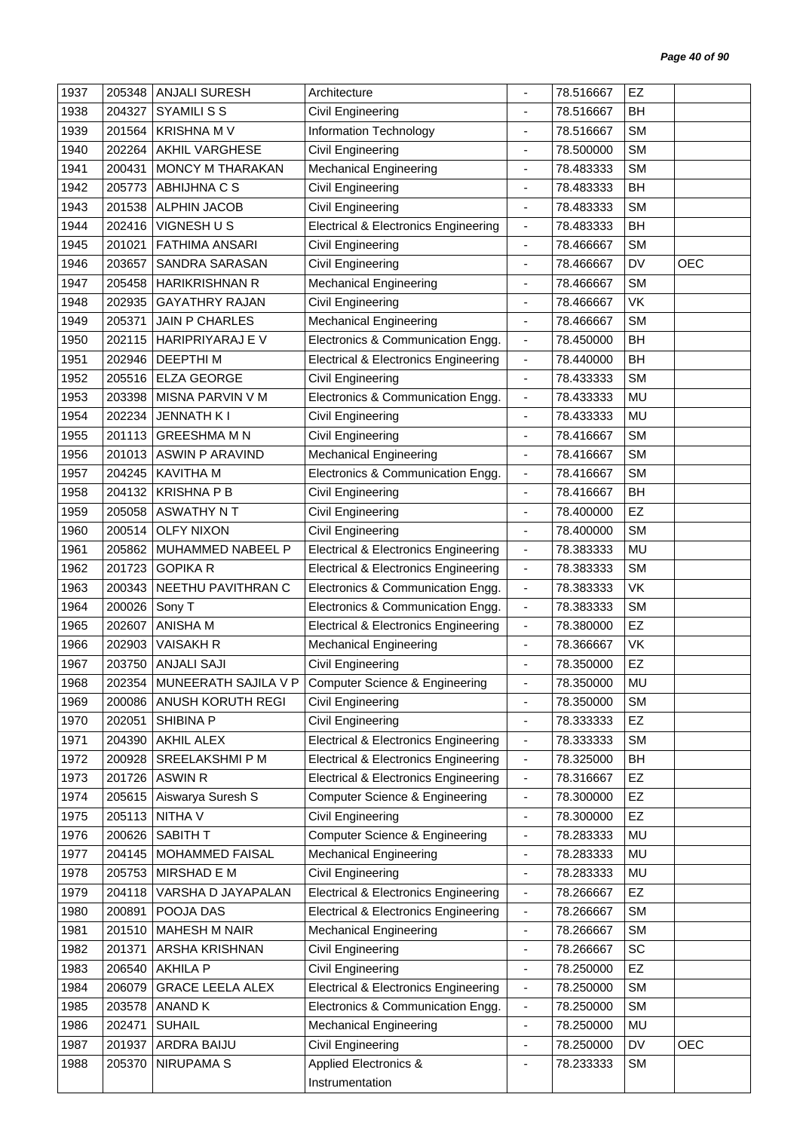| 1938<br>BH<br>204327<br><b>SYAMILISS</b><br>Civil Engineering<br>78.516667<br>÷,<br>1939<br>Information Technology<br><b>SM</b><br>201564<br><b>KRISHNA M V</b><br>78.516667<br><b>SM</b><br>1940<br>202264<br>AKHIL VARGHESE<br>Civil Engineering<br>78.500000<br>$\overline{\phantom{a}}$<br>1941<br>200431<br><b>MONCY M THARAKAN</b><br><b>Mechanical Engineering</b><br><b>SM</b><br>78.483333<br>$\blacksquare$<br>BH<br>1942<br>205773<br>ABHIJHNA C S<br>Civil Engineering<br>78.483333<br>$\overline{a}$<br>1943<br>201538<br><b>ALPHIN JACOB</b><br>Civil Engineering<br>78.483333<br><b>SM</b><br>$\overline{\phantom{a}}$<br>1944<br>BH<br>202416<br>VIGNESH U S<br><b>Electrical &amp; Electronics Engineering</b><br>78.483333<br>$\overline{\phantom{a}}$<br><b>SM</b><br>1945<br>201021<br><b>FATHIMA ANSARI</b><br>Civil Engineering<br>78.466667<br>$\overline{\phantom{a}}$<br><b>OEC</b><br>1946<br>203657<br>SANDRA SARASAN<br>Civil Engineering<br>78.466667<br>DV<br>$\overline{\phantom{a}}$<br><b>SM</b><br>1947<br>205458<br><b>HARIKRISHNAN R</b><br><b>Mechanical Engineering</b><br>78.466667<br>ä,<br><b>Civil Engineering</b><br>VK<br>1948<br>202935<br><b>GAYATHRY RAJAN</b><br>78.466667<br>$\overline{\phantom{a}}$<br><b>JAIN P CHARLES</b><br><b>SM</b><br>1949<br>205371<br><b>Mechanical Engineering</b><br>78.466667<br>$\overline{\phantom{a}}$<br>BH<br>1950<br>202115<br>HARIPRIYARAJ E V<br>Electronics & Communication Engg.<br>78.450000<br>$\overline{\phantom{a}}$<br>BH<br>1951<br>202946<br><b>DEEPTHIM</b><br><b>Electrical &amp; Electronics Engineering</b><br>78.440000<br>$\overline{\phantom{a}}$<br>1952<br><b>ELZA GEORGE</b><br><b>SM</b><br>205516<br>Civil Engineering<br>78.433333<br>$\overline{\phantom{a}}$<br><b>MU</b><br>1953<br>MISNA PARVIN V M<br>Electronics & Communication Engg.<br>203398<br>78.433333<br>$\blacksquare$<br>1954<br>202234<br><b>JENNATH KI</b><br>Civil Engineering<br>78.433333<br>MU<br>$\overline{\phantom{a}}$<br>1955<br><b>GREESHMA M N</b><br><b>SM</b><br>201113<br>Civil Engineering<br>78.416667<br>$\overline{\phantom{a}}$<br><b>SM</b><br>1956<br>201013<br><b>ASWIN P ARAVIND</b><br><b>Mechanical Engineering</b><br>78.416667<br>$\overline{\phantom{a}}$<br>1957<br>KAVITHA M<br>Electronics & Communication Engg.<br><b>SM</b><br>204245<br>78.416667<br>$\blacksquare$<br>1958<br>204132<br><b>KRISHNAPB</b><br>BH<br>Civil Engineering<br>78.416667<br>÷,<br>EZ<br>1959<br>Civil Engineering<br>205058<br>ASWATHY N T<br>78.400000<br>$\overline{\phantom{a}}$<br>1960<br><b>OLFY NIXON</b><br><b>SM</b><br>200514<br>Civil Engineering<br>78.400000<br>$\overline{\phantom{a}}$<br>1961<br>205862<br><b>MU</b><br>MUHAMMED NABEEL P<br><b>Electrical &amp; Electronics Engineering</b><br>78.383333<br>$\overline{\phantom{a}}$<br><b>GOPIKA R</b><br><b>SM</b><br>1962<br>201723<br><b>Electrical &amp; Electronics Engineering</b><br>78.383333<br>$\overline{\phantom{a}}$<br>VK<br>1963<br>200343<br>NEETHU PAVITHRAN C<br>Electronics & Communication Engg.<br>78.383333<br>$\blacksquare$<br><b>SM</b><br>1964<br>200026<br>Electronics & Communication Engg.<br>Sony T<br>78.383333<br>$\overline{\phantom{a}}$<br>EZ<br>1965<br>202607<br><b>ANISHA M</b><br><b>Electrical &amp; Electronics Engineering</b><br>78.380000<br>$\overline{\phantom{a}}$<br>1966<br>VK<br>202903<br><b>VAISAKH R</b><br><b>Mechanical Engineering</b><br>78.366667<br>$\overline{\phantom{a}}$<br>EZ<br><b>ANJALI SAJI</b><br>1967<br>203750<br>Civil Engineering<br>78.350000<br>÷,<br>1968<br>202354<br>MUNEERATH SAJILA V P<br><b>Computer Science &amp; Engineering</b><br>78.350000<br>MU<br>200086 ANUSH KORUTH REGI<br><b>SM</b><br>1969<br>Civil Engineering<br>78.350000<br>$\blacksquare$<br>EZ<br>1970<br>SHIBINA P<br>Civil Engineering<br>78.333333<br>202051<br>$\overline{\phantom{a}}$<br>1971<br>AKHIL ALEX<br><b>Electrical &amp; Electronics Engineering</b><br><b>SM</b><br>204390<br>78.333333<br>$\overline{\phantom{a}}$<br><b>Electrical &amp; Electronics Engineering</b><br>BH<br>1972<br>200928<br>SREELAKSHMI P M<br>78.325000<br>$\overline{\phantom{a}}$<br>1973<br><b>ASWIN R</b><br><b>Electrical &amp; Electronics Engineering</b><br>78.316667<br>EZ<br>201726<br>$\overline{\phantom{a}}$<br>Aiswarya Suresh S<br>EZ<br><b>Computer Science &amp; Engineering</b><br>1974<br>205615<br>78.300000<br>$\blacksquare$<br><b>EZ</b><br>205113<br>NITHA V<br>1975<br>Civil Engineering<br>78.300000<br>$\overline{\phantom{a}}$<br><b>Computer Science &amp; Engineering</b><br>1976<br>200626<br><b>SABITH T</b><br>78.283333<br>MU<br>$\overline{\phantom{a}}$<br>1977<br>204145<br>MOHAMMED FAISAL<br><b>Mechanical Engineering</b><br>MU<br>78.283333<br>$\qquad \qquad \blacksquare$<br>MIRSHAD E M<br>Civil Engineering<br>MU<br>205753<br>78.283333<br>1978<br>$\blacksquare$<br><b>Electrical &amp; Electronics Engineering</b><br><b>EZ</b><br>1979<br>204118<br>VARSHA D JAYAPALAN<br>78.266667<br>$\qquad \qquad \blacksquare$<br>POOJA DAS<br><b>Electrical &amp; Electronics Engineering</b><br><b>SM</b><br>1980<br>200891<br>78.266667<br>$\blacksquare$<br><b>MAHESH M NAIR</b><br>1981<br>201510<br><b>Mechanical Engineering</b><br>78.266667<br><b>SM</b><br>$\overline{\phantom{a}}$<br>1982<br>ARSHA KRISHNAN<br>78.266667<br><b>SC</b><br>201371<br>Civil Engineering<br>$\blacksquare$<br>EZ<br><b>AKHILA P</b><br>Civil Engineering<br>1983<br>206540<br>78.250000<br>$\overline{\phantom{a}}$<br><b>GRACE LEELA ALEX</b><br><b>Electrical &amp; Electronics Engineering</b><br><b>SM</b><br>1984<br>206079<br>78.250000<br>$\overline{\phantom{a}}$<br>ANAND K<br>Electronics & Communication Engg.<br><b>SM</b><br>1985<br>203578<br>78.250000<br>$\blacksquare$<br><b>MU</b><br>1986<br>202471<br><b>SUHAIL</b><br><b>Mechanical Engineering</b><br>78.250000<br>٠<br><b>OEC</b><br>1987<br>201937<br>ARDRA BAIJU<br>Civil Engineering<br>78.250000<br>DV<br>$\overline{\phantom{a}}$<br>1988<br><b>NIRUPAMA S</b><br>Applied Electronics &<br>205370<br><b>SM</b><br>78.233333<br>$\overline{\phantom{a}}$<br>Instrumentation | 1937 | 205348 | <b>ANJALI SURESH</b> | Architecture | 78.516667 | EZ |  |
|-----------------------------------------------------------------------------------------------------------------------------------------------------------------------------------------------------------------------------------------------------------------------------------------------------------------------------------------------------------------------------------------------------------------------------------------------------------------------------------------------------------------------------------------------------------------------------------------------------------------------------------------------------------------------------------------------------------------------------------------------------------------------------------------------------------------------------------------------------------------------------------------------------------------------------------------------------------------------------------------------------------------------------------------------------------------------------------------------------------------------------------------------------------------------------------------------------------------------------------------------------------------------------------------------------------------------------------------------------------------------------------------------------------------------------------------------------------------------------------------------------------------------------------------------------------------------------------------------------------------------------------------------------------------------------------------------------------------------------------------------------------------------------------------------------------------------------------------------------------------------------------------------------------------------------------------------------------------------------------------------------------------------------------------------------------------------------------------------------------------------------------------------------------------------------------------------------------------------------------------------------------------------------------------------------------------------------------------------------------------------------------------------------------------------------------------------------------------------------------------------------------------------------------------------------------------------------------------------------------------------------------------------------------------------------------------------------------------------------------------------------------------------------------------------------------------------------------------------------------------------------------------------------------------------------------------------------------------------------------------------------------------------------------------------------------------------------------------------------------------------------------------------------------------------------------------------------------------------------------------------------------------------------------------------------------------------------------------------------------------------------------------------------------------------------------------------------------------------------------------------------------------------------------------------------------------------------------------------------------------------------------------------------------------------------------------------------------------------------------------------------------------------------------------------------------------------------------------------------------------------------------------------------------------------------------------------------------------------------------------------------------------------------------------------------------------------------------------------------------------------------------------------------------------------------------------------------------------------------------------------------------------------------------------------------------------------------------------------------------------------------------------------------------------------------------------------------------------------------------------------------------------------------------------------------------------------------------------------------------------------------------------------------------------------------------------------------------------------------------------------------------------------------------------------------------------------------------------------------------------------------------------------------------------------------------------------------------------------------------------------------------------------------------------------------------------------------------------------------------------------------------------------------------------------------------------------------------------------------------------------------------------------------------------------------------------------------------------------------------------------------------------------------------------------------------------------------------------------------------------------------------------------------------------------------------------------------------------------------------------------------------------------------------------------------------------------------------------------------------------------------------------------------------------------------------------------------------------------------------------------------------------------------------------------------------------------------------------------------------------------------------------------------------------------------------------------------------------------------------------------------------------------------------------------------------------------|------|--------|----------------------|--------------|-----------|----|--|
|                                                                                                                                                                                                                                                                                                                                                                                                                                                                                                                                                                                                                                                                                                                                                                                                                                                                                                                                                                                                                                                                                                                                                                                                                                                                                                                                                                                                                                                                                                                                                                                                                                                                                                                                                                                                                                                                                                                                                                                                                                                                                                                                                                                                                                                                                                                                                                                                                                                                                                                                                                                                                                                                                                                                                                                                                                                                                                                                                                                                                                                                                                                                                                                                                                                                                                                                                                                                                                                                                                                                                                                                                                                                                                                                                                                                                                                                                                                                                                                                                                                                                                                                                                                                                                                                                                                                                                                                                                                                                                                                                                                                                                                                                                                                                                                                                                                                                                                                                                                                                                                                                                                                                                                                                                                                                                                                                                                                                                                                                                                                                                                                                                                                                                                                                                                                                                                                                                                                                                                                                                                                                                                                                                                               |      |        |                      |              |           |    |  |
|                                                                                                                                                                                                                                                                                                                                                                                                                                                                                                                                                                                                                                                                                                                                                                                                                                                                                                                                                                                                                                                                                                                                                                                                                                                                                                                                                                                                                                                                                                                                                                                                                                                                                                                                                                                                                                                                                                                                                                                                                                                                                                                                                                                                                                                                                                                                                                                                                                                                                                                                                                                                                                                                                                                                                                                                                                                                                                                                                                                                                                                                                                                                                                                                                                                                                                                                                                                                                                                                                                                                                                                                                                                                                                                                                                                                                                                                                                                                                                                                                                                                                                                                                                                                                                                                                                                                                                                                                                                                                                                                                                                                                                                                                                                                                                                                                                                                                                                                                                                                                                                                                                                                                                                                                                                                                                                                                                                                                                                                                                                                                                                                                                                                                                                                                                                                                                                                                                                                                                                                                                                                                                                                                                                               |      |        |                      |              |           |    |  |
|                                                                                                                                                                                                                                                                                                                                                                                                                                                                                                                                                                                                                                                                                                                                                                                                                                                                                                                                                                                                                                                                                                                                                                                                                                                                                                                                                                                                                                                                                                                                                                                                                                                                                                                                                                                                                                                                                                                                                                                                                                                                                                                                                                                                                                                                                                                                                                                                                                                                                                                                                                                                                                                                                                                                                                                                                                                                                                                                                                                                                                                                                                                                                                                                                                                                                                                                                                                                                                                                                                                                                                                                                                                                                                                                                                                                                                                                                                                                                                                                                                                                                                                                                                                                                                                                                                                                                                                                                                                                                                                                                                                                                                                                                                                                                                                                                                                                                                                                                                                                                                                                                                                                                                                                                                                                                                                                                                                                                                                                                                                                                                                                                                                                                                                                                                                                                                                                                                                                                                                                                                                                                                                                                                                               |      |        |                      |              |           |    |  |
|                                                                                                                                                                                                                                                                                                                                                                                                                                                                                                                                                                                                                                                                                                                                                                                                                                                                                                                                                                                                                                                                                                                                                                                                                                                                                                                                                                                                                                                                                                                                                                                                                                                                                                                                                                                                                                                                                                                                                                                                                                                                                                                                                                                                                                                                                                                                                                                                                                                                                                                                                                                                                                                                                                                                                                                                                                                                                                                                                                                                                                                                                                                                                                                                                                                                                                                                                                                                                                                                                                                                                                                                                                                                                                                                                                                                                                                                                                                                                                                                                                                                                                                                                                                                                                                                                                                                                                                                                                                                                                                                                                                                                                                                                                                                                                                                                                                                                                                                                                                                                                                                                                                                                                                                                                                                                                                                                                                                                                                                                                                                                                                                                                                                                                                                                                                                                                                                                                                                                                                                                                                                                                                                                                                               |      |        |                      |              |           |    |  |
|                                                                                                                                                                                                                                                                                                                                                                                                                                                                                                                                                                                                                                                                                                                                                                                                                                                                                                                                                                                                                                                                                                                                                                                                                                                                                                                                                                                                                                                                                                                                                                                                                                                                                                                                                                                                                                                                                                                                                                                                                                                                                                                                                                                                                                                                                                                                                                                                                                                                                                                                                                                                                                                                                                                                                                                                                                                                                                                                                                                                                                                                                                                                                                                                                                                                                                                                                                                                                                                                                                                                                                                                                                                                                                                                                                                                                                                                                                                                                                                                                                                                                                                                                                                                                                                                                                                                                                                                                                                                                                                                                                                                                                                                                                                                                                                                                                                                                                                                                                                                                                                                                                                                                                                                                                                                                                                                                                                                                                                                                                                                                                                                                                                                                                                                                                                                                                                                                                                                                                                                                                                                                                                                                                                               |      |        |                      |              |           |    |  |
|                                                                                                                                                                                                                                                                                                                                                                                                                                                                                                                                                                                                                                                                                                                                                                                                                                                                                                                                                                                                                                                                                                                                                                                                                                                                                                                                                                                                                                                                                                                                                                                                                                                                                                                                                                                                                                                                                                                                                                                                                                                                                                                                                                                                                                                                                                                                                                                                                                                                                                                                                                                                                                                                                                                                                                                                                                                                                                                                                                                                                                                                                                                                                                                                                                                                                                                                                                                                                                                                                                                                                                                                                                                                                                                                                                                                                                                                                                                                                                                                                                                                                                                                                                                                                                                                                                                                                                                                                                                                                                                                                                                                                                                                                                                                                                                                                                                                                                                                                                                                                                                                                                                                                                                                                                                                                                                                                                                                                                                                                                                                                                                                                                                                                                                                                                                                                                                                                                                                                                                                                                                                                                                                                                                               |      |        |                      |              |           |    |  |
|                                                                                                                                                                                                                                                                                                                                                                                                                                                                                                                                                                                                                                                                                                                                                                                                                                                                                                                                                                                                                                                                                                                                                                                                                                                                                                                                                                                                                                                                                                                                                                                                                                                                                                                                                                                                                                                                                                                                                                                                                                                                                                                                                                                                                                                                                                                                                                                                                                                                                                                                                                                                                                                                                                                                                                                                                                                                                                                                                                                                                                                                                                                                                                                                                                                                                                                                                                                                                                                                                                                                                                                                                                                                                                                                                                                                                                                                                                                                                                                                                                                                                                                                                                                                                                                                                                                                                                                                                                                                                                                                                                                                                                                                                                                                                                                                                                                                                                                                                                                                                                                                                                                                                                                                                                                                                                                                                                                                                                                                                                                                                                                                                                                                                                                                                                                                                                                                                                                                                                                                                                                                                                                                                                                               |      |        |                      |              |           |    |  |
|                                                                                                                                                                                                                                                                                                                                                                                                                                                                                                                                                                                                                                                                                                                                                                                                                                                                                                                                                                                                                                                                                                                                                                                                                                                                                                                                                                                                                                                                                                                                                                                                                                                                                                                                                                                                                                                                                                                                                                                                                                                                                                                                                                                                                                                                                                                                                                                                                                                                                                                                                                                                                                                                                                                                                                                                                                                                                                                                                                                                                                                                                                                                                                                                                                                                                                                                                                                                                                                                                                                                                                                                                                                                                                                                                                                                                                                                                                                                                                                                                                                                                                                                                                                                                                                                                                                                                                                                                                                                                                                                                                                                                                                                                                                                                                                                                                                                                                                                                                                                                                                                                                                                                                                                                                                                                                                                                                                                                                                                                                                                                                                                                                                                                                                                                                                                                                                                                                                                                                                                                                                                                                                                                                                               |      |        |                      |              |           |    |  |
|                                                                                                                                                                                                                                                                                                                                                                                                                                                                                                                                                                                                                                                                                                                                                                                                                                                                                                                                                                                                                                                                                                                                                                                                                                                                                                                                                                                                                                                                                                                                                                                                                                                                                                                                                                                                                                                                                                                                                                                                                                                                                                                                                                                                                                                                                                                                                                                                                                                                                                                                                                                                                                                                                                                                                                                                                                                                                                                                                                                                                                                                                                                                                                                                                                                                                                                                                                                                                                                                                                                                                                                                                                                                                                                                                                                                                                                                                                                                                                                                                                                                                                                                                                                                                                                                                                                                                                                                                                                                                                                                                                                                                                                                                                                                                                                                                                                                                                                                                                                                                                                                                                                                                                                                                                                                                                                                                                                                                                                                                                                                                                                                                                                                                                                                                                                                                                                                                                                                                                                                                                                                                                                                                                                               |      |        |                      |              |           |    |  |
|                                                                                                                                                                                                                                                                                                                                                                                                                                                                                                                                                                                                                                                                                                                                                                                                                                                                                                                                                                                                                                                                                                                                                                                                                                                                                                                                                                                                                                                                                                                                                                                                                                                                                                                                                                                                                                                                                                                                                                                                                                                                                                                                                                                                                                                                                                                                                                                                                                                                                                                                                                                                                                                                                                                                                                                                                                                                                                                                                                                                                                                                                                                                                                                                                                                                                                                                                                                                                                                                                                                                                                                                                                                                                                                                                                                                                                                                                                                                                                                                                                                                                                                                                                                                                                                                                                                                                                                                                                                                                                                                                                                                                                                                                                                                                                                                                                                                                                                                                                                                                                                                                                                                                                                                                                                                                                                                                                                                                                                                                                                                                                                                                                                                                                                                                                                                                                                                                                                                                                                                                                                                                                                                                                                               |      |        |                      |              |           |    |  |
|                                                                                                                                                                                                                                                                                                                                                                                                                                                                                                                                                                                                                                                                                                                                                                                                                                                                                                                                                                                                                                                                                                                                                                                                                                                                                                                                                                                                                                                                                                                                                                                                                                                                                                                                                                                                                                                                                                                                                                                                                                                                                                                                                                                                                                                                                                                                                                                                                                                                                                                                                                                                                                                                                                                                                                                                                                                                                                                                                                                                                                                                                                                                                                                                                                                                                                                                                                                                                                                                                                                                                                                                                                                                                                                                                                                                                                                                                                                                                                                                                                                                                                                                                                                                                                                                                                                                                                                                                                                                                                                                                                                                                                                                                                                                                                                                                                                                                                                                                                                                                                                                                                                                                                                                                                                                                                                                                                                                                                                                                                                                                                                                                                                                                                                                                                                                                                                                                                                                                                                                                                                                                                                                                                                               |      |        |                      |              |           |    |  |
|                                                                                                                                                                                                                                                                                                                                                                                                                                                                                                                                                                                                                                                                                                                                                                                                                                                                                                                                                                                                                                                                                                                                                                                                                                                                                                                                                                                                                                                                                                                                                                                                                                                                                                                                                                                                                                                                                                                                                                                                                                                                                                                                                                                                                                                                                                                                                                                                                                                                                                                                                                                                                                                                                                                                                                                                                                                                                                                                                                                                                                                                                                                                                                                                                                                                                                                                                                                                                                                                                                                                                                                                                                                                                                                                                                                                                                                                                                                                                                                                                                                                                                                                                                                                                                                                                                                                                                                                                                                                                                                                                                                                                                                                                                                                                                                                                                                                                                                                                                                                                                                                                                                                                                                                                                                                                                                                                                                                                                                                                                                                                                                                                                                                                                                                                                                                                                                                                                                                                                                                                                                                                                                                                                                               |      |        |                      |              |           |    |  |
|                                                                                                                                                                                                                                                                                                                                                                                                                                                                                                                                                                                                                                                                                                                                                                                                                                                                                                                                                                                                                                                                                                                                                                                                                                                                                                                                                                                                                                                                                                                                                                                                                                                                                                                                                                                                                                                                                                                                                                                                                                                                                                                                                                                                                                                                                                                                                                                                                                                                                                                                                                                                                                                                                                                                                                                                                                                                                                                                                                                                                                                                                                                                                                                                                                                                                                                                                                                                                                                                                                                                                                                                                                                                                                                                                                                                                                                                                                                                                                                                                                                                                                                                                                                                                                                                                                                                                                                                                                                                                                                                                                                                                                                                                                                                                                                                                                                                                                                                                                                                                                                                                                                                                                                                                                                                                                                                                                                                                                                                                                                                                                                                                                                                                                                                                                                                                                                                                                                                                                                                                                                                                                                                                                                               |      |        |                      |              |           |    |  |
|                                                                                                                                                                                                                                                                                                                                                                                                                                                                                                                                                                                                                                                                                                                                                                                                                                                                                                                                                                                                                                                                                                                                                                                                                                                                                                                                                                                                                                                                                                                                                                                                                                                                                                                                                                                                                                                                                                                                                                                                                                                                                                                                                                                                                                                                                                                                                                                                                                                                                                                                                                                                                                                                                                                                                                                                                                                                                                                                                                                                                                                                                                                                                                                                                                                                                                                                                                                                                                                                                                                                                                                                                                                                                                                                                                                                                                                                                                                                                                                                                                                                                                                                                                                                                                                                                                                                                                                                                                                                                                                                                                                                                                                                                                                                                                                                                                                                                                                                                                                                                                                                                                                                                                                                                                                                                                                                                                                                                                                                                                                                                                                                                                                                                                                                                                                                                                                                                                                                                                                                                                                                                                                                                                                               |      |        |                      |              |           |    |  |
|                                                                                                                                                                                                                                                                                                                                                                                                                                                                                                                                                                                                                                                                                                                                                                                                                                                                                                                                                                                                                                                                                                                                                                                                                                                                                                                                                                                                                                                                                                                                                                                                                                                                                                                                                                                                                                                                                                                                                                                                                                                                                                                                                                                                                                                                                                                                                                                                                                                                                                                                                                                                                                                                                                                                                                                                                                                                                                                                                                                                                                                                                                                                                                                                                                                                                                                                                                                                                                                                                                                                                                                                                                                                                                                                                                                                                                                                                                                                                                                                                                                                                                                                                                                                                                                                                                                                                                                                                                                                                                                                                                                                                                                                                                                                                                                                                                                                                                                                                                                                                                                                                                                                                                                                                                                                                                                                                                                                                                                                                                                                                                                                                                                                                                                                                                                                                                                                                                                                                                                                                                                                                                                                                                                               |      |        |                      |              |           |    |  |
|                                                                                                                                                                                                                                                                                                                                                                                                                                                                                                                                                                                                                                                                                                                                                                                                                                                                                                                                                                                                                                                                                                                                                                                                                                                                                                                                                                                                                                                                                                                                                                                                                                                                                                                                                                                                                                                                                                                                                                                                                                                                                                                                                                                                                                                                                                                                                                                                                                                                                                                                                                                                                                                                                                                                                                                                                                                                                                                                                                                                                                                                                                                                                                                                                                                                                                                                                                                                                                                                                                                                                                                                                                                                                                                                                                                                                                                                                                                                                                                                                                                                                                                                                                                                                                                                                                                                                                                                                                                                                                                                                                                                                                                                                                                                                                                                                                                                                                                                                                                                                                                                                                                                                                                                                                                                                                                                                                                                                                                                                                                                                                                                                                                                                                                                                                                                                                                                                                                                                                                                                                                                                                                                                                                               |      |        |                      |              |           |    |  |
|                                                                                                                                                                                                                                                                                                                                                                                                                                                                                                                                                                                                                                                                                                                                                                                                                                                                                                                                                                                                                                                                                                                                                                                                                                                                                                                                                                                                                                                                                                                                                                                                                                                                                                                                                                                                                                                                                                                                                                                                                                                                                                                                                                                                                                                                                                                                                                                                                                                                                                                                                                                                                                                                                                                                                                                                                                                                                                                                                                                                                                                                                                                                                                                                                                                                                                                                                                                                                                                                                                                                                                                                                                                                                                                                                                                                                                                                                                                                                                                                                                                                                                                                                                                                                                                                                                                                                                                                                                                                                                                                                                                                                                                                                                                                                                                                                                                                                                                                                                                                                                                                                                                                                                                                                                                                                                                                                                                                                                                                                                                                                                                                                                                                                                                                                                                                                                                                                                                                                                                                                                                                                                                                                                                               |      |        |                      |              |           |    |  |
|                                                                                                                                                                                                                                                                                                                                                                                                                                                                                                                                                                                                                                                                                                                                                                                                                                                                                                                                                                                                                                                                                                                                                                                                                                                                                                                                                                                                                                                                                                                                                                                                                                                                                                                                                                                                                                                                                                                                                                                                                                                                                                                                                                                                                                                                                                                                                                                                                                                                                                                                                                                                                                                                                                                                                                                                                                                                                                                                                                                                                                                                                                                                                                                                                                                                                                                                                                                                                                                                                                                                                                                                                                                                                                                                                                                                                                                                                                                                                                                                                                                                                                                                                                                                                                                                                                                                                                                                                                                                                                                                                                                                                                                                                                                                                                                                                                                                                                                                                                                                                                                                                                                                                                                                                                                                                                                                                                                                                                                                                                                                                                                                                                                                                                                                                                                                                                                                                                                                                                                                                                                                                                                                                                                               |      |        |                      |              |           |    |  |
|                                                                                                                                                                                                                                                                                                                                                                                                                                                                                                                                                                                                                                                                                                                                                                                                                                                                                                                                                                                                                                                                                                                                                                                                                                                                                                                                                                                                                                                                                                                                                                                                                                                                                                                                                                                                                                                                                                                                                                                                                                                                                                                                                                                                                                                                                                                                                                                                                                                                                                                                                                                                                                                                                                                                                                                                                                                                                                                                                                                                                                                                                                                                                                                                                                                                                                                                                                                                                                                                                                                                                                                                                                                                                                                                                                                                                                                                                                                                                                                                                                                                                                                                                                                                                                                                                                                                                                                                                                                                                                                                                                                                                                                                                                                                                                                                                                                                                                                                                                                                                                                                                                                                                                                                                                                                                                                                                                                                                                                                                                                                                                                                                                                                                                                                                                                                                                                                                                                                                                                                                                                                                                                                                                                               |      |        |                      |              |           |    |  |
|                                                                                                                                                                                                                                                                                                                                                                                                                                                                                                                                                                                                                                                                                                                                                                                                                                                                                                                                                                                                                                                                                                                                                                                                                                                                                                                                                                                                                                                                                                                                                                                                                                                                                                                                                                                                                                                                                                                                                                                                                                                                                                                                                                                                                                                                                                                                                                                                                                                                                                                                                                                                                                                                                                                                                                                                                                                                                                                                                                                                                                                                                                                                                                                                                                                                                                                                                                                                                                                                                                                                                                                                                                                                                                                                                                                                                                                                                                                                                                                                                                                                                                                                                                                                                                                                                                                                                                                                                                                                                                                                                                                                                                                                                                                                                                                                                                                                                                                                                                                                                                                                                                                                                                                                                                                                                                                                                                                                                                                                                                                                                                                                                                                                                                                                                                                                                                                                                                                                                                                                                                                                                                                                                                                               |      |        |                      |              |           |    |  |
|                                                                                                                                                                                                                                                                                                                                                                                                                                                                                                                                                                                                                                                                                                                                                                                                                                                                                                                                                                                                                                                                                                                                                                                                                                                                                                                                                                                                                                                                                                                                                                                                                                                                                                                                                                                                                                                                                                                                                                                                                                                                                                                                                                                                                                                                                                                                                                                                                                                                                                                                                                                                                                                                                                                                                                                                                                                                                                                                                                                                                                                                                                                                                                                                                                                                                                                                                                                                                                                                                                                                                                                                                                                                                                                                                                                                                                                                                                                                                                                                                                                                                                                                                                                                                                                                                                                                                                                                                                                                                                                                                                                                                                                                                                                                                                                                                                                                                                                                                                                                                                                                                                                                                                                                                                                                                                                                                                                                                                                                                                                                                                                                                                                                                                                                                                                                                                                                                                                                                                                                                                                                                                                                                                                               |      |        |                      |              |           |    |  |
|                                                                                                                                                                                                                                                                                                                                                                                                                                                                                                                                                                                                                                                                                                                                                                                                                                                                                                                                                                                                                                                                                                                                                                                                                                                                                                                                                                                                                                                                                                                                                                                                                                                                                                                                                                                                                                                                                                                                                                                                                                                                                                                                                                                                                                                                                                                                                                                                                                                                                                                                                                                                                                                                                                                                                                                                                                                                                                                                                                                                                                                                                                                                                                                                                                                                                                                                                                                                                                                                                                                                                                                                                                                                                                                                                                                                                                                                                                                                                                                                                                                                                                                                                                                                                                                                                                                                                                                                                                                                                                                                                                                                                                                                                                                                                                                                                                                                                                                                                                                                                                                                                                                                                                                                                                                                                                                                                                                                                                                                                                                                                                                                                                                                                                                                                                                                                                                                                                                                                                                                                                                                                                                                                                                               |      |        |                      |              |           |    |  |
|                                                                                                                                                                                                                                                                                                                                                                                                                                                                                                                                                                                                                                                                                                                                                                                                                                                                                                                                                                                                                                                                                                                                                                                                                                                                                                                                                                                                                                                                                                                                                                                                                                                                                                                                                                                                                                                                                                                                                                                                                                                                                                                                                                                                                                                                                                                                                                                                                                                                                                                                                                                                                                                                                                                                                                                                                                                                                                                                                                                                                                                                                                                                                                                                                                                                                                                                                                                                                                                                                                                                                                                                                                                                                                                                                                                                                                                                                                                                                                                                                                                                                                                                                                                                                                                                                                                                                                                                                                                                                                                                                                                                                                                                                                                                                                                                                                                                                                                                                                                                                                                                                                                                                                                                                                                                                                                                                                                                                                                                                                                                                                                                                                                                                                                                                                                                                                                                                                                                                                                                                                                                                                                                                                                               |      |        |                      |              |           |    |  |
|                                                                                                                                                                                                                                                                                                                                                                                                                                                                                                                                                                                                                                                                                                                                                                                                                                                                                                                                                                                                                                                                                                                                                                                                                                                                                                                                                                                                                                                                                                                                                                                                                                                                                                                                                                                                                                                                                                                                                                                                                                                                                                                                                                                                                                                                                                                                                                                                                                                                                                                                                                                                                                                                                                                                                                                                                                                                                                                                                                                                                                                                                                                                                                                                                                                                                                                                                                                                                                                                                                                                                                                                                                                                                                                                                                                                                                                                                                                                                                                                                                                                                                                                                                                                                                                                                                                                                                                                                                                                                                                                                                                                                                                                                                                                                                                                                                                                                                                                                                                                                                                                                                                                                                                                                                                                                                                                                                                                                                                                                                                                                                                                                                                                                                                                                                                                                                                                                                                                                                                                                                                                                                                                                                                               |      |        |                      |              |           |    |  |
|                                                                                                                                                                                                                                                                                                                                                                                                                                                                                                                                                                                                                                                                                                                                                                                                                                                                                                                                                                                                                                                                                                                                                                                                                                                                                                                                                                                                                                                                                                                                                                                                                                                                                                                                                                                                                                                                                                                                                                                                                                                                                                                                                                                                                                                                                                                                                                                                                                                                                                                                                                                                                                                                                                                                                                                                                                                                                                                                                                                                                                                                                                                                                                                                                                                                                                                                                                                                                                                                                                                                                                                                                                                                                                                                                                                                                                                                                                                                                                                                                                                                                                                                                                                                                                                                                                                                                                                                                                                                                                                                                                                                                                                                                                                                                                                                                                                                                                                                                                                                                                                                                                                                                                                                                                                                                                                                                                                                                                                                                                                                                                                                                                                                                                                                                                                                                                                                                                                                                                                                                                                                                                                                                                                               |      |        |                      |              |           |    |  |
|                                                                                                                                                                                                                                                                                                                                                                                                                                                                                                                                                                                                                                                                                                                                                                                                                                                                                                                                                                                                                                                                                                                                                                                                                                                                                                                                                                                                                                                                                                                                                                                                                                                                                                                                                                                                                                                                                                                                                                                                                                                                                                                                                                                                                                                                                                                                                                                                                                                                                                                                                                                                                                                                                                                                                                                                                                                                                                                                                                                                                                                                                                                                                                                                                                                                                                                                                                                                                                                                                                                                                                                                                                                                                                                                                                                                                                                                                                                                                                                                                                                                                                                                                                                                                                                                                                                                                                                                                                                                                                                                                                                                                                                                                                                                                                                                                                                                                                                                                                                                                                                                                                                                                                                                                                                                                                                                                                                                                                                                                                                                                                                                                                                                                                                                                                                                                                                                                                                                                                                                                                                                                                                                                                                               |      |        |                      |              |           |    |  |
|                                                                                                                                                                                                                                                                                                                                                                                                                                                                                                                                                                                                                                                                                                                                                                                                                                                                                                                                                                                                                                                                                                                                                                                                                                                                                                                                                                                                                                                                                                                                                                                                                                                                                                                                                                                                                                                                                                                                                                                                                                                                                                                                                                                                                                                                                                                                                                                                                                                                                                                                                                                                                                                                                                                                                                                                                                                                                                                                                                                                                                                                                                                                                                                                                                                                                                                                                                                                                                                                                                                                                                                                                                                                                                                                                                                                                                                                                                                                                                                                                                                                                                                                                                                                                                                                                                                                                                                                                                                                                                                                                                                                                                                                                                                                                                                                                                                                                                                                                                                                                                                                                                                                                                                                                                                                                                                                                                                                                                                                                                                                                                                                                                                                                                                                                                                                                                                                                                                                                                                                                                                                                                                                                                                               |      |        |                      |              |           |    |  |
|                                                                                                                                                                                                                                                                                                                                                                                                                                                                                                                                                                                                                                                                                                                                                                                                                                                                                                                                                                                                                                                                                                                                                                                                                                                                                                                                                                                                                                                                                                                                                                                                                                                                                                                                                                                                                                                                                                                                                                                                                                                                                                                                                                                                                                                                                                                                                                                                                                                                                                                                                                                                                                                                                                                                                                                                                                                                                                                                                                                                                                                                                                                                                                                                                                                                                                                                                                                                                                                                                                                                                                                                                                                                                                                                                                                                                                                                                                                                                                                                                                                                                                                                                                                                                                                                                                                                                                                                                                                                                                                                                                                                                                                                                                                                                                                                                                                                                                                                                                                                                                                                                                                                                                                                                                                                                                                                                                                                                                                                                                                                                                                                                                                                                                                                                                                                                                                                                                                                                                                                                                                                                                                                                                                               |      |        |                      |              |           |    |  |
|                                                                                                                                                                                                                                                                                                                                                                                                                                                                                                                                                                                                                                                                                                                                                                                                                                                                                                                                                                                                                                                                                                                                                                                                                                                                                                                                                                                                                                                                                                                                                                                                                                                                                                                                                                                                                                                                                                                                                                                                                                                                                                                                                                                                                                                                                                                                                                                                                                                                                                                                                                                                                                                                                                                                                                                                                                                                                                                                                                                                                                                                                                                                                                                                                                                                                                                                                                                                                                                                                                                                                                                                                                                                                                                                                                                                                                                                                                                                                                                                                                                                                                                                                                                                                                                                                                                                                                                                                                                                                                                                                                                                                                                                                                                                                                                                                                                                                                                                                                                                                                                                                                                                                                                                                                                                                                                                                                                                                                                                                                                                                                                                                                                                                                                                                                                                                                                                                                                                                                                                                                                                                                                                                                                               |      |        |                      |              |           |    |  |
|                                                                                                                                                                                                                                                                                                                                                                                                                                                                                                                                                                                                                                                                                                                                                                                                                                                                                                                                                                                                                                                                                                                                                                                                                                                                                                                                                                                                                                                                                                                                                                                                                                                                                                                                                                                                                                                                                                                                                                                                                                                                                                                                                                                                                                                                                                                                                                                                                                                                                                                                                                                                                                                                                                                                                                                                                                                                                                                                                                                                                                                                                                                                                                                                                                                                                                                                                                                                                                                                                                                                                                                                                                                                                                                                                                                                                                                                                                                                                                                                                                                                                                                                                                                                                                                                                                                                                                                                                                                                                                                                                                                                                                                                                                                                                                                                                                                                                                                                                                                                                                                                                                                                                                                                                                                                                                                                                                                                                                                                                                                                                                                                                                                                                                                                                                                                                                                                                                                                                                                                                                                                                                                                                                                               |      |        |                      |              |           |    |  |
|                                                                                                                                                                                                                                                                                                                                                                                                                                                                                                                                                                                                                                                                                                                                                                                                                                                                                                                                                                                                                                                                                                                                                                                                                                                                                                                                                                                                                                                                                                                                                                                                                                                                                                                                                                                                                                                                                                                                                                                                                                                                                                                                                                                                                                                                                                                                                                                                                                                                                                                                                                                                                                                                                                                                                                                                                                                                                                                                                                                                                                                                                                                                                                                                                                                                                                                                                                                                                                                                                                                                                                                                                                                                                                                                                                                                                                                                                                                                                                                                                                                                                                                                                                                                                                                                                                                                                                                                                                                                                                                                                                                                                                                                                                                                                                                                                                                                                                                                                                                                                                                                                                                                                                                                                                                                                                                                                                                                                                                                                                                                                                                                                                                                                                                                                                                                                                                                                                                                                                                                                                                                                                                                                                                               |      |        |                      |              |           |    |  |
|                                                                                                                                                                                                                                                                                                                                                                                                                                                                                                                                                                                                                                                                                                                                                                                                                                                                                                                                                                                                                                                                                                                                                                                                                                                                                                                                                                                                                                                                                                                                                                                                                                                                                                                                                                                                                                                                                                                                                                                                                                                                                                                                                                                                                                                                                                                                                                                                                                                                                                                                                                                                                                                                                                                                                                                                                                                                                                                                                                                                                                                                                                                                                                                                                                                                                                                                                                                                                                                                                                                                                                                                                                                                                                                                                                                                                                                                                                                                                                                                                                                                                                                                                                                                                                                                                                                                                                                                                                                                                                                                                                                                                                                                                                                                                                                                                                                                                                                                                                                                                                                                                                                                                                                                                                                                                                                                                                                                                                                                                                                                                                                                                                                                                                                                                                                                                                                                                                                                                                                                                                                                                                                                                                                               |      |        |                      |              |           |    |  |
|                                                                                                                                                                                                                                                                                                                                                                                                                                                                                                                                                                                                                                                                                                                                                                                                                                                                                                                                                                                                                                                                                                                                                                                                                                                                                                                                                                                                                                                                                                                                                                                                                                                                                                                                                                                                                                                                                                                                                                                                                                                                                                                                                                                                                                                                                                                                                                                                                                                                                                                                                                                                                                                                                                                                                                                                                                                                                                                                                                                                                                                                                                                                                                                                                                                                                                                                                                                                                                                                                                                                                                                                                                                                                                                                                                                                                                                                                                                                                                                                                                                                                                                                                                                                                                                                                                                                                                                                                                                                                                                                                                                                                                                                                                                                                                                                                                                                                                                                                                                                                                                                                                                                                                                                                                                                                                                                                                                                                                                                                                                                                                                                                                                                                                                                                                                                                                                                                                                                                                                                                                                                                                                                                                                               |      |        |                      |              |           |    |  |
|                                                                                                                                                                                                                                                                                                                                                                                                                                                                                                                                                                                                                                                                                                                                                                                                                                                                                                                                                                                                                                                                                                                                                                                                                                                                                                                                                                                                                                                                                                                                                                                                                                                                                                                                                                                                                                                                                                                                                                                                                                                                                                                                                                                                                                                                                                                                                                                                                                                                                                                                                                                                                                                                                                                                                                                                                                                                                                                                                                                                                                                                                                                                                                                                                                                                                                                                                                                                                                                                                                                                                                                                                                                                                                                                                                                                                                                                                                                                                                                                                                                                                                                                                                                                                                                                                                                                                                                                                                                                                                                                                                                                                                                                                                                                                                                                                                                                                                                                                                                                                                                                                                                                                                                                                                                                                                                                                                                                                                                                                                                                                                                                                                                                                                                                                                                                                                                                                                                                                                                                                                                                                                                                                                                               |      |        |                      |              |           |    |  |
|                                                                                                                                                                                                                                                                                                                                                                                                                                                                                                                                                                                                                                                                                                                                                                                                                                                                                                                                                                                                                                                                                                                                                                                                                                                                                                                                                                                                                                                                                                                                                                                                                                                                                                                                                                                                                                                                                                                                                                                                                                                                                                                                                                                                                                                                                                                                                                                                                                                                                                                                                                                                                                                                                                                                                                                                                                                                                                                                                                                                                                                                                                                                                                                                                                                                                                                                                                                                                                                                                                                                                                                                                                                                                                                                                                                                                                                                                                                                                                                                                                                                                                                                                                                                                                                                                                                                                                                                                                                                                                                                                                                                                                                                                                                                                                                                                                                                                                                                                                                                                                                                                                                                                                                                                                                                                                                                                                                                                                                                                                                                                                                                                                                                                                                                                                                                                                                                                                                                                                                                                                                                                                                                                                                               |      |        |                      |              |           |    |  |
|                                                                                                                                                                                                                                                                                                                                                                                                                                                                                                                                                                                                                                                                                                                                                                                                                                                                                                                                                                                                                                                                                                                                                                                                                                                                                                                                                                                                                                                                                                                                                                                                                                                                                                                                                                                                                                                                                                                                                                                                                                                                                                                                                                                                                                                                                                                                                                                                                                                                                                                                                                                                                                                                                                                                                                                                                                                                                                                                                                                                                                                                                                                                                                                                                                                                                                                                                                                                                                                                                                                                                                                                                                                                                                                                                                                                                                                                                                                                                                                                                                                                                                                                                                                                                                                                                                                                                                                                                                                                                                                                                                                                                                                                                                                                                                                                                                                                                                                                                                                                                                                                                                                                                                                                                                                                                                                                                                                                                                                                                                                                                                                                                                                                                                                                                                                                                                                                                                                                                                                                                                                                                                                                                                                               |      |        |                      |              |           |    |  |
|                                                                                                                                                                                                                                                                                                                                                                                                                                                                                                                                                                                                                                                                                                                                                                                                                                                                                                                                                                                                                                                                                                                                                                                                                                                                                                                                                                                                                                                                                                                                                                                                                                                                                                                                                                                                                                                                                                                                                                                                                                                                                                                                                                                                                                                                                                                                                                                                                                                                                                                                                                                                                                                                                                                                                                                                                                                                                                                                                                                                                                                                                                                                                                                                                                                                                                                                                                                                                                                                                                                                                                                                                                                                                                                                                                                                                                                                                                                                                                                                                                                                                                                                                                                                                                                                                                                                                                                                                                                                                                                                                                                                                                                                                                                                                                                                                                                                                                                                                                                                                                                                                                                                                                                                                                                                                                                                                                                                                                                                                                                                                                                                                                                                                                                                                                                                                                                                                                                                                                                                                                                                                                                                                                                               |      |        |                      |              |           |    |  |
|                                                                                                                                                                                                                                                                                                                                                                                                                                                                                                                                                                                                                                                                                                                                                                                                                                                                                                                                                                                                                                                                                                                                                                                                                                                                                                                                                                                                                                                                                                                                                                                                                                                                                                                                                                                                                                                                                                                                                                                                                                                                                                                                                                                                                                                                                                                                                                                                                                                                                                                                                                                                                                                                                                                                                                                                                                                                                                                                                                                                                                                                                                                                                                                                                                                                                                                                                                                                                                                                                                                                                                                                                                                                                                                                                                                                                                                                                                                                                                                                                                                                                                                                                                                                                                                                                                                                                                                                                                                                                                                                                                                                                                                                                                                                                                                                                                                                                                                                                                                                                                                                                                                                                                                                                                                                                                                                                                                                                                                                                                                                                                                                                                                                                                                                                                                                                                                                                                                                                                                                                                                                                                                                                                                               |      |        |                      |              |           |    |  |
|                                                                                                                                                                                                                                                                                                                                                                                                                                                                                                                                                                                                                                                                                                                                                                                                                                                                                                                                                                                                                                                                                                                                                                                                                                                                                                                                                                                                                                                                                                                                                                                                                                                                                                                                                                                                                                                                                                                                                                                                                                                                                                                                                                                                                                                                                                                                                                                                                                                                                                                                                                                                                                                                                                                                                                                                                                                                                                                                                                                                                                                                                                                                                                                                                                                                                                                                                                                                                                                                                                                                                                                                                                                                                                                                                                                                                                                                                                                                                                                                                                                                                                                                                                                                                                                                                                                                                                                                                                                                                                                                                                                                                                                                                                                                                                                                                                                                                                                                                                                                                                                                                                                                                                                                                                                                                                                                                                                                                                                                                                                                                                                                                                                                                                                                                                                                                                                                                                                                                                                                                                                                                                                                                                                               |      |        |                      |              |           |    |  |
|                                                                                                                                                                                                                                                                                                                                                                                                                                                                                                                                                                                                                                                                                                                                                                                                                                                                                                                                                                                                                                                                                                                                                                                                                                                                                                                                                                                                                                                                                                                                                                                                                                                                                                                                                                                                                                                                                                                                                                                                                                                                                                                                                                                                                                                                                                                                                                                                                                                                                                                                                                                                                                                                                                                                                                                                                                                                                                                                                                                                                                                                                                                                                                                                                                                                                                                                                                                                                                                                                                                                                                                                                                                                                                                                                                                                                                                                                                                                                                                                                                                                                                                                                                                                                                                                                                                                                                                                                                                                                                                                                                                                                                                                                                                                                                                                                                                                                                                                                                                                                                                                                                                                                                                                                                                                                                                                                                                                                                                                                                                                                                                                                                                                                                                                                                                                                                                                                                                                                                                                                                                                                                                                                                                               |      |        |                      |              |           |    |  |
|                                                                                                                                                                                                                                                                                                                                                                                                                                                                                                                                                                                                                                                                                                                                                                                                                                                                                                                                                                                                                                                                                                                                                                                                                                                                                                                                                                                                                                                                                                                                                                                                                                                                                                                                                                                                                                                                                                                                                                                                                                                                                                                                                                                                                                                                                                                                                                                                                                                                                                                                                                                                                                                                                                                                                                                                                                                                                                                                                                                                                                                                                                                                                                                                                                                                                                                                                                                                                                                                                                                                                                                                                                                                                                                                                                                                                                                                                                                                                                                                                                                                                                                                                                                                                                                                                                                                                                                                                                                                                                                                                                                                                                                                                                                                                                                                                                                                                                                                                                                                                                                                                                                                                                                                                                                                                                                                                                                                                                                                                                                                                                                                                                                                                                                                                                                                                                                                                                                                                                                                                                                                                                                                                                                               |      |        |                      |              |           |    |  |
|                                                                                                                                                                                                                                                                                                                                                                                                                                                                                                                                                                                                                                                                                                                                                                                                                                                                                                                                                                                                                                                                                                                                                                                                                                                                                                                                                                                                                                                                                                                                                                                                                                                                                                                                                                                                                                                                                                                                                                                                                                                                                                                                                                                                                                                                                                                                                                                                                                                                                                                                                                                                                                                                                                                                                                                                                                                                                                                                                                                                                                                                                                                                                                                                                                                                                                                                                                                                                                                                                                                                                                                                                                                                                                                                                                                                                                                                                                                                                                                                                                                                                                                                                                                                                                                                                                                                                                                                                                                                                                                                                                                                                                                                                                                                                                                                                                                                                                                                                                                                                                                                                                                                                                                                                                                                                                                                                                                                                                                                                                                                                                                                                                                                                                                                                                                                                                                                                                                                                                                                                                                                                                                                                                                               |      |        |                      |              |           |    |  |
|                                                                                                                                                                                                                                                                                                                                                                                                                                                                                                                                                                                                                                                                                                                                                                                                                                                                                                                                                                                                                                                                                                                                                                                                                                                                                                                                                                                                                                                                                                                                                                                                                                                                                                                                                                                                                                                                                                                                                                                                                                                                                                                                                                                                                                                                                                                                                                                                                                                                                                                                                                                                                                                                                                                                                                                                                                                                                                                                                                                                                                                                                                                                                                                                                                                                                                                                                                                                                                                                                                                                                                                                                                                                                                                                                                                                                                                                                                                                                                                                                                                                                                                                                                                                                                                                                                                                                                                                                                                                                                                                                                                                                                                                                                                                                                                                                                                                                                                                                                                                                                                                                                                                                                                                                                                                                                                                                                                                                                                                                                                                                                                                                                                                                                                                                                                                                                                                                                                                                                                                                                                                                                                                                                                               |      |        |                      |              |           |    |  |
|                                                                                                                                                                                                                                                                                                                                                                                                                                                                                                                                                                                                                                                                                                                                                                                                                                                                                                                                                                                                                                                                                                                                                                                                                                                                                                                                                                                                                                                                                                                                                                                                                                                                                                                                                                                                                                                                                                                                                                                                                                                                                                                                                                                                                                                                                                                                                                                                                                                                                                                                                                                                                                                                                                                                                                                                                                                                                                                                                                                                                                                                                                                                                                                                                                                                                                                                                                                                                                                                                                                                                                                                                                                                                                                                                                                                                                                                                                                                                                                                                                                                                                                                                                                                                                                                                                                                                                                                                                                                                                                                                                                                                                                                                                                                                                                                                                                                                                                                                                                                                                                                                                                                                                                                                                                                                                                                                                                                                                                                                                                                                                                                                                                                                                                                                                                                                                                                                                                                                                                                                                                                                                                                                                                               |      |        |                      |              |           |    |  |
|                                                                                                                                                                                                                                                                                                                                                                                                                                                                                                                                                                                                                                                                                                                                                                                                                                                                                                                                                                                                                                                                                                                                                                                                                                                                                                                                                                                                                                                                                                                                                                                                                                                                                                                                                                                                                                                                                                                                                                                                                                                                                                                                                                                                                                                                                                                                                                                                                                                                                                                                                                                                                                                                                                                                                                                                                                                                                                                                                                                                                                                                                                                                                                                                                                                                                                                                                                                                                                                                                                                                                                                                                                                                                                                                                                                                                                                                                                                                                                                                                                                                                                                                                                                                                                                                                                                                                                                                                                                                                                                                                                                                                                                                                                                                                                                                                                                                                                                                                                                                                                                                                                                                                                                                                                                                                                                                                                                                                                                                                                                                                                                                                                                                                                                                                                                                                                                                                                                                                                                                                                                                                                                                                                                               |      |        |                      |              |           |    |  |
|                                                                                                                                                                                                                                                                                                                                                                                                                                                                                                                                                                                                                                                                                                                                                                                                                                                                                                                                                                                                                                                                                                                                                                                                                                                                                                                                                                                                                                                                                                                                                                                                                                                                                                                                                                                                                                                                                                                                                                                                                                                                                                                                                                                                                                                                                                                                                                                                                                                                                                                                                                                                                                                                                                                                                                                                                                                                                                                                                                                                                                                                                                                                                                                                                                                                                                                                                                                                                                                                                                                                                                                                                                                                                                                                                                                                                                                                                                                                                                                                                                                                                                                                                                                                                                                                                                                                                                                                                                                                                                                                                                                                                                                                                                                                                                                                                                                                                                                                                                                                                                                                                                                                                                                                                                                                                                                                                                                                                                                                                                                                                                                                                                                                                                                                                                                                                                                                                                                                                                                                                                                                                                                                                                                               |      |        |                      |              |           |    |  |
|                                                                                                                                                                                                                                                                                                                                                                                                                                                                                                                                                                                                                                                                                                                                                                                                                                                                                                                                                                                                                                                                                                                                                                                                                                                                                                                                                                                                                                                                                                                                                                                                                                                                                                                                                                                                                                                                                                                                                                                                                                                                                                                                                                                                                                                                                                                                                                                                                                                                                                                                                                                                                                                                                                                                                                                                                                                                                                                                                                                                                                                                                                                                                                                                                                                                                                                                                                                                                                                                                                                                                                                                                                                                                                                                                                                                                                                                                                                                                                                                                                                                                                                                                                                                                                                                                                                                                                                                                                                                                                                                                                                                                                                                                                                                                                                                                                                                                                                                                                                                                                                                                                                                                                                                                                                                                                                                                                                                                                                                                                                                                                                                                                                                                                                                                                                                                                                                                                                                                                                                                                                                                                                                                                                               |      |        |                      |              |           |    |  |
|                                                                                                                                                                                                                                                                                                                                                                                                                                                                                                                                                                                                                                                                                                                                                                                                                                                                                                                                                                                                                                                                                                                                                                                                                                                                                                                                                                                                                                                                                                                                                                                                                                                                                                                                                                                                                                                                                                                                                                                                                                                                                                                                                                                                                                                                                                                                                                                                                                                                                                                                                                                                                                                                                                                                                                                                                                                                                                                                                                                                                                                                                                                                                                                                                                                                                                                                                                                                                                                                                                                                                                                                                                                                                                                                                                                                                                                                                                                                                                                                                                                                                                                                                                                                                                                                                                                                                                                                                                                                                                                                                                                                                                                                                                                                                                                                                                                                                                                                                                                                                                                                                                                                                                                                                                                                                                                                                                                                                                                                                                                                                                                                                                                                                                                                                                                                                                                                                                                                                                                                                                                                                                                                                                                               |      |        |                      |              |           |    |  |
|                                                                                                                                                                                                                                                                                                                                                                                                                                                                                                                                                                                                                                                                                                                                                                                                                                                                                                                                                                                                                                                                                                                                                                                                                                                                                                                                                                                                                                                                                                                                                                                                                                                                                                                                                                                                                                                                                                                                                                                                                                                                                                                                                                                                                                                                                                                                                                                                                                                                                                                                                                                                                                                                                                                                                                                                                                                                                                                                                                                                                                                                                                                                                                                                                                                                                                                                                                                                                                                                                                                                                                                                                                                                                                                                                                                                                                                                                                                                                                                                                                                                                                                                                                                                                                                                                                                                                                                                                                                                                                                                                                                                                                                                                                                                                                                                                                                                                                                                                                                                                                                                                                                                                                                                                                                                                                                                                                                                                                                                                                                                                                                                                                                                                                                                                                                                                                                                                                                                                                                                                                                                                                                                                                                               |      |        |                      |              |           |    |  |
|                                                                                                                                                                                                                                                                                                                                                                                                                                                                                                                                                                                                                                                                                                                                                                                                                                                                                                                                                                                                                                                                                                                                                                                                                                                                                                                                                                                                                                                                                                                                                                                                                                                                                                                                                                                                                                                                                                                                                                                                                                                                                                                                                                                                                                                                                                                                                                                                                                                                                                                                                                                                                                                                                                                                                                                                                                                                                                                                                                                                                                                                                                                                                                                                                                                                                                                                                                                                                                                                                                                                                                                                                                                                                                                                                                                                                                                                                                                                                                                                                                                                                                                                                                                                                                                                                                                                                                                                                                                                                                                                                                                                                                                                                                                                                                                                                                                                                                                                                                                                                                                                                                                                                                                                                                                                                                                                                                                                                                                                                                                                                                                                                                                                                                                                                                                                                                                                                                                                                                                                                                                                                                                                                                                               |      |        |                      |              |           |    |  |
|                                                                                                                                                                                                                                                                                                                                                                                                                                                                                                                                                                                                                                                                                                                                                                                                                                                                                                                                                                                                                                                                                                                                                                                                                                                                                                                                                                                                                                                                                                                                                                                                                                                                                                                                                                                                                                                                                                                                                                                                                                                                                                                                                                                                                                                                                                                                                                                                                                                                                                                                                                                                                                                                                                                                                                                                                                                                                                                                                                                                                                                                                                                                                                                                                                                                                                                                                                                                                                                                                                                                                                                                                                                                                                                                                                                                                                                                                                                                                                                                                                                                                                                                                                                                                                                                                                                                                                                                                                                                                                                                                                                                                                                                                                                                                                                                                                                                                                                                                                                                                                                                                                                                                                                                                                                                                                                                                                                                                                                                                                                                                                                                                                                                                                                                                                                                                                                                                                                                                                                                                                                                                                                                                                                               |      |        |                      |              |           |    |  |
|                                                                                                                                                                                                                                                                                                                                                                                                                                                                                                                                                                                                                                                                                                                                                                                                                                                                                                                                                                                                                                                                                                                                                                                                                                                                                                                                                                                                                                                                                                                                                                                                                                                                                                                                                                                                                                                                                                                                                                                                                                                                                                                                                                                                                                                                                                                                                                                                                                                                                                                                                                                                                                                                                                                                                                                                                                                                                                                                                                                                                                                                                                                                                                                                                                                                                                                                                                                                                                                                                                                                                                                                                                                                                                                                                                                                                                                                                                                                                                                                                                                                                                                                                                                                                                                                                                                                                                                                                                                                                                                                                                                                                                                                                                                                                                                                                                                                                                                                                                                                                                                                                                                                                                                                                                                                                                                                                                                                                                                                                                                                                                                                                                                                                                                                                                                                                                                                                                                                                                                                                                                                                                                                                                                               |      |        |                      |              |           |    |  |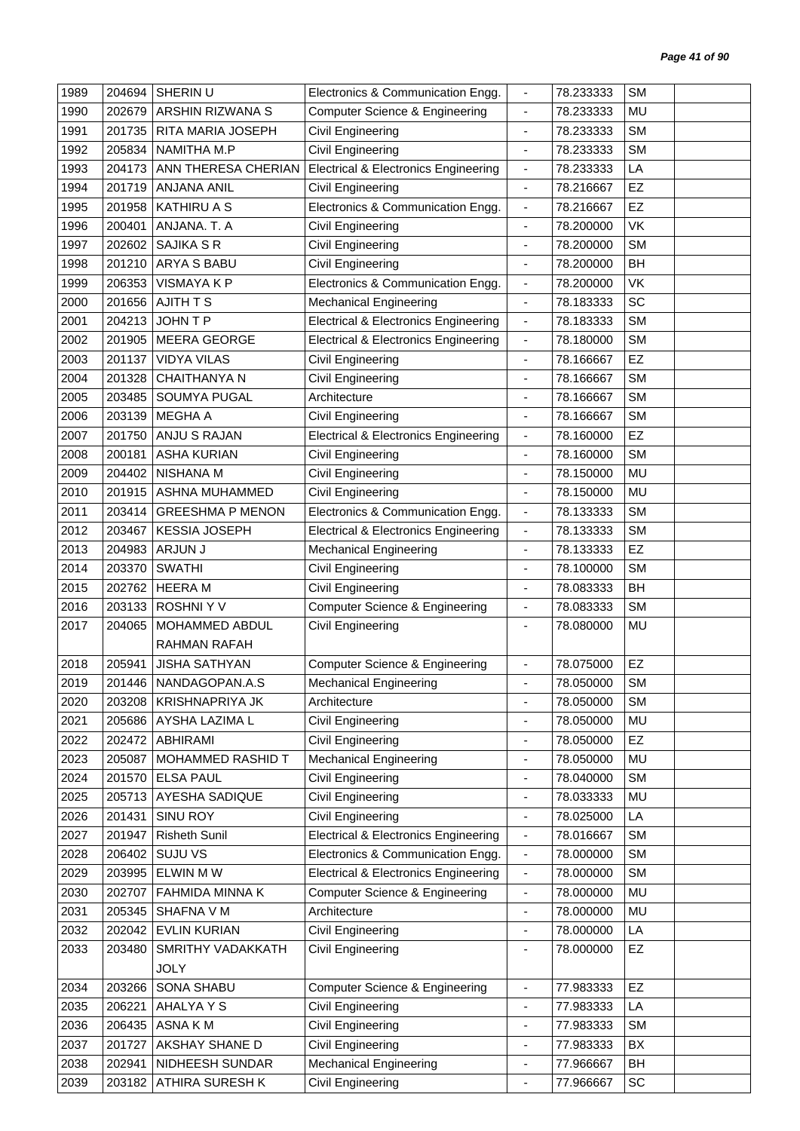| 1989 | 204694 | SHERIN U                | Electronics & Communication Engg.               | $\blacksquare$               | 78.233333 | <b>SM</b> |  |
|------|--------|-------------------------|-------------------------------------------------|------------------------------|-----------|-----------|--|
| 1990 | 202679 | ARSHIN RIZWANA S        | <b>Computer Science &amp; Engineering</b>       | $\blacksquare$               | 78.233333 | MU        |  |
| 1991 | 201735 | RITA MARIA JOSEPH       | Civil Engineering                               |                              | 78.233333 | <b>SM</b> |  |
| 1992 | 205834 | NAMITHA M.P             | Civil Engineering                               | $\overline{\phantom{a}}$     | 78.233333 | <b>SM</b> |  |
| 1993 | 204173 | ANN THERESA CHERIAN     | <b>Electrical &amp; Electronics Engineering</b> | $\blacksquare$               | 78.233333 | LA        |  |
| 1994 | 201719 | <b>ANJANA ANIL</b>      | Civil Engineering                               | $\overline{\phantom{a}}$     | 78.216667 | EZ        |  |
| 1995 | 201958 | <b>KATHIRU A S</b>      | Electronics & Communication Engg.               | $\blacksquare$               | 78.216667 | EZ        |  |
| 1996 | 200401 | ANJANA. T. A            | Civil Engineering                               | $\overline{\phantom{a}}$     | 78.200000 | VK        |  |
| 1997 | 202602 | <b>SAJIKA S R</b>       | Civil Engineering                               | ÷,                           | 78.200000 | <b>SM</b> |  |
| 1998 | 201210 | ARYA S BABU             | Civil Engineering                               | $\qquad \qquad \blacksquare$ | 78.200000 | BH        |  |
| 1999 | 206353 | <b>VISMAYAKP</b>        | Electronics & Communication Engg.               | $\overline{\phantom{a}}$     | 78.200000 | <b>VK</b> |  |
| 2000 | 201656 | <b>AJITH T S</b>        | <b>Mechanical Engineering</b>                   | $\overline{\phantom{a}}$     | 78.183333 | SC        |  |
| 2001 | 204213 | JOHN T P                | <b>Electrical &amp; Electronics Engineering</b> | $\overline{\phantom{a}}$     | 78.183333 | <b>SM</b> |  |
| 2002 | 201905 | <b>MEERA GEORGE</b>     | <b>Electrical &amp; Electronics Engineering</b> | $\blacksquare$               | 78.180000 | <b>SM</b> |  |
| 2003 | 201137 | <b>VIDYA VILAS</b>      | Civil Engineering                               | $\overline{\phantom{a}}$     | 78.166667 | EZ        |  |
| 2004 | 201328 | CHAITHANYA N            | Civil Engineering                               | $\overline{\phantom{a}}$     | 78.166667 | <b>SM</b> |  |
| 2005 | 203485 | <b>SOUMYA PUGAL</b>     | Architecture                                    | ÷,                           | 78.166667 | <b>SM</b> |  |
| 2006 | 203139 | MEGHA A                 | Civil Engineering                               | $\qquad \qquad \blacksquare$ | 78.166667 | <b>SM</b> |  |
| 2007 | 201750 | ANJU S RAJAN            | <b>Electrical &amp; Electronics Engineering</b> | $\overline{\phantom{a}}$     | 78.160000 | EZ        |  |
| 2008 | 200181 | <b>ASHA KURIAN</b>      | Civil Engineering                               | $\overline{\phantom{a}}$     | 78.160000 | <b>SM</b> |  |
| 2009 | 204402 | NISHANA M               | Civil Engineering                               | $\blacksquare$               | 78.150000 | MU        |  |
| 2010 | 201915 | ASHNA MUHAMMED          | Civil Engineering                               | $\blacksquare$               | 78.150000 | <b>MU</b> |  |
| 2011 | 203414 | <b>GREESHMA P MENON</b> | Electronics & Communication Engg.               | $\overline{\phantom{a}}$     | 78.133333 | <b>SM</b> |  |
| 2012 | 203467 | <b>KESSIA JOSEPH</b>    | <b>Electrical &amp; Electronics Engineering</b> | $\blacksquare$               | 78.133333 | <b>SM</b> |  |
| 2013 | 204983 | ARJUN J                 | <b>Mechanical Engineering</b>                   | ÷,                           | 78.133333 | EZ        |  |
| 2014 | 203370 | <b>SWATHI</b>           | Civil Engineering                               | $\overline{\phantom{a}}$     | 78.100000 | <b>SM</b> |  |
| 2015 | 202762 | <b>HEERAM</b>           | Civil Engineering                               | $\blacksquare$               | 78.083333 | BH        |  |
| 2016 | 203133 | <b>ROSHNIYV</b>         | <b>Computer Science &amp; Engineering</b>       | $\overline{\phantom{a}}$     | 78.083333 | <b>SM</b> |  |
| 2017 | 204065 | MOHAMMED ABDUL          | Civil Engineering                               | $\overline{\phantom{a}}$     | 78.080000 | MU        |  |
|      |        | <b>RAHMAN RAFAH</b>     |                                                 |                              |           |           |  |
| 2018 | 205941 | <b>JISHA SATHYAN</b>    | Computer Science & Engineering                  | ÷,                           | 78.075000 | EZ        |  |
| 2019 | 201446 | NANDAGOPAN.A.S          | Mechanical Engineering                          |                              | 78.050000 | SM        |  |
| 2020 | 203208 | <b>KRISHNAPRIYA JK</b>  | Architecture                                    |                              | 78.050000 | <b>SM</b> |  |
| 2021 | 205686 | AYSHA LAZIMA L          | Civil Engineering                               | $\qquad \qquad \blacksquare$ | 78.050000 | MU        |  |
| 2022 | 202472 | <b>ABHIRAMI</b>         | Civil Engineering                               | $\overline{\phantom{a}}$     | 78.050000 | EZ        |  |
| 2023 | 205087 | MOHAMMED RASHID T       | <b>Mechanical Engineering</b>                   | ÷,                           | 78.050000 | MU        |  |
| 2024 | 201570 | <b>ELSA PAUL</b>        | Civil Engineering                               | $\overline{\phantom{a}}$     | 78.040000 | <b>SM</b> |  |
| 2025 | 205713 | AYESHA SADIQUE          | <b>Civil Engineering</b>                        | $\overline{\phantom{a}}$     | 78.033333 | MU        |  |
| 2026 | 201431 | SINU ROY                | Civil Engineering                               | $\qquad \qquad \blacksquare$ | 78.025000 | LA        |  |
| 2027 | 201947 | <b>Risheth Sunil</b>    | <b>Electrical &amp; Electronics Engineering</b> | $\overline{\phantom{a}}$     | 78.016667 | <b>SM</b> |  |
| 2028 | 206402 | <b>SUJU VS</b>          | Electronics & Communication Engg.               | $\blacksquare$               | 78.000000 | <b>SM</b> |  |
| 2029 | 203995 | <b>ELWIN MW</b>         | <b>Electrical &amp; Electronics Engineering</b> | $\blacksquare$               | 78.000000 | <b>SM</b> |  |
| 2030 | 202707 | FAHMIDA MINNA K         | <b>Computer Science &amp; Engineering</b>       | $\overline{\phantom{a}}$     | 78.000000 | MU        |  |
| 2031 | 205345 | SHAFNA V M              | Architecture                                    | $\blacksquare$               | 78.000000 | MU        |  |
| 2032 | 202042 | <b>EVLIN KURIAN</b>     | Civil Engineering                               | $\overline{\phantom{a}}$     | 78.000000 | LA        |  |
| 2033 | 203480 | SMRITHY VADAKKATH       | Civil Engineering                               | $\overline{\phantom{a}}$     | 78.000000 | <b>EZ</b> |  |
|      |        | <b>JOLY</b>             |                                                 |                              |           |           |  |
| 2034 | 203266 | SONA SHABU              | <b>Computer Science &amp; Engineering</b>       | $\overline{\phantom{a}}$     | 77.983333 | EZ        |  |
| 2035 | 206221 | AHALYA Y S              | Civil Engineering                               | $\blacksquare$               | 77.983333 | LA        |  |
| 2036 | 206435 | ASNA KM                 | Civil Engineering                               | $\overline{\phantom{a}}$     | 77.983333 | <b>SM</b> |  |
| 2037 | 201727 | AKSHAY SHANE D          | Civil Engineering                               | $\overline{\phantom{a}}$     | 77.983333 | BX        |  |
| 2038 | 202941 | NIDHEESH SUNDAR         | <b>Mechanical Engineering</b>                   | $\overline{\phantom{a}}$     | 77.966667 | BH        |  |
| 2039 | 203182 | ATHIRA SURESH K         | Civil Engineering                               | $\qquad \qquad \blacksquare$ | 77.966667 | SC        |  |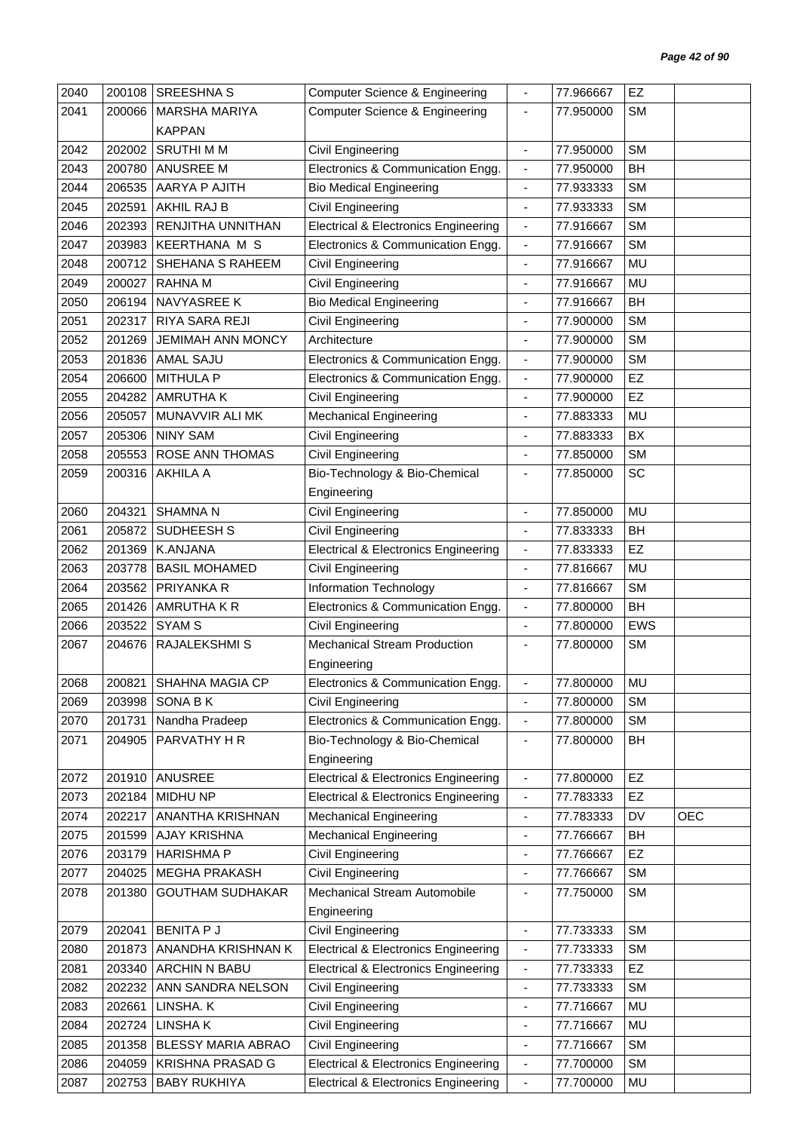| 2040 | 200108 | <b>SREESHNA S</b>        | <b>Computer Science &amp; Engineering</b>       | $\overline{\phantom{a}}$     | 77.966667 | EZ         |            |
|------|--------|--------------------------|-------------------------------------------------|------------------------------|-----------|------------|------------|
| 2041 | 200066 | <b>MARSHA MARIYA</b>     | <b>Computer Science &amp; Engineering</b>       | $\frac{1}{2}$                | 77.950000 | <b>SM</b>  |            |
|      |        | <b>KAPPAN</b>            |                                                 |                              |           |            |            |
| 2042 | 202002 | <b>SRUTHIMM</b>          | Civil Engineering                               | $\overline{\phantom{a}}$     | 77.950000 | <b>SM</b>  |            |
| 2043 | 200780 | ANUSREE M                | Electronics & Communication Engg.               | $\blacksquare$               | 77.950000 | BH         |            |
| 2044 | 206535 | AARYA P AJITH            | <b>Bio Medical Engineering</b>                  | $\overline{\phantom{a}}$     | 77.933333 | <b>SM</b>  |            |
| 2045 | 202591 | AKHIL RAJ B              | Civil Engineering                               | $\overline{\phantom{a}}$     | 77.933333 | <b>SM</b>  |            |
| 2046 | 202393 | RENJITHA UNNITHAN        | <b>Electrical &amp; Electronics Engineering</b> | $\overline{\phantom{a}}$     | 77.916667 | <b>SM</b>  |            |
| 2047 | 203983 | <b>KEERTHANA M S</b>     | Electronics & Communication Engg.               | $\blacksquare$               | 77.916667 | <b>SM</b>  |            |
| 2048 | 200712 | SHEHANA S RAHEEM         | Civil Engineering                               | $\overline{\phantom{a}}$     | 77.916667 | <b>MU</b>  |            |
| 2049 | 200027 | RAHNA M                  | Civil Engineering                               | $\overline{\phantom{a}}$     | 77.916667 | MU         |            |
| 2050 | 206194 | NAVYASREE K              | <b>Bio Medical Engineering</b>                  | ÷,                           | 77.916667 | <b>BH</b>  |            |
| 2051 | 202317 | RIYA SARA REJI           | Civil Engineering                               | ä,                           | 77.900000 | <b>SM</b>  |            |
| 2052 | 201269 | <b>JEMIMAH ANN MONCY</b> | Architecture                                    |                              | 77.900000 | <b>SM</b>  |            |
| 2053 | 201836 | <b>AMAL SAJU</b>         | Electronics & Communication Engg.               | $\overline{\phantom{a}}$     | 77.900000 | <b>SM</b>  |            |
| 2054 | 206600 | <b>MITHULA P</b>         | Electronics & Communication Engg.               | $\blacksquare$               | 77.900000 | EZ         |            |
| 2055 | 204282 | <b>AMRUTHAK</b>          | Civil Engineering                               |                              | 77.900000 | EZ         |            |
| 2056 | 205057 | MUNAVVIR ALI MK          | <b>Mechanical Engineering</b>                   | $\blacksquare$               | 77.883333 | MU         |            |
| 2057 | 205306 | <b>NINY SAM</b>          | Civil Engineering                               | $\blacksquare$               | 77.883333 | BX         |            |
| 2058 | 205553 | ROSE ANN THOMAS          | Civil Engineering                               | $\overline{\phantom{a}}$     | 77.850000 | <b>SM</b>  |            |
| 2059 | 200316 | <b>AKHILA A</b>          | Bio-Technology & Bio-Chemical                   | $\blacksquare$               | 77.850000 | SC         |            |
|      |        |                          | Engineering                                     |                              |           |            |            |
| 2060 | 204321 | <b>SHAMNA N</b>          | Civil Engineering                               | ÷,                           | 77.850000 | MU         |            |
| 2061 | 205872 | SUDHEESH S               | Civil Engineering                               | $\overline{\phantom{a}}$     | 77.833333 | <b>BH</b>  |            |
| 2062 | 201369 | <b>K.ANJANA</b>          | <b>Electrical &amp; Electronics Engineering</b> | $\blacksquare$               | 77.833333 | EZ         |            |
| 2063 | 203778 | <b>BASIL MOHAMED</b>     | Civil Engineering                               | $\overline{\phantom{a}}$     | 77.816667 | MU         |            |
| 2064 | 203562 | PRIYANKA R               | <b>Information Technology</b>                   | $\overline{\phantom{a}}$     | 77.816667 | <b>SM</b>  |            |
| 2065 | 201426 | AMRUTHA K R              | Electronics & Communication Engg.               | $\blacksquare$               | 77.800000 | <b>BH</b>  |            |
| 2066 | 203522 | <b>SYAM S</b>            | Civil Engineering                               | $\overline{\phantom{a}}$     | 77.800000 | <b>EWS</b> |            |
| 2067 | 204676 | RAJALEKSHMI S            | <b>Mechanical Stream Production</b>             | $\overline{\phantom{a}}$     | 77.800000 | <b>SM</b>  |            |
|      |        |                          | Engineering                                     |                              |           |            |            |
| 2068 |        | 200821 SHAHNA MAGIA CP   | Electronics & Communication Engg.               |                              | 77.800000 | MU         |            |
| 2069 | 203998 | SONA B K                 | Civil Engineering                               | $\overline{\phantom{a}}$     | 77.800000 | <b>SM</b>  |            |
| 2070 | 201731 | Nandha Pradeep           | Electronics & Communication Engg.               | $\overline{\phantom{a}}$     | 77.800000 | <b>SM</b>  |            |
| 2071 | 204905 | PARVATHY H R             | Bio-Technology & Bio-Chemical                   | $\overline{\phantom{a}}$     | 77.800000 | BH         |            |
|      |        |                          | Engineering                                     |                              |           |            |            |
| 2072 | 201910 | ANUSREE                  | <b>Electrical &amp; Electronics Engineering</b> | $\overline{\phantom{a}}$     | 77.800000 | EZ         |            |
| 2073 | 202184 | MIDHU NP                 | <b>Electrical &amp; Electronics Engineering</b> | $\blacksquare$               | 77.783333 | EZ         |            |
| 2074 | 202217 | ANANTHA KRISHNAN         | <b>Mechanical Engineering</b>                   | $\overline{\phantom{a}}$     | 77.783333 | DV         | <b>OEC</b> |
| 2075 | 201599 | <b>AJAY KRISHNA</b>      | <b>Mechanical Engineering</b>                   | $\overline{\phantom{a}}$     | 77.766667 | BH         |            |
| 2076 | 203179 | <b>HARISHMA P</b>        | Civil Engineering                               | $\overline{\phantom{a}}$     | 77.766667 | EZ         |            |
| 2077 | 204025 | <b>MEGHA PRAKASH</b>     | Civil Engineering                               | $\qquad \qquad \blacksquare$ | 77.766667 | <b>SM</b>  |            |
| 2078 | 201380 | <b>GOUTHAM SUDHAKAR</b>  | Mechanical Stream Automobile                    | ٠                            | 77.750000 | <b>SM</b>  |            |
|      |        |                          | Engineering                                     |                              |           |            |            |
| 2079 | 202041 | <b>BENITA P J</b>        | Civil Engineering                               | $\blacksquare$               | 77.733333 | <b>SM</b>  |            |
| 2080 | 201873 | ANANDHA KRISHNAN K       | <b>Electrical &amp; Electronics Engineering</b> | $\overline{\phantom{a}}$     | 77.733333 | <b>SM</b>  |            |
| 2081 | 203340 | ARCHIN N BABU            | <b>Electrical &amp; Electronics Engineering</b> | $\blacksquare$               | 77.733333 | EZ         |            |
| 2082 | 202232 | ANN SANDRA NELSON        | Civil Engineering                               | $\overline{\phantom{a}}$     | 77.733333 | <b>SM</b>  |            |
| 2083 | 202661 | LINSHA. K                | Civil Engineering                               | $\blacksquare$               | 77.716667 | MU         |            |
| 2084 | 202724 | LINSHAK                  | Civil Engineering                               | ä,                           | 77.716667 | MU         |            |
| 2085 | 201358 | BLESSY MARIA ABRAO       | Civil Engineering                               | $\overline{\phantom{a}}$     | 77.716667 | <b>SM</b>  |            |
| 2086 | 204059 | KRISHNA PRASAD G         | <b>Electrical &amp; Electronics Engineering</b> | $\overline{\phantom{a}}$     | 77.700000 | <b>SM</b>  |            |
| 2087 | 202753 | <b>BABY RUKHIYA</b>      | <b>Electrical &amp; Electronics Engineering</b> | $\blacksquare$               | 77.700000 | MU         |            |
|      |        |                          |                                                 |                              |           |            |            |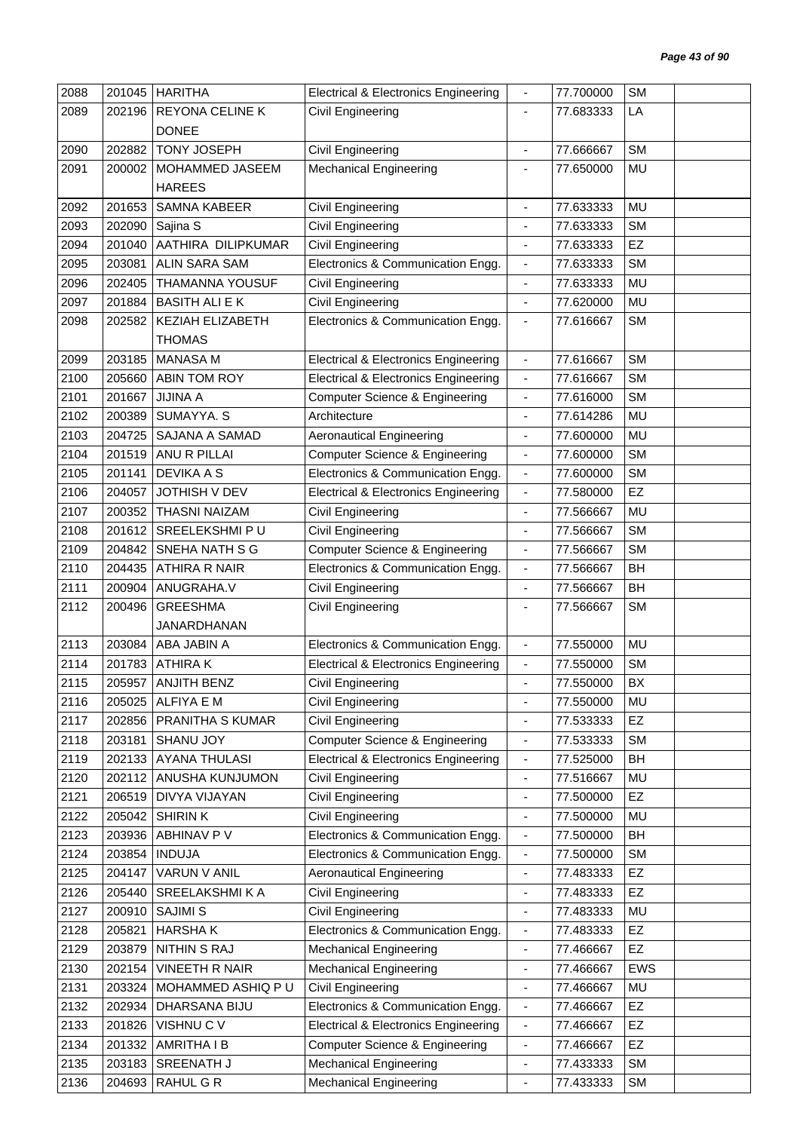| 2088 | 201045 | <b>HARITHA</b>         | <b>Electrical &amp; Electronics Engineering</b> | $\overline{\phantom{a}}$ | 77.700000 | <b>SM</b> |
|------|--------|------------------------|-------------------------------------------------|--------------------------|-----------|-----------|
| 2089 | 202196 | REYONA CELINE K        | Civil Engineering                               | $\overline{\phantom{a}}$ | 77.683333 | LA        |
|      |        | <b>DONEE</b>           |                                                 |                          |           |           |
| 2090 | 202882 | <b>TONY JOSEPH</b>     | Civil Engineering                               | $\overline{\phantom{a}}$ | 77.666667 | <b>SM</b> |
| 2091 | 200002 | MOHAMMED JASEEM        | <b>Mechanical Engineering</b>                   | $\overline{\phantom{a}}$ | 77.650000 | MU        |
|      |        | <b>HAREES</b>          |                                                 |                          |           |           |
| 2092 | 201653 | <b>SAMNA KABEER</b>    | Civil Engineering                               | $\blacksquare$           | 77.633333 | <b>MU</b> |
| 2093 | 202090 | Sajina S               | <b>Civil Engineering</b>                        | $\blacksquare$           | 77.633333 | <b>SM</b> |
| 2094 | 201040 | AATHIRA DILIPKUMAR     | Civil Engineering                               | $\blacksquare$           | 77.633333 | EZ        |
| 2095 | 203081 | <b>ALIN SARA SAM</b>   | Electronics & Communication Engg.               | $\overline{\phantom{a}}$ | 77.633333 | <b>SM</b> |
| 2096 | 202405 | <b>THAMANNA YOUSUF</b> | Civil Engineering                               | $\blacksquare$           | 77.633333 | MU        |
| 2097 | 201884 | <b>BASITH ALI E K</b>  | Civil Engineering                               |                          | 77.620000 | MU        |
| 2098 | 202582 | KEZIAH ELIZABETH       | Electronics & Communication Engg.               | $\overline{\phantom{a}}$ | 77.616667 | <b>SM</b> |
|      |        | <b>THOMAS</b>          |                                                 |                          |           |           |
| 2099 | 203185 | <b>MANASA M</b>        | <b>Electrical &amp; Electronics Engineering</b> | $\overline{\phantom{a}}$ | 77.616667 | <b>SM</b> |
| 2100 | 205660 | ABIN TOM ROY           | <b>Electrical &amp; Electronics Engineering</b> | $\blacksquare$           | 77.616667 | <b>SM</b> |
| 2101 | 201667 | <b>JIJINA A</b>        | Computer Science & Engineering                  | $\blacksquare$           | 77.616000 | <b>SM</b> |
| 2102 | 200389 | SUMAYYA. S             | Architecture                                    | $\blacksquare$           | 77.614286 | MU        |
| 2103 | 204725 | SAJANA A SAMAD         | <b>Aeronautical Engineering</b>                 | $\blacksquare$           | 77.600000 | <b>MU</b> |
| 2104 | 201519 | ANU R PILLAI           | <b>Computer Science &amp; Engineering</b>       | $\blacksquare$           | 77.600000 | <b>SM</b> |
| 2105 | 201141 | <b>DEVIKA A S</b>      | Electronics & Communication Engg.               | $\blacksquare$           | 77.600000 | <b>SM</b> |
| 2106 | 204057 | JOTHISH V DEV          | <b>Electrical &amp; Electronics Engineering</b> | $\blacksquare$           | 77.580000 | EZ        |
| 2107 | 200352 | <b>THASNI NAIZAM</b>   | Civil Engineering                               | $\blacksquare$           | 77.566667 | MU        |
| 2108 | 201612 | SREELEKSHMI PU         | <b>Civil Engineering</b>                        | $\overline{\phantom{a}}$ | 77.566667 | <b>SM</b> |
| 2109 | 204842 | SNEHA NATH S G         | <b>Computer Science &amp; Engineering</b>       | ÷,                       | 77.566667 | <b>SM</b> |
| 2110 | 204435 | <b>ATHIRA R NAIR</b>   | Electronics & Communication Engg.               | $\overline{\phantom{a}}$ | 77.566667 | <b>BH</b> |
| 2111 | 200904 | ANUGRAHA.V             | Civil Engineering                               | $\overline{\phantom{a}}$ | 77.566667 | BH        |
| 2112 | 200496 | <b>GREESHMA</b>        | <b>Civil Engineering</b>                        |                          | 77.566667 | <b>SM</b> |
|      |        | JANARDHANAN            |                                                 |                          |           |           |
| 2113 | 203084 | ABA JABIN A            | Electronics & Communication Engg.               | $\blacksquare$           | 77.550000 | <b>MU</b> |
| 2114 | 201783 | <b>ATHIRAK</b>         | <b>Electrical &amp; Electronics Engineering</b> | $\overline{\phantom{a}}$ | 77.550000 | <b>SM</b> |
| 2115 | 205957 | <b>ANJITH BENZ</b>     | Civil Engineering                               |                          | 77.550000 | BX        |
| 2116 | 205025 | <b>ALFIYA E M</b>      | Civil Engineering                               | $\blacksquare$           | 77.550000 | MU        |
| 2117 | 202856 | PRANITHA S KUMAR       | Civil Engineering                               | ÷                        | 77.533333 | EZ        |
| 2118 | 203181 | SHANU JOY              | Computer Science & Engineering                  | $\overline{\phantom{a}}$ | 77.533333 | <b>SM</b> |
| 2119 | 202133 | <b>AYANA THULASI</b>   | <b>Electrical &amp; Electronics Engineering</b> | $\overline{\phantom{a}}$ | 77.525000 | BH        |
| 2120 | 202112 | ANUSHA KUNJUMON        | Civil Engineering                               | $\overline{\phantom{a}}$ | 77.516667 | MU        |
| 2121 | 206519 | DIVYA VIJAYAN          | Civil Engineering                               | $\overline{\phantom{a}}$ | 77.500000 | EZ        |
| 2122 | 205042 | <b>SHIRINK</b>         | Civil Engineering                               | ä,                       | 77.500000 | MU        |
| 2123 | 203936 | ABHINAV P V            | Electronics & Communication Engg.               | $\overline{\phantom{a}}$ | 77.500000 | BH        |
| 2124 | 203854 | <b>INDUJA</b>          | Electronics & Communication Engg.               | $\overline{\phantom{a}}$ | 77.500000 | <b>SM</b> |
| 2125 | 204147 | VARUN V ANIL           | <b>Aeronautical Engineering</b>                 | $\blacksquare$           | 77.483333 | EZ        |
| 2126 | 205440 | SREELAKSHMI K A        | Civil Engineering                               | $\blacksquare$           | 77.483333 | EZ        |
| 2127 | 200910 | <b>SAJIMI S</b>        | Civil Engineering                               | $\overline{\phantom{a}}$ | 77.483333 | MU        |
| 2128 | 205821 | <b>HARSHAK</b>         | Electronics & Communication Engg.               | $\blacksquare$           | 77.483333 | EZ        |
| 2129 | 203879 | <b>NITHIN S RAJ</b>    | <b>Mechanical Engineering</b>                   | $\overline{\phantom{a}}$ | 77.466667 | EZ        |
| 2130 | 202154 | <b>VINEETH R NAIR</b>  | <b>Mechanical Engineering</b>                   | $\blacksquare$           | 77.466667 | EWS       |
| 2131 | 203324 | MOHAMMED ASHIQ PU      | <b>Civil Engineering</b>                        | $\overline{\phantom{a}}$ | 77.466667 | MU        |
| 2132 | 202934 | DHARSANA BIJU          | Electronics & Communication Engg.               | $\overline{\phantom{a}}$ | 77.466667 | EZ        |
| 2133 | 201826 | VISHNU C V             | <b>Electrical &amp; Electronics Engineering</b> | $\blacksquare$           | 77.466667 | <b>EZ</b> |
| 2134 | 201332 | AMRITHA I B            | Computer Science & Engineering                  | $\overline{\phantom{a}}$ | 77.466667 | EZ        |
| 2135 | 203183 | SREENATH J             | <b>Mechanical Engineering</b>                   | $\overline{\phantom{a}}$ | 77.433333 | SM        |
| 2136 | 204693 | RAHUL G R              | <b>Mechanical Engineering</b>                   | ÷                        | 77.433333 | SM        |
|      |        |                        |                                                 |                          |           |           |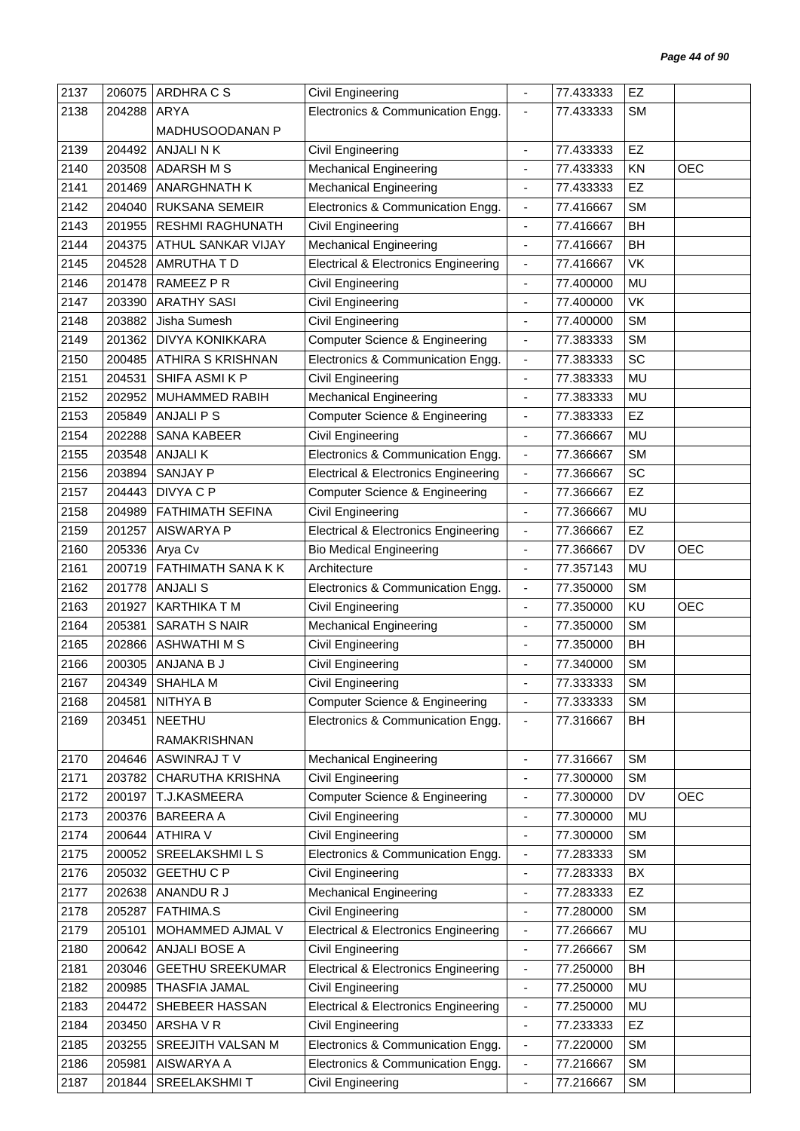| 2137         | 206075 | ARDHRA C S               | Civil Engineering                                   |                              | 77.433333 | EZ        |            |
|--------------|--------|--------------------------|-----------------------------------------------------|------------------------------|-----------|-----------|------------|
| 2138         | 204288 | <b>ARYA</b>              | Electronics & Communication Engg.                   | $\overline{\phantom{a}}$     | 77.433333 | <b>SM</b> |            |
|              |        | MADHUSOODANAN P          |                                                     |                              |           |           |            |
| 2139         | 204492 | ANJALI N K               | Civil Engineering                                   | $\overline{\phantom{a}}$     | 77.433333 | EZ        |            |
| 2140         | 203508 | <b>ADARSH M S</b>        | <b>Mechanical Engineering</b>                       | $\blacksquare$               | 77.433333 | <b>KN</b> | <b>OEC</b> |
| 2141         | 201469 | <b>ANARGHNATH K</b>      | <b>Mechanical Engineering</b>                       | $\blacksquare$               | 77.433333 | EZ        |            |
| 2142         | 204040 | RUKSANA SEMEIR           | Electronics & Communication Engg.                   | $\overline{\phantom{a}}$     | 77.416667 | <b>SM</b> |            |
| 2143         | 201955 | <b>RESHMI RAGHUNATH</b>  | Civil Engineering                                   | $\overline{\phantom{a}}$     | 77.416667 | BH        |            |
| 2144         | 204375 | ATHUL SANKAR VIJAY       | <b>Mechanical Engineering</b>                       | $\overline{\phantom{a}}$     | 77.416667 | BH        |            |
| 2145         | 204528 | AMRUTHA T D              | <b>Electrical &amp; Electronics Engineering</b>     | $\overline{\phantom{a}}$     | 77.416667 | VK        |            |
| 2146         | 201478 | RAMEEZ P R               | <b>Civil Engineering</b>                            | $\overline{\phantom{a}}$     | 77.400000 | <b>MU</b> |            |
| 2147         | 203390 | <b>ARATHY SASI</b>       | <b>Civil Engineering</b>                            | $\blacksquare$               | 77.400000 | <b>VK</b> |            |
| 2148         | 203882 | Jisha Sumesh             | <b>Civil Engineering</b>                            | $\overline{\phantom{a}}$     | 77.400000 | <b>SM</b> |            |
| 2149         | 201362 | <b>DIVYA KONIKKARA</b>   | <b>Computer Science &amp; Engineering</b>           | $\blacksquare$               | 77.383333 | <b>SM</b> |            |
| 2150         | 200485 | <b>ATHIRA S KRISHNAN</b> | Electronics & Communication Engg.                   | $\overline{\phantom{a}}$     | 77.383333 | SC        |            |
| 2151         | 204531 | SHIFA ASMIKP             | Civil Engineering                                   | $\blacksquare$               | 77.383333 | MU        |            |
| 2152         | 202952 | MUHAMMED RABIH           | <b>Mechanical Engineering</b>                       | $\blacksquare$               | 77.383333 | MU        |            |
| 2153         | 205849 | ANJALI P S               | <b>Computer Science &amp; Engineering</b>           | $\overline{\phantom{a}}$     | 77.383333 | EZ        |            |
| 2154         | 202288 | <b>SANA KABEER</b>       | <b>Civil Engineering</b>                            | $\overline{\phantom{a}}$     | 77.366667 | MU        |            |
| 2155         | 203548 | <b>ANJALIK</b>           | Electronics & Communication Engg.                   | $\blacksquare$               | 77.366667 | <b>SM</b> |            |
| 2156         | 203894 | SANJAY P                 | <b>Electrical &amp; Electronics Engineering</b>     | $\overline{\phantom{a}}$     | 77.366667 | SC        |            |
| 2157         | 204443 | <b>DIVYACP</b>           | <b>Computer Science &amp; Engineering</b>           | $\overline{\phantom{a}}$     | 77.366667 | EZ        |            |
| 2158         | 204989 | <b>FATHIMATH SEFINA</b>  | <b>Civil Engineering</b>                            | ÷,                           | 77.366667 | MU        |            |
| 2159         | 201257 | AISWARYA P               | <b>Electrical &amp; Electronics Engineering</b>     | $\overline{\phantom{a}}$     | 77.366667 | EZ        |            |
| 2160         | 205336 | Arya Cv                  | <b>Bio Medical Engineering</b>                      | $\overline{\phantom{a}}$     | 77.366667 | DV        | <b>OEC</b> |
| 2161         | 200719 | <b>FATHIMATH SANA KK</b> | Architecture                                        | $\overline{\phantom{a}}$     | 77.357143 | <b>MU</b> |            |
| 2162         | 201778 | <b>ANJALIS</b>           | Electronics & Communication Engg.                   | $\overline{\phantom{a}}$     | 77.350000 | <b>SM</b> |            |
| 2163         | 201927 | <b>KARTHIKA T M</b>      | <b>Civil Engineering</b>                            | $\blacksquare$               | 77.350000 | KU        | <b>OEC</b> |
| 2164         | 205381 | <b>SARATH S NAIR</b>     | <b>Mechanical Engineering</b>                       | $\qquad \qquad \blacksquare$ | 77.350000 | <b>SM</b> |            |
| 2165         | 202866 | <b>ASHWATHIMS</b>        | Civil Engineering                                   | $\blacksquare$               | 77.350000 | BH        |            |
| 2166         | 200305 | ANJANA B J               | <b>Civil Engineering</b>                            |                              | 77.340000 | <b>SM</b> |            |
|              |        | <b>SHAHLA M</b>          |                                                     |                              |           | <b>SM</b> |            |
| 2167<br>2168 | 204349 | NITHYA B                 | Civil Engineering<br>Computer Science & Engineering |                              | 77.333333 |           |            |
| 2169         | 204581 |                          | Electronics & Communication Engg.                   | $\blacksquare$               | 77.333333 | <b>SM</b> |            |
|              | 203451 | <b>NEETHU</b>            |                                                     | $\overline{\phantom{a}}$     | 77.316667 | BH        |            |
|              |        | RAMAKRISHNAN             |                                                     |                              |           |           |            |
| 2170         | 204646 | ASWINRAJ TV              | <b>Mechanical Engineering</b>                       | $\blacksquare$               | 77.316667 | <b>SM</b> |            |
| 2171         | 203782 | <b>CHARUTHA KRISHNA</b>  | Civil Engineering                                   | $\qquad \qquad \blacksquare$ | 77.300000 | <b>SM</b> |            |
| 2172         | 200197 | T.J.KASMEERA             | Computer Science & Engineering                      | $\overline{\phantom{a}}$     | 77.300000 | DV        | <b>OEC</b> |
| 2173         | 200376 | <b>BAREERA A</b>         | Civil Engineering                                   | ä,                           | 77.300000 | MU        |            |
| 2174         | 200644 | <b>ATHIRA V</b>          | Civil Engineering                                   | $\overline{\phantom{a}}$     | 77.300000 | <b>SM</b> |            |
| 2175         | 200052 | SREELAKSHMILS            | Electronics & Communication Engg.                   | $\overline{\phantom{a}}$     | 77.283333 | <b>SM</b> |            |
| 2176         | 205032 | <b>GEETHU C P</b>        | <b>Civil Engineering</b>                            | ÷,                           | 77.283333 | BX        |            |
| 2177         | 202638 | ANANDUR J                | <b>Mechanical Engineering</b>                       | $\overline{\phantom{a}}$     | 77.283333 | <b>EZ</b> |            |
| 2178         | 205287 | <b>FATHIMA.S</b>         | Civil Engineering                                   | $\blacksquare$               | 77.280000 | <b>SM</b> |            |
| 2179         | 205101 | MOHAMMED AJMAL V         | <b>Electrical &amp; Electronics Engineering</b>     | $\overline{\phantom{a}}$     | 77.266667 | MU        |            |
| 2180         | 200642 | ANJALI BOSE A            | Civil Engineering                                   | $\overline{\phantom{a}}$     | 77.266667 | <b>SM</b> |            |
| 2181         | 203046 | <b>GEETHU SREEKUMAR</b>  | <b>Electrical &amp; Electronics Engineering</b>     | $\overline{\phantom{a}}$     | 77.250000 | BH        |            |
| 2182         | 200985 | THASFIA JAMAL            | Civil Engineering                                   | $\overline{\phantom{a}}$     | 77.250000 | MU        |            |
| 2183         | 204472 | SHEBEER HASSAN           | <b>Electrical &amp; Electronics Engineering</b>     | $\overline{\phantom{a}}$     | 77.250000 | MU        |            |
| 2184         | 203450 | ARSHA V R                | Civil Engineering                                   | $\frac{1}{2}$                | 77.233333 | EZ        |            |
| 2185         | 203255 | SREEJITH VALSAN M        | Electronics & Communication Engg.                   | $\overline{\phantom{a}}$     | 77.220000 | <b>SM</b> |            |
| 2186         | 205981 | AISWARYA A               | Electronics & Communication Engg.                   | $\overline{\phantom{a}}$     | 77.216667 | <b>SM</b> |            |
| 2187         | 201844 | SREELAKSHMIT             | Civil Engineering                                   | $\overline{\phantom{a}}$     | 77.216667 | <b>SM</b> |            |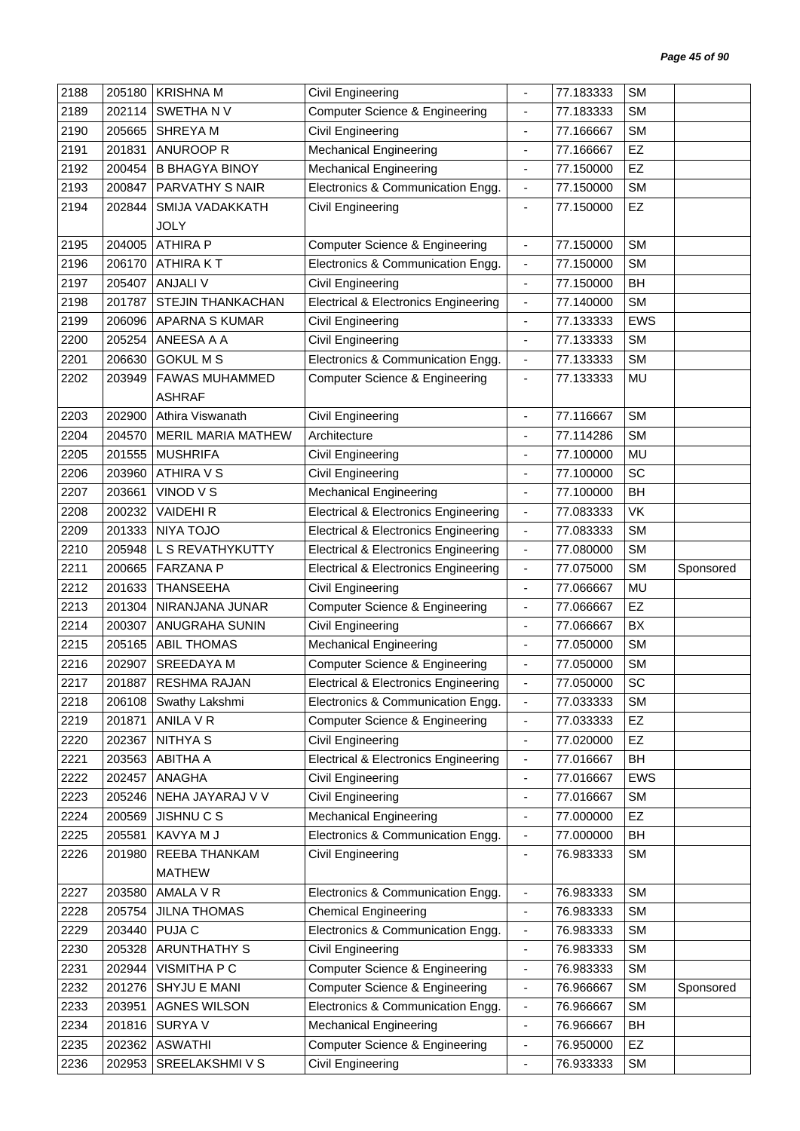| 2188 | 205180 | <b>KRISHNA M</b>          | Civil Engineering                               | $\blacksquare$               | 77.183333 | <b>SM</b>  |           |
|------|--------|---------------------------|-------------------------------------------------|------------------------------|-----------|------------|-----------|
| 2189 | 202114 | SWETHA N V                | <b>Computer Science &amp; Engineering</b>       | $\blacksquare$               | 77.183333 | <b>SM</b>  |           |
| 2190 | 205665 | <b>SHREYAM</b>            | <b>Civil Engineering</b>                        | ä,                           | 77.166667 | <b>SM</b>  |           |
| 2191 | 201831 | <b>ANUROOP R</b>          | <b>Mechanical Engineering</b>                   | $\qquad \qquad \blacksquare$ | 77.166667 | EZ         |           |
| 2192 | 200454 | <b>B BHAGYA BINOY</b>     | <b>Mechanical Engineering</b>                   | $\overline{\phantom{a}}$     | 77.150000 | EZ         |           |
| 2193 | 200847 | PARVATHY S NAIR           | Electronics & Communication Engg.               | $\overline{\phantom{a}}$     | 77.150000 | <b>SM</b>  |           |
| 2194 | 202844 | <b>SMIJA VADAKKATH</b>    | Civil Engineering                               | $\overline{\phantom{a}}$     | 77.150000 | <b>EZ</b>  |           |
|      |        | <b>JOLY</b>               |                                                 |                              |           |            |           |
| 2195 | 204005 | <b>ATHIRA P</b>           | <b>Computer Science &amp; Engineering</b>       | $\overline{\phantom{a}}$     | 77.150000 | <b>SM</b>  |           |
| 2196 | 206170 | <b>ATHIRAKT</b>           | Electronics & Communication Engg.               | $\overline{\phantom{a}}$     | 77.150000 | <b>SM</b>  |           |
| 2197 | 205407 | <b>ANJALI V</b>           | Civil Engineering                               | $\blacksquare$               | 77.150000 | BH         |           |
| 2198 | 201787 | STEJIN THANKACHAN         | <b>Electrical &amp; Electronics Engineering</b> | $\overline{\phantom{a}}$     | 77.140000 | <b>SM</b>  |           |
| 2199 | 206096 | APARNA S KUMAR            | Civil Engineering                               | $\blacksquare$               | 77.133333 | EWS        |           |
| 2200 | 205254 | ANEESA A A                | Civil Engineering                               | $\blacksquare$               | 77.133333 | <b>SM</b>  |           |
| 2201 | 206630 | <b>GOKUL M S</b>          | Electronics & Communication Engg.               | $\overline{\phantom{a}}$     | 77.133333 | <b>SM</b>  |           |
| 2202 | 203949 | <b>FAWAS MUHAMMED</b>     | <b>Computer Science &amp; Engineering</b>       | $\overline{\phantom{a}}$     | 77.133333 | MU         |           |
|      |        | <b>ASHRAF</b>             |                                                 |                              |           |            |           |
| 2203 | 202900 | Athira Viswanath          | Civil Engineering                               | $\blacksquare$               | 77.116667 | <b>SM</b>  |           |
| 2204 | 204570 | <b>MERIL MARIA MATHEW</b> | Architecture                                    | $\overline{\phantom{a}}$     | 77.114286 | <b>SM</b>  |           |
| 2205 | 201555 | <b>MUSHRIFA</b>           | Civil Engineering                               | $\blacksquare$               | 77.100000 | MU         |           |
| 2206 | 203960 | <b>ATHIRA V S</b>         | <b>Civil Engineering</b>                        | $\overline{\phantom{a}}$     | 77.100000 | SC         |           |
| 2207 | 203661 | VINOD V S                 | <b>Mechanical Engineering</b>                   | $\overline{\phantom{a}}$     | 77.100000 | <b>BH</b>  |           |
| 2208 | 200232 | <b>VAIDEHIR</b>           | <b>Electrical &amp; Electronics Engineering</b> | $\overline{\phantom{a}}$     | 77.083333 | VK         |           |
| 2209 | 201333 | <b>NIYA TOJO</b>          | <b>Electrical &amp; Electronics Engineering</b> | $\overline{\phantom{a}}$     | 77.083333 | <b>SM</b>  |           |
| 2210 | 205948 | L S REVATHYKUTTY          | <b>Electrical &amp; Electronics Engineering</b> | $\blacksquare$               | 77.080000 | <b>SM</b>  |           |
| 2211 | 200665 | <b>FARZANA P</b>          | <b>Electrical &amp; Electronics Engineering</b> | $\overline{\phantom{a}}$     | 77.075000 | <b>SM</b>  | Sponsored |
| 2212 | 201633 | <b>THANSEEHA</b>          | <b>Civil Engineering</b>                        | $\overline{\phantom{a}}$     | 77.066667 | MU         |           |
| 2213 | 201304 | NIRANJANA JUNAR           | <b>Computer Science &amp; Engineering</b>       | $\overline{\phantom{a}}$     | 77.066667 | EZ         |           |
| 2214 | 200307 | ANUGRAHA SUNIN            | <b>Civil Engineering</b>                        | $\qquad \qquad \blacksquare$ | 77.066667 | BX         |           |
| 2215 | 205165 | <b>ABIL THOMAS</b>        | <b>Mechanical Engineering</b>                   | $\overline{\phantom{a}}$     | 77.050000 | <b>SM</b>  |           |
| 2216 | 202907 | <b>SREEDAYA M</b>         | <b>Computer Science &amp; Engineering</b>       | $\blacksquare$               | 77.050000 | <b>SM</b>  |           |
| 2217 | 201887 | RESHMA RAJAN              | <b>Electrical &amp; Electronics Engineering</b> | -                            | 77.050000 | SC         |           |
| 2218 |        | 206108 Swathy Lakshmi     | Electronics & Communication Engg.               | $\blacksquare$               | 77.033333 | <b>SM</b>  |           |
| 2219 | 201871 | ANILA V R                 | <b>Computer Science &amp; Engineering</b>       | $\overline{\phantom{a}}$     | 77.033333 | EZ         |           |
| 2220 | 202367 | NITHYA S                  | <b>Civil Engineering</b>                        | $\overline{\phantom{a}}$     | 77.020000 | EZ         |           |
| 2221 | 203563 | ABITHA A                  | <b>Electrical &amp; Electronics Engineering</b> | $\overline{\phantom{a}}$     | 77.016667 | BH         |           |
| 2222 | 202457 | ANAGHA                    | Civil Engineering                               | $\overline{\phantom{a}}$     | 77.016667 | <b>EWS</b> |           |
| 2223 | 205246 | NEHA JAYARAJ V V          | <b>Civil Engineering</b>                        | $\overline{\phantom{a}}$     | 77.016667 | <b>SM</b>  |           |
| 2224 | 200569 | <b>JISHNUCS</b>           | <b>Mechanical Engineering</b>                   | ٠                            | 77.000000 | <b>EZ</b>  |           |
| 2225 | 205581 | KAVYA M J                 | Electronics & Communication Engg.               | $\overline{\phantom{a}}$     | 77.000000 | BH         |           |
| 2226 | 201980 | REEBA THANKAM             | Civil Engineering                               | $\overline{\phantom{a}}$     | 76.983333 | <b>SM</b>  |           |
|      |        | <b>MATHEW</b>             |                                                 |                              |           |            |           |
| 2227 | 203580 | AMALA V R                 | Electronics & Communication Engg.               | $\overline{\phantom{a}}$     | 76.983333 | <b>SM</b>  |           |
| 2228 | 205754 | <b>JILNA THOMAS</b>       | <b>Chemical Engineering</b>                     | $\blacksquare$               | 76.983333 | <b>SM</b>  |           |
| 2229 | 203440 | PUJA C                    | Electronics & Communication Engg.               | $\overline{\phantom{a}}$     | 76.983333 | <b>SM</b>  |           |
| 2230 | 205328 | ARUNTHATHY S              | Civil Engineering                               | $\blacksquare$               | 76.983333 | <b>SM</b>  |           |
| 2231 | 202944 | VISMITHA P C              | <b>Computer Science &amp; Engineering</b>       | $\overline{\phantom{a}}$     | 76.983333 | <b>SM</b>  |           |
| 2232 | 201276 | SHYJU E MANI              | <b>Computer Science &amp; Engineering</b>       | $\overline{\phantom{a}}$     | 76.966667 | <b>SM</b>  | Sponsored |
| 2233 | 203951 | <b>AGNES WILSON</b>       | Electronics & Communication Engg.               | $\overline{\phantom{a}}$     | 76.966667 | <b>SM</b>  |           |
| 2234 | 201816 | SURYA V                   | <b>Mechanical Engineering</b>                   | ٠                            | 76.966667 | <b>BH</b>  |           |
| 2235 | 202362 | <b>ASWATHI</b>            | <b>Computer Science &amp; Engineering</b>       | $\overline{\phantom{a}}$     | 76.950000 | <b>EZ</b>  |           |
| 2236 | 202953 | SREELAKSHMI V S           | Civil Engineering                               | $\overline{\phantom{a}}$     | 76.933333 | <b>SM</b>  |           |
|      |        |                           |                                                 |                              |           |            |           |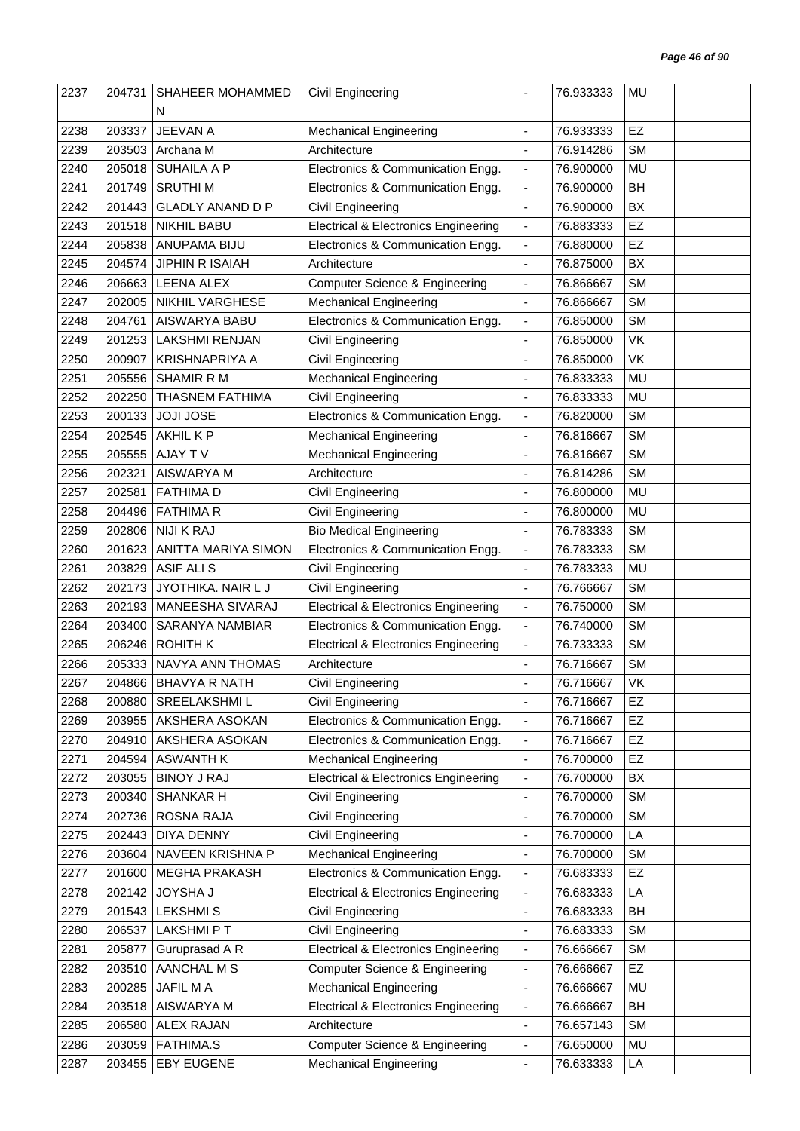| 2237 | 204731 | SHAHEER MOHAMMED        | <b>Civil Engineering</b>                        |                              | 76.933333 | MU        |  |
|------|--------|-------------------------|-------------------------------------------------|------------------------------|-----------|-----------|--|
|      |        | N                       |                                                 |                              |           |           |  |
| 2238 | 203337 | JEEVAN A                | <b>Mechanical Engineering</b>                   | $\blacksquare$               | 76.933333 | EZ        |  |
| 2239 | 203503 | Archana M               | Architecture                                    | ÷,                           | 76.914286 | <b>SM</b> |  |
| 2240 | 205018 | <b>SUHAILA A P</b>      | Electronics & Communication Engg.               | $\overline{\phantom{a}}$     | 76.900000 | MU        |  |
| 2241 | 201749 | <b>SRUTHIM</b>          | Electronics & Communication Engg.               | $\blacksquare$               | 76.900000 | <b>BH</b> |  |
| 2242 | 201443 | <b>GLADLY ANAND D P</b> | Civil Engineering                               | $\overline{\phantom{a}}$     | 76.900000 | BX        |  |
| 2243 | 201518 | <b>NIKHIL BABU</b>      | <b>Electrical &amp; Electronics Engineering</b> | $\overline{\phantom{a}}$     | 76.883333 | EZ        |  |
| 2244 | 205838 | ANUPAMA BIJU            | Electronics & Communication Engg.               | $\blacksquare$               | 76.880000 | EZ        |  |
| 2245 | 204574 | <b>JIPHIN R ISAIAH</b>  | Architecture                                    | $\overline{\phantom{a}}$     | 76.875000 | BX        |  |
| 2246 | 206663 | <b>LEENA ALEX</b>       | <b>Computer Science &amp; Engineering</b>       | $\overline{\phantom{a}}$     | 76.866667 | <b>SM</b> |  |
| 2247 | 202005 | <b>NIKHIL VARGHESE</b>  | <b>Mechanical Engineering</b>                   | ÷,                           | 76.866667 | <b>SM</b> |  |
| 2248 | 204761 | AISWARYA BABU           | Electronics & Communication Engg.               | $\overline{\phantom{a}}$     | 76.850000 | <b>SM</b> |  |
| 2249 | 201253 | <b>LAKSHMI RENJAN</b>   | Civil Engineering                               | $\overline{\phantom{a}}$     | 76.850000 | VK        |  |
| 2250 | 200907 | <b>KRISHNAPRIYA A</b>   | Civil Engineering                               | ÷,                           | 76.850000 | VK        |  |
| 2251 | 205556 | SHAMIR R M              | Mechanical Engineering                          | $\blacksquare$               | 76.833333 | MU        |  |
| 2252 | 202250 | <b>THASNEM FATHIMA</b>  | Civil Engineering                               | $\blacksquare$               | 76.833333 | <b>MU</b> |  |
| 2253 | 200133 | <b>JOJI JOSE</b>        | Electronics & Communication Engg.               | $\overline{\phantom{a}}$     | 76.820000 | <b>SM</b> |  |
| 2254 | 202545 | AKHIL K P               | <b>Mechanical Engineering</b>                   | $\overline{\phantom{a}}$     | 76.816667 | <b>SM</b> |  |
| 2255 | 205555 | AJAY TV                 | <b>Mechanical Engineering</b>                   | $\overline{\phantom{a}}$     | 76.816667 | <b>SM</b> |  |
| 2256 | 202321 | AISWARYA M              | Architecture                                    | $\qquad \qquad \blacksquare$ | 76.814286 | <b>SM</b> |  |
| 2257 | 202581 | <b>FATHIMAD</b>         | Civil Engineering                               | $\blacksquare$               | 76.800000 | MU        |  |
| 2258 | 204496 | <b>FATHIMA R</b>        | Civil Engineering                               | ÷,                           | 76.800000 | <b>MU</b> |  |
| 2259 | 202806 | <b>NIJI K RAJ</b>       | <b>Bio Medical Engineering</b>                  | $\overline{\phantom{a}}$     | 76.783333 | <b>SM</b> |  |
| 2260 | 201623 | ANITTA MARIYA SIMON     | Electronics & Communication Engg.               | $\overline{\phantom{a}}$     | 76.783333 | <b>SM</b> |  |
| 2261 | 203829 | <b>ASIF ALIS</b>        | Civil Engineering                               | ÷,                           | 76.783333 | MU        |  |
| 2262 | 202173 | JYOTHIKA. NAIR L J      | Civil Engineering                               | $\overline{\phantom{a}}$     | 76.766667 | <b>SM</b> |  |
| 2263 | 202193 | MANEESHA SIVARAJ        | <b>Electrical &amp; Electronics Engineering</b> | $\blacksquare$               | 76.750000 | <b>SM</b> |  |
| 2264 | 203400 | <b>SARANYA NAMBIAR</b>  | Electronics & Communication Engg.               | $\overline{\phantom{a}}$     | 76.740000 | <b>SM</b> |  |
| 2265 | 206246 | <b>ROHITH K</b>         | <b>Electrical &amp; Electronics Engineering</b> | $\blacksquare$               | 76.733333 | <b>SM</b> |  |
| 2266 | 205333 | NAVYA ANN THOMAS        | Architecture                                    |                              | 76.716667 | <b>SM</b> |  |
| 2267 |        | 204866 BHAVYA R NATH    | Civil Engineering                               |                              | 76.716667 | VK        |  |
| 2268 | 200880 | SREELAKSHMI L           | Civil Engineering                               | $\blacksquare$               | 76.716667 | EZ        |  |
| 2269 | 203955 | AKSHERA ASOKAN          | Electronics & Communication Engg.               | $\overline{\phantom{a}}$     | 76.716667 | EZ        |  |
| 2270 | 204910 | AKSHERA ASOKAN          | Electronics & Communication Engg.               | $\overline{\phantom{a}}$     | 76.716667 | EZ        |  |
| 2271 | 204594 | <b>ASWANTH K</b>        | <b>Mechanical Engineering</b>                   | $\overline{\phantom{a}}$     | 76.700000 | EZ        |  |
| 2272 | 203055 | <b>BINOY J RAJ</b>      | <b>Electrical &amp; Electronics Engineering</b> | $\overline{\phantom{a}}$     | 76.700000 | BX        |  |
| 2273 | 200340 | SHANKAR H               | Civil Engineering                               | $\blacksquare$               | 76.700000 | <b>SM</b> |  |
| 2274 | 202736 | ROSNA RAJA              | Civil Engineering                               | $\overline{\phantom{a}}$     | 76.700000 | <b>SM</b> |  |
| 2275 | 202443 | <b>DIYA DENNY</b>       | Civil Engineering                               | $\overline{\phantom{a}}$     | 76.700000 | LA        |  |
| 2276 | 203604 | NAVEEN KRISHNA P        | <b>Mechanical Engineering</b>                   | $\overline{\phantom{a}}$     | 76.700000 | <b>SM</b> |  |
| 2277 | 201600 | <b>MEGHA PRAKASH</b>    | Electronics & Communication Engg.               | $\overline{\phantom{a}}$     | 76.683333 | EZ        |  |
| 2278 | 202142 | <b>JOYSHA J</b>         | <b>Electrical &amp; Electronics Engineering</b> | $\overline{\phantom{a}}$     | 76.683333 | LA        |  |
| 2279 | 201543 | <b>LEKSHMIS</b>         | Civil Engineering                               | $\blacksquare$               | 76.683333 | BH        |  |
| 2280 | 206537 | <b>LAKSHMIPT</b>        | Civil Engineering                               | $\overline{\phantom{a}}$     | 76.683333 | <b>SM</b> |  |
| 2281 | 205877 | Guruprasad A R          | <b>Electrical &amp; Electronics Engineering</b> | $\overline{\phantom{a}}$     | 76.666667 | <b>SM</b> |  |
| 2282 | 203510 | AANCHAL M S             | <b>Computer Science &amp; Engineering</b>       | $\overline{\phantom{a}}$     | 76.666667 | EZ        |  |
| 2283 | 200285 | JAFIL MA                | <b>Mechanical Engineering</b>                   | $\qquad \qquad \blacksquare$ | 76.666667 | <b>MU</b> |  |
| 2284 | 203518 | AISWARYA M              | <b>Electrical &amp; Electronics Engineering</b> | $\overline{\phantom{a}}$     | 76.666667 | BH        |  |
| 2285 | 206580 | ALEX RAJAN              | Architecture                                    | $\blacksquare$               | 76.657143 | <b>SM</b> |  |
| 2286 | 203059 | <b>FATHIMA.S</b>        | Computer Science & Engineering                  | $\overline{\phantom{a}}$     | 76.650000 | MU        |  |
| 2287 | 203455 | <b>EBY EUGENE</b>       | Mechanical Engineering                          | $\blacksquare$               | 76.633333 | LA        |  |
|      |        |                         |                                                 |                              |           |           |  |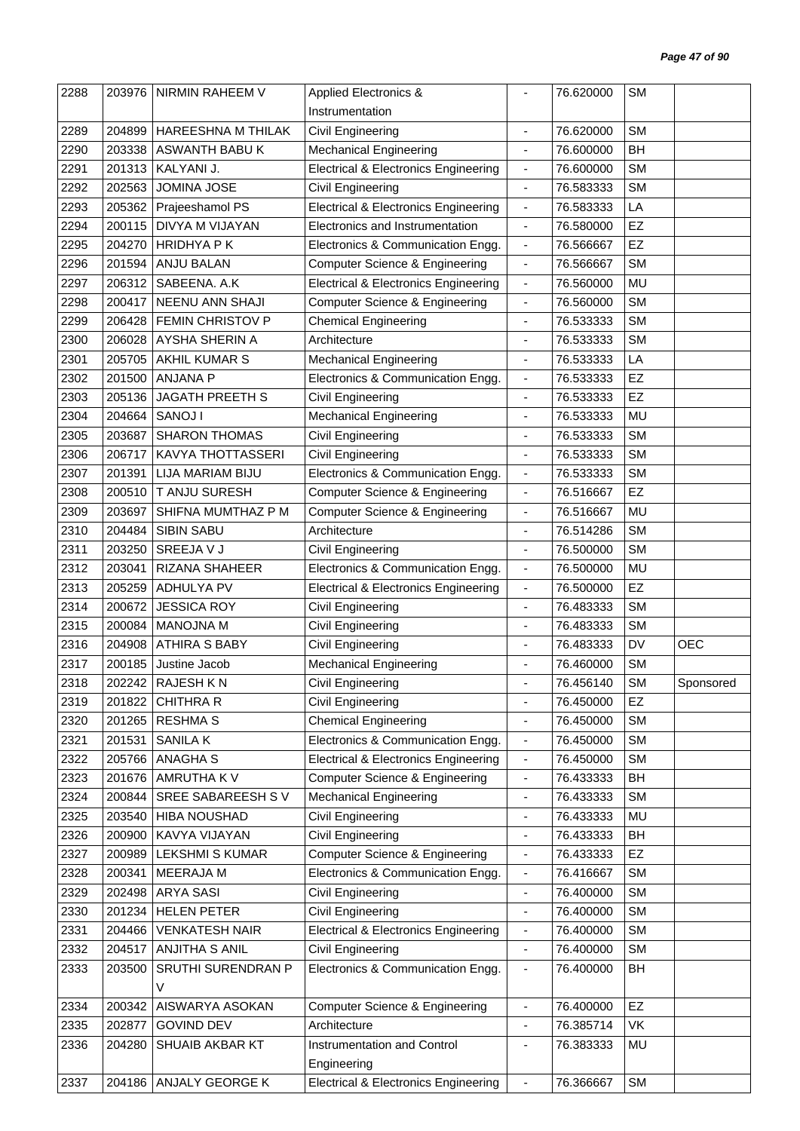| 2288 | 203976 | NIRMIN RAHEEM V        | <b>Applied Electronics &amp;</b>                |                          | 76.620000 | <b>SM</b> |            |
|------|--------|------------------------|-------------------------------------------------|--------------------------|-----------|-----------|------------|
|      |        |                        | Instrumentation                                 |                          |           |           |            |
| 2289 | 204899 | HAREESHNA M THILAK     | Civil Engineering                               |                          | 76.620000 | <b>SM</b> |            |
| 2290 | 203338 | ASWANTH BABU K         | <b>Mechanical Engineering</b>                   | $\overline{\phantom{a}}$ | 76.600000 | BH        |            |
| 2291 | 201313 | KALYANI J.             | <b>Electrical &amp; Electronics Engineering</b> | $\overline{\phantom{a}}$ | 76.600000 | <b>SM</b> |            |
| 2292 | 202563 | <b>JOMINA JOSE</b>     | Civil Engineering                               | $\overline{\phantom{a}}$ | 76.583333 | <b>SM</b> |            |
| 2293 | 205362 | Prajeeshamol PS        | <b>Electrical &amp; Electronics Engineering</b> | $\blacksquare$           | 76.583333 | LA        |            |
| 2294 | 200115 | DIVYA M VIJAYAN        | Electronics and Instrumentation                 | $\overline{\phantom{a}}$ | 76.580000 | EZ        |            |
| 2295 | 204270 | <b>HRIDHYAPK</b>       | Electronics & Communication Engg.               | $\blacksquare$           | 76.566667 | EZ        |            |
| 2296 | 201594 | <b>ANJU BALAN</b>      | <b>Computer Science &amp; Engineering</b>       | $\overline{\phantom{a}}$ | 76.566667 | <b>SM</b> |            |
| 2297 | 206312 | SABEENA. A.K           | <b>Electrical &amp; Electronics Engineering</b> | $\blacksquare$           | 76.560000 | <b>MU</b> |            |
| 2298 | 200417 | NEENU ANN SHAJI        | <b>Computer Science &amp; Engineering</b>       | $\overline{\phantom{a}}$ | 76.560000 | <b>SM</b> |            |
| 2299 | 206428 | FEMIN CHRISTOV P       | <b>Chemical Engineering</b>                     | ÷,                       | 76.533333 | <b>SM</b> |            |
| 2300 | 206028 | AYSHA SHERIN A         | Architecture                                    |                          | 76.533333 | <b>SM</b> |            |
| 2301 | 205705 | AKHIL KUMAR S          | <b>Mechanical Engineering</b>                   | $\overline{\phantom{a}}$ | 76.533333 | LA        |            |
| 2302 | 201500 | <b>ANJANA P</b>        | Electronics & Communication Engg.               | $\overline{\phantom{a}}$ | 76.533333 | EZ        |            |
| 2303 | 205136 | JAGATH PREETH S        | Civil Engineering                               | ÷,                       | 76.533333 | EZ        |            |
| 2304 | 204664 | SANOJ I                | <b>Mechanical Engineering</b>                   | $\blacksquare$           | 76.533333 | MU        |            |
| 2305 | 203687 | <b>SHARON THOMAS</b>   | Civil Engineering                               | $\overline{\phantom{a}}$ | 76.533333 | <b>SM</b> |            |
| 2306 | 206717 | KAVYA THOTTASSERI      | Civil Engineering                               | $\overline{\phantom{a}}$ | 76.533333 | <b>SM</b> |            |
| 2307 | 201391 | LIJA MARIAM BIJU       | Electronics & Communication Engg.               | $\overline{\phantom{a}}$ | 76.533333 | <b>SM</b> |            |
| 2308 | 200510 | T ANJU SURESH          | <b>Computer Science &amp; Engineering</b>       | ÷,                       | 76.516667 | EZ        |            |
| 2309 | 203697 | SHIFNA MUMTHAZ P M     | <b>Computer Science &amp; Engineering</b>       | $\overline{\phantom{a}}$ | 76.516667 | MU        |            |
| 2310 | 204484 | SIBIN SABU             | Architecture                                    | $\overline{\phantom{a}}$ | 76.514286 | <b>SM</b> |            |
| 2311 | 203250 | SREEJA V J             | Civil Engineering                               |                          | 76.500000 | <b>SM</b> |            |
| 2312 | 203041 | RIZANA SHAHEER         | Electronics & Communication Engg.               | $\overline{\phantom{a}}$ | 76.500000 | MU        |            |
| 2313 | 205259 | <b>ADHULYA PV</b>      | <b>Electrical &amp; Electronics Engineering</b> | $\blacksquare$           | 76.500000 | EZ        |            |
| 2314 | 200672 | <b>JESSICA ROY</b>     | Civil Engineering                               | ÷,                       | 76.483333 | <b>SM</b> |            |
| 2315 | 200084 | <b>MANOJNA M</b>       | Civil Engineering                               | $\overline{\phantom{a}}$ | 76.483333 | <b>SM</b> |            |
| 2316 | 204908 | ATHIRA S BABY          | Civil Engineering                               | $\overline{\phantom{a}}$ | 76.483333 | DV        | <b>OEC</b> |
| 2317 | 200185 | Justine Jacob          | <b>Mechanical Engineering</b>                   |                          | 76.460000 | <b>SM</b> |            |
|      |        |                        |                                                 |                          |           |           |            |
| 2318 | 202242 | RAJESH K N             | Civil Engineering                               |                          | 76.456140 | SM        | Sponsored  |
| 2319 |        | 201822 CHITHRA R       | Civil Engineering                               | $\overline{\phantom{a}}$ | 76.450000 | EZ        |            |
| 2320 | 201265 | <b>RESHMA S</b>        | <b>Chemical Engineering</b>                     | $\overline{\phantom{a}}$ | 76.450000 | <b>SM</b> |            |
| 2321 | 201531 | <b>SANILAK</b>         | Electronics & Communication Engg.               | $\overline{\phantom{a}}$ | 76.450000 | <b>SM</b> |            |
| 2322 | 205766 | ANAGHA <sub>S</sub>    | <b>Electrical &amp; Electronics Engineering</b> | $\blacksquare$           | 76.450000 | <b>SM</b> |            |
| 2323 | 201676 | AMRUTHA K V            | <b>Computer Science &amp; Engineering</b>       | $\overline{\phantom{a}}$ | 76.433333 | BH        |            |
| 2324 | 200844 | SREE SABAREESH SV      | <b>Mechanical Engineering</b>                   | $\overline{\phantom{a}}$ | 76.433333 | <b>SM</b> |            |
| 2325 | 203540 | HIBA NOUSHAD           | Civil Engineering                               | ٠                        | 76.433333 | MU        |            |
| 2326 | 200900 | KAVYA VIJAYAN          | Civil Engineering                               | $\overline{\phantom{a}}$ | 76.433333 | BH        |            |
| 2327 | 200989 | <b>LEKSHMI S KUMAR</b> | <b>Computer Science &amp; Engineering</b>       | $\overline{\phantom{a}}$ | 76.433333 | <b>EZ</b> |            |
| 2328 | 200341 | MEERAJA M              | Electronics & Communication Engg.               | $\overline{\phantom{a}}$ | 76.416667 | <b>SM</b> |            |
| 2329 | 202498 | ARYA SASI              | Civil Engineering                               | $\blacksquare$           | 76.400000 | <b>SM</b> |            |
| 2330 | 201234 | <b>HELEN PETER</b>     | Civil Engineering                               | $\blacksquare$           | 76.400000 | <b>SM</b> |            |
| 2331 | 204466 | <b>VENKATESH NAIR</b>  | <b>Electrical &amp; Electronics Engineering</b> | $\overline{\phantom{a}}$ | 76.400000 | <b>SM</b> |            |
| 2332 | 204517 | ANJITHA S ANIL         | Civil Engineering                               | $\blacksquare$           | 76.400000 | <b>SM</b> |            |
| 2333 | 203500 | SRUTHI SURENDRAN P     | Electronics & Communication Engg.               | $\overline{\phantom{a}}$ | 76.400000 | BH        |            |
|      |        | V                      |                                                 |                          |           |           |            |
| 2334 | 200342 | AISWARYA ASOKAN        | <b>Computer Science &amp; Engineering</b>       | $\blacksquare$           | 76.400000 | <b>EZ</b> |            |
| 2335 | 202877 | <b>GOVIND DEV</b>      | Architecture                                    | $\frac{1}{2}$            | 76.385714 | VK        |            |
| 2336 | 204280 | SHUAIB AKBAR KT        | Instrumentation and Control                     | ٠                        | 76.383333 | MU        |            |
|      |        |                        | Engineering                                     |                          |           |           |            |
| 2337 |        | 204186 ANJALY GEORGE K | <b>Electrical &amp; Electronics Engineering</b> | $\overline{\phantom{a}}$ | 76.366667 | <b>SM</b> |            |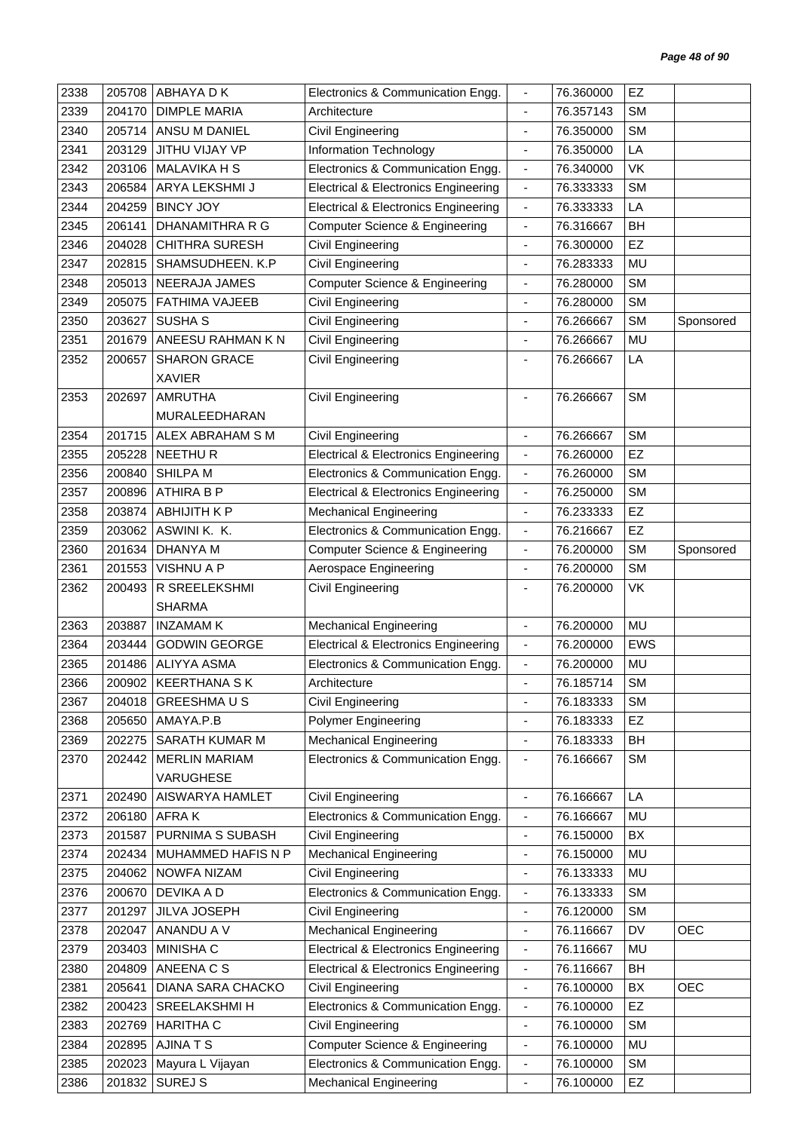| 2338<br>205708                       | ABHAYA D K            | Electronics & Communication Engg.                                   | $\overline{\phantom{a}}$     | 76.360000 | <b>EZ</b>  |            |
|--------------------------------------|-----------------------|---------------------------------------------------------------------|------------------------------|-----------|------------|------------|
| 2339<br>204170                       | <b>DIMPLE MARIA</b>   | Architecture                                                        | $\blacksquare$               | 76.357143 | <b>SM</b>  |            |
| 2340<br>205714                       | ANSU M DANIEL         | Civil Engineering                                                   | $\overline{\phantom{a}}$     | 76.350000 | <b>SM</b>  |            |
| 2341<br>203129                       | JITHU VIJAY VP        | Information Technology                                              | $\overline{\phantom{a}}$     | 76.350000 | LA         |            |
| 2342<br>203106                       | <b>MALAVIKA H S</b>   | Electronics & Communication Engg.                                   | $\blacksquare$               | 76.340000 | VK         |            |
| 2343<br>206584                       | ARYA LEKSHMI J        | <b>Electrical &amp; Electronics Engineering</b>                     | $\blacksquare$               | 76.333333 | <b>SM</b>  |            |
| 2344<br><b>BINCY JOY</b><br>204259   |                       | <b>Electrical &amp; Electronics Engineering</b>                     | $\overline{\phantom{a}}$     | 76.333333 | LA         |            |
| 2345<br>206141                       | DHANAMITHRA R G       | Computer Science & Engineering                                      | $\blacksquare$               | 76.316667 | BH         |            |
| 2346<br>204028                       | <b>CHITHRA SURESH</b> | Civil Engineering                                                   | $\overline{\phantom{a}}$     | 76.300000 | EZ         |            |
| 2347<br>202815                       | SHAMSUDHEEN. K.P      | Civil Engineering                                                   | $\overline{\phantom{a}}$     | 76.283333 | MU         |            |
| 2348<br>205013                       | NEERAJA JAMES         | Computer Science & Engineering                                      | $\overline{\phantom{a}}$     | 76.280000 | <b>SM</b>  |            |
| 2349<br>205075                       | <b>FATHIMA VAJEEB</b> | <b>Civil Engineering</b>                                            | $\blacksquare$               | 76.280000 | <b>SM</b>  |            |
| 2350<br>SUSHA <sub>S</sub><br>203627 |                       | <b>Civil Engineering</b>                                            | $\blacksquare$               | 76.266667 | <b>SM</b>  | Sponsored  |
| 2351<br>201679                       | ANEESU RAHMAN K N     | <b>Civil Engineering</b>                                            | $\blacksquare$               | 76.266667 | <b>MU</b>  |            |
| 2352<br>200657                       | <b>SHARON GRACE</b>   | Civil Engineering                                                   |                              | 76.266667 | LA         |            |
| <b>XAVIER</b>                        |                       |                                                                     |                              |           |            |            |
| 2353<br>202697<br><b>AMRUTHA</b>     |                       | Civil Engineering                                                   | $\blacksquare$               | 76.266667 | <b>SM</b>  |            |
|                                      | MURALEEDHARAN         |                                                                     |                              |           |            |            |
| 201715<br>2354                       | ALEX ABRAHAM S M      | Civil Engineering                                                   | $\overline{\phantom{a}}$     | 76.266667 | <b>SM</b>  |            |
| 2355<br>205228<br><b>NEETHUR</b>     |                       | <b>Electrical &amp; Electronics Engineering</b>                     | $\overline{\phantom{a}}$     | 76.260000 | EZ         |            |
| 2356<br>200840<br>SHILPA M           |                       | Electronics & Communication Engg.                                   | $\overline{\phantom{a}}$     | 76.260000 | <b>SM</b>  |            |
| 2357<br>200896<br><b>ATHIRA B P</b>  |                       | <b>Electrical &amp; Electronics Engineering</b>                     | $\blacksquare$               | 76.250000 | <b>SM</b>  |            |
| 2358<br>203874                       | <b>ABHIJITH K P</b>   | <b>Mechanical Engineering</b>                                       | ÷,                           | 76.233333 | EZ         |            |
| 2359<br>203062                       | ASWINI K. K.          | Electronics & Communication Engg.                                   | $\overline{\phantom{a}}$     | 76.216667 | EZ         |            |
| 2360<br>201634<br><b>DHANYA M</b>    |                       | <b>Computer Science &amp; Engineering</b>                           | $\blacksquare$               | 76.200000 | <b>SM</b>  | Sponsored  |
| 2361<br><b>VISHNU A P</b><br>201553  |                       | Aerospace Engineering                                               | $\overline{\phantom{a}}$     | 76.200000 | <b>SM</b>  |            |
| 2362<br>200493                       | R SREELEKSHMI         | <b>Civil Engineering</b>                                            | ÷,                           | 76.200000 | VK         |            |
| <b>SHARMA</b>                        |                       |                                                                     |                              |           |            |            |
| 2363<br>203887<br><b>INZAMAM K</b>   |                       | <b>Mechanical Engineering</b>                                       | $\blacksquare$               | 76.200000 | <b>MU</b>  |            |
| 2364<br>203444                       | <b>GODWIN GEORGE</b>  | <b>Electrical &amp; Electronics Engineering</b>                     | $\blacksquare$               | 76.200000 | <b>EWS</b> |            |
| 2365<br>201486                       | <b>ALIYYA ASMA</b>    | Electronics & Communication Engg.                                   | $\blacksquare$               | 76.200000 | <b>MU</b>  |            |
| 2366<br>200902   KEERTHANA S K       |                       | Architecture                                                        | -                            | 76.185714 | <b>SM</b>  |            |
| 2367<br>204018                       | <b>GREESHMAUS</b>     | Civil Engineering                                                   | $\blacksquare$               | 76.183333 | <b>SM</b>  |            |
| 2368<br>205650<br>AMAYA.P.B          |                       | Polymer Engineering                                                 | $\overline{\phantom{a}}$     | 76.183333 | <b>EZ</b>  |            |
| 2369<br>202275                       | SARATH KUMAR M        | <b>Mechanical Engineering</b>                                       | $\blacksquare$               | 76.183333 | BH         |            |
| 2370<br>202442                       | <b>MERLIN MARIAM</b>  | Electronics & Communication Engg.                                   | $\qquad \qquad \blacksquare$ | 76.166667 | <b>SM</b>  |            |
|                                      | VARUGHESE             |                                                                     |                              |           |            |            |
| 2371<br>202490                       | AISWARYA HAMLET       | Civil Engineering                                                   | $\blacksquare$               | 76.166667 | LA         |            |
| 2372<br>206180<br>AFRA K             |                       | Electronics & Communication Engg.                                   | $\overline{\phantom{a}}$     | 76.166667 | MU         |            |
| 2373<br>201587                       | PURNIMA S SUBASH      | Civil Engineering                                                   | $\qquad \qquad \blacksquare$ | 76.150000 | BX         |            |
| 2374<br>202434                       | MUHAMMED HAFIS N P    | <b>Mechanical Engineering</b>                                       | $\qquad \qquad \blacksquare$ | 76.150000 | MU         |            |
| 204062<br>2375                       | NOWFA NIZAM           | Civil Engineering                                                   | ÷                            | 76.133333 | MU         |            |
| DEVIKA A D<br>2376<br>200670         |                       | Electronics & Communication Engg.                                   | $\overline{\phantom{a}}$     | 76.133333 | <b>SM</b>  |            |
| 2377<br>201297                       | JILVA JOSEPH          | Civil Engineering                                                   | $\overline{\phantom{a}}$     | 76.120000 | <b>SM</b>  |            |
| 2378<br>202047                       | ANANDU A V            | <b>Mechanical Engineering</b>                                       | $\overline{\phantom{a}}$     | 76.116667 | DV         | <b>OEC</b> |
| MINISHA C<br>2379<br>203403          |                       | <b>Electrical &amp; Electronics Engineering</b>                     | $\overline{\phantom{a}}$     | 76.116667 | MU         |            |
| ANEENA C S<br>2380<br>204809         |                       | <b>Electrical &amp; Electronics Engineering</b>                     | $\overline{\phantom{a}}$     | 76.116667 | BH         |            |
|                                      | DIANA SARA CHACKO     | Civil Engineering                                                   | $\overline{\phantom{a}}$     | 76.100000 | BX         | <b>OEC</b> |
| 2381<br>205641                       |                       |                                                                     |                              |           |            |            |
| 2382<br>200423                       | SREELAKSHMI H         | Electronics & Communication Engg.                                   | $\overline{\phantom{a}}$     | 76.100000 | EZ         |            |
| 2383<br>202769<br><b>HARITHA C</b>   |                       | Civil Engineering                                                   | $\blacksquare$               | 76.100000 | <b>SM</b>  |            |
| <b>AJINATS</b><br>2384<br>202895     |                       |                                                                     | $\overline{\phantom{a}}$     | 76.100000 | MU         |            |
| 2385<br>202023                       | Mayura L Vijayan      | Computer Science & Engineering<br>Electronics & Communication Engg. | $\overline{\phantom{a}}$     | 76.100000 | <b>SM</b>  |            |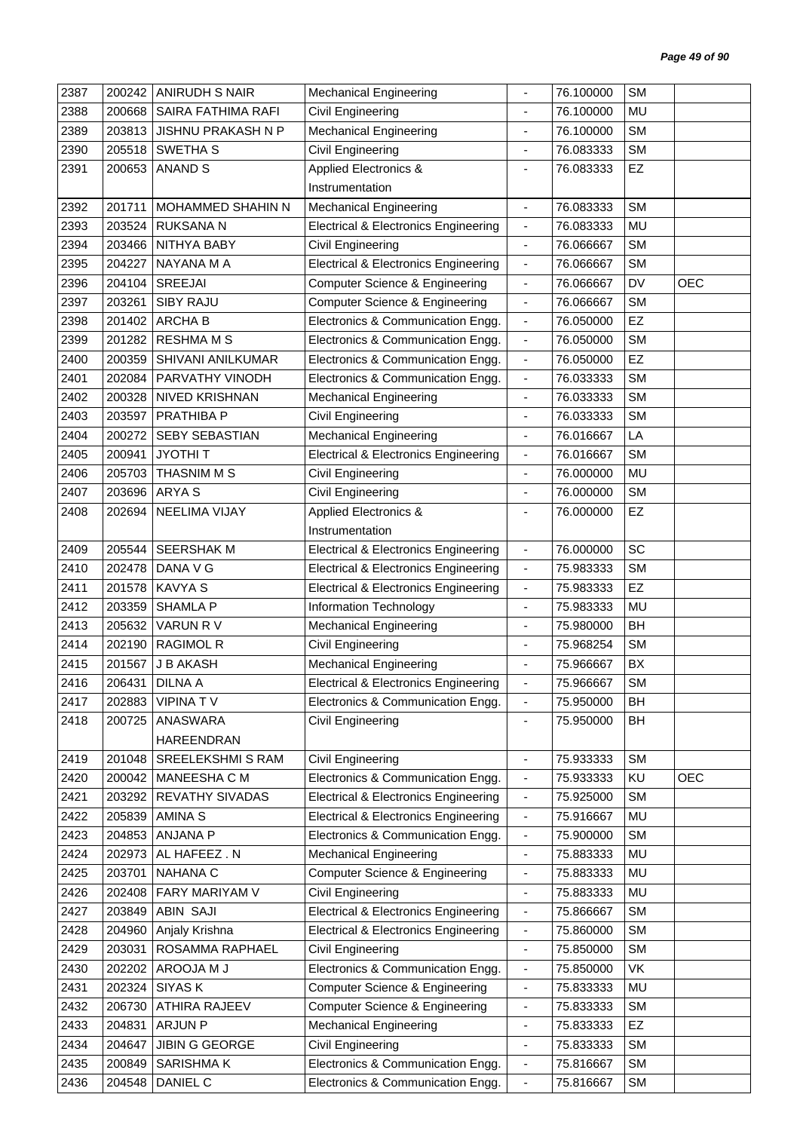| 2387 | 200242 | <b>ANIRUDH S NAIR</b>  | <b>Mechanical Engineering</b>                   | ä,                           | 76.100000 | <b>SM</b> |            |
|------|--------|------------------------|-------------------------------------------------|------------------------------|-----------|-----------|------------|
| 2388 | 200668 | SAIRA FATHIMA RAFI     | Civil Engineering                               | $\blacksquare$               | 76.100000 | MU        |            |
| 2389 | 203813 | JISHNU PRAKASH N P     | <b>Mechanical Engineering</b>                   |                              | 76.100000 | <b>SM</b> |            |
| 2390 | 205518 | SWETHA <sub>S</sub>    | Civil Engineering                               | $\qquad \qquad \blacksquare$ | 76.083333 | <b>SM</b> |            |
| 2391 | 200653 | <b>ANAND S</b>         | <b>Applied Electronics &amp;</b>                | ä,                           | 76.083333 | EZ        |            |
|      |        |                        | Instrumentation                                 |                              |           |           |            |
| 2392 | 201711 | MOHAMMED SHAHIN N      | <b>Mechanical Engineering</b>                   | $\qquad \qquad \blacksquare$ | 76.083333 | <b>SM</b> |            |
| 2393 | 203524 | <b>RUKSANA N</b>       | <b>Electrical &amp; Electronics Engineering</b> | $\overline{\phantom{a}}$     | 76.083333 | MU        |            |
| 2394 | 203466 | NITHYA BABY            | Civil Engineering                               | $\blacksquare$               | 76.066667 | <b>SM</b> |            |
| 2395 | 204227 | NAYANA M A             | <b>Electrical &amp; Electronics Engineering</b> | $\qquad \qquad \blacksquare$ | 76.066667 | <b>SM</b> |            |
| 2396 | 204104 | SREEJAI                | <b>Computer Science &amp; Engineering</b>       | $\blacksquare$               | 76.066667 | DV        | <b>OEC</b> |
| 2397 | 203261 | SIBY RAJU              | <b>Computer Science &amp; Engineering</b>       | $\overline{\phantom{a}}$     | 76.066667 | <b>SM</b> |            |
| 2398 | 201402 | <b>ARCHAB</b>          | Electronics & Communication Engg.               | $\overline{\phantom{a}}$     | 76.050000 | EZ        |            |
| 2399 | 201282 | <b>RESHMAMS</b>        | Electronics & Communication Engg.               | $\blacksquare$               | 76.050000 | <b>SM</b> |            |
| 2400 | 200359 | SHIVANI ANILKUMAR      | Electronics & Communication Engg.               | $\overline{\phantom{a}}$     | 76.050000 | EZ        |            |
| 2401 | 202084 | PARVATHY VINODH        | Electronics & Communication Engg.               | $\overline{\phantom{a}}$     | 76.033333 | <b>SM</b> |            |
| 2402 | 200328 | <b>NIVED KRISHNAN</b>  | <b>Mechanical Engineering</b>                   | ÷,                           | 76.033333 | <b>SM</b> |            |
| 2403 | 203597 | PRATHIBA P             | Civil Engineering                               | $\qquad \qquad \blacksquare$ | 76.033333 | <b>SM</b> |            |
| 2404 | 200272 | SEBY SEBASTIAN         | <b>Mechanical Engineering</b>                   | $\blacksquare$               | 76.016667 | LA        |            |
| 2405 | 200941 | <b>JYOTHIT</b>         | <b>Electrical &amp; Electronics Engineering</b> | $\overline{\phantom{a}}$     | 76.016667 | <b>SM</b> |            |
| 2406 | 205703 | THASNIM M S            | Civil Engineering                               | $\overline{\phantom{a}}$     | 76.000000 | MU        |            |
| 2407 | 203696 | <b>ARYAS</b>           | Civil Engineering                               | $\overline{\phantom{0}}$     | 76.000000 | <b>SM</b> |            |
| 2408 | 202694 | NEELIMA VIJAY          | <b>Applied Electronics &amp;</b>                |                              | 76.000000 | EZ        |            |
|      |        |                        | Instrumentation                                 |                              |           |           |            |
| 2409 | 205544 | <b>SEERSHAK M</b>      | <b>Electrical &amp; Electronics Engineering</b> | $\blacksquare$               | 76.000000 | SC        |            |
| 2410 | 202478 | DANA V G               | <b>Electrical &amp; Electronics Engineering</b> | $\overline{\phantom{a}}$     | 75.983333 | <b>SM</b> |            |
| 2411 | 201578 | <b>KAVYA S</b>         | <b>Electrical &amp; Electronics Engineering</b> | $\blacksquare$               | 75.983333 | EZ        |            |
| 2412 | 203359 | <b>SHAMLA P</b>        | Information Technology                          | ä,                           | 75.983333 | MU        |            |
| 2413 | 205632 | VARUN R V              | <b>Mechanical Engineering</b>                   | $\qquad \qquad \blacksquare$ | 75.980000 | BH        |            |
| 2414 | 202190 | <b>RAGIMOL R</b>       | <b>Civil Engineering</b>                        | ٠                            | 75.968254 | <b>SM</b> |            |
| 2415 | 201567 | J B AKASH              | <b>Mechanical Engineering</b>                   |                              | 75.966667 | BX        |            |
| 2416 | 206431 | DILNA A                | <b>Electrical &amp; Electronics Engineering</b> |                              | 75.966667 | SM        |            |
| 2417 |        | 202883   VIPINA T V    | Electronics & Communication Engg.               | $\blacksquare$               | 75.950000 | BH        |            |
| 2418 | 200725 | ANASWARA               | Civil Engineering                               |                              | 75.950000 | BH        |            |
|      |        | <b>HAREENDRAN</b>      |                                                 |                              |           |           |            |
| 2419 | 201048 | SREELEKSHMI S RAM      | Civil Engineering                               | ÷,                           | 75.933333 | <b>SM</b> |            |
| 2420 | 200042 | MANEESHA C M           | Electronics & Communication Engg.               | ۰                            | 75.933333 | KU        | <b>OEC</b> |
| 2421 | 203292 | <b>REVATHY SIVADAS</b> | <b>Electrical &amp; Electronics Engineering</b> | $\blacksquare$               | 75.925000 | <b>SM</b> |            |
| 2422 | 205839 | AMINA S                | <b>Electrical &amp; Electronics Engineering</b> | $\qquad \qquad \blacksquare$ | 75.916667 | MU        |            |
| 2423 | 204853 | ANJANA P               | Electronics & Communication Engg.               | $\overline{\phantom{a}}$     | 75.900000 | <b>SM</b> |            |
| 2424 | 202973 | AL HAFEEZ. N           | <b>Mechanical Engineering</b>                   | $\overline{\phantom{a}}$     | 75.883333 | MU        |            |
| 2425 | 203701 | <b>NAHANA C</b>        | Computer Science & Engineering                  | $\qquad \qquad \blacksquare$ | 75.883333 | MU        |            |
| 2426 | 202408 | FARY MARIYAM V         | Civil Engineering                               | $\qquad \qquad \blacksquare$ | 75.883333 | MU        |            |
| 2427 | 203849 | <b>ABIN SAJI</b>       | Electrical & Electronics Engineering            | $\blacksquare$               | 75.866667 | SM        |            |
| 2428 | 204960 | Anjaly Krishna         | Electrical & Electronics Engineering            | $\overline{\phantom{a}}$     | 75.860000 | <b>SM</b> |            |
| 2429 | 203031 | ROSAMMA RAPHAEL        | Civil Engineering                               | $\overline{\phantom{a}}$     | 75.850000 | SM        |            |
| 2430 | 202202 | AROOJA M J             | Electronics & Communication Engg.               | $\qquad \qquad \blacksquare$ | 75.850000 | <b>VK</b> |            |
| 2431 | 202324 | SIYAS K                | <b>Computer Science &amp; Engineering</b>       | $\overline{\phantom{a}}$     | 75.833333 | MU        |            |
| 2432 | 206730 | ATHIRA RAJEEV          | <b>Computer Science &amp; Engineering</b>       | $\blacksquare$               | 75.833333 | SM        |            |
| 2433 | 204831 | <b>ARJUN P</b>         | <b>Mechanical Engineering</b>                   | ٠                            | 75.833333 | EZ        |            |
| 2434 | 204647 | <b>JIBIN G GEORGE</b>  | Civil Engineering                               | $\qquad \qquad \blacksquare$ | 75.833333 | <b>SM</b> |            |
| 2435 | 200849 | SARISHMA K             | Electronics & Communication Engg.               | $\overline{\phantom{a}}$     | 75.816667 | SM        |            |
| 2436 | 204548 | DANIEL C               | Electronics & Communication Engg.               | $\overline{\phantom{a}}$     | 75.816667 | SM        |            |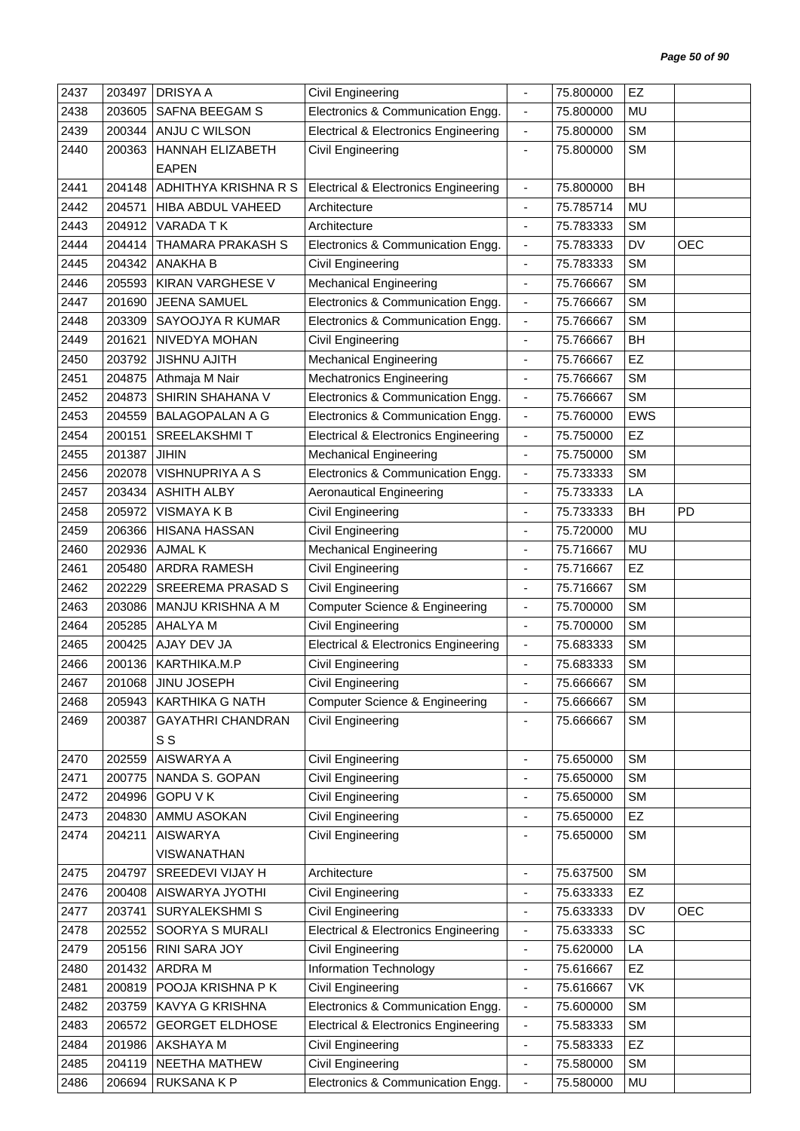| 2437 | 203497 | <b>DRISYA A</b>          | Civil Engineering                               |                                                | 75.800000 | EZ         |            |
|------|--------|--------------------------|-------------------------------------------------|------------------------------------------------|-----------|------------|------------|
| 2438 | 203605 | SAFNA BEEGAM S           | Electronics & Communication Engg.               | $\overline{\phantom{a}}$                       | 75.800000 | MU         |            |
| 2439 | 200344 | ANJU C WILSON            | <b>Electrical &amp; Electronics Engineering</b> | $\overline{\phantom{0}}$                       | 75.800000 | <b>SM</b>  |            |
| 2440 | 200363 | HANNAH ELIZABETH         | Civil Engineering                               | $\qquad \qquad \blacksquare$                   | 75.800000 | <b>SM</b>  |            |
|      |        | <b>EAPEN</b>             |                                                 |                                                |           |            |            |
| 2441 | 204148 | ADHITHYA KRISHNA R S     | <b>Electrical &amp; Electronics Engineering</b> | $\qquad \qquad \blacksquare$                   | 75.800000 | <b>BH</b>  |            |
| 2442 | 204571 | HIBA ABDUL VAHEED        | Architecture                                    | $\qquad \qquad \blacksquare$                   | 75.785714 | MU         |            |
| 2443 | 204912 | VARADA TK                | Architecture                                    | $\blacksquare$                                 | 75.783333 | <b>SM</b>  |            |
| 2444 | 204414 | <b>THAMARA PRAKASH S</b> | Electronics & Communication Engg.               | $\qquad \qquad \blacksquare$                   | 75.783333 | DV         | <b>OEC</b> |
| 2445 | 204342 | <b>ANAKHA B</b>          | Civil Engineering                               | $\qquad \qquad \blacksquare$                   | 75.783333 | <b>SM</b>  |            |
| 2446 | 205593 | KIRAN VARGHESE V         | <b>Mechanical Engineering</b>                   | $\frac{1}{2}$                                  | 75.766667 | <b>SM</b>  |            |
| 2447 | 201690 | JEENA SAMUEL             | Electronics & Communication Engg.               | $\qquad \qquad \blacksquare$                   | 75.766667 | <b>SM</b>  |            |
| 2448 | 203309 | SAYOOJYA R KUMAR         | Electronics & Communication Engg.               | $\blacksquare$                                 | 75.766667 | <b>SM</b>  |            |
| 2449 | 201621 | NIVEDYA MOHAN            | Civil Engineering                               | ÷,                                             | 75.766667 | BH         |            |
| 2450 | 203792 | <b>JISHNU AJITH</b>      | <b>Mechanical Engineering</b>                   | $\qquad \qquad \blacksquare$                   | 75.766667 | EZ         |            |
| 2451 | 204875 | Athmaja M Nair           | <b>Mechatronics Engineering</b>                 | $\blacksquare$                                 | 75.766667 | <b>SM</b>  |            |
| 2452 | 204873 | SHIRIN SHAHANA V         | Electronics & Communication Engg.               | $\qquad \qquad \blacksquare$                   | 75.766667 | <b>SM</b>  |            |
| 2453 | 204559 | <b>BALAGOPALAN A G</b>   | Electronics & Communication Engg.               | $\blacksquare$                                 | 75.760000 | <b>EWS</b> |            |
| 2454 | 200151 | <b>SREELAKSHMIT</b>      | <b>Electrical &amp; Electronics Engineering</b> | $\overline{\phantom{a}}$                       | 75.750000 | EZ         |            |
| 2455 | 201387 | <b>JIHIN</b>             | <b>Mechanical Engineering</b>                   | $\frac{1}{2}$                                  | 75.750000 | <b>SM</b>  |            |
| 2456 | 202078 | <b>VISHNUPRIYA A S</b>   | Electronics & Communication Engg.               | $\qquad \qquad \blacksquare$                   | 75.733333 | <b>SM</b>  |            |
| 2457 | 203434 | <b>ASHITH ALBY</b>       | <b>Aeronautical Engineering</b>                 | $\blacksquare$                                 | 75.733333 | LA         |            |
| 2458 | 205972 | VISMAYA K B              | Civil Engineering                               | ä,                                             | 75.733333 | BH         | PD         |
| 2459 | 206366 | <b>HISANA HASSAN</b>     | Civil Engineering                               | $\blacksquare$                                 | 75.720000 | MU         |            |
| 2460 | 202936 | <b>AJMAL K</b>           | <b>Mechanical Engineering</b>                   | $\overline{a}$                                 | 75.716667 | MU         |            |
| 2461 | 205480 | <b>ARDRA RAMESH</b>      |                                                 |                                                | 75.716667 | EZ         |            |
| 2462 | 202229 | <b>SREEREMA PRASAD S</b> | Civil Engineering<br>Civil Engineering          | $\qquad \qquad \blacksquare$<br>$\blacksquare$ | 75.716667 | <b>SM</b>  |            |
| 2463 | 203086 | MANJU KRISHNA A M        | <b>Computer Science &amp; Engineering</b>       | $\overline{\phantom{a}}$                       | 75.700000 | <b>SM</b>  |            |
| 2464 | 205285 | AHALYA M                 | Civil Engineering                               |                                                | 75.700000 | <b>SM</b>  |            |
| 2465 | 200425 | AJAY DEV JA              |                                                 | $\qquad \qquad \blacksquare$                   | 75.683333 | <b>SM</b>  |            |
| 2466 |        | KARTHIKA.M.P             | <b>Electrical &amp; Electronics Engineering</b> | $\overline{\phantom{a}}$                       |           | <b>SM</b>  |            |
|      | 200136 |                          | Civil Engineering                               |                                                | 75.683333 |            |            |
| 2467 | 201068 | JINU JOSEPH              | Civil Engineering                               |                                                | 75.666667 | SM         |            |
| 2468 |        | 205943   KARTHIKA G NATH | <b>Computer Science &amp; Engineering</b>       | $\blacksquare$                                 | 75.666667 | <b>SM</b>  |            |
| 2469 | 200387 | <b>GAYATHRI CHANDRAN</b> | Civil Engineering                               |                                                | 75.666667 | <b>SM</b>  |            |
|      |        | S S                      |                                                 |                                                |           |            |            |
| 2470 | 202559 | AISWARYA A               | <b>Civil Engineering</b>                        | $\overline{\phantom{a}}$                       | 75.650000 | <b>SM</b>  |            |
| 2471 | 200775 | NANDA S. GOPAN           | Civil Engineering                               | $\qquad \qquad \blacksquare$                   | 75.650000 | <b>SM</b>  |            |
| 2472 | 204996 | <b>GOPU V K</b>          | <b>Civil Engineering</b>                        | $\overline{\phantom{a}}$                       | 75.650000 | SM         |            |
| 2473 | 204830 | AMMU ASOKAN              | Civil Engineering                               | ٠                                              | 75.650000 | EZ         |            |
| 2474 | 204211 | <b>AISWARYA</b>          | Civil Engineering                               | $\qquad \qquad \blacksquare$                   | 75.650000 | <b>SM</b>  |            |
|      |        | <b>VISWANATHAN</b>       |                                                 |                                                |           |            |            |
| 2475 | 204797 | SREEDEVI VIJAY H         | Architecture                                    | $\blacksquare$                                 | 75.637500 | <b>SM</b>  |            |
| 2476 | 200408 | AISWARYA JYOTHI          | Civil Engineering                               | $\qquad \qquad \blacksquare$                   | 75.633333 | EZ         |            |
| 2477 | 203741 | SURYALEKSHMI S           | Civil Engineering                               | $\blacksquare$                                 | 75.633333 | DV         | <b>OEC</b> |
| 2478 | 202552 | SOORYA S MURALI          | <b>Electrical &amp; Electronics Engineering</b> | $\overline{\phantom{a}}$                       | 75.633333 | SC         |            |
| 2479 | 205156 | RINI SARA JOY            | Civil Engineering                               | $\overline{\phantom{a}}$                       | 75.620000 | LA         |            |
| 2480 | 201432 | <b>ARDRAM</b>            | Information Technology                          | $\blacksquare$                                 | 75.616667 | EZ         |            |
| 2481 | 200819 | POOJA KRISHNA P K        | Civil Engineering                               | $\qquad \qquad \blacksquare$                   | 75.616667 | VK         |            |
| 2482 | 203759 | <b>KAVYA G KRISHNA</b>   | Electronics & Communication Engg.               | $\overline{\phantom{a}}$                       | 75.600000 | <b>SM</b>  |            |
| 2483 | 206572 | <b>GEORGET ELDHOSE</b>   | <b>Electrical &amp; Electronics Engineering</b> | $\qquad \qquad \blacksquare$                   | 75.583333 | <b>SM</b>  |            |
| 2484 | 201986 | AKSHAYA M                | Civil Engineering                               | ۰                                              | 75.583333 | <b>EZ</b>  |            |
| 2485 | 204119 | NEETHA MATHEW            | Civil Engineering                               | $\overline{\phantom{a}}$                       | 75.580000 | SM         |            |
| 2486 | 206694 | RUKSANA K P              | Electronics & Communication Engg.               | $\qquad \qquad \blacksquare$                   | 75.580000 | MU         |            |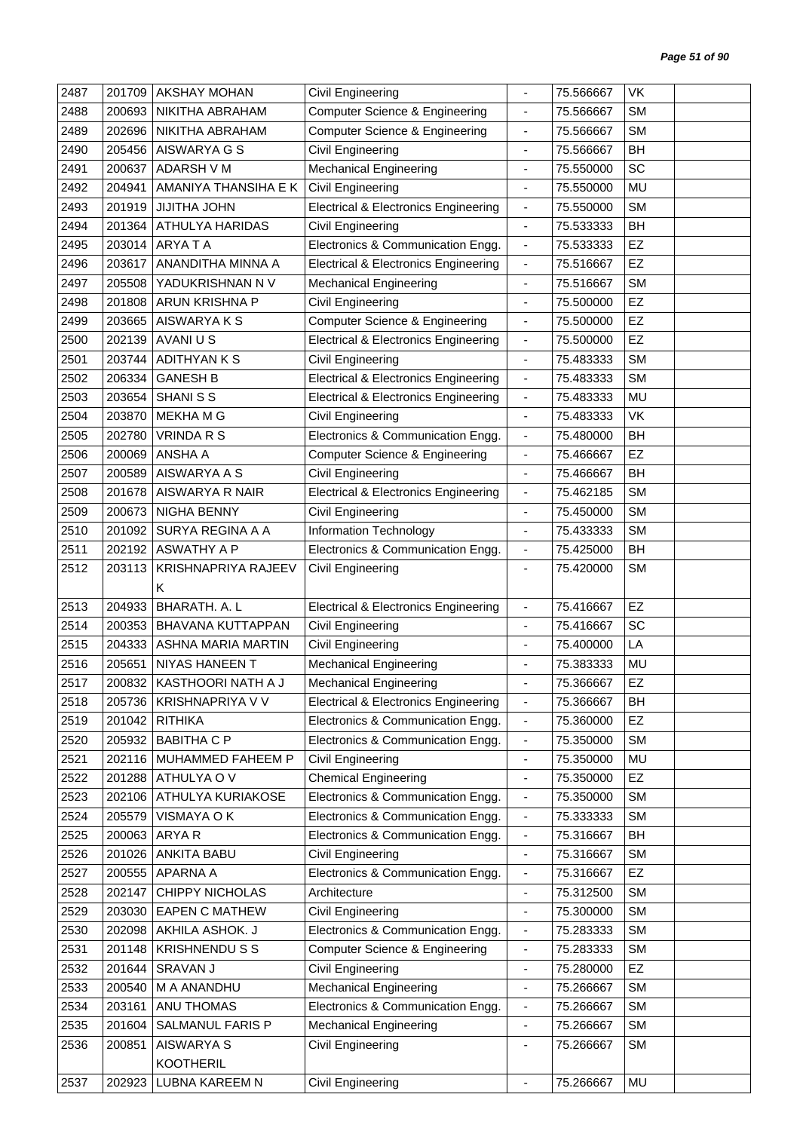| 2487 | 201709 | <b>AKSHAY MOHAN</b>    | Civil Engineering                               |                          | 75.566667 | <b>VK</b> |
|------|--------|------------------------|-------------------------------------------------|--------------------------|-----------|-----------|
| 2488 | 200693 | NIKITHA ABRAHAM        | Computer Science & Engineering                  | $\overline{\phantom{a}}$ | 75.566667 | <b>SM</b> |
| 2489 | 202696 | NIKITHA ABRAHAM        | <b>Computer Science &amp; Engineering</b>       | $\overline{\phantom{a}}$ | 75.566667 | <b>SM</b> |
| 2490 | 205456 | AISWARYA G S           | Civil Engineering                               | $\overline{\phantom{a}}$ | 75.566667 | BH        |
| 2491 | 200637 | <b>ADARSH V M</b>      | <b>Mechanical Engineering</b>                   | $\overline{\phantom{a}}$ | 75.550000 | SC        |
| 2492 | 204941 | AMANIYA THANSIHA E K   | <b>Civil Engineering</b>                        | ÷,                       | 75.550000 | MU        |
| 2493 | 201919 | <b>JIJITHA JOHN</b>    | <b>Electrical &amp; Electronics Engineering</b> | $\overline{\phantom{a}}$ | 75.550000 | <b>SM</b> |
| 2494 | 201364 | <b>ATHULYA HARIDAS</b> | Civil Engineering                               | $\blacksquare$           | 75.533333 | BH        |
| 2495 | 203014 | ARYA T A               | Electronics & Communication Engg.               | $\overline{\phantom{a}}$ | 75.533333 | EZ        |
| 2496 | 203617 | ANANDITHA MINNA A      | <b>Electrical &amp; Electronics Engineering</b> | $\overline{\phantom{a}}$ | 75.516667 | EZ        |
| 2497 | 205508 | YADUKRISHNAN N V       | <b>Mechanical Engineering</b>                   | $\blacksquare$           | 75.516667 | <b>SM</b> |
| 2498 | 201808 | ARUN KRISHNA P         | Civil Engineering                               | $\overline{\phantom{a}}$ | 75.500000 | EZ        |
| 2499 | 203665 | AISWARYA K S           | <b>Computer Science &amp; Engineering</b>       | $\blacksquare$           | 75.500000 | EZ        |
| 2500 | 202139 | AVANI U S              | <b>Electrical &amp; Electronics Engineering</b> | $\overline{\phantom{a}}$ | 75.500000 | EZ        |
| 2501 | 203744 | ADITHYAN K S           | Civil Engineering                               | $\overline{\phantom{a}}$ | 75.483333 | <b>SM</b> |
| 2502 | 206334 | <b>GANESH B</b>        | <b>Electrical &amp; Electronics Engineering</b> | $\overline{\phantom{a}}$ | 75.483333 | <b>SM</b> |
| 2503 | 203654 | <b>SHANI S S</b>       | <b>Electrical &amp; Electronics Engineering</b> | $\blacksquare$           | 75.483333 | <b>MU</b> |
| 2504 | 203870 | MEKHA M G              | Civil Engineering                               | $\overline{\phantom{a}}$ | 75.483333 | VK        |
| 2505 | 202780 | <b>VRINDA R S</b>      | Electronics & Communication Engg.               | $\blacksquare$           | 75.480000 | BH        |
| 2506 | 200069 | ANSHA A                | <b>Computer Science &amp; Engineering</b>       | $\overline{\phantom{a}}$ | 75.466667 | EZ        |
| 2507 | 200589 | AISWARYA A S           | Civil Engineering                               | $\overline{\phantom{a}}$ | 75.466667 | BH        |
| 2508 | 201678 | AISWARYA R NAIR        | <b>Electrical &amp; Electronics Engineering</b> | $\overline{\phantom{a}}$ | 75.462185 | <b>SM</b> |
| 2509 | 200673 | NIGHA BENNY            | Civil Engineering                               | $\overline{\phantom{a}}$ | 75.450000 | <b>SM</b> |
| 2510 | 201092 | SURYA REGINA A A       | Information Technology                          | $\overline{\phantom{a}}$ | 75.433333 | <b>SM</b> |
| 2511 | 202192 | <b>ASWATHY A P</b>     | Electronics & Communication Engg.               | $\overline{\phantom{a}}$ | 75.425000 | <b>BH</b> |
| 2512 | 203113 | KRISHNAPRIYA RAJEEV    | Civil Engineering                               | $\overline{\phantom{a}}$ | 75.420000 | <b>SM</b> |
|      |        | K                      |                                                 |                          |           |           |
| 2513 | 204933 | <b>BHARATH. A. L</b>   | <b>Electrical &amp; Electronics Engineering</b> | $\overline{\phantom{a}}$ | 75.416667 | EZ        |
| 2514 | 200353 | BHAVANA KUTTAPPAN      | Civil Engineering                               | $\blacksquare$           | 75.416667 | SC        |
| 2515 | 204333 | ASHNA MARIA MARTIN     | Civil Engineering                               | $\overline{\phantom{a}}$ | 75.400000 | LA        |
| 2516 | 205651 | NIYAS HANEEN T         | <b>Mechanical Engineering</b>                   |                          | 75.383333 | MU        |
| 2517 | 200832 | KASTHOORI NATH A J     | <b>Mechanical Engineering</b>                   |                          | 75.366667 | EZ        |
| 2518 | 205736 | KRISHNAPRIYA V V       | Electrical & Electronics Engineering            | $\overline{\phantom{a}}$ | 75.366667 | BH        |
| 2519 | 201042 | <b>RITHIKA</b>         | Electronics & Communication Engg.               | $\overline{\phantom{a}}$ | 75.360000 | EZ        |
| 2520 | 205932 | <b>BABITHA C P</b>     | Electronics & Communication Engg.               | $\blacksquare$           | 75.350000 | <b>SM</b> |
| 2521 | 202116 | MUHAMMED FAHEEM P      | Civil Engineering                               | $\overline{\phantom{a}}$ | 75.350000 | MU        |
| 2522 | 201288 | ATHULYA O V            | <b>Chemical Engineering</b>                     | $\overline{\phantom{a}}$ | 75.350000 | <b>EZ</b> |
| 2523 | 202106 | ATHULYA KURIAKOSE      | Electronics & Communication Engg.               | $\overline{\phantom{a}}$ | 75.350000 | SM        |
| 2524 | 205579 | VISMAYA O K            | Electronics & Communication Engg.               | $\overline{\phantom{a}}$ | 75.333333 | SM        |
| 2525 | 200063 | ARYA R                 | Electronics & Communication Engg.               | $\blacksquare$           | 75.316667 | BH        |
| 2526 | 201026 | <b>ANKITA BABU</b>     | Civil Engineering                               | $\blacksquare$           | 75.316667 | <b>SM</b> |
| 2527 | 200555 | APARNA A               | Electronics & Communication Engg.               | $\overline{\phantom{a}}$ | 75.316667 | EZ        |
| 2528 | 202147 | CHIPPY NICHOLAS        | Architecture                                    | $\blacksquare$           | 75.312500 | SM        |
| 2529 | 203030 | <b>EAPEN C MATHEW</b>  | Civil Engineering                               | $\blacksquare$           | 75.300000 | <b>SM</b> |
| 2530 | 202098 | AKHILA ASHOK. J        | Electronics & Communication Engg.               | $\overline{\phantom{a}}$ | 75.283333 | SM        |
| 2531 | 201148 | <b>KRISHNENDUSS</b>    | <b>Computer Science &amp; Engineering</b>       | $\blacksquare$           | 75.283333 | SM        |
| 2532 | 201644 | SRAVAN J               | Civil Engineering                               | $\blacksquare$           | 75.280000 | EZ        |
| 2533 | 200540 | M A ANANDHU            | <b>Mechanical Engineering</b>                   | $\overline{\phantom{a}}$ | 75.266667 | <b>SM</b> |
| 2534 | 203161 | ANU THOMAS             | Electronics & Communication Engg.               | $\overline{\phantom{a}}$ | 75.266667 | <b>SM</b> |
| 2535 | 201604 | SALMANUL FARIS P       | <b>Mechanical Engineering</b>                   | $\overline{\phantom{a}}$ | 75.266667 | SM        |
| 2536 | 200851 | AISWARYA S             | Civil Engineering                               | $\overline{\phantom{a}}$ | 75.266667 | <b>SM</b> |
|      |        | <b>KOOTHERIL</b>       |                                                 |                          |           |           |
| 2537 | 202923 | LUBNA KAREEM N         | Civil Engineering                               |                          | 75.266667 | MU        |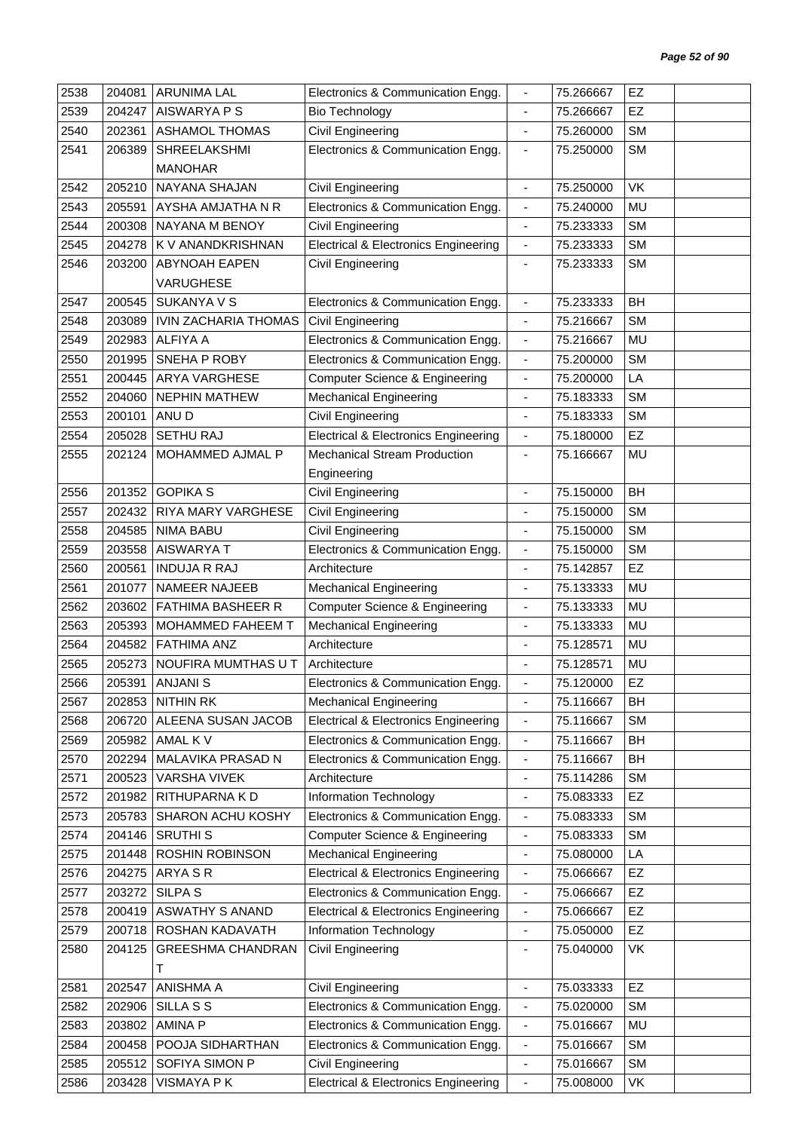| 2538 | 204081 | <b>ARUNIMA LAL</b>       | Electronics & Communication Engg.               |                          | 75.266667 | EZ        |  |
|------|--------|--------------------------|-------------------------------------------------|--------------------------|-----------|-----------|--|
| 2539 | 204247 | AISWARYA P S             | <b>Bio Technology</b>                           | $\blacksquare$           | 75.266667 | EZ        |  |
| 2540 | 202361 | <b>ASHAMOL THOMAS</b>    | <b>Civil Engineering</b>                        | $\overline{\phantom{a}}$ | 75.260000 | <b>SM</b> |  |
| 2541 | 206389 | SHREELAKSHMI             | Electronics & Communication Engg.               | $\blacksquare$           | 75.250000 | <b>SM</b> |  |
|      |        | <b>MANOHAR</b>           |                                                 |                          |           |           |  |
| 2542 | 205210 | NAYANA SHAJAN            | <b>Civil Engineering</b>                        | $\blacksquare$           | 75.250000 | <b>VK</b> |  |
| 2543 | 205591 | AYSHA AMJATHA N R        | Electronics & Communication Engg.               | $\blacksquare$           | 75.240000 | MU        |  |
| 2544 | 200308 | NAYANA M BENOY           | <b>Civil Engineering</b>                        | $\overline{\phantom{a}}$ | 75.233333 | <b>SM</b> |  |
| 2545 | 204278 | K V ANANDKRISHNAN        | <b>Electrical &amp; Electronics Engineering</b> | $\frac{1}{2}$            | 75.233333 | <b>SM</b> |  |
| 2546 | 203200 | <b>ABYNOAH EAPEN</b>     | Civil Engineering                               | $\overline{\phantom{a}}$ | 75.233333 | <b>SM</b> |  |
|      |        | VARUGHESE                |                                                 |                          |           |           |  |
| 2547 | 200545 | SUKANYA V S              | Electronics & Communication Engg.               | $\overline{\phantom{a}}$ | 75.233333 | <b>BH</b> |  |
| 2548 | 203089 | IVIN ZACHARIA THOMAS     | <b>Civil Engineering</b>                        | $\blacksquare$           | 75.216667 | <b>SM</b> |  |
| 2549 | 202983 | <b>ALFIYA A</b>          | Electronics & Communication Engg.               | $\overline{\phantom{a}}$ | 75.216667 | MU        |  |
| 2550 | 201995 | SNEHA P ROBY             | Electronics & Communication Engg.               | $\blacksquare$           | 75.200000 | <b>SM</b> |  |
| 2551 | 200445 | ARYA VARGHESE            | Computer Science & Engineering                  | $\overline{\phantom{a}}$ | 75.200000 | LA        |  |
| 2552 | 204060 | <b>NEPHIN MATHEW</b>     | <b>Mechanical Engineering</b>                   | $\overline{\phantom{a}}$ | 75.183333 | <b>SM</b> |  |
| 2553 | 200101 | ANU D                    | Civil Engineering                               |                          | 75.183333 | <b>SM</b> |  |
| 2554 | 205028 | <b>SETHU RAJ</b>         | <b>Electrical &amp; Electronics Engineering</b> | $\blacksquare$           | 75.180000 | EZ        |  |
| 2555 | 202124 | MOHAMMED AJMAL P         | <b>Mechanical Stream Production</b>             |                          | 75.166667 | MU        |  |
|      |        |                          | Engineering                                     |                          |           |           |  |
| 2556 | 201352 | <b>GOPIKA S</b>          | <b>Civil Engineering</b>                        | $\blacksquare$           | 75.150000 | <b>BH</b> |  |
| 2557 | 202432 | RIYA MARY VARGHESE       | Civil Engineering                               |                          | 75.150000 | <b>SM</b> |  |
| 2558 | 204585 | NIMA BABU                | Civil Engineering                               | $\overline{\phantom{a}}$ | 75.150000 | <b>SM</b> |  |
| 2559 | 203558 | AISWARYA T               | Electronics & Communication Engg.               | $\overline{\phantom{a}}$ | 75.150000 | <b>SM</b> |  |
| 2560 | 200561 | <b>INDUJA R RAJ</b>      | Architecture                                    | $\blacksquare$           | 75.142857 | EZ        |  |
| 2561 | 201077 | NAMEER NAJEEB            | <b>Mechanical Engineering</b>                   | $\blacksquare$           | 75.133333 | MU        |  |
| 2562 | 203602 | <b>FATHIMA BASHEER R</b> | <b>Computer Science &amp; Engineering</b>       | $\overline{\phantom{a}}$ | 75.133333 | <b>MU</b> |  |
| 2563 | 205393 | <b>MOHAMMED FAHEEM T</b> | <b>Mechanical Engineering</b>                   | $\overline{\phantom{a}}$ | 75.133333 | MU        |  |
| 2564 | 204582 | <b>FATHIMA ANZ</b>       | Architecture                                    | $\blacksquare$           | 75.128571 | MU        |  |
| 2565 | 205273 | NOUFIRA MUMTHAS U T      | Architecture                                    |                          | 75.128571 | MU        |  |
| 2566 | 205391 | <b>ANJANIS</b>           | Electronics & Communication Engg.               |                          | 75.120000 | EZ        |  |
| 2567 | 202853 | NITHIN RK                | <b>Mechanical Engineering</b>                   | $\overline{\phantom{a}}$ | 75.116667 | <b>BH</b> |  |
| 2568 | 206720 | ALEENA SUSAN JACOB       | <b>Electrical &amp; Electronics Engineering</b> | $\overline{\phantom{a}}$ | 75.116667 | <b>SM</b> |  |
| 2569 | 205982 | AMAL K V                 | Electronics & Communication Engg.               | $\blacksquare$           | 75.116667 | <b>BH</b> |  |
| 2570 | 202294 | MALAVIKA PRASAD N        | Electronics & Communication Engg.               | $\overline{\phantom{a}}$ | 75.116667 | BH        |  |
| 2571 | 200523 | <b>VARSHA VIVEK</b>      | Architecture                                    | ÷                        | 75.114286 | SM        |  |
| 2572 | 201982 | RITHUPARNA K D           | Information Technology                          | $\overline{\phantom{a}}$ | 75.083333 | EZ        |  |
| 2573 | 205783 | SHARON ACHU KOSHY        | Electronics & Communication Engg.               | $\blacksquare$           | 75.083333 | SM        |  |
| 2574 | 204146 | <b>SRUTHIS</b>           | Computer Science & Engineering                  | $\overline{\phantom{a}}$ | 75.083333 | SM        |  |
| 2575 | 201448 | ROSHIN ROBINSON          | <b>Mechanical Engineering</b>                   | $\blacksquare$           | 75.080000 | LA        |  |
| 2576 | 204275 | ARYA S R                 | <b>Electrical &amp; Electronics Engineering</b> | $\blacksquare$           | 75.066667 | EZ        |  |
| 2577 | 203272 | SILPA <sub>S</sub>       | Electronics & Communication Engg.               | $\overline{\phantom{a}}$ | 75.066667 | EZ        |  |
| 2578 | 200419 | <b>ASWATHY S ANAND</b>   | <b>Electrical &amp; Electronics Engineering</b> | $\blacksquare$           | 75.066667 | EZ        |  |
| 2579 | 200718 | ROSHAN KADAVATH          | Information Technology                          | ÷                        | 75.050000 | EZ        |  |
| 2580 | 204125 | <b>GREESHMA CHANDRAN</b> | Civil Engineering                               | $\overline{\phantom{a}}$ | 75.040000 | VK        |  |
|      |        | т                        |                                                 |                          |           |           |  |
| 2581 | 202547 | ANISHMA A                | <b>Civil Engineering</b>                        | ÷,                       | 75.033333 | EZ        |  |
| 2582 | 202906 | SILLA S S                | Electronics & Communication Engg.               | $\blacksquare$           | 75.020000 | <b>SM</b> |  |
| 2583 | 203802 | <b>AMINA P</b>           | Electronics & Communication Engg.               | $\blacksquare$           | 75.016667 | MU        |  |
| 2584 | 200458 | POOJA SIDHARTHAN         | Electronics & Communication Engg.               | $\overline{\phantom{a}}$ | 75.016667 | SM        |  |
| 2585 | 205512 | SOFIYA SIMON P           | Civil Engineering                               | $\blacksquare$           | 75.016667 | SM        |  |
| 2586 | 203428 | VISMAYA P K              | <b>Electrical &amp; Electronics Engineering</b> | $\overline{\phantom{a}}$ | 75.008000 | VK        |  |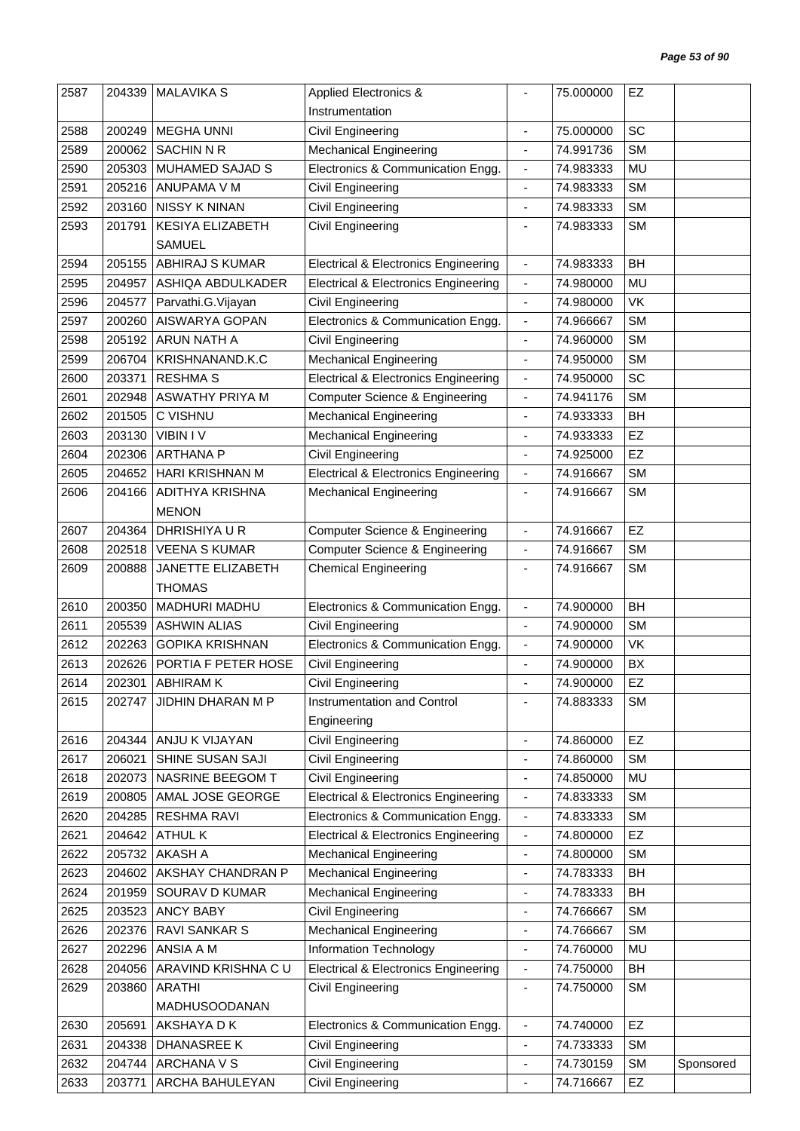| 2587 | 204339 | <b>MALAVIKA S</b>        | <b>Applied Electronics &amp;</b>                |                              | 75.000000 | EZ        |           |
|------|--------|--------------------------|-------------------------------------------------|------------------------------|-----------|-----------|-----------|
|      |        |                          | Instrumentation                                 |                              |           |           |           |
| 2588 | 200249 | <b>MEGHA UNNI</b>        | Civil Engineering                               | $\blacksquare$               | 75.000000 | SC        |           |
| 2589 | 200062 | <b>SACHIN N R</b>        | <b>Mechanical Engineering</b>                   | $\overline{\phantom{a}}$     | 74.991736 | <b>SM</b> |           |
| 2590 | 205303 | MUHAMED SAJAD S          | Electronics & Communication Engg.               | $\blacksquare$               | 74.983333 | MU        |           |
| 2591 | 205216 | ANUPAMA V M              | Civil Engineering                               | $\blacksquare$               | 74.983333 | <b>SM</b> |           |
| 2592 | 203160 | <b>NISSY K NINAN</b>     | Civil Engineering                               | $\overline{\phantom{a}}$     | 74.983333 | <b>SM</b> |           |
| 2593 | 201791 | <b>KESIYA ELIZABETH</b>  | Civil Engineering                               | $\overline{a}$               | 74.983333 | <b>SM</b> |           |
|      |        | <b>SAMUEL</b>            |                                                 |                              |           |           |           |
| 2594 | 205155 | <b>ABHIRAJ S KUMAR</b>   | <b>Electrical &amp; Electronics Engineering</b> | $\blacksquare$               | 74.983333 | <b>BH</b> |           |
| 2595 | 204957 | ASHIQA ABDULKADER        | <b>Electrical &amp; Electronics Engineering</b> | $\blacksquare$               | 74.980000 | <b>MU</b> |           |
| 2596 | 204577 | Parvathi.G.Vijayan       | Civil Engineering                               | $\overline{\phantom{a}}$     | 74.980000 | <b>VK</b> |           |
| 2597 | 200260 | AISWARYA GOPAN           | Electronics & Communication Engg.               | $\overline{\phantom{a}}$     | 74.966667 | <b>SM</b> |           |
| 2598 | 205192 | <b>ARUN NATH A</b>       | Civil Engineering                               | $\blacksquare$               | 74.960000 | <b>SM</b> |           |
| 2599 | 206704 | KRISHNANAND.K.C          | <b>Mechanical Engineering</b>                   | $\blacksquare$               | 74.950000 | <b>SM</b> |           |
| 2600 | 203371 | <b>RESHMA S</b>          | <b>Electrical &amp; Electronics Engineering</b> | $\blacksquare$               | 74.950000 | SC        |           |
| 2601 | 202948 | <b>ASWATHY PRIYA M</b>   | Computer Science & Engineering                  | $\blacksquare$               | 74.941176 | <b>SM</b> |           |
| 2602 | 201505 | C VISHNU                 | <b>Mechanical Engineering</b>                   | $\blacksquare$               | 74.933333 | <b>BH</b> |           |
| 2603 | 203130 | <b>VIBIN IV</b>          | <b>Mechanical Engineering</b>                   | $\overline{\phantom{a}}$     | 74.933333 | EZ        |           |
| 2604 | 202306 | <b>ARTHANA P</b>         | Civil Engineering                               | $\overline{a}$               | 74.925000 | EZ        |           |
| 2605 | 204652 | HARI KRISHNAN M          | <b>Electrical &amp; Electronics Engineering</b> | $\blacksquare$               | 74.916667 | <b>SM</b> |           |
| 2606 | 204166 | ADITHYA KRISHNA          | <b>Mechanical Engineering</b>                   | $\overline{\phantom{a}}$     | 74.916667 | <b>SM</b> |           |
|      |        | <b>MENON</b>             |                                                 |                              |           |           |           |
| 2607 | 204364 | DHRISHIYA U R            | <b>Computer Science &amp; Engineering</b>       | $\blacksquare$               | 74.916667 | EZ        |           |
| 2608 | 202518 | <b>VEENA S KUMAR</b>     | Computer Science & Engineering                  | $\blacksquare$               | 74.916667 | <b>SM</b> |           |
| 2609 | 200888 | JANETTE ELIZABETH        | <b>Chemical Engineering</b>                     | $\overline{\phantom{a}}$     | 74.916667 | <b>SM</b> |           |
|      |        | <b>THOMAS</b>            |                                                 |                              |           |           |           |
| 2610 | 200350 | MADHURI MADHU            | Electronics & Communication Engg.               | $\blacksquare$               | 74.900000 | <b>BH</b> |           |
| 2611 | 205539 | <b>ASHWIN ALIAS</b>      | Civil Engineering                               | $\overline{\phantom{a}}$     | 74.900000 | <b>SM</b> |           |
| 2612 | 202263 | <b>GOPIKA KRISHNAN</b>   | Electronics & Communication Engg.               | $\blacksquare$               | 74.900000 | VK        |           |
| 2613 | 202626 | PORTIA F PETER HOSE      | Civil Engineering                               |                              | 74.900000 | BX        |           |
| 2614 | 202301 | <b>ABHIRAM K</b>         | Civil Engineering                               |                              | 74.900000 | EZ        |           |
| 2615 |        | 202747 JIDHIN DHARAN M P | Instrumentation and Control                     |                              | 74.883333 | <b>SM</b> |           |
|      |        |                          | Engineering                                     |                              |           |           |           |
| 2616 | 204344 | ANJU K VIJAYAN           | Civil Engineering                               | $\overline{\phantom{a}}$     | 74.860000 | EZ        |           |
| 2617 | 206021 | SHINE SUSAN SAJI         | Civil Engineering                               | $\blacksquare$               | 74.860000 | <b>SM</b> |           |
| 2618 | 202073 | NASRINE BEEGOM T         | Civil Engineering                               | $\qquad \qquad \blacksquare$ | 74.850000 | MU        |           |
| 2619 | 200805 | AMAL JOSE GEORGE         | <b>Electrical &amp; Electronics Engineering</b> | $\overline{\phantom{a}}$     | 74.833333 | <b>SM</b> |           |
| 2620 | 204285 | <b>RESHMA RAVI</b>       | Electronics & Communication Engg.               | $\blacksquare$               | 74.833333 | SM        |           |
| 2621 | 204642 | <b>ATHUL K</b>           | <b>Electrical &amp; Electronics Engineering</b> | $\overline{\phantom{a}}$     | 74.800000 | EZ        |           |
| 2622 | 205732 | AKASH A                  | <b>Mechanical Engineering</b>                   | $\blacksquare$               | 74.800000 | <b>SM</b> |           |
| 2623 | 204602 | AKSHAY CHANDRAN P        | <b>Mechanical Engineering</b>                   | $\overline{\phantom{a}}$     | 74.783333 | <b>BH</b> |           |
| 2624 | 201959 | SOURAV D KUMAR           | <b>Mechanical Engineering</b>                   | $\overline{\phantom{a}}$     | 74.783333 | BH        |           |
| 2625 | 203523 | <b>ANCY BABY</b>         | Civil Engineering                               | $\overline{\phantom{a}}$     | 74.766667 | <b>SM</b> |           |
| 2626 | 202376 | RAVI SANKAR S            | <b>Mechanical Engineering</b>                   | $\qquad \qquad \blacksquare$ | 74.766667 | <b>SM</b> |           |
| 2627 | 202296 | ANSIA A M                | Information Technology                          | $\overline{\phantom{a}}$     | 74.760000 | MU        |           |
| 2628 | 204056 | ARAVIND KRISHNA C U      | <b>Electrical &amp; Electronics Engineering</b> | $\blacksquare$               | 74.750000 | <b>BH</b> |           |
| 2629 | 203860 | <b>ARATHI</b>            | Civil Engineering                               | $\overline{\phantom{a}}$     | 74.750000 | <b>SM</b> |           |
|      |        | MADHUSOODANAN            |                                                 |                              |           |           |           |
| 2630 | 205691 | AKSHAYA D K              | Electronics & Communication Engg.               | $\blacksquare$               | 74.740000 | EZ        |           |
| 2631 | 204338 | DHANASREE K              | Civil Engineering                               | $\overline{\phantom{a}}$     | 74.733333 | <b>SM</b> |           |
| 2632 | 204744 | ARCHANA V S              | <b>Civil Engineering</b>                        | $\blacksquare$               | 74.730159 | <b>SM</b> | Sponsored |
| 2633 | 203771 | ARCHA BAHULEYAN          | Civil Engineering                               | $\overline{a}$               | 74.716667 | EZ        |           |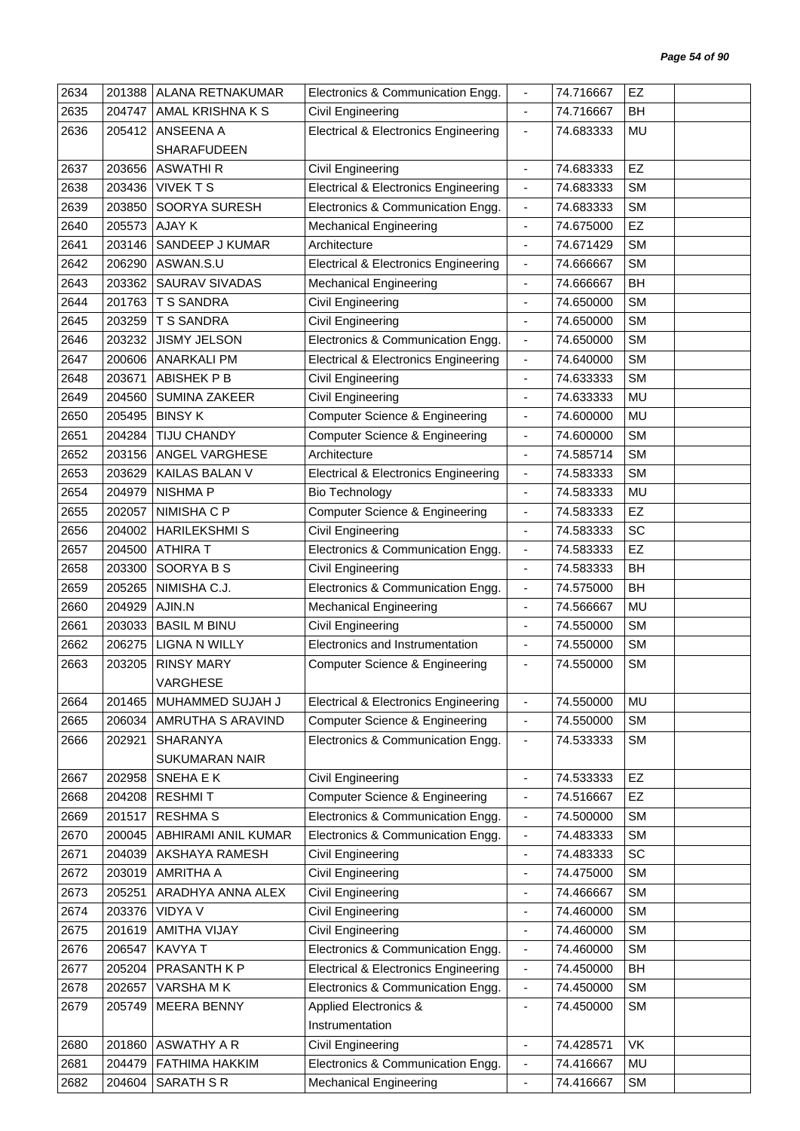| 2634 | 201388 | ALANA RETNAKUMAR      | Electronics & Communication Engg.               |                              | 74.716667 | EZ        |
|------|--------|-----------------------|-------------------------------------------------|------------------------------|-----------|-----------|
| 2635 | 204747 | AMAL KRISHNA K S      | Civil Engineering                               | $\overline{\phantom{a}}$     | 74.716667 | <b>BH</b> |
| 2636 | 205412 | ANSEENA A             | <b>Electrical &amp; Electronics Engineering</b> | $\overline{\phantom{a}}$     | 74.683333 | MU        |
|      |        | SHARAFUDEEN           |                                                 |                              |           |           |
| 2637 | 203656 | <b>ASWATHIR</b>       | Civil Engineering                               | $\overline{\phantom{a}}$     | 74.683333 | <b>EZ</b> |
| 2638 | 203436 | <b>VIVEKTS</b>        | <b>Electrical &amp; Electronics Engineering</b> | $\blacksquare$               | 74.683333 | <b>SM</b> |
| 2639 | 203850 | SOORYA SURESH         | Electronics & Communication Engg.               | $\overline{\phantom{a}}$     | 74.683333 | <b>SM</b> |
| 2640 | 205573 | AJAY K                | <b>Mechanical Engineering</b>                   | $\blacksquare$               | 74.675000 | EZ        |
| 2641 | 203146 | SANDEEP J KUMAR       | Architecture                                    |                              | 74.671429 | <b>SM</b> |
| 2642 | 206290 | ASWAN.S.U             | <b>Electrical &amp; Electronics Engineering</b> | $\overline{\phantom{a}}$     | 74.666667 | <b>SM</b> |
| 2643 | 203362 | <b>SAURAV SIVADAS</b> | <b>Mechanical Engineering</b>                   | $\overline{\phantom{a}}$     | 74.666667 | <b>BH</b> |
| 2644 | 201763 | <b>T S SANDRA</b>     | Civil Engineering                               | ä,                           | 74.650000 | <b>SM</b> |
| 2645 | 203259 | <b>T S SANDRA</b>     | Civil Engineering                               | $\overline{\phantom{a}}$     | 74.650000 | <b>SM</b> |
| 2646 | 203232 | <b>JISMY JELSON</b>   | Electronics & Communication Engg.               | $\overline{\phantom{a}}$     | 74.650000 | <b>SM</b> |
| 2647 | 200606 | <b>ANARKALI PM</b>    | <b>Electrical &amp; Electronics Engineering</b> | $\blacksquare$               | 74.640000 | <b>SM</b> |
| 2648 | 203671 | ABISHEK P B           | Civil Engineering                               | $\overline{\phantom{a}}$     | 74.633333 | <b>SM</b> |
| 2649 | 204560 | <b>SUMINA ZAKEER</b>  | Civil Engineering                               | $\blacksquare$               | 74.633333 | <b>MU</b> |
| 2650 | 205495 | <b>BINSY K</b>        | Computer Science & Engineering                  | $\overline{\phantom{a}}$     | 74.600000 | MU        |
| 2651 | 204284 | TIJU CHANDY           | Computer Science & Engineering                  | $\blacksquare$               | 74.600000 | <b>SM</b> |
| 2652 | 203156 | ANGEL VARGHESE        | Architecture                                    | $\blacksquare$               | 74.585714 | <b>SM</b> |
| 2653 | 203629 | KAILAS BALAN V        | <b>Electrical &amp; Electronics Engineering</b> | $\overline{\phantom{a}}$     | 74.583333 | <b>SM</b> |
| 2654 | 204979 | <b>NISHMA P</b>       | <b>Bio Technology</b>                           | $\blacksquare$               | 74.583333 | <b>MU</b> |
| 2655 | 202057 | NIMISHA C P           | <b>Computer Science &amp; Engineering</b>       | $\overline{\phantom{a}}$     | 74.583333 | <b>EZ</b> |
| 2656 | 204002 | <b>HARILEKSHMI S</b>  | Civil Engineering                               | $\qquad \qquad \blacksquare$ | 74.583333 | SC        |
| 2657 | 204500 | <b>ATHIRA T</b>       | Electronics & Communication Engg.               | $\overline{\phantom{a}}$     | 74.583333 | EZ        |
| 2658 | 203300 | SOORYA B S            | Civil Engineering                               | $\blacksquare$               | 74.583333 | <b>BH</b> |
| 2659 | 205265 | NIMISHA C.J.          | Electronics & Communication Engg.               | $\overline{\phantom{a}}$     | 74.575000 | <b>BH</b> |
| 2660 | 204929 | AJIN.N                | <b>Mechanical Engineering</b>                   | $\blacksquare$               | 74.566667 | MU        |
| 2661 | 203033 | <b>BASIL M BINU</b>   | Civil Engineering                               | $\overline{\phantom{a}}$     | 74.550000 | <b>SM</b> |
| 2662 | 206275 | <b>LIGNA N WILLY</b>  | Electronics and Instrumentation                 | $\blacksquare$               | 74.550000 | <b>SM</b> |
| 2663 | 203205 | <b>RINSY MARY</b>     | Computer Science & Engineering                  |                              | 74.550000 | <b>SM</b> |
|      |        | VARGHESE              |                                                 |                              |           |           |
| 2664 | 201465 | MUHAMMED SUJAH J      | <b>Electrical &amp; Electronics Engineering</b> | $\blacksquare$               | 74.550000 | MU        |
| 2665 | 206034 | AMRUTHA S ARAVIND     | Computer Science & Engineering                  | $\overline{\phantom{a}}$     | 74.550000 | <b>SM</b> |
| 2666 | 202921 | SHARANYA              | Electronics & Communication Engg.               | $\qquad \qquad \blacksquare$ | 74.533333 | SM        |
|      |        | SUKUMARAN NAIR        |                                                 |                              |           |           |
| 2667 | 202958 | SNEHA E K             | Civil Engineering                               | $\blacksquare$               | 74.533333 | EZ        |
| 2668 | 204208 | <b>RESHMIT</b>        | Computer Science & Engineering                  | $\overline{\phantom{a}}$     | 74.516667 | <b>EZ</b> |
| 2669 | 201517 | <b>RESHMA S</b>       | Electronics & Communication Engg.               | $\blacksquare$               | 74.500000 | SM        |
| 2670 | 200045 | ABHIRAMI ANIL KUMAR   | Electronics & Communication Engg.               | $\overline{\phantom{a}}$     | 74.483333 | SM        |
| 2671 | 204039 | AKSHAYA RAMESH        | Civil Engineering                               | $\blacksquare$               | 74.483333 | SC        |
| 2672 | 203019 | <b>AMRITHA A</b>      | Civil Engineering                               | $\overline{\phantom{a}}$     | 74.475000 | <b>SM</b> |
| 2673 | 205251 | ARADHYA ANNA ALEX     | Civil Engineering                               | $\qquad \qquad \blacksquare$ | 74.466667 | SM        |
| 2674 | 203376 | <b>VIDYA V</b>        | Civil Engineering                               | $\overline{\phantom{a}}$     | 74.460000 | <b>SM</b> |
| 2675 | 201619 | AMITHA VIJAY          | Civil Engineering                               | $\overline{\phantom{a}}$     | 74.460000 | <b>SM</b> |
| 2676 | 206547 | KAVYA T               | Electronics & Communication Engg.               | $\qquad \qquad \blacksquare$ | 74.460000 | <b>SM</b> |
| 2677 | 205204 | PRASANTH K P          | <b>Electrical &amp; Electronics Engineering</b> | $\overline{\phantom{a}}$     | 74.450000 | <b>BH</b> |
| 2678 | 202657 | VARSHA MK             | Electronics & Communication Engg.               | $\qquad \qquad \blacksquare$ | 74.450000 | <b>SM</b> |
| 2679 | 205749 | MEERA BENNY           | <b>Applied Electronics &amp;</b>                | $\qquad \qquad \blacksquare$ | 74.450000 | SM        |
|      |        |                       | Instrumentation                                 |                              |           |           |
| 2680 | 201860 | <b>ASWATHY A R</b>    | Civil Engineering                               | $\qquad \qquad \blacksquare$ | 74.428571 | VK        |
| 2681 | 204479 | FATHIMA HAKKIM        | Electronics & Communication Engg.               | $\overline{\phantom{a}}$     | 74.416667 | MU        |
| 2682 | 204604 | SARATH S R            | <b>Mechanical Engineering</b>                   | $\overline{\phantom{a}}$     | 74.416667 | <b>SM</b> |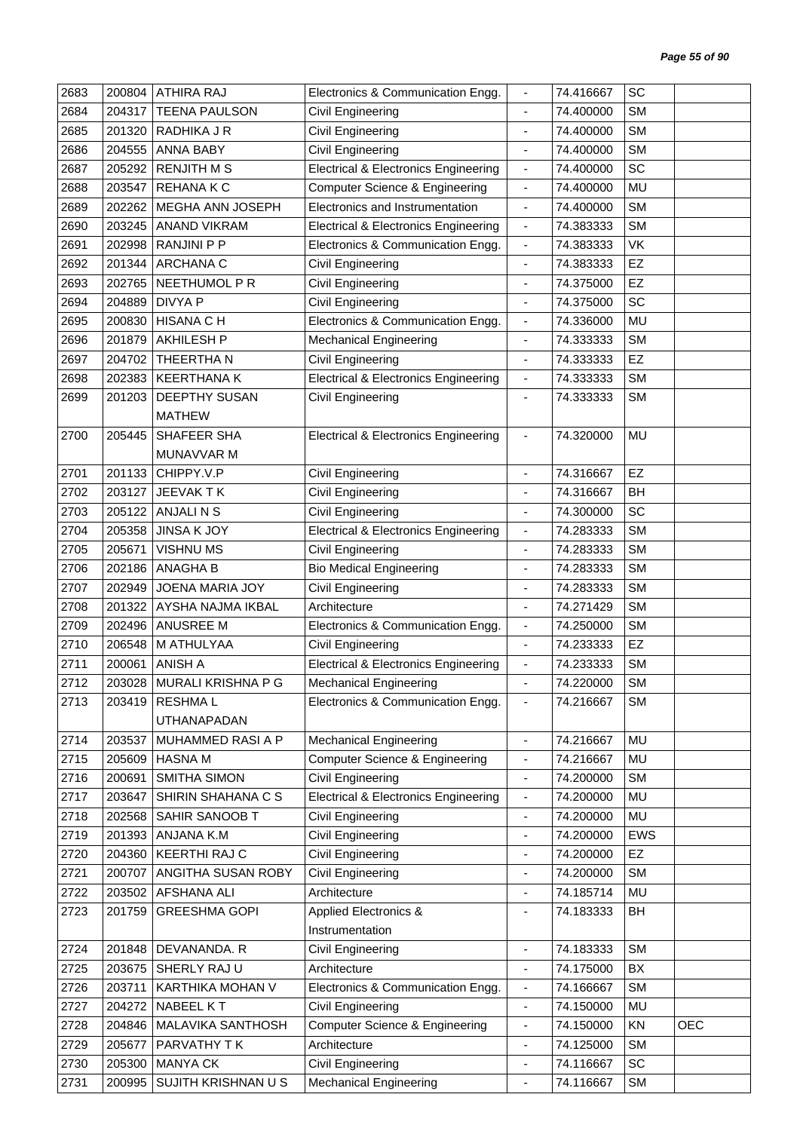| 2683 | 200804 | <b>ATHIRA RAJ</b>      | Electronics & Communication Engg.               | $\overline{\phantom{a}}$     | 74.416667 | SC        |            |
|------|--------|------------------------|-------------------------------------------------|------------------------------|-----------|-----------|------------|
| 2684 | 204317 | <b>TEENA PAULSON</b>   | Civil Engineering                               | $\overline{\phantom{a}}$     | 74.400000 | <b>SM</b> |            |
| 2685 | 201320 | RADHIKA J R            | Civil Engineering                               |                              | 74.400000 | <b>SM</b> |            |
| 2686 | 204555 | <b>ANNA BABY</b>       | Civil Engineering                               | $\overline{\phantom{a}}$     | 74.400000 | <b>SM</b> |            |
| 2687 | 205292 | <b>RENJITH M S</b>     | <b>Electrical &amp; Electronics Engineering</b> | $\overline{\phantom{a}}$     | 74.400000 | SC        |            |
| 2688 | 203547 | <b>REHANAKC</b>        | <b>Computer Science &amp; Engineering</b>       | $\blacksquare$               | 74.400000 | <b>MU</b> |            |
| 2689 | 202262 | MEGHA ANN JOSEPH       | Electronics and Instrumentation                 | $\overline{\phantom{a}}$     | 74.400000 | <b>SM</b> |            |
| 2690 | 203245 | <b>ANAND VIKRAM</b>    | <b>Electrical &amp; Electronics Engineering</b> | $\overline{\phantom{a}}$     | 74.383333 | <b>SM</b> |            |
| 2691 | 202998 | <b>RANJINI P P</b>     | Electronics & Communication Engg.               | $\blacksquare$               | 74.383333 | VK        |            |
| 2692 | 201344 | ARCHANA C              | Civil Engineering                               | $\qquad \qquad \blacksquare$ | 74.383333 | EZ        |            |
| 2693 | 202765 | NEETHUMOL P R          | Civil Engineering                               | $\blacksquare$               | 74.375000 | EZ        |            |
| 2694 | 204889 | <b>DIVYA P</b>         | <b>Civil Engineering</b>                        | $\overline{\phantom{a}}$     | 74.375000 | SC        |            |
| 2695 | 200830 | <b>HISANA C H</b>      | Electronics & Communication Engg.               | $\overline{\phantom{a}}$     | 74.336000 | MU        |            |
| 2696 | 201879 | <b>AKHILESH P</b>      | <b>Mechanical Engineering</b>                   |                              | 74.333333 | <b>SM</b> |            |
| 2697 | 204702 | THEERTHA N             | Civil Engineering                               | $\qquad \qquad \blacksquare$ | 74.333333 | EZ        |            |
| 2698 | 202383 | <b>KEERTHANA K</b>     | <b>Electrical &amp; Electronics Engineering</b> | $\blacksquare$               | 74.333333 | <b>SM</b> |            |
| 2699 | 201203 | DEEPTHY SUSAN          | Civil Engineering                               | $\overline{\phantom{a}}$     | 74.333333 | <b>SM</b> |            |
|      |        | <b>MATHEW</b>          |                                                 |                              |           |           |            |
| 2700 | 205445 | SHAFEER SHA            | <b>Electrical &amp; Electronics Engineering</b> | $\overline{\phantom{a}}$     | 74.320000 | MU        |            |
|      |        | MUNAVVAR M             |                                                 |                              |           |           |            |
| 2701 | 201133 | CHIPPY.V.P             | Civil Engineering                               | $\overline{\phantom{a}}$     | 74.316667 | EZ        |            |
| 2702 | 203127 | JEEVAK TK              | <b>Civil Engineering</b>                        | $\blacksquare$               | 74.316667 | BH        |            |
| 2703 | 205122 | ANJALI N S             | Civil Engineering                               | $\blacksquare$               | 74.300000 | SC        |            |
| 2704 | 205358 | <b>JINSA K JOY</b>     | <b>Electrical &amp; Electronics Engineering</b> | $\overline{\phantom{a}}$     | 74.283333 | <b>SM</b> |            |
| 2705 | 205671 | <b>VISHNUMS</b>        | Civil Engineering                               | ÷,                           | 74.283333 | <b>SM</b> |            |
| 2706 | 202186 | <b>ANAGHA B</b>        | <b>Bio Medical Engineering</b>                  | $\overline{\phantom{a}}$     | 74.283333 | <b>SM</b> |            |
| 2707 | 202949 | <b>JOENA MARIA JOY</b> | <b>Civil Engineering</b>                        | $\blacksquare$               | 74.283333 | <b>SM</b> |            |
| 2708 | 201322 | AYSHA NAJMA IKBAL      | Architecture                                    | $\overline{\phantom{a}}$     | 74.271429 | <b>SM</b> |            |
| 2709 | 202496 | ANUSREE M              | Electronics & Communication Engg.               | $\overline{\phantom{a}}$     | 74.250000 | <b>SM</b> |            |
| 2710 | 206548 | M ATHULYAA             | Civil Engineering                               | $\overline{\phantom{a}}$     | 74.233333 | EZ        |            |
| 2711 | 200061 | <b>ANISH A</b>         | <b>Electrical &amp; Electronics Engineering</b> | $\blacksquare$               | 74.233333 | <b>SM</b> |            |
| 2712 | 203028 | MURALI KRISHNA P G     | <b>Mechanical Engineering</b>                   |                              | 74.220000 | SM        |            |
| 2713 | 203419 | <b>RESHMAL</b>         | Electronics & Communication Engg.               | $\overline{\phantom{a}}$     | 74.216667 | <b>SM</b> |            |
|      |        | UTHANAPADAN            |                                                 |                              |           |           |            |
| 2714 | 203537 | MUHAMMED RASI A P      | <b>Mechanical Engineering</b>                   | $\blacksquare$               | 74.216667 | MU        |            |
| 2715 | 205609 | <b>HASNAM</b>          | <b>Computer Science &amp; Engineering</b>       | $\overline{\phantom{a}}$     | 74.216667 | MU        |            |
| 2716 | 200691 | SMITHA SIMON           | Civil Engineering                               | $\overline{\phantom{a}}$     | 74.200000 | <b>SM</b> |            |
| 2717 | 203647 | SHIRIN SHAHANA C S     | <b>Electrical &amp; Electronics Engineering</b> | $\blacksquare$               | 74.200000 | MU        |            |
| 2718 | 202568 | SAHIR SANOOB T         | Civil Engineering                               | $\overline{\phantom{a}}$     | 74.200000 | MU        |            |
| 2719 | 201393 | ANJANA K.M             | Civil Engineering                               | $\blacksquare$               | 74.200000 | EWS       |            |
| 2720 | 204360 | KEERTHI RAJ C          | Civil Engineering                               | $\overline{\phantom{a}}$     | 74.200000 | EZ        |            |
| 2721 | 200707 | ANGITHA SUSAN ROBY     | Civil Engineering                               | ÷,                           | 74.200000 | <b>SM</b> |            |
| 2722 | 203502 | AFSHANA ALI            | Architecture                                    | $\overline{\phantom{a}}$     | 74.185714 | MU        |            |
| 2723 | 201759 | <b>GREESHMA GOPI</b>   | Applied Electronics &                           | $\overline{\phantom{a}}$     | 74.183333 | BH        |            |
|      |        |                        | Instrumentation                                 |                              |           |           |            |
| 2724 | 201848 | DEVANANDA. R           | Civil Engineering                               | $\blacksquare$               | 74.183333 | <b>SM</b> |            |
| 2725 | 203675 | SHERLY RAJU            | Architecture                                    | ÷,                           | 74.175000 | BX        |            |
| 2726 | 203711 | KARTHIKA MOHAN V       | Electronics & Communication Engg.               | $\overline{\phantom{a}}$     | 74.166667 | <b>SM</b> |            |
| 2727 | 204272 | NABEEL KT              | Civil Engineering                               | $\overline{\phantom{a}}$     | 74.150000 | MU        |            |
| 2728 | 204846 | MALAVIKA SANTHOSH      | <b>Computer Science &amp; Engineering</b>       | $\qquad \qquad \blacksquare$ | 74.150000 | KN        | <b>OEC</b> |
| 2729 | 205677 | PARVATHY TK            | Architecture                                    | $\overline{\phantom{a}}$     | 74.125000 | <b>SM</b> |            |
| 2730 | 205300 | <b>MANYA CK</b>        | Civil Engineering                               | $\overline{\phantom{a}}$     | 74.116667 | SC        |            |
| 2731 | 200995 | SUJITH KRISHNAN U S    | <b>Mechanical Engineering</b>                   | $\blacksquare$               | 74.116667 | <b>SM</b> |            |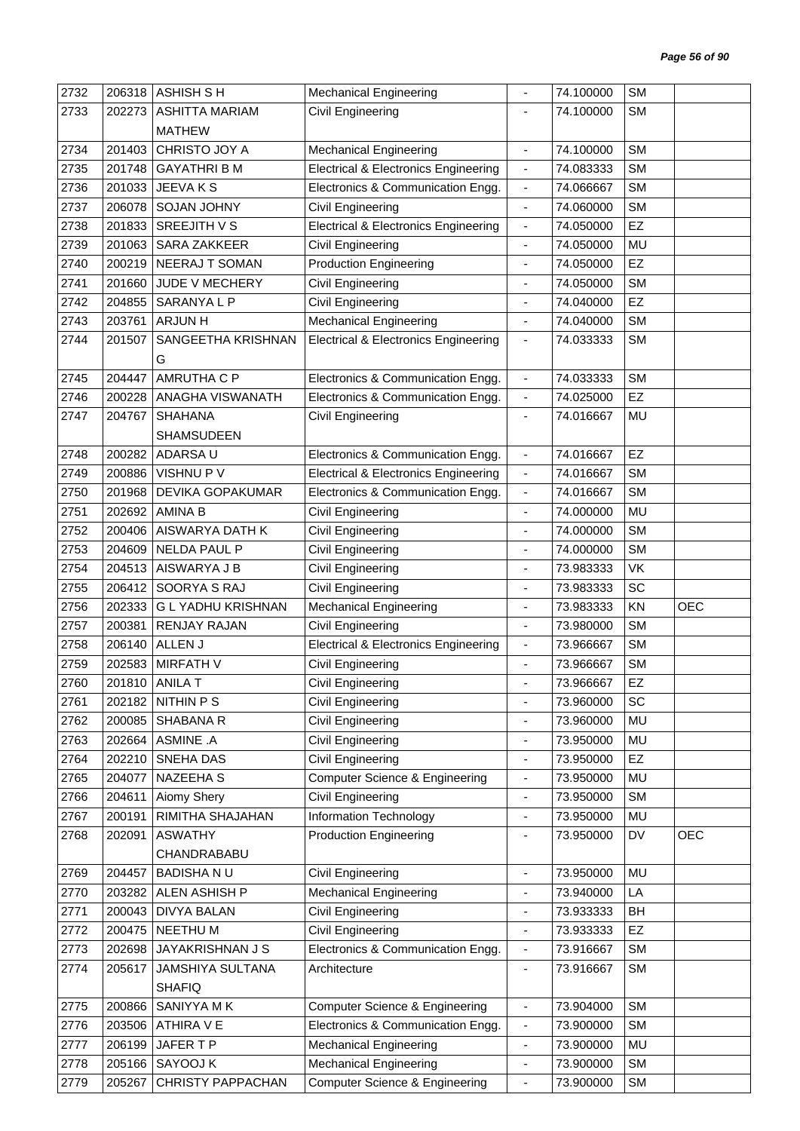| 2732 | 206318 | <b>ASHISH S H</b>        | <b>Mechanical Engineering</b>                   |                              | 74.100000 | <b>SM</b> |            |
|------|--------|--------------------------|-------------------------------------------------|------------------------------|-----------|-----------|------------|
| 2733 | 202273 | <b>ASHITTA MARIAM</b>    | Civil Engineering                               |                              | 74.100000 | <b>SM</b> |            |
|      |        | <b>MATHEW</b>            |                                                 |                              |           |           |            |
| 2734 | 201403 | CHRISTO JOY A            | <b>Mechanical Engineering</b>                   | $\overline{\phantom{a}}$     | 74.100000 | <b>SM</b> |            |
| 2735 | 201748 | <b>GAYATHRI B M</b>      | <b>Electrical &amp; Electronics Engineering</b> | $\blacksquare$               | 74.083333 | <b>SM</b> |            |
| 2736 | 201033 | JEEVAKS                  | Electronics & Communication Engg.               | $\overline{\phantom{a}}$     | 74.066667 | <b>SM</b> |            |
| 2737 | 206078 | SOJAN JOHNY              | Civil Engineering                               | $\overline{\phantom{a}}$     | 74.060000 | <b>SM</b> |            |
| 2738 | 201833 | SREEJITH V S             | <b>Electrical &amp; Electronics Engineering</b> | $\overline{\phantom{a}}$     | 74.050000 | EZ        |            |
| 2739 | 201063 | SARA ZAKKEER             | Civil Engineering                               | $\blacksquare$               | 74.050000 | MU        |            |
| 2740 | 200219 | NEERAJ T SOMAN           | <b>Production Engineering</b>                   | $\overline{\phantom{a}}$     | 74.050000 | <b>EZ</b> |            |
| 2741 | 201660 | JUDE V MECHERY           | Civil Engineering                               | $\overline{\phantom{a}}$     | 74.050000 | <b>SM</b> |            |
| 2742 | 204855 | SARANYA L P              | Civil Engineering                               | $\overline{a}$               | 74.040000 | EZ        |            |
|      |        |                          |                                                 |                              |           |           |            |
| 2743 | 203761 | <b>ARJUNH</b>            | <b>Mechanical Engineering</b>                   | $\overline{\phantom{a}}$     | 74.040000 | <b>SM</b> |            |
| 2744 | 201507 | SANGEETHA KRISHNAN       | <b>Electrical &amp; Electronics Engineering</b> | $\overline{\phantom{a}}$     | 74.033333 | <b>SM</b> |            |
|      |        | G                        |                                                 |                              |           |           |            |
| 2745 | 204447 | <b>AMRUTHA C P</b>       | Electronics & Communication Engg.               | $\blacksquare$               | 74.033333 | <b>SM</b> |            |
| 2746 | 200228 | <b>ANAGHA VISWANATH</b>  | Electronics & Communication Engg.               | $\blacksquare$               | 74.025000 | <b>EZ</b> |            |
| 2747 | 204767 | <b>SHAHANA</b>           | Civil Engineering                               | $\overline{\phantom{a}}$     | 74.016667 | MU        |            |
|      |        | <b>SHAMSUDEEN</b>        |                                                 |                              |           |           |            |
| 2748 | 200282 | ADARSA U                 | Electronics & Communication Engg.               | $\overline{\phantom{a}}$     | 74.016667 | EZ        |            |
| 2749 | 200886 | VISHNU P V               | <b>Electrical &amp; Electronics Engineering</b> | $\blacksquare$               | 74.016667 | <b>SM</b> |            |
| 2750 | 201968 | DEVIKA GOPAKUMAR         | Electronics & Communication Engg.               | $\blacksquare$               | 74.016667 | <b>SM</b> |            |
| 2751 | 202692 | AMINA B                  | Civil Engineering                               | $\blacksquare$               | 74.000000 | MU        |            |
| 2752 | 200406 | AISWARYA DATH K          | Civil Engineering                               | $\overline{\phantom{a}}$     | 74.000000 | <b>SM</b> |            |
| 2753 | 204609 | NELDA PAUL P             | Civil Engineering                               |                              | 74.000000 | <b>SM</b> |            |
| 2754 | 204513 | AISWARYA J B             | Civil Engineering                               | $\overline{\phantom{a}}$     | 73.983333 | VK        |            |
| 2755 | 206412 | SOORYA S RAJ             | Civil Engineering                               | $\blacksquare$               | 73.983333 | SC        |            |
| 2756 | 202333 | <b>GLYADHU KRISHNAN</b>  | <b>Mechanical Engineering</b>                   | $\overline{a}$               | 73.983333 | KN        | <b>OEC</b> |
| 2757 | 200381 | <b>RENJAY RAJAN</b>      | Civil Engineering                               | $\qquad \qquad \blacksquare$ | 73.980000 | <b>SM</b> |            |
| 2758 | 206140 | ALLEN J                  | <b>Electrical &amp; Electronics Engineering</b> | $\overline{\phantom{a}}$     | 73.966667 | <b>SM</b> |            |
| 2759 | 202583 | <b>MIRFATH V</b>         | Civil Engineering                               |                              | 73.966667 | <b>SM</b> |            |
| 2760 | 201810 | <b>ANILA T</b>           | Civil Engineering                               |                              | 73.966667 | EZ        |            |
| 2761 |        | 202182 NITHIN P S        | Civil Engineering                               | $\overline{\phantom{a}}$     | 73.960000 | SC        |            |
| 2762 | 200085 | SHABANA R                | Civil Engineering                               | $\overline{\phantom{a}}$     | 73.960000 | MU        |            |
| 2763 | 202664 | ASMINE .A                | Civil Engineering                               | $\overline{\phantom{a}}$     | 73.950000 | MU        |            |
|      | 202210 | SNEHA DAS                |                                                 |                              | 73.950000 | EZ        |            |
| 2764 |        |                          | Civil Engineering                               | $\blacksquare$               |           |           |            |
| 2765 | 204077 | NAZEEHA S                | Computer Science & Engineering                  | $\overline{\phantom{a}}$     | 73.950000 | MU        |            |
| 2766 | 204611 | Aiomy Shery              | Civil Engineering                               | $\overline{\phantom{a}}$     | 73.950000 | <b>SM</b> |            |
| 2767 | 200191 | RIMITHA SHAJAHAN         | <b>Information Technology</b>                   | $\blacksquare$               | 73.950000 | MU        |            |
| 2768 | 202091 | <b>ASWATHY</b>           | <b>Production Engineering</b>                   | $\overline{\phantom{a}}$     | 73.950000 | DV        | <b>OEC</b> |
|      |        | CHANDRABABU              |                                                 |                              |           |           |            |
| 2769 | 204457 | <b>BADISHANU</b>         | Civil Engineering                               | $\blacksquare$               | 73.950000 | MU        |            |
| 2770 | 203282 | ALEN ASHISH P            | <b>Mechanical Engineering</b>                   | $\overline{\phantom{a}}$     | 73.940000 | LA        |            |
| 2771 | 200043 | <b>DIVYA BALAN</b>       | Civil Engineering                               | $\blacksquare$               | 73.933333 | BH        |            |
| 2772 | 200475 | NEETHU M                 | Civil Engineering                               | $\blacksquare$               | 73.933333 | EZ        |            |
| 2773 | 202698 | JAYAKRISHNAN J S         | Electronics & Communication Engg.               | $\overline{\phantom{a}}$     | 73.916667 | <b>SM</b> |            |
| 2774 | 205617 | <b>JAMSHIYA SULTANA</b>  | Architecture                                    | $\overline{\phantom{a}}$     | 73.916667 | <b>SM</b> |            |
|      |        | <b>SHAFIQ</b>            |                                                 |                              |           |           |            |
| 2775 | 200866 | SANIYYA MK               | Computer Science & Engineering                  | $\blacksquare$               | 73.904000 | <b>SM</b> |            |
| 2776 | 203506 | ATHIRA V E               | Electronics & Communication Engg.               | $\blacksquare$               | 73.900000 | <b>SM</b> |            |
| 2777 | 206199 | JAFER T P                | <b>Mechanical Engineering</b>                   | $\overline{\phantom{a}}$     | 73.900000 | MU        |            |
| 2778 | 205166 | SAYOOJ K                 | <b>Mechanical Engineering</b>                   | $\blacksquare$               | 73.900000 | <b>SM</b> |            |
| 2779 | 205267 | <b>CHRISTY PAPPACHAN</b> | <b>Computer Science &amp; Engineering</b>       | $\blacksquare$               | 73.900000 | <b>SM</b> |            |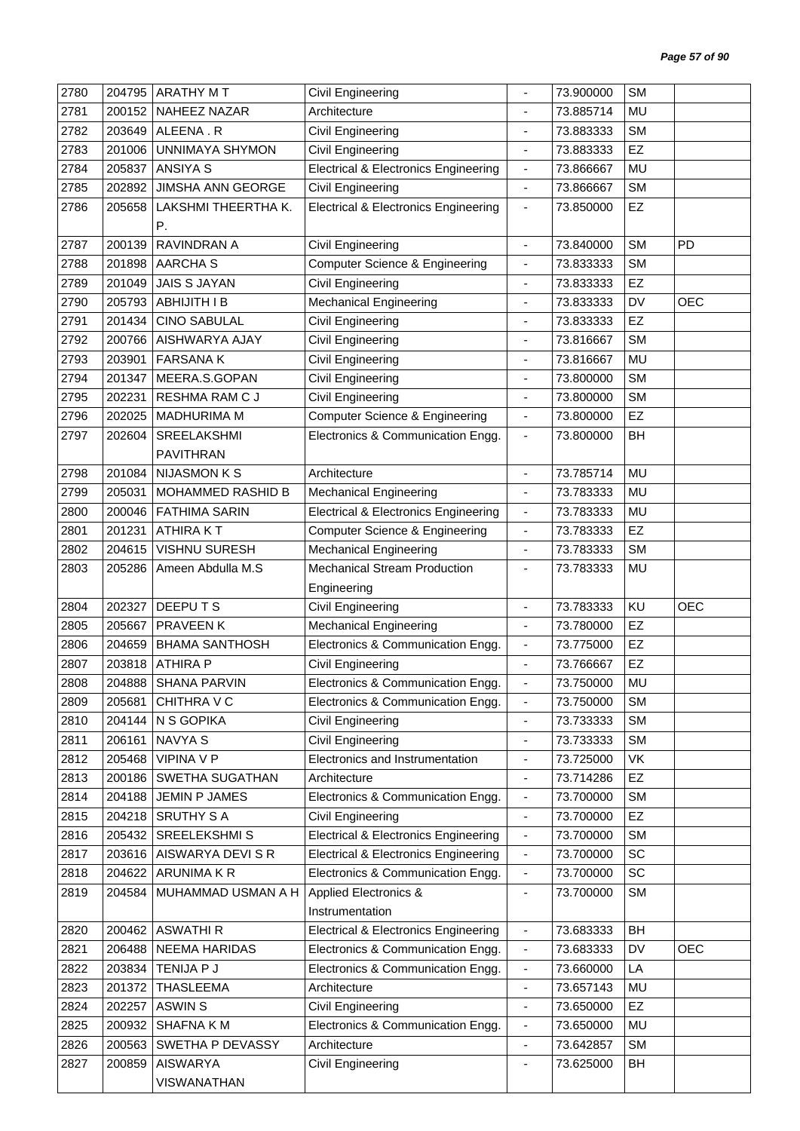| 2780 | 204795 | <b>ARATHY MT</b>         | <b>Civil Engineering</b>                        |                              | 73.900000 | <b>SM</b> |            |
|------|--------|--------------------------|-------------------------------------------------|------------------------------|-----------|-----------|------------|
| 2781 | 200152 | NAHEEZ NAZAR             | Architecture                                    |                              | 73.885714 | MU        |            |
| 2782 | 203649 | ALEENA.R                 | Civil Engineering                               |                              | 73.883333 | <b>SM</b> |            |
| 2783 | 201006 | UNNIMAYA SHYMON          | Civil Engineering                               | $\qquad \qquad \blacksquare$ | 73.883333 | EZ        |            |
| 2784 | 205837 | <b>ANSIYA S</b>          | <b>Electrical &amp; Electronics Engineering</b> | $\blacksquare$               | 73.866667 | MU        |            |
| 2785 | 202892 | <b>JIMSHA ANN GEORGE</b> | <b>Civil Engineering</b>                        | ä,                           | 73.866667 | <b>SM</b> |            |
| 2786 | 205658 | LAKSHMI THEERTHA K.      | <b>Electrical &amp; Electronics Engineering</b> | $\overline{\phantom{a}}$     | 73.850000 | EZ        |            |
|      |        | Ρ.                       |                                                 |                              |           |           |            |
| 2787 | 200139 | RAVINDRAN A              | Civil Engineering                               | $\blacksquare$               | 73.840000 | <b>SM</b> | <b>PD</b>  |
| 2788 | 201898 | <b>AARCHAS</b>           | Computer Science & Engineering                  | $\overline{\phantom{a}}$     | 73.833333 | <b>SM</b> |            |
| 2789 | 201049 | <b>JAIS S JAYAN</b>      | Civil Engineering                               | $\overline{\phantom{a}}$     | 73.833333 | EZ        |            |
| 2790 | 205793 | <b>ABHIJITH I B</b>      | <b>Mechanical Engineering</b>                   |                              | 73.833333 | DV        | <b>OEC</b> |
| 2791 | 201434 | <b>CINO SABULAL</b>      | Civil Engineering                               | $\overline{\phantom{a}}$     | 73.833333 | EZ        |            |
| 2792 | 200766 | AISHWARYA AJAY           | Civil Engineering                               |                              | 73.816667 | <b>SM</b> |            |
| 2793 | 203901 | <b>FARSANAK</b>          | Civil Engineering                               | $\qquad \qquad \blacksquare$ | 73.816667 | MU        |            |
| 2794 | 201347 | MEERA.S.GOPAN            | <b>Civil Engineering</b>                        | $\blacksquare$               | 73.800000 | <b>SM</b> |            |
| 2795 | 202231 | <b>RESHMA RAM C J</b>    | Civil Engineering                               | $\overline{a}$               | 73.800000 | <b>SM</b> |            |
| 2796 | 202025 | <b>MADHURIMA M</b>       | Computer Science & Engineering                  | $\overline{\phantom{a}}$     | 73.800000 | EZ        |            |
| 2797 | 202604 | SREELAKSHMI              | Electronics & Communication Engg.               | $\overline{\phantom{a}}$     | 73.800000 | BH        |            |
|      |        | <b>PAVITHRAN</b>         |                                                 |                              |           |           |            |
| 2798 | 201084 | <b>NIJASMON K S</b>      | Architecture                                    | $\overline{\phantom{a}}$     | 73.785714 | MU        |            |
| 2799 | 205031 | MOHAMMED RASHID B        | <b>Mechanical Engineering</b>                   | $\overline{\phantom{a}}$     | 73.783333 | MU        |            |
| 2800 | 200046 | <b>FATHIMA SARIN</b>     | <b>Electrical &amp; Electronics Engineering</b> | $\blacksquare$               | 73.783333 | MU        |            |
| 2801 | 201231 | <b>ATHIRAKT</b>          | Computer Science & Engineering                  | $\blacksquare$               | 73.783333 | EZ        |            |
| 2802 | 204615 | <b>VISHNU SURESH</b>     | <b>Mechanical Engineering</b>                   | $\blacksquare$               | 73.783333 | <b>SM</b> |            |
| 2803 | 205286 | Ameen Abdulla M.S        | <b>Mechanical Stream Production</b>             | $\overline{\phantom{a}}$     | 73.783333 | MU        |            |
|      |        |                          | Engineering                                     |                              |           |           |            |
| 2804 | 202327 | DEEPUTS                  | <b>Civil Engineering</b>                        | $\blacksquare$               | 73.783333 | KU        | <b>OEC</b> |
| 2805 | 205667 | PRAVEEN K                | <b>Mechanical Engineering</b>                   | $\overline{\phantom{a}}$     | 73.780000 | EZ        |            |
| 2806 | 204659 | <b>BHAMA SANTHOSH</b>    | Electronics & Communication Engg.               | $\overline{\phantom{a}}$     | 73.775000 | EZ        |            |
| 2807 | 203818 | <b>ATHIRA P</b>          | Civil Engineering                               |                              | 73.766667 | EZ        |            |
| 2808 | 204888 | SHANA PARVIN             | Electronics & Communication Engg.               |                              | 73.750000 | MU        |            |
| 2809 | 205681 | CHITHRA V C              | Electronics & Communication Engg.               | $\overline{\phantom{a}}$     | 73.750000 | <b>SM</b> |            |
| 2810 | 204144 | N S GOPIKA               | Civil Engineering                               | $\overline{\phantom{a}}$     | 73.733333 | SM        |            |
| 2811 | 206161 | NAVYA S                  | Civil Engineering                               | $\overline{\phantom{a}}$     | 73.733333 | <b>SM</b> |            |
| 2812 | 205468 | <b>VIPINA V P</b>        | Electronics and Instrumentation                 | $\blacksquare$               | 73.725000 | VK        |            |
| 2813 | 200186 | SWETHA SUGATHAN          | Architecture                                    | $\overline{\phantom{a}}$     | 73.714286 | EZ        |            |
| 2814 | 204188 | JEMIN P JAMES            | Electronics & Communication Engg.               | $\overline{\phantom{a}}$     | 73.700000 | <b>SM</b> |            |
| 2815 | 204218 | <b>SRUTHY S A</b>        | Civil Engineering                               | ÷,                           | 73.700000 | EZ        |            |
| 2816 | 205432 | <b>SREELEKSHMI S</b>     | <b>Electrical &amp; Electronics Engineering</b> | $\overline{\phantom{a}}$     | 73.700000 | <b>SM</b> |            |
| 2817 | 203616 | AISWARYA DEVI S R        | <b>Electrical &amp; Electronics Engineering</b> | $\blacksquare$               | 73.700000 | SC        |            |
| 2818 | 204622 | ARUNIMA K R              | Electronics & Communication Engg.               | $\overline{\phantom{a}}$     | 73.700000 | SC        |            |
| 2819 | 204584 | MUHAMMAD USMAN A H       | Applied Electronics &                           | $\overline{\phantom{a}}$     | 73.700000 | <b>SM</b> |            |
|      |        |                          | Instrumentation                                 |                              |           |           |            |
| 2820 | 200462 | <b>ASWATHIR</b>          | <b>Electrical &amp; Electronics Engineering</b> | $\blacksquare$               | 73.683333 | <b>BH</b> |            |
| 2821 | 206488 | NEEMA HARIDAS            | Electronics & Communication Engg.               | $\overline{\phantom{a}}$     | 73.683333 | DV        | <b>OEC</b> |
| 2822 | 203834 | TENIJA P J               | Electronics & Communication Engg.               | $\blacksquare$               | 73.660000 | LA        |            |
| 2823 | 201372 | <b>THASLEEMA</b>         | Architecture                                    | $\overline{\phantom{a}}$     | 73.657143 | MU        |            |
| 2824 | 202257 | <b>ASWIN S</b>           | Civil Engineering                               | $\blacksquare$               | 73.650000 | EZ        |            |
| 2825 | 200932 | SHAFNA KM                | Electronics & Communication Engg.               | $\blacksquare$               | 73.650000 | MU        |            |
| 2826 | 200563 | SWETHA P DEVASSY         | Architecture                                    | $\overline{\phantom{a}}$     | 73.642857 | SM        |            |
| 2827 | 200859 | <b>AISWARYA</b>          | Civil Engineering                               | $\overline{\phantom{a}}$     | 73.625000 | BH        |            |
|      |        | VISWANATHAN              |                                                 |                              |           |           |            |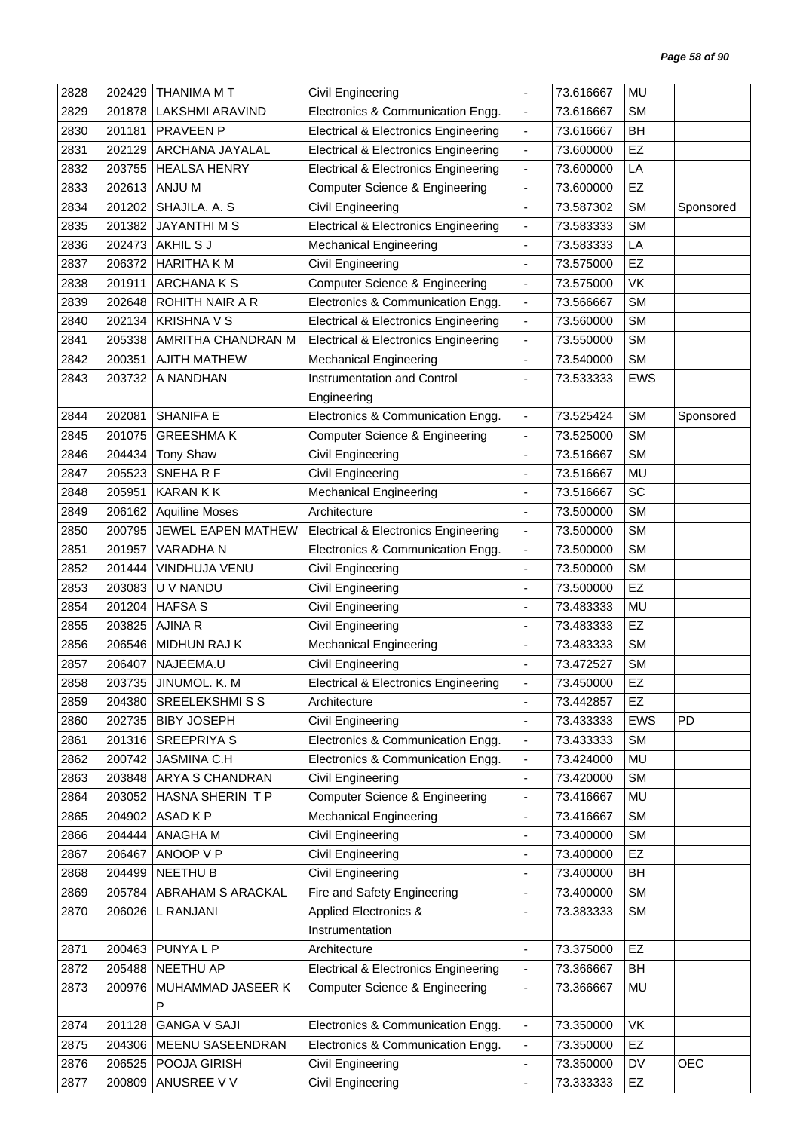| 2828 | 202429 | THANIMA M T            | Civil Engineering                               |                              | 73.616667 | MU         |            |
|------|--------|------------------------|-------------------------------------------------|------------------------------|-----------|------------|------------|
| 2829 | 201878 | <b>LAKSHMI ARAVIND</b> | Electronics & Communication Engg.               | $\blacksquare$               | 73.616667 | <b>SM</b>  |            |
| 2830 | 201181 | <b>PRAVEEN P</b>       | <b>Electrical &amp; Electronics Engineering</b> | $\blacksquare$               | 73.616667 | BH         |            |
| 2831 | 202129 | ARCHANA JAYALAL        | <b>Electrical &amp; Electronics Engineering</b> | $\overline{\phantom{a}}$     | 73.600000 | EZ         |            |
| 2832 | 203755 | <b>HEALSA HENRY</b>    | <b>Electrical &amp; Electronics Engineering</b> | $\blacksquare$               | 73.600000 | LA         |            |
| 2833 | 202613 | ANJU M                 | <b>Computer Science &amp; Engineering</b>       | $\blacksquare$               | 73.600000 | EZ         |            |
| 2834 | 201202 | SHAJILA. A. S          | Civil Engineering                               | $\overline{\phantom{a}}$     | 73.587302 | <b>SM</b>  | Sponsored  |
| 2835 | 201382 | <b>JAYANTHIMS</b>      | <b>Electrical &amp; Electronics Engineering</b> | $\overline{\phantom{a}}$     | 73.583333 | <b>SM</b>  |            |
| 2836 | 202473 | AKHIL S J              | <b>Mechanical Engineering</b>                   | $\blacksquare$               | 73.583333 | LA         |            |
| 2837 | 206372 | <b>HARITHA KM</b>      | Civil Engineering                               | $\qquad \qquad \blacksquare$ | 73.575000 | EZ         |            |
| 2838 | 201911 | <b>ARCHANAKS</b>       | <b>Computer Science &amp; Engineering</b>       | $\overline{\phantom{a}}$     | 73.575000 | VK         |            |
| 2839 | 202648 | <b>ROHITH NAIR A R</b> | Electronics & Communication Engg.               | $\overline{\phantom{a}}$     | 73.566667 | <b>SM</b>  |            |
| 2840 | 202134 | <b>KRISHNA V S</b>     | <b>Electrical &amp; Electronics Engineering</b> | $\overline{\phantom{a}}$     | 73.560000 | <b>SM</b>  |            |
| 2841 | 205338 | AMRITHA CHANDRAN M     | <b>Electrical &amp; Electronics Engineering</b> | $\blacksquare$               | 73.550000 | <b>SM</b>  |            |
| 2842 | 200351 | <b>AJITH MATHEW</b>    | <b>Mechanical Engineering</b>                   | $\overline{\phantom{a}}$     | 73.540000 | <b>SM</b>  |            |
| 2843 | 203732 | A NANDHAN              | Instrumentation and Control                     | $\overline{\phantom{a}}$     | 73.533333 | <b>EWS</b> |            |
|      |        |                        | Engineering                                     |                              |           |            |            |
| 2844 | 202081 | <b>SHANIFA E</b>       | Electronics & Communication Engg.               | $\blacksquare$               | 73.525424 | <b>SM</b>  | Sponsored  |
| 2845 | 201075 | <b>GREESHMAK</b>       | <b>Computer Science &amp; Engineering</b>       | $\overline{\phantom{a}}$     | 73.525000 | <b>SM</b>  |            |
| 2846 |        |                        |                                                 |                              |           | <b>SM</b>  |            |
|      | 204434 | Tony Shaw              | Civil Engineering                               | $\blacksquare$               | 73.516667 |            |            |
| 2847 | 205523 | SNEHARF                | Civil Engineering                               | $\qquad \qquad \blacksquare$ | 73.516667 | MU         |            |
| 2848 | 205951 | <b>KARANKK</b>         | <b>Mechanical Engineering</b>                   | $\blacksquare$               | 73.516667 | SC         |            |
| 2849 | 206162 | <b>Aquiline Moses</b>  | Architecture                                    | $\blacksquare$               | 73.500000 | <b>SM</b>  |            |
| 2850 | 200795 | JEWEL EAPEN MATHEW     | <b>Electrical &amp; Electronics Engineering</b> | $\blacksquare$               | 73.500000 | <b>SM</b>  |            |
| 2851 | 201957 | <b>VARADHAN</b>        | Electronics & Communication Engg.               | $\overline{\phantom{a}}$     | 73.500000 | <b>SM</b>  |            |
| 2852 | 201444 | VINDHUJA VENU          | Civil Engineering                               | $\overline{\phantom{a}}$     | 73.500000 | <b>SM</b>  |            |
| 2853 | 203083 | U V NANDU              | Civil Engineering                               | $\blacksquare$               | 73.500000 | EZ         |            |
| 2854 | 201204 | <b>HAFSA S</b>         | Civil Engineering                               | ÷,                           | 73.483333 | MU         |            |
| 2855 | 203825 | AJINA R                | Civil Engineering                               | $\qquad \qquad \blacksquare$ | 73.483333 | EZ         |            |
| 2856 | 206546 | <b>MIDHUN RAJ K</b>    | <b>Mechanical Engineering</b>                   | $\overline{\phantom{a}}$     | 73.483333 | <b>SM</b>  |            |
| 2857 | 206407 | NAJEEMA.U              | Civil Engineering                               |                              | 73.472527 | <b>SM</b>  |            |
| 2858 | 203735 | JINUMOL. K. M          | <b>Electrical &amp; Electronics Engineering</b> |                              | 73.450000 | EZ         |            |
| 2859 | 204380 | <b>SREELEKSHMI S S</b> | Architecture                                    | $\overline{\phantom{a}}$     | 73.442857 | EZ         |            |
| 2860 | 202735 | <b>BIBY JOSEPH</b>     | Civil Engineering                               | $\qquad \qquad \blacksquare$ | 73.433333 | EWS        | PD         |
| 2861 | 201316 | <b>SREEPRIYA S</b>     | Electronics & Communication Engg.               | $\overline{\phantom{a}}$     | 73.433333 | <b>SM</b>  |            |
| 2862 | 200742 | <b>JASMINA C.H</b>     | Electronics & Communication Engg.               | $\blacksquare$               | 73.424000 | MU         |            |
| 2863 | 203848 | ARYA S CHANDRAN        | Civil Engineering                               | $\overline{\phantom{a}}$     | 73.420000 | <b>SM</b>  |            |
| 2864 | 203052 | HASNA SHERIN TP        | <b>Computer Science &amp; Engineering</b>       | $\blacksquare$               | 73.416667 | MU         |            |
| 2865 | 204902 | ASAD K P               | <b>Mechanical Engineering</b>                   | $\blacksquare$               | 73.416667 | <b>SM</b>  |            |
| 2866 | 204444 | ANAGHA M               | Civil Engineering                               | $\overline{\phantom{a}}$     | 73.400000 | <b>SM</b>  |            |
| 2867 | 206467 | ANOOP V P              | Civil Engineering                               | $\overline{\phantom{a}}$     | 73.400000 | EZ         |            |
| 2868 | 204499 | <b>NEETHUB</b>         | Civil Engineering                               | $\blacksquare$               | 73.400000 | BH         |            |
| 2869 | 205784 | ABRAHAM S ARACKAL      | Fire and Safety Engineering                     | $\overline{\phantom{a}}$     | 73.400000 | <b>SM</b>  |            |
| 2870 | 206026 | L RANJANI              | Applied Electronics &                           | $\overline{\phantom{a}}$     | 73.383333 | <b>SM</b>  |            |
|      |        |                        | Instrumentation                                 |                              |           |            |            |
| 2871 | 200463 | PUNYA L P              | Architecture                                    | $\blacksquare$               | 73.375000 | EZ         |            |
| 2872 | 205488 | NEETHU AP              | <b>Electrical &amp; Electronics Engineering</b> | $\blacksquare$               | 73.366667 | BH         |            |
| 2873 | 200976 | MUHAMMAD JASEER K      | Computer Science & Engineering                  | $\overline{\phantom{a}}$     | 73.366667 | MU         |            |
|      |        | P                      |                                                 |                              |           |            |            |
| 2874 | 201128 | <b>GANGA V SAJI</b>    | Electronics & Communication Engg.               | $\overline{\phantom{a}}$     | 73.350000 | VK         |            |
| 2875 | 204306 | MEENU SASEENDRAN       | Electronics & Communication Engg.               | $\overline{\phantom{a}}$     | 73.350000 | EZ         |            |
| 2876 | 206525 | POOJA GIRISH           | Civil Engineering                               | $\overline{\phantom{a}}$     | 73.350000 | DV         | <b>OEC</b> |
| 2877 | 200809 | ANUSREE V V            | Civil Engineering                               | $\overline{a}$               | 73.333333 | EZ         |            |
|      |        |                        |                                                 |                              |           |            |            |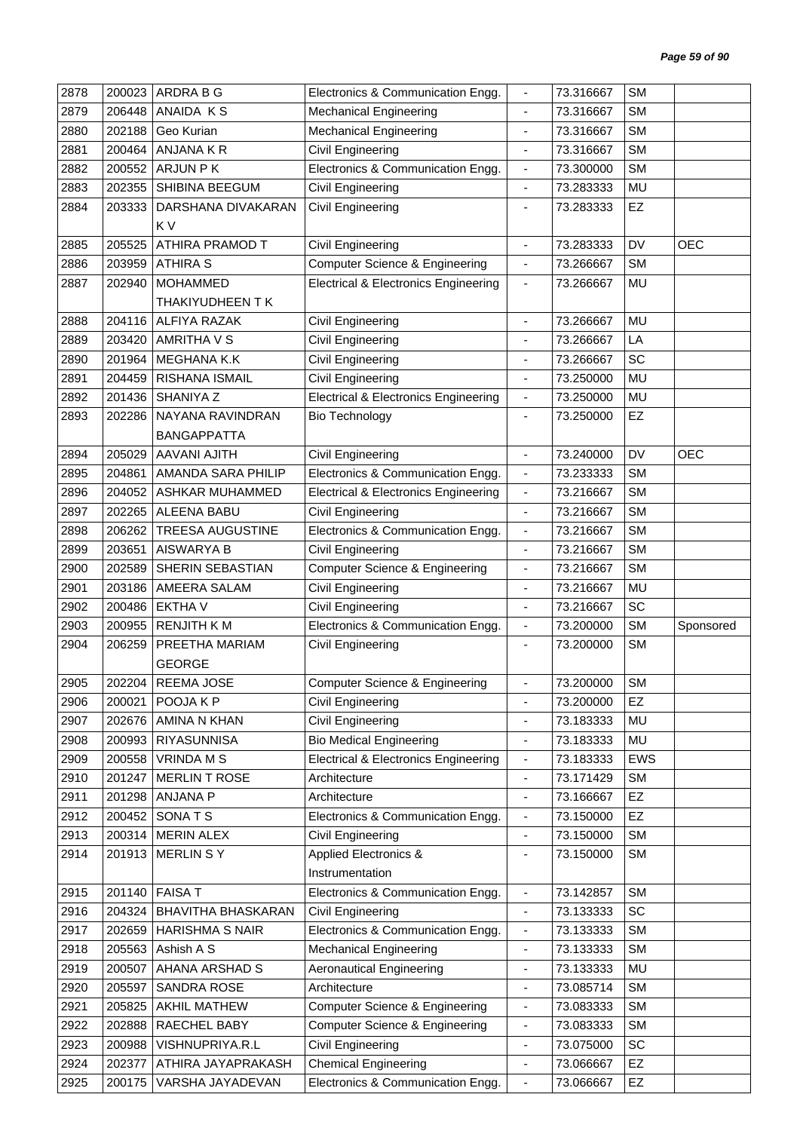| 2878 | 200023 | ARDRA B G               | Electronics & Communication Engg.               | $\blacksquare$               | 73.316667 | <b>SM</b> |            |
|------|--------|-------------------------|-------------------------------------------------|------------------------------|-----------|-----------|------------|
| 2879 | 206448 | ANAIDA KS               | <b>Mechanical Engineering</b>                   | $\blacksquare$               | 73.316667 | <b>SM</b> |            |
| 2880 | 202188 | Geo Kurian              | <b>Mechanical Engineering</b>                   | $\overline{\phantom{a}}$     | 73.316667 | <b>SM</b> |            |
| 2881 | 200464 | ANJANA K R              | Civil Engineering                               | ÷                            | 73.316667 | <b>SM</b> |            |
| 2882 | 200552 | <b>ARJUN PK</b>         | Electronics & Communication Engg.               | $\blacksquare$               | 73.300000 | <b>SM</b> |            |
| 2883 | 202355 | SHIBINA BEEGUM          | Civil Engineering                               | $\blacksquare$               | 73.283333 | MU        |            |
| 2884 | 203333 | DARSHANA DIVAKARAN      | <b>Civil Engineering</b>                        | $\overline{\phantom{a}}$     | 73.283333 | EZ        |            |
|      |        | K V                     |                                                 |                              |           |           |            |
| 2885 | 205525 | ATHIRA PRAMOD T         | Civil Engineering                               |                              | 73.283333 | DV        | <b>OEC</b> |
| 2886 | 203959 | <b>ATHIRA S</b>         | Computer Science & Engineering                  | $\overline{\phantom{a}}$     | 73.266667 | <b>SM</b> |            |
| 2887 | 202940 | <b>MOHAMMED</b>         | <b>Electrical &amp; Electronics Engineering</b> | $\overline{\phantom{a}}$     | 73.266667 | MU        |            |
|      |        | THAKIYUDHEEN T K        |                                                 |                              |           |           |            |
| 2888 | 204116 | <b>ALFIYA RAZAK</b>     | Civil Engineering                               | $\overline{\phantom{a}}$     | 73.266667 | MU        |            |
| 2889 | 203420 | AMRITHA V S             | Civil Engineering                               | $\blacksquare$               | 73.266667 | LA        |            |
| 2890 | 201964 | MEGHANA K.K             | Civil Engineering                               |                              | 73.266667 | SC        |            |
| 2891 | 204459 | RISHANA ISMAIL          | Civil Engineering                               | $\overline{\phantom{a}}$     | 73.250000 | MU        |            |
| 2892 | 201436 | SHANIYA Z               | <b>Electrical &amp; Electronics Engineering</b> | $\overline{\phantom{a}}$     | 73.250000 | MU        |            |
| 2893 | 202286 | NAYANA RAVINDRAN        | <b>Bio Technology</b>                           | $\overline{\phantom{a}}$     | 73.250000 | EZ        |            |
|      |        | <b>BANGAPPATTA</b>      |                                                 |                              |           |           |            |
| 2894 | 205029 | <b>AAVANI AJITH</b>     | Civil Engineering                               | $\overline{\phantom{a}}$     | 73.240000 | <b>DV</b> | <b>OEC</b> |
| 2895 | 204861 | AMANDA SARA PHILIP      | Electronics & Communication Engg.               | $\blacksquare$               | 73.233333 | <b>SM</b> |            |
| 2896 | 204052 | ASHKAR MUHAMMED         | <b>Electrical &amp; Electronics Engineering</b> | $\blacksquare$               | 73.216667 | <b>SM</b> |            |
| 2897 | 202265 | ALEENA BABU             | Civil Engineering                               | $\blacksquare$               | 73.216667 | <b>SM</b> |            |
| 2898 | 206262 | <b>TREESA AUGUSTINE</b> | Electronics & Communication Engg.               | $\blacksquare$               | 73.216667 | <b>SM</b> |            |
| 2899 | 203651 | <b>AISWARYA B</b>       | <b>Civil Engineering</b>                        | $\overline{\phantom{a}}$     | 73.216667 | <b>SM</b> |            |
| 2900 | 202589 | SHERIN SEBASTIAN        | Computer Science & Engineering                  | $\qquad \qquad \blacksquare$ | 73.216667 | <b>SM</b> |            |
| 2901 | 203186 | AMEERA SALAM            | <b>Civil Engineering</b>                        | $\blacksquare$               | 73.216667 | MU        |            |
| 2902 | 200486 | <b>EKTHAV</b>           | Civil Engineering                               | ÷,                           | 73.216667 | SC        |            |
| 2903 | 200955 | <b>RENJITH KM</b>       | Electronics & Communication Engg.               | $\overline{\phantom{a}}$     | 73.200000 | <b>SM</b> | Sponsored  |
| 2904 | 206259 | PREETHA MARIAM          | <b>Civil Engineering</b>                        | ÷                            | 73.200000 | <b>SM</b> |            |
|      |        | <b>GEORGE</b>           |                                                 |                              |           |           |            |
| 2905 | 202204 | <b>REEMA JOSE</b>       | Computer Science & Engineering                  |                              | 73.200000 | <b>SM</b> |            |
| 2906 | 200021 | POOJA K P               | Civil Engineering                               | $\overline{\phantom{a}}$     | 73.200000 | EZ        |            |
| 2907 | 202676 | AMINA N KHAN            | Civil Engineering                               | ÷,                           | 73.183333 | MU        |            |
| 2908 | 200993 | <b>RIYASUNNISA</b>      | <b>Bio Medical Engineering</b>                  | $\overline{\phantom{a}}$     | 73.183333 | MU        |            |
| 2909 | 200558 | <b>VRINDA M S</b>       | <b>Electrical &amp; Electronics Engineering</b> | $\blacksquare$               | 73.183333 | EWS       |            |
| 2910 | 201247 | <b>MERLIN T ROSE</b>    | Architecture                                    | $\overline{\phantom{m}}$     | 73.171429 | SM        |            |
| 2911 | 201298 | <b>ANJANA P</b>         | Architecture                                    | $\overline{\phantom{a}}$     | 73.166667 | EZ        |            |
| 2912 | 200452 | SONATS                  | Electronics & Communication Engg.               | $\blacksquare$               | 73.150000 | EZ        |            |
| 2913 | 200314 | <b>MERIN ALEX</b>       | Civil Engineering                               | $\overline{\phantom{a}}$     | 73.150000 | <b>SM</b> |            |
| 2914 | 201913 | <b>MERLIN SY</b>        | <b>Applied Electronics &amp;</b>                | $\overline{\phantom{a}}$     | 73.150000 | <b>SM</b> |            |
|      |        |                         | Instrumentation                                 |                              |           |           |            |
| 2915 | 201140 | <b>FAISA T</b>          | Electronics & Communication Engg.               | $\blacksquare$               | 73.142857 | <b>SM</b> |            |
| 2916 | 204324 | BHAVITHA BHASKARAN      | Civil Engineering                               | $\overline{\phantom{a}}$     | 73.133333 | SC        |            |
| 2917 | 202659 | <b>HARISHMA S NAIR</b>  | Electronics & Communication Engg.               | $\blacksquare$               | 73.133333 | SM        |            |
| 2918 | 205563 | Ashish A S              | <b>Mechanical Engineering</b>                   | $\blacksquare$               | 73.133333 | <b>SM</b> |            |
| 2919 | 200507 | AHANA ARSHAD S          | <b>Aeronautical Engineering</b>                 | $\overline{\phantom{a}}$     | 73.133333 | MU        |            |
| 2920 | 205597 | SANDRA ROSE             | Architecture                                    | ÷,                           | 73.085714 | SM        |            |
| 2921 | 205825 | AKHIL MATHEW            | Computer Science & Engineering                  | $\overline{\phantom{a}}$     | 73.083333 | SM        |            |
| 2922 | 202888 | RAECHEL BABY            | <b>Computer Science &amp; Engineering</b>       | $\blacksquare$               | 73.083333 | SM        |            |
| 2923 | 200988 | VISHNUPRIYA.R.L         | Civil Engineering                               | $\overline{\phantom{a}}$     | 73.075000 | SC        |            |
|      |        |                         |                                                 |                              |           |           |            |
| 2924 | 202377 | ATHIRA JAYAPRAKASH      | <b>Chemical Engineering</b>                     | $\blacksquare$               | 73.066667 | EZ        |            |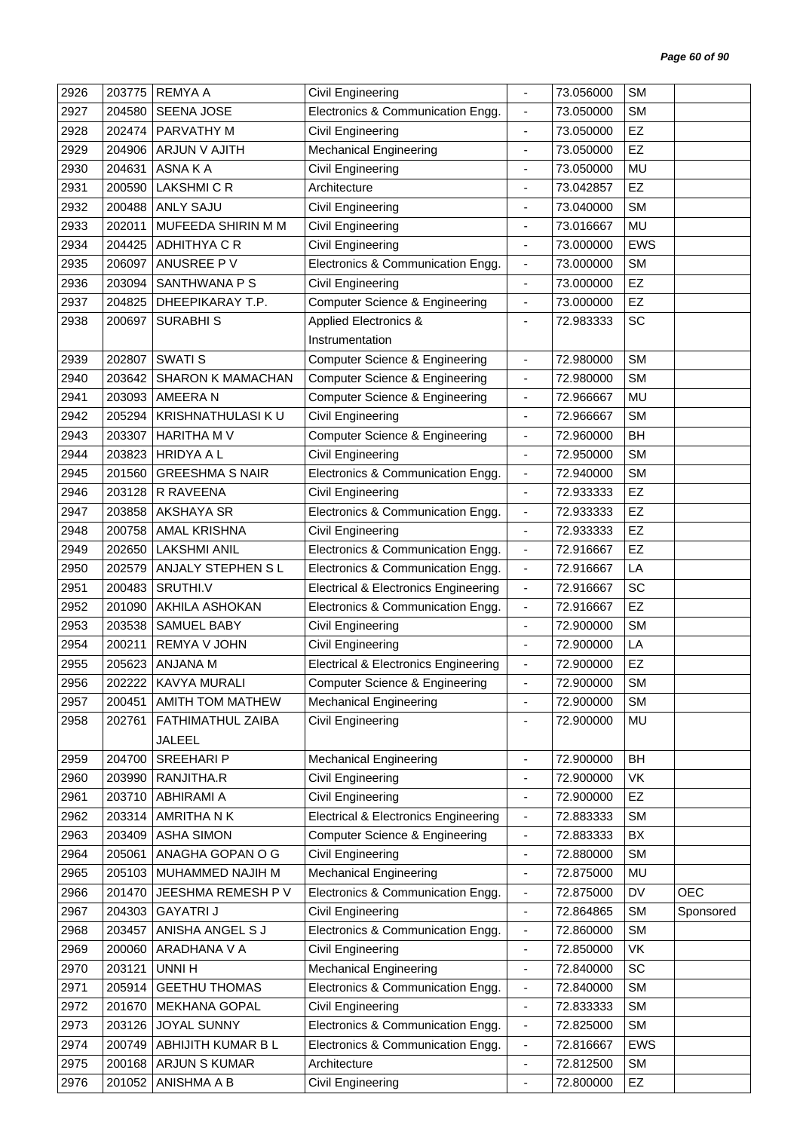| 2926         | 203775           | <b>REMYAA</b>                         | Civil Engineering                                      | $\blacksquare$                             | 73.056000              | <b>SM</b>              |            |
|--------------|------------------|---------------------------------------|--------------------------------------------------------|--------------------------------------------|------------------------|------------------------|------------|
| 2927         | 204580           | SEENA JOSE                            | Electronics & Communication Engg.                      | $\blacksquare$                             | 73.050000              | <b>SM</b>              |            |
| 2928         | 202474           | PARVATHY M                            | Civil Engineering                                      | ä,                                         | 73.050000              | <b>EZ</b>              |            |
| 2929         | 204906           | ARJUN V AJITH                         | <b>Mechanical Engineering</b>                          | $\qquad \qquad \blacksquare$               | 73.050000              | EZ                     |            |
| 2930         | 204631           | ASNA K A                              | Civil Engineering                                      | $\blacksquare$                             | 73.050000              | <b>MU</b>              |            |
| 2931         | 200590           | <b>LAKSHMI C R</b>                    | Architecture                                           | ä,                                         | 73.042857              | EZ                     |            |
| 2932         | 200488           | <b>ANLY SAJU</b>                      | Civil Engineering                                      | ÷                                          | 73.040000              | <b>SM</b>              |            |
| 2933         | 202011           | MUFEEDA SHIRIN M M                    | Civil Engineering                                      | $\overline{\phantom{a}}$                   | 73.016667              | MU                     |            |
| 2934         | 204425           | <b>ADHITHYA C R</b>                   | Civil Engineering                                      | $\overline{\phantom{a}}$                   | 73.000000              | <b>EWS</b>             |            |
| 2935         | 206097           | ANUSREE PV                            | Electronics & Communication Engg.                      | $\overline{\phantom{a}}$                   | 73.000000              | <b>SM</b>              |            |
| 2936         | 203094           | SANTHWANA P S                         | Civil Engineering                                      | $\blacksquare$                             | 73.000000              | EZ                     |            |
| 2937         | 204825           | DHEEPIKARAY T.P.                      | <b>Computer Science &amp; Engineering</b>              | $\overline{\phantom{a}}$                   | 73.000000              | EZ                     |            |
| 2938         | 200697           | <b>SURABHIS</b>                       | Applied Electronics &                                  | $\overline{\phantom{a}}$                   | 72.983333              | SC                     |            |
|              |                  |                                       | Instrumentation                                        |                                            |                        |                        |            |
| 2939         | 202807           | <b>SWATI S</b>                        | <b>Computer Science &amp; Engineering</b>              | $\overline{\phantom{a}}$                   | 72.980000              | <b>SM</b>              |            |
| 2940         | 203642           | SHARON K MAMACHAN                     | Computer Science & Engineering                         | $\blacksquare$                             | 72.980000              | <b>SM</b>              |            |
| 2941         | 203093           | AMEERA N                              | <b>Computer Science &amp; Engineering</b>              | $\overline{\phantom{a}}$                   | 72.966667              | MU                     |            |
| 2942         | 205294           | KRISHNATHULASI KU                     | Civil Engineering                                      | $\qquad \qquad \blacksquare$               | 72.966667              | <b>SM</b>              |            |
| 2943         | 203307           | HARITHA M V                           | Computer Science & Engineering                         | $\overline{\phantom{a}}$                   | 72.960000              | BH                     |            |
| 2944         | 203823           | <b>HRIDYA A L</b>                     | Civil Engineering                                      | $\overline{\phantom{a}}$                   | 72.950000              | <b>SM</b>              |            |
| 2945         | 201560           | <b>GREESHMA S NAIR</b>                | Electronics & Communication Engg.                      | $\overline{\phantom{a}}$                   | 72.940000              | <b>SM</b>              |            |
| 2946         | 203128           | R RAVEENA                             | Civil Engineering                                      | $\frac{1}{2}$                              | 72.933333              | EZ                     |            |
| 2947         | 203858           | AKSHAYA SR                            | Electronics & Communication Engg.                      | $\overline{\phantom{a}}$                   | 72.933333              | EZ                     |            |
| 2948         | 200758           | AMAL KRISHNA                          | Civil Engineering                                      | $\blacksquare$                             | 72.933333              | EZ                     |            |
| 2949         | 202650           | <b>LAKSHMI ANIL</b>                   | Electronics & Communication Engg.                      | $\overline{\phantom{a}}$                   | 72.916667              | EZ                     |            |
| 2950         | 202579           | ANJALY STEPHEN SL                     | Electronics & Communication Engg.                      | $\overline{\phantom{a}}$                   | 72.916667              | LA                     |            |
| 2951         | 200483           | SRUTHI.V                              | <b>Electrical &amp; Electronics Engineering</b>        | $\blacksquare$                             | 72.916667              | SC                     |            |
| 2952         | 201090           | AKHILA ASHOKAN                        | Electronics & Communication Engg.                      | $\overline{\phantom{a}}$                   | 72.916667              | EZ                     |            |
| 2953         | 203538           | SAMUEL BABY                           | Civil Engineering                                      | $\overline{\phantom{a}}$                   | 72.900000              | <b>SM</b>              |            |
| 2954         | 200211           | REMYA V JOHN                          | Civil Engineering                                      | $\overline{\phantom{a}}$                   | 72.900000              | LA                     |            |
| 2955         | 205623           | ANJANA M                              | <b>Electrical &amp; Electronics Engineering</b>        | $\blacksquare$                             | 72.900000              | EZ                     |            |
| 2956         | 202222           | KAVYA MURALI                          | <b>Computer Science &amp; Engineering</b>              | ٠                                          | 72.900000              | <b>SM</b>              |            |
| 2957         | 200451           | <b>AMITH TOM MATHEW</b>               | <b>Mechanical Engineering</b>                          |                                            | 72.900000              | <b>SM</b>              |            |
| 2958         | 202761           | FATHIMATHUL ZAIBA                     | Civil Engineering                                      |                                            | 72.900000              | MU                     |            |
|              |                  | <b>JALEEL</b>                         |                                                        |                                            |                        |                        |            |
| 2959         | 204700           | SREEHARI P                            | <b>Mechanical Engineering</b>                          |                                            | 72.900000              | <b>BH</b>              |            |
| 2960         | 203990           | RANJITHA.R                            | Civil Engineering                                      | $\overline{\phantom{a}}$                   | 72.900000              | VK                     |            |
| 2961         | 203710           | <b>ABHIRAMI A</b>                     | Civil Engineering                                      | $\overline{\phantom{a}}$                   | 72.900000              | EZ                     |            |
| 2962         | 203314           | AMRITHA N K                           | <b>Electrical &amp; Electronics Engineering</b>        | $\overline{\phantom{a}}$                   | 72.883333              | <b>SM</b>              |            |
| 2963         | 203409           | <b>ASHA SIMON</b>                     | <b>Computer Science &amp; Engineering</b>              | $\overline{\phantom{a}}$                   | 72.883333              | BX                     |            |
| 2964         | 205061           | ANAGHA GOPAN O G                      | Civil Engineering                                      | $\overline{\phantom{a}}$                   | 72.880000              | <b>SM</b>              |            |
| 2965         | 205103           | MUHAMMED NAJIH M                      | <b>Mechanical Engineering</b>                          | ÷,                                         | 72.875000              | MU                     |            |
| 2966         | 201470           | JEESHMA REMESH P V                    | Electronics & Communication Engg.                      | $\overline{\phantom{a}}$                   | 72.875000              | DV                     | <b>OEC</b> |
| 2967         | 204303           | <b>GAYATRIJ</b>                       | Civil Engineering                                      | $\blacksquare$                             | 72.864865              | <b>SM</b>              | Sponsored  |
| 2968         | 203457           | ANISHA ANGEL S J                      | Electronics & Communication Engg.                      | $\overline{\phantom{a}}$                   | 72.860000              | <b>SM</b>              |            |
| 2969         | 200060           | ARADHANA V A                          | Civil Engineering                                      | $\overline{\phantom{a}}$                   | 72.850000              | VK                     |            |
| 2970         | 203121           | UNNI H                                | <b>Mechanical Engineering</b>                          | $\blacksquare$                             | 72.840000              | SC                     |            |
|              |                  |                                       |                                                        |                                            |                        |                        |            |
| 2971<br>2972 | 205914<br>201670 | <b>GEETHU THOMAS</b><br>MEKHANA GOPAL | Electronics & Communication Engg.<br>Civil Engineering | $\overline{\phantom{a}}$<br>$\blacksquare$ | 72.840000<br>72.833333 | <b>SM</b><br><b>SM</b> |            |
| 2973         | 203126           | <b>JOYAL SUNNY</b>                    | Electronics & Communication Engg.                      |                                            | 72.825000              | <b>SM</b>              |            |
| 2974         | 200749           | ABHIJITH KUMAR B L                    | Electronics & Communication Engg.                      | $\overline{\phantom{a}}$<br>$\blacksquare$ | 72.816667              | <b>EWS</b>             |            |
| 2975         | 200168           | <b>ARJUN S KUMAR</b>                  | Architecture                                           | $\overline{\phantom{a}}$                   | 72.812500              | <b>SM</b>              |            |
|              |                  | ANISHMA A B                           |                                                        | ÷,                                         | 72.800000              | EZ                     |            |
| 2976         | 201052           |                                       | Civil Engineering                                      |                                            |                        |                        |            |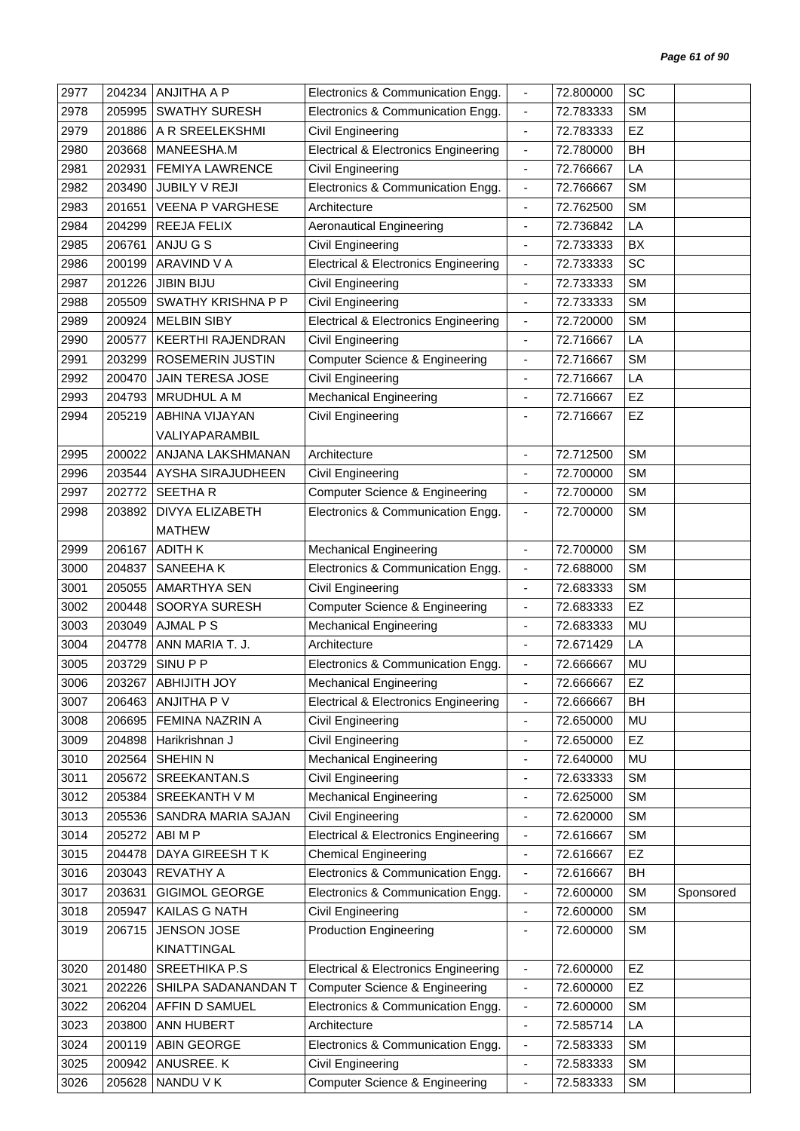| 2977 | 204234 | <b>ANJITHA A P</b>       | Electronics & Communication Engg.                                                | $\overline{\phantom{a}}$     | 72.800000              | SC        |           |
|------|--------|--------------------------|----------------------------------------------------------------------------------|------------------------------|------------------------|-----------|-----------|
| 2978 | 205995 | <b>SWATHY SURESH</b>     | Electronics & Communication Engg.                                                | $\blacksquare$               | 72.783333              | <b>SM</b> |           |
| 2979 | 201886 | A R SREELEKSHMI          | Civil Engineering                                                                |                              | 72.783333              | EZ        |           |
| 2980 | 203668 | MANEESHA.M               | <b>Electrical &amp; Electronics Engineering</b>                                  | $\overline{\phantom{a}}$     | 72.780000              | BH        |           |
| 2981 | 202931 | <b>FEMIYA LAWRENCE</b>   | <b>Civil Engineering</b>                                                         | $\overline{\phantom{a}}$     | 72.766667              | LA        |           |
| 2982 | 203490 | JUBILY V REJI            | Electronics & Communication Engg.                                                | $\blacksquare$               | 72.766667              | <b>SM</b> |           |
| 2983 | 201651 | <b>VEENA P VARGHESE</b>  | Architecture                                                                     | $\overline{\phantom{a}}$     | 72.762500              | <b>SM</b> |           |
| 2984 | 204299 | REEJA FELIX              | <b>Aeronautical Engineering</b>                                                  | $\overline{\phantom{a}}$     | 72.736842              | LA        |           |
| 2985 | 206761 | ANJU G S                 | Civil Engineering                                                                | $\overline{\phantom{a}}$     | 72.733333              | BX        |           |
| 2986 | 200199 | <b>ARAVIND V A</b>       | <b>Electrical &amp; Electronics Engineering</b>                                  | $\blacksquare$               | 72.733333              | SC        |           |
| 2987 | 201226 | <b>JIBIN BIJU</b>        | Civil Engineering                                                                | $\blacksquare$               | 72.733333              | <b>SM</b> |           |
| 2988 | 205509 | SWATHY KRISHNA P P       | Civil Engineering                                                                | $\blacksquare$               | 72.733333              | <b>SM</b> |           |
| 2989 | 200924 | <b>MELBIN SIBY</b>       | <b>Electrical &amp; Electronics Engineering</b>                                  | $\blacksquare$               | 72.720000              | <b>SM</b> |           |
| 2990 | 200577 | <b>KEERTHI RAJENDRAN</b> | Civil Engineering                                                                | $\overline{\phantom{a}}$     | 72.716667              | LA        |           |
| 2991 | 203299 | ROSEMERIN JUSTIN         | Computer Science & Engineering                                                   | $\blacksquare$               | 72.716667              | <b>SM</b> |           |
| 2992 | 200470 | <b>JAIN TERESA JOSE</b>  | <b>Civil Engineering</b>                                                         | $\overline{\phantom{a}}$     | 72.716667              | LA        |           |
| 2993 | 204793 | <b>MRUDHUL A M</b>       | <b>Mechanical Engineering</b>                                                    | ÷,                           | 72.716667              | EZ        |           |
| 2994 | 205219 | ABHINA VIJAYAN           | Civil Engineering                                                                |                              | 72.716667              | EZ        |           |
|      |        | VALIYAPARAMBIL           |                                                                                  |                              |                        |           |           |
| 2995 | 200022 | ANJANA LAKSHMANAN        | Architecture                                                                     | ÷,                           | 72.712500              | <b>SM</b> |           |
| 2996 | 203544 | AYSHA SIRAJUDHEEN        | Civil Engineering                                                                | $\overline{\phantom{a}}$     | 72.700000              | <b>SM</b> |           |
| 2997 | 202772 | <b>SEETHAR</b>           | <b>Computer Science &amp; Engineering</b>                                        | $\blacksquare$               | 72.700000              | <b>SM</b> |           |
| 2998 | 203892 | DIVYA ELIZABETH          | Electronics & Communication Engg.                                                | $\blacksquare$               | 72.700000              | <b>SM</b> |           |
|      |        | <b>MATHEW</b>            |                                                                                  |                              |                        |           |           |
| 2999 | 206167 | <b>ADITH K</b>           | <b>Mechanical Engineering</b>                                                    | $\blacksquare$               | 72.700000              | <b>SM</b> |           |
| 3000 | 204837 | SANEEHAK                 | Electronics & Communication Engg.                                                | $\overline{\phantom{a}}$     | 72.688000              | <b>SM</b> |           |
| 3001 | 205055 | <b>AMARTHYA SEN</b>      | Civil Engineering                                                                | $\overline{\phantom{a}}$     | 72.683333              | <b>SM</b> |           |
| 3002 | 200448 | SOORYA SURESH            | <b>Computer Science &amp; Engineering</b>                                        | ä,                           | 72.683333              | EZ        |           |
| 3003 | 203049 | <b>AJMAL P S</b>         | <b>Mechanical Engineering</b>                                                    | $\overline{\phantom{a}}$     | 72.683333              | MU        |           |
| 3004 | 204778 | ANN MARIA T. J.          | Architecture                                                                     | $\overline{\phantom{a}}$     | 72.671429              | LA        |           |
| 3005 | 203729 | SINU P P                 | Electronics & Communication Engg.                                                | $\blacksquare$               | 72.666667              | MU        |           |
|      | 203267 | <b>ABHIJITH JOY</b>      |                                                                                  |                              |                        | <b>EZ</b> |           |
| 3006 |        | 206463 ANJITHA P V       | <b>Mechanical Engineering</b><br><b>Electrical &amp; Electronics Engineering</b> |                              | 72.666667<br>72.666667 | BH        |           |
| 3007 |        |                          |                                                                                  | $\overline{\phantom{a}}$     |                        |           |           |
| 3008 | 206695 | FEMINA NAZRIN A          | Civil Engineering                                                                | $\overline{\phantom{a}}$     | 72.650000              | MU        |           |
| 3009 | 204898 | Harikrishnan J           | Civil Engineering                                                                | $\blacksquare$               | 72.650000              | <b>EZ</b> |           |
| 3010 | 202564 | SHEHIN N                 | <b>Mechanical Engineering</b>                                                    | ä,                           | 72.640000              | <b>MU</b> |           |
| 3011 | 205672 | SREEKANTAN.S             | Civil Engineering                                                                | $\overline{\phantom{a}}$     | 72.633333              | <b>SM</b> |           |
| 3012 | 205384 | SREEKANTH V M            | <b>Mechanical Engineering</b>                                                    | $\qquad \qquad \blacksquare$ | 72.625000              | <b>SM</b> |           |
| 3013 | 205536 | SANDRA MARIA SAJAN       | Civil Engineering                                                                | ٠                            | 72.620000              | <b>SM</b> |           |
| 3014 | 205272 | ABI M P                  | <b>Electrical &amp; Electronics Engineering</b>                                  | $\overline{\phantom{a}}$     | 72.616667              | <b>SM</b> |           |
| 3015 | 204478 | DAYA GIREESH TK          | <b>Chemical Engineering</b>                                                      | $\overline{\phantom{a}}$     | 72.616667              | EZ        |           |
| 3016 | 203043 | <b>REVATHY A</b>         | Electronics & Communication Engg.                                                | $\overline{\phantom{a}}$     | 72.616667              | BH        |           |
| 3017 | 203631 | <b>GIGIMOL GEORGE</b>    | Electronics & Communication Engg.                                                | $\overline{\phantom{a}}$     | 72.600000              | <b>SM</b> | Sponsored |
| 3018 | 205947 | KAILAS G NATH            | Civil Engineering                                                                | $\blacksquare$               | 72.600000              | <b>SM</b> |           |
| 3019 | 206715 | <b>JENSON JOSE</b>       | <b>Production Engineering</b>                                                    | ٠                            | 72.600000              | <b>SM</b> |           |
|      |        | KINATTINGAL              |                                                                                  |                              |                        |           |           |
| 3020 | 201480 | <b>SREETHIKA P.S</b>     | <b>Electrical &amp; Electronics Engineering</b>                                  | $\overline{\phantom{a}}$     | 72.600000              | <b>EZ</b> |           |
| 3021 | 202226 | SHILPA SADANANDAN T      | <b>Computer Science &amp; Engineering</b>                                        | $\overline{\phantom{a}}$     | 72.600000              | EZ        |           |
| 3022 | 206204 | AFFIN D SAMUEL           | Electronics & Communication Engg.                                                | $\blacksquare$               | 72.600000              | <b>SM</b> |           |
| 3023 | 203800 | ANN HUBERT               | Architecture                                                                     | $\frac{1}{2}$                | 72.585714              | LA        |           |
| 3024 | 200119 | ABIN GEORGE              | Electronics & Communication Engg.                                                | $\overline{\phantom{a}}$     | 72.583333              | <b>SM</b> |           |
| 3025 | 200942 | ANUSREE. K               | Civil Engineering                                                                | $\overline{\phantom{a}}$     | 72.583333              | <b>SM</b> |           |
| 3026 | 205628 | NANDU V K                | <b>Computer Science &amp; Engineering</b>                                        | $\blacksquare$               | 72.583333              | <b>SM</b> |           |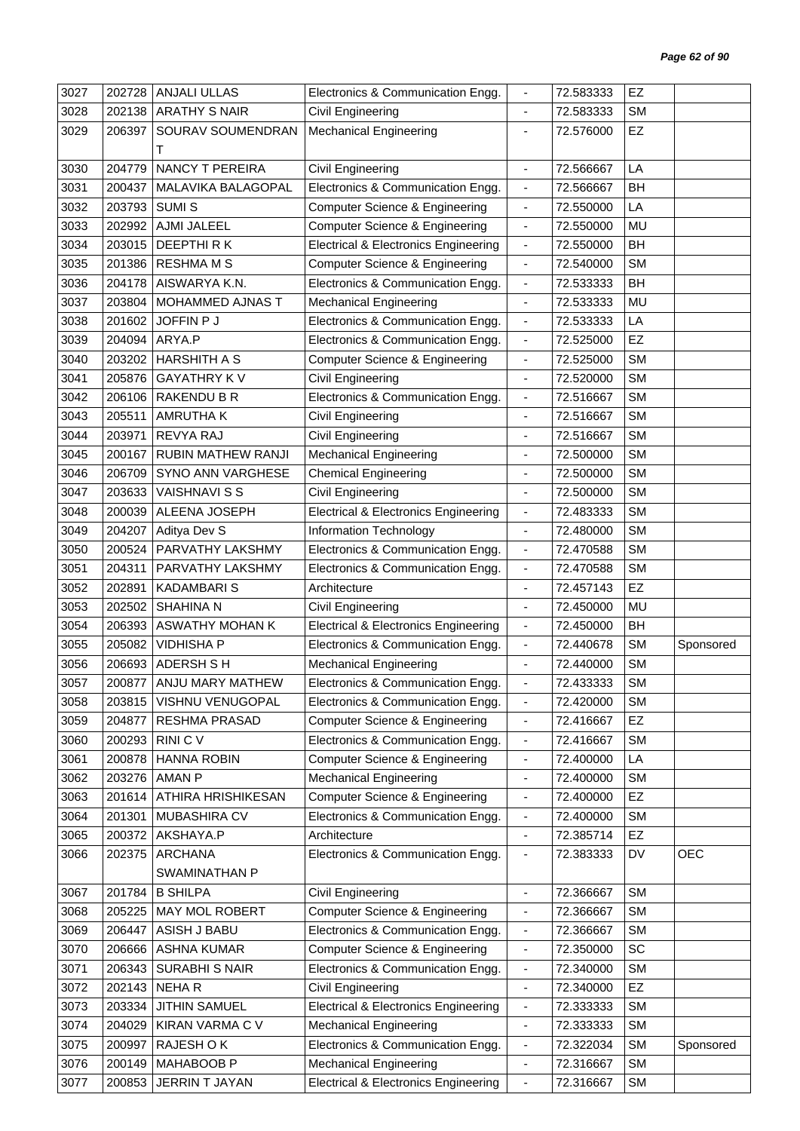| 3027 | 202728 | ANJALI ULLAS            | Electronics & Communication Engg.               | $\overline{\phantom{a}}$     | 72.583333 | EZ        |            |
|------|--------|-------------------------|-------------------------------------------------|------------------------------|-----------|-----------|------------|
| 3028 | 202138 | <b>ARATHY S NAIR</b>    | Civil Engineering                               | $\blacksquare$               | 72.583333 | <b>SM</b> |            |
| 3029 | 206397 | SOURAV SOUMENDRAN       | <b>Mechanical Engineering</b>                   | $\blacksquare$               | 72.576000 | EZ        |            |
|      |        | Т                       |                                                 |                              |           |           |            |
| 3030 | 204779 | <b>NANCY T PEREIRA</b>  | Civil Engineering                               | $\overline{\phantom{a}}$     | 72.566667 | LA        |            |
| 3031 | 200437 | MALAVIKA BALAGOPAL      | Electronics & Communication Engg.               | $\blacksquare$               | 72.566667 | <b>BH</b> |            |
| 3032 | 203793 | <b>SUMIS</b>            | <b>Computer Science &amp; Engineering</b>       | $\overline{\phantom{a}}$     | 72.550000 | LA        |            |
| 3033 | 202992 | AJMI JALEEL             | Computer Science & Engineering                  | $\blacksquare$               | 72.550000 | MU        |            |
| 3034 | 203015 | DEEPTHIRK               | <b>Electrical &amp; Electronics Engineering</b> | $\blacksquare$               | 72.550000 | <b>BH</b> |            |
| 3035 | 201386 | <b>RESHMA M S</b>       | <b>Computer Science &amp; Engineering</b>       | $\blacksquare$               | 72.540000 | <b>SM</b> |            |
| 3036 | 204178 | AISWARYA K.N.           | Electronics & Communication Engg.               | $\blacksquare$               | 72.533333 | <b>BH</b> |            |
| 3037 | 203804 | MOHAMMED AJNAS T        | <b>Mechanical Engineering</b>                   | $\blacksquare$               | 72.533333 | <b>MU</b> |            |
| 3038 | 201602 | JOFFIN P J              | Electronics & Communication Engg.               | $\overline{\phantom{a}}$     | 72.533333 | LA        |            |
| 3039 | 204094 | ARYA.P                  | Electronics & Communication Engg.               | $\blacksquare$               | 72.525000 | EZ        |            |
| 3040 | 203202 | <b>HARSHITH A S</b>     | <b>Computer Science &amp; Engineering</b>       | $\blacksquare$               | 72.525000 | <b>SM</b> |            |
| 3041 | 205876 | <b>GAYATHRY KV</b>      | <b>Civil Engineering</b>                        | $\overline{\phantom{a}}$     | 72.520000 | <b>SM</b> |            |
| 3042 | 206106 | RAKENDU B R             | Electronics & Communication Engg.               | $\overline{\phantom{a}}$     | 72.516667 | <b>SM</b> |            |
| 3043 | 205511 | <b>AMRUTHAK</b>         | Civil Engineering                               | $\overline{\phantom{a}}$     | 72.516667 | <b>SM</b> |            |
| 3044 | 203971 | REVYA RAJ               | Civil Engineering                               | $\blacksquare$               | 72.516667 | <b>SM</b> |            |
| 3045 | 200167 | RUBIN MATHEW RANJI      | <b>Mechanical Engineering</b>                   | ÷,                           | 72.500000 | <b>SM</b> |            |
| 3046 | 206709 | SYNO ANN VARGHESE       | <b>Chemical Engineering</b>                     | $\overline{\phantom{a}}$     | 72.500000 | <b>SM</b> |            |
| 3047 | 203633 | <b>VAISHNAVI S S</b>    | Civil Engineering                               | $\overline{\phantom{a}}$     | 72.500000 | <b>SM</b> |            |
| 3048 | 200039 | ALEENA JOSEPH           | <b>Electrical &amp; Electronics Engineering</b> | $\blacksquare$               | 72.483333 | <b>SM</b> |            |
| 3049 | 204207 | Aditya Dev S            | Information Technology                          | $\overline{\phantom{a}}$     | 72.480000 | <b>SM</b> |            |
| 3050 | 200524 | PARVATHY LAKSHMY        | Electronics & Communication Engg.               | $\blacksquare$               | 72.470588 | <b>SM</b> |            |
| 3051 | 204311 | PARVATHY LAKSHMY        | Electronics & Communication Engg.               | $\overline{\phantom{a}}$     | 72.470588 | <b>SM</b> |            |
| 3052 | 202891 | <b>KADAMBARIS</b>       | Architecture                                    | $\qquad \qquad \blacksquare$ | 72.457143 | EZ        |            |
| 3053 | 202502 | <b>SHAHINA N</b>        | Civil Engineering                               | $\blacksquare$               | 72.450000 | <b>MU</b> |            |
| 3054 | 206393 | <b>ASWATHY MOHAN K</b>  | <b>Electrical &amp; Electronics Engineering</b> | $\overline{\phantom{a}}$     | 72.450000 | <b>BH</b> |            |
| 3055 | 205082 | <b>VIDHISHA P</b>       | Electronics & Communication Engg.               | $\blacksquare$               | 72.440678 | <b>SM</b> | Sponsored  |
| 3056 |        | 206693 ADERSH S H       | <b>Mechanical Engineering</b>                   |                              | 72.440000 | <b>SM</b> |            |
| 3057 |        | 200877 ANJU MARY MATHEW | Electronics & Communication Engg.               |                              | 72.433333 | <b>SM</b> |            |
| 3058 | 203815 | VISHNU VENUGOPAL        | Electronics & Communication Engg.               | $\overline{\phantom{a}}$     | 72.420000 | <b>SM</b> |            |
| 3059 | 204877 | RESHMA PRASAD           | <b>Computer Science &amp; Engineering</b>       | $\overline{\phantom{a}}$     | 72.416667 | <b>EZ</b> |            |
| 3060 | 200293 | RINI C V                | Electronics & Communication Engg.               | $\overline{\phantom{a}}$     | 72.416667 | <b>SM</b> |            |
| 3061 | 200878 | <b>HANNA ROBIN</b>      | <b>Computer Science &amp; Engineering</b>       | $\blacksquare$               | 72.400000 | LA        |            |
| 3062 | 203276 | <b>AMAN P</b>           | <b>Mechanical Engineering</b>                   | $\overline{\phantom{a}}$     | 72.400000 | <b>SM</b> |            |
| 3063 | 201614 | ATHIRA HRISHIKESAN      | <b>Computer Science &amp; Engineering</b>       | $\qquad \qquad \blacksquare$ | 72.400000 | <b>EZ</b> |            |
| 3064 | 201301 | MUBASHIRA CV            | Electronics & Communication Engg.               | $\blacksquare$               | 72.400000 | <b>SM</b> |            |
| 3065 | 200372 | AKSHAYA.P               | Architecture                                    | $\overline{\phantom{a}}$     | 72.385714 | EZ        |            |
| 3066 | 202375 | <b>ARCHANA</b>          | Electronics & Communication Engg.               | $\blacksquare$               | 72.383333 | DV        | <b>OEC</b> |
|      |        | SWAMINATHAN P           |                                                 |                              |           |           |            |
| 3067 | 201784 | <b>B SHILPA</b>         | Civil Engineering                               | $\overline{\phantom{a}}$     | 72.366667 | <b>SM</b> |            |
| 3068 | 205225 | MAY MOL ROBERT          | <b>Computer Science &amp; Engineering</b>       | $\overline{\phantom{a}}$     | 72.366667 | <b>SM</b> |            |
| 3069 | 206447 | ASISH J BABU            | Electronics & Communication Engg.               | $\overline{\phantom{a}}$     | 72.366667 | <b>SM</b> |            |
| 3070 | 206666 | <b>ASHNA KUMAR</b>      | <b>Computer Science &amp; Engineering</b>       | $\overline{\phantom{a}}$     | 72.350000 | <b>SC</b> |            |
| 3071 | 206343 | <b>SURABHI S NAIR</b>   | Electronics & Communication Engg.               | $\overline{\phantom{a}}$     | 72.340000 | <b>SM</b> |            |
| 3072 | 202143 | <b>NEHAR</b>            | Civil Engineering                               | $\qquad \qquad \blacksquare$ | 72.340000 | <b>EZ</b> |            |
| 3073 | 203334 | <b>JITHIN SAMUEL</b>    | <b>Electrical &amp; Electronics Engineering</b> | $\overline{\phantom{a}}$     | 72.333333 | <b>SM</b> |            |
| 3074 | 204029 | KIRAN VARMA C V         | <b>Mechanical Engineering</b>                   | $\frac{1}{2}$                | 72.333333 | <b>SM</b> |            |
| 3075 | 200997 | RAJESH O K              | Electronics & Communication Engg.               | $\overline{\phantom{a}}$     | 72.322034 | <b>SM</b> | Sponsored  |
| 3076 | 200149 | MAHABOOB P              | <b>Mechanical Engineering</b>                   | $\overline{\phantom{a}}$     | 72.316667 | <b>SM</b> |            |
| 3077 | 200853 | JERRIN T JAYAN          | <b>Electrical &amp; Electronics Engineering</b> | $\blacksquare$               | 72.316667 | SM        |            |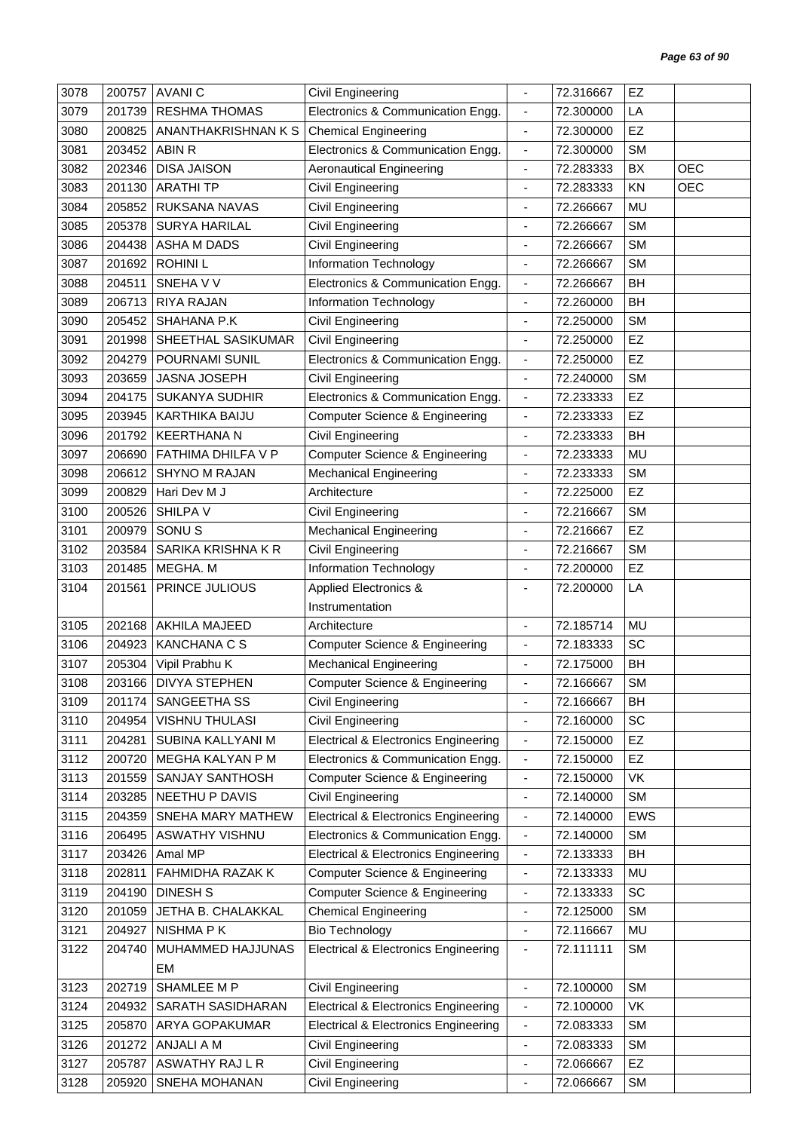| 3078 | 200757 | <b>AVANIC</b>         | Civil Engineering                               |                              | 72.316667 | EZ        |            |
|------|--------|-----------------------|-------------------------------------------------|------------------------------|-----------|-----------|------------|
| 3079 | 201739 | <b>RESHMA THOMAS</b>  | Electronics & Communication Engg.               | $\overline{\phantom{a}}$     | 72.300000 | LA        |            |
| 3080 | 200825 | ANANTHAKRISHNAN K S   | <b>Chemical Engineering</b>                     | $\overline{\phantom{a}}$     | 72.300000 | EZ        |            |
| 3081 | 203452 | ABIN R                | Electronics & Communication Engg.               | $\blacksquare$               | 72.300000 | <b>SM</b> |            |
| 3082 | 202346 | <b>DISA JAISON</b>    | <b>Aeronautical Engineering</b>                 | $\overline{\phantom{a}}$     | 72.283333 | BX        | <b>OEC</b> |
| 3083 | 201130 | <b>ARATHITP</b>       | Civil Engineering                               | ÷,                           | 72.283333 | KN        | <b>OEC</b> |
| 3084 | 205852 | RUKSANA NAVAS         | Civil Engineering                               | $\overline{\phantom{a}}$     | 72.266667 | MU        |            |
| 3085 | 205378 | <b>SURYA HARILAL</b>  | Civil Engineering                               | $\blacksquare$               | 72.266667 | <b>SM</b> |            |
| 3086 | 204438 | ASHA M DADS           | Civil Engineering                               | $\overline{\phantom{a}}$     | 72.266667 | <b>SM</b> |            |
| 3087 | 201692 | <b>ROHINIL</b>        | <b>Information Technology</b>                   | $\overline{\phantom{a}}$     | 72.266667 | <b>SM</b> |            |
| 3088 | 204511 | SNEHA V V             | Electronics & Communication Engg.               | $\blacksquare$               | 72.266667 | BH        |            |
| 3089 | 206713 | RIYA RAJAN            | Information Technology                          | $\overline{\phantom{a}}$     | 72.260000 | <b>BH</b> |            |
| 3090 | 205452 | SHAHANA P.K           | Civil Engineering                               | $\overline{\phantom{a}}$     | 72.250000 | <b>SM</b> |            |
| 3091 | 201998 | SHEETHAL SASIKUMAR    | Civil Engineering                               | ÷,                           | 72.250000 | EZ        |            |
| 3092 | 204279 | POURNAMI SUNIL        | Electronics & Communication Engg.               | $\overline{\phantom{a}}$     | 72.250000 | EZ        |            |
| 3093 | 203659 | JASNA JOSEPH          | Civil Engineering                               | $\overline{\phantom{a}}$     | 72.240000 | <b>SM</b> |            |
| 3094 | 204175 | <b>SUKANYA SUDHIR</b> | Electronics & Communication Engg.               | $\blacksquare$               | 72.233333 | EZ        |            |
| 3095 | 203945 | KARTHIKA BAIJU        | <b>Computer Science &amp; Engineering</b>       | $\overline{\phantom{a}}$     | 72.233333 | EZ        |            |
| 3096 | 201792 | <b>KEERTHANA N</b>    | Civil Engineering                               | $\overline{\phantom{a}}$     | 72.233333 | <b>BH</b> |            |
| 3097 | 206690 | FATHIMA DHILFA V P    | <b>Computer Science &amp; Engineering</b>       | $\qquad \qquad \blacksquare$ | 72.233333 | MU        |            |
| 3098 | 206612 | <b>SHYNO M RAJAN</b>  | <b>Mechanical Engineering</b>                   | $\overline{\phantom{a}}$     | 72.233333 | <b>SM</b> |            |
| 3099 | 200829 | Hari Dev M J          | Architecture                                    |                              | 72.225000 | EZ        |            |
| 3100 | 200526 | <b>SHILPA V</b>       | Civil Engineering                               | $\qquad \qquad \blacksquare$ | 72.216667 | <b>SM</b> |            |
| 3101 | 200979 | SONU <sub>S</sub>     | <b>Mechanical Engineering</b>                   | $\overline{\phantom{a}}$     | 72.216667 | EZ        |            |
| 3102 | 203584 | SARIKA KRISHNA K R    | Civil Engineering                               | ÷,                           | 72.216667 | <b>SM</b> |            |
| 3103 | 201485 | MEGHA. M              | Information Technology                          | $\overline{\phantom{a}}$     | 72.200000 | EZ        |            |
| 3104 | 201561 | PRINCE JULIOUS        | Applied Electronics &                           | $\overline{\phantom{a}}$     | 72.200000 | LA        |            |
|      |        |                       | Instrumentation                                 |                              |           |           |            |
| 3105 | 202168 | <b>AKHILA MAJEED</b>  | Architecture                                    | $\blacksquare$               | 72.185714 | MU        |            |
| 3106 | 204923 | <b>KANCHANA C S</b>   | <b>Computer Science &amp; Engineering</b>       | $\overline{\phantom{a}}$     | 72.183333 | SC        |            |
| 3107 | 205304 | Vipil Prabhu K        | <b>Mechanical Engineering</b>                   | $\overline{\phantom{a}}$     | 72.175000 | BH        |            |
| 3108 |        | 203166 DIVYA STEPHEN  | <b>Computer Science &amp; Engineering</b>       |                              | 72.166667 | SM        |            |
| 3109 | 201174 | SANGEETHA SS          | Civil Engineering                               |                              | 72.166667 | <b>BH</b> |            |
| 3110 | 204954 | <b>VISHNU THULASI</b> | Civil Engineering                               | $\qquad \qquad \blacksquare$ | 72.160000 | SC        |            |
| 3111 | 204281 | SUBINA KALLYANI M     | <b>Electrical &amp; Electronics Engineering</b> | $\overline{\phantom{a}}$     | 72.150000 | EZ        |            |
| 3112 | 200720 | MEGHA KALYAN P M      | Electronics & Communication Engg.               | $\overline{\phantom{a}}$     | 72.150000 | EZ        |            |
| 3113 | 201559 | SANJAY SANTHOSH       | <b>Computer Science &amp; Engineering</b>       | $\overline{\phantom{a}}$     | 72.150000 | VK        |            |
| 3114 | 203285 | NEETHU P DAVIS        | Civil Engineering                               | $\overline{\phantom{a}}$     | 72.140000 | <b>SM</b> |            |
| 3115 | 204359 | SNEHA MARY MATHEW     | <b>Electrical &amp; Electronics Engineering</b> | $\overline{\phantom{a}}$     | 72.140000 | EWS       |            |
| 3116 | 206495 | ASWATHY VISHNU        | Electronics & Communication Engg.               | $\blacksquare$               | 72.140000 | <b>SM</b> |            |
| 3117 | 203426 | Amal MP               | <b>Electrical &amp; Electronics Engineering</b> | $\blacksquare$               | 72.133333 | BH        |            |
| 3118 | 202811 | FAHMIDHA RAZAK K      | <b>Computer Science &amp; Engineering</b>       | $\overline{\phantom{a}}$     | 72.133333 | MU        |            |
| 3119 | 204190 | <b>DINESH S</b>       | <b>Computer Science &amp; Engineering</b>       | $\qquad \qquad \blacksquare$ | 72.133333 | SC        |            |
| 3120 | 201059 | JETHA B. CHALAKKAL    | <b>Chemical Engineering</b>                     | $\overline{\phantom{a}}$     | 72.125000 | <b>SM</b> |            |
| 3121 | 204927 | NISHMA P K            | <b>Bio Technology</b>                           | $\overline{\phantom{a}}$     | 72.116667 | MU        |            |
| 3122 | 204740 | MUHAMMED HAJJUNAS     | <b>Electrical &amp; Electronics Engineering</b> | $\overline{\phantom{a}}$     | 72.111111 | <b>SM</b> |            |
|      |        | EM                    |                                                 |                              |           |           |            |
| 3123 | 202719 | SHAMLEE M P           | Civil Engineering                               | $\blacksquare$               | 72.100000 | <b>SM</b> |            |
| 3124 | 204932 | SARATH SASIDHARAN     | <b>Electrical &amp; Electronics Engineering</b> | $\overline{\phantom{a}}$     | 72.100000 | VK        |            |
| 3125 | 205870 | ARYA GOPAKUMAR        | <b>Electrical &amp; Electronics Engineering</b> | $\overline{\phantom{a}}$     | 72.083333 | <b>SM</b> |            |
| 3126 | 201272 | ANJALI A M            | Civil Engineering                               | $\overline{\phantom{a}}$     | 72.083333 | SM        |            |
| 3127 | 205787 | ASWATHY RAJ L R       | Civil Engineering                               | $\overline{\phantom{a}}$     | 72.066667 | <b>EZ</b> |            |
| 3128 | 205920 | SNEHA MOHANAN         | Civil Engineering                               | $\qquad \qquad \blacksquare$ | 72.066667 | <b>SM</b> |            |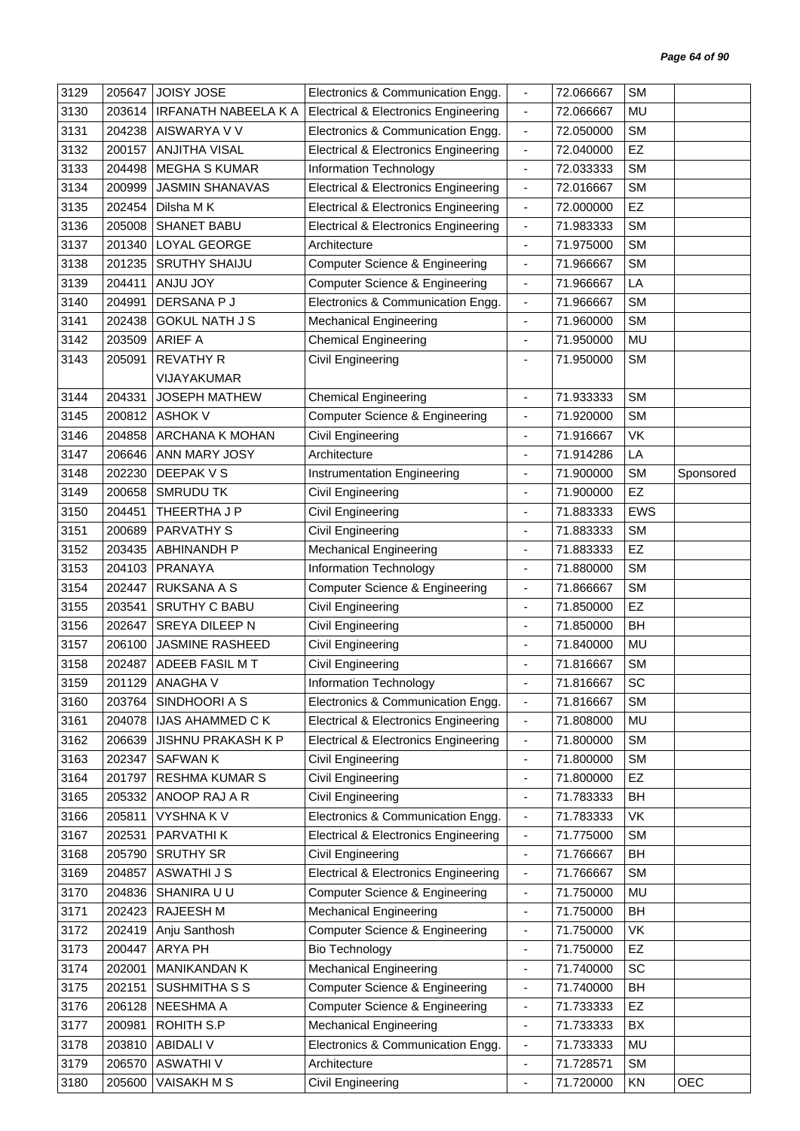| 3129 | 205647 | <b>JOISY JOSE</b>           | Electronics & Communication Engg.               | $\overline{\phantom{a}}$     | 72.066667 | <b>SM</b>  |           |
|------|--------|-----------------------------|-------------------------------------------------|------------------------------|-----------|------------|-----------|
| 3130 | 203614 | <b>IRFANATH NABEELA K A</b> | <b>Electrical &amp; Electronics Engineering</b> | $\blacksquare$               | 72.066667 | MU         |           |
| 3131 | 204238 | AISWARYA V V                | Electronics & Communication Engg.               | $\blacksquare$               | 72.050000 | <b>SM</b>  |           |
| 3132 | 200157 | <b>ANJITHA VISAL</b>        | <b>Electrical &amp; Electronics Engineering</b> | $\blacksquare$               | 72.040000 | EZ         |           |
| 3133 | 204498 | <b>MEGHA S KUMAR</b>        | Information Technology                          | $\overline{\phantom{a}}$     | 72.033333 | <b>SM</b>  |           |
| 3134 | 200999 | <b>JASMIN SHANAVAS</b>      | <b>Electrical &amp; Electronics Engineering</b> | $\blacksquare$               | 72.016667 | <b>SM</b>  |           |
| 3135 | 202454 | Dilsha M K                  | <b>Electrical &amp; Electronics Engineering</b> | $\blacksquare$               | 72.000000 | EZ         |           |
| 3136 | 205008 | <b>SHANET BABU</b>          | <b>Electrical &amp; Electronics Engineering</b> | $\blacksquare$               | 71.983333 | <b>SM</b>  |           |
| 3137 | 201340 | LOYAL GEORGE                | Architecture                                    | $\overline{\phantom{a}}$     | 71.975000 | <b>SM</b>  |           |
| 3138 | 201235 | <b>SRUTHY SHAIJU</b>        | <b>Computer Science &amp; Engineering</b>       | $\blacksquare$               | 71.966667 | <b>SM</b>  |           |
| 3139 | 204411 | ANJU JOY                    | <b>Computer Science &amp; Engineering</b>       | $\overline{\phantom{a}}$     | 71.966667 | LA         |           |
| 3140 | 204991 | DERSANA P J                 | Electronics & Communication Engg.               | $\overline{\phantom{a}}$     | 71.966667 | <b>SM</b>  |           |
| 3141 | 202438 | <b>GOKUL NATH J S</b>       | <b>Mechanical Engineering</b>                   | $\overline{\phantom{a}}$     | 71.960000 | <b>SM</b>  |           |
| 3142 | 203509 | <b>ARIEF A</b>              | <b>Chemical Engineering</b>                     | ä,                           | 71.950000 | MU         |           |
| 3143 | 205091 | <b>REVATHY R</b>            | Civil Engineering                               |                              | 71.950000 | <b>SM</b>  |           |
|      |        | VIJAYAKUMAR                 |                                                 |                              |           |            |           |
| 3144 | 204331 | <b>JOSEPH MATHEW</b>        | <b>Chemical Engineering</b>                     | $\blacksquare$               | 71.933333 | <b>SM</b>  |           |
| 3145 | 200812 | <b>ASHOK V</b>              | Computer Science & Engineering                  | $\overline{\phantom{a}}$     | 71.920000 | <b>SM</b>  |           |
| 3146 | 204858 | ARCHANA K MOHAN             | Civil Engineering                               | ÷,                           | 71.916667 | VK         |           |
| 3147 | 206646 | ANN MARY JOSY               | Architecture                                    | ä,                           | 71.914286 | LA         |           |
| 3148 | 202230 | DEEPAK V S                  | <b>Instrumentation Engineering</b>              | $\frac{1}{2}$                | 71.900000 | <b>SM</b>  | Sponsored |
| 3149 | 200658 | <b>SMRUDU TK</b>            | Civil Engineering                               | ÷,                           | 71.900000 | EZ         |           |
| 3150 | 204451 | THEERTHA J P                | Civil Engineering                               | $\qquad \qquad \blacksquare$ | 71.883333 | <b>EWS</b> |           |
| 3151 | 200689 | <b>PARVATHY S</b>           | Civil Engineering                               | $\overline{\phantom{a}}$     | 71.883333 | <b>SM</b>  |           |
| 3152 | 203435 | <b>ABHINANDH P</b>          | <b>Mechanical Engineering</b>                   | ä,                           | 71.883333 | EZ         |           |
| 3153 | 204103 | PRANAYA                     | Information Technology                          | ٠                            | 71.880000 | <b>SM</b>  |           |
| 3154 | 202447 | <b>RUKSANA A S</b>          | <b>Computer Science &amp; Engineering</b>       | $\overline{\phantom{a}}$     | 71.866667 | <b>SM</b>  |           |
| 3155 | 203541 | <b>SRUTHY C BABU</b>        | Civil Engineering                               | $\blacksquare$               | 71.850000 | EZ         |           |
| 3156 | 202647 | SREYA DILEEP N              | Civil Engineering                               | $\blacksquare$               | 71.850000 | BH         |           |
| 3157 | 206100 | <b>JASMINE RASHEED</b>      | Civil Engineering                               | $\overline{\phantom{a}}$     | 71.840000 | MU         |           |
| 3158 | 202487 | ADEEB FASIL MT              | Civil Engineering                               |                              | 71.816667 | <b>SM</b>  |           |
| 3159 | 201129 | <b>ANAGHAV</b>              | Information Technology                          |                              | 71.816667 | SC         |           |
| 3160 |        | 203764   SINDHOORI A S      | Electronics & Communication Engg.               | $\overline{\phantom{a}}$     | 71.816667 | <b>SM</b>  |           |
| 3161 | 204078 | <b>IJAS AHAMMED C K</b>     | Electrical & Electronics Engineering            | $\overline{\phantom{a}}$     | 71.808000 | MU         |           |
| 3162 | 206639 | JISHNU PRAKASH K P          | <b>Electrical &amp; Electronics Engineering</b> | $\blacksquare$               | 71.800000 | <b>SM</b>  |           |
| 3163 | 202347 | <b>SAFWANK</b>              | Civil Engineering                               | ٠                            | 71.800000 | <b>SM</b>  |           |
| 3164 | 201797 | <b>RESHMA KUMAR S</b>       | Civil Engineering                               | $\overline{\phantom{a}}$     | 71.800000 | EZ         |           |
| 3165 | 205332 | ANOOP RAJ A R               | Civil Engineering                               | $\overline{\phantom{a}}$     | 71.783333 | BH         |           |
| 3166 | 205811 | <b>VYSHNAKV</b>             | Electronics & Communication Engg.               | $\overline{\phantom{a}}$     | 71.783333 | VK         |           |
| 3167 | 202531 | PARVATHI K                  | <b>Electrical &amp; Electronics Engineering</b> | $\blacksquare$               | 71.775000 | <b>SM</b>  |           |
| 3168 | 205790 | <b>SRUTHY SR</b>            | Civil Engineering                               | $\overline{\phantom{a}}$     | 71.766667 | BH         |           |
| 3169 | 204857 | <b>ASWATHI J S</b>          | <b>Electrical &amp; Electronics Engineering</b> | $\overline{\phantom{a}}$     | 71.766667 | <b>SM</b>  |           |
| 3170 | 204836 | SHANIRA U U                 | Computer Science & Engineering                  | $\overline{\phantom{a}}$     | 71.750000 | MU         |           |
| 3171 | 202423 | RAJEESH M                   | <b>Mechanical Engineering</b>                   | $\overline{\phantom{0}}$     | 71.750000 | BH         |           |
| 3172 | 202419 | Anju Santhosh               | Computer Science & Engineering                  | $\qquad \qquad \blacksquare$ | 71.750000 | VK         |           |
| 3173 | 200447 | ARYA PH                     | <b>Bio Technology</b>                           | $\overline{\phantom{a}}$     | 71.750000 | <b>EZ</b>  |           |
| 3174 | 202001 | MANIKANDAN K                | <b>Mechanical Engineering</b>                   | ä,                           | 71.740000 | SC         |           |
| 3175 | 202151 | SUSHMITHA S S               | <b>Computer Science &amp; Engineering</b>       | $\overline{\phantom{a}}$     | 71.740000 | BH         |           |
| 3176 | 206128 | NEESHMA A                   | <b>Computer Science &amp; Engineering</b>       | $\overline{\phantom{a}}$     | 71.733333 | EZ         |           |
| 3177 | 200981 | ROHITH S.P                  | <b>Mechanical Engineering</b>                   | $\blacksquare$               | 71.733333 | BX         |           |
| 3178 | 203810 | <b>ABIDALI V</b>            | Electronics & Communication Engg.               | $\overline{\phantom{a}}$     | 71.733333 | MU         |           |
| 3179 | 206570 | <b>ASWATHIV</b>             | Architecture                                    | $\blacksquare$               | 71.728571 | <b>SM</b>  |           |
| 3180 | 205600 | <b>VAISAKH M S</b>          | Civil Engineering                               | $\blacksquare$               | 71.720000 | KN         | OEC       |
|      |        |                             |                                                 |                              |           |            |           |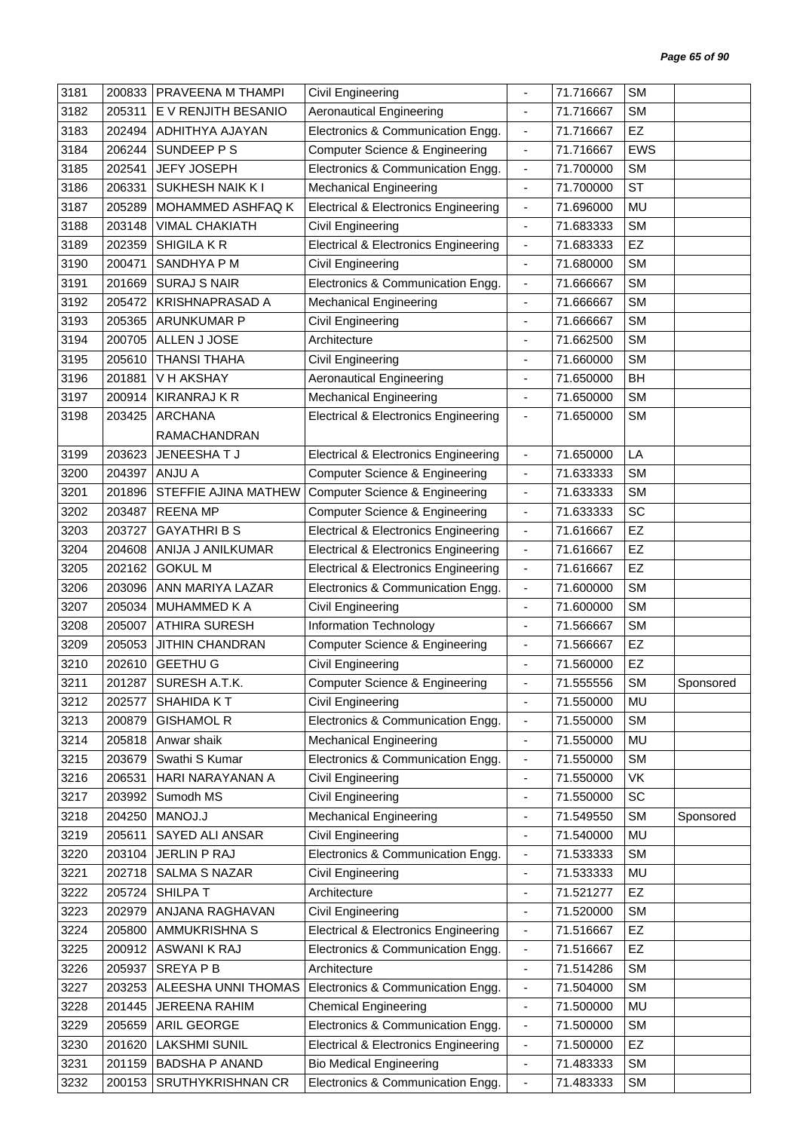| 3181 | 200833 | PRAVEENA M THAMPI             | Civil Engineering                                                  | ÷,                           | 71.716667 | <b>SM</b>  |           |
|------|--------|-------------------------------|--------------------------------------------------------------------|------------------------------|-----------|------------|-----------|
| 3182 | 205311 | E V RENJITH BESANIO           | <b>Aeronautical Engineering</b>                                    | $\overline{\phantom{a}}$     | 71.716667 | <b>SM</b>  |           |
| 3183 | 202494 | ADHITHYA AJAYAN               | Electronics & Communication Engg.                                  | $\overline{\phantom{a}}$     | 71.716667 | EZ         |           |
| 3184 | 206244 | SUNDEEP P S                   | <b>Computer Science &amp; Engineering</b>                          | $\overline{\phantom{a}}$     | 71.716667 | <b>EWS</b> |           |
| 3185 | 202541 | <b>JEFY JOSEPH</b>            | Electronics & Communication Engg.                                  | $\blacksquare$               | 71.700000 | <b>SM</b>  |           |
| 3186 | 206331 | <b>SUKHESH NAIK KI</b>        | <b>Mechanical Engineering</b>                                      | $\blacksquare$               | 71.700000 | <b>ST</b>  |           |
| 3187 | 205289 | MOHAMMED ASHFAQ K             | <b>Electrical &amp; Electronics Engineering</b>                    | $\overline{\phantom{a}}$     | 71.696000 | MU         |           |
| 3188 | 203148 | <b>VIMAL CHAKIATH</b>         | Civil Engineering                                                  | $\overline{\phantom{a}}$     | 71.683333 | <b>SM</b>  |           |
| 3189 | 202359 | <b>SHIGILA K R</b>            | <b>Electrical &amp; Electronics Engineering</b>                    | $\blacksquare$               | 71.683333 | EZ         |           |
| 3190 | 200471 | SANDHYA P M                   | Civil Engineering                                                  | $\overline{\phantom{a}}$     | 71.680000 | <b>SM</b>  |           |
| 3191 | 201669 | <b>SURAJ S NAIR</b>           | Electronics & Communication Engg.                                  | $\blacksquare$               | 71.666667 | <b>SM</b>  |           |
| 3192 | 205472 | <b>KRISHNAPRASAD A</b>        | <b>Mechanical Engineering</b>                                      | $\overline{\phantom{a}}$     | 71.666667 | <b>SM</b>  |           |
| 3193 | 205365 | <b>ARUNKUMAR P</b>            | Civil Engineering                                                  | $\overline{\phantom{a}}$     | 71.666667 | <b>SM</b>  |           |
| 3194 | 200705 | ALLEN J JOSE                  | Architecture                                                       |                              | 71.662500 | <b>SM</b>  |           |
| 3195 | 205610 | <b>THANSI THAHA</b>           | Civil Engineering                                                  | $\qquad \qquad \blacksquare$ | 71.660000 | <b>SM</b>  |           |
| 3196 | 201881 | V H AKSHAY                    | <b>Aeronautical Engineering</b>                                    | $\overline{\phantom{a}}$     | 71.650000 | BH         |           |
| 3197 | 200914 | <b>KIRANRAJ K R</b>           | <b>Mechanical Engineering</b>                                      | $\overline{\phantom{a}}$     | 71.650000 | <b>SM</b>  |           |
| 3198 | 203425 | <b>ARCHANA</b>                | <b>Electrical &amp; Electronics Engineering</b>                    | $\overline{\phantom{a}}$     | 71.650000 | <b>SM</b>  |           |
|      |        | RAMACHANDRAN                  |                                                                    |                              |           |            |           |
| 3199 | 203623 | JENEESHATJ                    | <b>Electrical &amp; Electronics Engineering</b>                    | $\blacksquare$               | 71.650000 | LA         |           |
| 3200 | 204397 | <b>ANJU A</b>                 | <b>Computer Science &amp; Engineering</b>                          | $\overline{\phantom{a}}$     | 71.633333 | <b>SM</b>  |           |
| 3201 | 201896 | STEFFIE AJINA MATHEW          | <b>Computer Science &amp; Engineering</b>                          | $\blacksquare$               | 71.633333 | <b>SM</b>  |           |
| 3202 | 203487 | <b>REENA MP</b>               | <b>Computer Science &amp; Engineering</b>                          | $\overline{\phantom{a}}$     | 71.633333 | SC         |           |
| 3203 | 203727 | <b>GAYATHRIBS</b>             | <b>Electrical &amp; Electronics Engineering</b>                    | $\overline{\phantom{a}}$     | 71.616667 | EZ         |           |
| 3204 | 204608 | ANIJA J ANILKUMAR             | <b>Electrical &amp; Electronics Engineering</b>                    | $\blacksquare$               | 71.616667 | EZ         |           |
| 3205 | 202162 | <b>GOKUL M</b>                | <b>Electrical &amp; Electronics Engineering</b>                    | $\overline{\phantom{a}}$     | 71.616667 | EZ         |           |
| 3206 | 203096 | ANN MARIYA LAZAR              | Electronics & Communication Engg.                                  | $\blacksquare$               | 71.600000 | <b>SM</b>  |           |
| 3207 | 205034 | <b>MUHAMMED K A</b>           | <b>Civil Engineering</b>                                           | ä,                           | 71.600000 | <b>SM</b>  |           |
| 3208 | 205007 | <b>ATHIRA SURESH</b>          | Information Technology                                             | $\overline{\phantom{a}}$     | 71.566667 | <b>SM</b>  |           |
| 3209 | 205053 | <b>JITHIN CHANDRAN</b>        | <b>Computer Science &amp; Engineering</b>                          | $\overline{\phantom{a}}$     | 71.566667 | EZ         |           |
| 3210 | 202610 | <b>GEETHU G</b>               | Civil Engineering                                                  | $\blacksquare$               | 71.560000 | EZ         |           |
| 3211 |        | 201287   SURESH A.T.K.        |                                                                    |                              | 71.555556 | SM         |           |
| 3212 | 202577 | SHAHIDA KT                    | <b>Computer Science &amp; Engineering</b><br>Civil Engineering     | $\blacksquare$               | 71.550000 | MU         | Sponsored |
| 3213 |        | <b>GISHAMOL R</b>             | Electronics & Communication Engg.                                  |                              | 71.550000 | <b>SM</b>  |           |
| 3214 | 200879 |                               |                                                                    | $\overline{\phantom{a}}$     | 71.550000 | MU         |           |
|      | 205818 | Anwar shaik<br>Swathi S Kumar | <b>Mechanical Engineering</b><br>Electronics & Communication Engg. | $\overline{\phantom{a}}$     |           | <b>SM</b>  |           |
| 3215 | 203679 |                               |                                                                    | $\overline{\phantom{a}}$     | 71.550000 |            |           |
| 3216 | 206531 | HARI NARAYANAN A              | Civil Engineering                                                  | $\overline{\phantom{a}}$     | 71.550000 | VK         |           |
| 3217 | 203992 | Sumodh MS                     | Civil Engineering                                                  | $\overline{\phantom{a}}$     | 71.550000 | SC         |           |
| 3218 | 204250 | MANOJ.J                       | <b>Mechanical Engineering</b>                                      | ٠                            | 71.549550 | <b>SM</b>  | Sponsored |
| 3219 | 205611 | SAYED ALI ANSAR               | Civil Engineering                                                  | $\overline{\phantom{a}}$     | 71.540000 | MU         |           |
| 3220 | 203104 | JERLIN P RAJ                  | Electronics & Communication Engg.                                  | $\overline{\phantom{a}}$     | 71.533333 | <b>SM</b>  |           |
| 3221 | 202718 | <b>SALMA S NAZAR</b>          | Civil Engineering                                                  | $\blacksquare$               | 71.533333 | MU         |           |
| 3222 | 205724 | SHILPAT                       | Architecture                                                       | $\overline{\phantom{a}}$     | 71.521277 | <b>EZ</b>  |           |
| 3223 | 202979 | ANJANA RAGHAVAN               | Civil Engineering                                                  | $\overline{\phantom{a}}$     | 71.520000 | <b>SM</b>  |           |
| 3224 | 205800 | AMMUKRISHNA S                 | <b>Electrical &amp; Electronics Engineering</b>                    | $\overline{\phantom{a}}$     | 71.516667 | <b>EZ</b>  |           |
| 3225 | 200912 | <b>ASWANI K RAJ</b>           | Electronics & Communication Engg.                                  | $\overline{\phantom{a}}$     | 71.516667 | EZ         |           |
| 3226 | 205937 | SREYA P B                     | Architecture                                                       | $\overline{\phantom{a}}$     | 71.514286 | <b>SM</b>  |           |
| 3227 | 203253 | ALEESHA UNNI THOMAS           | Electronics & Communication Engg.                                  | $\overline{\phantom{a}}$     | 71.504000 | <b>SM</b>  |           |
| 3228 | 201445 | <b>JEREENA RAHIM</b>          | <b>Chemical Engineering</b>                                        | $\blacksquare$               | 71.500000 | MU         |           |
| 3229 | 205659 | ARIL GEORGE                   | Electronics & Communication Engg.                                  | $\overline{\phantom{a}}$     | 71.500000 | <b>SM</b>  |           |
| 3230 | 201620 | <b>LAKSHMI SUNIL</b>          | <b>Electrical &amp; Electronics Engineering</b>                    | $\overline{\phantom{a}}$     | 71.500000 | EZ         |           |
| 3231 | 201159 | <b>BADSHA P ANAND</b>         | <b>Bio Medical Engineering</b>                                     | $\qquad \qquad \blacksquare$ | 71.483333 | <b>SM</b>  |           |
| 3232 | 200153 | SRUTHYKRISHNAN CR             | Electronics & Communication Engg.                                  | $\overline{\phantom{a}}$     | 71.483333 | <b>SM</b>  |           |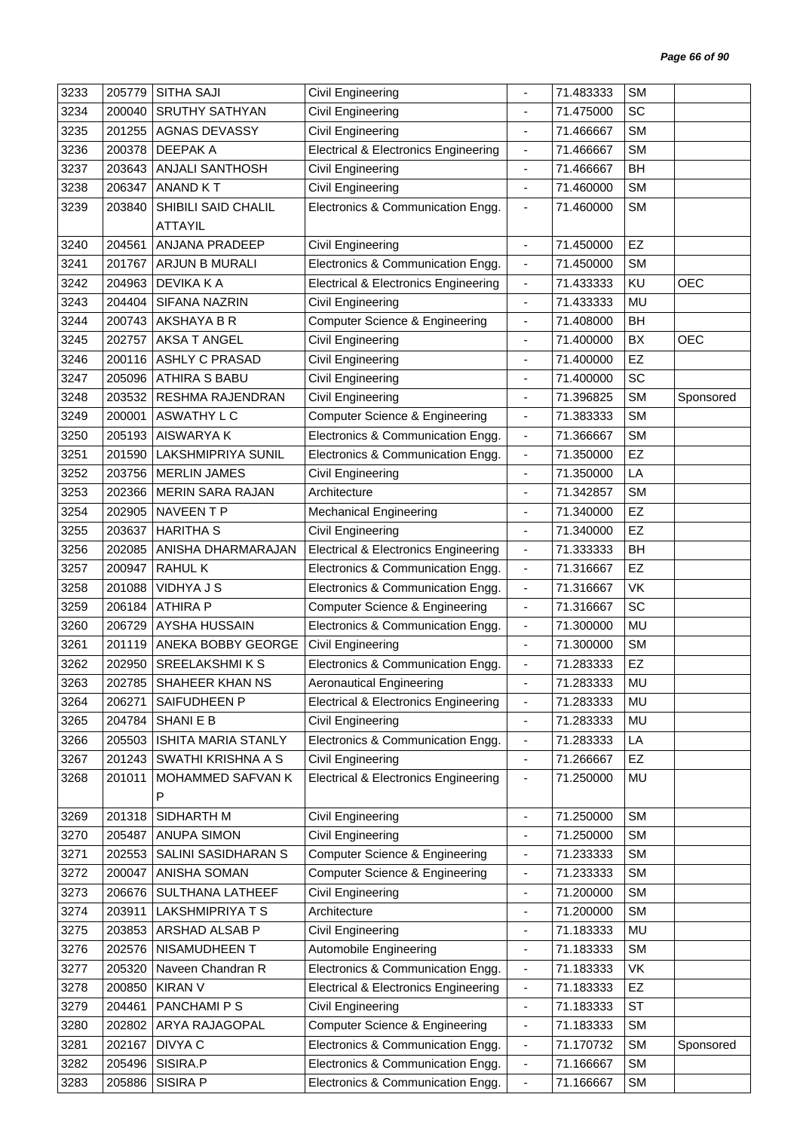| 3233 | 205779 | <b>SITHA SAJI</b>         | Civil Engineering                               |                              | 71.483333 | <b>SM</b> |            |
|------|--------|---------------------------|-------------------------------------------------|------------------------------|-----------|-----------|------------|
| 3234 | 200040 | <b>SRUTHY SATHYAN</b>     | <b>Civil Engineering</b>                        |                              | 71.475000 | <b>SC</b> |            |
| 3235 | 201255 | <b>AGNAS DEVASSY</b>      | Civil Engineering                               | $\blacksquare$               | 71.466667 | <b>SM</b> |            |
| 3236 | 200378 | <b>DEEPAKA</b>            | <b>Electrical &amp; Electronics Engineering</b> | $\overline{\phantom{a}}$     | 71.466667 | <b>SM</b> |            |
| 3237 | 203643 | ANJALI SANTHOSH           | Civil Engineering                               | $\overline{\phantom{a}}$     | 71.466667 | BH        |            |
| 3238 | 206347 | <b>ANAND KT</b>           | Civil Engineering                               | $\blacksquare$               | 71.460000 | <b>SM</b> |            |
| 3239 | 203840 | SHIBILI SAID CHALIL       | Electronics & Communication Engg.               | $\overline{\phantom{a}}$     | 71.460000 | <b>SM</b> |            |
|      |        | <b>ATTAYIL</b>            |                                                 |                              |           |           |            |
| 3240 | 204561 | ANJANA PRADEEP            | Civil Engineering                               | $\blacksquare$               | 71.450000 | EZ        |            |
| 3241 | 201767 | ARJUN B MURALI            | Electronics & Communication Engg.               | $\blacksquare$               | 71.450000 | <b>SM</b> |            |
| 3242 | 204963 | <b>DEVIKA K A</b>         | <b>Electrical &amp; Electronics Engineering</b> | $\overline{\phantom{a}}$     | 71.433333 | KU        | <b>OEC</b> |
| 3243 | 204404 | SIFANA NAZRIN             | Civil Engineering                               | $\blacksquare$               | 71.433333 | <b>MU</b> |            |
| 3244 | 200743 | AKSHAYA B R               | <b>Computer Science &amp; Engineering</b>       | $\blacksquare$               | 71.408000 | <b>BH</b> |            |
| 3245 | 202757 | <b>AKSA T ANGEL</b>       | Civil Engineering                               | $\overline{\phantom{a}}$     | 71.400000 | BX        | <b>OEC</b> |
| 3246 | 200116 | <b>ASHLY C PRASAD</b>     | Civil Engineering                               | $\overline{\phantom{a}}$     | 71.400000 | EZ        |            |
| 3247 | 205096 | <b>ATHIRA S BABU</b>      | <b>Civil Engineering</b>                        | $\overline{\phantom{a}}$     | 71.400000 | SC        |            |
| 3248 | 203532 | <b>RESHMA RAJENDRAN</b>   | <b>Civil Engineering</b>                        | $\blacksquare$               | 71.396825 | <b>SM</b> | Sponsored  |
| 3249 | 200001 | ASWATHY L C               | <b>Computer Science &amp; Engineering</b>       | $\overline{\phantom{a}}$     | 71.383333 | <b>SM</b> |            |
| 3250 | 205193 | AISWARYA K                | Electronics & Communication Engg.               | $\blacksquare$               | 71.366667 | <b>SM</b> |            |
| 3251 | 201590 | <b>LAKSHMIPRIYA SUNIL</b> | Electronics & Communication Engg.               | $\overline{\phantom{a}}$     | 71.350000 | EZ        |            |
| 3252 | 203756 | <b>MERLIN JAMES</b>       | Civil Engineering                               | $\overline{\phantom{a}}$     | 71.350000 | LA        |            |
| 3253 | 202366 | <b>MERIN SARA RAJAN</b>   | Architecture                                    | $\overline{\phantom{a}}$     | 71.342857 | <b>SM</b> |            |
| 3254 | 202905 | NAVEEN T P                | <b>Mechanical Engineering</b>                   | ÷,                           | 71.340000 | EZ        |            |
| 3255 | 203637 | <b>HARITHA S</b>          | Civil Engineering                               | $\blacksquare$               | 71.340000 | <b>EZ</b> |            |
| 3256 | 202085 | ANISHA DHARMARAJAN        | <b>Electrical &amp; Electronics Engineering</b> | $\blacksquare$               | 71.333333 | <b>BH</b> |            |
| 3257 | 200947 | <b>RAHULK</b>             | Electronics & Communication Engg.               | $\overline{\phantom{a}}$     | 71.316667 | EZ        |            |
| 3258 | 201088 | <b>VIDHYA J S</b>         | Electronics & Communication Engg.               | $\overline{\phantom{a}}$     | 71.316667 | VK        |            |
| 3259 | 206184 | <b>ATHIRA P</b>           | <b>Computer Science &amp; Engineering</b>       | $\blacksquare$               | 71.316667 | SC        |            |
| 3260 | 206729 | AYSHA HUSSAIN             | Electronics & Communication Engg.               | $\overline{\phantom{a}}$     | 71.300000 | MU        |            |
| 3261 | 201119 | ANEKA BOBBY GEORGE        | <b>Civil Engineering</b>                        | $\overline{\phantom{a}}$     | 71.300000 | <b>SM</b> |            |
| 3262 | 202950 | <b>SREELAKSHMIKS</b>      | Electronics & Communication Engg.               | $\frac{1}{2}$                | 71.283333 | EZ        |            |
| 3263 |        | 202785   SHAHEER KHAN NS  | <b>Aeronautical Engineering</b>                 |                              | 71.283333 | MU        |            |
| 3264 | 206271 | SAIFUDHEEN P              | <b>Electrical &amp; Electronics Engineering</b> | $\overline{\phantom{a}}$     | 71.283333 | MU        |            |
| 3265 | 204784 | <b>SHANIEB</b>            | Civil Engineering                               | $\frac{1}{2}$                | 71.283333 | MU        |            |
| 3266 | 205503 | ISHITA MARIA STANLY       | Electronics & Communication Engg.               | $\overline{\phantom{a}}$     | 71.283333 | LA        |            |
| 3267 | 201243 | SWATHI KRISHNA A S        | Civil Engineering                               | $\blacksquare$               | 71.266667 | <b>EZ</b> |            |
| 3268 | 201011 | MOHAMMED SAFVAN K         | <b>Electrical &amp; Electronics Engineering</b> | $\blacksquare$               | 71.250000 | MU        |            |
|      |        | P                         |                                                 |                              |           |           |            |
| 3269 | 201318 | SIDHARTH M                | Civil Engineering                               | $\blacksquare$               | 71.250000 | <b>SM</b> |            |
| 3270 | 205487 | <b>ANUPA SIMON</b>        | Civil Engineering                               | $\qquad \qquad \blacksquare$ | 71.250000 | <b>SM</b> |            |
| 3271 | 202553 | SALINI SASIDHARAN S       | Computer Science & Engineering                  | $\overline{\phantom{a}}$     | 71.233333 | <b>SM</b> |            |
| 3272 | 200047 | ANISHA SOMAN              | Computer Science & Engineering                  | $\qquad \qquad \blacksquare$ | 71.233333 | <b>SM</b> |            |
| 3273 | 206676 | <b>SULTHANA LATHEEF</b>   | Civil Engineering                               | $\overline{\phantom{a}}$     | 71.200000 | <b>SM</b> |            |
| 3274 | 203911 | LAKSHMIPRIYA T S          | Architecture                                    | $\overline{\phantom{a}}$     | 71.200000 | <b>SM</b> |            |
| 3275 | 203853 | ARSHAD ALSAB P            | Civil Engineering                               | $\overline{\phantom{a}}$     | 71.183333 | MU        |            |
| 3276 | 202576 | NISAMUDHEEN T             | Automobile Engineering                          | $\blacksquare$               | 71.183333 | <b>SM</b> |            |
| 3277 | 205320 | Naveen Chandran R         | Electronics & Communication Engg.               | $\overline{\phantom{a}}$     | 71.183333 | VK        |            |
| 3278 | 200850 | <b>KIRAN V</b>            | <b>Electrical &amp; Electronics Engineering</b> | $\overline{\phantom{a}}$     | 71.183333 | EZ        |            |
| 3279 | 204461 | PANCHAMI P S              | Civil Engineering                               | $\overline{\phantom{a}}$     | 71.183333 | <b>ST</b> |            |
| 3280 | 202802 | ARYA RAJAGOPAL            | <b>Computer Science &amp; Engineering</b>       | $\blacksquare$               | 71.183333 | <b>SM</b> |            |
| 3281 | 202167 | DIVYA C                   | Electronics & Communication Engg.               | $\overline{\phantom{a}}$     | 71.170732 | <b>SM</b> | Sponsored  |
| 3282 | 205496 | SISIRA.P                  | Electronics & Communication Engg.               | $\blacksquare$               | 71.166667 | <b>SM</b> |            |
| 3283 | 205886 | SISIRA P                  | Electronics & Communication Engg.               | $\overline{\phantom{a}}$     | 71.166667 | <b>SM</b> |            |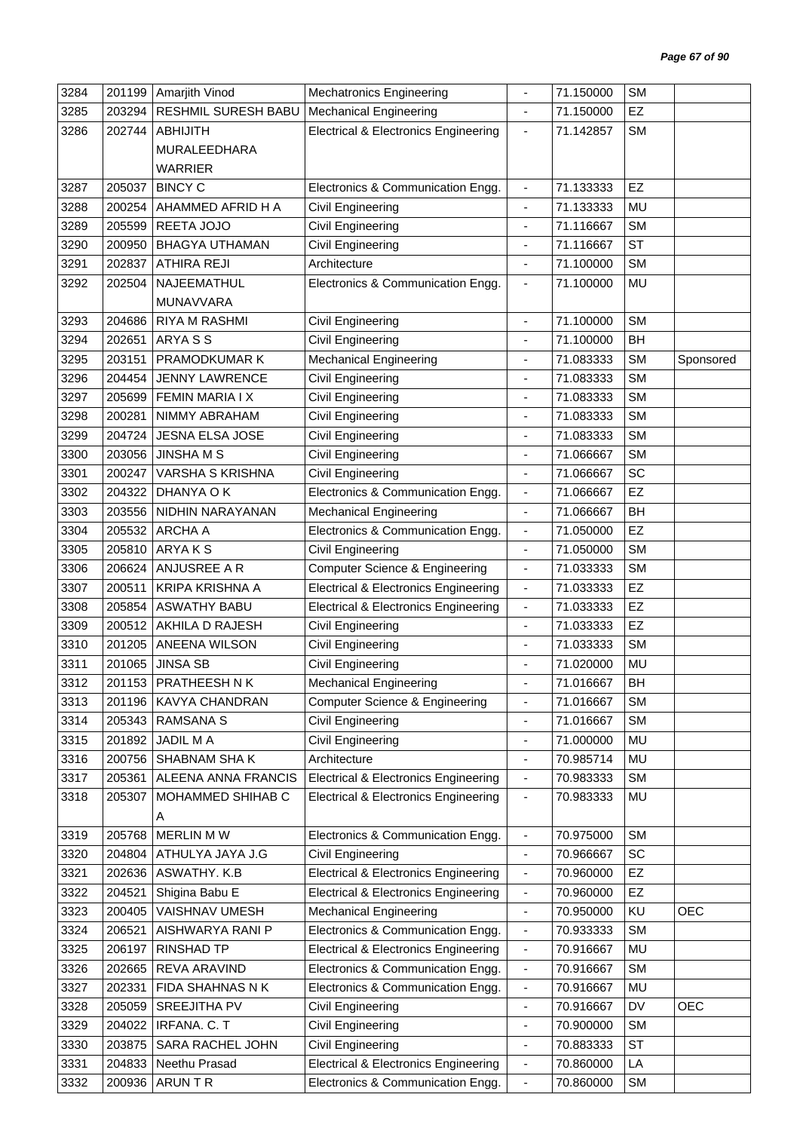| 3284 |        | 201199 Amarjith Vinod   | <b>Mechatronics Engineering</b>                 |                                    | 71.150000              | <b>SM</b> |            |
|------|--------|-------------------------|-------------------------------------------------|------------------------------------|------------------------|-----------|------------|
| 3285 | 203294 | RESHMIL SURESH BABU     | <b>Mechanical Engineering</b>                   | $\blacksquare$                     | 71.150000              | EZ        |            |
| 3286 | 202744 | <b>ABHIJITH</b>         | <b>Electrical &amp; Electronics Engineering</b> | $\overline{\phantom{a}}$           | 71.142857              | SM        |            |
|      |        | MURALEEDHARA            |                                                 |                                    |                        |           |            |
|      |        | <b>WARRIER</b>          |                                                 |                                    |                        |           |            |
| 3287 | 205037 | <b>BINCY C</b>          | Electronics & Communication Engg.               | $\blacksquare$                     | 71.133333              | EZ        |            |
| 3288 | 200254 | AHAMMED AFRID H A       | Civil Engineering                               | $\qquad \qquad \blacksquare$       | 71.133333              | <b>MU</b> |            |
| 3289 | 205599 | REETA JOJO              | <b>Civil Engineering</b>                        | $\frac{1}{2}$                      | 71.116667              | <b>SM</b> |            |
| 3290 | 200950 | <b>BHAGYA UTHAMAN</b>   | Civil Engineering                               |                                    | 71.116667              | <b>ST</b> |            |
| 3291 | 202837 | ATHIRA REJI             | Architecture                                    | $\qquad \qquad \blacksquare$       | 71.100000              | <b>SM</b> |            |
| 3292 | 202504 | NAJEEMATHUL             | Electronics & Communication Engg.               | $\overline{\phantom{a}}$           | 71.100000              | <b>MU</b> |            |
|      |        | MUNAVVARA               |                                                 |                                    |                        |           |            |
| 3293 | 204686 | RIYA M RASHMI           | Civil Engineering                               | $\overline{\phantom{a}}$           | 71.100000              | <b>SM</b> |            |
| 3294 | 202651 | ARYA S S                | Civil Engineering                               | $\blacksquare$                     | 71.100000              | <b>BH</b> |            |
| 3295 | 203151 | PRAMODKUMAR K           | Mechanical Engineering                          |                                    | 71.083333              | <b>SM</b> | Sponsored  |
|      |        | <b>JENNY LAWRENCE</b>   |                                                 |                                    |                        | <b>SM</b> |            |
| 3296 | 204454 | <b>FEMIN MARIA I X</b>  | Civil Engineering                               | $\qquad \qquad \blacksquare$<br>÷, | 71.083333<br>71.083333 | <b>SM</b> |            |
| 3297 | 205699 |                         | Civil Engineering                               |                                    |                        |           |            |
| 3298 | 200281 | NIMMY ABRAHAM           | Civil Engineering                               | ٠                                  | 71.083333              | <b>SM</b> |            |
| 3299 | 204724 | JESNA ELSA JOSE         | Civil Engineering                               | $\blacksquare$                     | 71.083333              | <b>SM</b> |            |
| 3300 | 203056 | <b>JINSHA M S</b>       | Civil Engineering                               |                                    | 71.066667              | <b>SM</b> |            |
| 3301 | 200247 | <b>VARSHA S KRISHNA</b> | Civil Engineering                               | $\qquad \qquad \blacksquare$       | 71.066667              | SC        |            |
| 3302 | 204322 | DHANYA O K              | Electronics & Communication Engg.               | $\blacksquare$                     | 71.066667              | EZ        |            |
| 3303 | 203556 | NIDHIN NARAYANAN        | <b>Mechanical Engineering</b>                   | $\blacksquare$                     | 71.066667              | <b>BH</b> |            |
| 3304 | 205532 | ARCHA A                 | Electronics & Communication Engg.               | $\overline{\phantom{a}}$           | 71.050000              | EZ        |            |
| 3305 | 205810 | ARYAKS                  | Civil Engineering                               | $\blacksquare$                     | 71.050000              | <b>SM</b> |            |
| 3306 | 206624 | ANJUSREE A R            | <b>Computer Science &amp; Engineering</b>       | $\overline{\phantom{a}}$           | 71.033333              | <b>SM</b> |            |
| 3307 | 200511 | <b>KRIPA KRISHNA A</b>  | <b>Electrical &amp; Electronics Engineering</b> | $\overline{\phantom{a}}$           | 71.033333              | EZ        |            |
| 3308 | 205854 | <b>ASWATHY BABU</b>     | <b>Electrical &amp; Electronics Engineering</b> | $\blacksquare$                     | 71.033333              | EZ        |            |
| 3309 | 200512 | AKHILA D RAJESH         | Civil Engineering                               | $\qquad \qquad \blacksquare$       | 71.033333              | EZ        |            |
| 3310 | 201205 | ANEENA WILSON           | <b>Civil Engineering</b>                        | $\blacksquare$                     | 71.033333              | <b>SM</b> |            |
| 3311 | 201065 | <b>JINSA SB</b>         | <b>Civil Engineering</b>                        |                                    | 71.020000              | MU        |            |
| 3312 |        | 201153   PRATHEESH N K  | <b>Mechanical Engineering</b>                   |                                    | 71.016667              | <b>BH</b> |            |
| 3313 | 201196 | <b>KAVYA CHANDRAN</b>   | <b>Computer Science &amp; Engineering</b>       | $\overline{\phantom{a}}$           | 71.016667              | <b>SM</b> |            |
| 3314 | 205343 | <b>RAMSANA S</b>        | Civil Engineering                               | ÷,                                 | 71.016667              | <b>SM</b> |            |
| 3315 | 201892 | <b>JADIL MA</b>         | Civil Engineering                               | $\qquad \qquad \blacksquare$       | 71.000000              | MU        |            |
| 3316 | 200756 | SHABNAM SHAK            | Architecture                                    | $\qquad \qquad \blacksquare$       | 70.985714              | MU        |            |
| 3317 | 205361 | ALEENA ANNA FRANCIS     | <b>Electrical &amp; Electronics Engineering</b> | ۰                                  | 70.983333              | SM        |            |
| 3318 | 205307 | MOHAMMED SHIHAB C       | <b>Electrical &amp; Electronics Engineering</b> | $\qquad \qquad \blacksquare$       | 70.983333              | MU        |            |
|      |        | A                       |                                                 |                                    |                        |           |            |
| 3319 | 205768 | MERLIN MW               | Electronics & Communication Engg.               | ۰                                  | 70.975000              | <b>SM</b> |            |
| 3320 | 204804 | ATHULYA JAYA J.G        | Civil Engineering                               | $\overline{\phantom{a}}$           | 70.966667              | SC        |            |
| 3321 | 202636 | ASWATHY. K.B            | <b>Electrical &amp; Electronics Engineering</b> | $\qquad \qquad \blacksquare$       | 70.960000              | EZ        |            |
| 3322 | 204521 | Shigina Babu E          | <b>Electrical &amp; Electronics Engineering</b> | $\overline{\phantom{a}}$           | 70.960000              | EZ        |            |
| 3323 | 200405 | VAISHNAV UMESH          | <b>Mechanical Engineering</b>                   | $\overline{\phantom{a}}$           | 70.950000              | KU        | <b>OEC</b> |
| 3324 | 206521 | AISHWARYA RANI P        | Electronics & Communication Engg.               | $\qquad \qquad \blacksquare$       | 70.933333              | <b>SM</b> |            |
| 3325 | 206197 | RINSHAD TP              | <b>Electrical &amp; Electronics Engineering</b> | $\overline{\phantom{a}}$           | 70.916667              | MU        |            |
| 3326 | 202665 | REVA ARAVIND            | Electronics & Communication Engg.               | $\blacksquare$                     | 70.916667              | <b>SM</b> |            |
| 3327 | 202331 | FIDA SHAHNAS N K        | Electronics & Communication Engg.               | $\overline{\phantom{a}}$           | 70.916667              | MU        |            |
| 3328 | 205059 | SREEJITHA PV            | Civil Engineering                               | $\qquad \qquad \blacksquare$       | 70.916667              | DV        | <b>OEC</b> |
| 3329 | 204022 | IRFANA. C. T            | Civil Engineering                               | $\blacksquare$                     | 70.900000              | <b>SM</b> |            |
| 3330 | 203875 | SARA RACHEL JOHN        | Civil Engineering                               | $\qquad \qquad \blacksquare$       | 70.883333              | <b>ST</b> |            |
| 3331 | 204833 | Neethu Prasad           | <b>Electrical &amp; Electronics Engineering</b> | $\overline{\phantom{a}}$           | 70.860000              | LA        |            |
| 3332 | 200936 | ARUN T R                | Electronics & Communication Engg.               | $\qquad \qquad \blacksquare$       | 70.860000              | SM        |            |
|      |        |                         |                                                 |                                    |                        |           |            |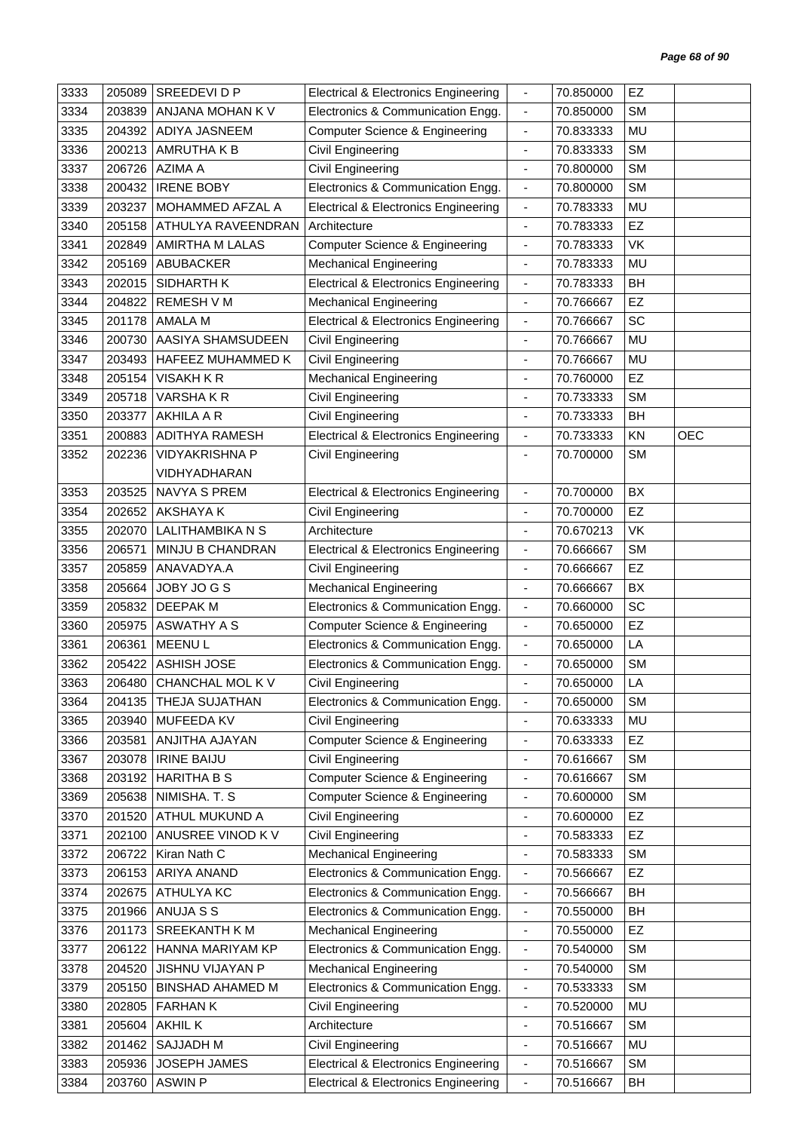| 3333 | 205089 | SREEDEVIDP              | <b>Electrical &amp; Electronics Engineering</b> | $\overline{\phantom{a}}$     | 70.850000 | EZ        |            |
|------|--------|-------------------------|-------------------------------------------------|------------------------------|-----------|-----------|------------|
| 3334 | 203839 | ANJANA MOHAN K V        | Electronics & Communication Engg.               | $\overline{\phantom{a}}$     | 70.850000 | <b>SM</b> |            |
| 3335 | 204392 | <b>ADIYA JASNEEM</b>    | <b>Computer Science &amp; Engineering</b>       | ÷,                           | 70.833333 | MU        |            |
| 3336 | 200213 | AMRUTHA K B             | Civil Engineering                               | $\overline{\phantom{a}}$     | 70.833333 | <b>SM</b> |            |
| 3337 | 206726 | <b>AZIMA A</b>          | Civil Engineering                               | $\overline{\phantom{a}}$     | 70.800000 | <b>SM</b> |            |
| 3338 | 200432 | <b>IRENE BOBY</b>       | Electronics & Communication Engg.               | $\overline{\phantom{a}}$     | 70.800000 | <b>SM</b> |            |
| 3339 | 203237 | MOHAMMED AFZAL A        | <b>Electrical &amp; Electronics Engineering</b> | $\blacksquare$               | 70.783333 | MU        |            |
| 3340 | 205158 | ATHULYA RAVEENDRAN      | Architecture                                    | $\blacksquare$               | 70.783333 | EZ        |            |
| 3341 | 202849 | AMIRTHA M LALAS         | <b>Computer Science &amp; Engineering</b>       | $\overline{\phantom{a}}$     | 70.783333 | VK        |            |
| 3342 | 205169 | <b>ABUBACKER</b>        | <b>Mechanical Engineering</b>                   | $\overline{\phantom{a}}$     | 70.783333 | <b>MU</b> |            |
| 3343 | 202015 | SIDHARTH K              | <b>Electrical &amp; Electronics Engineering</b> | $\blacksquare$               | 70.783333 | BH        |            |
| 3344 | 204822 | <b>REMESH V M</b>       | <b>Mechanical Engineering</b>                   | $\overline{\phantom{a}}$     | 70.766667 | EZ        |            |
| 3345 | 201178 | AMALA M                 | <b>Electrical &amp; Electronics Engineering</b> | $\blacksquare$               | 70.766667 | SC        |            |
| 3346 | 200730 | AASIYA SHAMSUDEEN       | Civil Engineering                               | $\blacksquare$               | 70.766667 | MU        |            |
| 3347 | 203493 | HAFEEZ MUHAMMED K       | Civil Engineering                               | $\qquad \qquad \blacksquare$ | 70.766667 | MU        |            |
| 3348 | 205154 | <b>VISAKH K R</b>       | <b>Mechanical Engineering</b>                   | $\blacksquare$               | 70.760000 | EZ        |            |
| 3349 | 205718 | VARSHAKR                | Civil Engineering                               |                              | 70.733333 | <b>SM</b> |            |
| 3350 | 203377 | AKHILA A R              | Civil Engineering                               | $\overline{\phantom{a}}$     | 70.733333 | BH        |            |
| 3351 | 200883 | <b>ADITHYA RAMESH</b>   | <b>Electrical &amp; Electronics Engineering</b> | $\overline{\phantom{a}}$     | 70.733333 | KN        | <b>OEC</b> |
| 3352 | 202236 | <b>VIDYAKRISHNA P</b>   | Civil Engineering                               | $\blacksquare$               | 70.700000 | <b>SM</b> |            |
|      |        | VIDHYADHARAN            |                                                 |                              |           |           |            |
| 3353 | 203525 | <b>NAVYA S PREM</b>     | <b>Electrical &amp; Electronics Engineering</b> | $\blacksquare$               | 70.700000 | BX        |            |
| 3354 | 202652 | <b>AKSHAYA K</b>        | Civil Engineering                               | ٠                            | 70.700000 | EZ        |            |
| 3355 | 202070 | LALITHAMBIKA N S        | Architecture                                    | $\overline{\phantom{a}}$     | 70.670213 | VK        |            |
| 3356 | 206571 | MINJU B CHANDRAN        | <b>Electrical &amp; Electronics Engineering</b> | $\overline{\phantom{a}}$     | 70.666667 | <b>SM</b> |            |
| 3357 | 205859 | ANAVADYA.A              | Civil Engineering                               | $\overline{\phantom{a}}$     | 70.666667 | EZ        |            |
| 3358 | 205664 | JOBY JOGS               | <b>Mechanical Engineering</b>                   | $\overline{\phantom{a}}$     | 70.666667 | BX        |            |
| 3359 | 205832 | <b>DEEPAKM</b>          | Electronics & Communication Engg.               | $\blacksquare$               | 70.660000 | SC        |            |
| 3360 | 205975 | <b>ASWATHY A S</b>      | <b>Computer Science &amp; Engineering</b>       | $\overline{\phantom{a}}$     | 70.650000 | EZ        |            |
| 3361 | 206361 | <b>MEENUL</b>           | Electronics & Communication Engg.               | $\blacksquare$               | 70.650000 | LA        |            |
| 3362 | 205422 | ASHISH JOSE             | Electronics & Communication Engg.               | $\blacksquare$               | 70.650000 | <b>SM</b> |            |
| 3363 |        | 206480 CHANCHAL MOL K V | Civil Engineering                               |                              | 70.650000 | LA        |            |
| 3364 |        | 204135   THEJA SUJATHAN | Electronics & Communication Engg.               | $\overline{\phantom{a}}$     | 70.650000 | <b>SM</b> |            |
| 3365 | 203940 | MUFEEDA KV              | Civil Engineering                               | $\overline{\phantom{a}}$     | 70.633333 | MU        |            |
| 3366 | 203581 | ANJITHA AJAYAN          | Computer Science & Engineering                  | $\overline{\phantom{a}}$     | 70.633333 | EZ        |            |
| 3367 | 203078 | <b>IRINE BAIJU</b>      | Civil Engineering                               | $\frac{1}{2}$                | 70.616667 | <b>SM</b> |            |
| 3368 | 203192 | <b>HARITHA B S</b>      | <b>Computer Science &amp; Engineering</b>       | $\overline{\phantom{a}}$     | 70.616667 | <b>SM</b> |            |
| 3369 | 205638 | NIMISHA. T. S           | Computer Science & Engineering                  | $\overline{\phantom{a}}$     | 70.600000 | <b>SM</b> |            |
| 3370 | 201520 | <b>ATHUL MUKUND A</b>   | Civil Engineering                               | $\overline{\phantom{a}}$     | 70.600000 | EZ        |            |
| 3371 | 202100 | ANUSREE VINOD K V       | Civil Engineering                               | $\overline{\phantom{a}}$     | 70.583333 | <b>EZ</b> |            |
| 3372 | 206722 | Kiran Nath C            | <b>Mechanical Engineering</b>                   | $\overline{\phantom{a}}$     | 70.583333 | <b>SM</b> |            |
| 3373 | 206153 | ARIYA ANAND             | Electronics & Communication Engg.               | $\overline{\phantom{a}}$     | 70.566667 | EZ        |            |
| 3374 | 202675 | <b>ATHULYA KC</b>       | Electronics & Communication Engg.               | $\blacksquare$               | 70.566667 | BH        |            |
| 3375 |        | 201966 ANUJA S S        | Electronics & Communication Engg.               | $\blacksquare$               | 70.550000 | BH        |            |
| 3376 | 201173 | <b>SREEKANTH KM</b>     | <b>Mechanical Engineering</b>                   | $\blacksquare$               | 70.550000 | EZ        |            |
| 3377 | 206122 | HANNA MARIYAM KP        | Electronics & Communication Engg.               | $\overline{\phantom{a}}$     | 70.540000 | <b>SM</b> |            |
| 3378 | 204520 | JISHNU VIJAYAN P        | <b>Mechanical Engineering</b>                   | $\frac{1}{2}$                | 70.540000 | <b>SM</b> |            |
| 3379 | 205150 | <b>BINSHAD AHAMED M</b> | Electronics & Communication Engg.               | $\overline{\phantom{a}}$     | 70.533333 | <b>SM</b> |            |
| 3380 | 202805 | <b>FARHANK</b>          | Civil Engineering                               | $\blacksquare$               | 70.520000 | MU        |            |
| 3381 | 205604 | AKHIL K                 | Architecture                                    | ÷,                           | 70.516667 | <b>SM</b> |            |
| 3382 | 201462 | <b>SAJJADH M</b>        | Civil Engineering                               | $\overline{\phantom{a}}$     | 70.516667 | MU        |            |
| 3383 | 205936 | JOSEPH JAMES            | <b>Electrical &amp; Electronics Engineering</b> | $\overline{\phantom{a}}$     | 70.516667 | <b>SM</b> |            |
| 3384 | 203760 | <b>ASWIN P</b>          | <b>Electrical &amp; Electronics Engineering</b> | $\overline{\phantom{a}}$     | 70.516667 | BH        |            |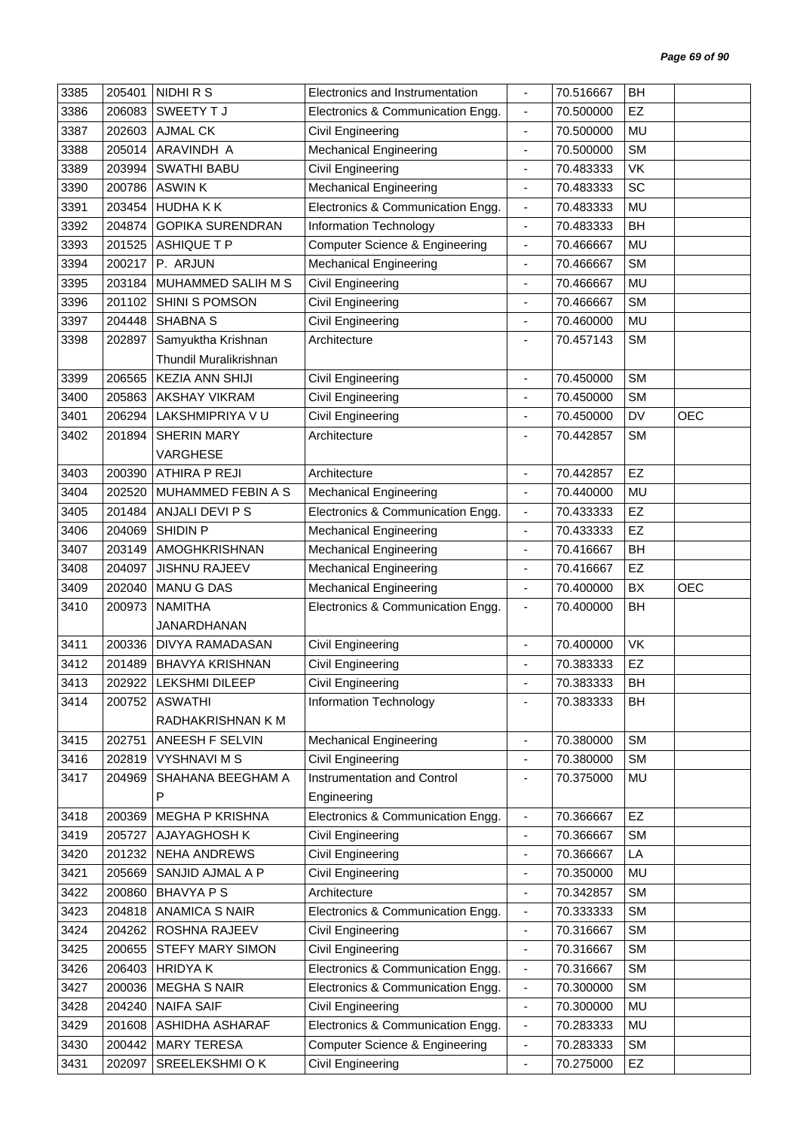| 3386<br>206083<br>SWEETY TJ<br>70.500000<br>EZ<br>Electronics & Communication Engg.<br>$\blacksquare$<br>3387<br><b>AJMAL CK</b><br>70.500000<br><b>MU</b><br>202603<br>Civil Engineering<br>ä,<br>ARAVINDH A<br>Mechanical Engineering<br><b>SM</b><br>3388<br>205014<br>70.500000<br>$\qquad \qquad \blacksquare$<br><b>Civil Engineering</b><br>VK<br>3389<br>203994<br><b>SWATHI BABU</b><br>70.483333<br>$\blacksquare$<br>200786<br><b>ASWINK</b><br><b>Mechanical Engineering</b><br>SC<br>3390<br>70.483333<br>$\blacksquare$<br>Electronics & Communication Engg.<br>3391<br>203454<br><b>HUDHAKK</b><br>70.483333<br>MU<br>$\overline{\phantom{a}}$<br>3392<br>204874<br><b>GOPIKA SURENDRAN</b><br>Information Technology<br>BH<br>70.483333<br>$\overline{\phantom{a}}$<br>Computer Science & Engineering<br>MU<br>3393<br>201525<br><b>ASHIQUE T P</b><br>70.466667<br>$\blacksquare$<br>3394<br>200217<br>P. ARJUN<br><b>Mechanical Engineering</b><br>70.466667<br><b>SM</b><br>$\overline{\phantom{a}}$<br>3395<br>203184<br>MUHAMMED SALIH M S<br>Civil Engineering<br>MU<br>70.466667<br>$\blacksquare$<br>Civil Engineering<br>3396<br>SHINI S POMSON<br><b>SM</b><br>201102<br>70.466667<br>$\blacksquare$<br>3397<br><b>SHABNA S</b><br>Civil Engineering<br>70.460000<br>MU<br>204448<br>$\blacksquare$<br>Samyuktha Krishnan<br><b>SM</b><br>3398<br>202897<br>Architecture<br>70.457143<br>Thundil Muralikrishnan<br>3399<br>206565<br><b>KEZIA ANN SHIJI</b><br>Civil Engineering<br>70.450000<br><b>SM</b><br>$\overline{\phantom{a}}$<br>3400<br>205863<br>Civil Engineering<br><b>SM</b><br><b>AKSHAY VIKRAM</b><br>70.450000<br>Civil Engineering<br>DV<br><b>OEC</b><br>3401<br>206294<br>LAKSHMIPRIYA V U<br>70.450000<br>$\overline{\phantom{a}}$<br>3402<br><b>SHERIN MARY</b><br><b>SM</b><br>201894<br>Architecture<br>70.442857<br>$\blacksquare$<br><b>VARGHESE</b><br>ATHIRA P REJI<br>Architecture<br>EZ<br>3403<br>200390<br>70.442857<br>$\blacksquare$<br>3404<br>202520<br>MUHAMMED FEBIN A S<br><b>MU</b><br><b>Mechanical Engineering</b><br>70.440000<br>$\blacksquare$<br>3405<br>ANJALI DEVI P S<br>Electronics & Communication Engg.<br>EZ<br>201484<br>70.433333<br>$\overline{\phantom{a}}$<br><b>EZ</b><br>3406<br>204069<br>SHIDIN P<br>70.433333<br><b>Mechanical Engineering</b><br>$\overline{\phantom{a}}$<br>3407<br><b>Mechanical Engineering</b><br>BH<br>203149<br>AMOGHKRISHNAN<br>70.416667<br>ä,<br>EZ<br>3408<br>204097<br><b>JISHNU RAJEEV</b><br><b>Mechanical Engineering</b><br>70.416667<br>$\overline{\phantom{a}}$<br><b>Mechanical Engineering</b><br><b>OEC</b><br>3409<br>202040<br><b>MANU G DAS</b><br>70.400000<br>BX<br>$\overline{\phantom{a}}$<br>Electronics & Communication Engg.<br>BH<br>3410<br>200973<br><b>NAMITHA</b><br>70.400000<br>$\overline{\phantom{a}}$<br>JANARDHANAN<br>200336<br>VK<br>3411<br><b>DIVYA RAMADASAN</b><br>Civil Engineering<br>70.400000<br>$\overline{\phantom{a}}$<br>3412<br><b>BHAVYA KRISHNAN</b><br>Civil Engineering<br><b>EZ</b><br>201489<br>70.383333<br>3413<br>202922 LEKSHMI DILEEP<br><b>BH</b><br>Civil Engineering<br>70.383333<br>200752 ASWATHI<br>Information Technology<br>70.383333<br>BH<br>3414<br>RADHAKRISHNAN K M<br>ANEESH F SELVIN<br>70.380000<br><b>SM</b><br>3415<br>202751<br><b>Mechanical Engineering</b><br>$\blacksquare$<br><b>SM</b><br>202819<br><b>VYSHNAVIMS</b><br>Civil Engineering<br>3416<br>70.380000<br>$\blacksquare$<br>3417<br>204969<br>SHAHANA BEEGHAM A<br>Instrumentation and Control<br>70.375000<br>MU<br>$\qquad \qquad \blacksquare$<br>P<br>Engineering<br>EZ<br>200369<br><b>MEGHA P KRISHNA</b><br>Electronics & Communication Engg.<br>70.366667<br>3418<br>$\overline{\phantom{a}}$<br>3419<br>205727<br>AJAYAGHOSH K<br>Civil Engineering<br>70.366667<br><b>SM</b><br>$\overline{\phantom{a}}$<br>201232<br><b>NEHA ANDREWS</b><br>Civil Engineering<br>70.366667<br>LA<br>3420<br>$\overline{\phantom{a}}$<br>SANJID AJMAL A P<br>Civil Engineering<br>3421<br>205669<br>70.350000<br>MU<br>÷,<br><b>BHAVYA P S</b><br>Architecture<br><b>SM</b><br>3422<br>200860<br>70.342857<br>÷,<br><b>ANAMICA S NAIR</b><br>Electronics & Communication Engg.<br><b>SM</b><br>3423<br>204818<br>70.333333<br>$\overline{\phantom{a}}$<br>ROSHNA RAJEEV<br>3424<br>204262<br>Civil Engineering<br>70.316667<br><b>SM</b><br>$\overline{\phantom{a}}$<br>3425<br>200655<br>STEFY MARY SIMON<br>Civil Engineering<br>70.316667<br><b>SM</b><br>$\overline{\phantom{a}}$<br>3426<br>206403<br><b>HRIDYAK</b><br>Electronics & Communication Engg.<br><b>SM</b><br>70.316667<br>$\blacksquare$<br><b>MEGHA S NAIR</b><br>Electronics & Communication Engg.<br>70.300000<br><b>SM</b><br>3427<br>200036<br>$\overline{\phantom{a}}$<br><b>NAIFA SAIF</b><br>70.300000<br>MU<br>3428<br>204240<br>Civil Engineering<br>$\blacksquare$<br>Electronics & Communication Engg.<br>3429<br>201608<br>ASHIDHA ASHARAF<br>70.283333<br>MU<br>$\overline{\phantom{a}}$<br><b>MARY TERESA</b><br><b>SM</b><br>3430<br>200442<br>Computer Science & Engineering<br>70.283333<br>$\overline{\phantom{a}}$<br>3431<br>SREELEKSHMI O K<br>Civil Engineering<br>70.275000<br>EZ<br>202097<br>$\overline{\phantom{a}}$ | 3385 | 205401 | NIDHI R S | Electronics and Instrumentation | $\blacksquare$ | 70.516667 | BH |  |
|----------------------------------------------------------------------------------------------------------------------------------------------------------------------------------------------------------------------------------------------------------------------------------------------------------------------------------------------------------------------------------------------------------------------------------------------------------------------------------------------------------------------------------------------------------------------------------------------------------------------------------------------------------------------------------------------------------------------------------------------------------------------------------------------------------------------------------------------------------------------------------------------------------------------------------------------------------------------------------------------------------------------------------------------------------------------------------------------------------------------------------------------------------------------------------------------------------------------------------------------------------------------------------------------------------------------------------------------------------------------------------------------------------------------------------------------------------------------------------------------------------------------------------------------------------------------------------------------------------------------------------------------------------------------------------------------------------------------------------------------------------------------------------------------------------------------------------------------------------------------------------------------------------------------------------------------------------------------------------------------------------------------------------------------------------------------------------------------------------------------------------------------------------------------------------------------------------------------------------------------------------------------------------------------------------------------------------------------------------------------------------------------------------------------------------------------------------------------------------------------------------------------------------------------------------------------------------------------------------------------------------------------------------------------------------------------------------------------------------------------------------------------------------------------------------------------------------------------------------------------------------------------------------------------------------------------------------------------------------------------------------------------------------------------------------------------------------------------------------------------------------------------------------------------------------------------------------------------------------------------------------------------------------------------------------------------------------------------------------------------------------------------------------------------------------------------------------------------------------------------------------------------------------------------------------------------------------------------------------------------------------------------------------------------------------------------------------------------------------------------------------------------------------------------------------------------------------------------------------------------------------------------------------------------------------------------------------------------------------------------------------------------------------------------------------------------------------------------------------------------------------------------------------------------------------------------------------------------------------------------------------------------------------------------------------------------------------------------------------------------------------------------------------------------------------------------------------------------------------------------------------------------------------------------------------------------------------------------------------------------------------------------------------------------------------------------------------------------------------------------------------------------------------------------------------------------------------------------------------------------------------------------------------------------------------------------------------------------------------------------------------------------------------------------------------------------------------------------------------------------------------------------------------------------------------------------------------------------------------------------------------------------------|------|--------|-----------|---------------------------------|----------------|-----------|----|--|
|                                                                                                                                                                                                                                                                                                                                                                                                                                                                                                                                                                                                                                                                                                                                                                                                                                                                                                                                                                                                                                                                                                                                                                                                                                                                                                                                                                                                                                                                                                                                                                                                                                                                                                                                                                                                                                                                                                                                                                                                                                                                                                                                                                                                                                                                                                                                                                                                                                                                                                                                                                                                                                                                                                                                                                                                                                                                                                                                                                                                                                                                                                                                                                                                                                                                                                                                                                                                                                                                                                                                                                                                                                                                                                                                                                                                                                                                                                                                                                                                                                                                                                                                                                                                                                                                                                                                                                                                                                                                                                                                                                                                                                                                                                                                                                                                                                                                                                                                                                                                                                                                                                                                                                                                                                                                            |      |        |           |                                 |                |           |    |  |
|                                                                                                                                                                                                                                                                                                                                                                                                                                                                                                                                                                                                                                                                                                                                                                                                                                                                                                                                                                                                                                                                                                                                                                                                                                                                                                                                                                                                                                                                                                                                                                                                                                                                                                                                                                                                                                                                                                                                                                                                                                                                                                                                                                                                                                                                                                                                                                                                                                                                                                                                                                                                                                                                                                                                                                                                                                                                                                                                                                                                                                                                                                                                                                                                                                                                                                                                                                                                                                                                                                                                                                                                                                                                                                                                                                                                                                                                                                                                                                                                                                                                                                                                                                                                                                                                                                                                                                                                                                                                                                                                                                                                                                                                                                                                                                                                                                                                                                                                                                                                                                                                                                                                                                                                                                                                            |      |        |           |                                 |                |           |    |  |
|                                                                                                                                                                                                                                                                                                                                                                                                                                                                                                                                                                                                                                                                                                                                                                                                                                                                                                                                                                                                                                                                                                                                                                                                                                                                                                                                                                                                                                                                                                                                                                                                                                                                                                                                                                                                                                                                                                                                                                                                                                                                                                                                                                                                                                                                                                                                                                                                                                                                                                                                                                                                                                                                                                                                                                                                                                                                                                                                                                                                                                                                                                                                                                                                                                                                                                                                                                                                                                                                                                                                                                                                                                                                                                                                                                                                                                                                                                                                                                                                                                                                                                                                                                                                                                                                                                                                                                                                                                                                                                                                                                                                                                                                                                                                                                                                                                                                                                                                                                                                                                                                                                                                                                                                                                                                            |      |        |           |                                 |                |           |    |  |
|                                                                                                                                                                                                                                                                                                                                                                                                                                                                                                                                                                                                                                                                                                                                                                                                                                                                                                                                                                                                                                                                                                                                                                                                                                                                                                                                                                                                                                                                                                                                                                                                                                                                                                                                                                                                                                                                                                                                                                                                                                                                                                                                                                                                                                                                                                                                                                                                                                                                                                                                                                                                                                                                                                                                                                                                                                                                                                                                                                                                                                                                                                                                                                                                                                                                                                                                                                                                                                                                                                                                                                                                                                                                                                                                                                                                                                                                                                                                                                                                                                                                                                                                                                                                                                                                                                                                                                                                                                                                                                                                                                                                                                                                                                                                                                                                                                                                                                                                                                                                                                                                                                                                                                                                                                                                            |      |        |           |                                 |                |           |    |  |
|                                                                                                                                                                                                                                                                                                                                                                                                                                                                                                                                                                                                                                                                                                                                                                                                                                                                                                                                                                                                                                                                                                                                                                                                                                                                                                                                                                                                                                                                                                                                                                                                                                                                                                                                                                                                                                                                                                                                                                                                                                                                                                                                                                                                                                                                                                                                                                                                                                                                                                                                                                                                                                                                                                                                                                                                                                                                                                                                                                                                                                                                                                                                                                                                                                                                                                                                                                                                                                                                                                                                                                                                                                                                                                                                                                                                                                                                                                                                                                                                                                                                                                                                                                                                                                                                                                                                                                                                                                                                                                                                                                                                                                                                                                                                                                                                                                                                                                                                                                                                                                                                                                                                                                                                                                                                            |      |        |           |                                 |                |           |    |  |
|                                                                                                                                                                                                                                                                                                                                                                                                                                                                                                                                                                                                                                                                                                                                                                                                                                                                                                                                                                                                                                                                                                                                                                                                                                                                                                                                                                                                                                                                                                                                                                                                                                                                                                                                                                                                                                                                                                                                                                                                                                                                                                                                                                                                                                                                                                                                                                                                                                                                                                                                                                                                                                                                                                                                                                                                                                                                                                                                                                                                                                                                                                                                                                                                                                                                                                                                                                                                                                                                                                                                                                                                                                                                                                                                                                                                                                                                                                                                                                                                                                                                                                                                                                                                                                                                                                                                                                                                                                                                                                                                                                                                                                                                                                                                                                                                                                                                                                                                                                                                                                                                                                                                                                                                                                                                            |      |        |           |                                 |                |           |    |  |
|                                                                                                                                                                                                                                                                                                                                                                                                                                                                                                                                                                                                                                                                                                                                                                                                                                                                                                                                                                                                                                                                                                                                                                                                                                                                                                                                                                                                                                                                                                                                                                                                                                                                                                                                                                                                                                                                                                                                                                                                                                                                                                                                                                                                                                                                                                                                                                                                                                                                                                                                                                                                                                                                                                                                                                                                                                                                                                                                                                                                                                                                                                                                                                                                                                                                                                                                                                                                                                                                                                                                                                                                                                                                                                                                                                                                                                                                                                                                                                                                                                                                                                                                                                                                                                                                                                                                                                                                                                                                                                                                                                                                                                                                                                                                                                                                                                                                                                                                                                                                                                                                                                                                                                                                                                                                            |      |        |           |                                 |                |           |    |  |
|                                                                                                                                                                                                                                                                                                                                                                                                                                                                                                                                                                                                                                                                                                                                                                                                                                                                                                                                                                                                                                                                                                                                                                                                                                                                                                                                                                                                                                                                                                                                                                                                                                                                                                                                                                                                                                                                                                                                                                                                                                                                                                                                                                                                                                                                                                                                                                                                                                                                                                                                                                                                                                                                                                                                                                                                                                                                                                                                                                                                                                                                                                                                                                                                                                                                                                                                                                                                                                                                                                                                                                                                                                                                                                                                                                                                                                                                                                                                                                                                                                                                                                                                                                                                                                                                                                                                                                                                                                                                                                                                                                                                                                                                                                                                                                                                                                                                                                                                                                                                                                                                                                                                                                                                                                                                            |      |        |           |                                 |                |           |    |  |
|                                                                                                                                                                                                                                                                                                                                                                                                                                                                                                                                                                                                                                                                                                                                                                                                                                                                                                                                                                                                                                                                                                                                                                                                                                                                                                                                                                                                                                                                                                                                                                                                                                                                                                                                                                                                                                                                                                                                                                                                                                                                                                                                                                                                                                                                                                                                                                                                                                                                                                                                                                                                                                                                                                                                                                                                                                                                                                                                                                                                                                                                                                                                                                                                                                                                                                                                                                                                                                                                                                                                                                                                                                                                                                                                                                                                                                                                                                                                                                                                                                                                                                                                                                                                                                                                                                                                                                                                                                                                                                                                                                                                                                                                                                                                                                                                                                                                                                                                                                                                                                                                                                                                                                                                                                                                            |      |        |           |                                 |                |           |    |  |
|                                                                                                                                                                                                                                                                                                                                                                                                                                                                                                                                                                                                                                                                                                                                                                                                                                                                                                                                                                                                                                                                                                                                                                                                                                                                                                                                                                                                                                                                                                                                                                                                                                                                                                                                                                                                                                                                                                                                                                                                                                                                                                                                                                                                                                                                                                                                                                                                                                                                                                                                                                                                                                                                                                                                                                                                                                                                                                                                                                                                                                                                                                                                                                                                                                                                                                                                                                                                                                                                                                                                                                                                                                                                                                                                                                                                                                                                                                                                                                                                                                                                                                                                                                                                                                                                                                                                                                                                                                                                                                                                                                                                                                                                                                                                                                                                                                                                                                                                                                                                                                                                                                                                                                                                                                                                            |      |        |           |                                 |                |           |    |  |
|                                                                                                                                                                                                                                                                                                                                                                                                                                                                                                                                                                                                                                                                                                                                                                                                                                                                                                                                                                                                                                                                                                                                                                                                                                                                                                                                                                                                                                                                                                                                                                                                                                                                                                                                                                                                                                                                                                                                                                                                                                                                                                                                                                                                                                                                                                                                                                                                                                                                                                                                                                                                                                                                                                                                                                                                                                                                                                                                                                                                                                                                                                                                                                                                                                                                                                                                                                                                                                                                                                                                                                                                                                                                                                                                                                                                                                                                                                                                                                                                                                                                                                                                                                                                                                                                                                                                                                                                                                                                                                                                                                                                                                                                                                                                                                                                                                                                                                                                                                                                                                                                                                                                                                                                                                                                            |      |        |           |                                 |                |           |    |  |
|                                                                                                                                                                                                                                                                                                                                                                                                                                                                                                                                                                                                                                                                                                                                                                                                                                                                                                                                                                                                                                                                                                                                                                                                                                                                                                                                                                                                                                                                                                                                                                                                                                                                                                                                                                                                                                                                                                                                                                                                                                                                                                                                                                                                                                                                                                                                                                                                                                                                                                                                                                                                                                                                                                                                                                                                                                                                                                                                                                                                                                                                                                                                                                                                                                                                                                                                                                                                                                                                                                                                                                                                                                                                                                                                                                                                                                                                                                                                                                                                                                                                                                                                                                                                                                                                                                                                                                                                                                                                                                                                                                                                                                                                                                                                                                                                                                                                                                                                                                                                                                                                                                                                                                                                                                                                            |      |        |           |                                 |                |           |    |  |
|                                                                                                                                                                                                                                                                                                                                                                                                                                                                                                                                                                                                                                                                                                                                                                                                                                                                                                                                                                                                                                                                                                                                                                                                                                                                                                                                                                                                                                                                                                                                                                                                                                                                                                                                                                                                                                                                                                                                                                                                                                                                                                                                                                                                                                                                                                                                                                                                                                                                                                                                                                                                                                                                                                                                                                                                                                                                                                                                                                                                                                                                                                                                                                                                                                                                                                                                                                                                                                                                                                                                                                                                                                                                                                                                                                                                                                                                                                                                                                                                                                                                                                                                                                                                                                                                                                                                                                                                                                                                                                                                                                                                                                                                                                                                                                                                                                                                                                                                                                                                                                                                                                                                                                                                                                                                            |      |        |           |                                 |                |           |    |  |
|                                                                                                                                                                                                                                                                                                                                                                                                                                                                                                                                                                                                                                                                                                                                                                                                                                                                                                                                                                                                                                                                                                                                                                                                                                                                                                                                                                                                                                                                                                                                                                                                                                                                                                                                                                                                                                                                                                                                                                                                                                                                                                                                                                                                                                                                                                                                                                                                                                                                                                                                                                                                                                                                                                                                                                                                                                                                                                                                                                                                                                                                                                                                                                                                                                                                                                                                                                                                                                                                                                                                                                                                                                                                                                                                                                                                                                                                                                                                                                                                                                                                                                                                                                                                                                                                                                                                                                                                                                                                                                                                                                                                                                                                                                                                                                                                                                                                                                                                                                                                                                                                                                                                                                                                                                                                            |      |        |           |                                 |                |           |    |  |
|                                                                                                                                                                                                                                                                                                                                                                                                                                                                                                                                                                                                                                                                                                                                                                                                                                                                                                                                                                                                                                                                                                                                                                                                                                                                                                                                                                                                                                                                                                                                                                                                                                                                                                                                                                                                                                                                                                                                                                                                                                                                                                                                                                                                                                                                                                                                                                                                                                                                                                                                                                                                                                                                                                                                                                                                                                                                                                                                                                                                                                                                                                                                                                                                                                                                                                                                                                                                                                                                                                                                                                                                                                                                                                                                                                                                                                                                                                                                                                                                                                                                                                                                                                                                                                                                                                                                                                                                                                                                                                                                                                                                                                                                                                                                                                                                                                                                                                                                                                                                                                                                                                                                                                                                                                                                            |      |        |           |                                 |                |           |    |  |
|                                                                                                                                                                                                                                                                                                                                                                                                                                                                                                                                                                                                                                                                                                                                                                                                                                                                                                                                                                                                                                                                                                                                                                                                                                                                                                                                                                                                                                                                                                                                                                                                                                                                                                                                                                                                                                                                                                                                                                                                                                                                                                                                                                                                                                                                                                                                                                                                                                                                                                                                                                                                                                                                                                                                                                                                                                                                                                                                                                                                                                                                                                                                                                                                                                                                                                                                                                                                                                                                                                                                                                                                                                                                                                                                                                                                                                                                                                                                                                                                                                                                                                                                                                                                                                                                                                                                                                                                                                                                                                                                                                                                                                                                                                                                                                                                                                                                                                                                                                                                                                                                                                                                                                                                                                                                            |      |        |           |                                 |                |           |    |  |
|                                                                                                                                                                                                                                                                                                                                                                                                                                                                                                                                                                                                                                                                                                                                                                                                                                                                                                                                                                                                                                                                                                                                                                                                                                                                                                                                                                                                                                                                                                                                                                                                                                                                                                                                                                                                                                                                                                                                                                                                                                                                                                                                                                                                                                                                                                                                                                                                                                                                                                                                                                                                                                                                                                                                                                                                                                                                                                                                                                                                                                                                                                                                                                                                                                                                                                                                                                                                                                                                                                                                                                                                                                                                                                                                                                                                                                                                                                                                                                                                                                                                                                                                                                                                                                                                                                                                                                                                                                                                                                                                                                                                                                                                                                                                                                                                                                                                                                                                                                                                                                                                                                                                                                                                                                                                            |      |        |           |                                 |                |           |    |  |
|                                                                                                                                                                                                                                                                                                                                                                                                                                                                                                                                                                                                                                                                                                                                                                                                                                                                                                                                                                                                                                                                                                                                                                                                                                                                                                                                                                                                                                                                                                                                                                                                                                                                                                                                                                                                                                                                                                                                                                                                                                                                                                                                                                                                                                                                                                                                                                                                                                                                                                                                                                                                                                                                                                                                                                                                                                                                                                                                                                                                                                                                                                                                                                                                                                                                                                                                                                                                                                                                                                                                                                                                                                                                                                                                                                                                                                                                                                                                                                                                                                                                                                                                                                                                                                                                                                                                                                                                                                                                                                                                                                                                                                                                                                                                                                                                                                                                                                                                                                                                                                                                                                                                                                                                                                                                            |      |        |           |                                 |                |           |    |  |
|                                                                                                                                                                                                                                                                                                                                                                                                                                                                                                                                                                                                                                                                                                                                                                                                                                                                                                                                                                                                                                                                                                                                                                                                                                                                                                                                                                                                                                                                                                                                                                                                                                                                                                                                                                                                                                                                                                                                                                                                                                                                                                                                                                                                                                                                                                                                                                                                                                                                                                                                                                                                                                                                                                                                                                                                                                                                                                                                                                                                                                                                                                                                                                                                                                                                                                                                                                                                                                                                                                                                                                                                                                                                                                                                                                                                                                                                                                                                                                                                                                                                                                                                                                                                                                                                                                                                                                                                                                                                                                                                                                                                                                                                                                                                                                                                                                                                                                                                                                                                                                                                                                                                                                                                                                                                            |      |        |           |                                 |                |           |    |  |
|                                                                                                                                                                                                                                                                                                                                                                                                                                                                                                                                                                                                                                                                                                                                                                                                                                                                                                                                                                                                                                                                                                                                                                                                                                                                                                                                                                                                                                                                                                                                                                                                                                                                                                                                                                                                                                                                                                                                                                                                                                                                                                                                                                                                                                                                                                                                                                                                                                                                                                                                                                                                                                                                                                                                                                                                                                                                                                                                                                                                                                                                                                                                                                                                                                                                                                                                                                                                                                                                                                                                                                                                                                                                                                                                                                                                                                                                                                                                                                                                                                                                                                                                                                                                                                                                                                                                                                                                                                                                                                                                                                                                                                                                                                                                                                                                                                                                                                                                                                                                                                                                                                                                                                                                                                                                            |      |        |           |                                 |                |           |    |  |
|                                                                                                                                                                                                                                                                                                                                                                                                                                                                                                                                                                                                                                                                                                                                                                                                                                                                                                                                                                                                                                                                                                                                                                                                                                                                                                                                                                                                                                                                                                                                                                                                                                                                                                                                                                                                                                                                                                                                                                                                                                                                                                                                                                                                                                                                                                                                                                                                                                                                                                                                                                                                                                                                                                                                                                                                                                                                                                                                                                                                                                                                                                                                                                                                                                                                                                                                                                                                                                                                                                                                                                                                                                                                                                                                                                                                                                                                                                                                                                                                                                                                                                                                                                                                                                                                                                                                                                                                                                                                                                                                                                                                                                                                                                                                                                                                                                                                                                                                                                                                                                                                                                                                                                                                                                                                            |      |        |           |                                 |                |           |    |  |
|                                                                                                                                                                                                                                                                                                                                                                                                                                                                                                                                                                                                                                                                                                                                                                                                                                                                                                                                                                                                                                                                                                                                                                                                                                                                                                                                                                                                                                                                                                                                                                                                                                                                                                                                                                                                                                                                                                                                                                                                                                                                                                                                                                                                                                                                                                                                                                                                                                                                                                                                                                                                                                                                                                                                                                                                                                                                                                                                                                                                                                                                                                                                                                                                                                                                                                                                                                                                                                                                                                                                                                                                                                                                                                                                                                                                                                                                                                                                                                                                                                                                                                                                                                                                                                                                                                                                                                                                                                                                                                                                                                                                                                                                                                                                                                                                                                                                                                                                                                                                                                                                                                                                                                                                                                                                            |      |        |           |                                 |                |           |    |  |
|                                                                                                                                                                                                                                                                                                                                                                                                                                                                                                                                                                                                                                                                                                                                                                                                                                                                                                                                                                                                                                                                                                                                                                                                                                                                                                                                                                                                                                                                                                                                                                                                                                                                                                                                                                                                                                                                                                                                                                                                                                                                                                                                                                                                                                                                                                                                                                                                                                                                                                                                                                                                                                                                                                                                                                                                                                                                                                                                                                                                                                                                                                                                                                                                                                                                                                                                                                                                                                                                                                                                                                                                                                                                                                                                                                                                                                                                                                                                                                                                                                                                                                                                                                                                                                                                                                                                                                                                                                                                                                                                                                                                                                                                                                                                                                                                                                                                                                                                                                                                                                                                                                                                                                                                                                                                            |      |        |           |                                 |                |           |    |  |
|                                                                                                                                                                                                                                                                                                                                                                                                                                                                                                                                                                                                                                                                                                                                                                                                                                                                                                                                                                                                                                                                                                                                                                                                                                                                                                                                                                                                                                                                                                                                                                                                                                                                                                                                                                                                                                                                                                                                                                                                                                                                                                                                                                                                                                                                                                                                                                                                                                                                                                                                                                                                                                                                                                                                                                                                                                                                                                                                                                                                                                                                                                                                                                                                                                                                                                                                                                                                                                                                                                                                                                                                                                                                                                                                                                                                                                                                                                                                                                                                                                                                                                                                                                                                                                                                                                                                                                                                                                                                                                                                                                                                                                                                                                                                                                                                                                                                                                                                                                                                                                                                                                                                                                                                                                                                            |      |        |           |                                 |                |           |    |  |
|                                                                                                                                                                                                                                                                                                                                                                                                                                                                                                                                                                                                                                                                                                                                                                                                                                                                                                                                                                                                                                                                                                                                                                                                                                                                                                                                                                                                                                                                                                                                                                                                                                                                                                                                                                                                                                                                                                                                                                                                                                                                                                                                                                                                                                                                                                                                                                                                                                                                                                                                                                                                                                                                                                                                                                                                                                                                                                                                                                                                                                                                                                                                                                                                                                                                                                                                                                                                                                                                                                                                                                                                                                                                                                                                                                                                                                                                                                                                                                                                                                                                                                                                                                                                                                                                                                                                                                                                                                                                                                                                                                                                                                                                                                                                                                                                                                                                                                                                                                                                                                                                                                                                                                                                                                                                            |      |        |           |                                 |                |           |    |  |
|                                                                                                                                                                                                                                                                                                                                                                                                                                                                                                                                                                                                                                                                                                                                                                                                                                                                                                                                                                                                                                                                                                                                                                                                                                                                                                                                                                                                                                                                                                                                                                                                                                                                                                                                                                                                                                                                                                                                                                                                                                                                                                                                                                                                                                                                                                                                                                                                                                                                                                                                                                                                                                                                                                                                                                                                                                                                                                                                                                                                                                                                                                                                                                                                                                                                                                                                                                                                                                                                                                                                                                                                                                                                                                                                                                                                                                                                                                                                                                                                                                                                                                                                                                                                                                                                                                                                                                                                                                                                                                                                                                                                                                                                                                                                                                                                                                                                                                                                                                                                                                                                                                                                                                                                                                                                            |      |        |           |                                 |                |           |    |  |
|                                                                                                                                                                                                                                                                                                                                                                                                                                                                                                                                                                                                                                                                                                                                                                                                                                                                                                                                                                                                                                                                                                                                                                                                                                                                                                                                                                                                                                                                                                                                                                                                                                                                                                                                                                                                                                                                                                                                                                                                                                                                                                                                                                                                                                                                                                                                                                                                                                                                                                                                                                                                                                                                                                                                                                                                                                                                                                                                                                                                                                                                                                                                                                                                                                                                                                                                                                                                                                                                                                                                                                                                                                                                                                                                                                                                                                                                                                                                                                                                                                                                                                                                                                                                                                                                                                                                                                                                                                                                                                                                                                                                                                                                                                                                                                                                                                                                                                                                                                                                                                                                                                                                                                                                                                                                            |      |        |           |                                 |                |           |    |  |
|                                                                                                                                                                                                                                                                                                                                                                                                                                                                                                                                                                                                                                                                                                                                                                                                                                                                                                                                                                                                                                                                                                                                                                                                                                                                                                                                                                                                                                                                                                                                                                                                                                                                                                                                                                                                                                                                                                                                                                                                                                                                                                                                                                                                                                                                                                                                                                                                                                                                                                                                                                                                                                                                                                                                                                                                                                                                                                                                                                                                                                                                                                                                                                                                                                                                                                                                                                                                                                                                                                                                                                                                                                                                                                                                                                                                                                                                                                                                                                                                                                                                                                                                                                                                                                                                                                                                                                                                                                                                                                                                                                                                                                                                                                                                                                                                                                                                                                                                                                                                                                                                                                                                                                                                                                                                            |      |        |           |                                 |                |           |    |  |
|                                                                                                                                                                                                                                                                                                                                                                                                                                                                                                                                                                                                                                                                                                                                                                                                                                                                                                                                                                                                                                                                                                                                                                                                                                                                                                                                                                                                                                                                                                                                                                                                                                                                                                                                                                                                                                                                                                                                                                                                                                                                                                                                                                                                                                                                                                                                                                                                                                                                                                                                                                                                                                                                                                                                                                                                                                                                                                                                                                                                                                                                                                                                                                                                                                                                                                                                                                                                                                                                                                                                                                                                                                                                                                                                                                                                                                                                                                                                                                                                                                                                                                                                                                                                                                                                                                                                                                                                                                                                                                                                                                                                                                                                                                                                                                                                                                                                                                                                                                                                                                                                                                                                                                                                                                                                            |      |        |           |                                 |                |           |    |  |
|                                                                                                                                                                                                                                                                                                                                                                                                                                                                                                                                                                                                                                                                                                                                                                                                                                                                                                                                                                                                                                                                                                                                                                                                                                                                                                                                                                                                                                                                                                                                                                                                                                                                                                                                                                                                                                                                                                                                                                                                                                                                                                                                                                                                                                                                                                                                                                                                                                                                                                                                                                                                                                                                                                                                                                                                                                                                                                                                                                                                                                                                                                                                                                                                                                                                                                                                                                                                                                                                                                                                                                                                                                                                                                                                                                                                                                                                                                                                                                                                                                                                                                                                                                                                                                                                                                                                                                                                                                                                                                                                                                                                                                                                                                                                                                                                                                                                                                                                                                                                                                                                                                                                                                                                                                                                            |      |        |           |                                 |                |           |    |  |
|                                                                                                                                                                                                                                                                                                                                                                                                                                                                                                                                                                                                                                                                                                                                                                                                                                                                                                                                                                                                                                                                                                                                                                                                                                                                                                                                                                                                                                                                                                                                                                                                                                                                                                                                                                                                                                                                                                                                                                                                                                                                                                                                                                                                                                                                                                                                                                                                                                                                                                                                                                                                                                                                                                                                                                                                                                                                                                                                                                                                                                                                                                                                                                                                                                                                                                                                                                                                                                                                                                                                                                                                                                                                                                                                                                                                                                                                                                                                                                                                                                                                                                                                                                                                                                                                                                                                                                                                                                                                                                                                                                                                                                                                                                                                                                                                                                                                                                                                                                                                                                                                                                                                                                                                                                                                            |      |        |           |                                 |                |           |    |  |
|                                                                                                                                                                                                                                                                                                                                                                                                                                                                                                                                                                                                                                                                                                                                                                                                                                                                                                                                                                                                                                                                                                                                                                                                                                                                                                                                                                                                                                                                                                                                                                                                                                                                                                                                                                                                                                                                                                                                                                                                                                                                                                                                                                                                                                                                                                                                                                                                                                                                                                                                                                                                                                                                                                                                                                                                                                                                                                                                                                                                                                                                                                                                                                                                                                                                                                                                                                                                                                                                                                                                                                                                                                                                                                                                                                                                                                                                                                                                                                                                                                                                                                                                                                                                                                                                                                                                                                                                                                                                                                                                                                                                                                                                                                                                                                                                                                                                                                                                                                                                                                                                                                                                                                                                                                                                            |      |        |           |                                 |                |           |    |  |
|                                                                                                                                                                                                                                                                                                                                                                                                                                                                                                                                                                                                                                                                                                                                                                                                                                                                                                                                                                                                                                                                                                                                                                                                                                                                                                                                                                                                                                                                                                                                                                                                                                                                                                                                                                                                                                                                                                                                                                                                                                                                                                                                                                                                                                                                                                                                                                                                                                                                                                                                                                                                                                                                                                                                                                                                                                                                                                                                                                                                                                                                                                                                                                                                                                                                                                                                                                                                                                                                                                                                                                                                                                                                                                                                                                                                                                                                                                                                                                                                                                                                                                                                                                                                                                                                                                                                                                                                                                                                                                                                                                                                                                                                                                                                                                                                                                                                                                                                                                                                                                                                                                                                                                                                                                                                            |      |        |           |                                 |                |           |    |  |
|                                                                                                                                                                                                                                                                                                                                                                                                                                                                                                                                                                                                                                                                                                                                                                                                                                                                                                                                                                                                                                                                                                                                                                                                                                                                                                                                                                                                                                                                                                                                                                                                                                                                                                                                                                                                                                                                                                                                                                                                                                                                                                                                                                                                                                                                                                                                                                                                                                                                                                                                                                                                                                                                                                                                                                                                                                                                                                                                                                                                                                                                                                                                                                                                                                                                                                                                                                                                                                                                                                                                                                                                                                                                                                                                                                                                                                                                                                                                                                                                                                                                                                                                                                                                                                                                                                                                                                                                                                                                                                                                                                                                                                                                                                                                                                                                                                                                                                                                                                                                                                                                                                                                                                                                                                                                            |      |        |           |                                 |                |           |    |  |
|                                                                                                                                                                                                                                                                                                                                                                                                                                                                                                                                                                                                                                                                                                                                                                                                                                                                                                                                                                                                                                                                                                                                                                                                                                                                                                                                                                                                                                                                                                                                                                                                                                                                                                                                                                                                                                                                                                                                                                                                                                                                                                                                                                                                                                                                                                                                                                                                                                                                                                                                                                                                                                                                                                                                                                                                                                                                                                                                                                                                                                                                                                                                                                                                                                                                                                                                                                                                                                                                                                                                                                                                                                                                                                                                                                                                                                                                                                                                                                                                                                                                                                                                                                                                                                                                                                                                                                                                                                                                                                                                                                                                                                                                                                                                                                                                                                                                                                                                                                                                                                                                                                                                                                                                                                                                            |      |        |           |                                 |                |           |    |  |
|                                                                                                                                                                                                                                                                                                                                                                                                                                                                                                                                                                                                                                                                                                                                                                                                                                                                                                                                                                                                                                                                                                                                                                                                                                                                                                                                                                                                                                                                                                                                                                                                                                                                                                                                                                                                                                                                                                                                                                                                                                                                                                                                                                                                                                                                                                                                                                                                                                                                                                                                                                                                                                                                                                                                                                                                                                                                                                                                                                                                                                                                                                                                                                                                                                                                                                                                                                                                                                                                                                                                                                                                                                                                                                                                                                                                                                                                                                                                                                                                                                                                                                                                                                                                                                                                                                                                                                                                                                                                                                                                                                                                                                                                                                                                                                                                                                                                                                                                                                                                                                                                                                                                                                                                                                                                            |      |        |           |                                 |                |           |    |  |
|                                                                                                                                                                                                                                                                                                                                                                                                                                                                                                                                                                                                                                                                                                                                                                                                                                                                                                                                                                                                                                                                                                                                                                                                                                                                                                                                                                                                                                                                                                                                                                                                                                                                                                                                                                                                                                                                                                                                                                                                                                                                                                                                                                                                                                                                                                                                                                                                                                                                                                                                                                                                                                                                                                                                                                                                                                                                                                                                                                                                                                                                                                                                                                                                                                                                                                                                                                                                                                                                                                                                                                                                                                                                                                                                                                                                                                                                                                                                                                                                                                                                                                                                                                                                                                                                                                                                                                                                                                                                                                                                                                                                                                                                                                                                                                                                                                                                                                                                                                                                                                                                                                                                                                                                                                                                            |      |        |           |                                 |                |           |    |  |
|                                                                                                                                                                                                                                                                                                                                                                                                                                                                                                                                                                                                                                                                                                                                                                                                                                                                                                                                                                                                                                                                                                                                                                                                                                                                                                                                                                                                                                                                                                                                                                                                                                                                                                                                                                                                                                                                                                                                                                                                                                                                                                                                                                                                                                                                                                                                                                                                                                                                                                                                                                                                                                                                                                                                                                                                                                                                                                                                                                                                                                                                                                                                                                                                                                                                                                                                                                                                                                                                                                                                                                                                                                                                                                                                                                                                                                                                                                                                                                                                                                                                                                                                                                                                                                                                                                                                                                                                                                                                                                                                                                                                                                                                                                                                                                                                                                                                                                                                                                                                                                                                                                                                                                                                                                                                            |      |        |           |                                 |                |           |    |  |
|                                                                                                                                                                                                                                                                                                                                                                                                                                                                                                                                                                                                                                                                                                                                                                                                                                                                                                                                                                                                                                                                                                                                                                                                                                                                                                                                                                                                                                                                                                                                                                                                                                                                                                                                                                                                                                                                                                                                                                                                                                                                                                                                                                                                                                                                                                                                                                                                                                                                                                                                                                                                                                                                                                                                                                                                                                                                                                                                                                                                                                                                                                                                                                                                                                                                                                                                                                                                                                                                                                                                                                                                                                                                                                                                                                                                                                                                                                                                                                                                                                                                                                                                                                                                                                                                                                                                                                                                                                                                                                                                                                                                                                                                                                                                                                                                                                                                                                                                                                                                                                                                                                                                                                                                                                                                            |      |        |           |                                 |                |           |    |  |
|                                                                                                                                                                                                                                                                                                                                                                                                                                                                                                                                                                                                                                                                                                                                                                                                                                                                                                                                                                                                                                                                                                                                                                                                                                                                                                                                                                                                                                                                                                                                                                                                                                                                                                                                                                                                                                                                                                                                                                                                                                                                                                                                                                                                                                                                                                                                                                                                                                                                                                                                                                                                                                                                                                                                                                                                                                                                                                                                                                                                                                                                                                                                                                                                                                                                                                                                                                                                                                                                                                                                                                                                                                                                                                                                                                                                                                                                                                                                                                                                                                                                                                                                                                                                                                                                                                                                                                                                                                                                                                                                                                                                                                                                                                                                                                                                                                                                                                                                                                                                                                                                                                                                                                                                                                                                            |      |        |           |                                 |                |           |    |  |
|                                                                                                                                                                                                                                                                                                                                                                                                                                                                                                                                                                                                                                                                                                                                                                                                                                                                                                                                                                                                                                                                                                                                                                                                                                                                                                                                                                                                                                                                                                                                                                                                                                                                                                                                                                                                                                                                                                                                                                                                                                                                                                                                                                                                                                                                                                                                                                                                                                                                                                                                                                                                                                                                                                                                                                                                                                                                                                                                                                                                                                                                                                                                                                                                                                                                                                                                                                                                                                                                                                                                                                                                                                                                                                                                                                                                                                                                                                                                                                                                                                                                                                                                                                                                                                                                                                                                                                                                                                                                                                                                                                                                                                                                                                                                                                                                                                                                                                                                                                                                                                                                                                                                                                                                                                                                            |      |        |           |                                 |                |           |    |  |
|                                                                                                                                                                                                                                                                                                                                                                                                                                                                                                                                                                                                                                                                                                                                                                                                                                                                                                                                                                                                                                                                                                                                                                                                                                                                                                                                                                                                                                                                                                                                                                                                                                                                                                                                                                                                                                                                                                                                                                                                                                                                                                                                                                                                                                                                                                                                                                                                                                                                                                                                                                                                                                                                                                                                                                                                                                                                                                                                                                                                                                                                                                                                                                                                                                                                                                                                                                                                                                                                                                                                                                                                                                                                                                                                                                                                                                                                                                                                                                                                                                                                                                                                                                                                                                                                                                                                                                                                                                                                                                                                                                                                                                                                                                                                                                                                                                                                                                                                                                                                                                                                                                                                                                                                                                                                            |      |        |           |                                 |                |           |    |  |
|                                                                                                                                                                                                                                                                                                                                                                                                                                                                                                                                                                                                                                                                                                                                                                                                                                                                                                                                                                                                                                                                                                                                                                                                                                                                                                                                                                                                                                                                                                                                                                                                                                                                                                                                                                                                                                                                                                                                                                                                                                                                                                                                                                                                                                                                                                                                                                                                                                                                                                                                                                                                                                                                                                                                                                                                                                                                                                                                                                                                                                                                                                                                                                                                                                                                                                                                                                                                                                                                                                                                                                                                                                                                                                                                                                                                                                                                                                                                                                                                                                                                                                                                                                                                                                                                                                                                                                                                                                                                                                                                                                                                                                                                                                                                                                                                                                                                                                                                                                                                                                                                                                                                                                                                                                                                            |      |        |           |                                 |                |           |    |  |
|                                                                                                                                                                                                                                                                                                                                                                                                                                                                                                                                                                                                                                                                                                                                                                                                                                                                                                                                                                                                                                                                                                                                                                                                                                                                                                                                                                                                                                                                                                                                                                                                                                                                                                                                                                                                                                                                                                                                                                                                                                                                                                                                                                                                                                                                                                                                                                                                                                                                                                                                                                                                                                                                                                                                                                                                                                                                                                                                                                                                                                                                                                                                                                                                                                                                                                                                                                                                                                                                                                                                                                                                                                                                                                                                                                                                                                                                                                                                                                                                                                                                                                                                                                                                                                                                                                                                                                                                                                                                                                                                                                                                                                                                                                                                                                                                                                                                                                                                                                                                                                                                                                                                                                                                                                                                            |      |        |           |                                 |                |           |    |  |
|                                                                                                                                                                                                                                                                                                                                                                                                                                                                                                                                                                                                                                                                                                                                                                                                                                                                                                                                                                                                                                                                                                                                                                                                                                                                                                                                                                                                                                                                                                                                                                                                                                                                                                                                                                                                                                                                                                                                                                                                                                                                                                                                                                                                                                                                                                                                                                                                                                                                                                                                                                                                                                                                                                                                                                                                                                                                                                                                                                                                                                                                                                                                                                                                                                                                                                                                                                                                                                                                                                                                                                                                                                                                                                                                                                                                                                                                                                                                                                                                                                                                                                                                                                                                                                                                                                                                                                                                                                                                                                                                                                                                                                                                                                                                                                                                                                                                                                                                                                                                                                                                                                                                                                                                                                                                            |      |        |           |                                 |                |           |    |  |
|                                                                                                                                                                                                                                                                                                                                                                                                                                                                                                                                                                                                                                                                                                                                                                                                                                                                                                                                                                                                                                                                                                                                                                                                                                                                                                                                                                                                                                                                                                                                                                                                                                                                                                                                                                                                                                                                                                                                                                                                                                                                                                                                                                                                                                                                                                                                                                                                                                                                                                                                                                                                                                                                                                                                                                                                                                                                                                                                                                                                                                                                                                                                                                                                                                                                                                                                                                                                                                                                                                                                                                                                                                                                                                                                                                                                                                                                                                                                                                                                                                                                                                                                                                                                                                                                                                                                                                                                                                                                                                                                                                                                                                                                                                                                                                                                                                                                                                                                                                                                                                                                                                                                                                                                                                                                            |      |        |           |                                 |                |           |    |  |
|                                                                                                                                                                                                                                                                                                                                                                                                                                                                                                                                                                                                                                                                                                                                                                                                                                                                                                                                                                                                                                                                                                                                                                                                                                                                                                                                                                                                                                                                                                                                                                                                                                                                                                                                                                                                                                                                                                                                                                                                                                                                                                                                                                                                                                                                                                                                                                                                                                                                                                                                                                                                                                                                                                                                                                                                                                                                                                                                                                                                                                                                                                                                                                                                                                                                                                                                                                                                                                                                                                                                                                                                                                                                                                                                                                                                                                                                                                                                                                                                                                                                                                                                                                                                                                                                                                                                                                                                                                                                                                                                                                                                                                                                                                                                                                                                                                                                                                                                                                                                                                                                                                                                                                                                                                                                            |      |        |           |                                 |                |           |    |  |
|                                                                                                                                                                                                                                                                                                                                                                                                                                                                                                                                                                                                                                                                                                                                                                                                                                                                                                                                                                                                                                                                                                                                                                                                                                                                                                                                                                                                                                                                                                                                                                                                                                                                                                                                                                                                                                                                                                                                                                                                                                                                                                                                                                                                                                                                                                                                                                                                                                                                                                                                                                                                                                                                                                                                                                                                                                                                                                                                                                                                                                                                                                                                                                                                                                                                                                                                                                                                                                                                                                                                                                                                                                                                                                                                                                                                                                                                                                                                                                                                                                                                                                                                                                                                                                                                                                                                                                                                                                                                                                                                                                                                                                                                                                                                                                                                                                                                                                                                                                                                                                                                                                                                                                                                                                                                            |      |        |           |                                 |                |           |    |  |
|                                                                                                                                                                                                                                                                                                                                                                                                                                                                                                                                                                                                                                                                                                                                                                                                                                                                                                                                                                                                                                                                                                                                                                                                                                                                                                                                                                                                                                                                                                                                                                                                                                                                                                                                                                                                                                                                                                                                                                                                                                                                                                                                                                                                                                                                                                                                                                                                                                                                                                                                                                                                                                                                                                                                                                                                                                                                                                                                                                                                                                                                                                                                                                                                                                                                                                                                                                                                                                                                                                                                                                                                                                                                                                                                                                                                                                                                                                                                                                                                                                                                                                                                                                                                                                                                                                                                                                                                                                                                                                                                                                                                                                                                                                                                                                                                                                                                                                                                                                                                                                                                                                                                                                                                                                                                            |      |        |           |                                 |                |           |    |  |
|                                                                                                                                                                                                                                                                                                                                                                                                                                                                                                                                                                                                                                                                                                                                                                                                                                                                                                                                                                                                                                                                                                                                                                                                                                                                                                                                                                                                                                                                                                                                                                                                                                                                                                                                                                                                                                                                                                                                                                                                                                                                                                                                                                                                                                                                                                                                                                                                                                                                                                                                                                                                                                                                                                                                                                                                                                                                                                                                                                                                                                                                                                                                                                                                                                                                                                                                                                                                                                                                                                                                                                                                                                                                                                                                                                                                                                                                                                                                                                                                                                                                                                                                                                                                                                                                                                                                                                                                                                                                                                                                                                                                                                                                                                                                                                                                                                                                                                                                                                                                                                                                                                                                                                                                                                                                            |      |        |           |                                 |                |           |    |  |
|                                                                                                                                                                                                                                                                                                                                                                                                                                                                                                                                                                                                                                                                                                                                                                                                                                                                                                                                                                                                                                                                                                                                                                                                                                                                                                                                                                                                                                                                                                                                                                                                                                                                                                                                                                                                                                                                                                                                                                                                                                                                                                                                                                                                                                                                                                                                                                                                                                                                                                                                                                                                                                                                                                                                                                                                                                                                                                                                                                                                                                                                                                                                                                                                                                                                                                                                                                                                                                                                                                                                                                                                                                                                                                                                                                                                                                                                                                                                                                                                                                                                                                                                                                                                                                                                                                                                                                                                                                                                                                                                                                                                                                                                                                                                                                                                                                                                                                                                                                                                                                                                                                                                                                                                                                                                            |      |        |           |                                 |                |           |    |  |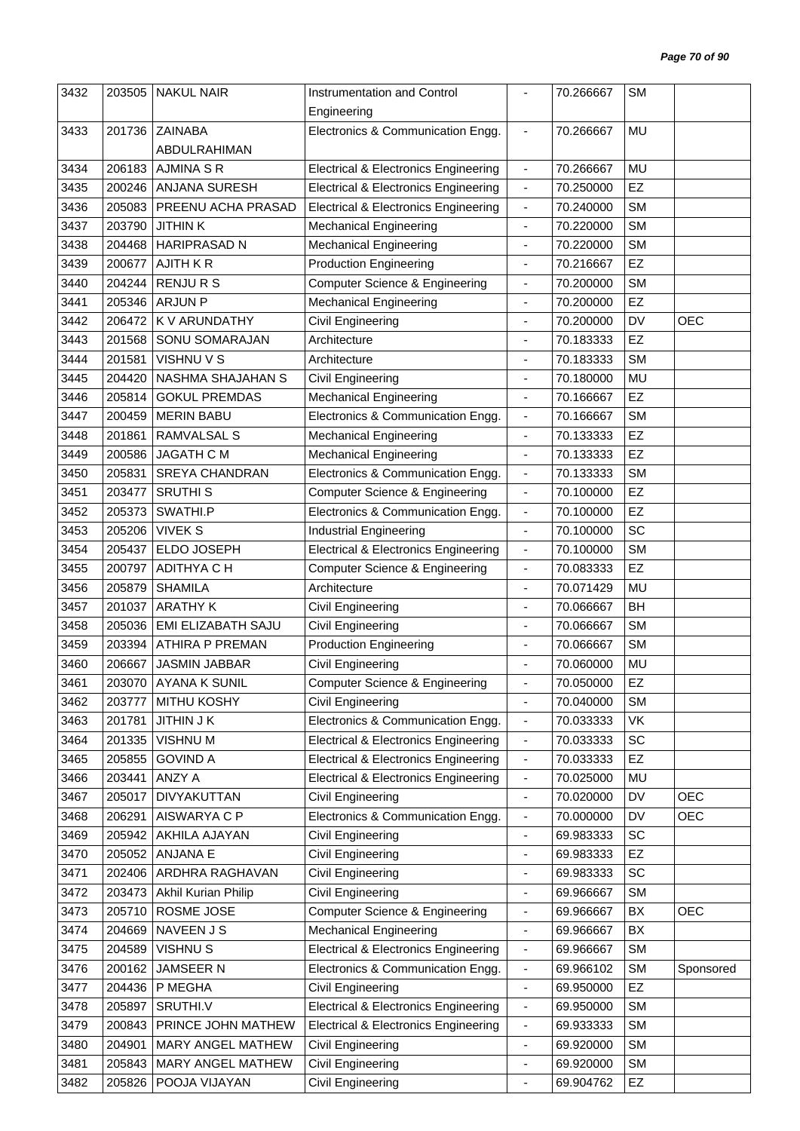| 3432 | 203505 | <b>NAKUL NAIR</b>      | Instrumentation and Control                     |                              | 70.266667 | <b>SM</b> |            |
|------|--------|------------------------|-------------------------------------------------|------------------------------|-----------|-----------|------------|
|      |        |                        | Engineering                                     |                              |           |           |            |
| 3433 | 201736 | <b>ZAINABA</b>         | Electronics & Communication Engg.               | $\overline{\phantom{a}}$     | 70.266667 | <b>MU</b> |            |
|      |        | ABDULRAHIMAN           |                                                 |                              |           |           |            |
| 3434 | 206183 | <b>AJMINA S R</b>      | <b>Electrical &amp; Electronics Engineering</b> | $\blacksquare$               | 70.266667 | MU        |            |
| 3435 | 200246 | ANJANA SURESH          | <b>Electrical &amp; Electronics Engineering</b> | $\blacksquare$               | 70.250000 | EZ        |            |
| 3436 | 205083 | PREENU ACHA PRASAD     | <b>Electrical &amp; Electronics Engineering</b> | $\overline{\phantom{a}}$     | 70.240000 | <b>SM</b> |            |
| 3437 | 203790 | <b>JITHINK</b>         | <b>Mechanical Engineering</b>                   | $\blacksquare$               | 70.220000 | <b>SM</b> |            |
| 3438 | 204468 | <b>HARIPRASAD N</b>    | <b>Mechanical Engineering</b>                   | ä,                           | 70.220000 | <b>SM</b> |            |
| 3439 | 200677 | AJITH KR               | <b>Production Engineering</b>                   | $\qquad \qquad \blacksquare$ | 70.216667 | EZ        |            |
| 3440 | 204244 | <b>RENJURS</b>         | Computer Science & Engineering                  | $\overline{\phantom{a}}$     | 70.200000 | <b>SM</b> |            |
| 3441 | 205346 | <b>ARJUN P</b>         | <b>Mechanical Engineering</b>                   | $\blacksquare$               | 70.200000 | EZ        |            |
| 3442 | 206472 | K V ARUNDATHY          | Civil Engineering                               | $\overline{\phantom{a}}$     | 70.200000 | DV        | <b>OEC</b> |
| 3443 | 201568 | SONU SOMARAJAN         | Architecture                                    | $\overline{\phantom{a}}$     | 70.183333 | EZ        |            |
| 3444 | 201581 | VISHNU V S             | Architecture                                    |                              | 70.183333 | <b>SM</b> |            |
| 3445 | 204420 | NASHMA SHAJAHAN S      | Civil Engineering                               | $\overline{\phantom{a}}$     | 70.180000 | MU        |            |
| 3446 | 205814 | <b>GOKUL PREMDAS</b>   | <b>Mechanical Engineering</b>                   | $\blacksquare$               | 70.166667 | EZ        |            |
| 3447 |        |                        |                                                 |                              | 70.166667 | <b>SM</b> |            |
|      | 200459 | <b>MERIN BABU</b>      | Electronics & Communication Engg.               | $\qquad \qquad \blacksquare$ |           |           |            |
| 3448 | 201861 | <b>RAMVALSAL S</b>     | <b>Mechanical Engineering</b>                   | $\blacksquare$               | 70.133333 | EZ        |            |
| 3449 | 200586 | <b>JAGATH C M</b>      | <b>Mechanical Engineering</b>                   | $\overline{\phantom{a}}$     | 70.133333 | EZ        |            |
| 3450 | 205831 | <b>SREYA CHANDRAN</b>  | Electronics & Communication Engg.               | $\blacksquare$               | 70.133333 | <b>SM</b> |            |
| 3451 | 203477 | <b>SRUTHIS</b>         | Computer Science & Engineering                  | $\blacksquare$               | 70.100000 | EZ        |            |
| 3452 | 205373 | SWATHI.P               | Electronics & Communication Engg.               | $\blacksquare$               | 70.100000 | EZ        |            |
| 3453 | 205206 | <b>VIVEK S</b>         | <b>Industrial Engineering</b>                   | $\blacksquare$               | 70.100000 | SC        |            |
| 3454 | 205437 | ELDO JOSEPH            | <b>Electrical &amp; Electronics Engineering</b> | $\blacksquare$               | 70.100000 | <b>SM</b> |            |
| 3455 | 200797 | ADITHYA C H            | Computer Science & Engineering                  | $\qquad \qquad \blacksquare$ | 70.083333 | EZ        |            |
| 3456 | 205879 | <b>SHAMILA</b>         | Architecture                                    | $\blacksquare$               | 70.071429 | MU        |            |
| 3457 | 201037 | <b>ARATHY K</b>        | Civil Engineering                               | ÷,                           | 70.066667 | <b>BH</b> |            |
| 3458 | 205036 | EMI ELIZABATH SAJU     | Civil Engineering                               | ٠                            | 70.066667 | <b>SM</b> |            |
| 3459 | 203394 | <b>ATHIRA P PREMAN</b> | <b>Production Engineering</b>                   | $\blacksquare$               | 70.066667 | <b>SM</b> |            |
| 3460 | 206667 | JASMIN JABBAR          | Civil Engineering                               |                              | 70.060000 | MU        |            |
| 3461 |        | 203070   AYANA K SUNIL | Computer Science & Engineering                  |                              | 70.050000 | EZ        |            |
| 3462 | 203777 | MITHU KOSHY            | Civil Engineering                               | $\blacksquare$               | 70.040000 | <b>SM</b> |            |
| 3463 | 201781 | <b>JITHIN J K</b>      | Electronics & Communication Engg.               | $\qquad \qquad \blacksquare$ | 70.033333 | VK        |            |
| 3464 | 201335 | VISHNU M               | <b>Electrical &amp; Electronics Engineering</b> | $\overline{\phantom{a}}$     | 70.033333 | SC        |            |
| 3465 | 205855 | <b>GOVIND A</b>        | <b>Electrical &amp; Electronics Engineering</b> | $\blacksquare$               | 70.033333 | EZ        |            |
| 3466 | 203441 | ANZY A                 | <b>Electrical &amp; Electronics Engineering</b> | $\qquad \qquad \blacksquare$ | 70.025000 | MU        |            |
| 3467 | 205017 | DIVYAKUTTAN            | Civil Engineering                               | $\overline{\phantom{a}}$     | 70.020000 | DV        | <b>OEC</b> |
| 3468 | 206291 | AISWARYA C P           | Electronics & Communication Engg.               | $\qquad \qquad \blacksquare$ | 70.000000 | DV        | <b>OEC</b> |
| 3469 | 205942 | AKHILA AJAYAN          | Civil Engineering                               | $\qquad \qquad \blacksquare$ | 69.983333 | SC        |            |
| 3470 | 205052 | ANJANA E               | Civil Engineering                               | $\blacksquare$               | 69.983333 | EZ        |            |
| 3471 | 202406 | ARDHRA RAGHAVAN        | Civil Engineering                               | ÷                            | 69.983333 | SC        |            |
| 3472 | 203473 | Akhil Kurian Philip    | Civil Engineering                               | $\qquad \qquad \blacksquare$ | 69.966667 | <b>SM</b> |            |
| 3473 | 205710 | ROSME JOSE             | Computer Science & Engineering                  | $\qquad \qquad \blacksquare$ | 69.966667 | BX        | <b>OEC</b> |
| 3474 | 204669 | NAVEEN J S             | <b>Mechanical Engineering</b>                   | $\qquad \qquad \blacksquare$ | 69.966667 | BX        |            |
| 3475 | 204589 | <b>VISHNUS</b>         | <b>Electrical &amp; Electronics Engineering</b> | $\qquad \qquad \blacksquare$ | 69.966667 | <b>SM</b> |            |
| 3476 | 200162 | JAMSEER N              | Electronics & Communication Engg.               | $\blacksquare$               | 69.966102 | <b>SM</b> | Sponsored  |
| 3477 | 204436 | P MEGHA                | Civil Engineering                               | $\qquad \qquad \blacksquare$ | 69.950000 | <b>EZ</b> |            |
| 3478 | 205897 | SRUTHI.V               | <b>Electrical &amp; Electronics Engineering</b> | $\qquad \qquad \blacksquare$ | 69.950000 | <b>SM</b> |            |
| 3479 | 200843 | PRINCE JOHN MATHEW     | <b>Electrical &amp; Electronics Engineering</b> | $\blacksquare$               | 69.933333 | <b>SM</b> |            |
| 3480 | 204901 | MARY ANGEL MATHEW      | Civil Engineering                               | $\qquad \qquad \blacksquare$ | 69.920000 | <b>SM</b> |            |
| 3481 | 205843 | MARY ANGEL MATHEW      | Civil Engineering                               | $\blacksquare$               | 69.920000 | SM        |            |
| 3482 | 205826 | POOJA VIJAYAN          | Civil Engineering                               | $\overline{\phantom{a}}$     | 69.904762 | EZ        |            |
|      |        |                        |                                                 |                              |           |           |            |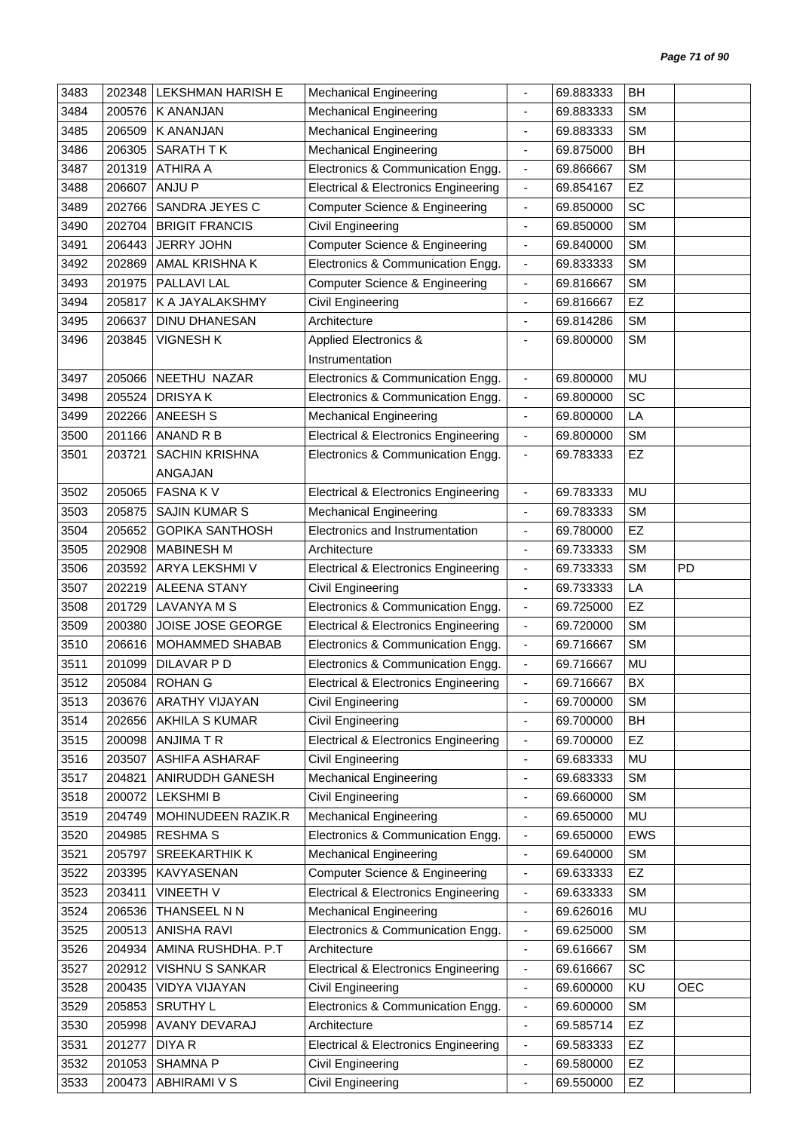| 3483 | 202348 | LEKSHMAN HARISH E      | <b>Mechanical Engineering</b>                   | $\blacksquare$                                       | 69.883333 | BH         |            |
|------|--------|------------------------|-------------------------------------------------|------------------------------------------------------|-----------|------------|------------|
| 3484 | 200576 | <b>K ANANJAN</b>       | <b>Mechanical Engineering</b>                   |                                                      | 69.883333 | <b>SM</b>  |            |
| 3485 | 206509 | <b>K ANANJAN</b>       | <b>Mechanical Engineering</b>                   | $\blacksquare$                                       | 69.883333 | <b>SM</b>  |            |
| 3486 | 206305 | SARATH TK              | <b>Mechanical Engineering</b>                   | $\overline{\phantom{a}}$                             | 69.875000 | BH         |            |
| 3487 | 201319 | <b>ATHIRA A</b>        | Electronics & Communication Engg.               | $\overline{\phantom{a}}$                             | 69.866667 | <b>SM</b>  |            |
| 3488 | 206607 | ANJU P                 | Electrical & Electronics Engineering            | $\blacksquare$                                       | 69.854167 | EZ         |            |
| 3489 | 202766 | SANDRA JEYES C         | <b>Computer Science &amp; Engineering</b>       | $\overline{\phantom{a}}$                             | 69.850000 | SC         |            |
| 3490 | 202704 | <b>BRIGIT FRANCIS</b>  | <b>Civil Engineering</b>                        | $\blacksquare$                                       | 69.850000 | <b>SM</b>  |            |
| 3491 | 206443 | <b>JERRY JOHN</b>      | <b>Computer Science &amp; Engineering</b>       | $\overline{\phantom{a}}$                             | 69.840000 | <b>SM</b>  |            |
| 3492 | 202869 | AMAL KRISHNA K         | Electronics & Communication Engg.               | $\overline{\phantom{a}}$                             | 69.833333 | <b>SM</b>  |            |
| 3493 | 201975 | PALLAVI LAL            | <b>Computer Science &amp; Engineering</b>       | $\blacksquare$                                       | 69.816667 | <b>SM</b>  |            |
| 3494 | 205817 | K A JAYALAKSHMY        | Civil Engineering                               | $\frac{1}{2}$                                        | 69.816667 | EZ         |            |
| 3495 | 206637 | <b>DINU DHANESAN</b>   | Architecture                                    | $\overline{\phantom{a}}$                             | 69.814286 | <b>SM</b>  |            |
| 3496 | 203845 | <b>VIGNESH K</b>       | Applied Electronics &                           | ٠                                                    | 69.800000 | <b>SM</b>  |            |
|      |        |                        | Instrumentation                                 |                                                      |           |            |            |
| 3497 | 205066 | NEETHU NAZAR           | Electronics & Communication Engg.               | $\blacksquare$                                       | 69.800000 | MU         |            |
| 3498 | 205524 | <b>DRISYAK</b>         | Electronics & Communication Engg.               | $\blacksquare$                                       | 69.800000 | SC         |            |
| 3499 | 202266 | ANEESH S               | <b>Mechanical Engineering</b>                   | $\overline{\phantom{a}}$                             | 69.800000 | LA         |            |
| 3500 | 201166 | ANAND R B              | <b>Electrical &amp; Electronics Engineering</b> | $\blacksquare$                                       | 69.800000 | <b>SM</b>  |            |
| 3501 | 203721 | <b>SACHIN KRISHNA</b>  | Electronics & Communication Engg.               | $\overline{\phantom{a}}$                             | 69.783333 | EZ         |            |
|      |        | ANGAJAN                |                                                 |                                                      |           |            |            |
| 3502 | 205065 | <b>FASNAKV</b>         | <b>Electrical &amp; Electronics Engineering</b> | $\blacksquare$                                       | 69.783333 | <b>MU</b>  |            |
| 3503 | 205875 | <b>SAJIN KUMAR S</b>   | <b>Mechanical Engineering</b>                   | $\blacksquare$                                       | 69.783333 | <b>SM</b>  |            |
| 3504 | 205652 | <b>GOPIKA SANTHOSH</b> | Electronics and Instrumentation                 | $\overline{\phantom{a}}$                             | 69.780000 | EZ         |            |
| 3505 | 202908 | <b>MABINESH M</b>      | Architecture                                    | $\blacksquare$                                       | 69.733333 | <b>SM</b>  |            |
| 3506 | 203592 | ARYA LEKSHMI V         | <b>Electrical &amp; Electronics Engineering</b> | $\overline{\phantom{a}}$                             | 69.733333 | <b>SM</b>  | PD         |
| 3507 | 202219 | <b>ALEENA STANY</b>    | Civil Engineering                               | $\blacksquare$                                       | 69.733333 | LA         |            |
| 3508 | 201729 | <b>LAVANYA M S</b>     | Electronics & Communication Engg.               | $\blacksquare$                                       | 69.725000 | EZ         |            |
| 3509 | 200380 | JOISE JOSE GEORGE      | <b>Electrical &amp; Electronics Engineering</b> | $\overline{\phantom{a}}$                             | 69.720000 | <b>SM</b>  |            |
| 3510 | 206616 | MOHAMMED SHABAB        | Electronics & Communication Engg.               | $\overline{\phantom{a}}$                             | 69.716667 | <b>SM</b>  |            |
| 3511 | 201099 | DILAVAR P D            | Electronics & Communication Engg.               | $\blacksquare$                                       | 69.716667 | MU         |            |
| 3512 |        | 205084   ROHAN G       | <b>Electrical &amp; Electronics Engineering</b> | $\overline{\phantom{a}}$                             | 69.716667 | BX         |            |
| 3513 | 203676 | <b>ARATHY VIJAYAN</b>  | <b>Civil Engineering</b>                        | $\overline{\phantom{a}}$                             | 69.700000 | <b>SM</b>  |            |
| 3514 | 202656 | <b>AKHILA S KUMAR</b>  | Civil Engineering                               | $\frac{1}{2}$                                        | 69.700000 | BH         |            |
| 3515 | 200098 | <b>ANJIMATR</b>        | <b>Electrical &amp; Electronics Engineering</b> | $\overline{\phantom{a}}$                             | 69.700000 | EZ         |            |
| 3516 | 203507 | ASHIFA ASHARAF         | Civil Engineering                               | $\frac{1}{2}$                                        | 69.683333 | MU         |            |
| 3517 | 204821 | ANIRUDDH GANESH        | <b>Mechanical Engineering</b>                   | $\blacksquare$                                       | 69.683333 | <b>SM</b>  |            |
| 3518 | 200072 | <b>LEKSHMI B</b>       | <b>Civil Engineering</b>                        | ٠                                                    | 69.660000 | <b>SM</b>  |            |
| 3519 | 204749 | MOHINUDEEN RAZIK.R     | <b>Mechanical Engineering</b>                   | ÷,                                                   | 69.650000 | MU         |            |
| 3520 | 204985 | <b>RESHMA S</b>        | Electronics & Communication Engg.               | $\overline{\phantom{a}}$                             | 69.650000 | <b>EWS</b> |            |
| 3521 | 205797 | SREEKARTHIK K          | <b>Mechanical Engineering</b>                   | $\blacksquare$                                       | 69.640000 | <b>SM</b>  |            |
| 3522 | 203395 | KAVYASENAN             | <b>Computer Science &amp; Engineering</b>       | $\overline{\phantom{a}}$                             | 69.633333 | EZ         |            |
| 3523 | 203411 | <b>VINEETH V</b>       | <b>Electrical &amp; Electronics Engineering</b> |                                                      | 69.633333 | <b>SM</b>  |            |
| 3524 | 206536 | THANSEEL N N           | <b>Mechanical Engineering</b>                   | $\overline{\phantom{a}}$<br>$\overline{\phantom{a}}$ | 69.626016 | MU         |            |
| 3525 | 200513 | <b>ANISHA RAVI</b>     | Electronics & Communication Engg.               |                                                      |           | <b>SM</b>  |            |
|      |        | AMINA RUSHDHA. P.T     | Architecture                                    | $\overline{\phantom{a}}$                             | 69.625000 | <b>SM</b>  |            |
| 3526 | 204934 |                        |                                                 | $\overline{\phantom{a}}$                             | 69.616667 | SC         |            |
| 3527 | 202912 | VISHNU S SANKAR        | <b>Electrical &amp; Electronics Engineering</b> | $\overline{\phantom{a}}$                             | 69.616667 |            |            |
| 3528 | 200435 | VIDYA VIJAYAN          | Civil Engineering                               | $\overline{\phantom{a}}$                             | 69.600000 | KU         | <b>OEC</b> |
| 3529 | 205853 | <b>SRUTHY L</b>        | Electronics & Communication Engg.               | $\qquad \qquad \blacksquare$                         | 69.600000 | <b>SM</b>  |            |
| 3530 | 205998 | AVANY DEVARAJ          | Architecture                                    | $\overline{\phantom{a}}$                             | 69.585714 | EZ         |            |
| 3531 | 201277 | DIYA R                 | <b>Electrical &amp; Electronics Engineering</b> | $\overline{\phantom{a}}$                             | 69.583333 | EZ         |            |
| 3532 | 201053 | <b>SHAMNA P</b>        | Civil Engineering                               | $\blacksquare$                                       | 69.580000 | EZ         |            |
| 3533 | 200473 | ABHIRAMI V S           | <b>Civil Engineering</b>                        | $\blacksquare$                                       | 69.550000 | EZ         |            |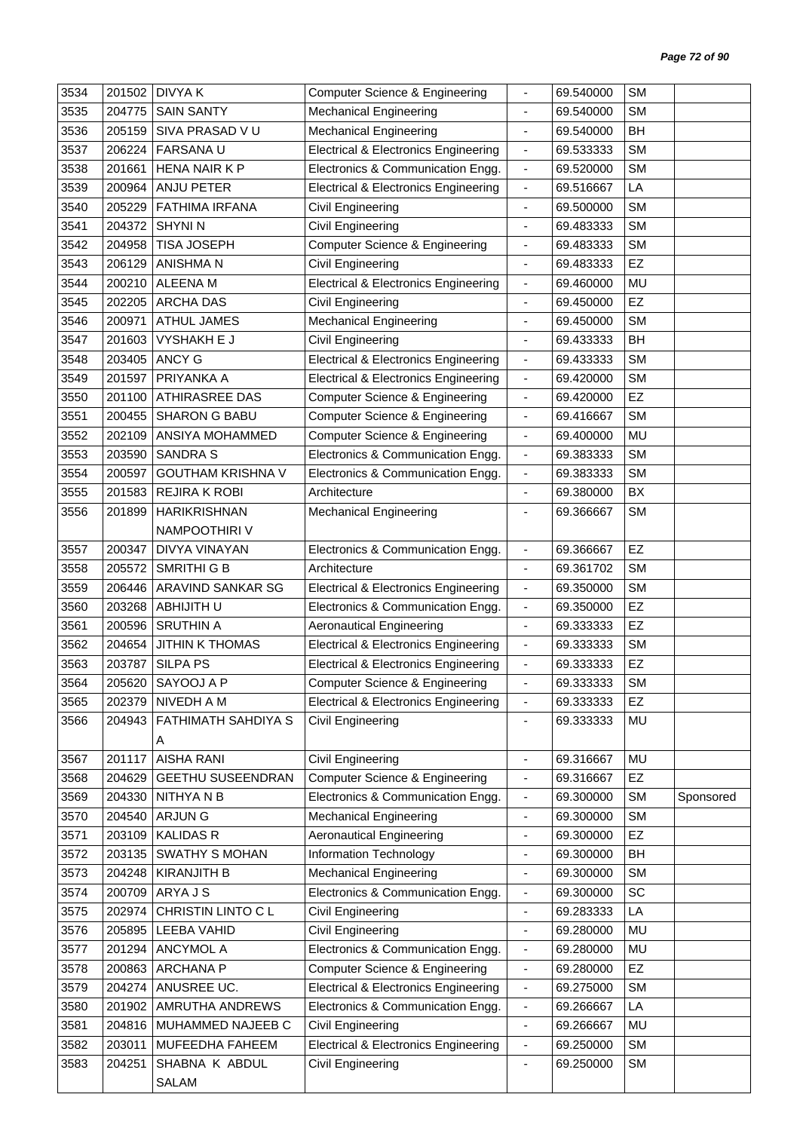| 3534 | 201502 | <b>DIVYAK</b>            | <b>Computer Science &amp; Engineering</b>       |                              | 69.540000 | <b>SM</b> |           |
|------|--------|--------------------------|-------------------------------------------------|------------------------------|-----------|-----------|-----------|
| 3535 | 204775 | <b>SAIN SANTY</b>        | <b>Mechanical Engineering</b>                   | $\blacksquare$               | 69.540000 | <b>SM</b> |           |
| 3536 | 205159 | SIVA PRASAD V U          | <b>Mechanical Engineering</b>                   | ÷,                           | 69.540000 | <b>BH</b> |           |
| 3537 | 206224 | <b>FARSANA U</b>         | <b>Electrical &amp; Electronics Engineering</b> | $\overline{\phantom{a}}$     | 69.533333 | <b>SM</b> |           |
| 3538 | 201661 | HENA NAIR K P            | Electronics & Communication Engg.               | $\blacksquare$               | 69.520000 | <b>SM</b> |           |
| 3539 | 200964 | <b>ANJU PETER</b>        | <b>Electrical &amp; Electronics Engineering</b> | $\blacksquare$               | 69.516667 | LA        |           |
| 3540 | 205229 | FATHIMA IRFANA           | Civil Engineering                               | $\overline{\phantom{a}}$     | 69.500000 | <b>SM</b> |           |
| 3541 | 204372 | <b>SHYNI N</b>           | Civil Engineering                               | $\overline{\phantom{a}}$     | 69.483333 | <b>SM</b> |           |
| 3542 | 204958 | <b>TISA JOSEPH</b>       | <b>Computer Science &amp; Engineering</b>       | $\blacksquare$               | 69.483333 | <b>SM</b> |           |
| 3543 | 206129 | <b>ANISHMAN</b>          | Civil Engineering                               | $\overline{\phantom{a}}$     | 69.483333 | EZ        |           |
| 3544 | 200210 | <b>ALEENA M</b>          | <b>Electrical &amp; Electronics Engineering</b> | $\overline{\phantom{a}}$     | 69.460000 | <b>MU</b> |           |
| 3545 | 202205 | <b>ARCHA DAS</b>         | Civil Engineering                               | $\qquad \qquad \blacksquare$ | 69.450000 | EZ        |           |
| 3546 | 200971 | <b>ATHUL JAMES</b>       | <b>Mechanical Engineering</b>                   | $\overline{\phantom{a}}$     | 69.450000 | <b>SM</b> |           |
| 3547 | 201603 | <b>VYSHAKH E J</b>       | Civil Engineering                               |                              | 69.433333 | <b>BH</b> |           |
| 3548 | 203405 | <b>ANCY G</b>            | <b>Electrical &amp; Electronics Engineering</b> | $\overline{\phantom{a}}$     | 69.433333 | <b>SM</b> |           |
| 3549 | 201597 | PRIYANKA A               | <b>Electrical &amp; Electronics Engineering</b> | $\blacksquare$               | 69.420000 | <b>SM</b> |           |
| 3550 | 201100 | <b>ATHIRASREE DAS</b>    | <b>Computer Science &amp; Engineering</b>       | $\overline{\phantom{a}}$     | 69.420000 | EZ        |           |
| 3551 | 200455 | <b>SHARON G BABU</b>     | <b>Computer Science &amp; Engineering</b>       | $\overline{\phantom{a}}$     | 69.416667 | <b>SM</b> |           |
| 3552 | 202109 | ANSIYA MOHAMMED          | <b>Computer Science &amp; Engineering</b>       | $\overline{\phantom{a}}$     | 69.400000 | MU        |           |
| 3553 | 203590 | <b>SANDRA S</b>          | Electronics & Communication Engg.               | $\blacksquare$               | 69.383333 | <b>SM</b> |           |
| 3554 | 200597 | <b>GOUTHAM KRISHNA V</b> | Electronics & Communication Engg.               | $\blacksquare$               | 69.383333 | <b>SM</b> |           |
| 3555 | 201583 | <b>REJIRA K ROBI</b>     | Architecture                                    | $\blacksquare$               | 69.380000 | BX        |           |
| 3556 | 201899 | <b>HARIKRISHNAN</b>      | <b>Mechanical Engineering</b>                   | $\overline{\phantom{a}}$     | 69.366667 | <b>SM</b> |           |
|      |        | NAMPOOTHIRI V            |                                                 |                              |           |           |           |
| 3557 | 200347 | DIVYA VINAYAN            | Electronics & Communication Engg.               | $\overline{\phantom{a}}$     | 69.366667 | EZ        |           |
| 3558 | 205572 | SMRITHI G B              | Architecture                                    | $\overline{\phantom{a}}$     | 69.361702 | <b>SM</b> |           |
| 3559 | 206446 | ARAVIND SANKAR SG        | <b>Electrical &amp; Electronics Engineering</b> | $\blacksquare$               | 69.350000 | <b>SM</b> |           |
| 3560 | 203268 | ABHIJITH U               | Electronics & Communication Engg.               | $\overline{\phantom{a}}$     | 69.350000 | EZ        |           |
| 3561 | 200596 | <b>SRUTHIN A</b>         | <b>Aeronautical Engineering</b>                 | $\overline{\phantom{a}}$     | 69.333333 | EZ        |           |
| 3562 | 204654 | <b>JITHIN K THOMAS</b>   | <b>Electrical &amp; Electronics Engineering</b> | $\overline{\phantom{a}}$     | 69.333333 | <b>SM</b> |           |
| 3563 | 203787 | <b>SILPA PS</b>          | <b>Electrical &amp; Electronics Engineering</b> | $\blacksquare$               | 69.333333 | EZ        |           |
| 3564 | 205620 | SAYOOJ A P               | Computer Science & Engineering                  |                              | 69.333333 | SM        |           |
| 3565 | 202379 | <b>NIVEDH A M</b>        | <b>Electrical &amp; Electronics Engineering</b> | $\overline{\phantom{a}}$     | 69.333333 | <b>EZ</b> |           |
| 3566 | 204943 | FATHIMATH SAHDIYA S      | Civil Engineering                               | $\overline{\phantom{a}}$     | 69.333333 | MU        |           |
|      |        | A                        |                                                 |                              |           |           |           |
| 3567 | 201117 | <b>AISHA RANI</b>        | <b>Civil Engineering</b>                        | ÷,                           | 69.316667 | MU        |           |
| 3568 | 204629 | <b>GEETHU SUSEENDRAN</b> | <b>Computer Science &amp; Engineering</b>       | $\overline{\phantom{a}}$     | 69.316667 | EZ        |           |
| 3569 | 204330 | NITHYANB                 | Electronics & Communication Engg.               | $\overline{\phantom{a}}$     | 69.300000 | <b>SM</b> | Sponsored |
| 3570 | 204540 | ARJUN G                  | <b>Mechanical Engineering</b>                   | $\overline{\phantom{a}}$     | 69.300000 | <b>SM</b> |           |
| 3571 | 203109 | <b>KALIDAS R</b>         | <b>Aeronautical Engineering</b>                 | $\qquad \qquad \blacksquare$ | 69.300000 | EZ        |           |
| 3572 | 203135 | <b>SWATHY S MOHAN</b>    | Information Technology                          | $\overline{\phantom{a}}$     | 69.300000 | BH        |           |
| 3573 | 204248 | <b>KIRANJITH B</b>       | <b>Mechanical Engineering</b>                   | $\blacksquare$               | 69.300000 | <b>SM</b> |           |
| 3574 | 200709 | ARYA J S                 | Electronics & Communication Engg.               | $\overline{\phantom{a}}$     | 69.300000 | SC        |           |
| 3575 | 202974 | CHRISTIN LINTO C L       | Civil Engineering                               | $\blacksquare$               | 69.283333 | LA        |           |
| 3576 | 205895 | LEEBA VAHID              | Civil Engineering                               | $\overline{\phantom{a}}$     | 69.280000 | MU        |           |
| 3577 | 201294 | ANCYMOL A                | Electronics & Communication Engg.               | $\blacksquare$               | 69.280000 | MU        |           |
| 3578 | 200863 | <b>ARCHANA P</b>         | Computer Science & Engineering                  | $\overline{\phantom{a}}$     | 69.280000 | EZ        |           |
| 3579 | 204274 | ANUSREE UC.              | <b>Electrical &amp; Electronics Engineering</b> | $\overline{\phantom{a}}$     | 69.275000 | <b>SM</b> |           |
| 3580 | 201902 | AMRUTHA ANDREWS          | Electronics & Communication Engg.               | $\blacksquare$               | 69.266667 | LA        |           |
| 3581 | 204816 | MUHAMMED NAJEEB C        | Civil Engineering                               | $\overline{\phantom{a}}$     | 69.266667 | MU        |           |
| 3582 | 203011 | MUFEEDHA FAHEEM          | <b>Electrical &amp; Electronics Engineering</b> | $\blacksquare$               | 69.250000 | <b>SM</b> |           |
| 3583 | 204251 | SHABNA K ABDUL           | Civil Engineering                               | $\overline{\phantom{a}}$     | 69.250000 | <b>SM</b> |           |
|      |        | SALAM                    |                                                 |                              |           |           |           |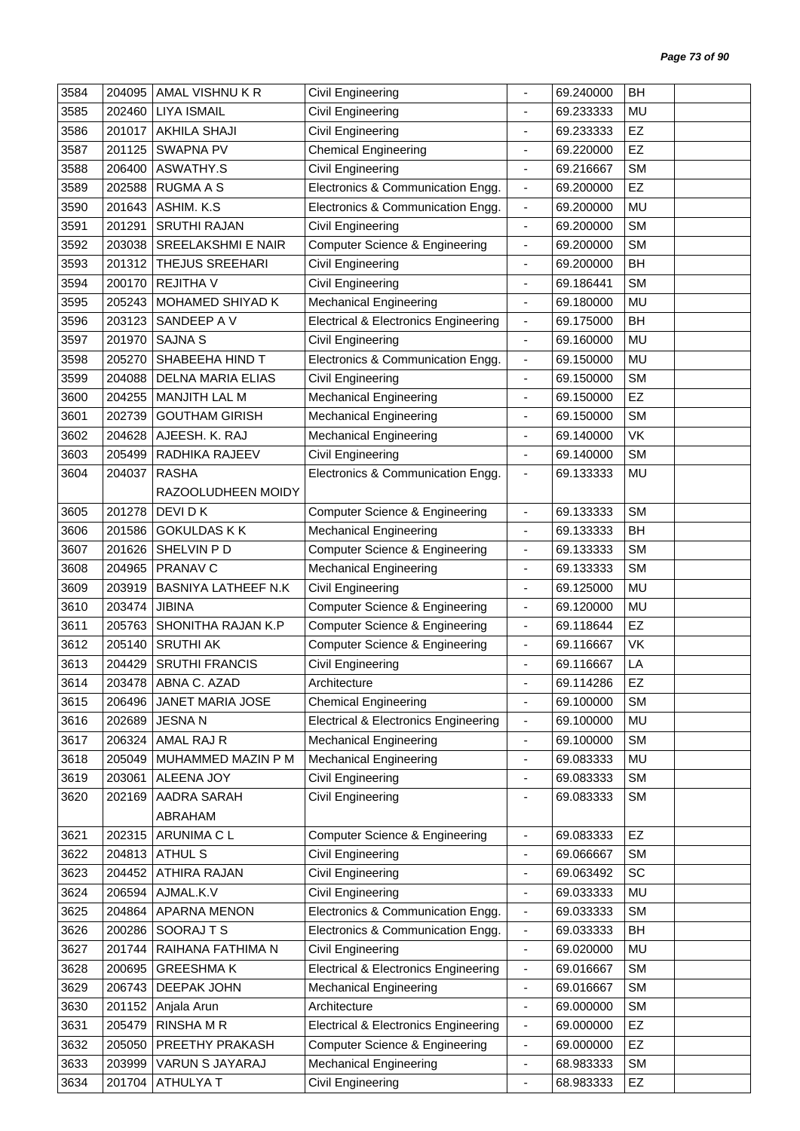| 3584 | 204095 | AMAL VISHNU K R            | Civil Engineering                               |                              | 69.240000 | BH        |  |
|------|--------|----------------------------|-------------------------------------------------|------------------------------|-----------|-----------|--|
| 3585 | 202460 | <b>LIYA ISMAIL</b>         | Civil Engineering                               |                              | 69.233333 | MU        |  |
| 3586 | 201017 | <b>AKHILA SHAJI</b>        | Civil Engineering                               | $\blacksquare$               | 69.233333 | EZ        |  |
| 3587 | 201125 | SWAPNA PV                  | <b>Chemical Engineering</b>                     | ÷                            | 69.220000 | EZ        |  |
| 3588 | 206400 | ASWATHY.S                  | Civil Engineering                               | $\qquad \qquad \blacksquare$ | 69.216667 | <b>SM</b> |  |
| 3589 | 202588 | <b>RUGMA A S</b>           | Electronics & Communication Engg.               | $\overline{\phantom{a}}$     | 69.200000 | EZ        |  |
| 3590 | 201643 | ASHIM. K.S.                | Electronics & Communication Engg.               | $\overline{\phantom{a}}$     | 69.200000 | <b>MU</b> |  |
| 3591 | 201291 | <b>SRUTHI RAJAN</b>        | Civil Engineering                               | $\overline{\phantom{a}}$     | 69.200000 | <b>SM</b> |  |
| 3592 | 203038 | <b>SREELAKSHMI E NAIR</b>  | <b>Computer Science &amp; Engineering</b>       | ÷                            | 69.200000 | <b>SM</b> |  |
| 3593 | 201312 | THEJUS SREEHARI            | Civil Engineering                               | $\overline{\phantom{a}}$     | 69.200000 | BH        |  |
| 3594 | 200170 | <b>REJITHAV</b>            | Civil Engineering                               | $\qquad \qquad \blacksquare$ | 69.186441 | <b>SM</b> |  |
| 3595 | 205243 | MOHAMED SHIYAD K           | <b>Mechanical Engineering</b>                   | ä,                           | 69.180000 | <b>MU</b> |  |
| 3596 | 203123 | SANDEEP A V                | <b>Electrical &amp; Electronics Engineering</b> | $\overline{\phantom{a}}$     | 69.175000 | BH        |  |
| 3597 | 201970 | <b>SAJNA S</b>             | Civil Engineering                               | $\blacksquare$               | 69.160000 | MU        |  |
| 3598 | 205270 | SHABEEHA HIND T            | Electronics & Communication Engg.               | $\overline{\phantom{a}}$     | 69.150000 | MU        |  |
| 3599 | 204088 | <b>DELNA MARIA ELIAS</b>   | Civil Engineering                               | $\overline{\phantom{a}}$     | 69.150000 | <b>SM</b> |  |
| 3600 | 204255 | <b>MANJITH LAL M</b>       | <b>Mechanical Engineering</b>                   | $\blacksquare$               | 69.150000 | EZ        |  |
| 3601 | 202739 | <b>GOUTHAM GIRISH</b>      | <b>Mechanical Engineering</b>                   | $\overline{\phantom{a}}$     | 69.150000 | <b>SM</b> |  |
| 3602 | 204628 | AJEESH. K. RAJ             | <b>Mechanical Engineering</b>                   | $\blacksquare$               | 69.140000 | VK        |  |
| 3603 | 205499 | RADHIKA RAJEEV             | Civil Engineering                               | $\overline{\phantom{a}}$     | 69.140000 | <b>SM</b> |  |
| 3604 | 204037 | <b>RASHA</b>               | Electronics & Communication Engg.               | $\blacksquare$               | 69.133333 | MU        |  |
|      |        | RAZOOLUDHEEN MOIDY         |                                                 |                              |           |           |  |
| 3605 | 201278 | DEVI D K                   | <b>Computer Science &amp; Engineering</b>       | ÷,                           | 69.133333 | <b>SM</b> |  |
| 3606 | 201586 | <b>GOKULDAS K K</b>        | <b>Mechanical Engineering</b>                   | $\blacksquare$               | 69.133333 | BH        |  |
| 3607 | 201626 | SHELVIN P D                | <b>Computer Science &amp; Engineering</b>       | $\overline{\phantom{a}}$     | 69.133333 | <b>SM</b> |  |
| 3608 | 204965 | PRANAV C                   | <b>Mechanical Engineering</b>                   | $\qquad \qquad \blacksquare$ | 69.133333 | <b>SM</b> |  |
| 3609 | 203919 | <b>BASNIYA LATHEEF N.K</b> | Civil Engineering                               | $\qquad \qquad \blacksquare$ | 69.125000 | MU        |  |
| 3610 | 203474 | <b>JIBINA</b>              | <b>Computer Science &amp; Engineering</b>       | $\overline{\phantom{a}}$     | 69.120000 | MU        |  |
| 3611 | 205763 | SHONITHA RAJAN K.P         | Computer Science & Engineering                  | $\overline{\phantom{a}}$     | 69.118644 | EZ        |  |
| 3612 | 205140 | <b>SRUTHI AK</b>           | <b>Computer Science &amp; Engineering</b>       | $\blacksquare$               | 69.116667 | VK        |  |
| 3613 | 204429 | <b>SRUTHI FRANCIS</b>      | Civil Engineering                               |                              | 69.116667 | LA        |  |
| 3614 |        | 203478   ABNA C. AZAD      | Architecture                                    |                              | 69.114286 | EZ        |  |
| 3615 | 206496 | JANET MARIA JOSE           | <b>Chemical Engineering</b>                     | $\blacksquare$               | 69.100000 | <b>SM</b> |  |
| 3616 | 202689 | <b>JESNAN</b>              | <b>Electrical &amp; Electronics Engineering</b> | $\blacksquare$               | 69.100000 | MU        |  |
| 3617 | 206324 | AMAL RAJ R                 | <b>Mechanical Engineering</b>                   | $\overline{\phantom{a}}$     | 69.100000 | <b>SM</b> |  |
| 3618 | 205049 | MUHAMMED MAZIN P M         | <b>Mechanical Engineering</b>                   | $\blacksquare$               | 69.083333 | MU        |  |
| 3619 | 203061 | ALEENA JOY                 | Civil Engineering                               | $\overline{\phantom{a}}$     | 69.083333 | <b>SM</b> |  |
| 3620 | 202169 | AADRA SARAH                | Civil Engineering                               | $\qquad \qquad \blacksquare$ | 69.083333 | <b>SM</b> |  |
|      |        | ABRAHAM                    |                                                 |                              |           |           |  |
| 3621 | 202315 | ARUNIMA C L                | Computer Science & Engineering                  | $\overline{\phantom{a}}$     | 69.083333 | EZ        |  |
| 3622 | 204813 | <b>ATHUL S</b>             | Civil Engineering                               | $\blacksquare$               | 69.066667 | <b>SM</b> |  |
| 3623 | 204452 | <b>ATHIRA RAJAN</b>        | Civil Engineering                               | ä,                           | 69.063492 | SC        |  |
| 3624 | 206594 | AJMAL.K.V                  | Civil Engineering                               | $\qquad \qquad \blacksquare$ | 69.033333 | MU        |  |
| 3625 | 204864 | APARNA MENON               | Electronics & Communication Engg.               | $\overline{\phantom{a}}$     | 69.033333 | <b>SM</b> |  |
| 3626 | 200286 | SOORAJTS                   | Electronics & Communication Engg.               | $\overline{\phantom{a}}$     | 69.033333 | BH        |  |
| 3627 | 201744 | RAIHANA FATHIMA N          | Civil Engineering                               | $\blacksquare$               | 69.020000 | MU        |  |
| 3628 | 200695 | <b>GREESHMAK</b>           | <b>Electrical &amp; Electronics Engineering</b> | $\overline{\phantom{a}}$     | 69.016667 | <b>SM</b> |  |
| 3629 | 206743 | DEEPAK JOHN                | <b>Mechanical Engineering</b>                   | $\overline{\phantom{a}}$     | 69.016667 | <b>SM</b> |  |
| 3630 | 201152 | Anjala Arun                | Architecture                                    | $\overline{\phantom{a}}$     | 69.000000 | <b>SM</b> |  |
| 3631 | 205479 | <b>RINSHAMR</b>            | <b>Electrical &amp; Electronics Engineering</b> | $\qquad \qquad \blacksquare$ | 69.000000 | EZ        |  |
| 3632 | 205050 | PREETHY PRAKASH            | <b>Computer Science &amp; Engineering</b>       | $\overline{\phantom{a}}$     | 69.000000 | EZ        |  |
| 3633 | 203999 | VARUN S JAYARAJ            | <b>Mechanical Engineering</b>                   | $\overline{\phantom{a}}$     | 68.983333 | <b>SM</b> |  |
| 3634 | 201704 | ATHULYA T                  | Civil Engineering                               | ٠                            | 68.983333 | <b>EZ</b> |  |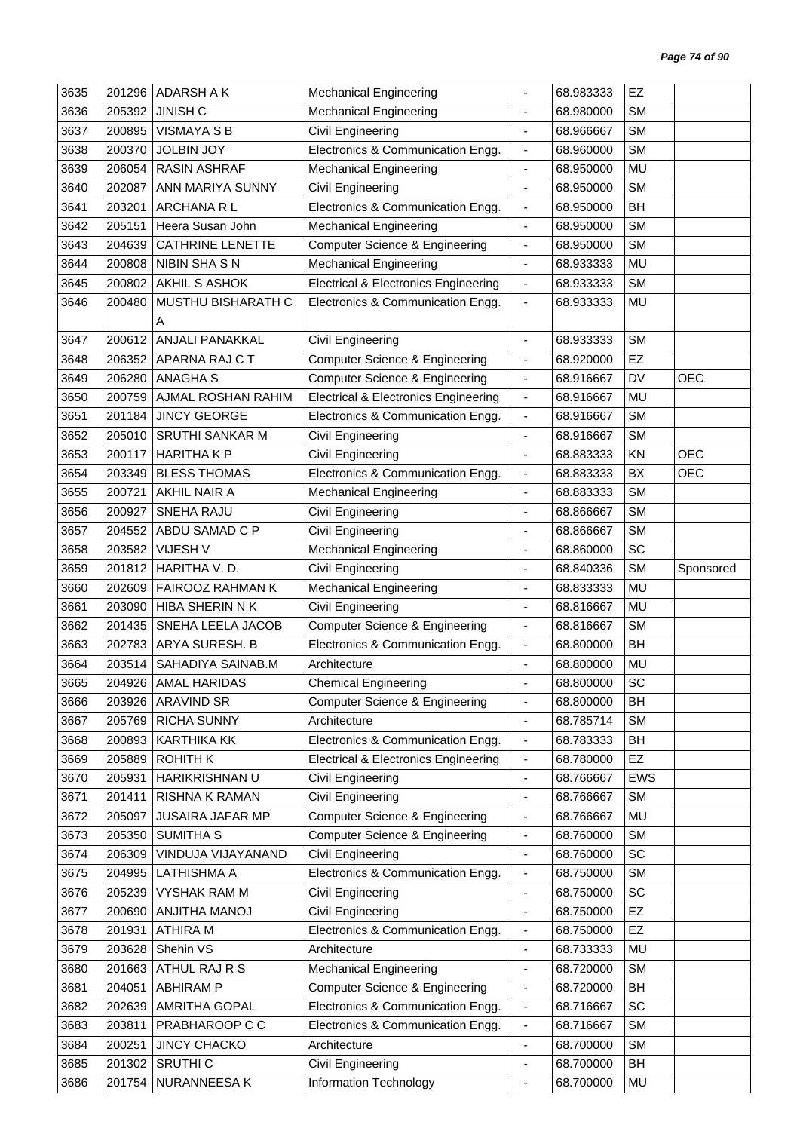| 3635 | 201296 | <b>ADARSH A K</b>       | <b>Mechanical Engineering</b>                   |                          | 68.983333 | EZ         |            |
|------|--------|-------------------------|-------------------------------------------------|--------------------------|-----------|------------|------------|
| 3636 | 205392 | <b>JINISH C</b>         | <b>Mechanical Engineering</b>                   | $\overline{a}$           | 68.980000 | <b>SM</b>  |            |
| 3637 | 200895 | <b>VISMAYA S B</b>      | Civil Engineering                               |                          | 68.966667 | <b>SM</b>  |            |
| 3638 | 200370 | <b>JOLBIN JOY</b>       | Electronics & Communication Engg.               | $\overline{\phantom{a}}$ | 68.960000 | <b>SM</b>  |            |
| 3639 | 206054 | <b>RASIN ASHRAF</b>     | <b>Mechanical Engineering</b>                   | $\frac{1}{2}$            | 68.950000 | <b>MU</b>  |            |
| 3640 | 202087 | ANN MARIYA SUNNY        | Civil Engineering                               | ÷,                       | 68.950000 | <b>SM</b>  |            |
| 3641 | 203201 | ARCHANA R L             | Electronics & Communication Engg.               | $\overline{\phantom{a}}$ | 68.950000 | BH         |            |
| 3642 | 205151 | Heera Susan John        | <b>Mechanical Engineering</b>                   | $\blacksquare$           | 68.950000 | <b>SM</b>  |            |
| 3643 | 204639 | <b>CATHRINE LENETTE</b> | <b>Computer Science &amp; Engineering</b>       | $\overline{\phantom{a}}$ | 68.950000 | <b>SM</b>  |            |
| 3644 | 200808 | NIBIN SHASN             | <b>Mechanical Engineering</b>                   | $\overline{\phantom{a}}$ | 68.933333 | <b>MU</b>  |            |
| 3645 | 200802 | AKHIL S ASHOK           | <b>Electrical &amp; Electronics Engineering</b> | $\blacksquare$           | 68.933333 | <b>SM</b>  |            |
| 3646 | 200480 | MUSTHU BISHARATH C      | Electronics & Communication Engg.               | $\blacksquare$           | 68.933333 | MU         |            |
|      |        | A                       |                                                 |                          |           |            |            |
| 3647 | 200612 | ANJALI PANAKKAL         | Civil Engineering                               | $\blacksquare$           | 68.933333 | <b>SM</b>  |            |
| 3648 | 206352 | APARNA RAJ C T          | Computer Science & Engineering                  | $\overline{\phantom{a}}$ | 68.920000 | EZ         |            |
| 3649 | 206280 | <b>ANAGHA S</b>         | <b>Computer Science &amp; Engineering</b>       | $\blacksquare$           | 68.916667 | DV         | <b>OEC</b> |
| 3650 | 200759 | AJMAL ROSHAN RAHIM      | <b>Electrical &amp; Electronics Engineering</b> | ÷,                       | 68.916667 | <b>MU</b>  |            |
| 3651 | 201184 | <b>JINCY GEORGE</b>     | Electronics & Communication Engg.               | $\overline{\phantom{a}}$ | 68.916667 | <b>SM</b>  |            |
| 3652 | 205010 | <b>SRUTHI SANKAR M</b>  | Civil Engineering                               | $\overline{\phantom{a}}$ | 68.916667 | <b>SM</b>  |            |
| 3653 | 200117 | <b>HARITHAKP</b>        | Civil Engineering                               | $\overline{\phantom{a}}$ | 68.883333 | KN         | <b>OEC</b> |
| 3654 | 203349 | <b>BLESS THOMAS</b>     | Electronics & Communication Engg.               | $\blacksquare$           | 68.883333 | BX         | <b>OEC</b> |
| 3655 | 200721 | AKHIL NAIR A            | <b>Mechanical Engineering</b>                   | $\overline{\phantom{a}}$ | 68.883333 | <b>SM</b>  |            |
| 3656 | 200927 | <b>SNEHA RAJU</b>       | Civil Engineering                               |                          | 68.866667 | <b>SM</b>  |            |
| 3657 | 204552 | ABDU SAMAD C P          | Civil Engineering                               | ÷                        | 68.866667 | <b>SM</b>  |            |
| 3658 | 203582 | VIJESH V                | <b>Mechanical Engineering</b>                   | ä,                       | 68.860000 | SC         |            |
| 3659 | 201812 | HARITHA V.D.            | Civil Engineering                               | ٠                        | 68.840336 | <b>SM</b>  | Sponsored  |
| 3660 | 202609 | FAIROOZ RAHMAN K        | <b>Mechanical Engineering</b>                   | $\overline{\phantom{a}}$ | 68.833333 | MU         |            |
| 3661 | 203090 | <b>HIBA SHERIN N K</b>  | Civil Engineering                               | ä,                       | 68.816667 | <b>MU</b>  |            |
| 3662 | 201435 | SNEHA LEELA JACOB       | <b>Computer Science &amp; Engineering</b>       | $\overline{\phantom{a}}$ | 68.816667 | <b>SM</b>  |            |
| 3663 | 202783 | ARYA SURESH. B          | Electronics & Communication Engg.               | $\overline{\phantom{a}}$ | 68.800000 | BH         |            |
| 3664 | 203514 | SAHADIYA SAINAB.M       | Architecture                                    |                          | 68.800000 | MU         |            |
| 3665 |        | 204926   AMAL HARIDAS   | <b>Chemical Engineering</b>                     |                          | 68.800000 | SC         |            |
| 3666 |        | 203926 ARAVIND SR       | <b>Computer Science &amp; Engineering</b>       | $\overline{\phantom{a}}$ | 68.800000 | BH         |            |
| 3667 | 205769 | <b>RICHA SUNNY</b>      | Architecture                                    | $\overline{\phantom{a}}$ | 68.785714 | <b>SM</b>  |            |
| 3668 | 200893 | <b>KARTHIKA KK</b>      | Electronics & Communication Engg.               | $\overline{\phantom{a}}$ | 68.783333 | BH         |            |
| 3669 | 205889 | <b>ROHITH K</b>         | <b>Electrical &amp; Electronics Engineering</b> | $\blacksquare$           | 68.780000 | <b>EZ</b>  |            |
| 3670 | 205931 | HARIKRISHNAN U          | Civil Engineering                               | $\overline{\phantom{a}}$ | 68.766667 | <b>EWS</b> |            |
| 3671 | 201411 | RISHNA K RAMAN          | Civil Engineering                               | $\blacksquare$           | 68.766667 | <b>SM</b>  |            |
| 3672 | 205097 | JUSAIRA JAFAR MP        | Computer Science & Engineering                  | ٠                        | 68.766667 | MU         |            |
| 3673 | 205350 | SUMITHA <sub>S</sub>    | Computer Science & Engineering                  | $\overline{\phantom{a}}$ | 68.760000 | <b>SM</b>  |            |
| 3674 | 206309 | VINDUJA VIJAYANAND      | Civil Engineering                               | $\overline{\phantom{a}}$ | 68.760000 | SC         |            |
| 3675 | 204995 | <b>LATHISHMA A</b>      | Electronics & Communication Engg.               | $\overline{\phantom{a}}$ | 68.750000 | <b>SM</b>  |            |
| 3676 | 205239 | <b>VYSHAK RAM M</b>     | Civil Engineering                               | $\blacksquare$           | 68.750000 | SC         |            |
| 3677 | 200690 | ANJITHA MANOJ           | Civil Engineering                               | $\overline{\phantom{a}}$ | 68.750000 | <b>EZ</b>  |            |
| 3678 | 201931 | <b>ATHIRA M</b>         | Electronics & Communication Engg.               | $\blacksquare$           | 68.750000 | EZ         |            |
| 3679 | 203628 | Shehin VS               | Architecture                                    | -                        | 68.733333 | MU         |            |
| 3680 | 201663 | ATHUL RAJ R S           | <b>Mechanical Engineering</b>                   | $\overline{\phantom{a}}$ | 68.720000 | <b>SM</b>  |            |
| 3681 | 204051 | <b>ABHIRAM P</b>        | Computer Science & Engineering                  | $\overline{\phantom{a}}$ | 68.720000 | BH         |            |
| 3682 | 202639 | AMRITHA GOPAL           | Electronics & Communication Engg.               | $\blacksquare$           | 68.716667 | SC         |            |
| 3683 | 203811 | PRABHAROOP C C          | Electronics & Communication Engg.               | $\overline{\phantom{a}}$ | 68.716667 | <b>SM</b>  |            |
| 3684 | 200251 | <b>JINCY CHACKO</b>     | Architecture                                    | $\overline{\phantom{a}}$ | 68.700000 | <b>SM</b>  |            |
| 3685 | 201302 | SRUTHI <sub>C</sub>     | Civil Engineering                               | $\overline{\phantom{a}}$ | 68.700000 | BH         |            |
| 3686 | 201754 | NURANNEESA K            | Information Technology                          | ÷,                       | 68.700000 | MU         |            |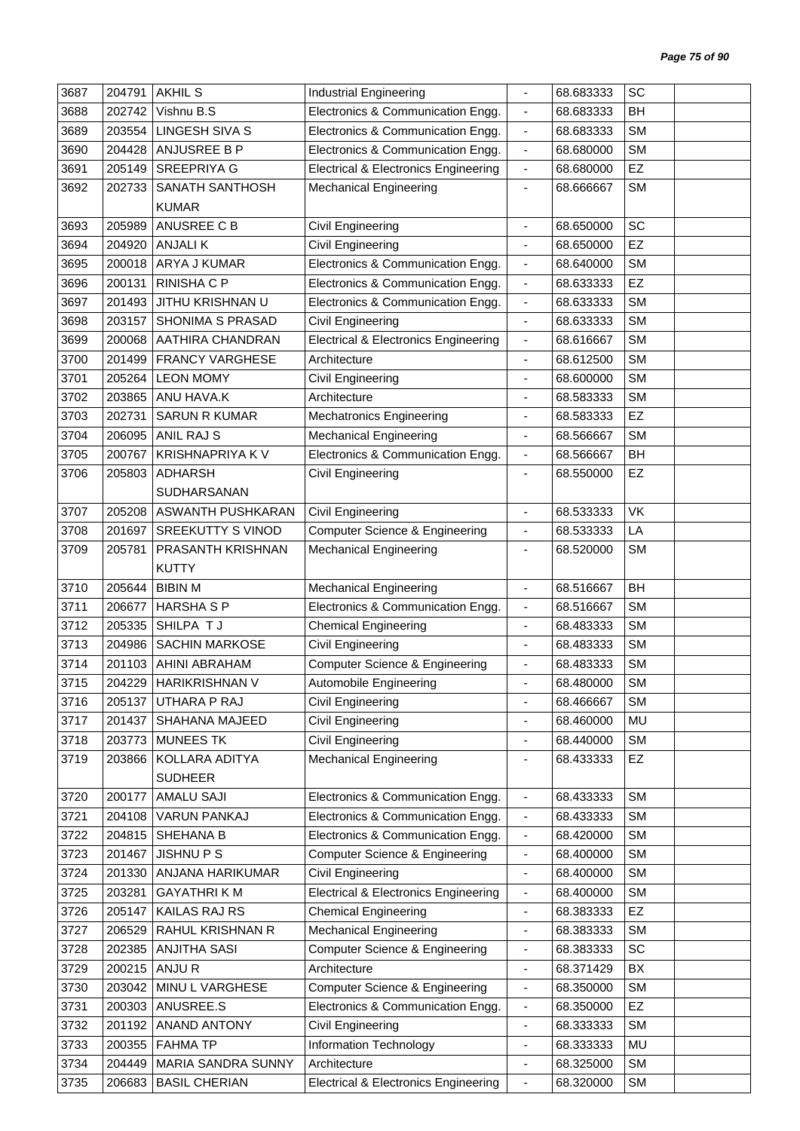| 3687 | 204791 | <b>AKHIL S</b>           | <b>Industrial Engineering</b>                   |                              | 68.683333 | SC        |  |
|------|--------|--------------------------|-------------------------------------------------|------------------------------|-----------|-----------|--|
| 3688 | 202742 | Vishnu B.S               | Electronics & Communication Engg.               | $\blacksquare$               | 68.683333 | BH        |  |
| 3689 | 203554 | <b>LINGESH SIVA S</b>    | Electronics & Communication Engg.               | $\blacksquare$               | 68.683333 | <b>SM</b> |  |
| 3690 | 204428 | ANJUSREE B P             | Electronics & Communication Engg.               | $\overline{\phantom{a}}$     | 68.680000 | <b>SM</b> |  |
| 3691 | 205149 | <b>SREEPRIYA G</b>       | <b>Electrical &amp; Electronics Engineering</b> | $\blacksquare$               | 68.680000 | EZ        |  |
| 3692 | 202733 | <b>SANATH SANTHOSH</b>   | <b>Mechanical Engineering</b>                   | $\blacksquare$               | 68.666667 | <b>SM</b> |  |
|      |        | <b>KUMAR</b>             |                                                 |                              |           |           |  |
| 3693 | 205989 | ANUSREE C B              | Civil Engineering                               | ÷,                           | 68.650000 | SC        |  |
| 3694 | 204920 | <b>ANJALIK</b>           | Civil Engineering                               | $\overline{\phantom{a}}$     | 68.650000 | EZ        |  |
| 3695 | 200018 | ARYA J KUMAR             | Electronics & Communication Engg.               | $\blacksquare$               | 68.640000 | <b>SM</b> |  |
| 3696 | 200131 | <b>RINISHA C P</b>       | Electronics & Communication Engg.               | $\blacksquare$               | 68.633333 | EZ        |  |
| 3697 | 201493 | JITHU KRISHNAN U         | Electronics & Communication Engg.               | $\blacksquare$               | 68.633333 | <b>SM</b> |  |
| 3698 | 203157 | SHONIMA S PRASAD         | Civil Engineering                               | $\overline{\phantom{a}}$     | 68.633333 | <b>SM</b> |  |
| 3699 | 200068 | AATHIRA CHANDRAN         | <b>Electrical &amp; Electronics Engineering</b> | $\blacksquare$               | 68.616667 | <b>SM</b> |  |
| 3700 | 201499 | <b>FRANCY VARGHESE</b>   | Architecture                                    | $\overline{\phantom{a}}$     | 68.612500 | <b>SM</b> |  |
| 3701 | 205264 | <b>LEON MOMY</b>         | Civil Engineering                               | $\overline{\phantom{a}}$     | 68.600000 | <b>SM</b> |  |
| 3702 | 203865 | ANU HAVA.K               | Architecture                                    | $\blacksquare$               | 68.583333 | <b>SM</b> |  |
| 3703 | 202731 | <b>SARUN R KUMAR</b>     | <b>Mechatronics Engineering</b>                 | $\overline{\phantom{a}}$     | 68.583333 | EZ        |  |
| 3704 | 206095 | <b>ANIL RAJ S</b>        | <b>Mechanical Engineering</b>                   | $\overline{\phantom{a}}$     | 68.566667 | <b>SM</b> |  |
| 3705 | 200767 | <b>KRISHNAPRIYA KV</b>   | Electronics & Communication Engg.               | $\blacksquare$               | 68.566667 | BH        |  |
| 3706 | 205803 | <b>ADHARSH</b>           | Civil Engineering                               | $\overline{\phantom{a}}$     | 68.550000 | EZ        |  |
|      |        | SUDHARSANAN              |                                                 |                              |           |           |  |
| 3707 | 205208 | ASWANTH PUSHKARAN        | <b>Civil Engineering</b>                        | $\blacksquare$               | 68.533333 | <b>VK</b> |  |
| 3708 | 201697 | <b>SREEKUTTY S VINOD</b> | <b>Computer Science &amp; Engineering</b>       | $\blacksquare$               | 68.533333 | LA        |  |
| 3709 | 205781 | PRASANTH KRISHNAN        | <b>Mechanical Engineering</b>                   | $\overline{\phantom{a}}$     | 68.520000 | <b>SM</b> |  |
|      |        | <b>KUTTY</b>             |                                                 |                              |           |           |  |
| 3710 | 205644 | <b>BIBIN M</b>           | <b>Mechanical Engineering</b>                   | $\blacksquare$               | 68.516667 | <b>BH</b> |  |
| 3711 | 206677 | <b>HARSHA S P</b>        | Electronics & Communication Engg.               | $\overline{\phantom{a}}$     | 68.516667 | <b>SM</b> |  |
| 3712 | 205335 | SHILPA TJ                | <b>Chemical Engineering</b>                     | $\qquad \qquad \blacksquare$ | 68.483333 | <b>SM</b> |  |
| 3713 | 204986 | <b>SACHIN MARKOSE</b>    | Civil Engineering                               | $\overline{\phantom{a}}$     | 68.483333 | <b>SM</b> |  |
| 3714 | 201103 | AHINI ABRAHAM            | Computer Science & Engineering                  | ä,                           | 68.483333 | <b>SM</b> |  |
| 3715 | 204229 | <b>HARIKRISHNAN V</b>    | Automobile Engineering                          | $\overline{a}$               | 68.480000 | <b>SM</b> |  |
| 3716 | 205137 | UTHARA P RAJ             | Civil Engineering                               | $\overline{\phantom{a}}$     | 68.466667 | <b>SM</b> |  |
| 3717 | 201437 | SHAHANA MAJEED           | Civil Engineering                               | $\blacksquare$               | 68.460000 | MU        |  |
| 3718 | 203773 | <b>MUNEES TK</b>         | Civil Engineering                               | $\qquad \qquad \blacksquare$ | 68.440000 | <b>SM</b> |  |
| 3719 | 203866 | KOLLARA ADITYA           | <b>Mechanical Engineering</b>                   | $\overline{\phantom{0}}$     | 68.433333 | <b>EZ</b> |  |
|      |        | <b>SUDHEER</b>           |                                                 |                              |           |           |  |
| 3720 | 200177 | <b>AMALU SAJI</b>        | Electronics & Communication Engg.               | $\overline{\phantom{a}}$     | 68.433333 | <b>SM</b> |  |
| 3721 | 204108 | VARUN PANKAJ             | Electronics & Communication Engg.               | $\blacksquare$               | 68.433333 | <b>SM</b> |  |
| 3722 | 204815 | SHEHANA B                | Electronics & Communication Engg.               | $\overline{\phantom{a}}$     | 68.420000 | <b>SM</b> |  |
| 3723 | 201467 | <b>JISHNUPS</b>          | Computer Science & Engineering                  | $\blacksquare$               | 68.400000 | <b>SM</b> |  |
| 3724 | 201330 | ANJANA HARIKUMAR         | Civil Engineering                               | $\blacksquare$               | 68.400000 | <b>SM</b> |  |
| 3725 | 203281 | <b>GAYATHRIKM</b>        | <b>Electrical &amp; Electronics Engineering</b> | $\overline{\phantom{a}}$     | 68.400000 | <b>SM</b> |  |
| 3726 | 205147 | KAILAS RAJ RS            | <b>Chemical Engineering</b>                     | $\overline{\phantom{a}}$     | 68.383333 | EZ        |  |
| 3727 | 206529 | RAHUL KRISHNAN R         | <b>Mechanical Engineering</b>                   | $\qquad \qquad \blacksquare$ | 68.383333 | <b>SM</b> |  |
| 3728 | 202385 | <b>ANJITHA SASI</b>      | <b>Computer Science &amp; Engineering</b>       | $\overline{\phantom{a}}$     | 68.383333 | <b>SC</b> |  |
| 3729 | 200215 | ANJU R                   | Architecture                                    | $\overline{\phantom{a}}$     | 68.371429 | BX        |  |
| 3730 | 203042 | MINU L VARGHESE          | Computer Science & Engineering                  | $\overline{\phantom{a}}$     | 68.350000 | <b>SM</b> |  |
| 3731 | 200303 | ANUSREE.S                | Electronics & Communication Engg.               | $\overline{\phantom{a}}$     | 68.350000 | EZ        |  |
| 3732 | 201192 | <b>ANAND ANTONY</b>      | Civil Engineering                               | $\blacksquare$               | 68.333333 | <b>SM</b> |  |
| 3733 | 200355 | <b>FAHMA TP</b>          | Information Technology                          | $\qquad \qquad \blacksquare$ | 68.333333 | MU        |  |
| 3734 | 204449 | MARIA SANDRA SUNNY       | Architecture                                    | $\overline{\phantom{a}}$     | 68.325000 | <b>SM</b> |  |
| 3735 | 206683 | <b>BASIL CHERIAN</b>     | <b>Electrical &amp; Electronics Engineering</b> | $\blacksquare$               | 68.320000 | SM        |  |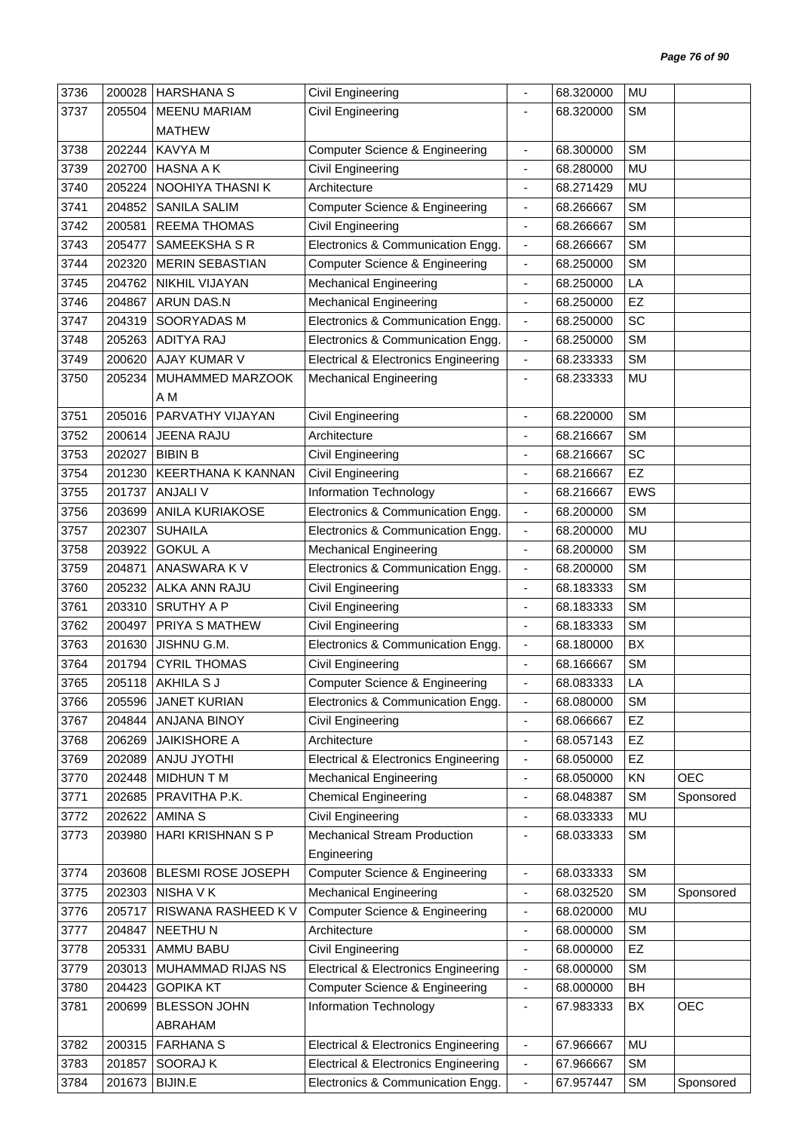| <b>SM</b><br>3737<br><b>MEENU MARIAM</b><br>Civil Engineering<br>205504<br>68.320000<br><b>MATHEW</b><br><b>SM</b><br>202244<br>KAVYA M<br><b>Computer Science &amp; Engineering</b><br>68.300000<br>3738<br>$\qquad \qquad \blacksquare$<br>HASNA A K<br>MU<br>3739<br>202700<br><b>Civil Engineering</b><br>68.280000<br>٠<br>MU<br>3740<br>205224<br>NOOHIYA THASNI K<br>Architecture<br>68.271429<br>$\frac{1}{2}$<br><b>SANILA SALIM</b><br><b>SM</b><br>3741<br>204852<br><b>Computer Science &amp; Engineering</b><br>68.266667<br>$\qquad \qquad \blacksquare$<br>200581<br><b>REEMA THOMAS</b><br><b>SM</b><br>3742<br>Civil Engineering<br>68.266667<br>$\overline{\phantom{a}}$<br><b>SM</b><br>3743<br>205477<br>SAMEEKSHA S R<br>Electronics & Communication Engg.<br>68.266667<br>$\overline{\phantom{a}}$<br><b>SM</b><br>3744<br>202320<br><b>MERIN SEBASTIAN</b><br><b>Computer Science &amp; Engineering</b><br>68.250000<br>$\overline{\phantom{a}}$<br>NIKHIL VIJAYAN<br><b>Mechanical Engineering</b><br>LA<br>3745<br>204762<br>68.250000<br>$\overline{\phantom{a}}$<br>EZ<br>3746<br><b>ARUN DAS.N</b><br><b>Mechanical Engineering</b><br>204867<br>68.250000<br>ä,<br>SC<br>3747<br>204319<br>SOORYADAS M<br>Electronics & Communication Engg.<br>68.250000<br>$\overline{\phantom{a}}$<br>205263<br><b>ADITYA RAJ</b><br>Electronics & Communication Engg.<br><b>SM</b><br>3748<br>68.250000<br>$\overline{\phantom{a}}$<br>3749<br>AJAY KUMAR V<br><b>SM</b><br>200620<br><b>Electrical &amp; Electronics Engineering</b><br>68.233333<br>$\blacksquare$<br>MU<br>3750<br>205234<br>MUHAMMED MARZOOK<br><b>Mechanical Engineering</b><br>68.233333<br>-<br>A M<br>PARVATHY VIJAYAN<br><b>SM</b><br>3751<br>205016<br>Civil Engineering<br>68.220000<br>ä,<br>3752<br>200614<br><b>JEENA RAJU</b><br>Architecture<br><b>SM</b><br>68.216667<br>$\blacksquare$<br>SC<br><b>BIBIN B</b><br>3753<br>202027<br>Civil Engineering<br>68.216667<br>÷<br>EZ<br>3754<br>201230<br><b>KEERTHANA K KANNAN</b><br>Civil Engineering<br>68.216667<br>-<br><b>ANJALI V</b><br>3755<br>201737<br>Information Technology<br><b>EWS</b><br>68.216667<br>$\blacksquare$<br><b>SM</b><br>3756<br><b>ANILA KURIAKOSE</b><br>Electronics & Communication Engg.<br>203699<br>68.200000<br>$\qquad \qquad \blacksquare$<br>MU<br>3757<br>202307<br><b>SUHAILA</b><br>Electronics & Communication Engg.<br>68.200000<br>$\overline{\phantom{a}}$<br><b>SM</b><br>3758<br><b>GOKUL A</b><br>203922<br><b>Mechanical Engineering</b><br>68.200000<br>$\overline{\phantom{a}}$<br>ANASWARA K V<br>Electronics & Communication Engg.<br><b>SM</b><br>3759<br>204871<br>68.200000<br>$\overline{\phantom{a}}$<br><b>SM</b><br>3760<br>205232<br>ALKA ANN RAJU<br>Civil Engineering<br>68.183333<br>-<br><b>SRUTHY A P</b><br><b>SM</b><br>3761<br>203310<br>Civil Engineering<br>68.183333<br>$\frac{1}{2}$<br>PRIYA S MATHEW<br>Civil Engineering<br><b>SM</b><br>3762<br>200497<br>68.183333<br>ä,<br>3763<br>JISHNU G.M.<br>Electronics & Communication Engg.<br>BX<br>201630<br>68.180000<br>$\qquad \qquad \blacksquare$<br><b>SM</b><br>3764<br><b>CYRIL THOMAS</b><br><b>Civil Engineering</b><br>201794<br>68.166667<br>$\overline{\phantom{a}}$<br>3765<br>205118 AKHILA S J<br>LA<br><b>Computer Science &amp; Engineering</b><br>68.083333<br>3766<br><b>JANET KURIAN</b><br><b>SM</b><br>205596<br>Electronics & Communication Engg.<br>68.080000<br>$\blacksquare$<br><b>ANJANA BINOY</b><br>EZ<br>3767<br>204844<br>Civil Engineering<br>68.066667<br>٠<br><b>JAIKISHORE A</b><br>68.057143<br>EZ<br>3768<br>206269<br>Architecture<br>$\qquad \qquad \blacksquare$<br>EZ<br>3769<br>202089<br>ANJU JYOTHI<br><b>Electrical &amp; Electronics Engineering</b><br>68.050000<br>$\qquad \qquad \blacksquare$<br><b>MIDHUN T M</b><br>KN<br><b>OEC</b><br>3770<br>202448<br><b>Mechanical Engineering</b><br>68.050000<br>$\overline{\phantom{a}}$<br>PRAVITHA P.K.<br><b>Chemical Engineering</b><br><b>SM</b><br>3771<br>202685<br>68.048387<br>Sponsored<br>٠<br>202622<br><b>AMINA S</b><br>Civil Engineering<br>MU<br>3772<br>68.033333<br>$\blacksquare$<br>HARI KRISHNAN S P<br><b>Mechanical Stream Production</b><br><b>SM</b><br>3773<br>203980<br>68.033333<br>٠<br>Engineering<br><b>Computer Science &amp; Engineering</b><br><b>SM</b><br>3774<br>203608<br>BLESMI ROSE JOSEPH<br>68.033333<br>$\frac{1}{2}$<br><b>Mechanical Engineering</b><br><b>SM</b><br>3775<br>202303<br>NISHA V K<br>68.032520<br>Sponsored<br>$\qquad \qquad \blacksquare$<br>RISWANA RASHEED K V<br><b>Computer Science &amp; Engineering</b><br>MU<br>3776<br>205717<br>68.020000<br>$\overline{\phantom{a}}$<br><b>SM</b><br>3777<br>204847<br><b>NEETHUN</b><br>68.000000<br>Architecture<br>٠<br>EZ<br>AMMU BABU<br>3778<br>205331<br>Civil Engineering<br>68.000000<br>$\qquad \qquad \blacksquare$<br><b>SM</b><br>MUHAMMAD RIJAS NS<br><b>Electrical &amp; Electronics Engineering</b><br>3779<br>203013<br>68.000000<br>$\qquad \qquad \blacksquare$<br><b>GOPIKA KT</b><br>BH<br>3780<br>204423<br><b>Computer Science &amp; Engineering</b><br>68.000000<br>$\overline{\phantom{a}}$<br><b>BLESSON JOHN</b><br>BX<br><b>OEC</b><br>3781<br>200699<br>Information Technology<br>67.983333<br>$\qquad \qquad \blacksquare$<br>ABRAHAM<br><b>FARHANA S</b><br><b>MU</b><br>3782<br>200315<br><b>Electrical &amp; Electronics Engineering</b><br>67.966667<br>$\overline{\phantom{a}}$<br>SOORAJ K<br><b>SM</b><br>3783<br>201857<br><b>Electrical &amp; Electronics Engineering</b><br>67.966667<br>$\qquad \qquad \blacksquare$<br><b>BIJIN.E</b><br><b>SM</b><br>3784<br>201673<br>Electronics & Communication Engg.<br>67.957447<br>Sponsored<br>÷ | 3736 | 200028 | <b>HARSHANA S</b> | Civil Engineering | 68.320000 | <b>MU</b> |  |
|----------------------------------------------------------------------------------------------------------------------------------------------------------------------------------------------------------------------------------------------------------------------------------------------------------------------------------------------------------------------------------------------------------------------------------------------------------------------------------------------------------------------------------------------------------------------------------------------------------------------------------------------------------------------------------------------------------------------------------------------------------------------------------------------------------------------------------------------------------------------------------------------------------------------------------------------------------------------------------------------------------------------------------------------------------------------------------------------------------------------------------------------------------------------------------------------------------------------------------------------------------------------------------------------------------------------------------------------------------------------------------------------------------------------------------------------------------------------------------------------------------------------------------------------------------------------------------------------------------------------------------------------------------------------------------------------------------------------------------------------------------------------------------------------------------------------------------------------------------------------------------------------------------------------------------------------------------------------------------------------------------------------------------------------------------------------------------------------------------------------------------------------------------------------------------------------------------------------------------------------------------------------------------------------------------------------------------------------------------------------------------------------------------------------------------------------------------------------------------------------------------------------------------------------------------------------------------------------------------------------------------------------------------------------------------------------------------------------------------------------------------------------------------------------------------------------------------------------------------------------------------------------------------------------------------------------------------------------------------------------------------------------------------------------------------------------------------------------------------------------------------------------------------------------------------------------------------------------------------------------------------------------------------------------------------------------------------------------------------------------------------------------------------------------------------------------------------------------------------------------------------------------------------------------------------------------------------------------------------------------------------------------------------------------------------------------------------------------------------------------------------------------------------------------------------------------------------------------------------------------------------------------------------------------------------------------------------------------------------------------------------------------------------------------------------------------------------------------------------------------------------------------------------------------------------------------------------------------------------------------------------------------------------------------------------------------------------------------------------------------------------------------------------------------------------------------------------------------------------------------------------------------------------------------------------------------------------------------------------------------------------------------------------------------------------------------------------------------------------------------------------------------------------------------------------------------------------------------------------------------------------------------------------------------------------------------------------------------------------------------------------------------------------------------------------------------------------------------------------------------------------------------------------------------------------------------------------------------------------------------------------------------------------------------------------------------------------------------------------------------------------------------------------------------------------------------------------------------------------------------------------------------------------------------------------------------------------------------------------------------------------------------------------------------------------------------------------------------------------------------------------------|------|--------|-------------------|-------------------|-----------|-----------|--|
|                                                                                                                                                                                                                                                                                                                                                                                                                                                                                                                                                                                                                                                                                                                                                                                                                                                                                                                                                                                                                                                                                                                                                                                                                                                                                                                                                                                                                                                                                                                                                                                                                                                                                                                                                                                                                                                                                                                                                                                                                                                                                                                                                                                                                                                                                                                                                                                                                                                                                                                                                                                                                                                                                                                                                                                                                                                                                                                                                                                                                                                                                                                                                                                                                                                                                                                                                                                                                                                                                                                                                                                                                                                                                                                                                                                                                                                                                                                                                                                                                                                                                                                                                                                                                                                                                                                                                                                                                                                                                                                                                                                                                                                                                                                                                                                                                                                                                                                                                                                                                                                                                                                                                                                                                                                                                                                                                                                                                                                                                                                                                                                                                                                                                                                                                                |      |        |                   |                   |           |           |  |
|                                                                                                                                                                                                                                                                                                                                                                                                                                                                                                                                                                                                                                                                                                                                                                                                                                                                                                                                                                                                                                                                                                                                                                                                                                                                                                                                                                                                                                                                                                                                                                                                                                                                                                                                                                                                                                                                                                                                                                                                                                                                                                                                                                                                                                                                                                                                                                                                                                                                                                                                                                                                                                                                                                                                                                                                                                                                                                                                                                                                                                                                                                                                                                                                                                                                                                                                                                                                                                                                                                                                                                                                                                                                                                                                                                                                                                                                                                                                                                                                                                                                                                                                                                                                                                                                                                                                                                                                                                                                                                                                                                                                                                                                                                                                                                                                                                                                                                                                                                                                                                                                                                                                                                                                                                                                                                                                                                                                                                                                                                                                                                                                                                                                                                                                                                |      |        |                   |                   |           |           |  |
|                                                                                                                                                                                                                                                                                                                                                                                                                                                                                                                                                                                                                                                                                                                                                                                                                                                                                                                                                                                                                                                                                                                                                                                                                                                                                                                                                                                                                                                                                                                                                                                                                                                                                                                                                                                                                                                                                                                                                                                                                                                                                                                                                                                                                                                                                                                                                                                                                                                                                                                                                                                                                                                                                                                                                                                                                                                                                                                                                                                                                                                                                                                                                                                                                                                                                                                                                                                                                                                                                                                                                                                                                                                                                                                                                                                                                                                                                                                                                                                                                                                                                                                                                                                                                                                                                                                                                                                                                                                                                                                                                                                                                                                                                                                                                                                                                                                                                                                                                                                                                                                                                                                                                                                                                                                                                                                                                                                                                                                                                                                                                                                                                                                                                                                                                                |      |        |                   |                   |           |           |  |
|                                                                                                                                                                                                                                                                                                                                                                                                                                                                                                                                                                                                                                                                                                                                                                                                                                                                                                                                                                                                                                                                                                                                                                                                                                                                                                                                                                                                                                                                                                                                                                                                                                                                                                                                                                                                                                                                                                                                                                                                                                                                                                                                                                                                                                                                                                                                                                                                                                                                                                                                                                                                                                                                                                                                                                                                                                                                                                                                                                                                                                                                                                                                                                                                                                                                                                                                                                                                                                                                                                                                                                                                                                                                                                                                                                                                                                                                                                                                                                                                                                                                                                                                                                                                                                                                                                                                                                                                                                                                                                                                                                                                                                                                                                                                                                                                                                                                                                                                                                                                                                                                                                                                                                                                                                                                                                                                                                                                                                                                                                                                                                                                                                                                                                                                                                |      |        |                   |                   |           |           |  |
|                                                                                                                                                                                                                                                                                                                                                                                                                                                                                                                                                                                                                                                                                                                                                                                                                                                                                                                                                                                                                                                                                                                                                                                                                                                                                                                                                                                                                                                                                                                                                                                                                                                                                                                                                                                                                                                                                                                                                                                                                                                                                                                                                                                                                                                                                                                                                                                                                                                                                                                                                                                                                                                                                                                                                                                                                                                                                                                                                                                                                                                                                                                                                                                                                                                                                                                                                                                                                                                                                                                                                                                                                                                                                                                                                                                                                                                                                                                                                                                                                                                                                                                                                                                                                                                                                                                                                                                                                                                                                                                                                                                                                                                                                                                                                                                                                                                                                                                                                                                                                                                                                                                                                                                                                                                                                                                                                                                                                                                                                                                                                                                                                                                                                                                                                                |      |        |                   |                   |           |           |  |
|                                                                                                                                                                                                                                                                                                                                                                                                                                                                                                                                                                                                                                                                                                                                                                                                                                                                                                                                                                                                                                                                                                                                                                                                                                                                                                                                                                                                                                                                                                                                                                                                                                                                                                                                                                                                                                                                                                                                                                                                                                                                                                                                                                                                                                                                                                                                                                                                                                                                                                                                                                                                                                                                                                                                                                                                                                                                                                                                                                                                                                                                                                                                                                                                                                                                                                                                                                                                                                                                                                                                                                                                                                                                                                                                                                                                                                                                                                                                                                                                                                                                                                                                                                                                                                                                                                                                                                                                                                                                                                                                                                                                                                                                                                                                                                                                                                                                                                                                                                                                                                                                                                                                                                                                                                                                                                                                                                                                                                                                                                                                                                                                                                                                                                                                                                |      |        |                   |                   |           |           |  |
|                                                                                                                                                                                                                                                                                                                                                                                                                                                                                                                                                                                                                                                                                                                                                                                                                                                                                                                                                                                                                                                                                                                                                                                                                                                                                                                                                                                                                                                                                                                                                                                                                                                                                                                                                                                                                                                                                                                                                                                                                                                                                                                                                                                                                                                                                                                                                                                                                                                                                                                                                                                                                                                                                                                                                                                                                                                                                                                                                                                                                                                                                                                                                                                                                                                                                                                                                                                                                                                                                                                                                                                                                                                                                                                                                                                                                                                                                                                                                                                                                                                                                                                                                                                                                                                                                                                                                                                                                                                                                                                                                                                                                                                                                                                                                                                                                                                                                                                                                                                                                                                                                                                                                                                                                                                                                                                                                                                                                                                                                                                                                                                                                                                                                                                                                                |      |        |                   |                   |           |           |  |
|                                                                                                                                                                                                                                                                                                                                                                                                                                                                                                                                                                                                                                                                                                                                                                                                                                                                                                                                                                                                                                                                                                                                                                                                                                                                                                                                                                                                                                                                                                                                                                                                                                                                                                                                                                                                                                                                                                                                                                                                                                                                                                                                                                                                                                                                                                                                                                                                                                                                                                                                                                                                                                                                                                                                                                                                                                                                                                                                                                                                                                                                                                                                                                                                                                                                                                                                                                                                                                                                                                                                                                                                                                                                                                                                                                                                                                                                                                                                                                                                                                                                                                                                                                                                                                                                                                                                                                                                                                                                                                                                                                                                                                                                                                                                                                                                                                                                                                                                                                                                                                                                                                                                                                                                                                                                                                                                                                                                                                                                                                                                                                                                                                                                                                                                                                |      |        |                   |                   |           |           |  |
|                                                                                                                                                                                                                                                                                                                                                                                                                                                                                                                                                                                                                                                                                                                                                                                                                                                                                                                                                                                                                                                                                                                                                                                                                                                                                                                                                                                                                                                                                                                                                                                                                                                                                                                                                                                                                                                                                                                                                                                                                                                                                                                                                                                                                                                                                                                                                                                                                                                                                                                                                                                                                                                                                                                                                                                                                                                                                                                                                                                                                                                                                                                                                                                                                                                                                                                                                                                                                                                                                                                                                                                                                                                                                                                                                                                                                                                                                                                                                                                                                                                                                                                                                                                                                                                                                                                                                                                                                                                                                                                                                                                                                                                                                                                                                                                                                                                                                                                                                                                                                                                                                                                                                                                                                                                                                                                                                                                                                                                                                                                                                                                                                                                                                                                                                                |      |        |                   |                   |           |           |  |
|                                                                                                                                                                                                                                                                                                                                                                                                                                                                                                                                                                                                                                                                                                                                                                                                                                                                                                                                                                                                                                                                                                                                                                                                                                                                                                                                                                                                                                                                                                                                                                                                                                                                                                                                                                                                                                                                                                                                                                                                                                                                                                                                                                                                                                                                                                                                                                                                                                                                                                                                                                                                                                                                                                                                                                                                                                                                                                                                                                                                                                                                                                                                                                                                                                                                                                                                                                                                                                                                                                                                                                                                                                                                                                                                                                                                                                                                                                                                                                                                                                                                                                                                                                                                                                                                                                                                                                                                                                                                                                                                                                                                                                                                                                                                                                                                                                                                                                                                                                                                                                                                                                                                                                                                                                                                                                                                                                                                                                                                                                                                                                                                                                                                                                                                                                |      |        |                   |                   |           |           |  |
|                                                                                                                                                                                                                                                                                                                                                                                                                                                                                                                                                                                                                                                                                                                                                                                                                                                                                                                                                                                                                                                                                                                                                                                                                                                                                                                                                                                                                                                                                                                                                                                                                                                                                                                                                                                                                                                                                                                                                                                                                                                                                                                                                                                                                                                                                                                                                                                                                                                                                                                                                                                                                                                                                                                                                                                                                                                                                                                                                                                                                                                                                                                                                                                                                                                                                                                                                                                                                                                                                                                                                                                                                                                                                                                                                                                                                                                                                                                                                                                                                                                                                                                                                                                                                                                                                                                                                                                                                                                                                                                                                                                                                                                                                                                                                                                                                                                                                                                                                                                                                                                                                                                                                                                                                                                                                                                                                                                                                                                                                                                                                                                                                                                                                                                                                                |      |        |                   |                   |           |           |  |
|                                                                                                                                                                                                                                                                                                                                                                                                                                                                                                                                                                                                                                                                                                                                                                                                                                                                                                                                                                                                                                                                                                                                                                                                                                                                                                                                                                                                                                                                                                                                                                                                                                                                                                                                                                                                                                                                                                                                                                                                                                                                                                                                                                                                                                                                                                                                                                                                                                                                                                                                                                                                                                                                                                                                                                                                                                                                                                                                                                                                                                                                                                                                                                                                                                                                                                                                                                                                                                                                                                                                                                                                                                                                                                                                                                                                                                                                                                                                                                                                                                                                                                                                                                                                                                                                                                                                                                                                                                                                                                                                                                                                                                                                                                                                                                                                                                                                                                                                                                                                                                                                                                                                                                                                                                                                                                                                                                                                                                                                                                                                                                                                                                                                                                                                                                |      |        |                   |                   |           |           |  |
|                                                                                                                                                                                                                                                                                                                                                                                                                                                                                                                                                                                                                                                                                                                                                                                                                                                                                                                                                                                                                                                                                                                                                                                                                                                                                                                                                                                                                                                                                                                                                                                                                                                                                                                                                                                                                                                                                                                                                                                                                                                                                                                                                                                                                                                                                                                                                                                                                                                                                                                                                                                                                                                                                                                                                                                                                                                                                                                                                                                                                                                                                                                                                                                                                                                                                                                                                                                                                                                                                                                                                                                                                                                                                                                                                                                                                                                                                                                                                                                                                                                                                                                                                                                                                                                                                                                                                                                                                                                                                                                                                                                                                                                                                                                                                                                                                                                                                                                                                                                                                                                                                                                                                                                                                                                                                                                                                                                                                                                                                                                                                                                                                                                                                                                                                                |      |        |                   |                   |           |           |  |
|                                                                                                                                                                                                                                                                                                                                                                                                                                                                                                                                                                                                                                                                                                                                                                                                                                                                                                                                                                                                                                                                                                                                                                                                                                                                                                                                                                                                                                                                                                                                                                                                                                                                                                                                                                                                                                                                                                                                                                                                                                                                                                                                                                                                                                                                                                                                                                                                                                                                                                                                                                                                                                                                                                                                                                                                                                                                                                                                                                                                                                                                                                                                                                                                                                                                                                                                                                                                                                                                                                                                                                                                                                                                                                                                                                                                                                                                                                                                                                                                                                                                                                                                                                                                                                                                                                                                                                                                                                                                                                                                                                                                                                                                                                                                                                                                                                                                                                                                                                                                                                                                                                                                                                                                                                                                                                                                                                                                                                                                                                                                                                                                                                                                                                                                                                |      |        |                   |                   |           |           |  |
|                                                                                                                                                                                                                                                                                                                                                                                                                                                                                                                                                                                                                                                                                                                                                                                                                                                                                                                                                                                                                                                                                                                                                                                                                                                                                                                                                                                                                                                                                                                                                                                                                                                                                                                                                                                                                                                                                                                                                                                                                                                                                                                                                                                                                                                                                                                                                                                                                                                                                                                                                                                                                                                                                                                                                                                                                                                                                                                                                                                                                                                                                                                                                                                                                                                                                                                                                                                                                                                                                                                                                                                                                                                                                                                                                                                                                                                                                                                                                                                                                                                                                                                                                                                                                                                                                                                                                                                                                                                                                                                                                                                                                                                                                                                                                                                                                                                                                                                                                                                                                                                                                                                                                                                                                                                                                                                                                                                                                                                                                                                                                                                                                                                                                                                                                                |      |        |                   |                   |           |           |  |
|                                                                                                                                                                                                                                                                                                                                                                                                                                                                                                                                                                                                                                                                                                                                                                                                                                                                                                                                                                                                                                                                                                                                                                                                                                                                                                                                                                                                                                                                                                                                                                                                                                                                                                                                                                                                                                                                                                                                                                                                                                                                                                                                                                                                                                                                                                                                                                                                                                                                                                                                                                                                                                                                                                                                                                                                                                                                                                                                                                                                                                                                                                                                                                                                                                                                                                                                                                                                                                                                                                                                                                                                                                                                                                                                                                                                                                                                                                                                                                                                                                                                                                                                                                                                                                                                                                                                                                                                                                                                                                                                                                                                                                                                                                                                                                                                                                                                                                                                                                                                                                                                                                                                                                                                                                                                                                                                                                                                                                                                                                                                                                                                                                                                                                                                                                |      |        |                   |                   |           |           |  |
|                                                                                                                                                                                                                                                                                                                                                                                                                                                                                                                                                                                                                                                                                                                                                                                                                                                                                                                                                                                                                                                                                                                                                                                                                                                                                                                                                                                                                                                                                                                                                                                                                                                                                                                                                                                                                                                                                                                                                                                                                                                                                                                                                                                                                                                                                                                                                                                                                                                                                                                                                                                                                                                                                                                                                                                                                                                                                                                                                                                                                                                                                                                                                                                                                                                                                                                                                                                                                                                                                                                                                                                                                                                                                                                                                                                                                                                                                                                                                                                                                                                                                                                                                                                                                                                                                                                                                                                                                                                                                                                                                                                                                                                                                                                                                                                                                                                                                                                                                                                                                                                                                                                                                                                                                                                                                                                                                                                                                                                                                                                                                                                                                                                                                                                                                                |      |        |                   |                   |           |           |  |
|                                                                                                                                                                                                                                                                                                                                                                                                                                                                                                                                                                                                                                                                                                                                                                                                                                                                                                                                                                                                                                                                                                                                                                                                                                                                                                                                                                                                                                                                                                                                                                                                                                                                                                                                                                                                                                                                                                                                                                                                                                                                                                                                                                                                                                                                                                                                                                                                                                                                                                                                                                                                                                                                                                                                                                                                                                                                                                                                                                                                                                                                                                                                                                                                                                                                                                                                                                                                                                                                                                                                                                                                                                                                                                                                                                                                                                                                                                                                                                                                                                                                                                                                                                                                                                                                                                                                                                                                                                                                                                                                                                                                                                                                                                                                                                                                                                                                                                                                                                                                                                                                                                                                                                                                                                                                                                                                                                                                                                                                                                                                                                                                                                                                                                                                                                |      |        |                   |                   |           |           |  |
|                                                                                                                                                                                                                                                                                                                                                                                                                                                                                                                                                                                                                                                                                                                                                                                                                                                                                                                                                                                                                                                                                                                                                                                                                                                                                                                                                                                                                                                                                                                                                                                                                                                                                                                                                                                                                                                                                                                                                                                                                                                                                                                                                                                                                                                                                                                                                                                                                                                                                                                                                                                                                                                                                                                                                                                                                                                                                                                                                                                                                                                                                                                                                                                                                                                                                                                                                                                                                                                                                                                                                                                                                                                                                                                                                                                                                                                                                                                                                                                                                                                                                                                                                                                                                                                                                                                                                                                                                                                                                                                                                                                                                                                                                                                                                                                                                                                                                                                                                                                                                                                                                                                                                                                                                                                                                                                                                                                                                                                                                                                                                                                                                                                                                                                                                                |      |        |                   |                   |           |           |  |
|                                                                                                                                                                                                                                                                                                                                                                                                                                                                                                                                                                                                                                                                                                                                                                                                                                                                                                                                                                                                                                                                                                                                                                                                                                                                                                                                                                                                                                                                                                                                                                                                                                                                                                                                                                                                                                                                                                                                                                                                                                                                                                                                                                                                                                                                                                                                                                                                                                                                                                                                                                                                                                                                                                                                                                                                                                                                                                                                                                                                                                                                                                                                                                                                                                                                                                                                                                                                                                                                                                                                                                                                                                                                                                                                                                                                                                                                                                                                                                                                                                                                                                                                                                                                                                                                                                                                                                                                                                                                                                                                                                                                                                                                                                                                                                                                                                                                                                                                                                                                                                                                                                                                                                                                                                                                                                                                                                                                                                                                                                                                                                                                                                                                                                                                                                |      |        |                   |                   |           |           |  |
|                                                                                                                                                                                                                                                                                                                                                                                                                                                                                                                                                                                                                                                                                                                                                                                                                                                                                                                                                                                                                                                                                                                                                                                                                                                                                                                                                                                                                                                                                                                                                                                                                                                                                                                                                                                                                                                                                                                                                                                                                                                                                                                                                                                                                                                                                                                                                                                                                                                                                                                                                                                                                                                                                                                                                                                                                                                                                                                                                                                                                                                                                                                                                                                                                                                                                                                                                                                                                                                                                                                                                                                                                                                                                                                                                                                                                                                                                                                                                                                                                                                                                                                                                                                                                                                                                                                                                                                                                                                                                                                                                                                                                                                                                                                                                                                                                                                                                                                                                                                                                                                                                                                                                                                                                                                                                                                                                                                                                                                                                                                                                                                                                                                                                                                                                                |      |        |                   |                   |           |           |  |
|                                                                                                                                                                                                                                                                                                                                                                                                                                                                                                                                                                                                                                                                                                                                                                                                                                                                                                                                                                                                                                                                                                                                                                                                                                                                                                                                                                                                                                                                                                                                                                                                                                                                                                                                                                                                                                                                                                                                                                                                                                                                                                                                                                                                                                                                                                                                                                                                                                                                                                                                                                                                                                                                                                                                                                                                                                                                                                                                                                                                                                                                                                                                                                                                                                                                                                                                                                                                                                                                                                                                                                                                                                                                                                                                                                                                                                                                                                                                                                                                                                                                                                                                                                                                                                                                                                                                                                                                                                                                                                                                                                                                                                                                                                                                                                                                                                                                                                                                                                                                                                                                                                                                                                                                                                                                                                                                                                                                                                                                                                                                                                                                                                                                                                                                                                |      |        |                   |                   |           |           |  |
|                                                                                                                                                                                                                                                                                                                                                                                                                                                                                                                                                                                                                                                                                                                                                                                                                                                                                                                                                                                                                                                                                                                                                                                                                                                                                                                                                                                                                                                                                                                                                                                                                                                                                                                                                                                                                                                                                                                                                                                                                                                                                                                                                                                                                                                                                                                                                                                                                                                                                                                                                                                                                                                                                                                                                                                                                                                                                                                                                                                                                                                                                                                                                                                                                                                                                                                                                                                                                                                                                                                                                                                                                                                                                                                                                                                                                                                                                                                                                                                                                                                                                                                                                                                                                                                                                                                                                                                                                                                                                                                                                                                                                                                                                                                                                                                                                                                                                                                                                                                                                                                                                                                                                                                                                                                                                                                                                                                                                                                                                                                                                                                                                                                                                                                                                                |      |        |                   |                   |           |           |  |
|                                                                                                                                                                                                                                                                                                                                                                                                                                                                                                                                                                                                                                                                                                                                                                                                                                                                                                                                                                                                                                                                                                                                                                                                                                                                                                                                                                                                                                                                                                                                                                                                                                                                                                                                                                                                                                                                                                                                                                                                                                                                                                                                                                                                                                                                                                                                                                                                                                                                                                                                                                                                                                                                                                                                                                                                                                                                                                                                                                                                                                                                                                                                                                                                                                                                                                                                                                                                                                                                                                                                                                                                                                                                                                                                                                                                                                                                                                                                                                                                                                                                                                                                                                                                                                                                                                                                                                                                                                                                                                                                                                                                                                                                                                                                                                                                                                                                                                                                                                                                                                                                                                                                                                                                                                                                                                                                                                                                                                                                                                                                                                                                                                                                                                                                                                |      |        |                   |                   |           |           |  |
|                                                                                                                                                                                                                                                                                                                                                                                                                                                                                                                                                                                                                                                                                                                                                                                                                                                                                                                                                                                                                                                                                                                                                                                                                                                                                                                                                                                                                                                                                                                                                                                                                                                                                                                                                                                                                                                                                                                                                                                                                                                                                                                                                                                                                                                                                                                                                                                                                                                                                                                                                                                                                                                                                                                                                                                                                                                                                                                                                                                                                                                                                                                                                                                                                                                                                                                                                                                                                                                                                                                                                                                                                                                                                                                                                                                                                                                                                                                                                                                                                                                                                                                                                                                                                                                                                                                                                                                                                                                                                                                                                                                                                                                                                                                                                                                                                                                                                                                                                                                                                                                                                                                                                                                                                                                                                                                                                                                                                                                                                                                                                                                                                                                                                                                                                                |      |        |                   |                   |           |           |  |
|                                                                                                                                                                                                                                                                                                                                                                                                                                                                                                                                                                                                                                                                                                                                                                                                                                                                                                                                                                                                                                                                                                                                                                                                                                                                                                                                                                                                                                                                                                                                                                                                                                                                                                                                                                                                                                                                                                                                                                                                                                                                                                                                                                                                                                                                                                                                                                                                                                                                                                                                                                                                                                                                                                                                                                                                                                                                                                                                                                                                                                                                                                                                                                                                                                                                                                                                                                                                                                                                                                                                                                                                                                                                                                                                                                                                                                                                                                                                                                                                                                                                                                                                                                                                                                                                                                                                                                                                                                                                                                                                                                                                                                                                                                                                                                                                                                                                                                                                                                                                                                                                                                                                                                                                                                                                                                                                                                                                                                                                                                                                                                                                                                                                                                                                                                |      |        |                   |                   |           |           |  |
|                                                                                                                                                                                                                                                                                                                                                                                                                                                                                                                                                                                                                                                                                                                                                                                                                                                                                                                                                                                                                                                                                                                                                                                                                                                                                                                                                                                                                                                                                                                                                                                                                                                                                                                                                                                                                                                                                                                                                                                                                                                                                                                                                                                                                                                                                                                                                                                                                                                                                                                                                                                                                                                                                                                                                                                                                                                                                                                                                                                                                                                                                                                                                                                                                                                                                                                                                                                                                                                                                                                                                                                                                                                                                                                                                                                                                                                                                                                                                                                                                                                                                                                                                                                                                                                                                                                                                                                                                                                                                                                                                                                                                                                                                                                                                                                                                                                                                                                                                                                                                                                                                                                                                                                                                                                                                                                                                                                                                                                                                                                                                                                                                                                                                                                                                                |      |        |                   |                   |           |           |  |
|                                                                                                                                                                                                                                                                                                                                                                                                                                                                                                                                                                                                                                                                                                                                                                                                                                                                                                                                                                                                                                                                                                                                                                                                                                                                                                                                                                                                                                                                                                                                                                                                                                                                                                                                                                                                                                                                                                                                                                                                                                                                                                                                                                                                                                                                                                                                                                                                                                                                                                                                                                                                                                                                                                                                                                                                                                                                                                                                                                                                                                                                                                                                                                                                                                                                                                                                                                                                                                                                                                                                                                                                                                                                                                                                                                                                                                                                                                                                                                                                                                                                                                                                                                                                                                                                                                                                                                                                                                                                                                                                                                                                                                                                                                                                                                                                                                                                                                                                                                                                                                                                                                                                                                                                                                                                                                                                                                                                                                                                                                                                                                                                                                                                                                                                                                |      |        |                   |                   |           |           |  |
|                                                                                                                                                                                                                                                                                                                                                                                                                                                                                                                                                                                                                                                                                                                                                                                                                                                                                                                                                                                                                                                                                                                                                                                                                                                                                                                                                                                                                                                                                                                                                                                                                                                                                                                                                                                                                                                                                                                                                                                                                                                                                                                                                                                                                                                                                                                                                                                                                                                                                                                                                                                                                                                                                                                                                                                                                                                                                                                                                                                                                                                                                                                                                                                                                                                                                                                                                                                                                                                                                                                                                                                                                                                                                                                                                                                                                                                                                                                                                                                                                                                                                                                                                                                                                                                                                                                                                                                                                                                                                                                                                                                                                                                                                                                                                                                                                                                                                                                                                                                                                                                                                                                                                                                                                                                                                                                                                                                                                                                                                                                                                                                                                                                                                                                                                                |      |        |                   |                   |           |           |  |
|                                                                                                                                                                                                                                                                                                                                                                                                                                                                                                                                                                                                                                                                                                                                                                                                                                                                                                                                                                                                                                                                                                                                                                                                                                                                                                                                                                                                                                                                                                                                                                                                                                                                                                                                                                                                                                                                                                                                                                                                                                                                                                                                                                                                                                                                                                                                                                                                                                                                                                                                                                                                                                                                                                                                                                                                                                                                                                                                                                                                                                                                                                                                                                                                                                                                                                                                                                                                                                                                                                                                                                                                                                                                                                                                                                                                                                                                                                                                                                                                                                                                                                                                                                                                                                                                                                                                                                                                                                                                                                                                                                                                                                                                                                                                                                                                                                                                                                                                                                                                                                                                                                                                                                                                                                                                                                                                                                                                                                                                                                                                                                                                                                                                                                                                                                |      |        |                   |                   |           |           |  |
|                                                                                                                                                                                                                                                                                                                                                                                                                                                                                                                                                                                                                                                                                                                                                                                                                                                                                                                                                                                                                                                                                                                                                                                                                                                                                                                                                                                                                                                                                                                                                                                                                                                                                                                                                                                                                                                                                                                                                                                                                                                                                                                                                                                                                                                                                                                                                                                                                                                                                                                                                                                                                                                                                                                                                                                                                                                                                                                                                                                                                                                                                                                                                                                                                                                                                                                                                                                                                                                                                                                                                                                                                                                                                                                                                                                                                                                                                                                                                                                                                                                                                                                                                                                                                                                                                                                                                                                                                                                                                                                                                                                                                                                                                                                                                                                                                                                                                                                                                                                                                                                                                                                                                                                                                                                                                                                                                                                                                                                                                                                                                                                                                                                                                                                                                                |      |        |                   |                   |           |           |  |
|                                                                                                                                                                                                                                                                                                                                                                                                                                                                                                                                                                                                                                                                                                                                                                                                                                                                                                                                                                                                                                                                                                                                                                                                                                                                                                                                                                                                                                                                                                                                                                                                                                                                                                                                                                                                                                                                                                                                                                                                                                                                                                                                                                                                                                                                                                                                                                                                                                                                                                                                                                                                                                                                                                                                                                                                                                                                                                                                                                                                                                                                                                                                                                                                                                                                                                                                                                                                                                                                                                                                                                                                                                                                                                                                                                                                                                                                                                                                                                                                                                                                                                                                                                                                                                                                                                                                                                                                                                                                                                                                                                                                                                                                                                                                                                                                                                                                                                                                                                                                                                                                                                                                                                                                                                                                                                                                                                                                                                                                                                                                                                                                                                                                                                                                                                |      |        |                   |                   |           |           |  |
|                                                                                                                                                                                                                                                                                                                                                                                                                                                                                                                                                                                                                                                                                                                                                                                                                                                                                                                                                                                                                                                                                                                                                                                                                                                                                                                                                                                                                                                                                                                                                                                                                                                                                                                                                                                                                                                                                                                                                                                                                                                                                                                                                                                                                                                                                                                                                                                                                                                                                                                                                                                                                                                                                                                                                                                                                                                                                                                                                                                                                                                                                                                                                                                                                                                                                                                                                                                                                                                                                                                                                                                                                                                                                                                                                                                                                                                                                                                                                                                                                                                                                                                                                                                                                                                                                                                                                                                                                                                                                                                                                                                                                                                                                                                                                                                                                                                                                                                                                                                                                                                                                                                                                                                                                                                                                                                                                                                                                                                                                                                                                                                                                                                                                                                                                                |      |        |                   |                   |           |           |  |
|                                                                                                                                                                                                                                                                                                                                                                                                                                                                                                                                                                                                                                                                                                                                                                                                                                                                                                                                                                                                                                                                                                                                                                                                                                                                                                                                                                                                                                                                                                                                                                                                                                                                                                                                                                                                                                                                                                                                                                                                                                                                                                                                                                                                                                                                                                                                                                                                                                                                                                                                                                                                                                                                                                                                                                                                                                                                                                                                                                                                                                                                                                                                                                                                                                                                                                                                                                                                                                                                                                                                                                                                                                                                                                                                                                                                                                                                                                                                                                                                                                                                                                                                                                                                                                                                                                                                                                                                                                                                                                                                                                                                                                                                                                                                                                                                                                                                                                                                                                                                                                                                                                                                                                                                                                                                                                                                                                                                                                                                                                                                                                                                                                                                                                                                                                |      |        |                   |                   |           |           |  |
|                                                                                                                                                                                                                                                                                                                                                                                                                                                                                                                                                                                                                                                                                                                                                                                                                                                                                                                                                                                                                                                                                                                                                                                                                                                                                                                                                                                                                                                                                                                                                                                                                                                                                                                                                                                                                                                                                                                                                                                                                                                                                                                                                                                                                                                                                                                                                                                                                                                                                                                                                                                                                                                                                                                                                                                                                                                                                                                                                                                                                                                                                                                                                                                                                                                                                                                                                                                                                                                                                                                                                                                                                                                                                                                                                                                                                                                                                                                                                                                                                                                                                                                                                                                                                                                                                                                                                                                                                                                                                                                                                                                                                                                                                                                                                                                                                                                                                                                                                                                                                                                                                                                                                                                                                                                                                                                                                                                                                                                                                                                                                                                                                                                                                                                                                                |      |        |                   |                   |           |           |  |
|                                                                                                                                                                                                                                                                                                                                                                                                                                                                                                                                                                                                                                                                                                                                                                                                                                                                                                                                                                                                                                                                                                                                                                                                                                                                                                                                                                                                                                                                                                                                                                                                                                                                                                                                                                                                                                                                                                                                                                                                                                                                                                                                                                                                                                                                                                                                                                                                                                                                                                                                                                                                                                                                                                                                                                                                                                                                                                                                                                                                                                                                                                                                                                                                                                                                                                                                                                                                                                                                                                                                                                                                                                                                                                                                                                                                                                                                                                                                                                                                                                                                                                                                                                                                                                                                                                                                                                                                                                                                                                                                                                                                                                                                                                                                                                                                                                                                                                                                                                                                                                                                                                                                                                                                                                                                                                                                                                                                                                                                                                                                                                                                                                                                                                                                                                |      |        |                   |                   |           |           |  |
|                                                                                                                                                                                                                                                                                                                                                                                                                                                                                                                                                                                                                                                                                                                                                                                                                                                                                                                                                                                                                                                                                                                                                                                                                                                                                                                                                                                                                                                                                                                                                                                                                                                                                                                                                                                                                                                                                                                                                                                                                                                                                                                                                                                                                                                                                                                                                                                                                                                                                                                                                                                                                                                                                                                                                                                                                                                                                                                                                                                                                                                                                                                                                                                                                                                                                                                                                                                                                                                                                                                                                                                                                                                                                                                                                                                                                                                                                                                                                                                                                                                                                                                                                                                                                                                                                                                                                                                                                                                                                                                                                                                                                                                                                                                                                                                                                                                                                                                                                                                                                                                                                                                                                                                                                                                                                                                                                                                                                                                                                                                                                                                                                                                                                                                                                                |      |        |                   |                   |           |           |  |
|                                                                                                                                                                                                                                                                                                                                                                                                                                                                                                                                                                                                                                                                                                                                                                                                                                                                                                                                                                                                                                                                                                                                                                                                                                                                                                                                                                                                                                                                                                                                                                                                                                                                                                                                                                                                                                                                                                                                                                                                                                                                                                                                                                                                                                                                                                                                                                                                                                                                                                                                                                                                                                                                                                                                                                                                                                                                                                                                                                                                                                                                                                                                                                                                                                                                                                                                                                                                                                                                                                                                                                                                                                                                                                                                                                                                                                                                                                                                                                                                                                                                                                                                                                                                                                                                                                                                                                                                                                                                                                                                                                                                                                                                                                                                                                                                                                                                                                                                                                                                                                                                                                                                                                                                                                                                                                                                                                                                                                                                                                                                                                                                                                                                                                                                                                |      |        |                   |                   |           |           |  |
|                                                                                                                                                                                                                                                                                                                                                                                                                                                                                                                                                                                                                                                                                                                                                                                                                                                                                                                                                                                                                                                                                                                                                                                                                                                                                                                                                                                                                                                                                                                                                                                                                                                                                                                                                                                                                                                                                                                                                                                                                                                                                                                                                                                                                                                                                                                                                                                                                                                                                                                                                                                                                                                                                                                                                                                                                                                                                                                                                                                                                                                                                                                                                                                                                                                                                                                                                                                                                                                                                                                                                                                                                                                                                                                                                                                                                                                                                                                                                                                                                                                                                                                                                                                                                                                                                                                                                                                                                                                                                                                                                                                                                                                                                                                                                                                                                                                                                                                                                                                                                                                                                                                                                                                                                                                                                                                                                                                                                                                                                                                                                                                                                                                                                                                                                                |      |        |                   |                   |           |           |  |
|                                                                                                                                                                                                                                                                                                                                                                                                                                                                                                                                                                                                                                                                                                                                                                                                                                                                                                                                                                                                                                                                                                                                                                                                                                                                                                                                                                                                                                                                                                                                                                                                                                                                                                                                                                                                                                                                                                                                                                                                                                                                                                                                                                                                                                                                                                                                                                                                                                                                                                                                                                                                                                                                                                                                                                                                                                                                                                                                                                                                                                                                                                                                                                                                                                                                                                                                                                                                                                                                                                                                                                                                                                                                                                                                                                                                                                                                                                                                                                                                                                                                                                                                                                                                                                                                                                                                                                                                                                                                                                                                                                                                                                                                                                                                                                                                                                                                                                                                                                                                                                                                                                                                                                                                                                                                                                                                                                                                                                                                                                                                                                                                                                                                                                                                                                |      |        |                   |                   |           |           |  |
|                                                                                                                                                                                                                                                                                                                                                                                                                                                                                                                                                                                                                                                                                                                                                                                                                                                                                                                                                                                                                                                                                                                                                                                                                                                                                                                                                                                                                                                                                                                                                                                                                                                                                                                                                                                                                                                                                                                                                                                                                                                                                                                                                                                                                                                                                                                                                                                                                                                                                                                                                                                                                                                                                                                                                                                                                                                                                                                                                                                                                                                                                                                                                                                                                                                                                                                                                                                                                                                                                                                                                                                                                                                                                                                                                                                                                                                                                                                                                                                                                                                                                                                                                                                                                                                                                                                                                                                                                                                                                                                                                                                                                                                                                                                                                                                                                                                                                                                                                                                                                                                                                                                                                                                                                                                                                                                                                                                                                                                                                                                                                                                                                                                                                                                                                                |      |        |                   |                   |           |           |  |
|                                                                                                                                                                                                                                                                                                                                                                                                                                                                                                                                                                                                                                                                                                                                                                                                                                                                                                                                                                                                                                                                                                                                                                                                                                                                                                                                                                                                                                                                                                                                                                                                                                                                                                                                                                                                                                                                                                                                                                                                                                                                                                                                                                                                                                                                                                                                                                                                                                                                                                                                                                                                                                                                                                                                                                                                                                                                                                                                                                                                                                                                                                                                                                                                                                                                                                                                                                                                                                                                                                                                                                                                                                                                                                                                                                                                                                                                                                                                                                                                                                                                                                                                                                                                                                                                                                                                                                                                                                                                                                                                                                                                                                                                                                                                                                                                                                                                                                                                                                                                                                                                                                                                                                                                                                                                                                                                                                                                                                                                                                                                                                                                                                                                                                                                                                |      |        |                   |                   |           |           |  |
|                                                                                                                                                                                                                                                                                                                                                                                                                                                                                                                                                                                                                                                                                                                                                                                                                                                                                                                                                                                                                                                                                                                                                                                                                                                                                                                                                                                                                                                                                                                                                                                                                                                                                                                                                                                                                                                                                                                                                                                                                                                                                                                                                                                                                                                                                                                                                                                                                                                                                                                                                                                                                                                                                                                                                                                                                                                                                                                                                                                                                                                                                                                                                                                                                                                                                                                                                                                                                                                                                                                                                                                                                                                                                                                                                                                                                                                                                                                                                                                                                                                                                                                                                                                                                                                                                                                                                                                                                                                                                                                                                                                                                                                                                                                                                                                                                                                                                                                                                                                                                                                                                                                                                                                                                                                                                                                                                                                                                                                                                                                                                                                                                                                                                                                                                                |      |        |                   |                   |           |           |  |
|                                                                                                                                                                                                                                                                                                                                                                                                                                                                                                                                                                                                                                                                                                                                                                                                                                                                                                                                                                                                                                                                                                                                                                                                                                                                                                                                                                                                                                                                                                                                                                                                                                                                                                                                                                                                                                                                                                                                                                                                                                                                                                                                                                                                                                                                                                                                                                                                                                                                                                                                                                                                                                                                                                                                                                                                                                                                                                                                                                                                                                                                                                                                                                                                                                                                                                                                                                                                                                                                                                                                                                                                                                                                                                                                                                                                                                                                                                                                                                                                                                                                                                                                                                                                                                                                                                                                                                                                                                                                                                                                                                                                                                                                                                                                                                                                                                                                                                                                                                                                                                                                                                                                                                                                                                                                                                                                                                                                                                                                                                                                                                                                                                                                                                                                                                |      |        |                   |                   |           |           |  |
|                                                                                                                                                                                                                                                                                                                                                                                                                                                                                                                                                                                                                                                                                                                                                                                                                                                                                                                                                                                                                                                                                                                                                                                                                                                                                                                                                                                                                                                                                                                                                                                                                                                                                                                                                                                                                                                                                                                                                                                                                                                                                                                                                                                                                                                                                                                                                                                                                                                                                                                                                                                                                                                                                                                                                                                                                                                                                                                                                                                                                                                                                                                                                                                                                                                                                                                                                                                                                                                                                                                                                                                                                                                                                                                                                                                                                                                                                                                                                                                                                                                                                                                                                                                                                                                                                                                                                                                                                                                                                                                                                                                                                                                                                                                                                                                                                                                                                                                                                                                                                                                                                                                                                                                                                                                                                                                                                                                                                                                                                                                                                                                                                                                                                                                                                                |      |        |                   |                   |           |           |  |
|                                                                                                                                                                                                                                                                                                                                                                                                                                                                                                                                                                                                                                                                                                                                                                                                                                                                                                                                                                                                                                                                                                                                                                                                                                                                                                                                                                                                                                                                                                                                                                                                                                                                                                                                                                                                                                                                                                                                                                                                                                                                                                                                                                                                                                                                                                                                                                                                                                                                                                                                                                                                                                                                                                                                                                                                                                                                                                                                                                                                                                                                                                                                                                                                                                                                                                                                                                                                                                                                                                                                                                                                                                                                                                                                                                                                                                                                                                                                                                                                                                                                                                                                                                                                                                                                                                                                                                                                                                                                                                                                                                                                                                                                                                                                                                                                                                                                                                                                                                                                                                                                                                                                                                                                                                                                                                                                                                                                                                                                                                                                                                                                                                                                                                                                                                |      |        |                   |                   |           |           |  |
|                                                                                                                                                                                                                                                                                                                                                                                                                                                                                                                                                                                                                                                                                                                                                                                                                                                                                                                                                                                                                                                                                                                                                                                                                                                                                                                                                                                                                                                                                                                                                                                                                                                                                                                                                                                                                                                                                                                                                                                                                                                                                                                                                                                                                                                                                                                                                                                                                                                                                                                                                                                                                                                                                                                                                                                                                                                                                                                                                                                                                                                                                                                                                                                                                                                                                                                                                                                                                                                                                                                                                                                                                                                                                                                                                                                                                                                                                                                                                                                                                                                                                                                                                                                                                                                                                                                                                                                                                                                                                                                                                                                                                                                                                                                                                                                                                                                                                                                                                                                                                                                                                                                                                                                                                                                                                                                                                                                                                                                                                                                                                                                                                                                                                                                                                                |      |        |                   |                   |           |           |  |
|                                                                                                                                                                                                                                                                                                                                                                                                                                                                                                                                                                                                                                                                                                                                                                                                                                                                                                                                                                                                                                                                                                                                                                                                                                                                                                                                                                                                                                                                                                                                                                                                                                                                                                                                                                                                                                                                                                                                                                                                                                                                                                                                                                                                                                                                                                                                                                                                                                                                                                                                                                                                                                                                                                                                                                                                                                                                                                                                                                                                                                                                                                                                                                                                                                                                                                                                                                                                                                                                                                                                                                                                                                                                                                                                                                                                                                                                                                                                                                                                                                                                                                                                                                                                                                                                                                                                                                                                                                                                                                                                                                                                                                                                                                                                                                                                                                                                                                                                                                                                                                                                                                                                                                                                                                                                                                                                                                                                                                                                                                                                                                                                                                                                                                                                                                |      |        |                   |                   |           |           |  |
|                                                                                                                                                                                                                                                                                                                                                                                                                                                                                                                                                                                                                                                                                                                                                                                                                                                                                                                                                                                                                                                                                                                                                                                                                                                                                                                                                                                                                                                                                                                                                                                                                                                                                                                                                                                                                                                                                                                                                                                                                                                                                                                                                                                                                                                                                                                                                                                                                                                                                                                                                                                                                                                                                                                                                                                                                                                                                                                                                                                                                                                                                                                                                                                                                                                                                                                                                                                                                                                                                                                                                                                                                                                                                                                                                                                                                                                                                                                                                                                                                                                                                                                                                                                                                                                                                                                                                                                                                                                                                                                                                                                                                                                                                                                                                                                                                                                                                                                                                                                                                                                                                                                                                                                                                                                                                                                                                                                                                                                                                                                                                                                                                                                                                                                                                                |      |        |                   |                   |           |           |  |
|                                                                                                                                                                                                                                                                                                                                                                                                                                                                                                                                                                                                                                                                                                                                                                                                                                                                                                                                                                                                                                                                                                                                                                                                                                                                                                                                                                                                                                                                                                                                                                                                                                                                                                                                                                                                                                                                                                                                                                                                                                                                                                                                                                                                                                                                                                                                                                                                                                                                                                                                                                                                                                                                                                                                                                                                                                                                                                                                                                                                                                                                                                                                                                                                                                                                                                                                                                                                                                                                                                                                                                                                                                                                                                                                                                                                                                                                                                                                                                                                                                                                                                                                                                                                                                                                                                                                                                                                                                                                                                                                                                                                                                                                                                                                                                                                                                                                                                                                                                                                                                                                                                                                                                                                                                                                                                                                                                                                                                                                                                                                                                                                                                                                                                                                                                |      |        |                   |                   |           |           |  |
|                                                                                                                                                                                                                                                                                                                                                                                                                                                                                                                                                                                                                                                                                                                                                                                                                                                                                                                                                                                                                                                                                                                                                                                                                                                                                                                                                                                                                                                                                                                                                                                                                                                                                                                                                                                                                                                                                                                                                                                                                                                                                                                                                                                                                                                                                                                                                                                                                                                                                                                                                                                                                                                                                                                                                                                                                                                                                                                                                                                                                                                                                                                                                                                                                                                                                                                                                                                                                                                                                                                                                                                                                                                                                                                                                                                                                                                                                                                                                                                                                                                                                                                                                                                                                                                                                                                                                                                                                                                                                                                                                                                                                                                                                                                                                                                                                                                                                                                                                                                                                                                                                                                                                                                                                                                                                                                                                                                                                                                                                                                                                                                                                                                                                                                                                                |      |        |                   |                   |           |           |  |
|                                                                                                                                                                                                                                                                                                                                                                                                                                                                                                                                                                                                                                                                                                                                                                                                                                                                                                                                                                                                                                                                                                                                                                                                                                                                                                                                                                                                                                                                                                                                                                                                                                                                                                                                                                                                                                                                                                                                                                                                                                                                                                                                                                                                                                                                                                                                                                                                                                                                                                                                                                                                                                                                                                                                                                                                                                                                                                                                                                                                                                                                                                                                                                                                                                                                                                                                                                                                                                                                                                                                                                                                                                                                                                                                                                                                                                                                                                                                                                                                                                                                                                                                                                                                                                                                                                                                                                                                                                                                                                                                                                                                                                                                                                                                                                                                                                                                                                                                                                                                                                                                                                                                                                                                                                                                                                                                                                                                                                                                                                                                                                                                                                                                                                                                                                |      |        |                   |                   |           |           |  |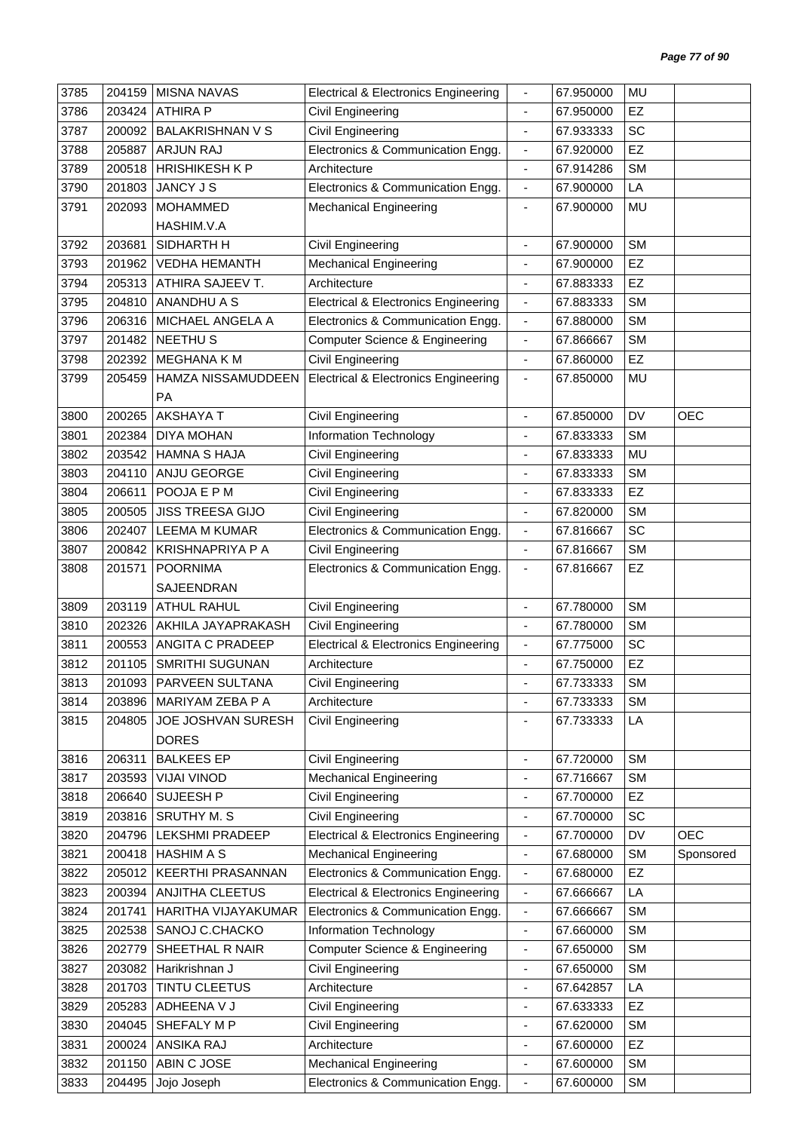| 3785 | 204159 | <b>MISNA NAVAS</b>        | <b>Electrical &amp; Electronics Engineering</b> |                              | 67.950000 | <b>MU</b> |            |
|------|--------|---------------------------|-------------------------------------------------|------------------------------|-----------|-----------|------------|
| 3786 | 203424 | <b>ATHIRA P</b>           | Civil Engineering                               | $\blacksquare$               | 67.950000 | <b>EZ</b> |            |
| 3787 | 200092 | <b>BALAKRISHNAN V S</b>   | <b>Civil Engineering</b>                        | $\overline{\phantom{a}}$     | 67.933333 | SC        |            |
| 3788 | 205887 | <b>ARJUN RAJ</b>          | Electronics & Communication Engg.               | $\blacksquare$               | 67.920000 | EZ        |            |
| 3789 | 200518 | <b>HRISHIKESH K P</b>     | Architecture                                    | $\blacksquare$               | 67.914286 | <b>SM</b> |            |
| 3790 | 201803 | JANCY J S                 | Electronics & Communication Engg.               | $\blacksquare$               | 67.900000 | LA        |            |
| 3791 | 202093 | <b>MOHAMMED</b>           | <b>Mechanical Engineering</b>                   | $\overline{\phantom{a}}$     | 67.900000 | <b>MU</b> |            |
|      |        | HASHIM.V.A                |                                                 |                              |           |           |            |
| 3792 | 203681 | SIDHARTH H                | Civil Engineering                               |                              | 67.900000 | <b>SM</b> |            |
| 3793 | 201962 | <b>VEDHA HEMANTH</b>      | <b>Mechanical Engineering</b>                   | $\overline{\phantom{a}}$     | 67.900000 | EZ        |            |
| 3794 | 205313 | ATHIRA SAJEEV T.          | Architecture                                    | $\blacksquare$               | 67.883333 | EZ        |            |
| 3795 | 204810 | ANANDHU A S               | <b>Electrical &amp; Electronics Engineering</b> | $\blacksquare$               | 67.883333 | <b>SM</b> |            |
| 3796 | 206316 | MICHAEL ANGELA A          | Electronics & Communication Engg.               | $\blacksquare$               | 67.880000 | <b>SM</b> |            |
| 3797 | 201482 | <b>NEETHUS</b>            | <b>Computer Science &amp; Engineering</b>       | $\blacksquare$               | 67.866667 | <b>SM</b> |            |
| 3798 | 202392 | <b>MEGHANA K M</b>        | Civil Engineering                               | ÷,                           | 67.860000 | EZ        |            |
| 3799 | 205459 | HAMZA NISSAMUDDEEN        | <b>Electrical &amp; Electronics Engineering</b> | $\blacksquare$               | 67.850000 | <b>MU</b> |            |
|      |        | PA                        |                                                 |                              |           |           |            |
| 3800 | 200265 | <b>AKSHAYA T</b>          | Civil Engineering                               | $\blacksquare$               | 67.850000 | DV        | <b>OEC</b> |
| 3801 | 202384 | <b>DIYA MOHAN</b>         | Information Technology                          | $\overline{\phantom{a}}$     | 67.833333 | <b>SM</b> |            |
| 3802 | 203542 | <b>HAMNA S HAJA</b>       | <b>Civil Engineering</b>                        | ÷,                           | 67.833333 | <b>MU</b> |            |
| 3803 | 204110 | ANJU GEORGE               | Civil Engineering                               | $\qquad \qquad \blacksquare$ | 67.833333 | <b>SM</b> |            |
| 3804 | 206611 | POOJA E P M               | <b>Civil Engineering</b>                        | $\blacksquare$               | 67.833333 | EZ        |            |
| 3805 | 200505 | <b>JISS TREESA GIJO</b>   | <b>Civil Engineering</b>                        | ä,                           | 67.820000 | <b>SM</b> |            |
| 3806 | 202407 | <b>LEEMA M KUMAR</b>      | Electronics & Communication Engg.               | $\overline{\phantom{a}}$     | 67.816667 | SC        |            |
| 3807 | 200842 | <b>KRISHNAPRIYA P A</b>   | <b>Civil Engineering</b>                        | $\overline{\phantom{a}}$     | 67.816667 | <b>SM</b> |            |
| 3808 | 201571 | <b>POORNIMA</b>           | Electronics & Communication Engg.               | $\blacksquare$               | 67.816667 | EZ        |            |
|      |        | SAJEENDRAN                |                                                 |                              |           |           |            |
| 3809 | 203119 | <b>ATHUL RAHUL</b>        | <b>Civil Engineering</b>                        | $\overline{\phantom{a}}$     | 67.780000 | <b>SM</b> |            |
| 3810 | 202326 | AKHILA JAYAPRAKASH        | <b>Civil Engineering</b>                        | $\overline{\phantom{a}}$     | 67.780000 | <b>SM</b> |            |
| 3811 | 200553 | <b>ANGITA C PRADEEP</b>   | <b>Electrical &amp; Electronics Engineering</b> | $\overline{\phantom{a}}$     | 67.775000 | SC        |            |
| 3812 | 201105 | <b>SMRITHI SUGUNAN</b>    | Architecture                                    | $\blacksquare$               | 67.750000 | EZ        |            |
| 3813 | 201093 | PARVEEN SULTANA           | Civil Engineering                               |                              | 67.733333 | <b>SM</b> |            |
| 3814 | 203896 | MARIYAM ZEBA P A          | Architecture                                    | $\blacksquare$               | 67.733333 | <b>SM</b> |            |
| 3815 | 204805 | <b>JOE JOSHVAN SURESH</b> | Civil Engineering                               |                              | 67.733333 | LA        |            |
|      |        | <b>DORES</b>              |                                                 |                              |           |           |            |
| 3816 | 206311 | <b>BALKEES EP</b>         | Civil Engineering                               | $\overline{\phantom{a}}$     | 67.720000 | <b>SM</b> |            |
| 3817 | 203593 | <b>VIJAI VINOD</b>        | <b>Mechanical Engineering</b>                   | ÷,                           | 67.716667 | <b>SM</b> |            |
| 3818 | 206640 | SUJEESH P                 | Civil Engineering                               | $\overline{\phantom{0}}$     | 67.700000 | <b>EZ</b> |            |
| 3819 | 203816 | SRUTHY M. S               | <b>Civil Engineering</b>                        | $\blacksquare$               | 67.700000 | SC        |            |
| 3820 | 204796 | LEKSHMI PRADEEP           | <b>Electrical &amp; Electronics Engineering</b> | $\overline{\phantom{a}}$     | 67.700000 | DV        | <b>OEC</b> |
| 3821 | 200418 | <b>HASHIM A S</b>         | <b>Mechanical Engineering</b>                   | $\blacksquare$               | 67.680000 | <b>SM</b> | Sponsored  |
| 3822 | 205012 | <b>KEERTHI PRASANNAN</b>  | Electronics & Communication Engg.               | $\overline{\phantom{a}}$     | 67.680000 | EZ        |            |
| 3823 | 200394 | <b>ANJITHA CLEETUS</b>    | <b>Electrical &amp; Electronics Engineering</b> | $\overline{\phantom{a}}$     | 67.666667 | LA        |            |
| 3824 | 201741 | HARITHA VIJAYAKUMAR       | Electronics & Communication Engg.               | $\blacksquare$               | 67.666667 | <b>SM</b> |            |
| 3825 | 202538 | SANOJ C.CHACKO            | Information Technology                          | $\overline{\phantom{a}}$     | 67.660000 | <b>SM</b> |            |
| 3826 | 202779 | SHEETHAL R NAIR           | Computer Science & Engineering                  | $\overline{\phantom{a}}$     | 67.650000 | <b>SM</b> |            |
| 3827 | 203082 | Harikrishnan J            | Civil Engineering                               | $\blacksquare$               | 67.650000 | <b>SM</b> |            |
| 3828 | 201703 | TINTU CLEETUS             | Architecture                                    | ÷                            | 67.642857 | LA        |            |
| 3829 | 205283 | ADHEENA V J               | Civil Engineering                               | $\overline{\phantom{a}}$     | 67.633333 | EZ        |            |
| 3830 | 204045 | SHEFALY M P               | Civil Engineering                               | $\blacksquare$               | 67.620000 | <b>SM</b> |            |
| 3831 | 200024 | ANSIKA RAJ                | Architecture                                    | $\qquad \qquad \blacksquare$ | 67.600000 | <b>EZ</b> |            |
| 3832 | 201150 | ABIN C JOSE               | <b>Mechanical Engineering</b>                   | $\overline{\phantom{a}}$     | 67.600000 | <b>SM</b> |            |
| 3833 | 204495 | Jojo Joseph               | Electronics & Communication Engg.               | $\blacksquare$               | 67.600000 | <b>SM</b> |            |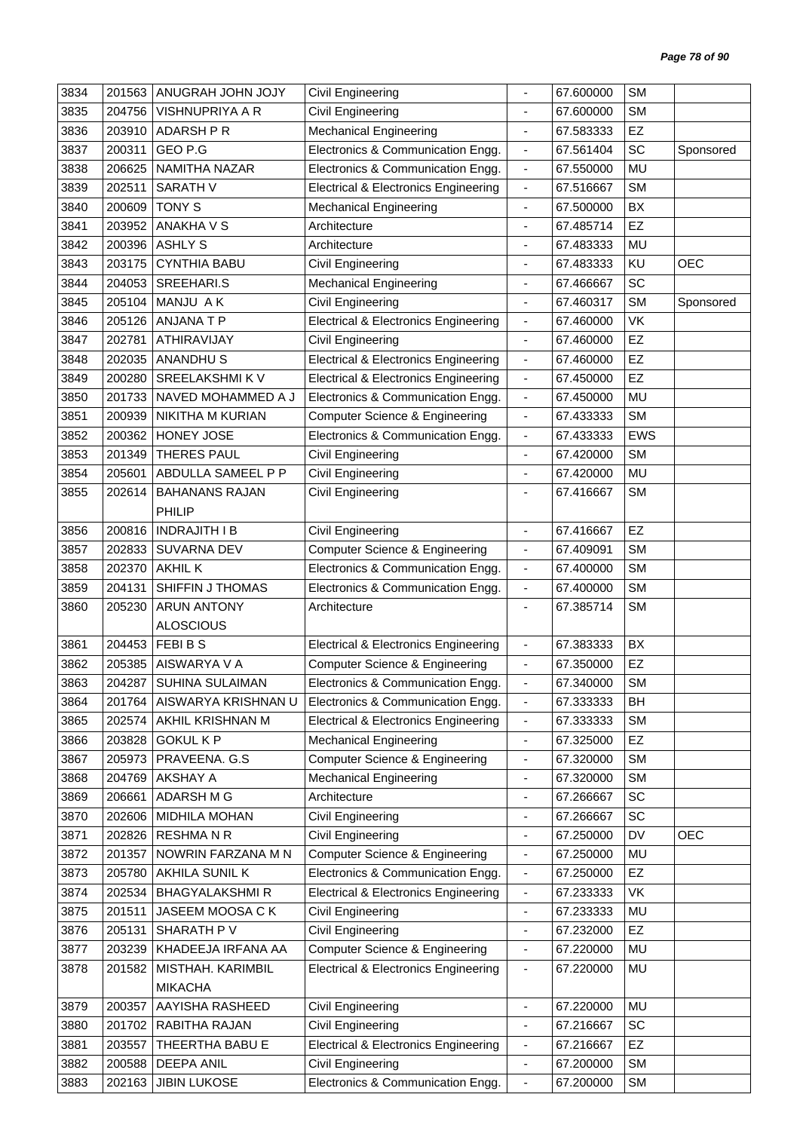| 3835<br><b>VISHNUPRIYA A R</b><br>Civil Engineering<br><b>SM</b><br>204756<br>67.600000<br>$\blacksquare$<br>EZ<br><b>Mechanical Engineering</b><br>3836<br>203910<br>ADARSH P R<br>67.583333<br>GEO P.G<br>SC<br>3837<br>200311<br>Electronics & Communication Engg.<br>67.561404<br>Sponsored<br>$\qquad \qquad \blacksquare$<br>Electronics & Communication Engg.<br>3838<br>206625<br>NAMITHA NAZAR<br>67.550000<br>MU<br>÷,<br><b>SM</b><br>3839<br>202511<br><b>SARATH V</b><br><b>Electrical &amp; Electronics Engineering</b><br>67.516667<br>$\overline{\phantom{a}}$<br>BX<br>3840<br>200609<br><b>TONY S</b><br><b>Mechanical Engineering</b><br>67.500000<br>$\overline{\phantom{a}}$<br>EZ<br>203952<br><b>ANAKHA V S</b><br>3841<br>Architecture<br>67.485714<br>$\overline{\phantom{a}}$<br><b>ASHLY S</b><br>MU<br>3842<br>200396<br>Architecture<br>67.483333<br>203175<br><b>CYNTHIA BABU</b><br><b>OEC</b><br>3843<br>Civil Engineering<br>67.483333<br>KU<br>$\overline{\phantom{a}}$<br>SC<br>3844<br>204053<br>SREEHARI.S<br><b>Mechanical Engineering</b><br>67.466667<br>$\overline{\phantom{a}}$<br>MANJU AK<br>Civil Engineering<br><b>SM</b><br>3845<br>205104<br>67.460317<br>Sponsored<br>205126<br>ANJANA T P<br><b>Electrical &amp; Electronics Engineering</b><br>VK<br>3846<br>67.460000<br>$\overline{\phantom{a}}$<br>EZ<br>202781<br>3847<br>ATHIRAVIJAY<br>Civil Engineering<br>67.460000<br>$\blacksquare$<br>EZ<br>3848<br>202035<br><b>ANANDHUS</b><br><b>Electrical &amp; Electronics Engineering</b><br>67.460000<br>$\overline{\phantom{a}}$<br>SREELAKSHMI K V<br>EZ<br>3849<br>200280<br><b>Electrical &amp; Electronics Engineering</b><br>67.450000<br>$\blacksquare$<br>Electronics & Communication Engg.<br><b>MU</b><br>3850<br>201733<br>NAVED MOHAMMED A J<br>67.450000<br>$\overline{\phantom{a}}$<br>Computer Science & Engineering<br><b>SM</b><br>3851<br>200939<br>NIKITHA M KURIAN<br>67.433333<br>$\overline{\phantom{a}}$<br>Electronics & Communication Engg.<br>EWS<br>3852<br>200362<br>HONEY JOSE<br>67.433333<br>$\overline{\phantom{a}}$<br><b>SM</b><br>3853<br>201349<br><b>THERES PAUL</b><br>Civil Engineering<br>67.420000<br>÷,<br>3854<br>205601<br>ABDULLA SAMEEL P P<br><b>Civil Engineering</b><br>MU<br>67.420000<br>$\overline{\phantom{a}}$<br><b>SM</b><br>3855<br>202614<br><b>BAHANANS RAJAN</b><br>Civil Engineering<br>67.416667<br><b>PHILIP</b><br>EZ<br>3856<br><b>INDRAJITH I B</b><br>Civil Engineering<br>200816<br>67.416667<br>$\blacksquare$<br><b>SM</b><br>SUVARNA DEV<br>3857<br>202833<br>Computer Science & Engineering<br>67.409091<br>$\blacksquare$<br>Electronics & Communication Engg.<br><b>SM</b><br>3858<br>202370<br><b>AKHIL K</b><br>67.400000<br>$\overline{\phantom{a}}$<br><b>SM</b><br>204131<br>SHIFFIN J THOMAS<br>Electronics & Communication Engg.<br>3859<br>67.400000<br>÷,<br><b>SM</b><br>3860<br><b>ARUN ANTONY</b><br>Architecture<br>205230<br>67.385714<br><b>ALOSCIOUS</b><br>FEBIBS<br>BX<br>3861<br>204453<br><b>Electrical &amp; Electronics Engineering</b><br>67.383333<br>$\blacksquare$<br>3862<br>AISWARYA V A<br>EZ<br>205385<br>Computer Science & Engineering<br>67.350000<br>$\blacksquare$<br>204287 SUHINA SULAIMAN<br>SM<br>3863<br>Electronics & Communication Engg.<br>67.340000<br>AISWARYA KRISHNAN U<br><b>BH</b><br>3864<br>201764<br>Electronics & Communication Engg.<br>67.333333<br>$\overline{\phantom{a}}$<br>3865<br>AKHIL KRISHNAN M<br><b>Electrical &amp; Electronics Engineering</b><br>67.333333<br><b>SM</b><br>202574<br>$\qquad \qquad \blacksquare$<br><b>GOKULKP</b><br>67.325000<br><b>EZ</b><br>3866<br>203828<br><b>Mechanical Engineering</b><br>$\overline{\phantom{a}}$<br>PRAVEENA. G.S<br>Computer Science & Engineering<br><b>SM</b><br>3867<br>205973<br>67.320000<br>$\overline{\phantom{a}}$<br>3868<br><b>AKSHAY A</b><br><b>Mechanical Engineering</b><br>67.320000<br><b>SM</b><br>204769<br>$\qquad \qquad \blacksquare$<br>ADARSH M G<br>SC<br>3869<br>206661<br>Architecture<br>67.266667<br>$\blacksquare$<br>MIDHILA MOHAN<br>SC<br>3870<br>202606<br>Civil Engineering<br>67.266667<br>OEC<br>3871<br>202826<br><b>RESHMANR</b><br>Civil Engineering<br>67.250000<br>DV<br>$\qquad \qquad \blacksquare$<br><b>Computer Science &amp; Engineering</b><br>MU<br>3872<br>201357<br>NOWRIN FARZANA M N<br>67.250000<br>$\blacksquare$<br>AKHILA SUNIL K<br>Electronics & Communication Engg.<br>EZ<br>3873<br>67.250000<br>205780<br>$\qquad \qquad \blacksquare$<br>VK<br>3874<br>202534<br><b>BHAGYALAKSHMIR</b><br><b>Electrical &amp; Electronics Engineering</b><br>67.233333<br>$\blacksquare$<br>3875<br>201511<br>JASEEM MOOSA CK<br>Civil Engineering<br>67.233333<br>MU<br>$\blacksquare$<br>3876<br>205131<br>SHARATH P V<br>Civil Engineering<br>67.232000<br>EZ<br>$\qquad \qquad \blacksquare$<br><b>Computer Science &amp; Engineering</b><br>3877<br>203239<br>KHADEEJA IRFANA AA<br>67.220000<br>MU<br>$\overline{\phantom{a}}$<br><b>Electrical &amp; Electronics Engineering</b><br>3878<br>201582<br>MISTHAH. KARIMBIL<br>67.220000<br>MU<br>$\overline{\phantom{a}}$<br><b>MIKACHA</b><br>AAYISHA RASHEED<br>MU<br>3879<br>200357<br>Civil Engineering<br>67.220000<br>$\blacksquare$<br>SC<br>RABITHA RAJAN<br>3880<br>201702<br>Civil Engineering<br>67.216667<br>٠<br>3881<br>203557<br>THEERTHA BABU E<br><b>Electrical &amp; Electronics Engineering</b><br>67.216667<br>EZ<br>$\qquad \qquad \blacksquare$<br><b>DEEPA ANIL</b><br><b>SM</b><br>3882<br>200588<br>Civil Engineering<br>67.200000<br>$\blacksquare$<br><b>JIBIN LUKOSE</b><br>Electronics & Communication Engg.<br>SM<br>3883<br>202163<br>67.200000<br>$\qquad \qquad \blacksquare$ | 3834 | 201563 | ANUGRAH JOHN JOJY | Civil Engineering | 67.600000 | <b>SM</b> |  |
|---------------------------------------------------------------------------------------------------------------------------------------------------------------------------------------------------------------------------------------------------------------------------------------------------------------------------------------------------------------------------------------------------------------------------------------------------------------------------------------------------------------------------------------------------------------------------------------------------------------------------------------------------------------------------------------------------------------------------------------------------------------------------------------------------------------------------------------------------------------------------------------------------------------------------------------------------------------------------------------------------------------------------------------------------------------------------------------------------------------------------------------------------------------------------------------------------------------------------------------------------------------------------------------------------------------------------------------------------------------------------------------------------------------------------------------------------------------------------------------------------------------------------------------------------------------------------------------------------------------------------------------------------------------------------------------------------------------------------------------------------------------------------------------------------------------------------------------------------------------------------------------------------------------------------------------------------------------------------------------------------------------------------------------------------------------------------------------------------------------------------------------------------------------------------------------------------------------------------------------------------------------------------------------------------------------------------------------------------------------------------------------------------------------------------------------------------------------------------------------------------------------------------------------------------------------------------------------------------------------------------------------------------------------------------------------------------------------------------------------------------------------------------------------------------------------------------------------------------------------------------------------------------------------------------------------------------------------------------------------------------------------------------------------------------------------------------------------------------------------------------------------------------------------------------------------------------------------------------------------------------------------------------------------------------------------------------------------------------------------------------------------------------------------------------------------------------------------------------------------------------------------------------------------------------------------------------------------------------------------------------------------------------------------------------------------------------------------------------------------------------------------------------------------------------------------------------------------------------------------------------------------------------------------------------------------------------------------------------------------------------------------------------------------------------------------------------------------------------------------------------------------------------------------------------------------------------------------------------------------------------------------------------------------------------------------------------------------------------------------------------------------------------------------------------------------------------------------------------------------------------------------------------------------------------------------------------------------------------------------------------------------------------------------------------------------------------------------------------------------------------------------------------------------------------------------------------------------------------------------------------------------------------------------------------------------------------------------------------------------------------------------------------------------------------------------------------------------------------------------------------------------------------------------------------------------------------------------------------------------------------------------------------------------------------------------------------------------------------------------------------------------------------------------------------------------------------------------------------------------------------------------------------------------------------------------------------------------------------------------------------------------------------------------------------------------------------------------------------------------------------------------------|------|--------|-------------------|-------------------|-----------|-----------|--|
|                                                                                                                                                                                                                                                                                                                                                                                                                                                                                                                                                                                                                                                                                                                                                                                                                                                                                                                                                                                                                                                                                                                                                                                                                                                                                                                                                                                                                                                                                                                                                                                                                                                                                                                                                                                                                                                                                                                                                                                                                                                                                                                                                                                                                                                                                                                                                                                                                                                                                                                                                                                                                                                                                                                                                                                                                                                                                                                                                                                                                                                                                                                                                                                                                                                                                                                                                                                                                                                                                                                                                                                                                                                                                                                                                                                                                                                                                                                                                                                                                                                                                                                                                                                                                                                                                                                                                                                                                                                                                                                                                                                                                                                                                                                                                                                                                                                                                                                                                                                                                                                                                                                                                                                                                                                                                                                                                                                                                                                                                                                                                                                                                                                                                                                                                                     |      |        |                   |                   |           |           |  |
|                                                                                                                                                                                                                                                                                                                                                                                                                                                                                                                                                                                                                                                                                                                                                                                                                                                                                                                                                                                                                                                                                                                                                                                                                                                                                                                                                                                                                                                                                                                                                                                                                                                                                                                                                                                                                                                                                                                                                                                                                                                                                                                                                                                                                                                                                                                                                                                                                                                                                                                                                                                                                                                                                                                                                                                                                                                                                                                                                                                                                                                                                                                                                                                                                                                                                                                                                                                                                                                                                                                                                                                                                                                                                                                                                                                                                                                                                                                                                                                                                                                                                                                                                                                                                                                                                                                                                                                                                                                                                                                                                                                                                                                                                                                                                                                                                                                                                                                                                                                                                                                                                                                                                                                                                                                                                                                                                                                                                                                                                                                                                                                                                                                                                                                                                                     |      |        |                   |                   |           |           |  |
|                                                                                                                                                                                                                                                                                                                                                                                                                                                                                                                                                                                                                                                                                                                                                                                                                                                                                                                                                                                                                                                                                                                                                                                                                                                                                                                                                                                                                                                                                                                                                                                                                                                                                                                                                                                                                                                                                                                                                                                                                                                                                                                                                                                                                                                                                                                                                                                                                                                                                                                                                                                                                                                                                                                                                                                                                                                                                                                                                                                                                                                                                                                                                                                                                                                                                                                                                                                                                                                                                                                                                                                                                                                                                                                                                                                                                                                                                                                                                                                                                                                                                                                                                                                                                                                                                                                                                                                                                                                                                                                                                                                                                                                                                                                                                                                                                                                                                                                                                                                                                                                                                                                                                                                                                                                                                                                                                                                                                                                                                                                                                                                                                                                                                                                                                                     |      |        |                   |                   |           |           |  |
|                                                                                                                                                                                                                                                                                                                                                                                                                                                                                                                                                                                                                                                                                                                                                                                                                                                                                                                                                                                                                                                                                                                                                                                                                                                                                                                                                                                                                                                                                                                                                                                                                                                                                                                                                                                                                                                                                                                                                                                                                                                                                                                                                                                                                                                                                                                                                                                                                                                                                                                                                                                                                                                                                                                                                                                                                                                                                                                                                                                                                                                                                                                                                                                                                                                                                                                                                                                                                                                                                                                                                                                                                                                                                                                                                                                                                                                                                                                                                                                                                                                                                                                                                                                                                                                                                                                                                                                                                                                                                                                                                                                                                                                                                                                                                                                                                                                                                                                                                                                                                                                                                                                                                                                                                                                                                                                                                                                                                                                                                                                                                                                                                                                                                                                                                                     |      |        |                   |                   |           |           |  |
|                                                                                                                                                                                                                                                                                                                                                                                                                                                                                                                                                                                                                                                                                                                                                                                                                                                                                                                                                                                                                                                                                                                                                                                                                                                                                                                                                                                                                                                                                                                                                                                                                                                                                                                                                                                                                                                                                                                                                                                                                                                                                                                                                                                                                                                                                                                                                                                                                                                                                                                                                                                                                                                                                                                                                                                                                                                                                                                                                                                                                                                                                                                                                                                                                                                                                                                                                                                                                                                                                                                                                                                                                                                                                                                                                                                                                                                                                                                                                                                                                                                                                                                                                                                                                                                                                                                                                                                                                                                                                                                                                                                                                                                                                                                                                                                                                                                                                                                                                                                                                                                                                                                                                                                                                                                                                                                                                                                                                                                                                                                                                                                                                                                                                                                                                                     |      |        |                   |                   |           |           |  |
|                                                                                                                                                                                                                                                                                                                                                                                                                                                                                                                                                                                                                                                                                                                                                                                                                                                                                                                                                                                                                                                                                                                                                                                                                                                                                                                                                                                                                                                                                                                                                                                                                                                                                                                                                                                                                                                                                                                                                                                                                                                                                                                                                                                                                                                                                                                                                                                                                                                                                                                                                                                                                                                                                                                                                                                                                                                                                                                                                                                                                                                                                                                                                                                                                                                                                                                                                                                                                                                                                                                                                                                                                                                                                                                                                                                                                                                                                                                                                                                                                                                                                                                                                                                                                                                                                                                                                                                                                                                                                                                                                                                                                                                                                                                                                                                                                                                                                                                                                                                                                                                                                                                                                                                                                                                                                                                                                                                                                                                                                                                                                                                                                                                                                                                                                                     |      |        |                   |                   |           |           |  |
|                                                                                                                                                                                                                                                                                                                                                                                                                                                                                                                                                                                                                                                                                                                                                                                                                                                                                                                                                                                                                                                                                                                                                                                                                                                                                                                                                                                                                                                                                                                                                                                                                                                                                                                                                                                                                                                                                                                                                                                                                                                                                                                                                                                                                                                                                                                                                                                                                                                                                                                                                                                                                                                                                                                                                                                                                                                                                                                                                                                                                                                                                                                                                                                                                                                                                                                                                                                                                                                                                                                                                                                                                                                                                                                                                                                                                                                                                                                                                                                                                                                                                                                                                                                                                                                                                                                                                                                                                                                                                                                                                                                                                                                                                                                                                                                                                                                                                                                                                                                                                                                                                                                                                                                                                                                                                                                                                                                                                                                                                                                                                                                                                                                                                                                                                                     |      |        |                   |                   |           |           |  |
|                                                                                                                                                                                                                                                                                                                                                                                                                                                                                                                                                                                                                                                                                                                                                                                                                                                                                                                                                                                                                                                                                                                                                                                                                                                                                                                                                                                                                                                                                                                                                                                                                                                                                                                                                                                                                                                                                                                                                                                                                                                                                                                                                                                                                                                                                                                                                                                                                                                                                                                                                                                                                                                                                                                                                                                                                                                                                                                                                                                                                                                                                                                                                                                                                                                                                                                                                                                                                                                                                                                                                                                                                                                                                                                                                                                                                                                                                                                                                                                                                                                                                                                                                                                                                                                                                                                                                                                                                                                                                                                                                                                                                                                                                                                                                                                                                                                                                                                                                                                                                                                                                                                                                                                                                                                                                                                                                                                                                                                                                                                                                                                                                                                                                                                                                                     |      |        |                   |                   |           |           |  |
|                                                                                                                                                                                                                                                                                                                                                                                                                                                                                                                                                                                                                                                                                                                                                                                                                                                                                                                                                                                                                                                                                                                                                                                                                                                                                                                                                                                                                                                                                                                                                                                                                                                                                                                                                                                                                                                                                                                                                                                                                                                                                                                                                                                                                                                                                                                                                                                                                                                                                                                                                                                                                                                                                                                                                                                                                                                                                                                                                                                                                                                                                                                                                                                                                                                                                                                                                                                                                                                                                                                                                                                                                                                                                                                                                                                                                                                                                                                                                                                                                                                                                                                                                                                                                                                                                                                                                                                                                                                                                                                                                                                                                                                                                                                                                                                                                                                                                                                                                                                                                                                                                                                                                                                                                                                                                                                                                                                                                                                                                                                                                                                                                                                                                                                                                                     |      |        |                   |                   |           |           |  |
|                                                                                                                                                                                                                                                                                                                                                                                                                                                                                                                                                                                                                                                                                                                                                                                                                                                                                                                                                                                                                                                                                                                                                                                                                                                                                                                                                                                                                                                                                                                                                                                                                                                                                                                                                                                                                                                                                                                                                                                                                                                                                                                                                                                                                                                                                                                                                                                                                                                                                                                                                                                                                                                                                                                                                                                                                                                                                                                                                                                                                                                                                                                                                                                                                                                                                                                                                                                                                                                                                                                                                                                                                                                                                                                                                                                                                                                                                                                                                                                                                                                                                                                                                                                                                                                                                                                                                                                                                                                                                                                                                                                                                                                                                                                                                                                                                                                                                                                                                                                                                                                                                                                                                                                                                                                                                                                                                                                                                                                                                                                                                                                                                                                                                                                                                                     |      |        |                   |                   |           |           |  |
|                                                                                                                                                                                                                                                                                                                                                                                                                                                                                                                                                                                                                                                                                                                                                                                                                                                                                                                                                                                                                                                                                                                                                                                                                                                                                                                                                                                                                                                                                                                                                                                                                                                                                                                                                                                                                                                                                                                                                                                                                                                                                                                                                                                                                                                                                                                                                                                                                                                                                                                                                                                                                                                                                                                                                                                                                                                                                                                                                                                                                                                                                                                                                                                                                                                                                                                                                                                                                                                                                                                                                                                                                                                                                                                                                                                                                                                                                                                                                                                                                                                                                                                                                                                                                                                                                                                                                                                                                                                                                                                                                                                                                                                                                                                                                                                                                                                                                                                                                                                                                                                                                                                                                                                                                                                                                                                                                                                                                                                                                                                                                                                                                                                                                                                                                                     |      |        |                   |                   |           |           |  |
|                                                                                                                                                                                                                                                                                                                                                                                                                                                                                                                                                                                                                                                                                                                                                                                                                                                                                                                                                                                                                                                                                                                                                                                                                                                                                                                                                                                                                                                                                                                                                                                                                                                                                                                                                                                                                                                                                                                                                                                                                                                                                                                                                                                                                                                                                                                                                                                                                                                                                                                                                                                                                                                                                                                                                                                                                                                                                                                                                                                                                                                                                                                                                                                                                                                                                                                                                                                                                                                                                                                                                                                                                                                                                                                                                                                                                                                                                                                                                                                                                                                                                                                                                                                                                                                                                                                                                                                                                                                                                                                                                                                                                                                                                                                                                                                                                                                                                                                                                                                                                                                                                                                                                                                                                                                                                                                                                                                                                                                                                                                                                                                                                                                                                                                                                                     |      |        |                   |                   |           |           |  |
|                                                                                                                                                                                                                                                                                                                                                                                                                                                                                                                                                                                                                                                                                                                                                                                                                                                                                                                                                                                                                                                                                                                                                                                                                                                                                                                                                                                                                                                                                                                                                                                                                                                                                                                                                                                                                                                                                                                                                                                                                                                                                                                                                                                                                                                                                                                                                                                                                                                                                                                                                                                                                                                                                                                                                                                                                                                                                                                                                                                                                                                                                                                                                                                                                                                                                                                                                                                                                                                                                                                                                                                                                                                                                                                                                                                                                                                                                                                                                                                                                                                                                                                                                                                                                                                                                                                                                                                                                                                                                                                                                                                                                                                                                                                                                                                                                                                                                                                                                                                                                                                                                                                                                                                                                                                                                                                                                                                                                                                                                                                                                                                                                                                                                                                                                                     |      |        |                   |                   |           |           |  |
|                                                                                                                                                                                                                                                                                                                                                                                                                                                                                                                                                                                                                                                                                                                                                                                                                                                                                                                                                                                                                                                                                                                                                                                                                                                                                                                                                                                                                                                                                                                                                                                                                                                                                                                                                                                                                                                                                                                                                                                                                                                                                                                                                                                                                                                                                                                                                                                                                                                                                                                                                                                                                                                                                                                                                                                                                                                                                                                                                                                                                                                                                                                                                                                                                                                                                                                                                                                                                                                                                                                                                                                                                                                                                                                                                                                                                                                                                                                                                                                                                                                                                                                                                                                                                                                                                                                                                                                                                                                                                                                                                                                                                                                                                                                                                                                                                                                                                                                                                                                                                                                                                                                                                                                                                                                                                                                                                                                                                                                                                                                                                                                                                                                                                                                                                                     |      |        |                   |                   |           |           |  |
|                                                                                                                                                                                                                                                                                                                                                                                                                                                                                                                                                                                                                                                                                                                                                                                                                                                                                                                                                                                                                                                                                                                                                                                                                                                                                                                                                                                                                                                                                                                                                                                                                                                                                                                                                                                                                                                                                                                                                                                                                                                                                                                                                                                                                                                                                                                                                                                                                                                                                                                                                                                                                                                                                                                                                                                                                                                                                                                                                                                                                                                                                                                                                                                                                                                                                                                                                                                                                                                                                                                                                                                                                                                                                                                                                                                                                                                                                                                                                                                                                                                                                                                                                                                                                                                                                                                                                                                                                                                                                                                                                                                                                                                                                                                                                                                                                                                                                                                                                                                                                                                                                                                                                                                                                                                                                                                                                                                                                                                                                                                                                                                                                                                                                                                                                                     |      |        |                   |                   |           |           |  |
|                                                                                                                                                                                                                                                                                                                                                                                                                                                                                                                                                                                                                                                                                                                                                                                                                                                                                                                                                                                                                                                                                                                                                                                                                                                                                                                                                                                                                                                                                                                                                                                                                                                                                                                                                                                                                                                                                                                                                                                                                                                                                                                                                                                                                                                                                                                                                                                                                                                                                                                                                                                                                                                                                                                                                                                                                                                                                                                                                                                                                                                                                                                                                                                                                                                                                                                                                                                                                                                                                                                                                                                                                                                                                                                                                                                                                                                                                                                                                                                                                                                                                                                                                                                                                                                                                                                                                                                                                                                                                                                                                                                                                                                                                                                                                                                                                                                                                                                                                                                                                                                                                                                                                                                                                                                                                                                                                                                                                                                                                                                                                                                                                                                                                                                                                                     |      |        |                   |                   |           |           |  |
|                                                                                                                                                                                                                                                                                                                                                                                                                                                                                                                                                                                                                                                                                                                                                                                                                                                                                                                                                                                                                                                                                                                                                                                                                                                                                                                                                                                                                                                                                                                                                                                                                                                                                                                                                                                                                                                                                                                                                                                                                                                                                                                                                                                                                                                                                                                                                                                                                                                                                                                                                                                                                                                                                                                                                                                                                                                                                                                                                                                                                                                                                                                                                                                                                                                                                                                                                                                                                                                                                                                                                                                                                                                                                                                                                                                                                                                                                                                                                                                                                                                                                                                                                                                                                                                                                                                                                                                                                                                                                                                                                                                                                                                                                                                                                                                                                                                                                                                                                                                                                                                                                                                                                                                                                                                                                                                                                                                                                                                                                                                                                                                                                                                                                                                                                                     |      |        |                   |                   |           |           |  |
|                                                                                                                                                                                                                                                                                                                                                                                                                                                                                                                                                                                                                                                                                                                                                                                                                                                                                                                                                                                                                                                                                                                                                                                                                                                                                                                                                                                                                                                                                                                                                                                                                                                                                                                                                                                                                                                                                                                                                                                                                                                                                                                                                                                                                                                                                                                                                                                                                                                                                                                                                                                                                                                                                                                                                                                                                                                                                                                                                                                                                                                                                                                                                                                                                                                                                                                                                                                                                                                                                                                                                                                                                                                                                                                                                                                                                                                                                                                                                                                                                                                                                                                                                                                                                                                                                                                                                                                                                                                                                                                                                                                                                                                                                                                                                                                                                                                                                                                                                                                                                                                                                                                                                                                                                                                                                                                                                                                                                                                                                                                                                                                                                                                                                                                                                                     |      |        |                   |                   |           |           |  |
|                                                                                                                                                                                                                                                                                                                                                                                                                                                                                                                                                                                                                                                                                                                                                                                                                                                                                                                                                                                                                                                                                                                                                                                                                                                                                                                                                                                                                                                                                                                                                                                                                                                                                                                                                                                                                                                                                                                                                                                                                                                                                                                                                                                                                                                                                                                                                                                                                                                                                                                                                                                                                                                                                                                                                                                                                                                                                                                                                                                                                                                                                                                                                                                                                                                                                                                                                                                                                                                                                                                                                                                                                                                                                                                                                                                                                                                                                                                                                                                                                                                                                                                                                                                                                                                                                                                                                                                                                                                                                                                                                                                                                                                                                                                                                                                                                                                                                                                                                                                                                                                                                                                                                                                                                                                                                                                                                                                                                                                                                                                                                                                                                                                                                                                                                                     |      |        |                   |                   |           |           |  |
|                                                                                                                                                                                                                                                                                                                                                                                                                                                                                                                                                                                                                                                                                                                                                                                                                                                                                                                                                                                                                                                                                                                                                                                                                                                                                                                                                                                                                                                                                                                                                                                                                                                                                                                                                                                                                                                                                                                                                                                                                                                                                                                                                                                                                                                                                                                                                                                                                                                                                                                                                                                                                                                                                                                                                                                                                                                                                                                                                                                                                                                                                                                                                                                                                                                                                                                                                                                                                                                                                                                                                                                                                                                                                                                                                                                                                                                                                                                                                                                                                                                                                                                                                                                                                                                                                                                                                                                                                                                                                                                                                                                                                                                                                                                                                                                                                                                                                                                                                                                                                                                                                                                                                                                                                                                                                                                                                                                                                                                                                                                                                                                                                                                                                                                                                                     |      |        |                   |                   |           |           |  |
|                                                                                                                                                                                                                                                                                                                                                                                                                                                                                                                                                                                                                                                                                                                                                                                                                                                                                                                                                                                                                                                                                                                                                                                                                                                                                                                                                                                                                                                                                                                                                                                                                                                                                                                                                                                                                                                                                                                                                                                                                                                                                                                                                                                                                                                                                                                                                                                                                                                                                                                                                                                                                                                                                                                                                                                                                                                                                                                                                                                                                                                                                                                                                                                                                                                                                                                                                                                                                                                                                                                                                                                                                                                                                                                                                                                                                                                                                                                                                                                                                                                                                                                                                                                                                                                                                                                                                                                                                                                                                                                                                                                                                                                                                                                                                                                                                                                                                                                                                                                                                                                                                                                                                                                                                                                                                                                                                                                                                                                                                                                                                                                                                                                                                                                                                                     |      |        |                   |                   |           |           |  |
|                                                                                                                                                                                                                                                                                                                                                                                                                                                                                                                                                                                                                                                                                                                                                                                                                                                                                                                                                                                                                                                                                                                                                                                                                                                                                                                                                                                                                                                                                                                                                                                                                                                                                                                                                                                                                                                                                                                                                                                                                                                                                                                                                                                                                                                                                                                                                                                                                                                                                                                                                                                                                                                                                                                                                                                                                                                                                                                                                                                                                                                                                                                                                                                                                                                                                                                                                                                                                                                                                                                                                                                                                                                                                                                                                                                                                                                                                                                                                                                                                                                                                                                                                                                                                                                                                                                                                                                                                                                                                                                                                                                                                                                                                                                                                                                                                                                                                                                                                                                                                                                                                                                                                                                                                                                                                                                                                                                                                                                                                                                                                                                                                                                                                                                                                                     |      |        |                   |                   |           |           |  |
|                                                                                                                                                                                                                                                                                                                                                                                                                                                                                                                                                                                                                                                                                                                                                                                                                                                                                                                                                                                                                                                                                                                                                                                                                                                                                                                                                                                                                                                                                                                                                                                                                                                                                                                                                                                                                                                                                                                                                                                                                                                                                                                                                                                                                                                                                                                                                                                                                                                                                                                                                                                                                                                                                                                                                                                                                                                                                                                                                                                                                                                                                                                                                                                                                                                                                                                                                                                                                                                                                                                                                                                                                                                                                                                                                                                                                                                                                                                                                                                                                                                                                                                                                                                                                                                                                                                                                                                                                                                                                                                                                                                                                                                                                                                                                                                                                                                                                                                                                                                                                                                                                                                                                                                                                                                                                                                                                                                                                                                                                                                                                                                                                                                                                                                                                                     |      |        |                   |                   |           |           |  |
|                                                                                                                                                                                                                                                                                                                                                                                                                                                                                                                                                                                                                                                                                                                                                                                                                                                                                                                                                                                                                                                                                                                                                                                                                                                                                                                                                                                                                                                                                                                                                                                                                                                                                                                                                                                                                                                                                                                                                                                                                                                                                                                                                                                                                                                                                                                                                                                                                                                                                                                                                                                                                                                                                                                                                                                                                                                                                                                                                                                                                                                                                                                                                                                                                                                                                                                                                                                                                                                                                                                                                                                                                                                                                                                                                                                                                                                                                                                                                                                                                                                                                                                                                                                                                                                                                                                                                                                                                                                                                                                                                                                                                                                                                                                                                                                                                                                                                                                                                                                                                                                                                                                                                                                                                                                                                                                                                                                                                                                                                                                                                                                                                                                                                                                                                                     |      |        |                   |                   |           |           |  |
|                                                                                                                                                                                                                                                                                                                                                                                                                                                                                                                                                                                                                                                                                                                                                                                                                                                                                                                                                                                                                                                                                                                                                                                                                                                                                                                                                                                                                                                                                                                                                                                                                                                                                                                                                                                                                                                                                                                                                                                                                                                                                                                                                                                                                                                                                                                                                                                                                                                                                                                                                                                                                                                                                                                                                                                                                                                                                                                                                                                                                                                                                                                                                                                                                                                                                                                                                                                                                                                                                                                                                                                                                                                                                                                                                                                                                                                                                                                                                                                                                                                                                                                                                                                                                                                                                                                                                                                                                                                                                                                                                                                                                                                                                                                                                                                                                                                                                                                                                                                                                                                                                                                                                                                                                                                                                                                                                                                                                                                                                                                                                                                                                                                                                                                                                                     |      |        |                   |                   |           |           |  |
|                                                                                                                                                                                                                                                                                                                                                                                                                                                                                                                                                                                                                                                                                                                                                                                                                                                                                                                                                                                                                                                                                                                                                                                                                                                                                                                                                                                                                                                                                                                                                                                                                                                                                                                                                                                                                                                                                                                                                                                                                                                                                                                                                                                                                                                                                                                                                                                                                                                                                                                                                                                                                                                                                                                                                                                                                                                                                                                                                                                                                                                                                                                                                                                                                                                                                                                                                                                                                                                                                                                                                                                                                                                                                                                                                                                                                                                                                                                                                                                                                                                                                                                                                                                                                                                                                                                                                                                                                                                                                                                                                                                                                                                                                                                                                                                                                                                                                                                                                                                                                                                                                                                                                                                                                                                                                                                                                                                                                                                                                                                                                                                                                                                                                                                                                                     |      |        |                   |                   |           |           |  |
|                                                                                                                                                                                                                                                                                                                                                                                                                                                                                                                                                                                                                                                                                                                                                                                                                                                                                                                                                                                                                                                                                                                                                                                                                                                                                                                                                                                                                                                                                                                                                                                                                                                                                                                                                                                                                                                                                                                                                                                                                                                                                                                                                                                                                                                                                                                                                                                                                                                                                                                                                                                                                                                                                                                                                                                                                                                                                                                                                                                                                                                                                                                                                                                                                                                                                                                                                                                                                                                                                                                                                                                                                                                                                                                                                                                                                                                                                                                                                                                                                                                                                                                                                                                                                                                                                                                                                                                                                                                                                                                                                                                                                                                                                                                                                                                                                                                                                                                                                                                                                                                                                                                                                                                                                                                                                                                                                                                                                                                                                                                                                                                                                                                                                                                                                                     |      |        |                   |                   |           |           |  |
|                                                                                                                                                                                                                                                                                                                                                                                                                                                                                                                                                                                                                                                                                                                                                                                                                                                                                                                                                                                                                                                                                                                                                                                                                                                                                                                                                                                                                                                                                                                                                                                                                                                                                                                                                                                                                                                                                                                                                                                                                                                                                                                                                                                                                                                                                                                                                                                                                                                                                                                                                                                                                                                                                                                                                                                                                                                                                                                                                                                                                                                                                                                                                                                                                                                                                                                                                                                                                                                                                                                                                                                                                                                                                                                                                                                                                                                                                                                                                                                                                                                                                                                                                                                                                                                                                                                                                                                                                                                                                                                                                                                                                                                                                                                                                                                                                                                                                                                                                                                                                                                                                                                                                                                                                                                                                                                                                                                                                                                                                                                                                                                                                                                                                                                                                                     |      |        |                   |                   |           |           |  |
|                                                                                                                                                                                                                                                                                                                                                                                                                                                                                                                                                                                                                                                                                                                                                                                                                                                                                                                                                                                                                                                                                                                                                                                                                                                                                                                                                                                                                                                                                                                                                                                                                                                                                                                                                                                                                                                                                                                                                                                                                                                                                                                                                                                                                                                                                                                                                                                                                                                                                                                                                                                                                                                                                                                                                                                                                                                                                                                                                                                                                                                                                                                                                                                                                                                                                                                                                                                                                                                                                                                                                                                                                                                                                                                                                                                                                                                                                                                                                                                                                                                                                                                                                                                                                                                                                                                                                                                                                                                                                                                                                                                                                                                                                                                                                                                                                                                                                                                                                                                                                                                                                                                                                                                                                                                                                                                                                                                                                                                                                                                                                                                                                                                                                                                                                                     |      |        |                   |                   |           |           |  |
|                                                                                                                                                                                                                                                                                                                                                                                                                                                                                                                                                                                                                                                                                                                                                                                                                                                                                                                                                                                                                                                                                                                                                                                                                                                                                                                                                                                                                                                                                                                                                                                                                                                                                                                                                                                                                                                                                                                                                                                                                                                                                                                                                                                                                                                                                                                                                                                                                                                                                                                                                                                                                                                                                                                                                                                                                                                                                                                                                                                                                                                                                                                                                                                                                                                                                                                                                                                                                                                                                                                                                                                                                                                                                                                                                                                                                                                                                                                                                                                                                                                                                                                                                                                                                                                                                                                                                                                                                                                                                                                                                                                                                                                                                                                                                                                                                                                                                                                                                                                                                                                                                                                                                                                                                                                                                                                                                                                                                                                                                                                                                                                                                                                                                                                                                                     |      |        |                   |                   |           |           |  |
|                                                                                                                                                                                                                                                                                                                                                                                                                                                                                                                                                                                                                                                                                                                                                                                                                                                                                                                                                                                                                                                                                                                                                                                                                                                                                                                                                                                                                                                                                                                                                                                                                                                                                                                                                                                                                                                                                                                                                                                                                                                                                                                                                                                                                                                                                                                                                                                                                                                                                                                                                                                                                                                                                                                                                                                                                                                                                                                                                                                                                                                                                                                                                                                                                                                                                                                                                                                                                                                                                                                                                                                                                                                                                                                                                                                                                                                                                                                                                                                                                                                                                                                                                                                                                                                                                                                                                                                                                                                                                                                                                                                                                                                                                                                                                                                                                                                                                                                                                                                                                                                                                                                                                                                                                                                                                                                                                                                                                                                                                                                                                                                                                                                                                                                                                                     |      |        |                   |                   |           |           |  |
|                                                                                                                                                                                                                                                                                                                                                                                                                                                                                                                                                                                                                                                                                                                                                                                                                                                                                                                                                                                                                                                                                                                                                                                                                                                                                                                                                                                                                                                                                                                                                                                                                                                                                                                                                                                                                                                                                                                                                                                                                                                                                                                                                                                                                                                                                                                                                                                                                                                                                                                                                                                                                                                                                                                                                                                                                                                                                                                                                                                                                                                                                                                                                                                                                                                                                                                                                                                                                                                                                                                                                                                                                                                                                                                                                                                                                                                                                                                                                                                                                                                                                                                                                                                                                                                                                                                                                                                                                                                                                                                                                                                                                                                                                                                                                                                                                                                                                                                                                                                                                                                                                                                                                                                                                                                                                                                                                                                                                                                                                                                                                                                                                                                                                                                                                                     |      |        |                   |                   |           |           |  |
|                                                                                                                                                                                                                                                                                                                                                                                                                                                                                                                                                                                                                                                                                                                                                                                                                                                                                                                                                                                                                                                                                                                                                                                                                                                                                                                                                                                                                                                                                                                                                                                                                                                                                                                                                                                                                                                                                                                                                                                                                                                                                                                                                                                                                                                                                                                                                                                                                                                                                                                                                                                                                                                                                                                                                                                                                                                                                                                                                                                                                                                                                                                                                                                                                                                                                                                                                                                                                                                                                                                                                                                                                                                                                                                                                                                                                                                                                                                                                                                                                                                                                                                                                                                                                                                                                                                                                                                                                                                                                                                                                                                                                                                                                                                                                                                                                                                                                                                                                                                                                                                                                                                                                                                                                                                                                                                                                                                                                                                                                                                                                                                                                                                                                                                                                                     |      |        |                   |                   |           |           |  |
|                                                                                                                                                                                                                                                                                                                                                                                                                                                                                                                                                                                                                                                                                                                                                                                                                                                                                                                                                                                                                                                                                                                                                                                                                                                                                                                                                                                                                                                                                                                                                                                                                                                                                                                                                                                                                                                                                                                                                                                                                                                                                                                                                                                                                                                                                                                                                                                                                                                                                                                                                                                                                                                                                                                                                                                                                                                                                                                                                                                                                                                                                                                                                                                                                                                                                                                                                                                                                                                                                                                                                                                                                                                                                                                                                                                                                                                                                                                                                                                                                                                                                                                                                                                                                                                                                                                                                                                                                                                                                                                                                                                                                                                                                                                                                                                                                                                                                                                                                                                                                                                                                                                                                                                                                                                                                                                                                                                                                                                                                                                                                                                                                                                                                                                                                                     |      |        |                   |                   |           |           |  |
|                                                                                                                                                                                                                                                                                                                                                                                                                                                                                                                                                                                                                                                                                                                                                                                                                                                                                                                                                                                                                                                                                                                                                                                                                                                                                                                                                                                                                                                                                                                                                                                                                                                                                                                                                                                                                                                                                                                                                                                                                                                                                                                                                                                                                                                                                                                                                                                                                                                                                                                                                                                                                                                                                                                                                                                                                                                                                                                                                                                                                                                                                                                                                                                                                                                                                                                                                                                                                                                                                                                                                                                                                                                                                                                                                                                                                                                                                                                                                                                                                                                                                                                                                                                                                                                                                                                                                                                                                                                                                                                                                                                                                                                                                                                                                                                                                                                                                                                                                                                                                                                                                                                                                                                                                                                                                                                                                                                                                                                                                                                                                                                                                                                                                                                                                                     |      |        |                   |                   |           |           |  |
|                                                                                                                                                                                                                                                                                                                                                                                                                                                                                                                                                                                                                                                                                                                                                                                                                                                                                                                                                                                                                                                                                                                                                                                                                                                                                                                                                                                                                                                                                                                                                                                                                                                                                                                                                                                                                                                                                                                                                                                                                                                                                                                                                                                                                                                                                                                                                                                                                                                                                                                                                                                                                                                                                                                                                                                                                                                                                                                                                                                                                                                                                                                                                                                                                                                                                                                                                                                                                                                                                                                                                                                                                                                                                                                                                                                                                                                                                                                                                                                                                                                                                                                                                                                                                                                                                                                                                                                                                                                                                                                                                                                                                                                                                                                                                                                                                                                                                                                                                                                                                                                                                                                                                                                                                                                                                                                                                                                                                                                                                                                                                                                                                                                                                                                                                                     |      |        |                   |                   |           |           |  |
|                                                                                                                                                                                                                                                                                                                                                                                                                                                                                                                                                                                                                                                                                                                                                                                                                                                                                                                                                                                                                                                                                                                                                                                                                                                                                                                                                                                                                                                                                                                                                                                                                                                                                                                                                                                                                                                                                                                                                                                                                                                                                                                                                                                                                                                                                                                                                                                                                                                                                                                                                                                                                                                                                                                                                                                                                                                                                                                                                                                                                                                                                                                                                                                                                                                                                                                                                                                                                                                                                                                                                                                                                                                                                                                                                                                                                                                                                                                                                                                                                                                                                                                                                                                                                                                                                                                                                                                                                                                                                                                                                                                                                                                                                                                                                                                                                                                                                                                                                                                                                                                                                                                                                                                                                                                                                                                                                                                                                                                                                                                                                                                                                                                                                                                                                                     |      |        |                   |                   |           |           |  |
|                                                                                                                                                                                                                                                                                                                                                                                                                                                                                                                                                                                                                                                                                                                                                                                                                                                                                                                                                                                                                                                                                                                                                                                                                                                                                                                                                                                                                                                                                                                                                                                                                                                                                                                                                                                                                                                                                                                                                                                                                                                                                                                                                                                                                                                                                                                                                                                                                                                                                                                                                                                                                                                                                                                                                                                                                                                                                                                                                                                                                                                                                                                                                                                                                                                                                                                                                                                                                                                                                                                                                                                                                                                                                                                                                                                                                                                                                                                                                                                                                                                                                                                                                                                                                                                                                                                                                                                                                                                                                                                                                                                                                                                                                                                                                                                                                                                                                                                                                                                                                                                                                                                                                                                                                                                                                                                                                                                                                                                                                                                                                                                                                                                                                                                                                                     |      |        |                   |                   |           |           |  |
|                                                                                                                                                                                                                                                                                                                                                                                                                                                                                                                                                                                                                                                                                                                                                                                                                                                                                                                                                                                                                                                                                                                                                                                                                                                                                                                                                                                                                                                                                                                                                                                                                                                                                                                                                                                                                                                                                                                                                                                                                                                                                                                                                                                                                                                                                                                                                                                                                                                                                                                                                                                                                                                                                                                                                                                                                                                                                                                                                                                                                                                                                                                                                                                                                                                                                                                                                                                                                                                                                                                                                                                                                                                                                                                                                                                                                                                                                                                                                                                                                                                                                                                                                                                                                                                                                                                                                                                                                                                                                                                                                                                                                                                                                                                                                                                                                                                                                                                                                                                                                                                                                                                                                                                                                                                                                                                                                                                                                                                                                                                                                                                                                                                                                                                                                                     |      |        |                   |                   |           |           |  |
|                                                                                                                                                                                                                                                                                                                                                                                                                                                                                                                                                                                                                                                                                                                                                                                                                                                                                                                                                                                                                                                                                                                                                                                                                                                                                                                                                                                                                                                                                                                                                                                                                                                                                                                                                                                                                                                                                                                                                                                                                                                                                                                                                                                                                                                                                                                                                                                                                                                                                                                                                                                                                                                                                                                                                                                                                                                                                                                                                                                                                                                                                                                                                                                                                                                                                                                                                                                                                                                                                                                                                                                                                                                                                                                                                                                                                                                                                                                                                                                                                                                                                                                                                                                                                                                                                                                                                                                                                                                                                                                                                                                                                                                                                                                                                                                                                                                                                                                                                                                                                                                                                                                                                                                                                                                                                                                                                                                                                                                                                                                                                                                                                                                                                                                                                                     |      |        |                   |                   |           |           |  |
|                                                                                                                                                                                                                                                                                                                                                                                                                                                                                                                                                                                                                                                                                                                                                                                                                                                                                                                                                                                                                                                                                                                                                                                                                                                                                                                                                                                                                                                                                                                                                                                                                                                                                                                                                                                                                                                                                                                                                                                                                                                                                                                                                                                                                                                                                                                                                                                                                                                                                                                                                                                                                                                                                                                                                                                                                                                                                                                                                                                                                                                                                                                                                                                                                                                                                                                                                                                                                                                                                                                                                                                                                                                                                                                                                                                                                                                                                                                                                                                                                                                                                                                                                                                                                                                                                                                                                                                                                                                                                                                                                                                                                                                                                                                                                                                                                                                                                                                                                                                                                                                                                                                                                                                                                                                                                                                                                                                                                                                                                                                                                                                                                                                                                                                                                                     |      |        |                   |                   |           |           |  |
|                                                                                                                                                                                                                                                                                                                                                                                                                                                                                                                                                                                                                                                                                                                                                                                                                                                                                                                                                                                                                                                                                                                                                                                                                                                                                                                                                                                                                                                                                                                                                                                                                                                                                                                                                                                                                                                                                                                                                                                                                                                                                                                                                                                                                                                                                                                                                                                                                                                                                                                                                                                                                                                                                                                                                                                                                                                                                                                                                                                                                                                                                                                                                                                                                                                                                                                                                                                                                                                                                                                                                                                                                                                                                                                                                                                                                                                                                                                                                                                                                                                                                                                                                                                                                                                                                                                                                                                                                                                                                                                                                                                                                                                                                                                                                                                                                                                                                                                                                                                                                                                                                                                                                                                                                                                                                                                                                                                                                                                                                                                                                                                                                                                                                                                                                                     |      |        |                   |                   |           |           |  |
|                                                                                                                                                                                                                                                                                                                                                                                                                                                                                                                                                                                                                                                                                                                                                                                                                                                                                                                                                                                                                                                                                                                                                                                                                                                                                                                                                                                                                                                                                                                                                                                                                                                                                                                                                                                                                                                                                                                                                                                                                                                                                                                                                                                                                                                                                                                                                                                                                                                                                                                                                                                                                                                                                                                                                                                                                                                                                                                                                                                                                                                                                                                                                                                                                                                                                                                                                                                                                                                                                                                                                                                                                                                                                                                                                                                                                                                                                                                                                                                                                                                                                                                                                                                                                                                                                                                                                                                                                                                                                                                                                                                                                                                                                                                                                                                                                                                                                                                                                                                                                                                                                                                                                                                                                                                                                                                                                                                                                                                                                                                                                                                                                                                                                                                                                                     |      |        |                   |                   |           |           |  |
|                                                                                                                                                                                                                                                                                                                                                                                                                                                                                                                                                                                                                                                                                                                                                                                                                                                                                                                                                                                                                                                                                                                                                                                                                                                                                                                                                                                                                                                                                                                                                                                                                                                                                                                                                                                                                                                                                                                                                                                                                                                                                                                                                                                                                                                                                                                                                                                                                                                                                                                                                                                                                                                                                                                                                                                                                                                                                                                                                                                                                                                                                                                                                                                                                                                                                                                                                                                                                                                                                                                                                                                                                                                                                                                                                                                                                                                                                                                                                                                                                                                                                                                                                                                                                                                                                                                                                                                                                                                                                                                                                                                                                                                                                                                                                                                                                                                                                                                                                                                                                                                                                                                                                                                                                                                                                                                                                                                                                                                                                                                                                                                                                                                                                                                                                                     |      |        |                   |                   |           |           |  |
|                                                                                                                                                                                                                                                                                                                                                                                                                                                                                                                                                                                                                                                                                                                                                                                                                                                                                                                                                                                                                                                                                                                                                                                                                                                                                                                                                                                                                                                                                                                                                                                                                                                                                                                                                                                                                                                                                                                                                                                                                                                                                                                                                                                                                                                                                                                                                                                                                                                                                                                                                                                                                                                                                                                                                                                                                                                                                                                                                                                                                                                                                                                                                                                                                                                                                                                                                                                                                                                                                                                                                                                                                                                                                                                                                                                                                                                                                                                                                                                                                                                                                                                                                                                                                                                                                                                                                                                                                                                                                                                                                                                                                                                                                                                                                                                                                                                                                                                                                                                                                                                                                                                                                                                                                                                                                                                                                                                                                                                                                                                                                                                                                                                                                                                                                                     |      |        |                   |                   |           |           |  |
|                                                                                                                                                                                                                                                                                                                                                                                                                                                                                                                                                                                                                                                                                                                                                                                                                                                                                                                                                                                                                                                                                                                                                                                                                                                                                                                                                                                                                                                                                                                                                                                                                                                                                                                                                                                                                                                                                                                                                                                                                                                                                                                                                                                                                                                                                                                                                                                                                                                                                                                                                                                                                                                                                                                                                                                                                                                                                                                                                                                                                                                                                                                                                                                                                                                                                                                                                                                                                                                                                                                                                                                                                                                                                                                                                                                                                                                                                                                                                                                                                                                                                                                                                                                                                                                                                                                                                                                                                                                                                                                                                                                                                                                                                                                                                                                                                                                                                                                                                                                                                                                                                                                                                                                                                                                                                                                                                                                                                                                                                                                                                                                                                                                                                                                                                                     |      |        |                   |                   |           |           |  |
|                                                                                                                                                                                                                                                                                                                                                                                                                                                                                                                                                                                                                                                                                                                                                                                                                                                                                                                                                                                                                                                                                                                                                                                                                                                                                                                                                                                                                                                                                                                                                                                                                                                                                                                                                                                                                                                                                                                                                                                                                                                                                                                                                                                                                                                                                                                                                                                                                                                                                                                                                                                                                                                                                                                                                                                                                                                                                                                                                                                                                                                                                                                                                                                                                                                                                                                                                                                                                                                                                                                                                                                                                                                                                                                                                                                                                                                                                                                                                                                                                                                                                                                                                                                                                                                                                                                                                                                                                                                                                                                                                                                                                                                                                                                                                                                                                                                                                                                                                                                                                                                                                                                                                                                                                                                                                                                                                                                                                                                                                                                                                                                                                                                                                                                                                                     |      |        |                   |                   |           |           |  |
|                                                                                                                                                                                                                                                                                                                                                                                                                                                                                                                                                                                                                                                                                                                                                                                                                                                                                                                                                                                                                                                                                                                                                                                                                                                                                                                                                                                                                                                                                                                                                                                                                                                                                                                                                                                                                                                                                                                                                                                                                                                                                                                                                                                                                                                                                                                                                                                                                                                                                                                                                                                                                                                                                                                                                                                                                                                                                                                                                                                                                                                                                                                                                                                                                                                                                                                                                                                                                                                                                                                                                                                                                                                                                                                                                                                                                                                                                                                                                                                                                                                                                                                                                                                                                                                                                                                                                                                                                                                                                                                                                                                                                                                                                                                                                                                                                                                                                                                                                                                                                                                                                                                                                                                                                                                                                                                                                                                                                                                                                                                                                                                                                                                                                                                                                                     |      |        |                   |                   |           |           |  |
|                                                                                                                                                                                                                                                                                                                                                                                                                                                                                                                                                                                                                                                                                                                                                                                                                                                                                                                                                                                                                                                                                                                                                                                                                                                                                                                                                                                                                                                                                                                                                                                                                                                                                                                                                                                                                                                                                                                                                                                                                                                                                                                                                                                                                                                                                                                                                                                                                                                                                                                                                                                                                                                                                                                                                                                                                                                                                                                                                                                                                                                                                                                                                                                                                                                                                                                                                                                                                                                                                                                                                                                                                                                                                                                                                                                                                                                                                                                                                                                                                                                                                                                                                                                                                                                                                                                                                                                                                                                                                                                                                                                                                                                                                                                                                                                                                                                                                                                                                                                                                                                                                                                                                                                                                                                                                                                                                                                                                                                                                                                                                                                                                                                                                                                                                                     |      |        |                   |                   |           |           |  |
|                                                                                                                                                                                                                                                                                                                                                                                                                                                                                                                                                                                                                                                                                                                                                                                                                                                                                                                                                                                                                                                                                                                                                                                                                                                                                                                                                                                                                                                                                                                                                                                                                                                                                                                                                                                                                                                                                                                                                                                                                                                                                                                                                                                                                                                                                                                                                                                                                                                                                                                                                                                                                                                                                                                                                                                                                                                                                                                                                                                                                                                                                                                                                                                                                                                                                                                                                                                                                                                                                                                                                                                                                                                                                                                                                                                                                                                                                                                                                                                                                                                                                                                                                                                                                                                                                                                                                                                                                                                                                                                                                                                                                                                                                                                                                                                                                                                                                                                                                                                                                                                                                                                                                                                                                                                                                                                                                                                                                                                                                                                                                                                                                                                                                                                                                                     |      |        |                   |                   |           |           |  |
|                                                                                                                                                                                                                                                                                                                                                                                                                                                                                                                                                                                                                                                                                                                                                                                                                                                                                                                                                                                                                                                                                                                                                                                                                                                                                                                                                                                                                                                                                                                                                                                                                                                                                                                                                                                                                                                                                                                                                                                                                                                                                                                                                                                                                                                                                                                                                                                                                                                                                                                                                                                                                                                                                                                                                                                                                                                                                                                                                                                                                                                                                                                                                                                                                                                                                                                                                                                                                                                                                                                                                                                                                                                                                                                                                                                                                                                                                                                                                                                                                                                                                                                                                                                                                                                                                                                                                                                                                                                                                                                                                                                                                                                                                                                                                                                                                                                                                                                                                                                                                                                                                                                                                                                                                                                                                                                                                                                                                                                                                                                                                                                                                                                                                                                                                                     |      |        |                   |                   |           |           |  |
|                                                                                                                                                                                                                                                                                                                                                                                                                                                                                                                                                                                                                                                                                                                                                                                                                                                                                                                                                                                                                                                                                                                                                                                                                                                                                                                                                                                                                                                                                                                                                                                                                                                                                                                                                                                                                                                                                                                                                                                                                                                                                                                                                                                                                                                                                                                                                                                                                                                                                                                                                                                                                                                                                                                                                                                                                                                                                                                                                                                                                                                                                                                                                                                                                                                                                                                                                                                                                                                                                                                                                                                                                                                                                                                                                                                                                                                                                                                                                                                                                                                                                                                                                                                                                                                                                                                                                                                                                                                                                                                                                                                                                                                                                                                                                                                                                                                                                                                                                                                                                                                                                                                                                                                                                                                                                                                                                                                                                                                                                                                                                                                                                                                                                                                                                                     |      |        |                   |                   |           |           |  |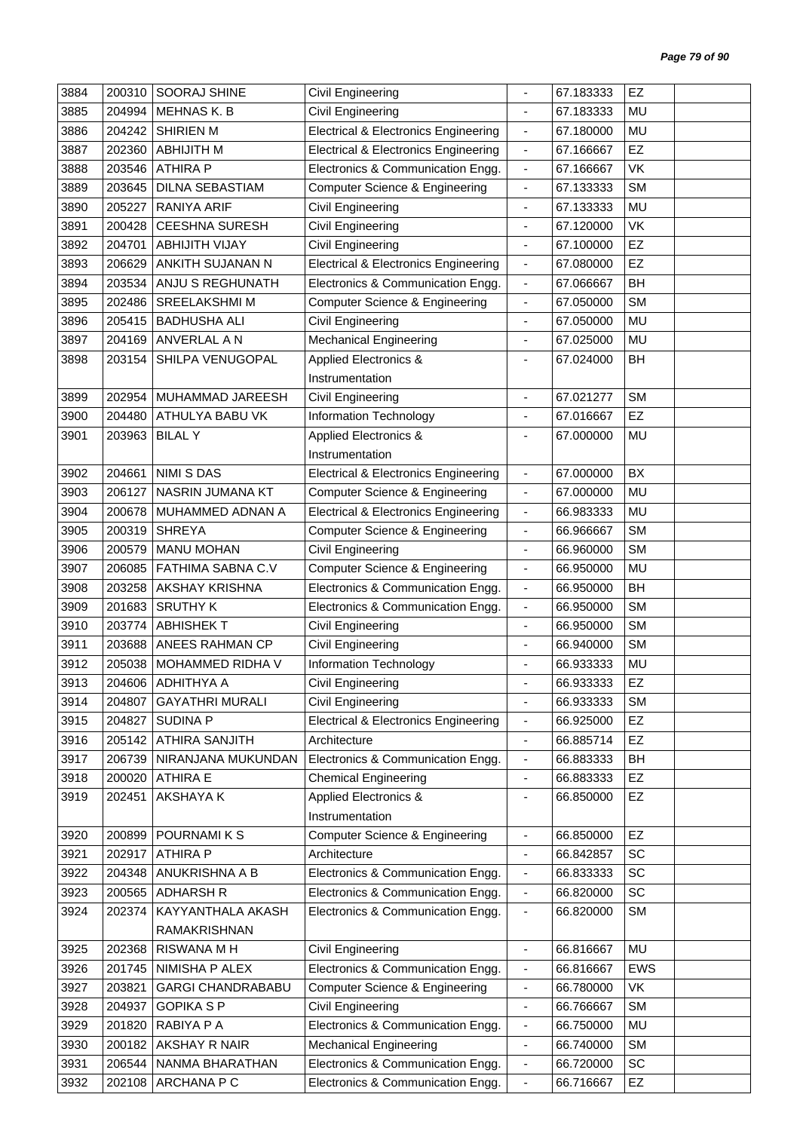| 3884 | 200310 | SOORAJ SHINE             | Civil Engineering                               | $\blacksquare$               | 67.183333 | EZ        |  |
|------|--------|--------------------------|-------------------------------------------------|------------------------------|-----------|-----------|--|
| 3885 | 204994 | <b>MEHNAS K. B</b>       | Civil Engineering                               | $\blacksquare$               | 67.183333 | MU        |  |
| 3886 | 204242 | <b>SHIRIEN M</b>         | <b>Electrical &amp; Electronics Engineering</b> | $\blacksquare$               | 67.180000 | MU        |  |
| 3887 | 202360 | <b>ABHIJITH M</b>        | <b>Electrical &amp; Electronics Engineering</b> | $\overline{\phantom{a}}$     | 67.166667 | EZ        |  |
| 3888 | 203546 | <b>ATHIRA P</b>          | Electronics & Communication Engg.               | $\overline{\phantom{a}}$     | 67.166667 | VK        |  |
| 3889 | 203645 | <b>DILNA SEBASTIAM</b>   | <b>Computer Science &amp; Engineering</b>       | $\blacksquare$               | 67.133333 | <b>SM</b> |  |
| 3890 | 205227 | <b>RANIYA ARIF</b>       | Civil Engineering                               | ٠                            | 67.133333 | MU        |  |
| 3891 | 200428 | <b>CEESHNA SURESH</b>    | Civil Engineering                               | $\overline{\phantom{a}}$     | 67.120000 | VK        |  |
| 3892 | 204701 | <b>ABHIJITH VIJAY</b>    | Civil Engineering                               | $\overline{\phantom{a}}$     | 67.100000 | EZ        |  |
| 3893 | 206629 | ANKITH SUJANAN N         | <b>Electrical &amp; Electronics Engineering</b> | $\overline{\phantom{a}}$     | 67.080000 | EZ        |  |
| 3894 | 203534 | ANJU S REGHUNATH         | Electronics & Communication Engg.               | $\blacksquare$               | 67.066667 | BH        |  |
| 3895 | 202486 | <b>SREELAKSHMI M</b>     | <b>Computer Science &amp; Engineering</b>       | $\blacksquare$               | 67.050000 | <b>SM</b> |  |
| 3896 | 205415 | <b>BADHUSHA ALI</b>      | Civil Engineering                               | $\blacksquare$               | 67.050000 | MU        |  |
| 3897 | 204169 | ANVERLAL A N             | <b>Mechanical Engineering</b>                   | $\blacksquare$               | 67.025000 | MU        |  |
|      |        | SHILPA VENUGOPAL         |                                                 |                              |           |           |  |
| 3898 | 203154 |                          | <b>Applied Electronics &amp;</b>                | $\overline{a}$               | 67.024000 | BH        |  |
|      |        |                          | Instrumentation                                 |                              |           |           |  |
| 3899 | 202954 | MUHAMMAD JAREESH         | Civil Engineering                               | $\blacksquare$               | 67.021277 | <b>SM</b> |  |
| 3900 | 204480 | ATHULYA BABU VK          | Information Technology                          | $\qquad \qquad \blacksquare$ | 67.016667 | EZ        |  |
| 3901 | 203963 | <b>BILAL Y</b>           | Applied Electronics &                           | ÷                            | 67.000000 | MU        |  |
|      |        |                          | Instrumentation                                 |                              |           |           |  |
| 3902 | 204661 | <b>NIMI S DAS</b>        | <b>Electrical &amp; Electronics Engineering</b> | $\overline{\phantom{a}}$     | 67.000000 | BX        |  |
| 3903 | 206127 | NASRIN JUMANA KT         | <b>Computer Science &amp; Engineering</b>       | $\blacksquare$               | 67.000000 | MU        |  |
| 3904 | 200678 | MUHAMMED ADNAN A         | <b>Electrical &amp; Electronics Engineering</b> | $\blacksquare$               | 66.983333 | <b>MU</b> |  |
| 3905 | 200319 | <b>SHREYA</b>            | <b>Computer Science &amp; Engineering</b>       | $\blacksquare$               | 66.966667 | <b>SM</b> |  |
| 3906 | 200579 | <b>MANU MOHAN</b>        | Civil Engineering                               | $\blacksquare$               | 66.960000 | <b>SM</b> |  |
| 3907 | 206085 | FATHIMA SABNA C.V        | <b>Computer Science &amp; Engineering</b>       | $\overline{\phantom{a}}$     | 66.950000 | MU        |  |
| 3908 | 203258 | AKSHAY KRISHNA           | Electronics & Communication Engg.               | $\overline{\phantom{a}}$     | 66.950000 | BH        |  |
| 3909 | 201683 | <b>SRUTHY K</b>          | Electronics & Communication Engg.               | $\blacksquare$               | 66.950000 | <b>SM</b> |  |
| 3910 | 203774 | <b>ABHISHEKT</b>         | Civil Engineering                               | $\qquad \qquad \blacksquare$ | 66.950000 | <b>SM</b> |  |
| 3911 | 203688 | ANEES RAHMAN CP          | <b>Civil Engineering</b>                        | $\blacksquare$               | 66.940000 | <b>SM</b> |  |
| 3912 | 205038 | MOHAMMED RIDHA V         | Information Technology                          |                              | 66.933333 | MU        |  |
| 3913 |        | 204606 ADHITHYA A        | Civil Engineering                               |                              | 66.933333 | EZ        |  |
| 3914 | 204807 | <b>GAYATHRI MURALI</b>   | Civil Engineering                               | $\overline{\phantom{a}}$     | 66.933333 | <b>SM</b> |  |
| 3915 | 204827 | <b>SUDINA P</b>          | <b>Electrical &amp; Electronics Engineering</b> | $\blacksquare$               | 66.925000 | <b>EZ</b> |  |
| 3916 | 205142 | ATHIRA SANJITH           | Architecture                                    | $\overline{\phantom{a}}$     | 66.885714 | EZ        |  |
| 3917 | 206739 | NIRANJANA MUKUNDAN       | Electronics & Communication Engg.               | $\blacksquare$               | 66.883333 | BH        |  |
| 3918 | 200020 | <b>ATHIRA E</b>          | <b>Chemical Engineering</b>                     | $\blacksquare$               | 66.883333 | EZ        |  |
| 3919 | 202451 | AKSHAYA K                | Applied Electronics &                           | -                            | 66.850000 | <b>EZ</b> |  |
|      |        |                          | Instrumentation                                 |                              |           |           |  |
| 3920 | 200899 | POURNAMI K S             | <b>Computer Science &amp; Engineering</b>       | $\overline{\phantom{a}}$     | 66.850000 | EZ        |  |
| 3921 | 202917 | <b>ATHIRA P</b>          | Architecture                                    | $\blacksquare$               | 66.842857 | SC        |  |
| 3922 | 204348 | ANUKRISHNA A B           | Electronics & Communication Engg.               | $\overline{\phantom{a}}$     | 66.833333 | SC        |  |
| 3923 | 200565 | <b>ADHARSH R</b>         | Electronics & Communication Engg.               | $\overline{\phantom{a}}$     | 66.820000 | SC        |  |
| 3924 | 202374 | KAYYANTHALA AKASH        | Electronics & Communication Engg.               | $\overline{\phantom{a}}$     | 66.820000 | <b>SM</b> |  |
|      |        | RAMAKRISHNAN             |                                                 |                              |           |           |  |
| 3925 | 202368 | RISWANA M H              | Civil Engineering                               | $\blacksquare$               | 66.816667 | MU        |  |
| 3926 | 201745 | NIMISHA P ALEX           | Electronics & Communication Engg.               | $\overline{\phantom{a}}$     | 66.816667 | EWS       |  |
| 3927 | 203821 | <b>GARGI CHANDRABABU</b> | <b>Computer Science &amp; Engineering</b>       | $\overline{\phantom{a}}$     | 66.780000 | VK        |  |
| 3928 | 204937 | <b>GOPIKA S P</b>        | Civil Engineering                               | $\blacksquare$               | 66.766667 | <b>SM</b> |  |
| 3929 | 201820 | RABIYA P A               | Electronics & Communication Engg.               |                              | 66.750000 | MU        |  |
| 3930 | 200182 | AKSHAY R NAIR            |                                                 | $\overline{\phantom{a}}$     | 66.740000 | <b>SM</b> |  |
|      |        |                          | <b>Mechanical Engineering</b>                   | $\overline{\phantom{a}}$     |           | <b>SC</b> |  |
| 3931 | 206544 | NANMA BHARATHAN          | Electronics & Communication Engg.               | $\overline{\phantom{a}}$     | 66.720000 |           |  |
| 3932 | 202108 | ARCHANA P C              | Electronics & Communication Engg.               | $\overline{\phantom{a}}$     | 66.716667 | EZ        |  |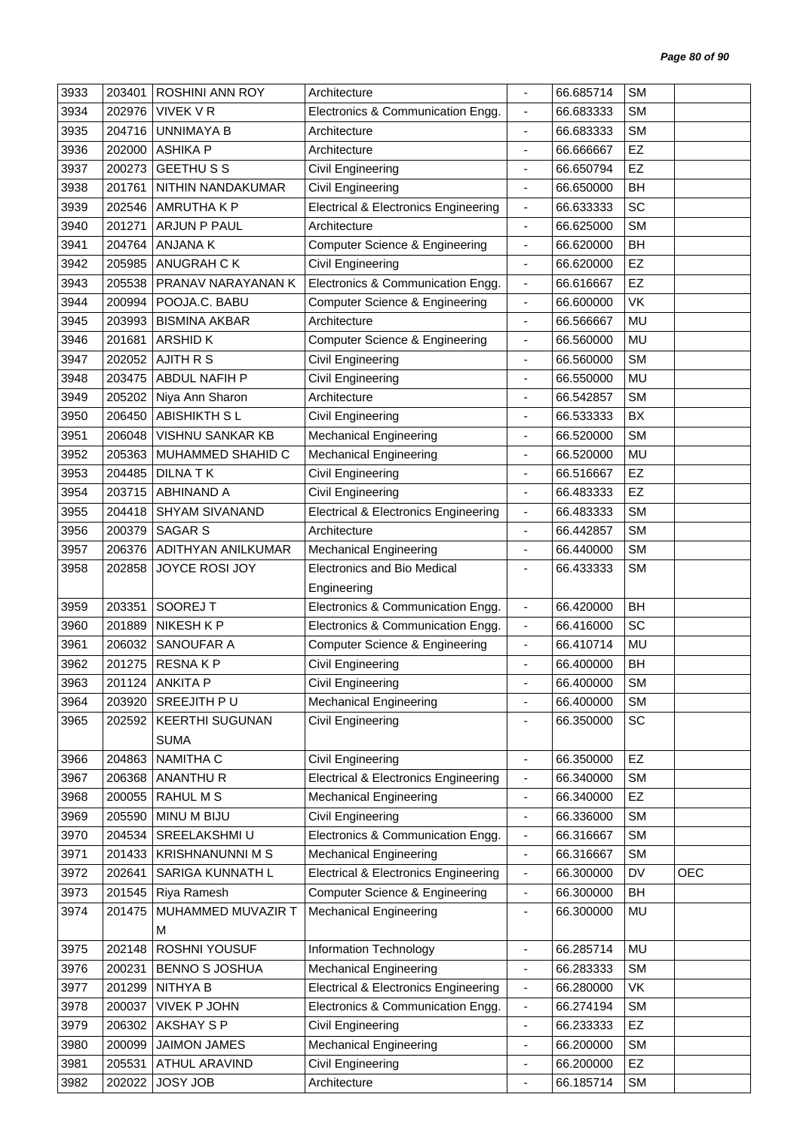| 3933 | 203401 | <b>ROSHINI ANN ROY</b>  | Architecture                                    |                          | 66.685714 | <b>SM</b> |            |
|------|--------|-------------------------|-------------------------------------------------|--------------------------|-----------|-----------|------------|
| 3934 | 202976 | <b>VIVEK V R</b>        | Electronics & Communication Engg.               | $\blacksquare$           | 66.683333 | <b>SM</b> |            |
| 3935 | 204716 | <b>UNNIMAYA B</b>       | Architecture                                    |                          | 66.683333 | <b>SM</b> |            |
| 3936 | 202000 | <b>ASHIKA P</b>         | Architecture                                    | $\overline{\phantom{a}}$ | 66.666667 | EZ        |            |
| 3937 | 200273 | <b>GEETHUSS</b>         | Civil Engineering                               | $\blacksquare$           | 66.650794 | EZ        |            |
| 3938 | 201761 | NITHIN NANDAKUMAR       | <b>Civil Engineering</b>                        | $\overline{\phantom{a}}$ | 66.650000 | BH        |            |
| 3939 | 202546 | AMRUTHA K P             | <b>Electrical &amp; Electronics Engineering</b> | $\overline{\phantom{a}}$ | 66.633333 | SC        |            |
| 3940 | 201271 | ARJUN P PAUL            | Architecture                                    | $\blacksquare$           | 66.625000 | <b>SM</b> |            |
| 3941 | 204764 | <b>ANJANAK</b>          | Computer Science & Engineering                  | $\blacksquare$           | 66.620000 | BH        |            |
| 3942 | 205985 | ANUGRAH C K             | Civil Engineering                               | $\overline{\phantom{a}}$ | 66.620000 | EZ        |            |
| 3943 | 205538 | PRANAV NARAYANAN K      | Electronics & Communication Engg.               | $\blacksquare$           | 66.616667 | EZ        |            |
| 3944 | 200994 | POOJA.C. BABU           | <b>Computer Science &amp; Engineering</b>       | $\overline{\phantom{a}}$ | 66.600000 | VK        |            |
| 3945 | 203993 | <b>BISMINA AKBAR</b>    | Architecture                                    | $\overline{\phantom{a}}$ | 66.566667 | <b>MU</b> |            |
| 3946 | 201681 | <b>ARSHIDK</b>          | <b>Computer Science &amp; Engineering</b>       | $\blacksquare$           | 66.560000 | <b>MU</b> |            |
| 3947 | 202052 | <b>AJITH R S</b>        | Civil Engineering                               | $\overline{\phantom{a}}$ | 66.560000 | <b>SM</b> |            |
| 3948 | 203475 | ABDUL NAFIH P           | Civil Engineering                               | $\overline{\phantom{a}}$ | 66.550000 | MU        |            |
| 3949 | 205202 | Niya Ann Sharon         | Architecture                                    |                          | 66.542857 | <b>SM</b> |            |
| 3950 | 206450 | <b>ABISHIKTH SL</b>     | Civil Engineering                               | ÷                        | 66.533333 | BX        |            |
| 3951 | 206048 | VISHNU SANKAR KB        | <b>Mechanical Engineering</b>                   | $\overline{\phantom{a}}$ | 66.520000 | <b>SM</b> |            |
| 3952 | 205363 | MUHAMMED SHAHID C       | <b>Mechanical Engineering</b>                   | ÷,                       | 66.520000 | <b>MU</b> |            |
| 3953 | 204485 | <b>DILNATK</b>          | Civil Engineering                               | $\overline{\phantom{a}}$ | 66.516667 | EZ        |            |
| 3954 | 203715 | <b>ABHINAND A</b>       | Civil Engineering                               | $\overline{\phantom{a}}$ | 66.483333 | EZ        |            |
| 3955 | 204418 | <b>SHYAM SIVANAND</b>   | <b>Electrical &amp; Electronics Engineering</b> | $\overline{\phantom{a}}$ | 66.483333 | <b>SM</b> |            |
| 3956 | 200379 | <b>SAGAR S</b>          | Architecture                                    | $\overline{\phantom{a}}$ | 66.442857 | <b>SM</b> |            |
| 3957 | 206376 | ADITHYAN ANILKUMAR      | <b>Mechanical Engineering</b>                   | $\blacksquare$           | 66.440000 | <b>SM</b> |            |
| 3958 | 202858 | JOYCE ROSI JOY          | <b>Electronics and Bio Medical</b>              | $\blacksquare$           | 66.433333 | <b>SM</b> |            |
|      |        |                         | Engineering                                     |                          |           |           |            |
| 3959 | 203351 | SOOREJ T                | Electronics & Communication Engg.               | $\blacksquare$           | 66.420000 | BH        |            |
| 3960 | 201889 | NIKESH K P              | Electronics & Communication Engg.               | $\overline{\phantom{a}}$ | 66.416000 | SC        |            |
| 3961 | 206032 | SANOUFAR A              | <b>Computer Science &amp; Engineering</b>       | $\overline{\phantom{a}}$ | 66.410714 | <b>MU</b> |            |
| 3962 | 201275 | <b>RESNAKP</b>          | Civil Engineering                               |                          | 66.400000 | BH        |            |
| 3963 | 201124 | <b>ANKITA P</b>         | Civil Engineering                               |                          | 66.400000 | SM        |            |
| 3964 | 203920 | <b>SREEJITH PU</b>      | <b>Mechanical Engineering</b>                   |                          | 66.400000 | <b>SM</b> |            |
| 3965 | 202592 | <b>KEERTHI SUGUNAN</b>  | Civil Engineering                               |                          | 66.350000 | SC        |            |
|      |        | <b>SUMA</b>             |                                                 |                          |           |           |            |
| 3966 | 204863 | NAMITHA C               | <b>Civil Engineering</b>                        | $\overline{\phantom{a}}$ | 66.350000 | EZ        |            |
| 3967 | 206368 | ANANTHUR                | <b>Electrical &amp; Electronics Engineering</b> | $\overline{\phantom{a}}$ | 66.340000 | <b>SM</b> |            |
| 3968 | 200055 | RAHUL M S               | <b>Mechanical Engineering</b>                   | $\blacksquare$           | 66.340000 | EZ        |            |
| 3969 | 205590 | MINU M BIJU             | Civil Engineering                               | $\blacksquare$           | 66.336000 | <b>SM</b> |            |
| 3970 | 204534 | SREELAKSHMI U           | Electronics & Communication Engg.               | $\overline{\phantom{a}}$ | 66.316667 | <b>SM</b> |            |
| 3971 | 201433 | <b>KRISHNANUNNI M S</b> | <b>Mechanical Engineering</b>                   | $\blacksquare$           | 66.316667 | <b>SM</b> |            |
| 3972 | 202641 | SARIGA KUNNATH L        | <b>Electrical &amp; Electronics Engineering</b> | $\overline{\phantom{a}}$ | 66.300000 | DV        | <b>OEC</b> |
| 3973 | 201545 | Riya Ramesh             | <b>Computer Science &amp; Engineering</b>       | $\blacksquare$           | 66.300000 | <b>BH</b> |            |
| 3974 | 201475 | MUHAMMED MUVAZIR T      | <b>Mechanical Engineering</b>                   | $\overline{\phantom{a}}$ | 66.300000 | MU        |            |
|      |        | м                       |                                                 |                          |           |           |            |
| 3975 | 202148 | ROSHNI YOUSUF           | Information Technology                          | $\overline{\phantom{a}}$ | 66.285714 | MU        |            |
| 3976 | 200231 | <b>BENNO S JOSHUA</b>   | <b>Mechanical Engineering</b>                   | $\blacksquare$           | 66.283333 | <b>SM</b> |            |
| 3977 | 201299 | NITHYA B                | <b>Electrical &amp; Electronics Engineering</b> | $\overline{\phantom{a}}$ | 66.280000 | VK        |            |
| 3978 | 200037 | <b>VIVEK P JOHN</b>     | Electronics & Communication Engg.               | $\blacksquare$           | 66.274194 | <b>SM</b> |            |
| 3979 | 206302 | AKSHAY S P              | Civil Engineering                               | $\blacksquare$           | 66.233333 | <b>EZ</b> |            |
| 3980 | 200099 | <b>JAIMON JAMES</b>     | <b>Mechanical Engineering</b>                   | $\blacksquare$           | 66.200000 | <b>SM</b> |            |
| 3981 | 205531 | ATHUL ARAVIND           | Civil Engineering                               | $\overline{\phantom{a}}$ | 66.200000 | EZ        |            |
| 3982 | 202022 | <b>JOSY JOB</b>         | Architecture                                    | ÷,                       | 66.185714 | <b>SM</b> |            |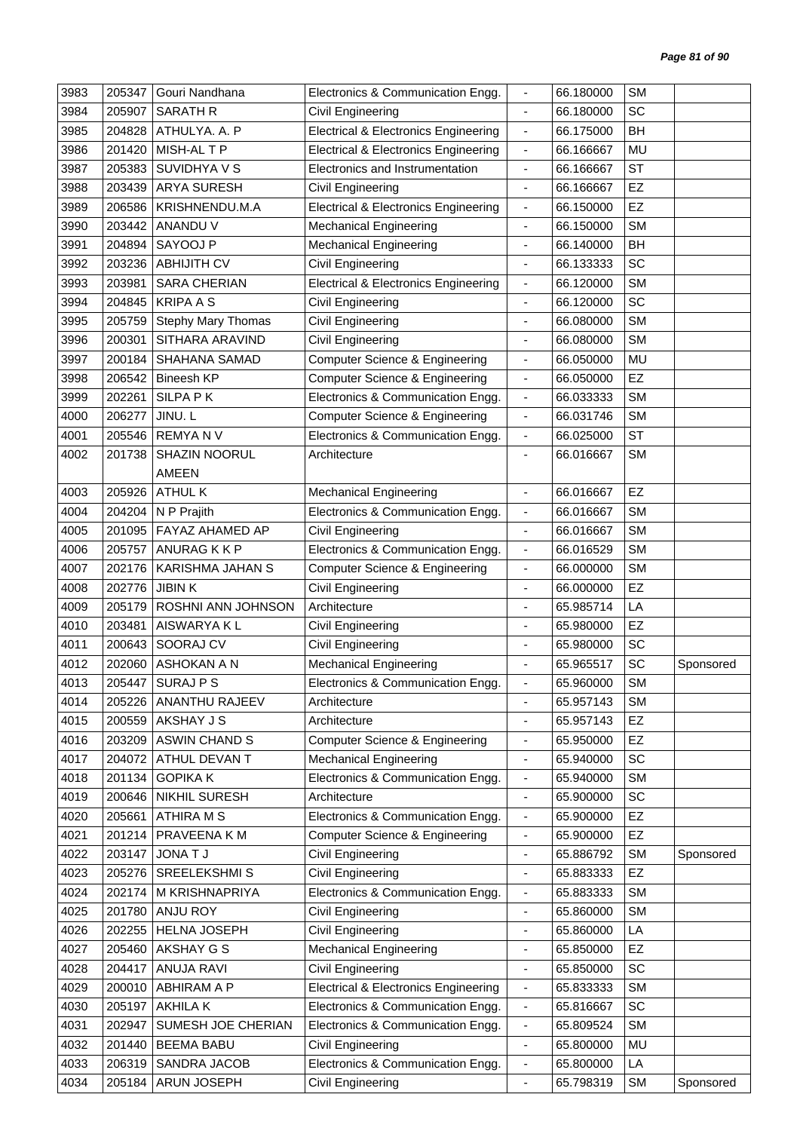| 3983 | 205347 | Gouri Nandhana            | Electronics & Communication Engg.               | $\blacksquare$               | 66.180000 | <b>SM</b> |           |
|------|--------|---------------------------|-------------------------------------------------|------------------------------|-----------|-----------|-----------|
| 3984 | 205907 | <b>SARATH R</b>           | Civil Engineering                               | $\blacksquare$               | 66.180000 | SC        |           |
| 3985 | 204828 | ATHULYA. A. P             | <b>Electrical &amp; Electronics Engineering</b> | $\overline{\phantom{a}}$     | 66.175000 | <b>BH</b> |           |
| 3986 | 201420 | MISH-AL T P               | <b>Electrical &amp; Electronics Engineering</b> | $\qquad \qquad \blacksquare$ | 66.166667 | MU        |           |
| 3987 | 205383 | SUVIDHYA V S              | Electronics and Instrumentation                 | $\blacksquare$               | 66.166667 | <b>ST</b> |           |
| 3988 | 203439 | <b>ARYA SURESH</b>        | Civil Engineering                               | ÷,                           | 66.166667 | EZ        |           |
| 3989 | 206586 | KRISHNENDU.M.A            | <b>Electrical &amp; Electronics Engineering</b> | $\overline{\phantom{a}}$     | 66.150000 | EZ        |           |
| 3990 | 203442 | ANANDU V                  | <b>Mechanical Engineering</b>                   | $\overline{\phantom{a}}$     | 66.150000 | <b>SM</b> |           |
| 3991 | 204894 | SAYOOJ P                  | <b>Mechanical Engineering</b>                   | $\overline{\phantom{a}}$     | 66.140000 | <b>BH</b> |           |
| 3992 | 203236 | <b>ABHIJITH CV</b>        | Civil Engineering                               | $\qquad \qquad \blacksquare$ | 66.133333 | SC        |           |
| 3993 | 203981 | SARA CHERIAN              | <b>Electrical &amp; Electronics Engineering</b> | $\blacksquare$               | 66.120000 | <b>SM</b> |           |
| 3994 | 204845 | <b>KRIPA A S</b>          | Civil Engineering                               | $\overline{\phantom{a}}$     | 66.120000 | SC        |           |
| 3995 | 205759 | <b>Stephy Mary Thomas</b> | Civil Engineering                               | $\blacksquare$               | 66.080000 | <b>SM</b> |           |
| 3996 | 200301 | SITHARA ARAVIND           | Civil Engineering                               |                              | 66.080000 | <b>SM</b> |           |
| 3997 | 200184 | SHAHANA SAMAD             | Computer Science & Engineering                  | $\qquad \qquad \blacksquare$ | 66.050000 | MU        |           |
| 3998 | 206542 | <b>Bineesh KP</b>         | Computer Science & Engineering                  | $\blacksquare$               | 66.050000 | EZ        |           |
| 3999 | 202261 | <b>SILPA PK</b>           | Electronics & Communication Engg.               | $\overline{\phantom{a}}$     | 66.033333 | <b>SM</b> |           |
| 4000 | 206277 | JINU. L                   | Computer Science & Engineering                  | $\overline{\phantom{a}}$     | 66.031746 | <b>SM</b> |           |
| 4001 | 205546 | <b>REMYANV</b>            | Electronics & Communication Engg.               | $\overline{\phantom{a}}$     | 66.025000 | <b>ST</b> |           |
| 4002 | 201738 | <b>SHAZIN NOORUL</b>      | Architecture                                    |                              | 66.016667 | <b>SM</b> |           |
|      |        | <b>AMEEN</b>              |                                                 |                              |           |           |           |
| 4003 | 205926 | <b>ATHUL K</b>            | <b>Mechanical Engineering</b>                   | $\frac{1}{2}$                | 66.016667 | EZ        |           |
| 4004 | 204204 | N P Prajith               | Electronics & Communication Engg.               | $\qquad \qquad \blacksquare$ | 66.016667 | <b>SM</b> |           |
| 4005 | 201095 | FAYAZ AHAMED AP           | Civil Engineering                               | $\overline{\phantom{a}}$     | 66.016667 | <b>SM</b> |           |
| 4006 | 205757 | ANURAG K K P              | Electronics & Communication Engg.               | $\overline{\phantom{a}}$     | 66.016529 | <b>SM</b> |           |
| 4007 | 202176 | KARISHMA JAHAN S          | Computer Science & Engineering                  | $\qquad \qquad \blacksquare$ | 66.000000 | <b>SM</b> |           |
| 4008 | 202776 | <b>JIBINK</b>             | Civil Engineering                               | $\overline{\phantom{a}}$     | 66.000000 | EZ        |           |
| 4009 | 205179 | ROSHNI ANN JOHNSON        | Architecture                                    |                              | 65.985714 | LA        |           |
| 4010 | 203481 | AISWARYA K L              | Civil Engineering                               | $\overline{\phantom{a}}$     | 65.980000 | <b>EZ</b> |           |
| 4011 | 200643 | SOORAJ CV                 | Civil Engineering                               | ä,                           | 65.980000 | SC        |           |
| 4012 | 202060 | ASHOKAN A N               | <b>Mechanical Engineering</b>                   |                              | 65.965517 | SC        | Sponsored |
| 4013 | 205447 | SURAJ P S                 | Electronics & Communication Engg.               |                              | 65.960000 | <b>SM</b> |           |
| 4014 | 205226 | <b>ANANTHU RAJEEV</b>     | Architecture                                    | $\blacksquare$               | 65.957143 | <b>SM</b> |           |
| 4015 | 200559 | AKSHAY J S                | Architecture                                    | $\qquad \qquad \blacksquare$ | 65.957143 | EZ        |           |
| 4016 | 203209 | <b>ASWIN CHAND S</b>      | Computer Science & Engineering                  | $\qquad \qquad \blacksquare$ | 65.950000 | <b>EZ</b> |           |
| 4017 | 204072 | ATHUL DEVAN T             | <b>Mechanical Engineering</b>                   | $\overline{\phantom{a}}$     | 65.940000 | SC        |           |
| 4018 | 201134 | <b>GOPIKA K</b>           | Electronics & Communication Engg.               | $\qquad \qquad \blacksquare$ | 65.940000 | <b>SM</b> |           |
| 4019 | 200646 | NIKHIL SURESH             | Architecture                                    | $\blacksquare$               | 65.900000 | SC        |           |
| 4020 | 205661 | <b>ATHIRA M S</b>         | Electronics & Communication Engg.               | $\overline{\phantom{a}}$     | 65.900000 | EZ        |           |
| 4021 | 201214 | PRAVEENA K M              | Computer Science & Engineering                  | $\qquad \qquad \blacksquare$ | 65.900000 | EZ        |           |
| 4022 | 203147 | <b>JONATJ</b>             | Civil Engineering                               | $\overline{\phantom{a}}$     | 65.886792 | <b>SM</b> | Sponsored |
| 4023 | 205276 | SREELEKSHMI S             | Civil Engineering                               | $\overline{\phantom{a}}$     | 65.883333 | EZ        |           |
| 4024 | 202174 | M KRISHNAPRIYA            | Electronics & Communication Engg.               | $\qquad \qquad \blacksquare$ | 65.883333 | <b>SM</b> |           |
| 4025 | 201780 | ANJU ROY                  | Civil Engineering                               | $\blacksquare$               | 65.860000 | <b>SM</b> |           |
| 4026 | 202255 | HELNA JOSEPH              | Civil Engineering                               | $\qquad \qquad \blacksquare$ | 65.860000 | LA        |           |
| 4027 | 205460 | AKSHAY G S                | <b>Mechanical Engineering</b>                   | $\qquad \qquad \blacksquare$ | 65.850000 | EZ        |           |
| 4028 | 204417 | <b>ANUJA RAVI</b>         | Civil Engineering                               | ÷,                           | 65.850000 | SC        |           |
| 4029 | 200010 | ABHIRAM A P               | <b>Electrical &amp; Electronics Engineering</b> | $\qquad \qquad \blacksquare$ | 65.833333 | <b>SM</b> |           |
| 4030 | 205197 | AKHILA K                  | Electronics & Communication Engg.               | $\blacksquare$               | 65.816667 | SC        |           |
| 4031 | 202947 | SUMESH JOE CHERIAN        | Electronics & Communication Engg.               | $\qquad \qquad \blacksquare$ | 65.809524 | <b>SM</b> |           |
| 4032 | 201440 | <b>BEEMA BABU</b>         | Civil Engineering                               | $\qquad \qquad \blacksquare$ | 65.800000 | MU        |           |
| 4033 | 206319 | SANDRA JACOB              | Electronics & Communication Engg.               | $\overline{\phantom{a}}$     | 65.800000 | LA        |           |
| 4034 | 205184 | ARUN JOSEPH               | Civil Engineering                               | $\overline{\phantom{a}}$     | 65.798319 | <b>SM</b> | Sponsored |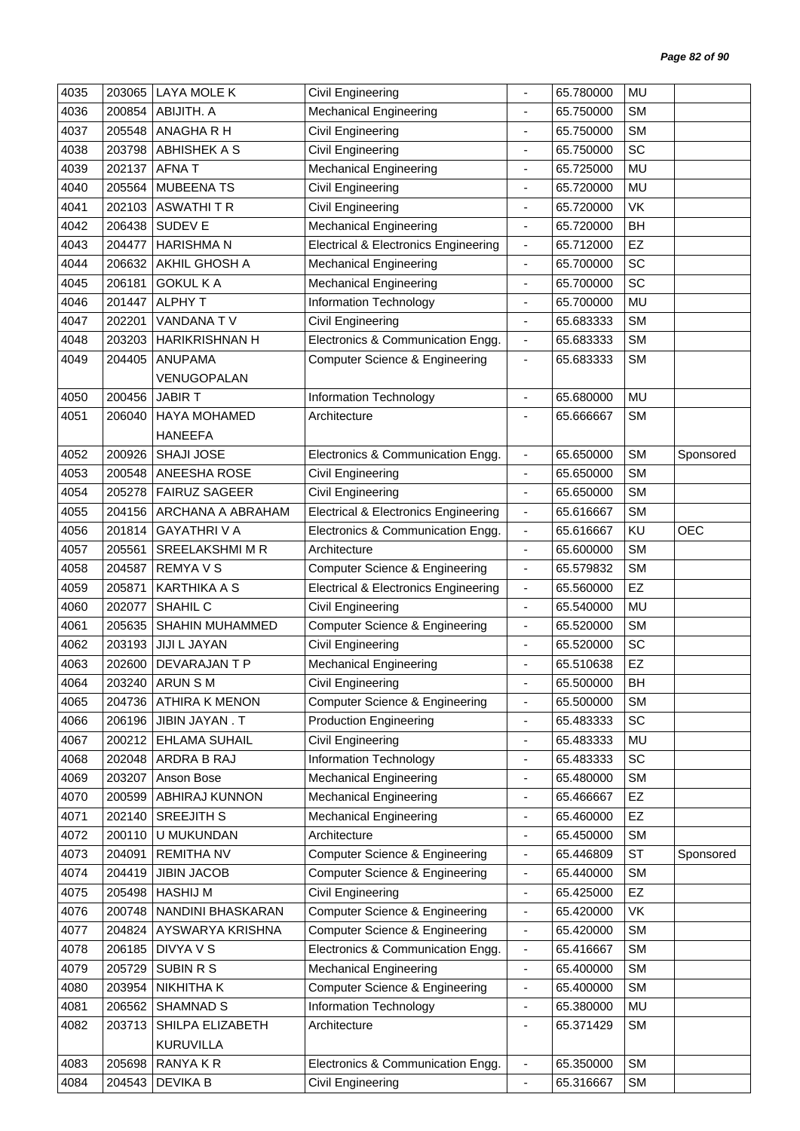| 4035 | 203065           | <b>LAYA MOLE K</b>      | Civil Engineering                                                              |                                                      | 65.780000 | <b>MU</b>       |            |
|------|------------------|-------------------------|--------------------------------------------------------------------------------|------------------------------------------------------|-----------|-----------------|------------|
| 4036 | 200854           | ABIJITH. A              | <b>Mechanical Engineering</b>                                                  | ä,                                                   | 65.750000 | <b>SM</b>       |            |
| 4037 | 205548           | ANAGHA R H              | <b>Civil Engineering</b>                                                       |                                                      | 65.750000 | <b>SM</b>       |            |
| 4038 | 203798           | <b>ABHISHEK A S</b>     | <b>Civil Engineering</b>                                                       | $\qquad \qquad \blacksquare$                         | 65.750000 | SC              |            |
| 4039 | 202137           | <b>AFNAT</b>            | Mechanical Engineering                                                         | $\blacksquare$                                       | 65.725000 | <b>MU</b>       |            |
| 4040 | 205564           | <b>MUBEENA TS</b>       | <b>Civil Engineering</b>                                                       | ä,                                                   | 65.720000 | <b>MU</b>       |            |
| 4041 | 202103           | <b>ASWATHITR</b>        | <b>Civil Engineering</b>                                                       | ÷                                                    | 65.720000 | VK              |            |
| 4042 | 206438           | SUDEV E                 | <b>Mechanical Engineering</b>                                                  | $\overline{\phantom{a}}$                             | 65.720000 | BH              |            |
| 4043 | 204477           | <b>HARISHMAN</b>        | <b>Electrical &amp; Electronics Engineering</b>                                | $\overline{\phantom{a}}$                             | 65.712000 | EZ              |            |
| 4044 | 206632           | AKHIL GHOSH A           | <b>Mechanical Engineering</b>                                                  | $\qquad \qquad \blacksquare$                         | 65.700000 | SC              |            |
| 4045 | 206181           | <b>GOKUL KA</b>         | <b>Mechanical Engineering</b>                                                  | ä,                                                   | 65.700000 | SC              |            |
| 4046 | 201447           | <b>ALPHY T</b>          | Information Technology                                                         | $\overline{\phantom{a}}$                             | 65.700000 | <b>MU</b>       |            |
| 4047 | 202201           | VANDANA TV              | <b>Civil Engineering</b>                                                       | $\blacksquare$                                       | 65.683333 | <b>SM</b>       |            |
| 4048 | 203203           | <b>HARIKRISHNAN H</b>   | Electronics & Communication Engg.                                              | $\blacksquare$                                       | 65.683333 | <b>SM</b>       |            |
| 4049 | 204405           | <b>ANUPAMA</b>          | <b>Computer Science &amp; Engineering</b>                                      | $\overline{\phantom{a}}$                             | 65.683333 | <b>SM</b>       |            |
|      |                  | VENUGOPALAN             |                                                                                |                                                      |           |                 |            |
| 4050 | 200456           | <b>JABIRT</b>           | Information Technology                                                         | $\overline{a}$                                       | 65.680000 | <b>MU</b>       |            |
| 4051 | 206040           | <b>HAYA MOHAMED</b>     | Architecture                                                                   |                                                      | 65.666667 | <b>SM</b>       |            |
|      |                  | <b>HANEEFA</b>          |                                                                                |                                                      |           |                 |            |
| 4052 | 200926           | <b>SHAJI JOSE</b>       | Electronics & Communication Engg.                                              | $\overline{\phantom{a}}$                             | 65.650000 | <b>SM</b>       | Sponsored  |
| 4053 | 200548           | ANEESHA ROSE            | Civil Engineering                                                              | $\qquad \qquad \blacksquare$                         | 65.650000 | <b>SM</b>       |            |
| 4054 | 205278           | <b>FAIRUZ SAGEER</b>    | Civil Engineering                                                              | $\frac{1}{2}$                                        | 65.650000 | <b>SM</b>       |            |
| 4055 | 204156           | ARCHANA A ABRAHAM       | <b>Electrical &amp; Electronics Engineering</b>                                | $\overline{\phantom{a}}$                             | 65.616667 | <b>SM</b>       |            |
| 4056 | 201814           | <b>GAYATHRIVA</b>       | Electronics & Communication Engg.                                              | $\overline{\phantom{a}}$                             | 65.616667 | KU              | <b>OEC</b> |
| 4057 | 205561           | SREELAKSHMI M R         | Architecture                                                                   | $\overline{\phantom{a}}$                             | 65.600000 | <b>SM</b>       |            |
| 4058 | 204587           | <b>REMYAVS</b>          | <b>Computer Science &amp; Engineering</b>                                      | $\overline{\phantom{a}}$                             | 65.579832 | <b>SM</b>       |            |
| 4059 | 205871           | <b>KARTHIKA A S</b>     | <b>Electrical &amp; Electronics Engineering</b>                                | $\blacksquare$                                       | 65.560000 | EZ              |            |
| 4060 | 202077           | SHAHIL C                | Civil Engineering                                                              | ä,                                                   | 65.540000 | <b>MU</b>       |            |
| 4061 | 205635           | SHAHIN MUHAMMED         | <b>Computer Science &amp; Engineering</b>                                      | $\overline{\phantom{a}}$                             | 65.520000 | <b>SM</b>       |            |
| 4062 | 203193           | JIJI L JAYAN            | <b>Civil Engineering</b>                                                       | $\overline{\phantom{a}}$                             | 65.520000 | SC              |            |
| 4063 | 202600           | DEVARAJAN T P           | <b>Mechanical Engineering</b>                                                  | ÷,                                                   | 65.510638 | EZ              |            |
| 4064 | 203240           | ARUN S M                | Civil Engineering                                                              |                                                      | 65.500000 | <b>BH</b>       |            |
| 4065 |                  | 204736 ATHIRA K MENON   | <b>Computer Science &amp; Engineering</b>                                      | $\overline{\phantom{a}}$                             | 65.500000 | <b>SM</b>       |            |
| 4066 | 206196           | JIBIN JAYAN. T          | <b>Production Engineering</b>                                                  | $\overline{\phantom{a}}$                             | 65.483333 | SC              |            |
| 4067 | 200212           | EHLAMA SUHAIL           | Civil Engineering                                                              | $\blacksquare$                                       | 65.483333 | MU              |            |
| 4068 | 202048           | ARDRA B RAJ             | Information Technology                                                         | ä,                                                   | 65.483333 | SC              |            |
| 4069 | 203207           | Anson Bose              | <b>Mechanical Engineering</b>                                                  | $\qquad \qquad \blacksquare$                         | 65.480000 | <b>SM</b>       |            |
| 4070 | 200599           | ABHIRAJ KUNNON          | <b>Mechanical Engineering</b>                                                  | $\overline{\phantom{a}}$                             | 65.466667 | EZ              |            |
| 4071 | 202140           | <b>SREEJITH S</b>       | <b>Mechanical Engineering</b>                                                  | ٠                                                    | 65.460000 | EZ              |            |
| 4072 | 200110           | U MUKUNDAN              | Architecture                                                                   | $\overline{\phantom{a}}$                             | 65.450000 | <b>SM</b>       |            |
| 4073 | 204091           | <b>REMITHA NV</b>       | <b>Computer Science &amp; Engineering</b>                                      | $\overline{\phantom{a}}$                             | 65.446809 | <b>ST</b>       | Sponsored  |
| 4074 | 204419           | <b>JIBIN JACOB</b>      | Computer Science & Engineering                                                 | $\overline{\phantom{a}}$                             | 65.440000 | <b>SM</b>       |            |
| 4075 | 205498           | <b>HASHIJ M</b>         | Civil Engineering                                                              | $\overline{\phantom{a}}$                             | 65.425000 | <b>EZ</b>       |            |
| 4076 | 200748           | NANDINI BHASKARAN       | <b>Computer Science &amp; Engineering</b>                                      | $\blacksquare$                                       | 65.420000 | VK              |            |
| 4077 |                  | AYSWARYA KRISHNA        |                                                                                |                                                      | 65.420000 | <b>SM</b>       |            |
| 4078 | 204824<br>206185 | DIVYA V S               | <b>Computer Science &amp; Engineering</b><br>Electronics & Communication Engg. | $\overline{\phantom{a}}$<br>$\overline{\phantom{a}}$ | 65.416667 | <b>SM</b>       |            |
|      |                  |                         |                                                                                |                                                      |           | <b>SM</b>       |            |
| 4079 | 205729           | <b>SUBIN R S</b>        | <b>Mechanical Engineering</b>                                                  | $\blacksquare$                                       | 65.400000 |                 |            |
| 4080 | 203954           | NIKHITHA K<br>SHAMNAD S | <b>Computer Science &amp; Engineering</b>                                      | $\overline{\phantom{a}}$                             | 65.400000 | <b>SM</b><br>MU |            |
| 4081 | 206562           |                         | Information Technology                                                         | $\blacksquare$                                       | 65.380000 |                 |            |
| 4082 | 203713           | SHILPA ELIZABETH        | Architecture                                                                   | $\overline{\phantom{0}}$                             | 65.371429 | <b>SM</b>       |            |
|      |                  | KURUVILLA               |                                                                                |                                                      |           |                 |            |
| 4083 | 205698           | RANYA K R               | Electronics & Communication Engg.                                              | $\overline{\phantom{a}}$                             | 65.350000 | <b>SM</b>       |            |
| 4084 | 204543           | <b>DEVIKA B</b>         | Civil Engineering                                                              | $\blacksquare$                                       | 65.316667 | <b>SM</b>       |            |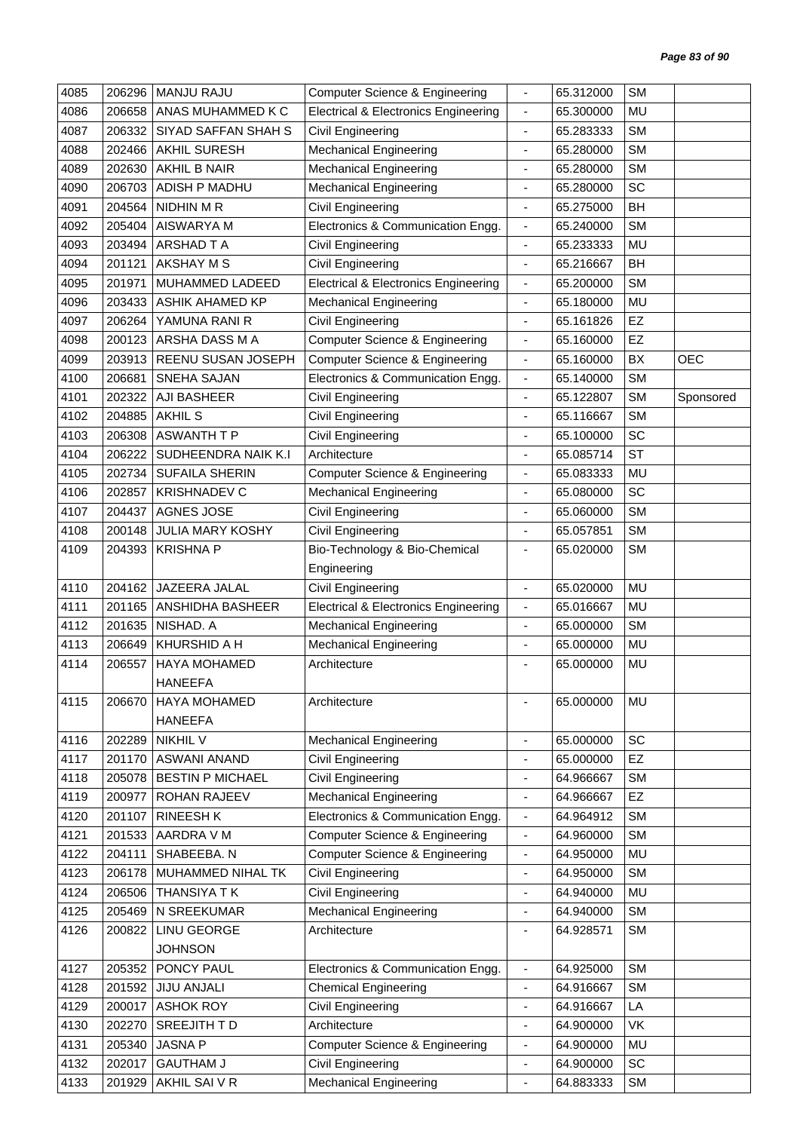| 4085 | 206296 | <b>MANJU RAJU</b>          | <b>Computer Science &amp; Engineering</b>       | $\overline{\phantom{a}}$     | 65.312000 | <b>SM</b> |            |
|------|--------|----------------------------|-------------------------------------------------|------------------------------|-----------|-----------|------------|
| 4086 | 206658 | ANAS MUHAMMED K C          | <b>Electrical &amp; Electronics Engineering</b> | $\blacksquare$               | 65.300000 | MU        |            |
| 4087 | 206332 | <b>SIYAD SAFFAN SHAH S</b> | Civil Engineering                               |                              | 65.283333 | <b>SM</b> |            |
| 4088 | 202466 | <b>AKHIL SURESH</b>        | <b>Mechanical Engineering</b>                   | $\overline{\phantom{a}}$     | 65.280000 | <b>SM</b> |            |
| 4089 | 202630 | <b>AKHIL B NAIR</b>        | <b>Mechanical Engineering</b>                   | $\overline{\phantom{a}}$     | 65.280000 | <b>SM</b> |            |
| 4090 | 206703 | ADISH P MADHU              | <b>Mechanical Engineering</b>                   | ÷,                           | 65.280000 | SC        |            |
| 4091 | 204564 | NIDHIN M R                 | Civil Engineering                               | $\overline{\phantom{a}}$     | 65.275000 | <b>BH</b> |            |
| 4092 | 205404 | AISWARYA M                 | Electronics & Communication Engg.               | $\overline{\phantom{a}}$     | 65.240000 | <b>SM</b> |            |
| 4093 | 203494 | <b>ARSHAD T A</b>          | Civil Engineering                               | $\blacksquare$               | 65.233333 | MU        |            |
| 4094 | 201121 | AKSHAY M S                 | Civil Engineering                               | $\overline{\phantom{a}}$     | 65.216667 | <b>BH</b> |            |
| 4095 | 201971 | MUHAMMED LADEED            | <b>Electrical &amp; Electronics Engineering</b> | $\overline{\phantom{a}}$     | 65.200000 | <b>SM</b> |            |
| 4096 | 203433 | <b>ASHIK AHAMED KP</b>     | <b>Mechanical Engineering</b>                   | $\overline{\phantom{a}}$     | 65.180000 | MU        |            |
| 4097 | 206264 | YAMUNA RANI R              | Civil Engineering                               | $\overline{\phantom{a}}$     | 65.161826 | EZ        |            |
| 4098 | 200123 | ARSHA DASS M A             | <b>Computer Science &amp; Engineering</b>       | $\overline{\phantom{a}}$     | 65.160000 | <b>EZ</b> |            |
| 4099 | 203913 | REENU SUSAN JOSEPH         | Computer Science & Engineering                  | $\overline{\phantom{a}}$     | 65.160000 | BX        | <b>OEC</b> |
| 4100 | 206681 | SNEHA SAJAN                | Electronics & Communication Engg.               | $\blacksquare$               | 65.140000 | <b>SM</b> |            |
| 4101 | 202322 | AJI BASHEER                | Civil Engineering                               | ä,                           | 65.122807 | <b>SM</b> | Sponsored  |
| 4102 | 204885 | <b>AKHIL S</b>             | Civil Engineering                               | $\overline{\phantom{a}}$     | 65.116667 | <b>SM</b> |            |
| 4103 | 206308 | <b>ASWANTH T P</b>         | Civil Engineering                               | $\overline{\phantom{a}}$     | 65.100000 | SC        |            |
| 4104 | 206222 | SUDHEENDRA NAIK K.I        | Architecture                                    | ÷,                           | 65.085714 | <b>ST</b> |            |
| 4105 | 202734 | <b>SUFAILA SHERIN</b>      | <b>Computer Science &amp; Engineering</b>       | $\blacksquare$               | 65.083333 | MU        |            |
| 4106 | 202857 | <b>KRISHNADEV C</b>        | <b>Mechanical Engineering</b>                   | $\blacksquare$               | 65.080000 | SC        |            |
| 4107 | 204437 | AGNES JOSE                 | Civil Engineering                               | ÷,                           | 65.060000 | <b>SM</b> |            |
| 4108 | 200148 | <b>JULIA MARY KOSHY</b>    | Civil Engineering                               | $\overline{\phantom{a}}$     | 65.057851 | <b>SM</b> |            |
| 4109 | 204393 | <b>KRISHNA P</b>           | Bio-Technology & Bio-Chemical                   | ÷,                           | 65.020000 | <b>SM</b> |            |
|      |        |                            | Engineering                                     |                              |           |           |            |
| 4110 | 204162 | JAZEERA JALAL              | Civil Engineering                               | $\blacksquare$               | 65.020000 | MU        |            |
| 4111 | 201165 | ANSHIDHA BASHEER           | <b>Electrical &amp; Electronics Engineering</b> | $\overline{\phantom{a}}$     | 65.016667 | MU        |            |
| 4112 | 201635 | NISHAD. A                  | <b>Mechanical Engineering</b>                   | $\overline{\phantom{a}}$     | 65.000000 | <b>SM</b> |            |
| 4113 | 206649 | <b>KHURSHID A H</b>        | <b>Mechanical Engineering</b>                   | $\overline{\phantom{a}}$     | 65.000000 | MU        |            |
| 4114 | 206557 | <b>HAYA MOHAMED</b>        | Architecture                                    |                              | 65.000000 | MU        |            |
|      |        | <b>HANEEFA</b>             |                                                 |                              |           |           |            |
| 4115 | 206670 | HAYA MOHAMED               | Architecture                                    | $\blacksquare$               | 65.000000 | MU        |            |
|      |        | <b>HANEEFA</b>             |                                                 |                              |           |           |            |
| 4116 | 202289 | <b>NIKHIL V</b>            | <b>Mechanical Engineering</b>                   | $\blacksquare$               | 65.000000 | SC        |            |
| 4117 | 201170 | ASWANI ANAND               | Civil Engineering                               | ÷,                           | 65.000000 | EZ        |            |
| 4118 | 205078 | <b>BESTIN P MICHAEL</b>    | Civil Engineering                               | $\qquad \qquad \blacksquare$ | 64.966667 | <b>SM</b> |            |
| 4119 | 200977 | ROHAN RAJEEV               | <b>Mechanical Engineering</b>                   | $\overline{\phantom{a}}$     | 64.966667 | EZ        |            |
| 4120 | 201107 | <b>RINEESH K</b>           | Electronics & Communication Engg.               | $\overline{\phantom{a}}$     | 64.964912 | <b>SM</b> |            |
| 4121 | 201533 | AARDRA V M                 | <b>Computer Science &amp; Engineering</b>       | $\overline{\phantom{a}}$     | 64.960000 | <b>SM</b> |            |
| 4122 | 204111 | SHABEEBA. N                | <b>Computer Science &amp; Engineering</b>       | $\overline{\phantom{a}}$     | 64.950000 | <b>MU</b> |            |
| 4123 | 206178 | MUHAMMED NIHAL TK          | Civil Engineering                               | ÷,                           | 64.950000 | <b>SM</b> |            |
| 4124 | 206506 | THANSIYA T K               | Civil Engineering                               | $\overline{\phantom{a}}$     | 64.940000 | MU        |            |
| 4125 | 205469 | N SREEKUMAR                | <b>Mechanical Engineering</b>                   | $\overline{\phantom{a}}$     | 64.940000 | <b>SM</b> |            |
| 4126 | 200822 | LINU GEORGE                | Architecture                                    | ٠                            | 64.928571 | <b>SM</b> |            |
|      |        | <b>JOHNSON</b>             |                                                 |                              |           |           |            |
| 4127 | 205352 | PONCY PAUL                 | Electronics & Communication Engg.               | $\blacksquare$               | 64.925000 | <b>SM</b> |            |
| 4128 | 201592 | <b>JIJU ANJALI</b>         | <b>Chemical Engineering</b>                     | $\overline{\phantom{a}}$     | 64.916667 | <b>SM</b> |            |
| 4129 | 200017 | <b>ASHOK ROY</b>           | Civil Engineering                               | $\blacksquare$               | 64.916667 | LA        |            |
| 4130 | 202270 | SREEJITH TD                | Architecture                                    | $\overline{\phantom{a}}$     | 64.900000 | VK        |            |
| 4131 | 205340 | <b>JASNA P</b>             | <b>Computer Science &amp; Engineering</b>       | $\overline{\phantom{a}}$     | 64.900000 | MU        |            |
| 4132 | 202017 | <b>GAUTHAM J</b>           | Civil Engineering                               | $\overline{\phantom{a}}$     | 64.900000 | SC        |            |
| 4133 | 201929 | AKHIL SAI V R              | <b>Mechanical Engineering</b>                   | ÷,                           | 64.883333 | <b>SM</b> |            |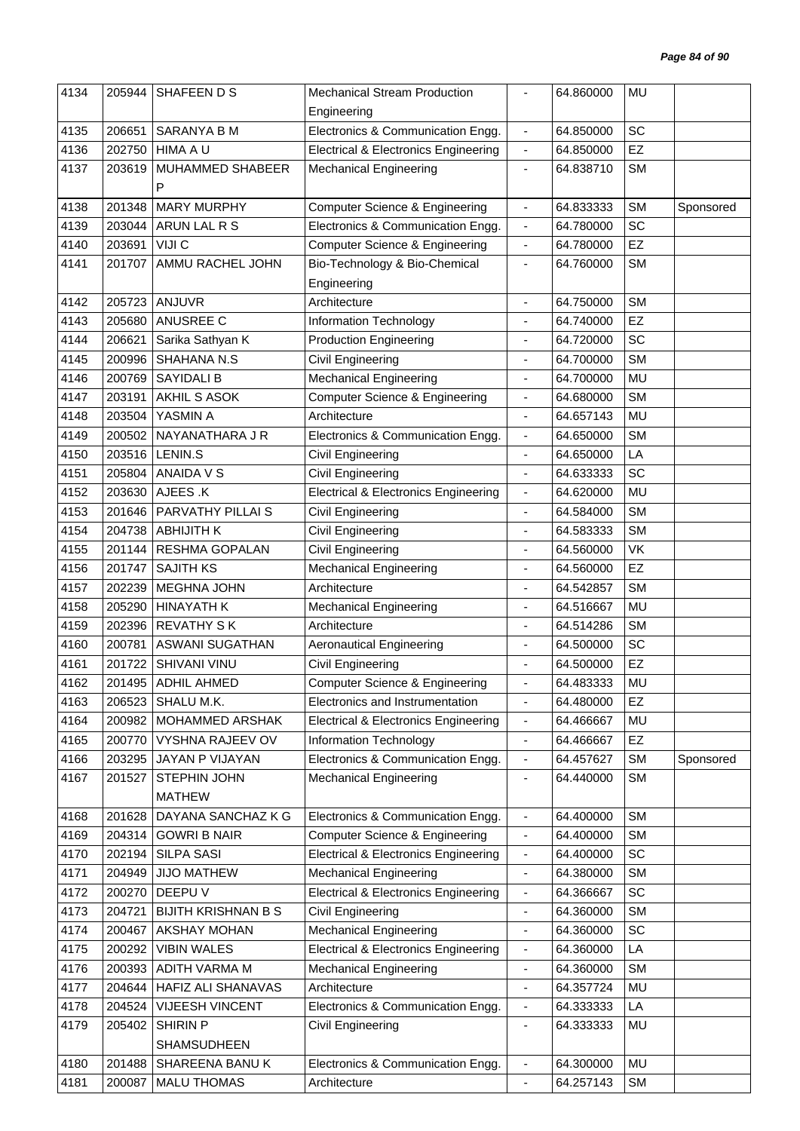| 4134 | 205944 | SHAFEEN D S                | <b>Mechanical Stream Production</b>             |                          | 64.860000 | MU        |           |
|------|--------|----------------------------|-------------------------------------------------|--------------------------|-----------|-----------|-----------|
|      |        |                            | Engineering                                     |                          |           |           |           |
| 4135 | 206651 | SARANYA B M                | Electronics & Communication Engg.               | $\blacksquare$           | 64.850000 | SC        |           |
| 4136 | 202750 | <b>HIMA A U</b>            | <b>Electrical &amp; Electronics Engineering</b> | $\overline{\phantom{a}}$ | 64.850000 | EZ        |           |
| 4137 | 203619 | MUHAMMED SHABEER           | <b>Mechanical Engineering</b>                   | $\overline{\phantom{a}}$ | 64.838710 | <b>SM</b> |           |
|      |        | P                          |                                                 |                          |           |           |           |
| 4138 | 201348 | <b>MARY MURPHY</b>         | Computer Science & Engineering                  | $\overline{\phantom{a}}$ | 64.833333 | <b>SM</b> | Sponsored |
| 4139 | 203044 | ARUN LAL R S               | Electronics & Communication Engg.               | $\blacksquare$           | 64.780000 | SC        |           |
| 4140 | 203691 | VIJI C                     | <b>Computer Science &amp; Engineering</b>       | $\blacksquare$           | 64.780000 | EZ        |           |
| 4141 | 201707 | AMMU RACHEL JOHN           | Bio-Technology & Bio-Chemical                   | $\overline{\phantom{a}}$ | 64.760000 | <b>SM</b> |           |
|      |        |                            | Engineering                                     |                          |           |           |           |
| 4142 | 205723 | <b>ANJUVR</b>              | Architecture                                    | $\overline{a}$           | 64.750000 | <b>SM</b> |           |
| 4143 | 205680 | ANUSREE C                  | Information Technology                          | $\overline{\phantom{a}}$ | 64.740000 | EZ        |           |
| 4144 | 206621 | Sarika Sathyan K           | <b>Production Engineering</b>                   | $\blacksquare$           | 64.720000 | SC        |           |
| 4145 | 200996 | SHAHANA N.S                | Civil Engineering                               |                          | 64.700000 | <b>SM</b> |           |
| 4146 | 200769 | <b>SAYIDALI B</b>          | <b>Mechanical Engineering</b>                   | $\overline{\phantom{a}}$ | 64.700000 | MU        |           |
| 4147 | 203191 | AKHIL S ASOK               | <b>Computer Science &amp; Engineering</b>       | ÷,                       | 64.680000 | <b>SM</b> |           |
| 4148 |        | YASMIN A                   |                                                 |                          | 64.657143 |           |           |
|      | 203504 |                            | Architecture                                    | $\overline{\phantom{a}}$ |           | MU        |           |
| 4149 | 200502 | NAYANATHARA J R            | Electronics & Communication Engg.               | $\blacksquare$           | 64.650000 | <b>SM</b> |           |
| 4150 | 203516 | LENIN.S                    | Civil Engineering                               |                          | 64.650000 | LA        |           |
| 4151 | 205804 | <b>ANAIDA V S</b>          | Civil Engineering                               | $\overline{\phantom{a}}$ | 64.633333 | SC        |           |
| 4152 | 203630 | AJEES .K                   | <b>Electrical &amp; Electronics Engineering</b> | $\overline{\phantom{a}}$ | 64.620000 | <b>MU</b> |           |
| 4153 | 201646 | PARVATHY PILLAI S          | Civil Engineering                               | $\blacksquare$           | 64.584000 | <b>SM</b> |           |
| 4154 | 204738 | <b>ABHIJITH K</b>          | Civil Engineering                               | $\blacksquare$           | 64.583333 | <b>SM</b> |           |
| 4155 | 201144 | RESHMA GOPALAN             | <b>Civil Engineering</b>                        | $\blacksquare$           | 64.560000 | VK        |           |
| 4156 | 201747 | <b>SAJITH KS</b>           | <b>Mechanical Engineering</b>                   |                          | 64.560000 | EZ        |           |
| 4157 | 202239 | <b>MEGHNA JOHN</b>         | Architecture                                    | $\overline{\phantom{a}}$ | 64.542857 | <b>SM</b> |           |
| 4158 | 205290 | <b>HINAYATH K</b>          | <b>Mechanical Engineering</b>                   | $\blacksquare$           | 64.516667 | MU        |           |
| 4159 | 202396 | <b>REVATHY SK</b>          | Architecture                                    |                          | 64.514286 | <b>SM</b> |           |
| 4160 | 200781 | <b>ASWANI SUGATHAN</b>     | <b>Aeronautical Engineering</b>                 | $\blacksquare$           | 64.500000 | SC        |           |
| 4161 | 201722 | SHIVANI VINU               | Civil Engineering                               |                          | 64.500000 | EZ        |           |
| 4162 |        | 201495   ADHIL AHMED       | Computer Science & Engineering                  |                          | 64.483333 | MU        |           |
| 4163 | 206523 | SHALU M.K.                 | Electronics and Instrumentation                 | $\overline{\phantom{a}}$ | 64.480000 | EZ        |           |
| 4164 | 200982 | MOHAMMED ARSHAK            | <b>Electrical &amp; Electronics Engineering</b> | $\blacksquare$           | 64.466667 | MU        |           |
| 4165 | 200770 | VYSHNA RAJEEV OV           | Information Technology                          | $\blacksquare$           | 64.466667 | EZ        |           |
| 4166 | 203295 | JAYAN P VIJAYAN            | Electronics & Communication Engg.               | $\blacksquare$           | 64.457627 | SM        | Sponsored |
| 4167 | 201527 | STEPHIN JOHN               | <b>Mechanical Engineering</b>                   | $\overline{\phantom{a}}$ | 64.440000 | SM        |           |
|      |        | <b>MATHEW</b>              |                                                 |                          |           |           |           |
| 4168 | 201628 | DAYANA SANCHAZ K G         | Electronics & Communication Engg.               | ÷,                       | 64.400000 | <b>SM</b> |           |
| 4169 | 204314 | <b>GOWRI B NAIR</b>        | Computer Science & Engineering                  | $\overline{\phantom{a}}$ | 64.400000 | <b>SM</b> |           |
| 4170 | 202194 | <b>SILPA SASI</b>          | <b>Electrical &amp; Electronics Engineering</b> | $\blacksquare$           | 64.400000 | SC        |           |
| 4171 | 204949 | <b>JIJO MATHEW</b>         | <b>Mechanical Engineering</b>                   | $\overline{\phantom{a}}$ | 64.380000 | <b>SM</b> |           |
| 4172 | 200270 | DEEPU V                    | <b>Electrical &amp; Electronics Engineering</b> | $\overline{\phantom{a}}$ | 64.366667 | SC        |           |
| 4173 | 204721 | <b>BIJITH KRISHNAN B S</b> | <b>Civil Engineering</b>                        | $\overline{\phantom{a}}$ | 64.360000 | SM        |           |
| 4174 | 200467 | AKSHAY MOHAN               | <b>Mechanical Engineering</b>                   | $\blacksquare$           | 64.360000 | SC        |           |
| 4175 | 200292 | <b>VIBIN WALES</b>         | <b>Electrical &amp; Electronics Engineering</b> | $\overline{\phantom{a}}$ | 64.360000 | LA        |           |
| 4176 | 200393 | ADITH VARMA M              | <b>Mechanical Engineering</b>                   | $\overline{\phantom{a}}$ | 64.360000 | <b>SM</b> |           |
| 4177 | 204644 | HAFIZ ALI SHANAVAS         | Architecture                                    | $\blacksquare$           | 64.357724 | MU        |           |
| 4178 | 204524 | VIJEESH VINCENT            | Electronics & Communication Engg.               | $\overline{\phantom{a}}$ | 64.333333 | LA        |           |
| 4179 | 205402 | <b>SHIRIN P</b>            | Civil Engineering                               | $\overline{\phantom{a}}$ | 64.333333 | MU        |           |
|      |        | SHAMSUDHEEN                |                                                 |                          |           |           |           |
| 4180 | 201488 | SHAREENA BANUK             | Electronics & Communication Engg.               | $\blacksquare$           | 64.300000 | MU        |           |
| 4181 | 200087 | <b>MALU THOMAS</b>         | Architecture                                    | ÷,                       | 64.257143 | SM        |           |
|      |        |                            |                                                 |                          |           |           |           |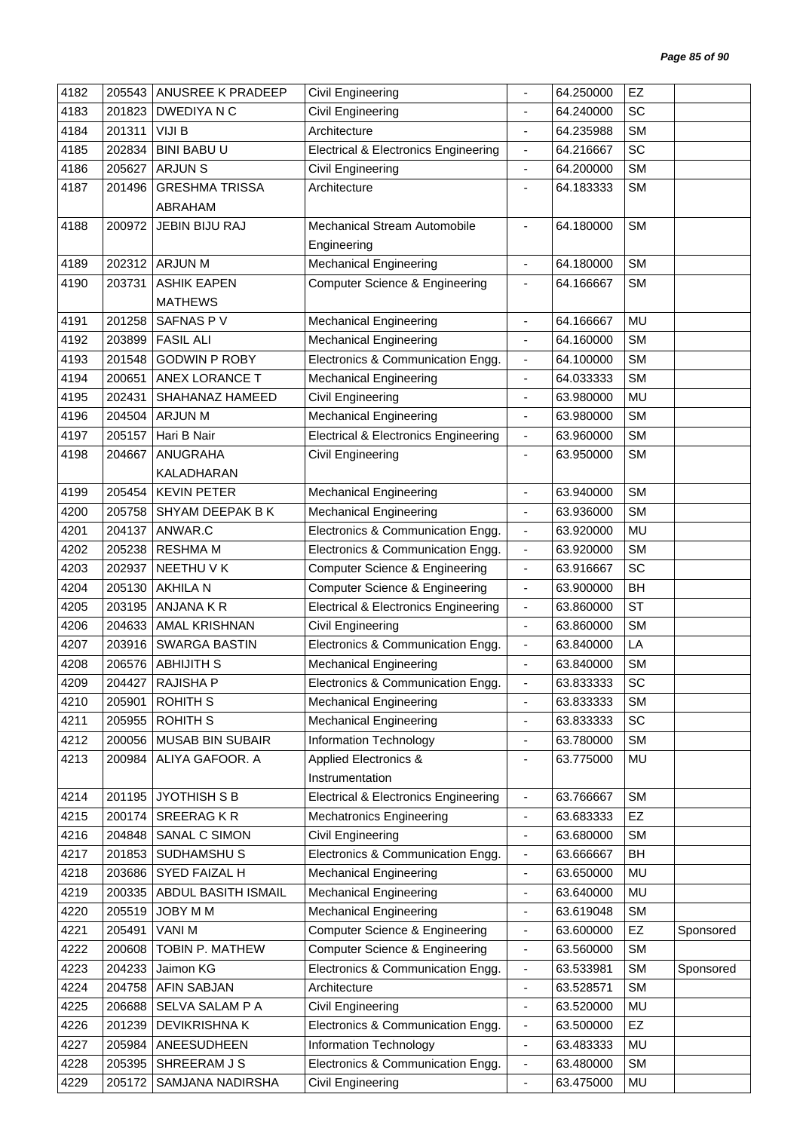| 4182 | 205543 | ANUSREE K PRADEEP     | Civil Engineering                               |                          | 64.250000 | EZ        |           |
|------|--------|-----------------------|-------------------------------------------------|--------------------------|-----------|-----------|-----------|
| 4183 | 201823 | DWEDIYA N C           | Civil Engineering                               |                          | 64.240000 | SC        |           |
| 4184 | 201311 | VIJI B                | Architecture                                    | $\overline{\phantom{a}}$ | 64.235988 | <b>SM</b> |           |
| 4185 | 202834 | <b>BINI BABU U</b>    | <b>Electrical &amp; Electronics Engineering</b> | $\overline{\phantom{a}}$ | 64.216667 | SC        |           |
| 4186 | 205627 | <b>ARJUNS</b>         | Civil Engineering                               | $\overline{\phantom{a}}$ | 64.200000 | <b>SM</b> |           |
| 4187 | 201496 | <b>GRESHMA TRISSA</b> | Architecture                                    | $\blacksquare$           | 64.183333 | <b>SM</b> |           |
|      |        | ABRAHAM               |                                                 |                          |           |           |           |
| 4188 | 200972 | JEBIN BIJU RAJ        | Mechanical Stream Automobile                    | ÷,                       | 64.180000 | <b>SM</b> |           |
|      |        |                       | Engineering                                     |                          |           |           |           |
| 4189 | 202312 | <b>ARJUN M</b>        | <b>Mechanical Engineering</b>                   | $\overline{\phantom{a}}$ | 64.180000 | <b>SM</b> |           |
| 4190 | 203731 | <b>ASHIK EAPEN</b>    | <b>Computer Science &amp; Engineering</b>       | $\overline{\phantom{a}}$ | 64.166667 | <b>SM</b> |           |
|      |        | <b>MATHEWS</b>        |                                                 |                          |           |           |           |
| 4191 | 201258 | SAFNAS PV             | <b>Mechanical Engineering</b>                   | $\overline{\phantom{a}}$ | 64.166667 | <b>MU</b> |           |
| 4192 | 203899 | <b>FASIL ALI</b>      | <b>Mechanical Engineering</b>                   | $\blacksquare$           | 64.160000 | <b>SM</b> |           |
| 4193 | 201548 | <b>GODWIN P ROBY</b>  | Electronics & Communication Engg.               | $\blacksquare$           | 64.100000 | <b>SM</b> |           |
| 4194 | 200651 | ANEX LORANCE T        | <b>Mechanical Engineering</b>                   | $\overline{\phantom{a}}$ | 64.033333 | <b>SM</b> |           |
| 4195 | 202431 | SHAHANAZ HAMEED       | Civil Engineering                               | $\overline{\phantom{a}}$ | 63.980000 | <b>MU</b> |           |
| 4196 | 204504 | <b>ARJUN M</b>        | <b>Mechanical Engineering</b>                   | ÷,                       | 63.980000 | <b>SM</b> |           |
| 4197 | 205157 | Hari B Nair           | <b>Electrical &amp; Electronics Engineering</b> | $\overline{\phantom{a}}$ | 63.960000 | <b>SM</b> |           |
| 4198 | 204667 | <b>ANUGRAHA</b>       | Civil Engineering                               | $\blacksquare$           | 63.950000 | <b>SM</b> |           |
|      |        | KALADHARAN            |                                                 |                          |           |           |           |
| 4199 | 205454 | <b>KEVIN PETER</b>    | <b>Mechanical Engineering</b>                   | $\overline{\phantom{a}}$ | 63.940000 | <b>SM</b> |           |
| 4200 | 205758 | SHYAM DEEPAK B K      | <b>Mechanical Engineering</b>                   | $\blacksquare$           | 63.936000 | <b>SM</b> |           |
| 4201 | 204137 | ANWAR.C               | Electronics & Communication Engg.               | $\blacksquare$           | 63.920000 | <b>MU</b> |           |
| 4202 | 205238 | <b>RESHMA M</b>       | Electronics & Communication Engg.               | $\blacksquare$           | 63.920000 | <b>SM</b> |           |
| 4203 | 202937 | NEETHU V K            | <b>Computer Science &amp; Engineering</b>       | ÷,                       | 63.916667 | SC        |           |
| 4204 | 205130 | <b>AKHILA N</b>       | <b>Computer Science &amp; Engineering</b>       | $\blacksquare$           | 63.900000 | BH        |           |
| 4205 | 203195 | ANJANA K R            | <b>Electrical &amp; Electronics Engineering</b> | $\overline{\phantom{a}}$ | 63.860000 | <b>ST</b> |           |
| 4206 | 204633 | <b>AMAL KRISHNAN</b>  | Civil Engineering                               | $\blacksquare$           | 63.860000 | <b>SM</b> |           |
| 4207 | 203916 | <b>SWARGA BASTIN</b>  | Electronics & Communication Engg.               | $\overline{\phantom{a}}$ | 63.840000 | LA        |           |
| 4208 | 206576 | <b>ABHIJITH S</b>     | <b>Mechanical Engineering</b>                   | ä,                       | 63.840000 | <b>SM</b> |           |
| 4209 | 204427 | <b>RAJISHA P</b>      | Electronics & Communication Engg.               | $\blacksquare$           | 63.833333 | SC        |           |
| 4210 | 205901 | <b>ROHITH S</b>       | <b>Mechanical Engineering</b>                   | $\blacksquare$           | 63.833333 | <b>SM</b> |           |
| 4211 | 205955 | ROHITH S              | <b>Mechanical Engineering</b>                   | $\blacksquare$           | 63.833333 | SC        |           |
| 4212 | 200056 | MUSAB BIN SUBAIR      | Information Technology                          | $\overline{\phantom{a}}$ | 63.780000 | <b>SM</b> |           |
| 4213 | 200984 | ALIYA GAFOOR. A       | <b>Applied Electronics &amp;</b>                | $\overline{\phantom{a}}$ | 63.775000 | MU        |           |
|      |        |                       | Instrumentation                                 |                          |           |           |           |
| 4214 | 201195 | <b>JYOTHISH S B</b>   | <b>Electrical &amp; Electronics Engineering</b> | $\blacksquare$           | 63.766667 | <b>SM</b> |           |
| 4215 | 200174 | <b>SREERAGKR</b>      | <b>Mechatronics Engineering</b>                 | $\overline{\phantom{a}}$ | 63.683333 | <b>EZ</b> |           |
| 4216 | 204848 | SANAL C SIMON         | Civil Engineering                               | $\overline{\phantom{a}}$ | 63.680000 | <b>SM</b> |           |
| 4217 | 201853 | SUDHAMSHU S           | Electronics & Communication Engg.               | $\blacksquare$           | 63.666667 | <b>BH</b> |           |
| 4218 | 203686 | SYED FAIZAL H         | <b>Mechanical Engineering</b>                   | $\blacksquare$           | 63.650000 | <b>MU</b> |           |
| 4219 | 200335 | ABDUL BASITH ISMAIL   | <b>Mechanical Engineering</b>                   | $\overline{\phantom{a}}$ | 63.640000 | MU        |           |
| 4220 | 205519 | JOBY M M              | <b>Mechanical Engineering</b>                   | $\overline{\phantom{a}}$ | 63.619048 | <b>SM</b> |           |
| 4221 | 205491 | <b>VANIM</b>          | <b>Computer Science &amp; Engineering</b>       | $\overline{\phantom{a}}$ | 63.600000 | EZ        | Sponsored |
| 4222 | 200608 | TOBIN P. MATHEW       | Computer Science & Engineering                  | $\overline{\phantom{a}}$ | 63.560000 | <b>SM</b> |           |
| 4223 | 204233 | Jaimon KG             | Electronics & Communication Engg.               | $\overline{\phantom{a}}$ | 63.533981 | <b>SM</b> | Sponsored |
| 4224 | 204758 | <b>AFIN SABJAN</b>    | Architecture                                    | $\overline{\phantom{a}}$ | 63.528571 | <b>SM</b> |           |
| 4225 | 206688 | SELVA SALAM P A       | Civil Engineering                               | $\overline{\phantom{a}}$ | 63.520000 | MU        |           |
| 4226 | 201239 | DEVIKRISHNA K         | Electronics & Communication Engg.               | $\overline{\phantom{a}}$ | 63.500000 | EZ        |           |
| 4227 | 205984 | ANEESUDHEEN           | Information Technology                          | $\overline{\phantom{a}}$ | 63.483333 | MU        |           |
| 4228 | 205395 | SHREERAM J S          | Electronics & Communication Engg.               | $\overline{\phantom{a}}$ | 63.480000 | <b>SM</b> |           |
| 4229 | 205172 | SAMJANA NADIRSHA      | Civil Engineering                               | $\overline{\phantom{a}}$ | 63.475000 | MU        |           |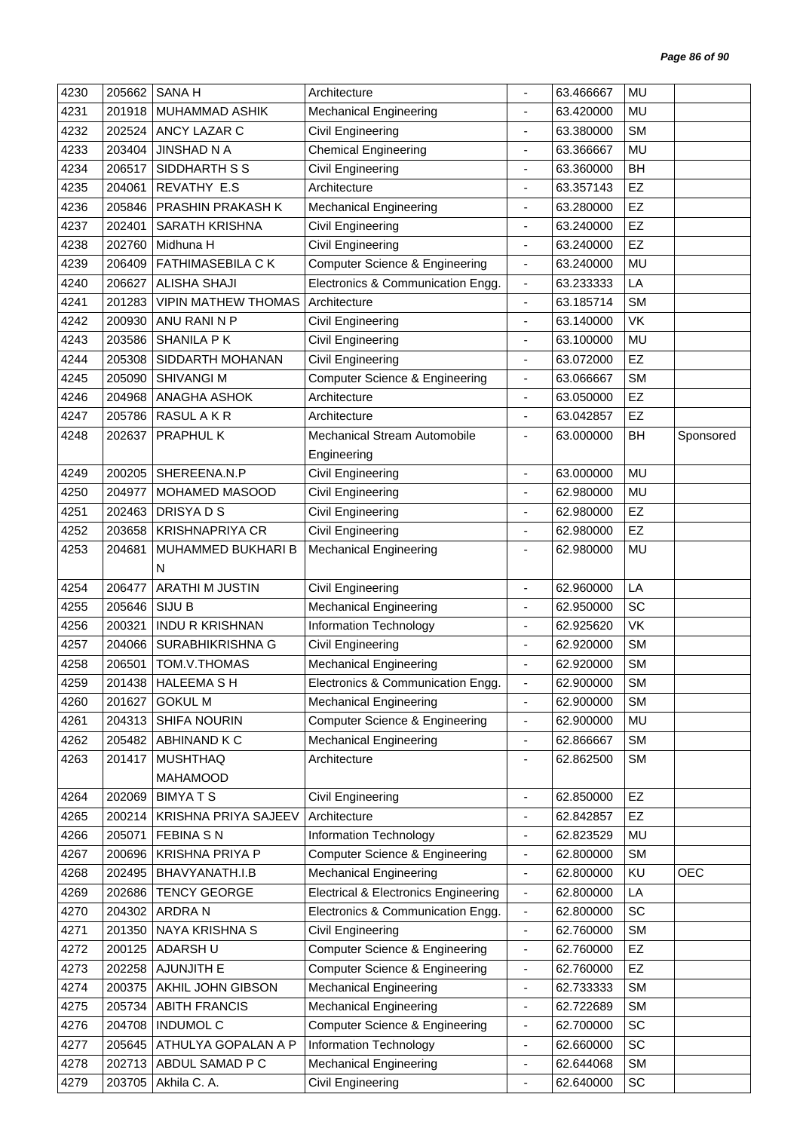| 4230         | 205662           | <b>SANA H</b>                           | Architecture                                                        |                              | 63.466667              | <b>MU</b> |            |
|--------------|------------------|-----------------------------------------|---------------------------------------------------------------------|------------------------------|------------------------|-----------|------------|
| 4231         | 201918           | MUHAMMAD ASHIK                          | <b>Mechanical Engineering</b>                                       | $\blacksquare$               | 63.420000              | <b>MU</b> |            |
| 4232         | 202524           | ANCY LAZAR C                            | Civil Engineering                                                   |                              | 63.380000              | <b>SM</b> |            |
| 4233         | 203404           | <b>JINSHAD N A</b>                      | <b>Chemical Engineering</b>                                         | $\overline{\phantom{a}}$     | 63.366667              | MU        |            |
| 4234         | 206517           | SIDDHARTH S S                           | Civil Engineering                                                   | $\overline{\phantom{a}}$     | 63.360000              | BH        |            |
| 4235         | 204061           | REVATHY E.S                             | Architecture                                                        |                              | 63.357143              | EZ        |            |
| 4236         | 205846           | PRASHIN PRAKASH K                       | <b>Mechanical Engineering</b>                                       | ٠                            | 63.280000              | EZ        |            |
| 4237         | 202401           | <b>SARATH KRISHNA</b>                   | Civil Engineering                                                   |                              | 63.240000              | EZ        |            |
| 4238         | 202760           | Midhuna H                               | Civil Engineering                                                   | $\qquad \qquad \blacksquare$ | 63.240000              | EZ        |            |
| 4239         | 206409           | <b>FATHIMASEBILA CK</b>                 | Computer Science & Engineering                                      | $\blacksquare$               | 63.240000              | MU        |            |
| 4240         | 206627           | <b>ALISHA SHAJI</b>                     | Electronics & Communication Engg.                                   | $\blacksquare$               | 63.233333              | LA        |            |
| 4241         | 201283           | <b>VIPIN MATHEW THOMAS</b>              | Architecture                                                        | $\overline{\phantom{a}}$     | 63.185714              | <b>SM</b> |            |
| 4242         | 200930           | ANU RANI N P                            | Civil Engineering                                                   | $\overline{\phantom{a}}$     | 63.140000              | VK        |            |
| 4243         | 203586           | SHANILA PK                              | Civil Engineering                                                   | ä,                           | 63.100000              | <b>MU</b> |            |
| 4244         | 205308           | SIDDARTH MOHANAN                        | Civil Engineering                                                   | $\overline{\phantom{a}}$     | 63.072000              | EZ        |            |
| 4245         | 205090           | <b>SHIVANGI M</b>                       | <b>Computer Science &amp; Engineering</b>                           | $\overline{\phantom{a}}$     | 63.066667              | <b>SM</b> |            |
| 4246         | 204968           | ANAGHA ASHOK                            | Architecture                                                        | $\overline{\phantom{a}}$     | 63.050000              | EZ        |            |
| 4247         | 205786           | RASUL A K R                             | Architecture                                                        | $\overline{\phantom{a}}$     | 63.042857              | EZ        |            |
| 4248         | 202637           | <b>PRAPHUL K</b>                        | Mechanical Stream Automobile                                        |                              | 63.000000              | <b>BH</b> | Sponsored  |
|              |                  |                                         | Engineering                                                         |                              |                        |           |            |
| 4249         | 200205           | SHEREENA.N.P                            | Civil Engineering                                                   | ÷,                           | 63.000000              | <b>MU</b> |            |
| 4250         | 204977           | MOHAMED MASOOD                          | Civil Engineering                                                   |                              | 62.980000              | <b>MU</b> |            |
| 4251         | 202463           | DRISYA D S                              | Civil Engineering                                                   | $\overline{\phantom{a}}$     | 62.980000              | EZ        |            |
| 4252         | 203658           | <b>KRISHNAPRIYA CR</b>                  | <b>Civil Engineering</b>                                            | $\blacksquare$               | 62.980000              | EZ        |            |
| 4253         | 204681           | MUHAMMED BUKHARI B                      | <b>Mechanical Engineering</b>                                       | ÷.                           | 62.980000              | <b>MU</b> |            |
|              |                  | N                                       |                                                                     |                              |                        |           |            |
| 4254         | 206477           | <b>ARATHI M JUSTIN</b>                  | Civil Engineering                                                   | ÷,                           | 62.960000              | LA        |            |
| 4255         | 205646           | SIJU B                                  | <b>Mechanical Engineering</b>                                       | ä,                           | 62.950000              | SC        |            |
| 4256         | 200321           | <b>INDU R KRISHNAN</b>                  | Information Technology                                              | ä,                           | 62.925620              | VK        |            |
| 4257         | 204066           | SURABHIKRISHNA G                        | <b>Civil Engineering</b>                                            |                              | 62.920000              | <b>SM</b> |            |
| 4258         | 206501           | TOM.V.THOMAS                            | <b>Mechanical Engineering</b>                                       | $\frac{1}{2}$                | 62.920000              | <b>SM</b> |            |
| 4259         |                  | 201438   HALEEMA S H                    | Electronics & Communication Engg.                                   |                              | 62.900000              | <b>SM</b> |            |
| 4260         |                  | 201627 GOKUL M                          | <b>Mechanical Engineering</b>                                       |                              | 62.900000              | <b>SM</b> |            |
| 4261         | 204313           | <b>SHIFA NOURIN</b>                     | <b>Computer Science &amp; Engineering</b>                           | $\overline{\phantom{a}}$     | 62.900000              | MU        |            |
| 4262         | 205482           | ABHINAND K C                            | <b>Mechanical Engineering</b>                                       | $\overline{\phantom{a}}$     | 62.866667              | <b>SM</b> |            |
| 4263         | 201417           | <b>MUSHTHAQ</b>                         | Architecture                                                        | ä,                           | 62.862500              | <b>SM</b> |            |
|              |                  | MAHAMOOD                                |                                                                     |                              |                        |           |            |
| 4264         | 202069           | <b>BIMYATS</b>                          | Civil Engineering                                                   | $\overline{\phantom{a}}$     | 62.850000              | EZ        |            |
| 4265         | 200214           | KRISHNA PRIYA SAJEEV                    | Architecture                                                        | ٠                            | 62.842857              | EZ        |            |
| 4266         | 205071           | <b>FEBINA SN</b>                        | Information Technology                                              | ٠                            | 62.823529              | MU        |            |
| 4267         | 200696           | <b>KRISHNA PRIYA P</b>                  | <b>Computer Science &amp; Engineering</b>                           | $\overline{\phantom{a}}$     | 62.800000              | <b>SM</b> |            |
| 4268         | 202495           | BHAVYANATH.I.B                          | <b>Mechanical Engineering</b>                                       | $\overline{\phantom{a}}$     | 62.800000              | KU        | <b>OEC</b> |
| 4269         | 202686           | <b>TENCY GEORGE</b>                     | <b>Electrical &amp; Electronics Engineering</b>                     | $\overline{\phantom{a}}$     | 62.800000              | LA        |            |
| 4270         | 204302           | ARDRA N                                 | Electronics & Communication Engg.                                   | $\overline{\phantom{a}}$     | 62.800000              | SC        |            |
| 4271         | 201350           | NAYA KRISHNA S                          | Civil Engineering                                                   | $\overline{\phantom{a}}$     | 62.760000              | <b>SM</b> |            |
| 4272         | 200125           | ADARSH U                                | <b>Computer Science &amp; Engineering</b>                           | $\overline{\phantom{a}}$     | 62.760000              | EZ        |            |
|              |                  | AJUNJITH E                              | <b>Computer Science &amp; Engineering</b>                           | ٠                            |                        | EZ        |            |
| 4273<br>4274 | 202258<br>200375 | AKHIL JOHN GIBSON                       | <b>Mechanical Engineering</b>                                       |                              | 62.760000<br>62.733333 | <b>SM</b> |            |
| 4275         | 205734           | <b>ABITH FRANCIS</b>                    | Mechanical Engineering                                              | $\overline{\phantom{a}}$     | 62.722689              | <b>SM</b> |            |
|              |                  |                                         |                                                                     | $\overline{\phantom{a}}$     |                        |           |            |
| 4276<br>4277 | 204708           | <b>INDUMOL C</b><br>ATHULYA GOPALAN A P | <b>Computer Science &amp; Engineering</b><br>Information Technology | $\overline{\phantom{a}}$     | 62.700000              | SC<br>SC  |            |
|              | 205645           | ABDUL SAMAD P C                         |                                                                     | $\overline{\phantom{a}}$     | 62.660000<br>62.644068 | <b>SM</b> |            |
| 4278         | 202713           |                                         | <b>Mechanical Engineering</b>                                       | $\overline{\phantom{a}}$     |                        |           |            |
| 4279         | 203705           | Akhila C. A.                            | Civil Engineering                                                   | $\overline{\phantom{a}}$     | 62.640000              | SC        |            |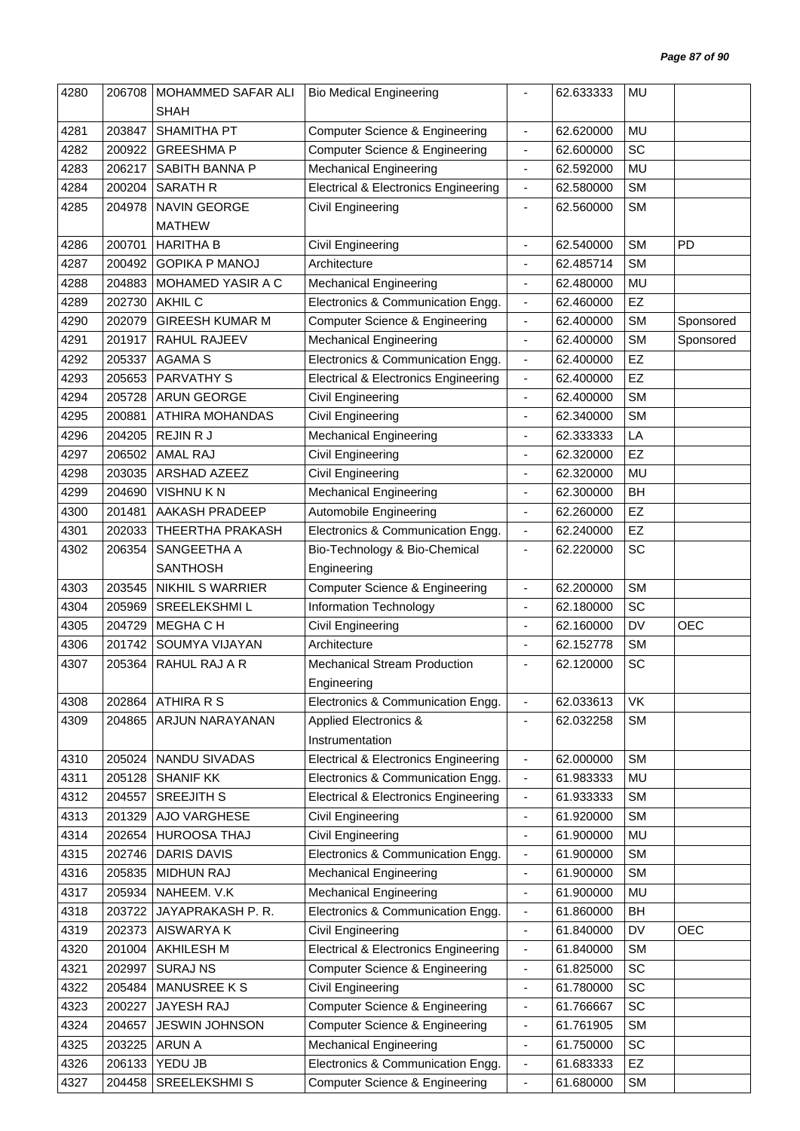| 4280 | 206708 | MOHAMMED SAFAR ALI      | <b>Bio Medical Engineering</b>                  |                          | 62.633333 | MU        |            |
|------|--------|-------------------------|-------------------------------------------------|--------------------------|-----------|-----------|------------|
|      |        | <b>SHAH</b>             |                                                 |                          |           |           |            |
| 4281 | 203847 | SHAMITHA PT             | <b>Computer Science &amp; Engineering</b>       | $\overline{\phantom{a}}$ | 62.620000 | MU        |            |
| 4282 | 200922 | <b>GREESHMAP</b>        | <b>Computer Science &amp; Engineering</b>       | ÷,                       | 62.600000 | SC        |            |
| 4283 | 206217 | SABITH BANNA P          | <b>Mechanical Engineering</b>                   | $\overline{\phantom{a}}$ | 62.592000 | MU        |            |
| 4284 | 200204 | <b>SARATH R</b>         | <b>Electrical &amp; Electronics Engineering</b> | $\overline{\phantom{a}}$ | 62.580000 | <b>SM</b> |            |
| 4285 | 204978 | <b>NAVIN GEORGE</b>     | Civil Engineering                               | ÷,                       | 62.560000 | <b>SM</b> |            |
|      |        | <b>MATHEW</b>           |                                                 |                          |           |           |            |
| 4286 | 200701 | <b>HARITHA B</b>        | Civil Engineering                               | $\blacksquare$           | 62.540000 | <b>SM</b> | PD         |
| 4287 | 200492 | <b>GOPIKA P MANOJ</b>   | Architecture                                    |                          | 62.485714 | <b>SM</b> |            |
| 4288 | 204883 | MOHAMED YASIR A C       | <b>Mechanical Engineering</b>                   | $\overline{\phantom{a}}$ | 62.480000 | MU        |            |
| 4289 | 202730 | <b>AKHIL C</b>          | Electronics & Communication Engg.               | $\overline{\phantom{a}}$ | 62.460000 | EZ        |            |
| 4290 | 202079 | <b>GIREESH KUMAR M</b>  | <b>Computer Science &amp; Engineering</b>       | $\overline{\phantom{a}}$ | 62.400000 | <b>SM</b> | Sponsored  |
| 4291 | 201917 | RAHUL RAJEEV            | <b>Mechanical Engineering</b>                   | $\overline{\phantom{a}}$ | 62.400000 | <b>SM</b> | Sponsored  |
| 4292 | 205337 | <b>AGAMA S</b>          | Electronics & Communication Engg.               | $\overline{\phantom{a}}$ | 62.400000 | EZ        |            |
| 4293 | 205653 | <b>PARVATHY S</b>       | <b>Electrical &amp; Electronics Engineering</b> | $\blacksquare$           | 62.400000 | <b>EZ</b> |            |
| 4294 | 205728 | ARUN GEORGE             | Civil Engineering                               | $\overline{\phantom{a}}$ | 62.400000 | <b>SM</b> |            |
| 4295 | 200881 | ATHIRA MOHANDAS         | Civil Engineering                               | ÷,                       | 62.340000 | <b>SM</b> |            |
| 4296 | 204205 | REJIN R J               | <b>Mechanical Engineering</b>                   | ÷,                       | 62.333333 | LA        |            |
| 4297 | 206502 | <b>AMAL RAJ</b>         | Civil Engineering                               | $\overline{\phantom{a}}$ | 62.320000 | EZ        |            |
| 4298 | 203035 | ARSHAD AZEEZ            | Civil Engineering                               | ÷,                       | 62.320000 | MU        |            |
| 4299 | 204690 | <b>VISHNUKN</b>         | <b>Mechanical Engineering</b>                   | $\overline{\phantom{a}}$ | 62.300000 | <b>BH</b> |            |
| 4300 | 201481 | AAKASH PRADEEP          | Automobile Engineering                          | $\blacksquare$           | 62.260000 | EZ        |            |
| 4301 | 202033 | THEERTHA PRAKASH        | Electronics & Communication Engg.               | $\overline{\phantom{a}}$ | 62.240000 | EZ        |            |
| 4302 | 206354 | SANGEETHA A             | Bio-Technology & Bio-Chemical                   | $\overline{\phantom{a}}$ | 62.220000 | SC        |            |
|      |        | <b>SANTHOSH</b>         | Engineering                                     |                          |           |           |            |
| 4303 | 203545 | <b>NIKHIL S WARRIER</b> | <b>Computer Science &amp; Engineering</b>       | $\blacksquare$           | 62.200000 | <b>SM</b> |            |
| 4304 | 205969 | SREELEKSHMIL            | Information Technology                          | $\blacksquare$           | 62.180000 | SC        |            |
| 4305 | 204729 | <b>MEGHA C H</b>        | Civil Engineering                               | ÷,                       | 62.160000 | <b>DV</b> | <b>OEC</b> |
| 4306 | 201742 | SOUMYA VIJAYAN          | Architecture                                    | $\blacksquare$           | 62.152778 | <b>SM</b> |            |
| 4307 | 205364 | RAHUL RAJ A R           | <b>Mechanical Stream Production</b>             | $\blacksquare$           | 62.120000 | SC        |            |
|      |        |                         | Engineering                                     |                          |           |           |            |
| 4308 | 202864 | ATHIRA R S              | Electronics & Communication Engg.               | $\blacksquare$           | 62.033613 | VK        |            |
| 4309 | 204865 | ARJUN NARAYANAN         | <b>Applied Electronics &amp;</b>                |                          | 62.032258 | <b>SM</b> |            |
|      |        |                         |                                                 |                          |           |           |            |
|      |        |                         | Instrumentation                                 |                          |           |           |            |
| 4310 | 205024 | NANDU SIVADAS           | <b>Electrical &amp; Electronics Engineering</b> | $\blacksquare$           | 62.000000 | <b>SM</b> |            |
| 4311 | 205128 | <b>SHANIF KK</b>        | Electronics & Communication Engg.               | $\overline{\phantom{a}}$ | 61.983333 | MU        |            |
| 4312 | 204557 | <b>SREEJITH S</b>       | <b>Electrical &amp; Electronics Engineering</b> | $\overline{\phantom{a}}$ | 61.933333 | <b>SM</b> |            |
| 4313 | 201329 | AJO VARGHESE            | Civil Engineering                               | $\overline{\phantom{a}}$ | 61.920000 | <b>SM</b> |            |
| 4314 | 202654 | HUROOSA THAJ            | Civil Engineering                               | $\overline{\phantom{a}}$ | 61.900000 | <b>MU</b> |            |
| 4315 | 202746 | <b>DARIS DAVIS</b>      | Electronics & Communication Engg.               | $\overline{\phantom{a}}$ | 61.900000 | <b>SM</b> |            |
| 4316 | 205835 | <b>MIDHUN RAJ</b>       | <b>Mechanical Engineering</b>                   | $\overline{\phantom{a}}$ | 61.900000 | <b>SM</b> |            |
| 4317 | 205934 | NAHEEM. V.K             | <b>Mechanical Engineering</b>                   | $\blacksquare$           | 61.900000 | MU        |            |
| 4318 | 203722 | JAYAPRAKASH P. R.       | Electronics & Communication Engg.               | $\overline{\phantom{a}}$ | 61.860000 | <b>BH</b> |            |
| 4319 | 202373 | AISWARYA K              | Civil Engineering                               | $\overline{\phantom{a}}$ | 61.840000 | DV        | OEC        |
| 4320 | 201004 | AKHILESH M              | <b>Electrical &amp; Electronics Engineering</b> | $\overline{\phantom{a}}$ | 61.840000 | <b>SM</b> |            |
| 4321 | 202997 | <b>SURAJ NS</b>         | <b>Computer Science &amp; Engineering</b>       | $\blacksquare$           | 61.825000 | SC        |            |
| 4322 | 205484 | MANUSREE K S            | Civil Engineering                               | ÷,                       | 61.780000 | SC        |            |
| 4323 | 200227 | JAYESH RAJ              | <b>Computer Science &amp; Engineering</b>       | $\overline{\phantom{a}}$ | 61.766667 | SC        |            |
| 4324 | 204657 | JESWIN JOHNSON          | Computer Science & Engineering                  | $\overline{\phantom{a}}$ | 61.761905 | <b>SM</b> |            |
| 4325 | 203225 | <b>ARUN A</b>           | <b>Mechanical Engineering</b>                   | $\overline{\phantom{a}}$ | 61.750000 | SC        |            |
| 4326 | 206133 | YEDU JB                 | Electronics & Communication Engg.               | $\overline{\phantom{a}}$ | 61.683333 | <b>EZ</b> |            |
| 4327 | 204458 | SREELEKSHMI S           | <b>Computer Science &amp; Engineering</b>       | $\blacksquare$           | 61.680000 | SM        |            |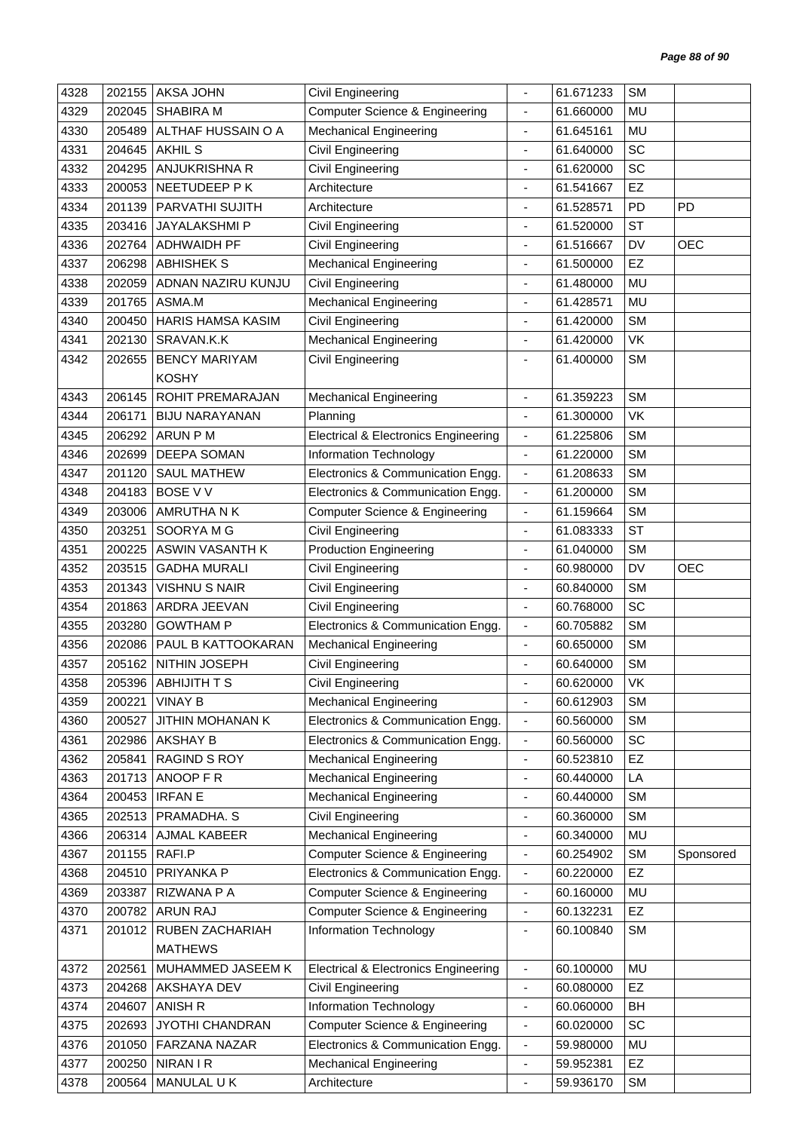| 4328 | 202155 | <b>AKSA JOHN</b>        | Civil Engineering                               |                              | 61.671233 | <b>SM</b> |            |
|------|--------|-------------------------|-------------------------------------------------|------------------------------|-----------|-----------|------------|
| 4329 | 202045 | <b>SHABIRA M</b>        | Computer Science & Engineering                  | $\overline{\phantom{a}}$     | 61.660000 | MU        |            |
| 4330 | 205489 | ALTHAF HUSSAIN O A      | <b>Mechanical Engineering</b>                   |                              | 61.645161 | MU        |            |
| 4331 | 204645 | <b>AKHIL S</b>          | Civil Engineering                               | ٠                            | 61.640000 | SC        |            |
| 4332 | 204295 | ANJUKRISHNA R           | Civil Engineering                               | $\blacksquare$               | 61.620000 | SC        |            |
| 4333 | 200053 | NEETUDEEP P K           | Architecture                                    | ÷.                           | 61.541667 | EZ        |            |
| 4334 | 201139 | PARVATHI SUJITH         | Architecture                                    | ä,                           | 61.528571 | PD        | <b>PD</b>  |
| 4335 | 203416 | JAYALAKSHMI P           | Civil Engineering                               | $\overline{\phantom{a}}$     | 61.520000 | <b>ST</b> |            |
| 4336 | 202764 | <b>ADHWAIDH PF</b>      | Civil Engineering                               | ä,                           | 61.516667 | <b>DV</b> | <b>OEC</b> |
| 4337 | 206298 | <b>ABHISHEK S</b>       | Mechanical Engineering                          | ٠                            | 61.500000 | EZ        |            |
| 4338 | 202059 | ADNAN NAZIRU KUNJU      | <b>Civil Engineering</b>                        | $\overline{\phantom{a}}$     | 61.480000 | <b>MU</b> |            |
| 4339 | 201765 | ASMA.M                  | <b>Mechanical Engineering</b>                   | ä,                           | 61.428571 | <b>MU</b> |            |
| 4340 | 200450 | HARIS HAMSA KASIM       | Civil Engineering                               | $\overline{\phantom{a}}$     | 61.420000 | <b>SM</b> |            |
| 4341 | 202130 | SRAVAN.K.K              | <b>Mechanical Engineering</b>                   |                              | 61.420000 | VK        |            |
| 4342 | 202655 | <b>BENCY MARIYAM</b>    | Civil Engineering                               | ä,                           | 61.400000 | <b>SM</b> |            |
|      |        | <b>KOSHY</b>            |                                                 |                              |           |           |            |
| 4343 | 206145 | ROHIT PREMARAJAN        | <b>Mechanical Engineering</b>                   | ÷.                           | 61.359223 | <b>SM</b> |            |
| 4344 | 206171 | <b>BIJU NARAYANAN</b>   | Planning                                        | $\overline{\phantom{a}}$     | 61.300000 | VK        |            |
| 4345 | 206292 | ARUN P M                | <b>Electrical &amp; Electronics Engineering</b> | $\overline{\phantom{a}}$     | 61.225806 | <b>SM</b> |            |
| 4346 | 202699 | DEEPA SOMAN             | <b>Information Technology</b>                   | $\overline{\phantom{a}}$     | 61.220000 | <b>SM</b> |            |
| 4347 | 201120 | <b>SAUL MATHEW</b>      | Electronics & Communication Engg.               | $\overline{\phantom{a}}$     | 61.208633 | <b>SM</b> |            |
| 4348 | 204183 | <b>BOSE V V</b>         | Electronics & Communication Engg.               | $\overline{\phantom{a}}$     | 61.200000 | <b>SM</b> |            |
| 4349 | 203006 | AMRUTHA N K             | <b>Computer Science &amp; Engineering</b>       | $\overline{\phantom{a}}$     | 61.159664 | <b>SM</b> |            |
| 4350 | 203251 | SOORYA M G              | Civil Engineering                               | $\overline{\phantom{a}}$     | 61.083333 | <b>ST</b> |            |
| 4351 | 200225 | ASWIN VASANTH K         | <b>Production Engineering</b>                   |                              | 61.040000 | <b>SM</b> |            |
| 4352 | 203515 | <b>GADHA MURALI</b>     | Civil Engineering                               | $\overline{\phantom{a}}$     | 60.980000 | <b>DV</b> | <b>OEC</b> |
| 4353 | 201343 | <b>VISHNU S NAIR</b>    | Civil Engineering                               | $\overline{\phantom{a}}$     | 60.840000 | <b>SM</b> |            |
| 4354 | 201863 | ARDRA JEEVAN            | Civil Engineering                               | ä,                           | 60.768000 | SC        |            |
| 4355 | 203280 | <b>GOWTHAM P</b>        | Electronics & Communication Engg.               | $\overline{\phantom{a}}$     | 60.705882 | <b>SM</b> |            |
| 4356 | 202086 | PAUL B KATTOOKARAN      | <b>Mechanical Engineering</b>                   | $\overline{\phantom{a}}$     | 60.650000 | <b>SM</b> |            |
| 4357 | 205162 | NITHIN JOSEPH           | Civil Engineering                               |                              | 60.640000 | <b>SM</b> |            |
| 4358 |        | 205396 ABHIJITH T S     | Civil Engineering                               |                              | 60.620000 | VK        |            |
| 4359 | 200221 | <b>VINAY B</b>          | <b>Mechanical Engineering</b>                   | $\overline{\phantom{a}}$     | 60.612903 | <b>SM</b> |            |
| 4360 | 200527 | <b>JITHIN MOHANAN K</b> | Electronics & Communication Engg.               | $\overline{\phantom{a}}$     | 60.560000 | <b>SM</b> |            |
| 4361 | 202986 | <b>AKSHAY B</b>         | Electronics & Communication Engg.               | $\overline{\phantom{a}}$     | 60.560000 | SC        |            |
| 4362 | 205841 | RAGIND S ROY            | <b>Mechanical Engineering</b>                   | L,                           | 60.523810 | <b>EZ</b> |            |
| 4363 | 201713 | ANOOP F R               | <b>Mechanical Engineering</b>                   | $\qquad \qquad \blacksquare$ | 60.440000 | LA        |            |
| 4364 | 200453 | <b>IRFANE</b>           | <b>Mechanical Engineering</b>                   | $\frac{1}{2}$                | 60.440000 | <b>SM</b> |            |
| 4365 | 202513 | PRAMADHA. S             | Civil Engineering                               | ä,                           | 60.360000 | <b>SM</b> |            |
| 4366 | 206314 | AJMAL KABEER            | <b>Mechanical Engineering</b>                   | $\overline{\phantom{a}}$     | 60.340000 | MU        |            |
| 4367 | 201155 | RAFI.P                  | <b>Computer Science &amp; Engineering</b>       | $\overline{\phantom{a}}$     | 60.254902 | <b>SM</b> | Sponsored  |
| 4368 | 204510 | PRIYANKA P              | Electronics & Communication Engg.               | $\overline{\phantom{a}}$     | 60.220000 | <b>EZ</b> |            |
| 4369 | 203387 | RIZWANA P A             | <b>Computer Science &amp; Engineering</b>       | $\overline{\phantom{a}}$     | 60.160000 | MU        |            |
| 4370 |        | 200782 ARUN RAJ         | <b>Computer Science &amp; Engineering</b>       | $\blacksquare$               | 60.132231 | EZ        |            |
| 4371 | 201012 | RUBEN ZACHARIAH         | Information Technology                          | $\overline{\phantom{a}}$     | 60.100840 | <b>SM</b> |            |
|      |        | <b>MATHEWS</b>          |                                                 |                              |           |           |            |
| 4372 | 202561 | MUHAMMED JASEEM K       | <b>Electrical &amp; Electronics Engineering</b> | $\overline{\phantom{a}}$     | 60.100000 | MU        |            |
| 4373 | 204268 | AKSHAYA DEV             | Civil Engineering                               | $\overline{\phantom{a}}$     | 60.080000 | <b>EZ</b> |            |
| 4374 | 204607 | ANISH R                 | Information Technology                          | $\overline{\phantom{a}}$     | 60.060000 | BH        |            |
| 4375 | 202693 | <b>JYOTHI CHANDRAN</b>  | <b>Computer Science &amp; Engineering</b>       | $\overline{\phantom{a}}$     | 60.020000 | SC        |            |
| 4376 | 201050 | FARZANA NAZAR           | Electronics & Communication Engg.               | $\overline{\phantom{a}}$     | 59.980000 | MU        |            |
| 4377 | 200250 | <b>NIRAN I R</b>        | <b>Mechanical Engineering</b>                   | $\overline{\phantom{a}}$     | 59.952381 | <b>EZ</b> |            |
| 4378 | 200564 | MANULAL UK              | Architecture                                    | ÷,                           | 59.936170 | <b>SM</b> |            |
|      |        |                         |                                                 |                              |           |           |            |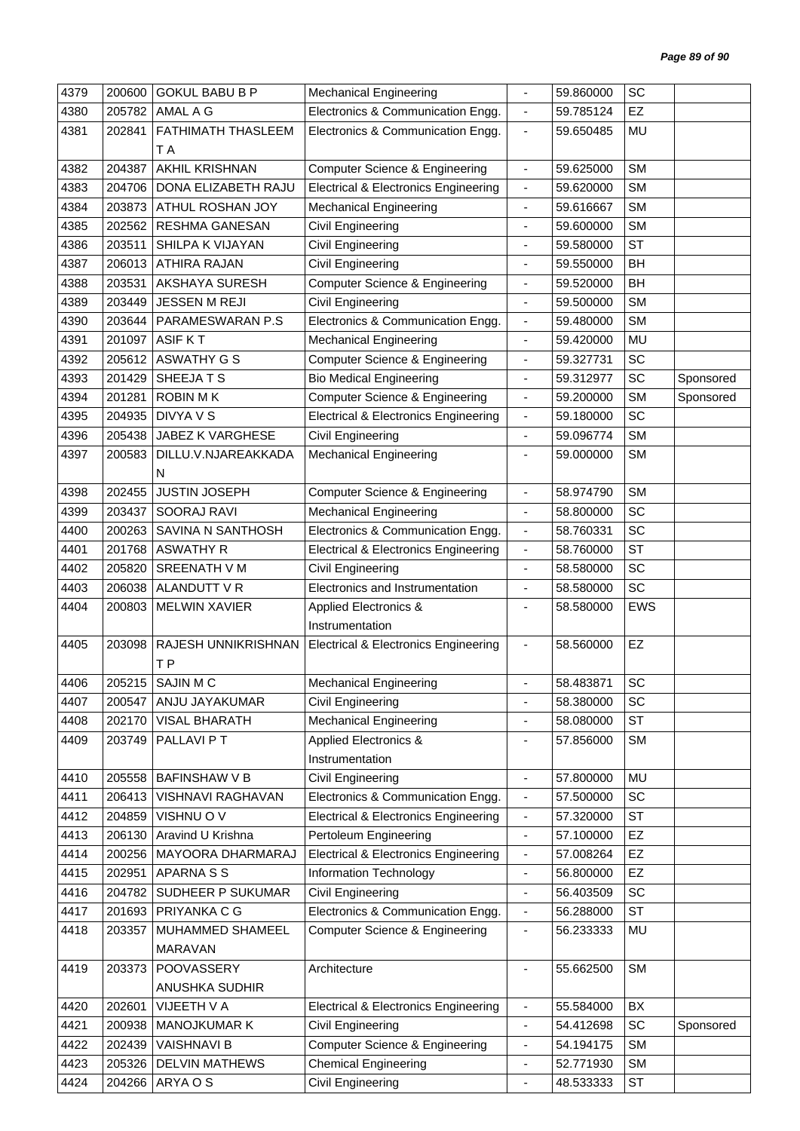| 4379 | 200600 | <b>GOKUL BABU B P</b>   | <b>Mechanical Engineering</b>                   | ä,                           | 59.860000 | SC         |           |
|------|--------|-------------------------|-------------------------------------------------|------------------------------|-----------|------------|-----------|
| 4380 | 205782 | AMAL A G                | Electronics & Communication Engg.               | $\blacksquare$               | 59.785124 | EZ         |           |
| 4381 | 202841 | FATHIMATH THASLEEM      | Electronics & Communication Engg.               | $\blacksquare$               | 59.650485 | MU         |           |
|      |        | T A                     |                                                 |                              |           |            |           |
| 4382 | 204387 | AKHIL KRISHNAN          | <b>Computer Science &amp; Engineering</b>       | $\blacksquare$               | 59.625000 | <b>SM</b>  |           |
| 4383 | 204706 | DONA ELIZABETH RAJU     | <b>Electrical &amp; Electronics Engineering</b> | $\overline{\phantom{a}}$     | 59.620000 | <b>SM</b>  |           |
| 4384 | 203873 | ATHUL ROSHAN JOY        | <b>Mechanical Engineering</b>                   | $\qquad \qquad \blacksquare$ | 59.616667 | <b>SM</b>  |           |
| 4385 | 202562 | RESHMA GANESAN          | Civil Engineering                               | $\qquad \qquad \blacksquare$ | 59.600000 | <b>SM</b>  |           |
| 4386 | 203511 | SHILPA K VIJAYAN        | Civil Engineering                               | ٠                            | 59.580000 | <b>ST</b>  |           |
| 4387 | 206013 | <b>ATHIRA RAJAN</b>     | Civil Engineering                               | $\overline{\phantom{a}}$     | 59.550000 | <b>BH</b>  |           |
| 4388 | 203531 | AKSHAYA SURESH          | <b>Computer Science &amp; Engineering</b>       | $\blacksquare$               | 59.520000 | <b>BH</b>  |           |
| 4389 | 203449 | <b>JESSEN M REJI</b>    | Civil Engineering                               | $\overline{\phantom{a}}$     | 59.500000 | <b>SM</b>  |           |
| 4390 | 203644 | PARAMESWARAN P.S        | Electronics & Communication Engg.               | $\blacksquare$               | 59.480000 | <b>SM</b>  |           |
| 4391 | 201097 | <b>ASIF KT</b>          | <b>Mechanical Engineering</b>                   | ä,                           | 59.420000 | <b>MU</b>  |           |
| 4392 | 205612 | <b>ASWATHY G S</b>      | <b>Computer Science &amp; Engineering</b>       | $\overline{\phantom{a}}$     | 59.327731 | SC         |           |
| 4393 | 201429 | SHEEJATS                | <b>Bio Medical Engineering</b>                  | $\blacksquare$               | 59.312977 | SC         | Sponsored |
| 4394 | 201281 | <b>ROBIN MK</b>         | <b>Computer Science &amp; Engineering</b>       | $\blacksquare$               | 59.200000 | <b>SM</b>  | Sponsored |
| 4395 | 204935 | <b>DIVYA V S</b>        | <b>Electrical &amp; Electronics Engineering</b> | $\blacksquare$               | 59.180000 | SC         |           |
| 4396 | 205438 | JABEZ K VARGHESE        | <b>Civil Engineering</b>                        | $\overline{\phantom{a}}$     | 59.096774 | <b>SM</b>  |           |
| 4397 | 200583 | DILLU.V.NJAREAKKADA     | <b>Mechanical Engineering</b>                   | ä,                           | 59.000000 | <b>SM</b>  |           |
|      |        | N                       |                                                 |                              |           |            |           |
| 4398 | 202455 | <b>JUSTIN JOSEPH</b>    | <b>Computer Science &amp; Engineering</b>       | ÷,                           | 58.974790 | <b>SM</b>  |           |
| 4399 | 203437 | SOORAJ RAVI             | <b>Mechanical Engineering</b>                   | $\blacksquare$               | 58.800000 | SC         |           |
| 4400 | 200263 | SAVINA N SANTHOSH       | Electronics & Communication Engg.               | $\overline{\phantom{a}}$     | 58.760331 | SC         |           |
| 4401 | 201768 | <b>ASWATHY R</b>        | <b>Electrical &amp; Electronics Engineering</b> | $\overline{\phantom{a}}$     | 58.760000 | <b>ST</b>  |           |
| 4402 | 205820 | <b>SREENATH V M</b>     | Civil Engineering                               | $\qquad \qquad \blacksquare$ | 58.580000 | SC         |           |
| 4403 | 206038 | ALANDUTT V R            | Electronics and Instrumentation                 | $\blacksquare$               | 58.580000 | SC         |           |
| 4404 | 200803 | <b>MELWIN XAVIER</b>    | <b>Applied Electronics &amp;</b>                |                              | 58.580000 | <b>EWS</b> |           |
|      |        |                         | Instrumentation                                 |                              |           |            |           |
| 4405 | 203098 | RAJESH UNNIKRISHNAN     | <b>Electrical &amp; Electronics Engineering</b> | $\blacksquare$               | 58.560000 | EZ         |           |
|      |        | T <sub>P</sub>          |                                                 |                              |           |            |           |
| 4406 | 205215 | SAJIN M C               | <b>Mechanical Engineering</b>                   |                              | 58.483871 | <b>SC</b>  |           |
| 4407 |        | 200547   ANJU JAYAKUMAR | Civil Engineering                               |                              | 58.380000 | SC         |           |
| 4408 | 202170 | <b>VISAL BHARATH</b>    | <b>Mechanical Engineering</b>                   | $\overline{\phantom{a}}$     | 58.080000 | ST         |           |
| 4409 | 203749 | PALLAVI P T             | <b>Applied Electronics &amp;</b>                | $\qquad \qquad \blacksquare$ | 57.856000 | <b>SM</b>  |           |
|      |        |                         | Instrumentation                                 |                              |           |            |           |
| 4410 | 205558 | <b>BAFINSHAW V B</b>    | Civil Engineering                               | $\overline{\phantom{a}}$     | 57.800000 | MU         |           |
| 4411 | 206413 | VISHNAVI RAGHAVAN       | Electronics & Communication Engg.               | $\blacksquare$               | 57.500000 | SC         |           |
| 4412 | 204859 | VISHNU OV               | <b>Electrical &amp; Electronics Engineering</b> | $\overline{\phantom{a}}$     | 57.320000 | ST         |           |
| 4413 | 206130 | Aravind U Krishna       | Pertoleum Engineering                           | $\overline{\phantom{a}}$     | 57.100000 | EZ         |           |
| 4414 | 200256 | MAYOORA DHARMARAJ       | <b>Electrical &amp; Electronics Engineering</b> | $\overline{\phantom{a}}$     | 57.008264 | EZ         |           |
| 4415 | 202951 | APARNA S S              | Information Technology                          | $\overline{\phantom{a}}$     | 56.800000 | EZ         |           |
| 4416 | 204782 | SUDHEER P SUKUMAR       | Civil Engineering                               | $\overline{\phantom{a}}$     | 56.403509 | SC         |           |
| 4417 | 201693 | PRIYANKA C G            | Electronics & Communication Engg.               | $\blacksquare$               | 56.288000 | <b>ST</b>  |           |
| 4418 | 203357 | MUHAMMED SHAMEEL        | Computer Science & Engineering                  | $\overline{\phantom{a}}$     | 56.233333 | MU         |           |
|      |        | <b>MARAVAN</b>          |                                                 |                              |           |            |           |
| 4419 | 203373 | POOVASSERY              | Architecture                                    |                              | 55.662500 | <b>SM</b>  |           |
|      |        | ANUSHKA SUDHIR          |                                                 |                              |           |            |           |
| 4420 | 202601 | VIJEETH V A             | <b>Electrical &amp; Electronics Engineering</b> | $\blacksquare$               | 55.584000 | BX         |           |
| 4421 | 200938 | <b>MANOJKUMAR K</b>     | Civil Engineering                               | $\overline{\phantom{a}}$     | 54.412698 | SC         | Sponsored |
| 4422 | 202439 | <b>VAISHNAVI B</b>      | Computer Science & Engineering                  | $\overline{\phantom{a}}$     | 54.194175 | <b>SM</b>  |           |
| 4423 | 205326 | <b>DELVIN MATHEWS</b>   | <b>Chemical Engineering</b>                     | $\overline{\phantom{a}}$     | 52.771930 | <b>SM</b>  |           |
| 4424 | 204266 | ARYA O S                | Civil Engineering                               | $\blacksquare$               | 48.533333 | <b>ST</b>  |           |